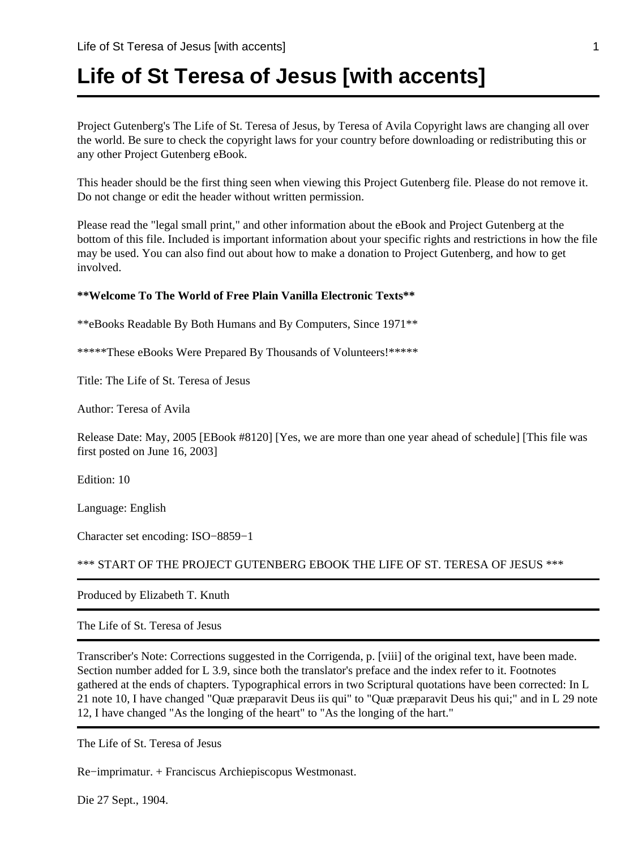# **Life of St Teresa of Jesus [with accents]**

Project Gutenberg's The Life of St. Teresa of Jesus, by Teresa of Avila Copyright laws are changing all over the world. Be sure to check the copyright laws for your country before downloading or redistributing this or any other Project Gutenberg eBook.

This header should be the first thing seen when viewing this Project Gutenberg file. Please do not remove it. Do not change or edit the header without written permission.

Please read the "legal small print," and other information about the eBook and Project Gutenberg at the bottom of this file. Included is important information about your specific rights and restrictions in how the file may be used. You can also find out about how to make a donation to Project Gutenberg, and how to get involved.

#### **\*\*Welcome To The World of Free Plain Vanilla Electronic Texts\*\***

\*\*eBooks Readable By Both Humans and By Computers, Since 1971\*\*

\*\*\*\*\*These eBooks Were Prepared By Thousands of Volunteers!\*\*\*\*\*

Title: The Life of St. Teresa of Jesus

Author: Teresa of Avila

Release Date: May, 2005 [EBook #8120] [Yes, we are more than one year ahead of schedule] [This file was first posted on June 16, 2003]

Edition: 10

Language: English

Character set encoding: ISO−8859−1

\*\*\* START OF THE PROJECT GUTENBERG EBOOK THE LIFE OF ST. TERESA OF JESUS \*\*\*

Produced by Elizabeth T. Knuth

The Life of St. Teresa of Jesus

Transcriber's Note: Corrections suggested in the Corrigenda, p. [viii] of the original text, have been made. Section number added for L 3.9, since both the translator's preface and the index refer to it. Footnotes gathered at the ends of chapters. Typographical errors in two Scriptural quotations have been corrected: In L 21 note 10, I have changed "Quæ præparavit Deus iis qui" to "Quæ præparavit Deus his qui;" and in L 29 note 12, I have changed "As the longing of the heart" to "As the longing of the hart."

The Life of St. Teresa of Jesus

Re−imprimatur. + Franciscus Archiepiscopus Westmonast.

Die 27 Sept., 1904.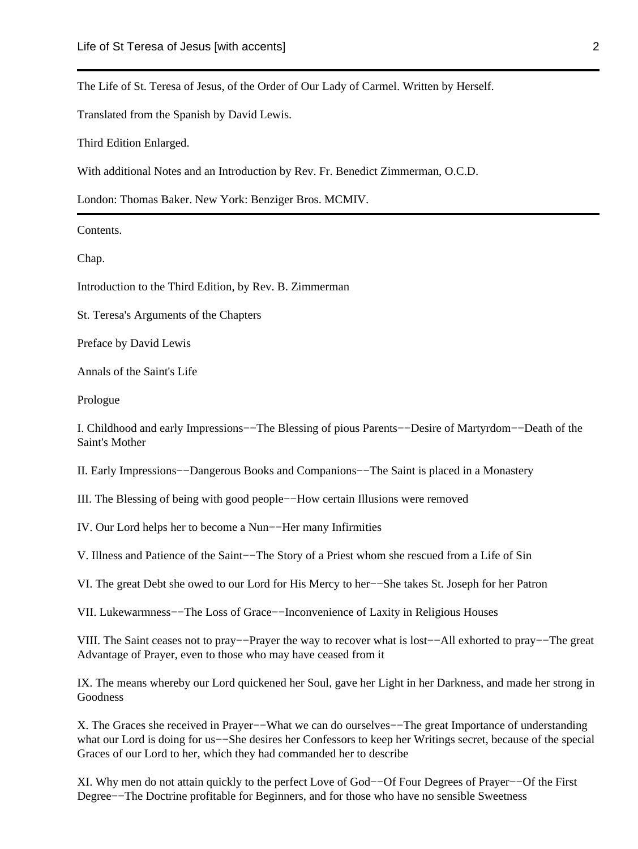The Life of St. Teresa of Jesus, of the Order of Our Lady of Carmel. Written by Herself.

Translated from the Spanish by David Lewis.

Third Edition Enlarged.

With additional Notes and an Introduction by Rev. Fr. Benedict Zimmerman, O.C.D.

London: Thomas Baker. New York: Benziger Bros. MCMIV.

Contents.

Chap.

Introduction to the Third Edition, by Rev. B. Zimmerman

St. Teresa's Arguments of the Chapters

Preface by David Lewis

Annals of the Saint's Life

Prologue

I. Childhood and early Impressions−−The Blessing of pious Parents−−Desire of Martyrdom−−Death of the Saint's Mother

II. Early Impressions−−Dangerous Books and Companions−−The Saint is placed in a Monastery

III. The Blessing of being with good people−−How certain Illusions were removed

IV. Our Lord helps her to become a Nun−−Her many Infirmities

V. Illness and Patience of the Saint−−The Story of a Priest whom she rescued from a Life of Sin

VI. The great Debt she owed to our Lord for His Mercy to her−−She takes St. Joseph for her Patron

VII. Lukewarmness−−The Loss of Grace−−Inconvenience of Laxity in Religious Houses

VIII. The Saint ceases not to pray−−Prayer the way to recover what is lost−−All exhorted to pray−−The great Advantage of Prayer, even to those who may have ceased from it

IX. The means whereby our Lord quickened her Soul, gave her Light in her Darkness, and made her strong in Goodness

X. The Graces she received in Prayer−−What we can do ourselves−−The great Importance of understanding what our Lord is doing for us−−She desires her Confessors to keep her Writings secret, because of the special Graces of our Lord to her, which they had commanded her to describe

XI. Why men do not attain quickly to the perfect Love of God−−Of Four Degrees of Prayer−−Of the First Degree−−The Doctrine profitable for Beginners, and for those who have no sensible Sweetness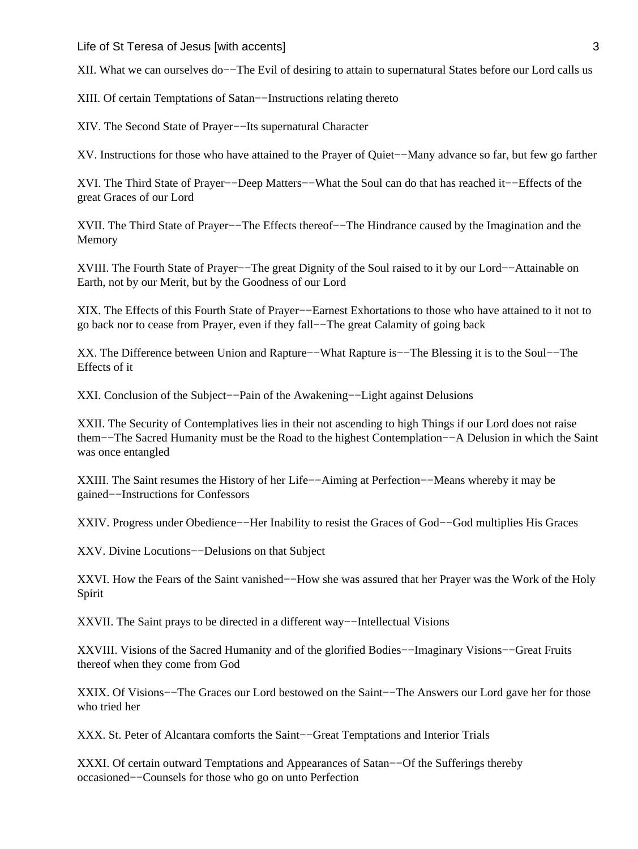Life of St Teresa of Jesus [with accents] 3

XII. What we can ourselves do−−The Evil of desiring to attain to supernatural States before our Lord calls us

XIII. Of certain Temptations of Satan−−Instructions relating thereto

XIV. The Second State of Prayer−−Its supernatural Character

XV. Instructions for those who have attained to the Prayer of Quiet−−Many advance so far, but few go farther

XVI. The Third State of Prayer−−Deep Matters−−What the Soul can do that has reached it−−Effects of the great Graces of our Lord

XVII. The Third State of Prayer−−The Effects thereof−−The Hindrance caused by the Imagination and the Memory

XVIII. The Fourth State of Prayer−−The great Dignity of the Soul raised to it by our Lord−−Attainable on Earth, not by our Merit, but by the Goodness of our Lord

XIX. The Effects of this Fourth State of Prayer−−Earnest Exhortations to those who have attained to it not to go back nor to cease from Prayer, even if they fall−−The great Calamity of going back

XX. The Difference between Union and Rapture−−What Rapture is−−The Blessing it is to the Soul−−The Effects of it

XXI. Conclusion of the Subject−−Pain of the Awakening−−Light against Delusions

XXII. The Security of Contemplatives lies in their not ascending to high Things if our Lord does not raise them−−The Sacred Humanity must be the Road to the highest Contemplation−−A Delusion in which the Saint was once entangled

XXIII. The Saint resumes the History of her Life−−Aiming at Perfection−−Means whereby it may be gained−−Instructions for Confessors

XXIV. Progress under Obedience−−Her Inability to resist the Graces of God−−God multiplies His Graces

XXV. Divine Locutions−−Delusions on that Subject

XXVI. How the Fears of the Saint vanished−−How she was assured that her Prayer was the Work of the Holy Spirit

XXVII. The Saint prays to be directed in a different way−−Intellectual Visions

XXVIII. Visions of the Sacred Humanity and of the glorified Bodies−−Imaginary Visions−−Great Fruits thereof when they come from God

XXIX. Of Visions−−The Graces our Lord bestowed on the Saint−−The Answers our Lord gave her for those who tried her

XXX. St. Peter of Alcantara comforts the Saint−−Great Temptations and Interior Trials

XXXI. Of certain outward Temptations and Appearances of Satan−−Of the Sufferings thereby occasioned−−Counsels for those who go on unto Perfection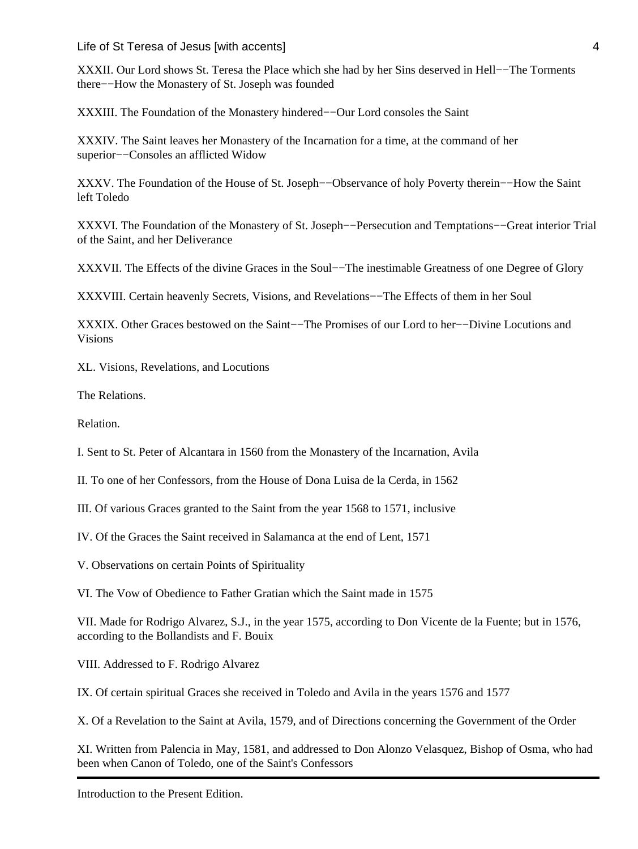Life of St Teresa of Jesus [with accents] 4

XXXII. Our Lord shows St. Teresa the Place which she had by her Sins deserved in Hell−−The Torments there−−How the Monastery of St. Joseph was founded

XXXIII. The Foundation of the Monastery hindered−−Our Lord consoles the Saint

XXXIV. The Saint leaves her Monastery of the Incarnation for a time, at the command of her superior−−Consoles an afflicted Widow

XXXV. The Foundation of the House of St. Joseph−−Observance of holy Poverty therein−−How the Saint left Toledo

XXXVI. The Foundation of the Monastery of St. Joseph−−Persecution and Temptations−−Great interior Trial of the Saint, and her Deliverance

XXXVII. The Effects of the divine Graces in the Soul−−The inestimable Greatness of one Degree of Glory

XXXVIII. Certain heavenly Secrets, Visions, and Revelations−−The Effects of them in her Soul

XXXIX. Other Graces bestowed on the Saint−−The Promises of our Lord to her−−Divine Locutions and Visions

XL. Visions, Revelations, and Locutions

The Relations.

Relation.

I. Sent to St. Peter of Alcantara in 1560 from the Monastery of the Incarnation, Avila

II. To one of her Confessors, from the House of Dona Luisa de la Cerda, in 1562

III. Of various Graces granted to the Saint from the year 1568 to 1571, inclusive

IV. Of the Graces the Saint received in Salamanca at the end of Lent, 1571

V. Observations on certain Points of Spirituality

VI. The Vow of Obedience to Father Gratian which the Saint made in 1575

VII. Made for Rodrigo Alvarez, S.J., in the year 1575, according to Don Vicente de la Fuente; but in 1576, according to the Bollandists and F. Bouix

VIII. Addressed to F. Rodrigo Alvarez

IX. Of certain spiritual Graces she received in Toledo and Avila in the years 1576 and 1577

X. Of a Revelation to the Saint at Avila, 1579, and of Directions concerning the Government of the Order

XI. Written from Palencia in May, 1581, and addressed to Don Alonzo Velasquez, Bishop of Osma, who had been when Canon of Toledo, one of the Saint's Confessors

Introduction to the Present Edition.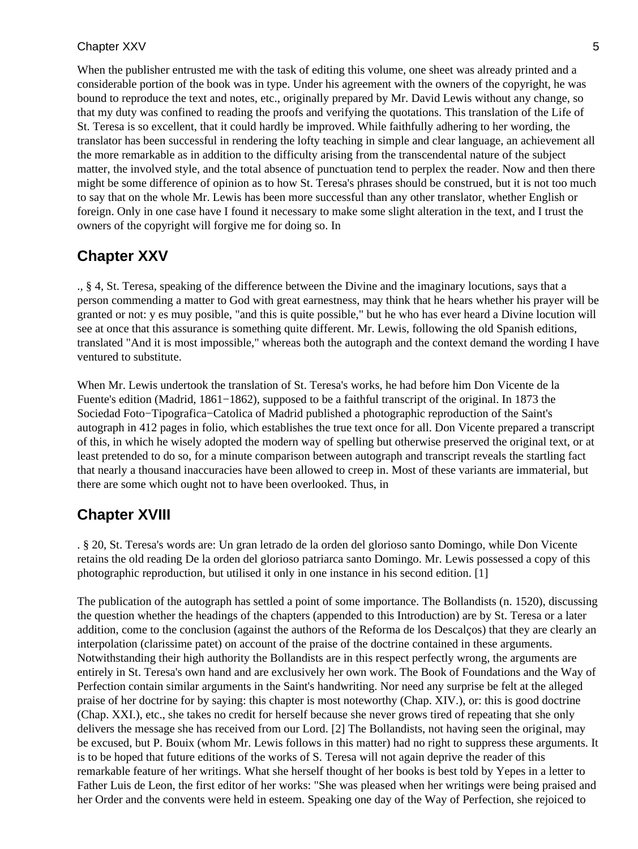When the publisher entrusted me with the task of editing this volume, one sheet was already printed and a considerable portion of the book was in type. Under his agreement with the owners of the copyright, he was bound to reproduce the text and notes, etc., originally prepared by Mr. David Lewis without any change, so that my duty was confined to reading the proofs and verifying the quotations. This translation of the Life of St. Teresa is so excellent, that it could hardly be improved. While faithfully adhering to her wording, the translator has been successful in rendering the lofty teaching in simple and clear language, an achievement all the more remarkable as in addition to the difficulty arising from the transcendental nature of the subject matter, the involved style, and the total absence of punctuation tend to perplex the reader. Now and then there might be some difference of opinion as to how St. Teresa's phrases should be construed, but it is not too much to say that on the whole Mr. Lewis has been more successful than any other translator, whether English or foreign. Only in one case have I found it necessary to make some slight alteration in the text, and I trust the owners of the copyright will forgive me for doing so. In

### **Chapter XXV**

., § 4, St. Teresa, speaking of the difference between the Divine and the imaginary locutions, says that a person commending a matter to God with great earnestness, may think that he hears whether his prayer will be granted or not: y es muy posible, "and this is quite possible," but he who has ever heard a Divine locution will see at once that this assurance is something quite different. Mr. Lewis, following the old Spanish editions, translated "And it is most impossible," whereas both the autograph and the context demand the wording I have ventured to substitute.

When Mr. Lewis undertook the translation of St. Teresa's works, he had before him Don Vicente de la Fuente's edition (Madrid, 1861−1862), supposed to be a faithful transcript of the original. In 1873 the Sociedad Foto−Tipografica−Catolica of Madrid published a photographic reproduction of the Saint's autograph in 412 pages in folio, which establishes the true text once for all. Don Vicente prepared a transcript of this, in which he wisely adopted the modern way of spelling but otherwise preserved the original text, or at least pretended to do so, for a minute comparison between autograph and transcript reveals the startling fact that nearly a thousand inaccuracies have been allowed to creep in. Most of these variants are immaterial, but there are some which ought not to have been overlooked. Thus, in

### **Chapter XVIII**

. § 20, St. Teresa's words are: Un gran letrado de la orden del glorioso santo Domingo, while Don Vicente retains the old reading De la orden del glorioso patriarca santo Domingo. Mr. Lewis possessed a copy of this photographic reproduction, but utilised it only in one instance in his second edition. [1]

The publication of the autograph has settled a point of some importance. The Bollandists (n. 1520), discussing the question whether the headings of the chapters (appended to this Introduction) are by St. Teresa or a later addition, come to the conclusion (against the authors of the Reforma de los Descalços) that they are clearly an interpolation (clarissime patet) on account of the praise of the doctrine contained in these arguments. Notwithstanding their high authority the Bollandists are in this respect perfectly wrong, the arguments are entirely in St. Teresa's own hand and are exclusively her own work. The Book of Foundations and the Way of Perfection contain similar arguments in the Saint's handwriting. Nor need any surprise be felt at the alleged praise of her doctrine for by saying: this chapter is most noteworthy (Chap. XIV.), or: this is good doctrine (Chap. XXI.), etc., she takes no credit for herself because she never grows tired of repeating that she only delivers the message she has received from our Lord. [2] The Bollandists, not having seen the original, may be excused, but P. Bouix (whom Mr. Lewis follows in this matter) had no right to suppress these arguments. It is to be hoped that future editions of the works of S. Teresa will not again deprive the reader of this remarkable feature of her writings. What she herself thought of her books is best told by Yepes in a letter to Father Luis de Leon, the first editor of her works: "She was pleased when her writings were being praised and her Order and the convents were held in esteem. Speaking one day of the Way of Perfection, she rejoiced to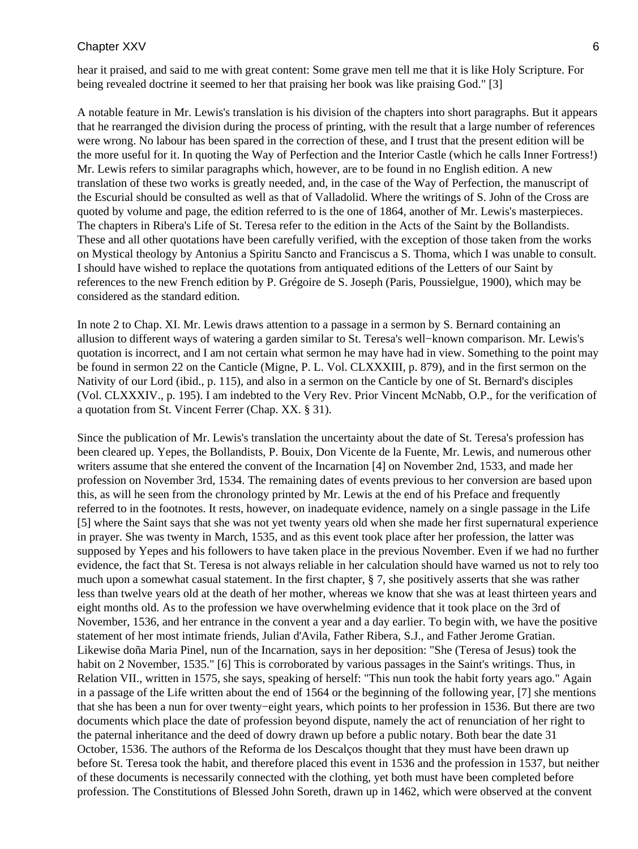hear it praised, and said to me with great content: Some grave men tell me that it is like Holy Scripture. For being revealed doctrine it seemed to her that praising her book was like praising God." [3]

A notable feature in Mr. Lewis's translation is his division of the chapters into short paragraphs. But it appears that he rearranged the division during the process of printing, with the result that a large number of references were wrong. No labour has been spared in the correction of these, and I trust that the present edition will be the more useful for it. In quoting the Way of Perfection and the Interior Castle (which he calls Inner Fortress!) Mr. Lewis refers to similar paragraphs which, however, are to be found in no English edition. A new translation of these two works is greatly needed, and, in the case of the Way of Perfection, the manuscript of the Escurial should be consulted as well as that of Valladolid. Where the writings of S. John of the Cross are quoted by volume and page, the edition referred to is the one of 1864, another of Mr. Lewis's masterpieces. The chapters in Ribera's Life of St. Teresa refer to the edition in the Acts of the Saint by the Bollandists. These and all other quotations have been carefully verified, with the exception of those taken from the works on Mystical theology by Antonius a Spiritu Sancto and Franciscus a S. Thoma, which I was unable to consult. I should have wished to replace the quotations from antiquated editions of the Letters of our Saint by references to the new French edition by P. Grégoire de S. Joseph (Paris, Poussielgue, 1900), which may be considered as the standard edition.

In note 2 to Chap. XI. Mr. Lewis draws attention to a passage in a sermon by S. Bernard containing an allusion to different ways of watering a garden similar to St. Teresa's well−known comparison. Mr. Lewis's quotation is incorrect, and I am not certain what sermon he may have had in view. Something to the point may be found in sermon 22 on the Canticle (Migne, P. L. Vol. CLXXXIII, p. 879), and in the first sermon on the Nativity of our Lord (ibid., p. 115), and also in a sermon on the Canticle by one of St. Bernard's disciples (Vol. CLXXXIV., p. 195). I am indebted to the Very Rev. Prior Vincent McNabb, O.P., for the verification of a quotation from St. Vincent Ferrer (Chap. XX. § 31).

Since the publication of Mr. Lewis's translation the uncertainty about the date of St. Teresa's profession has been cleared up. Yepes, the Bollandists, P. Bouix, Don Vicente de la Fuente, Mr. Lewis, and numerous other writers assume that she entered the convent of the Incarnation [4] on November 2nd, 1533, and made her profession on November 3rd, 1534. The remaining dates of events previous to her conversion are based upon this, as will he seen from the chronology printed by Mr. Lewis at the end of his Preface and frequently referred to in the footnotes. It rests, however, on inadequate evidence, namely on a single passage in the Life [5] where the Saint says that she was not yet twenty years old when she made her first supernatural experience in prayer. She was twenty in March, 1535, and as this event took place after her profession, the latter was supposed by Yepes and his followers to have taken place in the previous November. Even if we had no further evidence, the fact that St. Teresa is not always reliable in her calculation should have warned us not to rely too much upon a somewhat casual statement. In the first chapter, § 7, she positively asserts that she was rather less than twelve years old at the death of her mother, whereas we know that she was at least thirteen years and eight months old. As to the profession we have overwhelming evidence that it took place on the 3rd of November, 1536, and her entrance in the convent a year and a day earlier. To begin with, we have the positive statement of her most intimate friends, Julian d'Avila, Father Ribera, S.J., and Father Jerome Gratian. Likewise doña Maria Pinel, nun of the Incarnation, says in her deposition: "She (Teresa of Jesus) took the habit on 2 November, 1535." [6] This is corroborated by various passages in the Saint's writings. Thus, in Relation VII., written in 1575, she says, speaking of herself: "This nun took the habit forty years ago." Again in a passage of the Life written about the end of 1564 or the beginning of the following year, [7] she mentions that she has been a nun for over twenty−eight years, which points to her profession in 1536. But there are two documents which place the date of profession beyond dispute, namely the act of renunciation of her right to the paternal inheritance and the deed of dowry drawn up before a public notary. Both bear the date 31 October, 1536. The authors of the Reforma de los Descalços thought that they must have been drawn up before St. Teresa took the habit, and therefore placed this event in 1536 and the profession in 1537, but neither of these documents is necessarily connected with the clothing, yet both must have been completed before profession. The Constitutions of Blessed John Soreth, drawn up in 1462, which were observed at the convent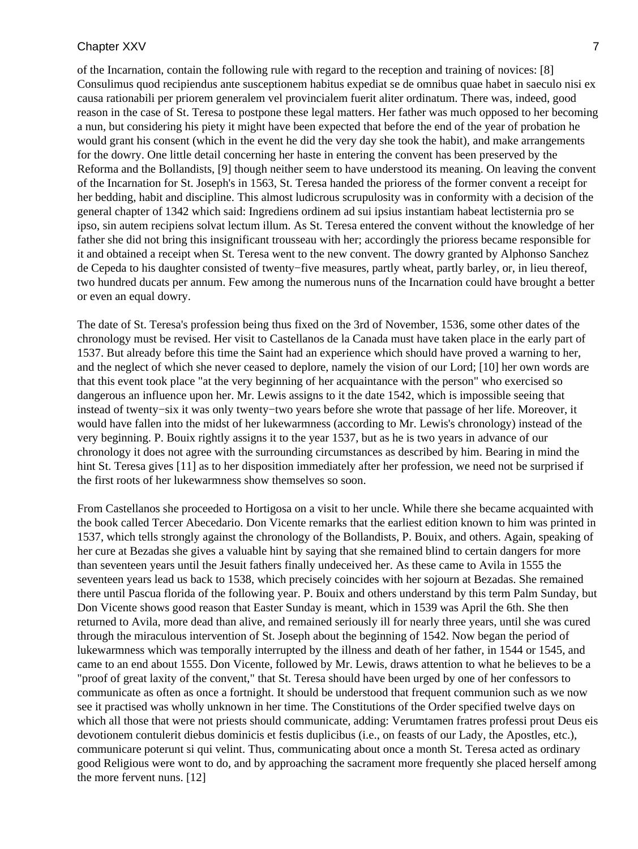of the Incarnation, contain the following rule with regard to the reception and training of novices: [8] Consulimus quod recipiendus ante susceptionem habitus expediat se de omnibus quae habet in saeculo nisi ex causa rationabili per priorem generalem vel provincialem fuerit aliter ordinatum. There was, indeed, good reason in the case of St. Teresa to postpone these legal matters. Her father was much opposed to her becoming a nun, but considering his piety it might have been expected that before the end of the year of probation he would grant his consent (which in the event he did the very day she took the habit), and make arrangements for the dowry. One little detail concerning her haste in entering the convent has been preserved by the Reforma and the Bollandists, [9] though neither seem to have understood its meaning. On leaving the convent of the Incarnation for St. Joseph's in 1563, St. Teresa handed the prioress of the former convent a receipt for her bedding, habit and discipline. This almost ludicrous scrupulosity was in conformity with a decision of the general chapter of 1342 which said: Ingrediens ordinem ad sui ipsius instantiam habeat lectisternia pro se ipso, sin autem recipiens solvat lectum illum. As St. Teresa entered the convent without the knowledge of her father she did not bring this insignificant trousseau with her; accordingly the prioress became responsible for it and obtained a receipt when St. Teresa went to the new convent. The dowry granted by Alphonso Sanchez de Cepeda to his daughter consisted of twenty−five measures, partly wheat, partly barley, or, in lieu thereof, two hundred ducats per annum. Few among the numerous nuns of the Incarnation could have brought a better or even an equal dowry.

The date of St. Teresa's profession being thus fixed on the 3rd of November, 1536, some other dates of the chronology must be revised. Her visit to Castellanos de la Canada must have taken place in the early part of 1537. But already before this time the Saint had an experience which should have proved a warning to her, and the neglect of which she never ceased to deplore, namely the vision of our Lord; [10] her own words are that this event took place "at the very beginning of her acquaintance with the person" who exercised so dangerous an influence upon her. Mr. Lewis assigns to it the date 1542, which is impossible seeing that instead of twenty−six it was only twenty−two years before she wrote that passage of her life. Moreover, it would have fallen into the midst of her lukewarmness (according to Mr. Lewis's chronology) instead of the very beginning. P. Bouix rightly assigns it to the year 1537, but as he is two years in advance of our chronology it does not agree with the surrounding circumstances as described by him. Bearing in mind the hint St. Teresa gives [11] as to her disposition immediately after her profession, we need not be surprised if the first roots of her lukewarmness show themselves so soon.

From Castellanos she proceeded to Hortigosa on a visit to her uncle. While there she became acquainted with the book called Tercer Abecedario. Don Vicente remarks that the earliest edition known to him was printed in 1537, which tells strongly against the chronology of the Bollandists, P. Bouix, and others. Again, speaking of her cure at Bezadas she gives a valuable hint by saying that she remained blind to certain dangers for more than seventeen years until the Jesuit fathers finally undeceived her. As these came to Avila in 1555 the seventeen years lead us back to 1538, which precisely coincides with her sojourn at Bezadas. She remained there until Pascua florida of the following year. P. Bouix and others understand by this term Palm Sunday, but Don Vicente shows good reason that Easter Sunday is meant, which in 1539 was April the 6th. She then returned to Avila, more dead than alive, and remained seriously ill for nearly three years, until she was cured through the miraculous intervention of St. Joseph about the beginning of 1542. Now began the period of lukewarmness which was temporally interrupted by the illness and death of her father, in 1544 or 1545, and came to an end about 1555. Don Vicente, followed by Mr. Lewis, draws attention to what he believes to be a "proof of great laxity of the convent," that St. Teresa should have been urged by one of her confessors to communicate as often as once a fortnight. It should be understood that frequent communion such as we now see it practised was wholly unknown in her time. The Constitutions of the Order specified twelve days on which all those that were not priests should communicate, adding: Verumtamen fratres professi prout Deus eis devotionem contulerit diebus dominicis et festis duplicibus (i.e., on feasts of our Lady, the Apostles, etc.), communicare poterunt si qui velint. Thus, communicating about once a month St. Teresa acted as ordinary good Religious were wont to do, and by approaching the sacrament more frequently she placed herself among the more fervent nuns. [12]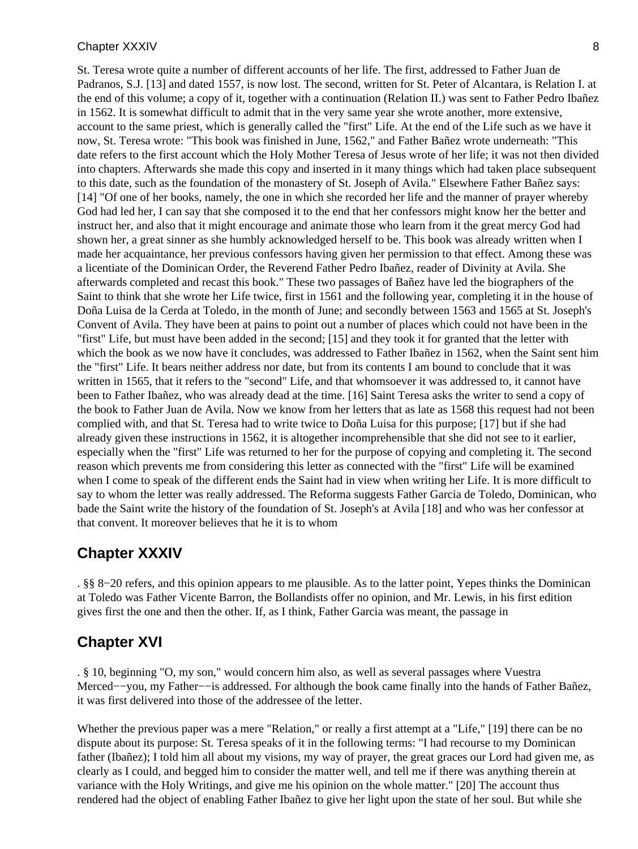St. Teresa wrote quite a number of different accounts of her life. The first, addressed to Father Juan de Padranos, S.J. [13] and dated 1557, is now lost. The second, written for St. Peter of Alcantara, is Relation I. at the end of this volume; a copy of it, together with a continuation (Relation II.) was sent to Father Pedro Ibañez in 1562. It is somewhat difficult to admit that in the very same year she wrote another, more extensive, account to the same priest, which is generally called the "first" Life. At the end of the Life such as we have it now, St. Teresa wrote: "This book was finished in June, 1562," and Father Bañez wrote underneath: "This date refers to the first account which the Holy Mother Teresa of Jesus wrote of her life; it was not then divided into chapters. Afterwards she made this copy and inserted in it many things which had taken place subsequent to this date, such as the foundation of the monastery of St. Joseph of Avila." Elsewhere Father Bañez says: [14] "Of one of her books, namely, the one in which she recorded her life and the manner of prayer whereby God had led her, I can say that she composed it to the end that her confessors might know her the better and instruct her, and also that it might encourage and animate those who learn from it the great mercy God had shown her, a great sinner as she humbly acknowledged herself to be. This book was already written when I made her acquaintance, her previous confessors having given her permission to that effect. Among these was a licentiate of the Dominican Order, the Reverend Father Pedro Ibañez, reader of Divinity at Avila. She afterwards completed and recast this book." These two passages of Bañez have led the biographers of the Saint to think that she wrote her Life twice, first in 1561 and the following year, completing it in the house of Doña Luisa de la Cerda at Toledo, in the month of June; and secondly between 1563 and 1565 at St. Joseph's Convent of Avila. They have been at pains to point out a number of places which could not have been in the "first" Life, but must have been added in the second; [15] and they took it for granted that the letter with which the book as we now have it concludes, was addressed to Father Ibañez in 1562, when the Saint sent him the "first" Life. It bears neither address nor date, but from its contents I am bound to conclude that it was written in 1565, that it refers to the "second" Life, and that whomsoever it was addressed to, it cannot have been to Father Ibañez, who was already dead at the time. [16] Saint Teresa asks the writer to send a copy of the book to Father Juan de Avila. Now we know from her letters that as late as 1568 this request had not been complied with, and that St. Teresa had to write twice to Doña Luisa for this purpose; [17] but if she had already given these instructions in 1562, it is altogether incomprehensible that she did not see to it earlier, especially when the "first" Life was returned to her for the purpose of copying and completing it. The second reason which prevents me from considering this letter as connected with the "first" Life will be examined when I come to speak of the different ends the Saint had in view when writing her Life. It is more difficult to say to whom the letter was really addressed. The Reforma suggests Father Garcia de Toledo, Dominican, who bade the Saint write the history of the foundation of St. Joseph's at Avila [18] and who was her confessor at that convent. It moreover believes that he it is to whom

### **Chapter XXXIV**

. §§ 8−20 refers, and this opinion appears to me plausible. As to the latter point, Yepes thinks the Dominican at Toledo was Father Vicente Barron, the Bollandists offer no opinion, and Mr. Lewis, in his first edition gives first the one and then the other. If, as I think, Father Garcia was meant, the passage in

### **Chapter XVI**

. § 10, beginning "O, my son," would concern him also, as well as several passages where Vuestra Merced−−you, my Father−−is addressed. For although the book came finally into the hands of Father Bañez, it was first delivered into those of the addressee of the letter.

Whether the previous paper was a mere "Relation," or really a first attempt at a "Life," [19] there can be no dispute about its purpose: St. Teresa speaks of it in the following terms: "I had recourse to my Dominican father (Ibañez); I told him all about my visions, my way of prayer, the great graces our Lord had given me, as clearly as I could, and begged him to consider the matter well, and tell me if there was anything therein at variance with the Holy Writings, and give me his opinion on the whole matter." [20] The account thus rendered had the object of enabling Father Ibañez to give her light upon the state of her soul. But while she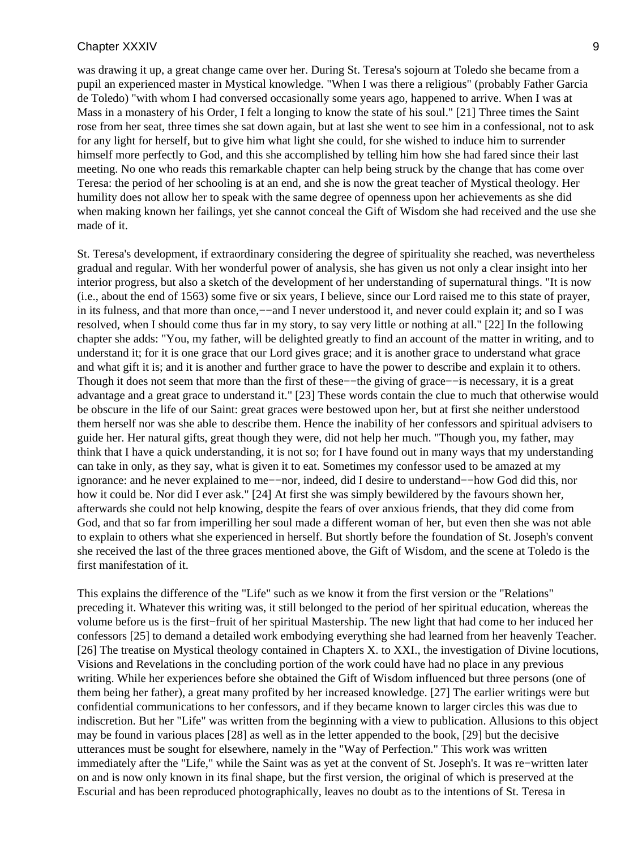was drawing it up, a great change came over her. During St. Teresa's sojourn at Toledo she became from a pupil an experienced master in Mystical knowledge. "When I was there a religious" (probably Father Garcia de Toledo) "with whom I had conversed occasionally some years ago, happened to arrive. When I was at Mass in a monastery of his Order, I felt a longing to know the state of his soul." [21] Three times the Saint rose from her seat, three times she sat down again, but at last she went to see him in a confessional, not to ask for any light for herself, but to give him what light she could, for she wished to induce him to surrender himself more perfectly to God, and this she accomplished by telling him how she had fared since their last meeting. No one who reads this remarkable chapter can help being struck by the change that has come over Teresa: the period of her schooling is at an end, and she is now the great teacher of Mystical theology. Her humility does not allow her to speak with the same degree of openness upon her achievements as she did when making known her failings, yet she cannot conceal the Gift of Wisdom she had received and the use she made of it.

St. Teresa's development, if extraordinary considering the degree of spirituality she reached, was nevertheless gradual and regular. With her wonderful power of analysis, she has given us not only a clear insight into her interior progress, but also a sketch of the development of her understanding of supernatural things. "It is now (i.e., about the end of 1563) some five or six years, I believe, since our Lord raised me to this state of prayer, in its fulness, and that more than once,−−and I never understood it, and never could explain it; and so I was resolved, when I should come thus far in my story, to say very little or nothing at all." [22] In the following chapter she adds: "You, my father, will be delighted greatly to find an account of the matter in writing, and to understand it; for it is one grace that our Lord gives grace; and it is another grace to understand what grace and what gift it is; and it is another and further grace to have the power to describe and explain it to others. Though it does not seem that more than the first of these−−the giving of grace−−is necessary, it is a great advantage and a great grace to understand it." [23] These words contain the clue to much that otherwise would be obscure in the life of our Saint: great graces were bestowed upon her, but at first she neither understood them herself nor was she able to describe them. Hence the inability of her confessors and spiritual advisers to guide her. Her natural gifts, great though they were, did not help her much. "Though you, my father, may think that I have a quick understanding, it is not so; for I have found out in many ways that my understanding can take in only, as they say, what is given it to eat. Sometimes my confessor used to be amazed at my ignorance: and he never explained to me−−nor, indeed, did I desire to understand−−how God did this, nor how it could be. Nor did I ever ask." [24] At first she was simply bewildered by the favours shown her, afterwards she could not help knowing, despite the fears of over anxious friends, that they did come from God, and that so far from imperilling her soul made a different woman of her, but even then she was not able to explain to others what she experienced in herself. But shortly before the foundation of St. Joseph's convent she received the last of the three graces mentioned above, the Gift of Wisdom, and the scene at Toledo is the first manifestation of it.

This explains the difference of the "Life" such as we know it from the first version or the "Relations" preceding it. Whatever this writing was, it still belonged to the period of her spiritual education, whereas the volume before us is the first−fruit of her spiritual Mastership. The new light that had come to her induced her confessors [25] to demand a detailed work embodying everything she had learned from her heavenly Teacher. [26] The treatise on Mystical theology contained in Chapters X. to XXI., the investigation of Divine locutions, Visions and Revelations in the concluding portion of the work could have had no place in any previous writing. While her experiences before she obtained the Gift of Wisdom influenced but three persons (one of them being her father), a great many profited by her increased knowledge. [27] The earlier writings were but confidential communications to her confessors, and if they became known to larger circles this was due to indiscretion. But her "Life" was written from the beginning with a view to publication. Allusions to this object may be found in various places [28] as well as in the letter appended to the book, [29] but the decisive utterances must be sought for elsewhere, namely in the "Way of Perfection." This work was written immediately after the "Life," while the Saint was as yet at the convent of St. Joseph's. It was re−written later on and is now only known in its final shape, but the first version, the original of which is preserved at the Escurial and has been reproduced photographically, leaves no doubt as to the intentions of St. Teresa in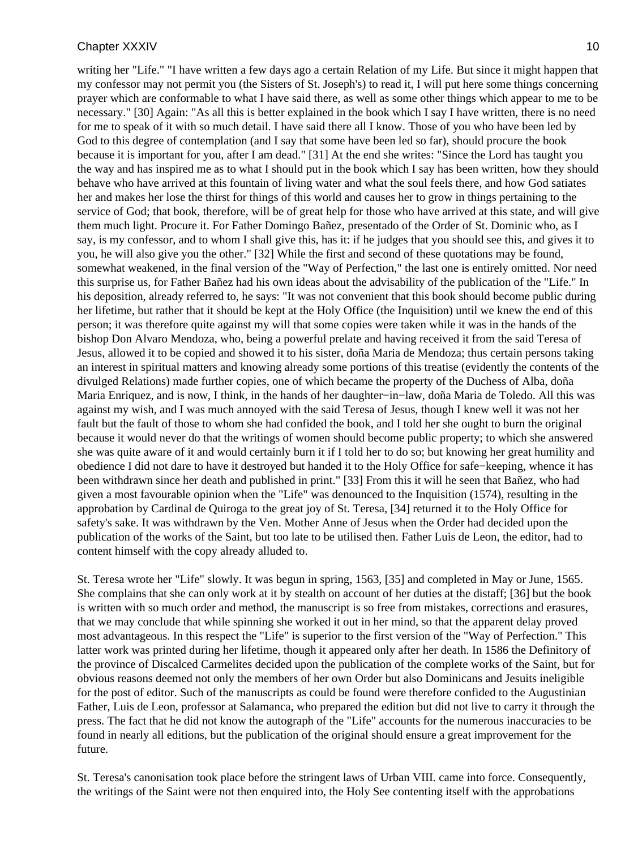writing her "Life." "I have written a few days ago a certain Relation of my Life. But since it might happen that my confessor may not permit you (the Sisters of St. Joseph's) to read it, I will put here some things concerning prayer which are conformable to what I have said there, as well as some other things which appear to me to be necessary." [30] Again: "As all this is better explained in the book which I say I have written, there is no need for me to speak of it with so much detail. I have said there all I know. Those of you who have been led by God to this degree of contemplation (and I say that some have been led so far), should procure the book because it is important for you, after I am dead." [31] At the end she writes: "Since the Lord has taught you the way and has inspired me as to what I should put in the book which I say has been written, how they should behave who have arrived at this fountain of living water and what the soul feels there, and how God satiates her and makes her lose the thirst for things of this world and causes her to grow in things pertaining to the service of God; that book, therefore, will be of great help for those who have arrived at this state, and will give them much light. Procure it. For Father Domingo Bañez, presentado of the Order of St. Dominic who, as I say, is my confessor, and to whom I shall give this, has it: if he judges that you should see this, and gives it to you, he will also give you the other." [32] While the first and second of these quotations may be found, somewhat weakened, in the final version of the "Way of Perfection," the last one is entirely omitted. Nor need this surprise us, for Father Bañez had his own ideas about the advisability of the publication of the "Life." In his deposition, already referred to, he says: "It was not convenient that this book should become public during her lifetime, but rather that it should be kept at the Holy Office (the Inquisition) until we knew the end of this person; it was therefore quite against my will that some copies were taken while it was in the hands of the bishop Don Alvaro Mendoza, who, being a powerful prelate and having received it from the said Teresa of Jesus, allowed it to be copied and showed it to his sister, doña Maria de Mendoza; thus certain persons taking an interest in spiritual matters and knowing already some portions of this treatise (evidently the contents of the divulged Relations) made further copies, one of which became the property of the Duchess of Alba, doña Maria Enriquez, and is now, I think, in the hands of her daughter−in−law, doña Maria de Toledo. All this was against my wish, and I was much annoyed with the said Teresa of Jesus, though I knew well it was not her fault but the fault of those to whom she had confided the book, and I told her she ought to burn the original because it would never do that the writings of women should become public property; to which she answered she was quite aware of it and would certainly burn it if I told her to do so; but knowing her great humility and obedience I did not dare to have it destroyed but handed it to the Holy Office for safe−keeping, whence it has been withdrawn since her death and published in print." [33] From this it will he seen that Bañez, who had given a most favourable opinion when the "Life" was denounced to the Inquisition (1574), resulting in the approbation by Cardinal de Quiroga to the great joy of St. Teresa, [34] returned it to the Holy Office for safety's sake. It was withdrawn by the Ven. Mother Anne of Jesus when the Order had decided upon the publication of the works of the Saint, but too late to be utilised then. Father Luis de Leon, the editor, had to content himself with the copy already alluded to.

St. Teresa wrote her "Life" slowly. It was begun in spring, 1563, [35] and completed in May or June, 1565. She complains that she can only work at it by stealth on account of her duties at the distaff; [36] but the book is written with so much order and method, the manuscript is so free from mistakes, corrections and erasures, that we may conclude that while spinning she worked it out in her mind, so that the apparent delay proved most advantageous. In this respect the "Life" is superior to the first version of the "Way of Perfection." This latter work was printed during her lifetime, though it appeared only after her death. In 1586 the Definitory of the province of Discalced Carmelites decided upon the publication of the complete works of the Saint, but for obvious reasons deemed not only the members of her own Order but also Dominicans and Jesuits ineligible for the post of editor. Such of the manuscripts as could be found were therefore confided to the Augustinian Father, Luis de Leon, professor at Salamanca, who prepared the edition but did not live to carry it through the press. The fact that he did not know the autograph of the "Life" accounts for the numerous inaccuracies to be found in nearly all editions, but the publication of the original should ensure a great improvement for the future.

St. Teresa's canonisation took place before the stringent laws of Urban VIII. came into force. Consequently, the writings of the Saint were not then enquired into, the Holy See contenting itself with the approbations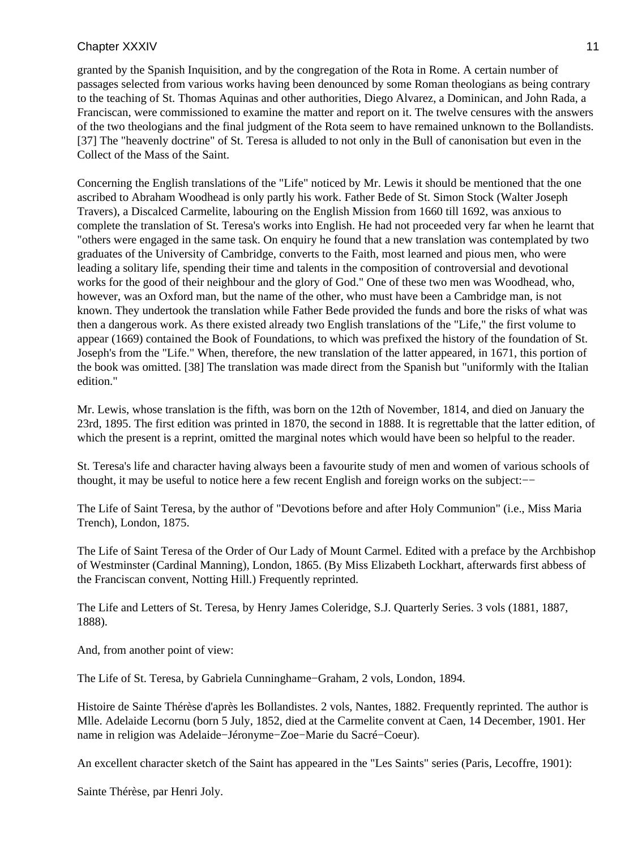granted by the Spanish Inquisition, and by the congregation of the Rota in Rome. A certain number of passages selected from various works having been denounced by some Roman theologians as being contrary to the teaching of St. Thomas Aquinas and other authorities, Diego Alvarez, a Dominican, and John Rada, a Franciscan, were commissioned to examine the matter and report on it. The twelve censures with the answers of the two theologians and the final judgment of the Rota seem to have remained unknown to the Bollandists. [37] The "heavenly doctrine" of St. Teresa is alluded to not only in the Bull of canonisation but even in the Collect of the Mass of the Saint.

Concerning the English translations of the "Life" noticed by Mr. Lewis it should be mentioned that the one ascribed to Abraham Woodhead is only partly his work. Father Bede of St. Simon Stock (Walter Joseph Travers), a Discalced Carmelite, labouring on the English Mission from 1660 till 1692, was anxious to complete the translation of St. Teresa's works into English. He had not proceeded very far when he learnt that "others were engaged in the same task. On enquiry he found that a new translation was contemplated by two graduates of the University of Cambridge, converts to the Faith, most learned and pious men, who were leading a solitary life, spending their time and talents in the composition of controversial and devotional works for the good of their neighbour and the glory of God." One of these two men was Woodhead, who, however, was an Oxford man, but the name of the other, who must have been a Cambridge man, is not known. They undertook the translation while Father Bede provided the funds and bore the risks of what was then a dangerous work. As there existed already two English translations of the "Life," the first volume to appear (1669) contained the Book of Foundations, to which was prefixed the history of the foundation of St. Joseph's from the "Life." When, therefore, the new translation of the latter appeared, in 1671, this portion of the book was omitted. [38] The translation was made direct from the Spanish but "uniformly with the Italian edition."

Mr. Lewis, whose translation is the fifth, was born on the 12th of November, 1814, and died on January the 23rd, 1895. The first edition was printed in 1870, the second in 1888. It is regrettable that the latter edition, of which the present is a reprint, omitted the marginal notes which would have been so helpful to the reader.

St. Teresa's life and character having always been a favourite study of men and women of various schools of thought, it may be useful to notice here a few recent English and foreign works on the subject:−−

The Life of Saint Teresa, by the author of "Devotions before and after Holy Communion" (i.e., Miss Maria Trench), London, 1875.

The Life of Saint Teresa of the Order of Our Lady of Mount Carmel. Edited with a preface by the Archbishop of Westminster (Cardinal Manning), London, 1865. (By Miss Elizabeth Lockhart, afterwards first abbess of the Franciscan convent, Notting Hill.) Frequently reprinted.

The Life and Letters of St. Teresa, by Henry James Coleridge, S.J. Quarterly Series. 3 vols (1881, 1887, 1888).

And, from another point of view:

The Life of St. Teresa, by Gabriela Cunninghame−Graham, 2 vols, London, 1894.

Histoire de Sainte Thérèse d'après les Bollandistes. 2 vols, Nantes, 1882. Frequently reprinted. The author is Mlle. Adelaide Lecornu (born 5 July, 1852, died at the Carmelite convent at Caen, 14 December, 1901. Her name in religion was Adelaide−Jéronyme−Zoe−Marie du Sacré−Coeur).

An excellent character sketch of the Saint has appeared in the "Les Saints" series (Paris, Lecoffre, 1901):

Sainte Thérèse, par Henri Joly.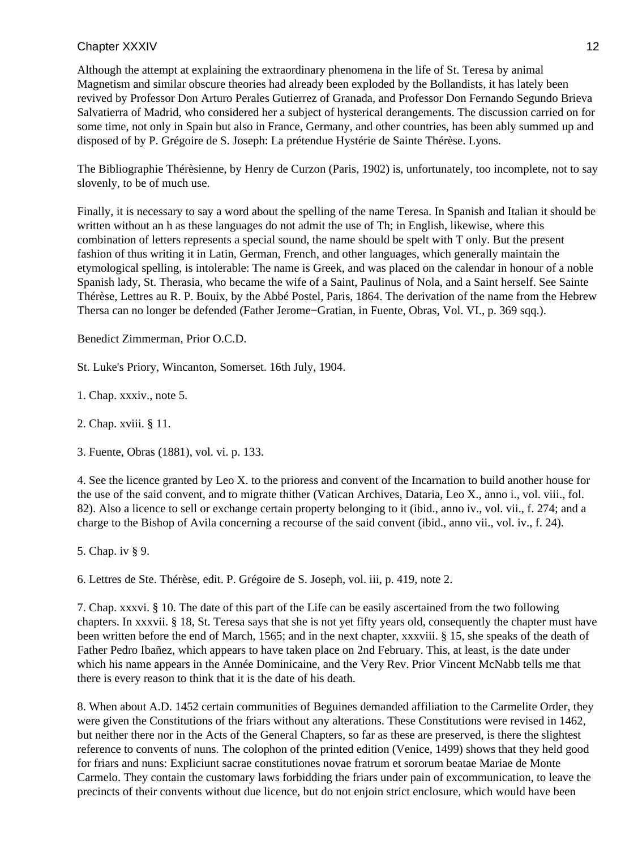Although the attempt at explaining the extraordinary phenomena in the life of St. Teresa by animal Magnetism and similar obscure theories had already been exploded by the Bollandists, it has lately been revived by Professor Don Arturo Perales Gutierrez of Granada, and Professor Don Fernando Segundo Brieva Salvatierra of Madrid, who considered her a subject of hysterical derangements. The discussion carried on for some time, not only in Spain but also in France, Germany, and other countries, has been ably summed up and disposed of by P. Grégoire de S. Joseph: La prétendue Hystérie de Sainte Thérèse. Lyons.

The Bibliographie Thérèsienne, by Henry de Curzon (Paris, 1902) is, unfortunately, too incomplete, not to say slovenly, to be of much use.

Finally, it is necessary to say a word about the spelling of the name Teresa. In Spanish and Italian it should be written without an h as these languages do not admit the use of Th; in English, likewise, where this combination of letters represents a special sound, the name should be spelt with T only. But the present fashion of thus writing it in Latin, German, French, and other languages, which generally maintain the etymological spelling, is intolerable: The name is Greek, and was placed on the calendar in honour of a noble Spanish lady, St. Therasia, who became the wife of a Saint, Paulinus of Nola, and a Saint herself. See Sainte Thérèse, Lettres au R. P. Bouix, by the Abbé Postel, Paris, 1864. The derivation of the name from the Hebrew Thersa can no longer be defended (Father Jerome−Gratian, in Fuente, Obras, Vol. VI., p. 369 sqq.).

Benedict Zimmerman, Prior O.C.D.

St. Luke's Priory, Wincanton, Somerset. 16th July, 1904.

1. Chap. xxxiv., note 5.

2. Chap. xviii. § 11.

3. Fuente, Obras (1881), vol. vi. p. 133.

4. See the licence granted by Leo X. to the prioress and convent of the Incarnation to build another house for the use of the said convent, and to migrate thither (Vatican Archives, Dataria, Leo X., anno i., vol. viii., fol. 82). Also a licence to sell or exchange certain property belonging to it (ibid., anno iv., vol. vii., f. 274; and a charge to the Bishop of Avila concerning a recourse of the said convent (ibid., anno vii., vol. iv., f. 24).

5. Chap. iv § 9.

6. Lettres de Ste. Thérèse, edit. P. Grégoire de S. Joseph, vol. iii, p. 419, note 2.

7. Chap. xxxvi. § 10. The date of this part of the Life can be easily ascertained from the two following chapters. In xxxvii. § 18, St. Teresa says that she is not yet fifty years old, consequently the chapter must have been written before the end of March, 1565; and in the next chapter, xxxviii. § 15, she speaks of the death of Father Pedro Ibañez, which appears to have taken place on 2nd February. This, at least, is the date under which his name appears in the Année Dominicaine, and the Very Rev. Prior Vincent McNabb tells me that there is every reason to think that it is the date of his death.

8. When about A.D. 1452 certain communities of Beguines demanded affiliation to the Carmelite Order, they were given the Constitutions of the friars without any alterations. These Constitutions were revised in 1462, but neither there nor in the Acts of the General Chapters, so far as these are preserved, is there the slightest reference to convents of nuns. The colophon of the printed edition (Venice, 1499) shows that they held good for friars and nuns: Expliciunt sacrae constitutiones novae fratrum et sororum beatae Mariae de Monte Carmelo. They contain the customary laws forbidding the friars under pain of excommunication, to leave the precincts of their convents without due licence, but do not enjoin strict enclosure, which would have been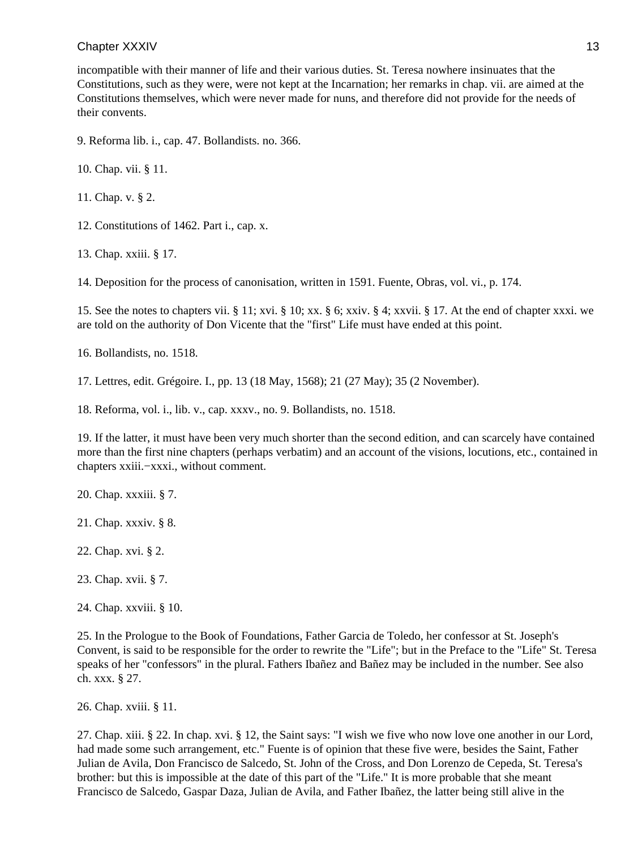incompatible with their manner of life and their various duties. St. Teresa nowhere insinuates that the Constitutions, such as they were, were not kept at the Incarnation; her remarks in chap. vii. are aimed at the Constitutions themselves, which were never made for nuns, and therefore did not provide for the needs of their convents.

9. Reforma lib. i., cap. 47. Bollandists. no. 366.

10. Chap. vii. § 11.

11. Chap. v. § 2.

12. Constitutions of 1462. Part i., cap. x.

13. Chap. xxiii. § 17.

14. Deposition for the process of canonisation, written in 1591. Fuente, Obras, vol. vi., p. 174.

15. See the notes to chapters vii. § 11; xvi. § 10; xx. § 6; xxiv. § 4; xxvii. § 17. At the end of chapter xxxi. we are told on the authority of Don Vicente that the "first" Life must have ended at this point.

16. Bollandists, no. 1518.

17. Lettres, edit. Grégoire. I., pp. 13 (18 May, 1568); 21 (27 May); 35 (2 November).

18. Reforma, vol. i., lib. v., cap. xxxv., no. 9. Bollandists, no. 1518.

19. If the latter, it must have been very much shorter than the second edition, and can scarcely have contained more than the first nine chapters (perhaps verbatim) and an account of the visions, locutions, etc., contained in chapters xxiii.−xxxi., without comment.

20. Chap. xxxiii. § 7.

21. Chap. xxxiv. § 8.

22. Chap. xvi. § 2.

23. Chap. xvii. § 7.

24. Chap. xxviii. § 10.

25. In the Prologue to the Book of Foundations, Father Garcia de Toledo, her confessor at St. Joseph's Convent, is said to be responsible for the order to rewrite the "Life"; but in the Preface to the "Life" St. Teresa speaks of her "confessors" in the plural. Fathers Ibañez and Bañez may be included in the number. See also ch. xxx. § 27.

26. Chap. xviii. § 11.

27. Chap. xiii. § 22. In chap. xvi. § 12, the Saint says: "I wish we five who now love one another in our Lord, had made some such arrangement, etc." Fuente is of opinion that these five were, besides the Saint, Father Julian de Avila, Don Francisco de Salcedo, St. John of the Cross, and Don Lorenzo de Cepeda, St. Teresa's brother: but this is impossible at the date of this part of the "Life." It is more probable that she meant Francisco de Salcedo, Gaspar Daza, Julian de Avila, and Father Ibañez, the latter being still alive in the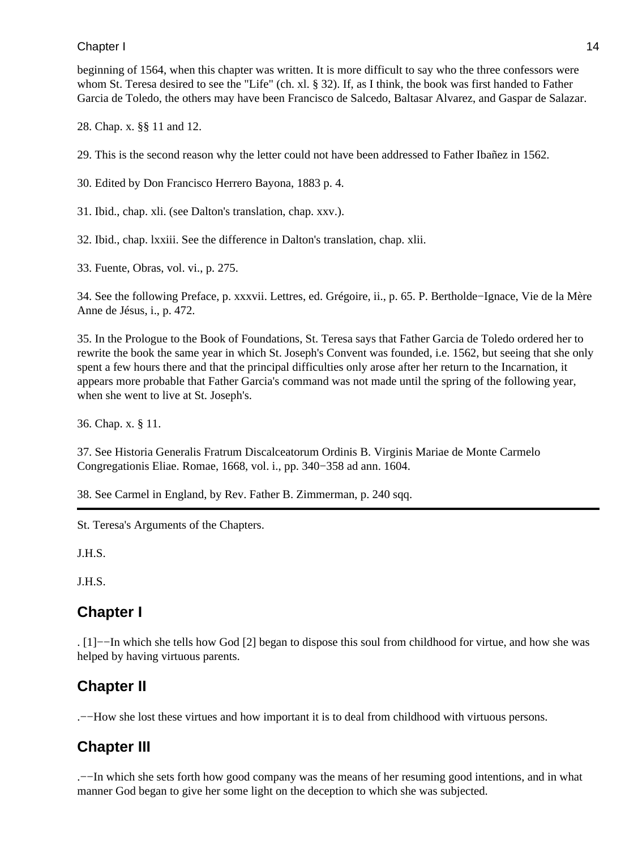### Chapter I and the contract of the contract of the contract of the contract of the contract of the contract of the contract of the contract of the contract of the contract of the contract of the contract of the contract of

beginning of 1564, when this chapter was written. It is more difficult to say who the three confessors were whom St. Teresa desired to see the "Life" (ch. xl. § 32). If, as I think, the book was first handed to Father Garcia de Toledo, the others may have been Francisco de Salcedo, Baltasar Alvarez, and Gaspar de Salazar.

28. Chap. x. §§ 11 and 12.

29. This is the second reason why the letter could not have been addressed to Father Ibañez in 1562.

30. Edited by Don Francisco Herrero Bayona, 1883 p. 4.

31. Ibid., chap. xli. (see Dalton's translation, chap. xxv.).

32. Ibid., chap. lxxiii. See the difference in Dalton's translation, chap. xlii.

33. Fuente, Obras, vol. vi., p. 275.

34. See the following Preface, p. xxxvii. Lettres, ed. Grégoire, ii., p. 65. P. Bertholde−Ignace, Vie de la Mère Anne de Jésus, i., p. 472.

35. In the Prologue to the Book of Foundations, St. Teresa says that Father Garcia de Toledo ordered her to rewrite the book the same year in which St. Joseph's Convent was founded, i.e. 1562, but seeing that she only spent a few hours there and that the principal difficulties only arose after her return to the Incarnation, it appears more probable that Father Garcia's command was not made until the spring of the following year, when she went to live at St. Joseph's.

36. Chap. x. § 11.

37. See Historia Generalis Fratrum Discalceatorum Ordinis B. Virginis Mariae de Monte Carmelo Congregationis Eliae. Romae, 1668, vol. i., pp. 340−358 ad ann. 1604.

38. See Carmel in England, by Rev. Father B. Zimmerman, p. 240 sqq.

St. Teresa's Arguments of the Chapters.

J.H.S.

J.H.S.

### **Chapter I**

. [1]−−In which she tells how God [2] began to dispose this soul from childhood for virtue, and how she was helped by having virtuous parents.

## **Chapter II**

.−−How she lost these virtues and how important it is to deal from childhood with virtuous persons.

### **Chapter III**

.−−In which she sets forth how good company was the means of her resuming good intentions, and in what manner God began to give her some light on the deception to which she was subjected.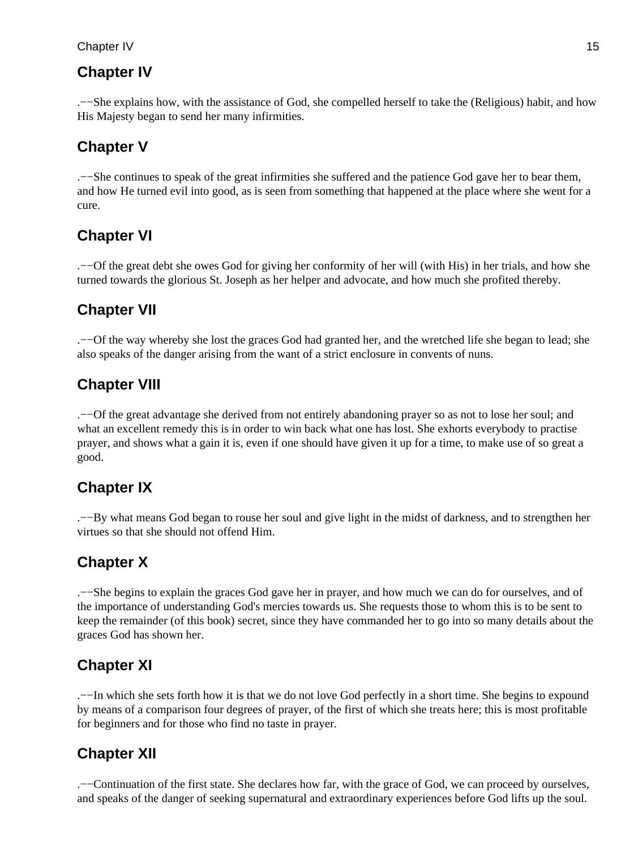### Chapter IV and the contract of the contract of the contract of the contract of the contract of the contract of the contract of the contract of the contract of the contract of the contract of the contract of the contract of

### **Chapter IV**

.−−She explains how, with the assistance of God, she compelled herself to take the (Religious) habit, and how His Majesty began to send her many infirmities.

## **Chapter V**

.−−She continues to speak of the great infirmities she suffered and the patience God gave her to bear them, and how He turned evil into good, as is seen from something that happened at the place where she went for a cure.

## **Chapter VI**

.−−Of the great debt she owes God for giving her conformity of her will (with His) in her trials, and how she turned towards the glorious St. Joseph as her helper and advocate, and how much she profited thereby.

## **Chapter VII**

.−−Of the way whereby she lost the graces God had granted her, and the wretched life she began to lead; she also speaks of the danger arising from the want of a strict enclosure in convents of nuns.

## **Chapter VIII**

.−−Of the great advantage she derived from not entirely abandoning prayer so as not to lose her soul; and what an excellent remedy this is in order to win back what one has lost. She exhorts everybody to practise prayer, and shows what a gain it is, even if one should have given it up for a time, to make use of so great a good.

## **Chapter IX**

.−−By what means God began to rouse her soul and give light in the midst of darkness, and to strengthen her virtues so that she should not offend Him.

## **Chapter X**

.−−She begins to explain the graces God gave her in prayer, and how much we can do for ourselves, and of the importance of understanding God's mercies towards us. She requests those to whom this is to be sent to keep the remainder (of this book) secret, since they have commanded her to go into so many details about the graces God has shown her.

## **Chapter XI**

.−−In which she sets forth how it is that we do not love God perfectly in a short time. She begins to expound by means of a comparison four degrees of prayer, of the first of which she treats here; this is most profitable for beginners and for those who find no taste in prayer.

## **Chapter XII**

.−−Continuation of the first state. She declares how far, with the grace of God, we can proceed by ourselves, and speaks of the danger of seeking supernatural and extraordinary experiences before God lifts up the soul.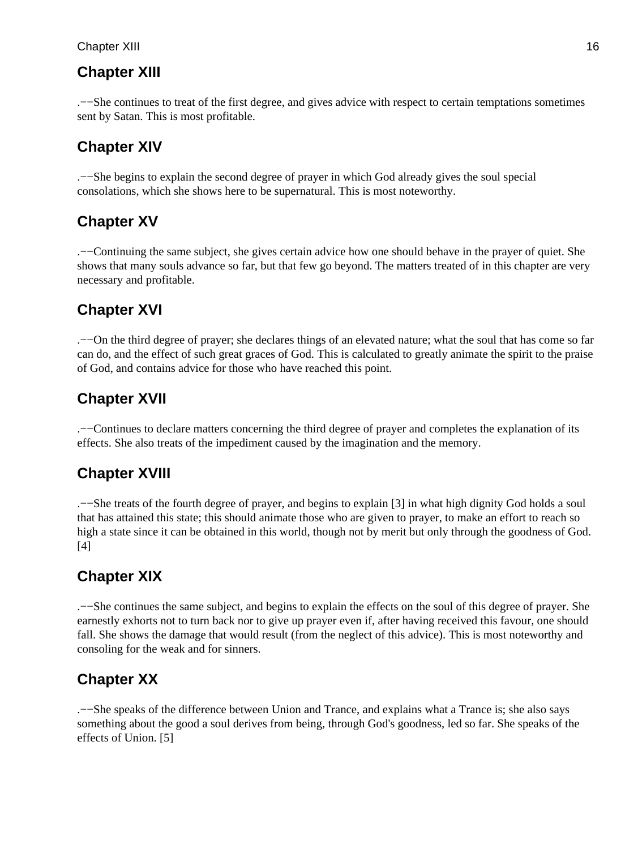### Chapter XIII 16

### **Chapter XIII**

.−−She continues to treat of the first degree, and gives advice with respect to certain temptations sometimes sent by Satan. This is most profitable.

### **Chapter XIV**

.−−She begins to explain the second degree of prayer in which God already gives the soul special consolations, which she shows here to be supernatural. This is most noteworthy.

### **Chapter XV**

.−−Continuing the same subject, she gives certain advice how one should behave in the prayer of quiet. She shows that many souls advance so far, but that few go beyond. The matters treated of in this chapter are very necessary and profitable.

### **Chapter XVI**

.−−On the third degree of prayer; she declares things of an elevated nature; what the soul that has come so far can do, and the effect of such great graces of God. This is calculated to greatly animate the spirit to the praise of God, and contains advice for those who have reached this point.

### **Chapter XVII**

.−−Continues to declare matters concerning the third degree of prayer and completes the explanation of its effects. She also treats of the impediment caused by the imagination and the memory.

### **Chapter XVIII**

.−−She treats of the fourth degree of prayer, and begins to explain [3] in what high dignity God holds a soul that has attained this state; this should animate those who are given to prayer, to make an effort to reach so high a state since it can be obtained in this world, though not by merit but only through the goodness of God. [4]

### **Chapter XIX**

.−−She continues the same subject, and begins to explain the effects on the soul of this degree of prayer. She earnestly exhorts not to turn back nor to give up prayer even if, after having received this favour, one should fall. She shows the damage that would result (from the neglect of this advice). This is most noteworthy and consoling for the weak and for sinners.

### **Chapter XX**

.−−She speaks of the difference between Union and Trance, and explains what a Trance is; she also says something about the good a soul derives from being, through God's goodness, led so far. She speaks of the effects of Union. [5]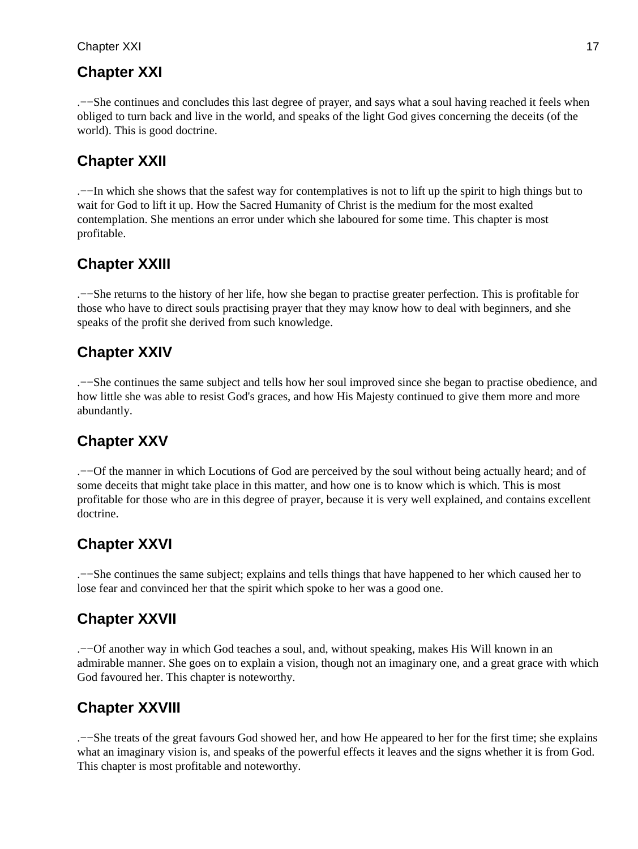### **Chapter XXI**

.−−She continues and concludes this last degree of prayer, and says what a soul having reached it feels when obliged to turn back and live in the world, and speaks of the light God gives concerning the deceits (of the world). This is good doctrine.

### **Chapter XXII**

.−−In which she shows that the safest way for contemplatives is not to lift up the spirit to high things but to wait for God to lift it up. How the Sacred Humanity of Christ is the medium for the most exalted contemplation. She mentions an error under which she laboured for some time. This chapter is most profitable.

## **Chapter XXIII**

.−−She returns to the history of her life, how she began to practise greater perfection. This is profitable for those who have to direct souls practising prayer that they may know how to deal with beginners, and she speaks of the profit she derived from such knowledge.

## **Chapter XXIV**

.−−She continues the same subject and tells how her soul improved since she began to practise obedience, and how little she was able to resist God's graces, and how His Majesty continued to give them more and more abundantly.

## **Chapter XXV**

.−−Of the manner in which Locutions of God are perceived by the soul without being actually heard; and of some deceits that might take place in this matter, and how one is to know which is which. This is most profitable for those who are in this degree of prayer, because it is very well explained, and contains excellent doctrine.

## **Chapter XXVI**

.−−She continues the same subject; explains and tells things that have happened to her which caused her to lose fear and convinced her that the spirit which spoke to her was a good one.

## **Chapter XXVII**

.−−Of another way in which God teaches a soul, and, without speaking, makes His Will known in an admirable manner. She goes on to explain a vision, though not an imaginary one, and a great grace with which God favoured her. This chapter is noteworthy.

## **Chapter XXVIII**

.−−She treats of the great favours God showed her, and how He appeared to her for the first time; she explains what an imaginary vision is, and speaks of the powerful effects it leaves and the signs whether it is from God. This chapter is most profitable and noteworthy.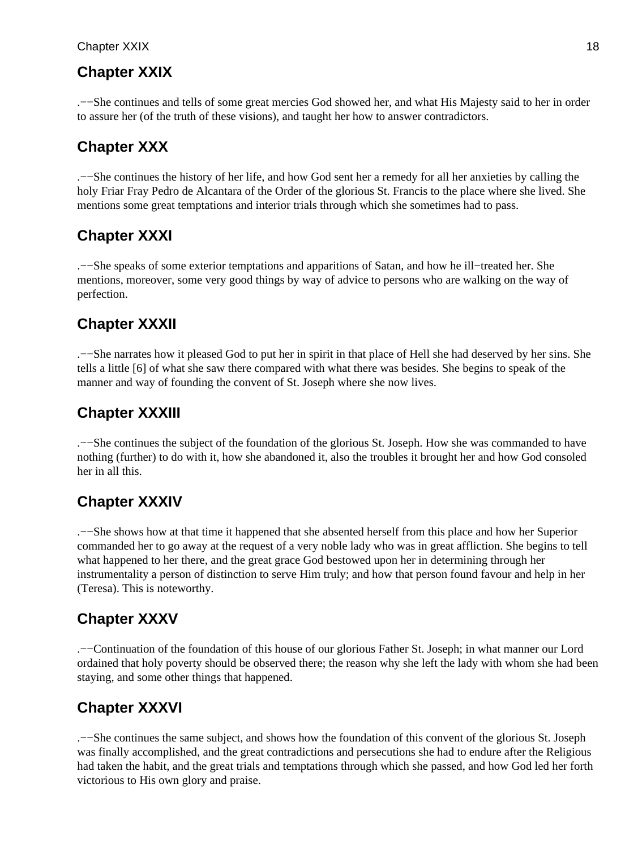#### Chapter XXIX 18

### **Chapter XXIX**

.−−She continues and tells of some great mercies God showed her, and what His Majesty said to her in order to assure her (of the truth of these visions), and taught her how to answer contradictors.

### **Chapter XXX**

.−−She continues the history of her life, and how God sent her a remedy for all her anxieties by calling the holy Friar Fray Pedro de Alcantara of the Order of the glorious St. Francis to the place where she lived. She mentions some great temptations and interior trials through which she sometimes had to pass.

### **Chapter XXXI**

.−−She speaks of some exterior temptations and apparitions of Satan, and how he ill−treated her. She mentions, moreover, some very good things by way of advice to persons who are walking on the way of perfection.

### **Chapter XXXII**

.−−She narrates how it pleased God to put her in spirit in that place of Hell she had deserved by her sins. She tells a little [6] of what she saw there compared with what there was besides. She begins to speak of the manner and way of founding the convent of St. Joseph where she now lives.

### **Chapter XXXIII**

.−−She continues the subject of the foundation of the glorious St. Joseph. How she was commanded to have nothing (further) to do with it, how she abandoned it, also the troubles it brought her and how God consoled her in all this.

### **Chapter XXXIV**

.−−She shows how at that time it happened that she absented herself from this place and how her Superior commanded her to go away at the request of a very noble lady who was in great affliction. She begins to tell what happened to her there, and the great grace God bestowed upon her in determining through her instrumentality a person of distinction to serve Him truly; and how that person found favour and help in her (Teresa). This is noteworthy.

### **Chapter XXXV**

.−−Continuation of the foundation of this house of our glorious Father St. Joseph; in what manner our Lord ordained that holy poverty should be observed there; the reason why she left the lady with whom she had been staying, and some other things that happened.

### **Chapter XXXVI**

.−−She continues the same subject, and shows how the foundation of this convent of the glorious St. Joseph was finally accomplished, and the great contradictions and persecutions she had to endure after the Religious had taken the habit, and the great trials and temptations through which she passed, and how God led her forth victorious to His own glory and praise.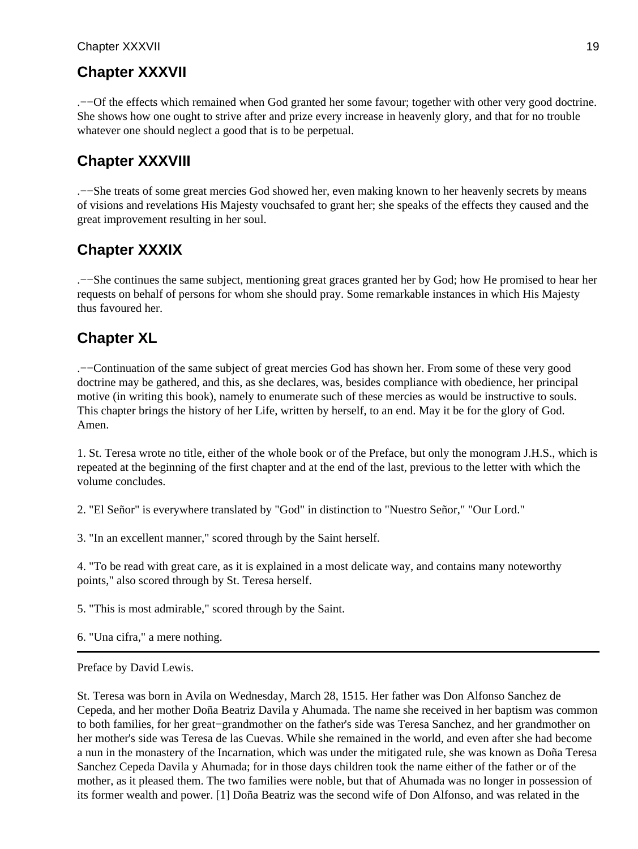.−−Of the effects which remained when God granted her some favour; together with other very good doctrine. She shows how one ought to strive after and prize every increase in heavenly glory, and that for no trouble whatever one should neglect a good that is to be perpetual.

## **Chapter XXXVIII**

.−−She treats of some great mercies God showed her, even making known to her heavenly secrets by means of visions and revelations His Majesty vouchsafed to grant her; she speaks of the effects they caused and the great improvement resulting in her soul.

### **Chapter XXXIX**

.−−She continues the same subject, mentioning great graces granted her by God; how He promised to hear her requests on behalf of persons for whom she should pray. Some remarkable instances in which His Majesty thus favoured her.

## **Chapter XL**

.−−Continuation of the same subject of great mercies God has shown her. From some of these very good doctrine may be gathered, and this, as she declares, was, besides compliance with obedience, her principal motive (in writing this book), namely to enumerate such of these mercies as would be instructive to souls. This chapter brings the history of her Life, written by herself, to an end. May it be for the glory of God. Amen.

1. St. Teresa wrote no title, either of the whole book or of the Preface, but only the monogram J.H.S., which is repeated at the beginning of the first chapter and at the end of the last, previous to the letter with which the volume concludes.

2. "El Señor" is everywhere translated by "God" in distinction to "Nuestro Señor," "Our Lord."

3. "In an excellent manner," scored through by the Saint herself.

4. "To be read with great care, as it is explained in a most delicate way, and contains many noteworthy points," also scored through by St. Teresa herself.

5. "This is most admirable," scored through by the Saint.

6. "Una cifra," a mere nothing.

Preface by David Lewis.

St. Teresa was born in Avila on Wednesday, March 28, 1515. Her father was Don Alfonso Sanchez de Cepeda, and her mother Doña Beatriz Davila y Ahumada. The name she received in her baptism was common to both families, for her great−grandmother on the father's side was Teresa Sanchez, and her grandmother on her mother's side was Teresa de las Cuevas. While she remained in the world, and even after she had become a nun in the monastery of the Incarnation, which was under the mitigated rule, she was known as Doña Teresa Sanchez Cepeda Davila y Ahumada; for in those days children took the name either of the father or of the mother, as it pleased them. The two families were noble, but that of Ahumada was no longer in possession of its former wealth and power. [1] Doña Beatriz was the second wife of Don Alfonso, and was related in the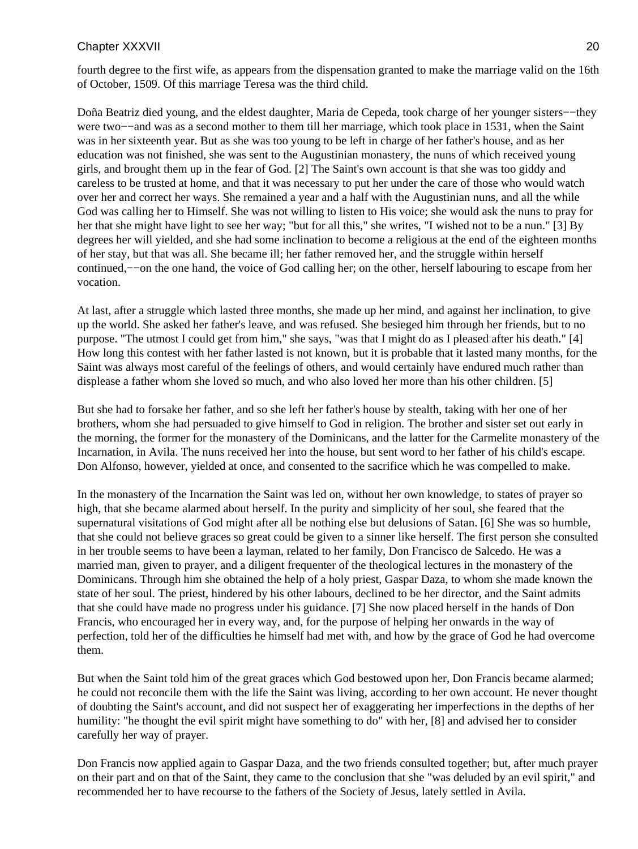fourth degree to the first wife, as appears from the dispensation granted to make the marriage valid on the 16th of October, 1509. Of this marriage Teresa was the third child.

Doña Beatriz died young, and the eldest daughter, Maria de Cepeda, took charge of her younger sisters−−they were two−−and was as a second mother to them till her marriage, which took place in 1531, when the Saint was in her sixteenth year. But as she was too young to be left in charge of her father's house, and as her education was not finished, she was sent to the Augustinian monastery, the nuns of which received young girls, and brought them up in the fear of God. [2] The Saint's own account is that she was too giddy and careless to be trusted at home, and that it was necessary to put her under the care of those who would watch over her and correct her ways. She remained a year and a half with the Augustinian nuns, and all the while God was calling her to Himself. She was not willing to listen to His voice; she would ask the nuns to pray for her that she might have light to see her way; "but for all this," she writes, "I wished not to be a nun." [3] By degrees her will yielded, and she had some inclination to become a religious at the end of the eighteen months of her stay, but that was all. She became ill; her father removed her, and the struggle within herself continued,−−on the one hand, the voice of God calling her; on the other, herself labouring to escape from her vocation.

At last, after a struggle which lasted three months, she made up her mind, and against her inclination, to give up the world. She asked her father's leave, and was refused. She besieged him through her friends, but to no purpose. "The utmost I could get from him," she says, "was that I might do as I pleased after his death." [4] How long this contest with her father lasted is not known, but it is probable that it lasted many months, for the Saint was always most careful of the feelings of others, and would certainly have endured much rather than displease a father whom she loved so much, and who also loved her more than his other children. [5]

But she had to forsake her father, and so she left her father's house by stealth, taking with her one of her brothers, whom she had persuaded to give himself to God in religion. The brother and sister set out early in the morning, the former for the monastery of the Dominicans, and the latter for the Carmelite monastery of the Incarnation, in Avila. The nuns received her into the house, but sent word to her father of his child's escape. Don Alfonso, however, yielded at once, and consented to the sacrifice which he was compelled to make.

In the monastery of the Incarnation the Saint was led on, without her own knowledge, to states of prayer so high, that she became alarmed about herself. In the purity and simplicity of her soul, she feared that the supernatural visitations of God might after all be nothing else but delusions of Satan. [6] She was so humble, that she could not believe graces so great could be given to a sinner like herself. The first person she consulted in her trouble seems to have been a layman, related to her family, Don Francisco de Salcedo. He was a married man, given to prayer, and a diligent frequenter of the theological lectures in the monastery of the Dominicans. Through him she obtained the help of a holy priest, Gaspar Daza, to whom she made known the state of her soul. The priest, hindered by his other labours, declined to be her director, and the Saint admits that she could have made no progress under his guidance. [7] She now placed herself in the hands of Don Francis, who encouraged her in every way, and, for the purpose of helping her onwards in the way of perfection, told her of the difficulties he himself had met with, and how by the grace of God he had overcome them.

But when the Saint told him of the great graces which God bestowed upon her, Don Francis became alarmed; he could not reconcile them with the life the Saint was living, according to her own account. He never thought of doubting the Saint's account, and did not suspect her of exaggerating her imperfections in the depths of her humility: "he thought the evil spirit might have something to do" with her, [8] and advised her to consider carefully her way of prayer.

Don Francis now applied again to Gaspar Daza, and the two friends consulted together; but, after much prayer on their part and on that of the Saint, they came to the conclusion that she "was deluded by an evil spirit," and recommended her to have recourse to the fathers of the Society of Jesus, lately settled in Avila.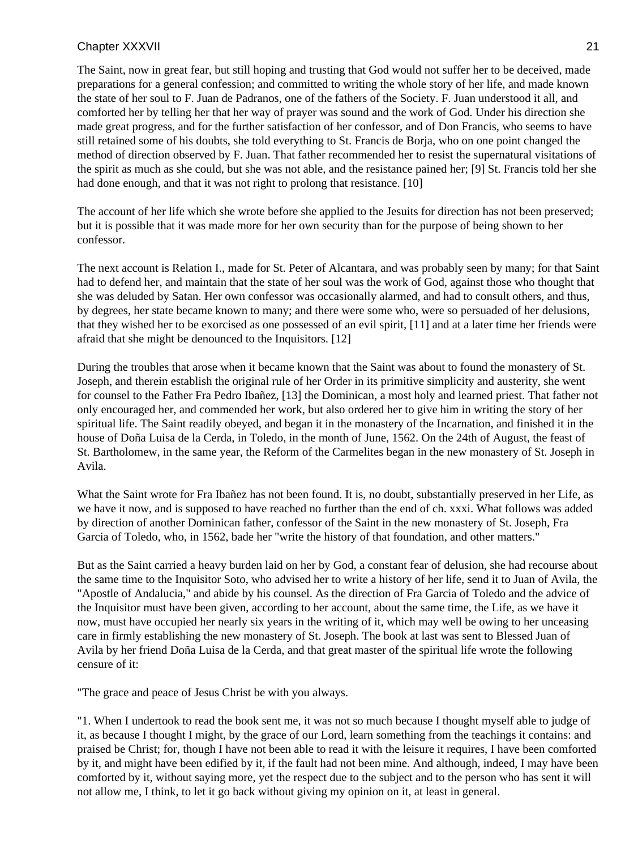The Saint, now in great fear, but still hoping and trusting that God would not suffer her to be deceived, made preparations for a general confession; and committed to writing the whole story of her life, and made known the state of her soul to F. Juan de Padranos, one of the fathers of the Society. F. Juan understood it all, and comforted her by telling her that her way of prayer was sound and the work of God. Under his direction she made great progress, and for the further satisfaction of her confessor, and of Don Francis, who seems to have still retained some of his doubts, she told everything to St. Francis de Borja, who on one point changed the method of direction observed by F. Juan. That father recommended her to resist the supernatural visitations of the spirit as much as she could, but she was not able, and the resistance pained her; [9] St. Francis told her she had done enough, and that it was not right to prolong that resistance. [10]

The account of her life which she wrote before she applied to the Jesuits for direction has not been preserved; but it is possible that it was made more for her own security than for the purpose of being shown to her confessor.

The next account is Relation I., made for St. Peter of Alcantara, and was probably seen by many; for that Saint had to defend her, and maintain that the state of her soul was the work of God, against those who thought that she was deluded by Satan. Her own confessor was occasionally alarmed, and had to consult others, and thus, by degrees, her state became known to many; and there were some who, were so persuaded of her delusions, that they wished her to be exorcised as one possessed of an evil spirit, [11] and at a later time her friends were afraid that she might be denounced to the Inquisitors. [12]

During the troubles that arose when it became known that the Saint was about to found the monastery of St. Joseph, and therein establish the original rule of her Order in its primitive simplicity and austerity, she went for counsel to the Father Fra Pedro Ibañez, [13] the Dominican, a most holy and learned priest. That father not only encouraged her, and commended her work, but also ordered her to give him in writing the story of her spiritual life. The Saint readily obeyed, and began it in the monastery of the Incarnation, and finished it in the house of Doña Luisa de la Cerda, in Toledo, in the month of June, 1562. On the 24th of August, the feast of St. Bartholomew, in the same year, the Reform of the Carmelites began in the new monastery of St. Joseph in Avila.

What the Saint wrote for Fra Ibañez has not been found. It is, no doubt, substantially preserved in her Life, as we have it now, and is supposed to have reached no further than the end of ch. xxxi. What follows was added by direction of another Dominican father, confessor of the Saint in the new monastery of St. Joseph, Fra Garcia of Toledo, who, in 1562, bade her "write the history of that foundation, and other matters."

But as the Saint carried a heavy burden laid on her by God, a constant fear of delusion, she had recourse about the same time to the Inquisitor Soto, who advised her to write a history of her life, send it to Juan of Avila, the "Apostle of Andalucia," and abide by his counsel. As the direction of Fra Garcia of Toledo and the advice of the Inquisitor must have been given, according to her account, about the same time, the Life, as we have it now, must have occupied her nearly six years in the writing of it, which may well be owing to her unceasing care in firmly establishing the new monastery of St. Joseph. The book at last was sent to Blessed Juan of Avila by her friend Doña Luisa de la Cerda, and that great master of the spiritual life wrote the following censure of it:

"The grace and peace of Jesus Christ be with you always.

"1. When I undertook to read the book sent me, it was not so much because I thought myself able to judge of it, as because I thought I might, by the grace of our Lord, learn something from the teachings it contains: and praised be Christ; for, though I have not been able to read it with the leisure it requires, I have been comforted by it, and might have been edified by it, if the fault had not been mine. And although, indeed, I may have been comforted by it, without saying more, yet the respect due to the subject and to the person who has sent it will not allow me, I think, to let it go back without giving my opinion on it, at least in general.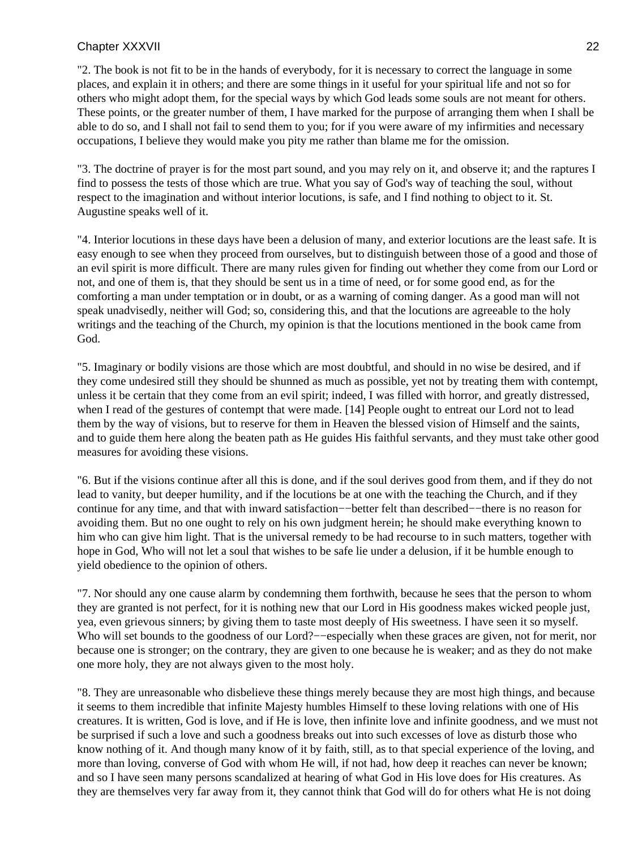"2. The book is not fit to be in the hands of everybody, for it is necessary to correct the language in some places, and explain it in others; and there are some things in it useful for your spiritual life and not so for others who might adopt them, for the special ways by which God leads some souls are not meant for others. These points, or the greater number of them, I have marked for the purpose of arranging them when I shall be able to do so, and I shall not fail to send them to you; for if you were aware of my infirmities and necessary occupations, I believe they would make you pity me rather than blame me for the omission.

"3. The doctrine of prayer is for the most part sound, and you may rely on it, and observe it; and the raptures I find to possess the tests of those which are true. What you say of God's way of teaching the soul, without respect to the imagination and without interior locutions, is safe, and I find nothing to object to it. St. Augustine speaks well of it.

"4. Interior locutions in these days have been a delusion of many, and exterior locutions are the least safe. It is easy enough to see when they proceed from ourselves, but to distinguish between those of a good and those of an evil spirit is more difficult. There are many rules given for finding out whether they come from our Lord or not, and one of them is, that they should be sent us in a time of need, or for some good end, as for the comforting a man under temptation or in doubt, or as a warning of coming danger. As a good man will not speak unadvisedly, neither will God; so, considering this, and that the locutions are agreeable to the holy writings and the teaching of the Church, my opinion is that the locutions mentioned in the book came from God.

"5. Imaginary or bodily visions are those which are most doubtful, and should in no wise be desired, and if they come undesired still they should be shunned as much as possible, yet not by treating them with contempt, unless it be certain that they come from an evil spirit; indeed, I was filled with horror, and greatly distressed, when I read of the gestures of contempt that were made. [14] People ought to entreat our Lord not to lead them by the way of visions, but to reserve for them in Heaven the blessed vision of Himself and the saints, and to guide them here along the beaten path as He guides His faithful servants, and they must take other good measures for avoiding these visions.

"6. But if the visions continue after all this is done, and if the soul derives good from them, and if they do not lead to vanity, but deeper humility, and if the locutions be at one with the teaching the Church, and if they continue for any time, and that with inward satisfaction−−better felt than described−−there is no reason for avoiding them. But no one ought to rely on his own judgment herein; he should make everything known to him who can give him light. That is the universal remedy to be had recourse to in such matters, together with hope in God, Who will not let a soul that wishes to be safe lie under a delusion, if it be humble enough to yield obedience to the opinion of others.

"7. Nor should any one cause alarm by condemning them forthwith, because he sees that the person to whom they are granted is not perfect, for it is nothing new that our Lord in His goodness makes wicked people just, yea, even grievous sinners; by giving them to taste most deeply of His sweetness. I have seen it so myself. Who will set bounds to the goodness of our Lord?−−especially when these graces are given, not for merit, nor because one is stronger; on the contrary, they are given to one because he is weaker; and as they do not make one more holy, they are not always given to the most holy.

"8. They are unreasonable who disbelieve these things merely because they are most high things, and because it seems to them incredible that infinite Majesty humbles Himself to these loving relations with one of His creatures. It is written, God is love, and if He is love, then infinite love and infinite goodness, and we must not be surprised if such a love and such a goodness breaks out into such excesses of love as disturb those who know nothing of it. And though many know of it by faith, still, as to that special experience of the loving, and more than loving, converse of God with whom He will, if not had, how deep it reaches can never be known; and so I have seen many persons scandalized at hearing of what God in His love does for His creatures. As they are themselves very far away from it, they cannot think that God will do for others what He is not doing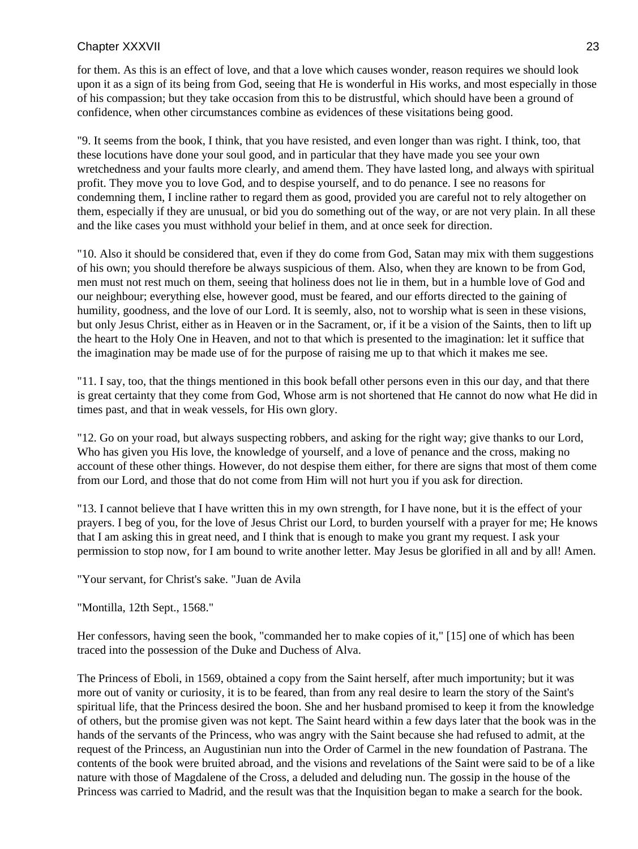for them. As this is an effect of love, and that a love which causes wonder, reason requires we should look upon it as a sign of its being from God, seeing that He is wonderful in His works, and most especially in those of his compassion; but they take occasion from this to be distrustful, which should have been a ground of confidence, when other circumstances combine as evidences of these visitations being good.

"9. It seems from the book, I think, that you have resisted, and even longer than was right. I think, too, that these locutions have done your soul good, and in particular that they have made you see your own wretchedness and your faults more clearly, and amend them. They have lasted long, and always with spiritual profit. They move you to love God, and to despise yourself, and to do penance. I see no reasons for condemning them, I incline rather to regard them as good, provided you are careful not to rely altogether on them, especially if they are unusual, or bid you do something out of the way, or are not very plain. In all these and the like cases you must withhold your belief in them, and at once seek for direction.

"10. Also it should be considered that, even if they do come from God, Satan may mix with them suggestions of his own; you should therefore be always suspicious of them. Also, when they are known to be from God, men must not rest much on them, seeing that holiness does not lie in them, but in a humble love of God and our neighbour; everything else, however good, must be feared, and our efforts directed to the gaining of humility, goodness, and the love of our Lord. It is seemly, also, not to worship what is seen in these visions, but only Jesus Christ, either as in Heaven or in the Sacrament, or, if it be a vision of the Saints, then to lift up the heart to the Holy One in Heaven, and not to that which is presented to the imagination: let it suffice that the imagination may be made use of for the purpose of raising me up to that which it makes me see.

"11. I say, too, that the things mentioned in this book befall other persons even in this our day, and that there is great certainty that they come from God, Whose arm is not shortened that He cannot do now what He did in times past, and that in weak vessels, for His own glory.

"12. Go on your road, but always suspecting robbers, and asking for the right way; give thanks to our Lord, Who has given you His love, the knowledge of yourself, and a love of penance and the cross, making no account of these other things. However, do not despise them either, for there are signs that most of them come from our Lord, and those that do not come from Him will not hurt you if you ask for direction.

"13. I cannot believe that I have written this in my own strength, for I have none, but it is the effect of your prayers. I beg of you, for the love of Jesus Christ our Lord, to burden yourself with a prayer for me; He knows that I am asking this in great need, and I think that is enough to make you grant my request. I ask your permission to stop now, for I am bound to write another letter. May Jesus be glorified in all and by all! Amen.

"Your servant, for Christ's sake. "Juan de Avila

"Montilla, 12th Sept., 1568."

Her confessors, having seen the book, "commanded her to make copies of it," [15] one of which has been traced into the possession of the Duke and Duchess of Alva.

The Princess of Eboli, in 1569, obtained a copy from the Saint herself, after much importunity; but it was more out of vanity or curiosity, it is to be feared, than from any real desire to learn the story of the Saint's spiritual life, that the Princess desired the boon. She and her husband promised to keep it from the knowledge of others, but the promise given was not kept. The Saint heard within a few days later that the book was in the hands of the servants of the Princess, who was angry with the Saint because she had refused to admit, at the request of the Princess, an Augustinian nun into the Order of Carmel in the new foundation of Pastrana. The contents of the book were bruited abroad, and the visions and revelations of the Saint were said to be of a like nature with those of Magdalene of the Cross, a deluded and deluding nun. The gossip in the house of the Princess was carried to Madrid, and the result was that the Inquisition began to make a search for the book.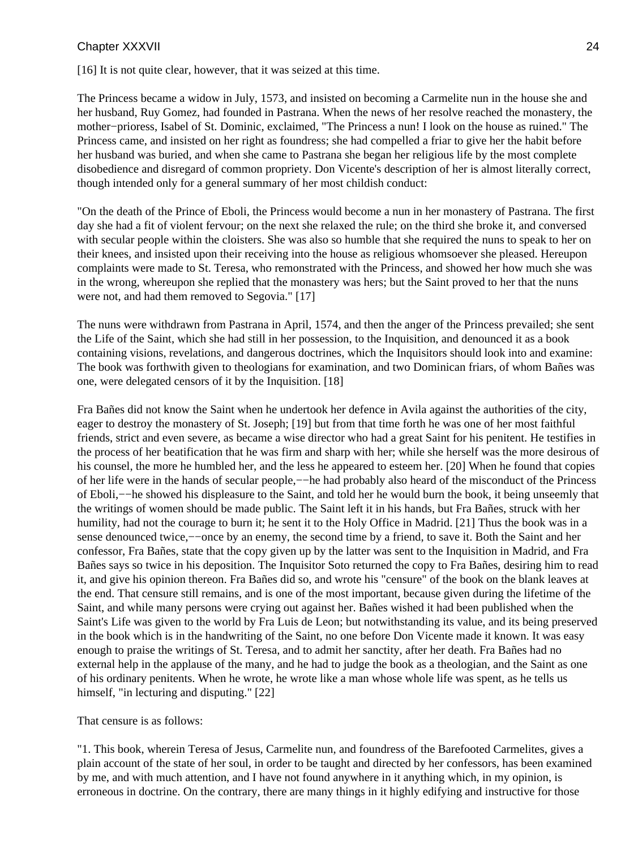[16] It is not quite clear, however, that it was seized at this time.

The Princess became a widow in July, 1573, and insisted on becoming a Carmelite nun in the house she and her husband, Ruy Gomez, had founded in Pastrana. When the news of her resolve reached the monastery, the mother−prioress, Isabel of St. Dominic, exclaimed, "The Princess a nun! I look on the house as ruined." The Princess came, and insisted on her right as foundress; she had compelled a friar to give her the habit before her husband was buried, and when she came to Pastrana she began her religious life by the most complete disobedience and disregard of common propriety. Don Vicente's description of her is almost literally correct, though intended only for a general summary of her most childish conduct:

"On the death of the Prince of Eboli, the Princess would become a nun in her monastery of Pastrana. The first day she had a fit of violent fervour; on the next she relaxed the rule; on the third she broke it, and conversed with secular people within the cloisters. She was also so humble that she required the nuns to speak to her on their knees, and insisted upon their receiving into the house as religious whomsoever she pleased. Hereupon complaints were made to St. Teresa, who remonstrated with the Princess, and showed her how much she was in the wrong, whereupon she replied that the monastery was hers; but the Saint proved to her that the nuns were not, and had them removed to Segovia." [17]

The nuns were withdrawn from Pastrana in April, 1574, and then the anger of the Princess prevailed; she sent the Life of the Saint, which she had still in her possession, to the Inquisition, and denounced it as a book containing visions, revelations, and dangerous doctrines, which the Inquisitors should look into and examine: The book was forthwith given to theologians for examination, and two Dominican friars, of whom Bañes was one, were delegated censors of it by the Inquisition. [18]

Fra Bañes did not know the Saint when he undertook her defence in Avila against the authorities of the city, eager to destroy the monastery of St. Joseph; [19] but from that time forth he was one of her most faithful friends, strict and even severe, as became a wise director who had a great Saint for his penitent. He testifies in the process of her beatification that he was firm and sharp with her; while she herself was the more desirous of his counsel, the more he humbled her, and the less he appeared to esteem her. [20] When he found that copies of her life were in the hands of secular people,−−he had probably also heard of the misconduct of the Princess of Eboli,−−he showed his displeasure to the Saint, and told her he would burn the book, it being unseemly that the writings of women should be made public. The Saint left it in his hands, but Fra Bañes, struck with her humility, had not the courage to burn it; he sent it to the Holy Office in Madrid. [21] Thus the book was in a sense denounced twice,−−once by an enemy, the second time by a friend, to save it. Both the Saint and her confessor, Fra Bañes, state that the copy given up by the latter was sent to the Inquisition in Madrid, and Fra Bañes says so twice in his deposition. The Inquisitor Soto returned the copy to Fra Bañes, desiring him to read it, and give his opinion thereon. Fra Bañes did so, and wrote his "censure" of the book on the blank leaves at the end. That censure still remains, and is one of the most important, because given during the lifetime of the Saint, and while many persons were crying out against her. Bañes wished it had been published when the Saint's Life was given to the world by Fra Luis de Leon; but notwithstanding its value, and its being preserved in the book which is in the handwriting of the Saint, no one before Don Vicente made it known. It was easy enough to praise the writings of St. Teresa, and to admit her sanctity, after her death. Fra Bañes had no external help in the applause of the many, and he had to judge the book as a theologian, and the Saint as one of his ordinary penitents. When he wrote, he wrote like a man whose whole life was spent, as he tells us himself, "in lecturing and disputing." [22]

That censure is as follows:

"1. This book, wherein Teresa of Jesus, Carmelite nun, and foundress of the Barefooted Carmelites, gives a plain account of the state of her soul, in order to be taught and directed by her confessors, has been examined by me, and with much attention, and I have not found anywhere in it anything which, in my opinion, is erroneous in doctrine. On the contrary, there are many things in it highly edifying and instructive for those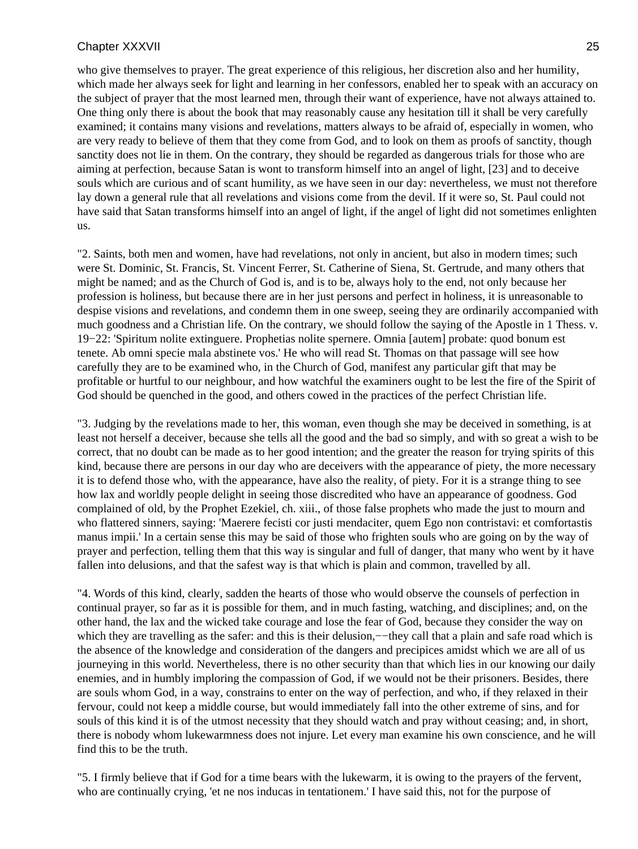who give themselves to prayer. The great experience of this religious, her discretion also and her humility, which made her always seek for light and learning in her confessors, enabled her to speak with an accuracy on the subject of prayer that the most learned men, through their want of experience, have not always attained to. One thing only there is about the book that may reasonably cause any hesitation till it shall be very carefully examined; it contains many visions and revelations, matters always to be afraid of, especially in women, who are very ready to believe of them that they come from God, and to look on them as proofs of sanctity, though sanctity does not lie in them. On the contrary, they should be regarded as dangerous trials for those who are aiming at perfection, because Satan is wont to transform himself into an angel of light, [23] and to deceive souls which are curious and of scant humility, as we have seen in our day: nevertheless, we must not therefore lay down a general rule that all revelations and visions come from the devil. If it were so, St. Paul could not have said that Satan transforms himself into an angel of light, if the angel of light did not sometimes enlighten us.

"2. Saints, both men and women, have had revelations, not only in ancient, but also in modern times; such were St. Dominic, St. Francis, St. Vincent Ferrer, St. Catherine of Siena, St. Gertrude, and many others that might be named; and as the Church of God is, and is to be, always holy to the end, not only because her profession is holiness, but because there are in her just persons and perfect in holiness, it is unreasonable to despise visions and revelations, and condemn them in one sweep, seeing they are ordinarily accompanied with much goodness and a Christian life. On the contrary, we should follow the saying of the Apostle in 1 Thess. v. 19−22: 'Spiritum nolite extinguere. Prophetias nolite spernere. Omnia [autem] probate: quod bonum est tenete. Ab omni specie mala abstinete vos.' He who will read St. Thomas on that passage will see how carefully they are to be examined who, in the Church of God, manifest any particular gift that may be profitable or hurtful to our neighbour, and how watchful the examiners ought to be lest the fire of the Spirit of God should be quenched in the good, and others cowed in the practices of the perfect Christian life.

"3. Judging by the revelations made to her, this woman, even though she may be deceived in something, is at least not herself a deceiver, because she tells all the good and the bad so simply, and with so great a wish to be correct, that no doubt can be made as to her good intention; and the greater the reason for trying spirits of this kind, because there are persons in our day who are deceivers with the appearance of piety, the more necessary it is to defend those who, with the appearance, have also the reality, of piety. For it is a strange thing to see how lax and worldly people delight in seeing those discredited who have an appearance of goodness. God complained of old, by the Prophet Ezekiel, ch. xiii., of those false prophets who made the just to mourn and who flattered sinners, saying: 'Maerere fecisti cor justi mendaciter, quem Ego non contristavi: et comfortastis manus impii.' In a certain sense this may be said of those who frighten souls who are going on by the way of prayer and perfection, telling them that this way is singular and full of danger, that many who went by it have fallen into delusions, and that the safest way is that which is plain and common, travelled by all.

"4. Words of this kind, clearly, sadden the hearts of those who would observe the counsels of perfection in continual prayer, so far as it is possible for them, and in much fasting, watching, and disciplines; and, on the other hand, the lax and the wicked take courage and lose the fear of God, because they consider the way on which they are travelling as the safer: and this is their delusion,—−they call that a plain and safe road which is the absence of the knowledge and consideration of the dangers and precipices amidst which we are all of us journeying in this world. Nevertheless, there is no other security than that which lies in our knowing our daily enemies, and in humbly imploring the compassion of God, if we would not be their prisoners. Besides, there are souls whom God, in a way, constrains to enter on the way of perfection, and who, if they relaxed in their fervour, could not keep a middle course, but would immediately fall into the other extreme of sins, and for souls of this kind it is of the utmost necessity that they should watch and pray without ceasing; and, in short, there is nobody whom lukewarmness does not injure. Let every man examine his own conscience, and he will find this to be the truth.

"5. I firmly believe that if God for a time bears with the lukewarm, it is owing to the prayers of the fervent, who are continually crying, 'et ne nos inducas in tentationem.' I have said this, not for the purpose of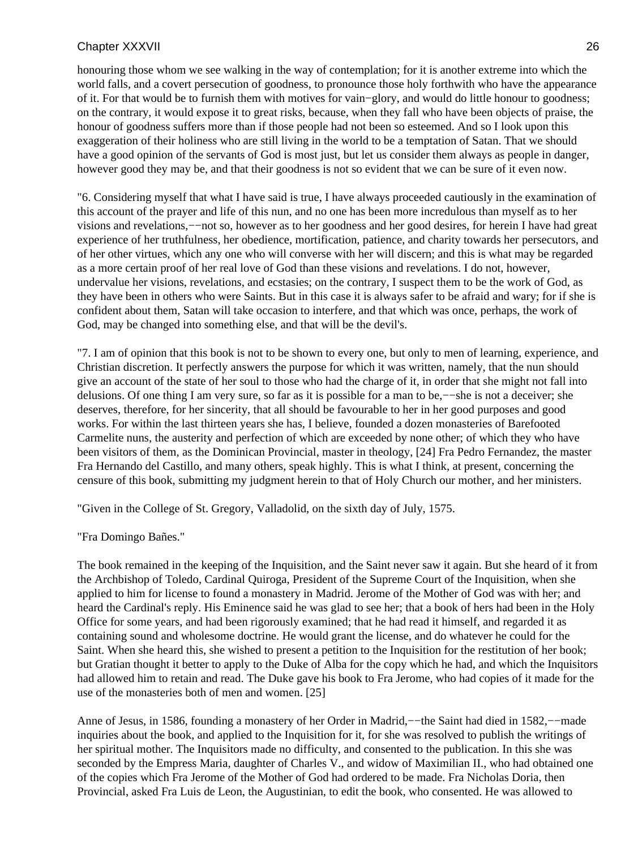honouring those whom we see walking in the way of contemplation; for it is another extreme into which the world falls, and a covert persecution of goodness, to pronounce those holy forthwith who have the appearance of it. For that would be to furnish them with motives for vain−glory, and would do little honour to goodness; on the contrary, it would expose it to great risks, because, when they fall who have been objects of praise, the honour of goodness suffers more than if those people had not been so esteemed. And so I look upon this exaggeration of their holiness who are still living in the world to be a temptation of Satan. That we should have a good opinion of the servants of God is most just, but let us consider them always as people in danger, however good they may be, and that their goodness is not so evident that we can be sure of it even now.

"6. Considering myself that what I have said is true, I have always proceeded cautiously in the examination of this account of the prayer and life of this nun, and no one has been more incredulous than myself as to her visions and revelations,−−not so, however as to her goodness and her good desires, for herein I have had great experience of her truthfulness, her obedience, mortification, patience, and charity towards her persecutors, and of her other virtues, which any one who will converse with her will discern; and this is what may be regarded as a more certain proof of her real love of God than these visions and revelations. I do not, however, undervalue her visions, revelations, and ecstasies; on the contrary, I suspect them to be the work of God, as they have been in others who were Saints. But in this case it is always safer to be afraid and wary; for if she is confident about them, Satan will take occasion to interfere, and that which was once, perhaps, the work of God, may be changed into something else, and that will be the devil's.

"7. I am of opinion that this book is not to be shown to every one, but only to men of learning, experience, and Christian discretion. It perfectly answers the purpose for which it was written, namely, that the nun should give an account of the state of her soul to those who had the charge of it, in order that she might not fall into delusions. Of one thing I am very sure, so far as it is possible for a man to be,−−she is not a deceiver; she deserves, therefore, for her sincerity, that all should be favourable to her in her good purposes and good works. For within the last thirteen years she has, I believe, founded a dozen monasteries of Barefooted Carmelite nuns, the austerity and perfection of which are exceeded by none other; of which they who have been visitors of them, as the Dominican Provincial, master in theology, [24] Fra Pedro Fernandez, the master Fra Hernando del Castillo, and many others, speak highly. This is what I think, at present, concerning the censure of this book, submitting my judgment herein to that of Holy Church our mother, and her ministers.

"Given in the College of St. Gregory, Valladolid, on the sixth day of July, 1575.

"Fra Domingo Bañes."

The book remained in the keeping of the Inquisition, and the Saint never saw it again. But she heard of it from the Archbishop of Toledo, Cardinal Quiroga, President of the Supreme Court of the Inquisition, when she applied to him for license to found a monastery in Madrid. Jerome of the Mother of God was with her; and heard the Cardinal's reply. His Eminence said he was glad to see her; that a book of hers had been in the Holy Office for some years, and had been rigorously examined; that he had read it himself, and regarded it as containing sound and wholesome doctrine. He would grant the license, and do whatever he could for the Saint. When she heard this, she wished to present a petition to the Inquisition for the restitution of her book; but Gratian thought it better to apply to the Duke of Alba for the copy which he had, and which the Inquisitors had allowed him to retain and read. The Duke gave his book to Fra Jerome, who had copies of it made for the use of the monasteries both of men and women. [25]

Anne of Jesus, in 1586, founding a monastery of her Order in Madrid,−−the Saint had died in 1582,−−made inquiries about the book, and applied to the Inquisition for it, for she was resolved to publish the writings of her spiritual mother. The Inquisitors made no difficulty, and consented to the publication. In this she was seconded by the Empress Maria, daughter of Charles V., and widow of Maximilian II., who had obtained one of the copies which Fra Jerome of the Mother of God had ordered to be made. Fra Nicholas Doria, then Provincial, asked Fra Luis de Leon, the Augustinian, to edit the book, who consented. He was allowed to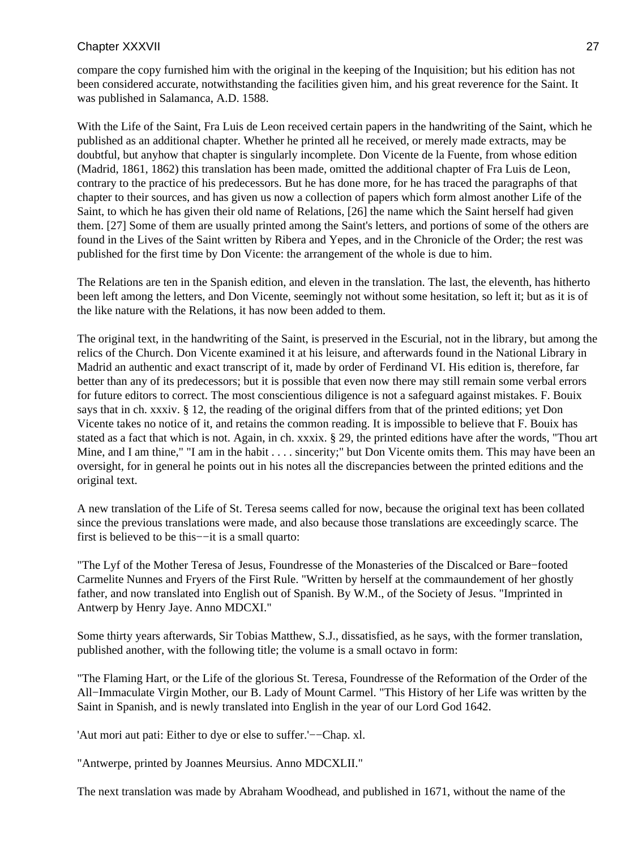compare the copy furnished him with the original in the keeping of the Inquisition; but his edition has not been considered accurate, notwithstanding the facilities given him, and his great reverence for the Saint. It was published in Salamanca, A.D. 1588.

With the Life of the Saint, Fra Luis de Leon received certain papers in the handwriting of the Saint, which he published as an additional chapter. Whether he printed all he received, or merely made extracts, may be doubtful, but anyhow that chapter is singularly incomplete. Don Vicente de la Fuente, from whose edition (Madrid, 1861, 1862) this translation has been made, omitted the additional chapter of Fra Luis de Leon, contrary to the practice of his predecessors. But he has done more, for he has traced the paragraphs of that chapter to their sources, and has given us now a collection of papers which form almost another Life of the Saint, to which he has given their old name of Relations, [26] the name which the Saint herself had given them. [27] Some of them are usually printed among the Saint's letters, and portions of some of the others are found in the Lives of the Saint written by Ribera and Yepes, and in the Chronicle of the Order; the rest was published for the first time by Don Vicente: the arrangement of the whole is due to him.

The Relations are ten in the Spanish edition, and eleven in the translation. The last, the eleventh, has hitherto been left among the letters, and Don Vicente, seemingly not without some hesitation, so left it; but as it is of the like nature with the Relations, it has now been added to them.

The original text, in the handwriting of the Saint, is preserved in the Escurial, not in the library, but among the relics of the Church. Don Vicente examined it at his leisure, and afterwards found in the National Library in Madrid an authentic and exact transcript of it, made by order of Ferdinand VI. His edition is, therefore, far better than any of its predecessors; but it is possible that even now there may still remain some verbal errors for future editors to correct. The most conscientious diligence is not a safeguard against mistakes. F. Bouix says that in ch. xxxiv. § 12, the reading of the original differs from that of the printed editions; yet Don Vicente takes no notice of it, and retains the common reading. It is impossible to believe that F. Bouix has stated as a fact that which is not. Again, in ch. xxxix. § 29, the printed editions have after the words, "Thou art Mine, and I am thine," "I am in the habit . . . . sincerity;" but Don Vicente omits them. This may have been an oversight, for in general he points out in his notes all the discrepancies between the printed editions and the original text.

A new translation of the Life of St. Teresa seems called for now, because the original text has been collated since the previous translations were made, and also because those translations are exceedingly scarce. The first is believed to be this−−it is a small quarto:

"The Lyf of the Mother Teresa of Jesus, Foundresse of the Monasteries of the Discalced or Bare−footed Carmelite Nunnes and Fryers of the First Rule. "Written by herself at the commaundement of her ghostly father, and now translated into English out of Spanish. By W.M., of the Society of Jesus. "Imprinted in Antwerp by Henry Jaye. Anno MDCXI."

Some thirty years afterwards, Sir Tobias Matthew, S.J., dissatisfied, as he says, with the former translation, published another, with the following title; the volume is a small octavo in form:

"The Flaming Hart, or the Life of the glorious St. Teresa, Foundresse of the Reformation of the Order of the All−Immaculate Virgin Mother, our B. Lady of Mount Carmel. "This History of her Life was written by the Saint in Spanish, and is newly translated into English in the year of our Lord God 1642.

'Aut mori aut pati: Either to dye or else to suffer.'−−Chap. xl.

"Antwerpe, printed by Joannes Meursius. Anno MDCXLII."

The next translation was made by Abraham Woodhead, and published in 1671, without the name of the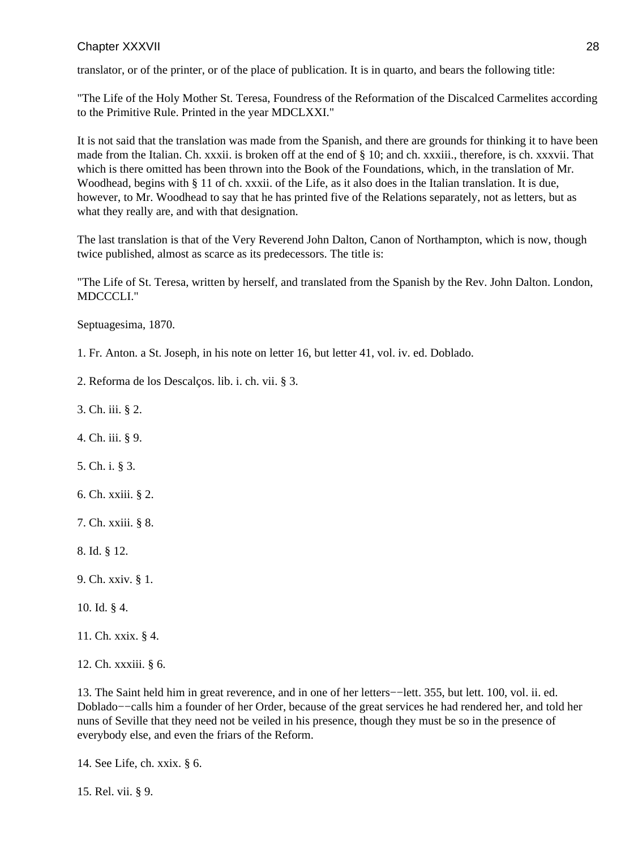translator, or of the printer, or of the place of publication. It is in quarto, and bears the following title:

"The Life of the Holy Mother St. Teresa, Foundress of the Reformation of the Discalced Carmelites according to the Primitive Rule. Printed in the year MDCLXXI."

It is not said that the translation was made from the Spanish, and there are grounds for thinking it to have been made from the Italian. Ch. xxxii. is broken off at the end of § 10; and ch. xxxiii., therefore, is ch. xxxvii. That which is there omitted has been thrown into the Book of the Foundations, which, in the translation of Mr. Woodhead, begins with § 11 of ch. xxxii. of the Life, as it also does in the Italian translation. It is due, however, to Mr. Woodhead to say that he has printed five of the Relations separately, not as letters, but as what they really are, and with that designation.

The last translation is that of the Very Reverend John Dalton, Canon of Northampton, which is now, though twice published, almost as scarce as its predecessors. The title is:

"The Life of St. Teresa, written by herself, and translated from the Spanish by the Rev. John Dalton. London, MDCCCLI."

Septuagesima, 1870.

1. Fr. Anton. a St. Joseph, in his note on letter 16, but letter 41, vol. iv. ed. Doblado.

2. Reforma de los Descalços. lib. i. ch. vii. § 3.

3. Ch. iii. § 2.

4. Ch. iii. § 9.

5. Ch. i. § 3.

- 6. Ch. xxiii. § 2.
- 7. Ch. xxiii. § 8.

8. Id. § 12.

9. Ch. xxiv. § 1.

10. Id. § 4.

11. Ch. xxix. § 4.

12. Ch. xxxiii. § 6.

13. The Saint held him in great reverence, and in one of her letters−−lett. 355, but lett. 100, vol. ii. ed. Doblado−−calls him a founder of her Order, because of the great services he had rendered her, and told her nuns of Seville that they need not be veiled in his presence, though they must be so in the presence of everybody else, and even the friars of the Reform.

14. See Life, ch. xxix. § 6.

15. Rel. vii. § 9.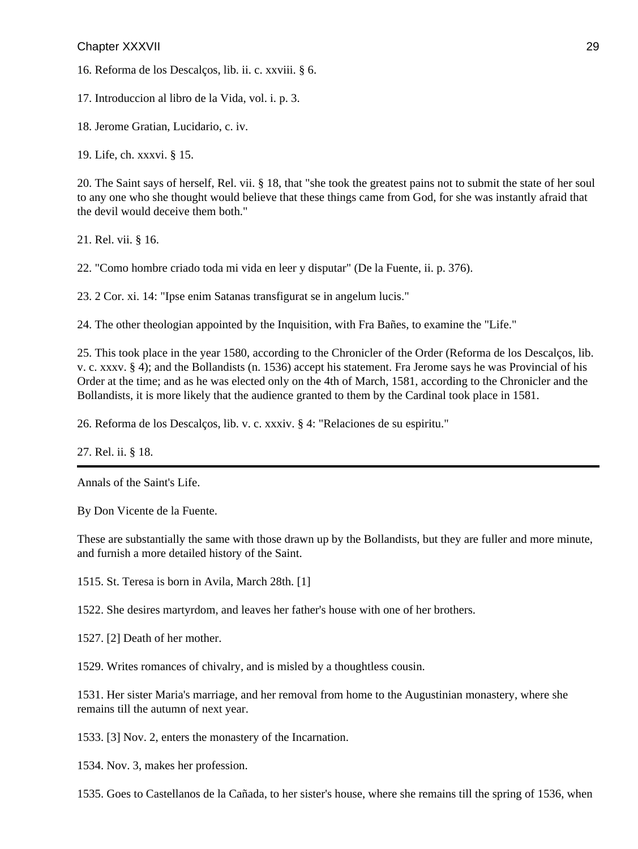16. Reforma de los Descalços, lib. ii. c. xxviii. § 6.

17. Introduccion al libro de la Vida, vol. i. p. 3.

18. Jerome Gratian, Lucidario, c. iv.

19. Life, ch. xxxvi. § 15.

20. The Saint says of herself, Rel. vii. § 18, that "she took the greatest pains not to submit the state of her soul to any one who she thought would believe that these things came from God, for she was instantly afraid that the devil would deceive them both."

21. Rel. vii. § 16.

22. "Como hombre criado toda mi vida en leer y disputar" (De la Fuente, ii. p. 376).

23. 2 Cor. xi. 14: "Ipse enim Satanas transfigurat se in angelum lucis."

24. The other theologian appointed by the Inquisition, with Fra Bañes, to examine the "Life."

25. This took place in the year 1580, according to the Chronicler of the Order (Reforma de los Descalços, lib. v. c. xxxv. § 4); and the Bollandists (n. 1536) accept his statement. Fra Jerome says he was Provincial of his Order at the time; and as he was elected only on the 4th of March, 1581, according to the Chronicler and the Bollandists, it is more likely that the audience granted to them by the Cardinal took place in 1581.

26. Reforma de los Descalços, lib. v. c. xxxiv. § 4: "Relaciones de su espiritu."

27. Rel. ii. § 18.

Annals of the Saint's Life.

By Don Vicente de la Fuente.

These are substantially the same with those drawn up by the Bollandists, but they are fuller and more minute, and furnish a more detailed history of the Saint.

1515. St. Teresa is born in Avila, March 28th. [1]

1522. She desires martyrdom, and leaves her father's house with one of her brothers.

1527. [2] Death of her mother.

1529. Writes romances of chivalry, and is misled by a thoughtless cousin.

1531. Her sister Maria's marriage, and her removal from home to the Augustinian monastery, where she remains till the autumn of next year.

1533. [3] Nov. 2, enters the monastery of the Incarnation.

1534. Nov. 3, makes her profession.

1535. Goes to Castellanos de la Cañada, to her sister's house, where she remains till the spring of 1536, when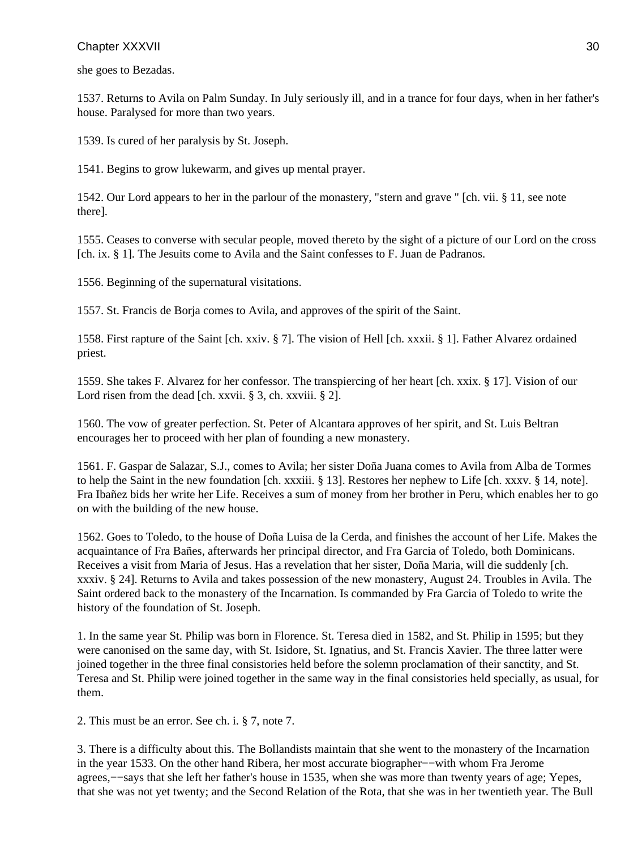she goes to Bezadas.

1537. Returns to Avila on Palm Sunday. In July seriously ill, and in a trance for four days, when in her father's house. Paralysed for more than two years.

1539. Is cured of her paralysis by St. Joseph.

1541. Begins to grow lukewarm, and gives up mental prayer.

1542. Our Lord appears to her in the parlour of the monastery, "stern and grave " [ch. vii. § 11, see note there].

1555. Ceases to converse with secular people, moved thereto by the sight of a picture of our Lord on the cross [ch. ix. § 1]. The Jesuits come to Avila and the Saint confesses to F. Juan de Padranos.

1556. Beginning of the supernatural visitations.

1557. St. Francis de Borja comes to Avila, and approves of the spirit of the Saint.

1558. First rapture of the Saint [ch. xxiv. § 7]. The vision of Hell [ch. xxxii. § 1]. Father Alvarez ordained priest.

1559. She takes F. Alvarez for her confessor. The transpiercing of her heart [ch. xxix. § 17]. Vision of our Lord risen from the dead [ch. xxvii. § 3, ch. xxviii. § 2].

1560. The vow of greater perfection. St. Peter of Alcantara approves of her spirit, and St. Luis Beltran encourages her to proceed with her plan of founding a new monastery.

1561. F. Gaspar de Salazar, S.J., comes to Avila; her sister Doña Juana comes to Avila from Alba de Tormes to help the Saint in the new foundation [ch. xxxiii. § 13]. Restores her nephew to Life [ch. xxxv. § 14, note]. Fra Ibañez bids her write her Life. Receives a sum of money from her brother in Peru, which enables her to go on with the building of the new house.

1562. Goes to Toledo, to the house of Doña Luisa de la Cerda, and finishes the account of her Life. Makes the acquaintance of Fra Bañes, afterwards her principal director, and Fra Garcia of Toledo, both Dominicans. Receives a visit from Maria of Jesus. Has a revelation that her sister, Doña Maria, will die suddenly [ch. xxxiv. § 24]. Returns to Avila and takes possession of the new monastery, August 24. Troubles in Avila. The Saint ordered back to the monastery of the Incarnation. Is commanded by Fra Garcia of Toledo to write the history of the foundation of St. Joseph.

1. In the same year St. Philip was born in Florence. St. Teresa died in 1582, and St. Philip in 1595; but they were canonised on the same day, with St. Isidore, St. Ignatius, and St. Francis Xavier. The three latter were joined together in the three final consistories held before the solemn proclamation of their sanctity, and St. Teresa and St. Philip were joined together in the same way in the final consistories held specially, as usual, for them.

2. This must be an error. See ch. i. § 7, note 7.

3. There is a difficulty about this. The Bollandists maintain that she went to the monastery of the Incarnation in the year 1533. On the other hand Ribera, her most accurate biographer−−with whom Fra Jerome agrees,−−says that she left her father's house in 1535, when she was more than twenty years of age; Yepes, that she was not yet twenty; and the Second Relation of the Rota, that she was in her twentieth year. The Bull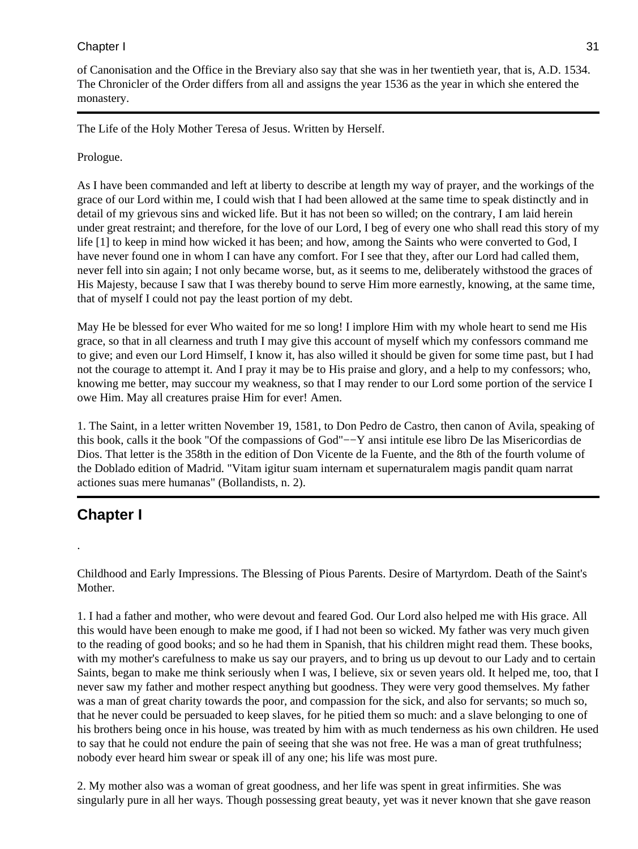### Chapter I 31

of Canonisation and the Office in the Breviary also say that she was in her twentieth year, that is, A.D. 1534. The Chronicler of the Order differs from all and assigns the year 1536 as the year in which she entered the monastery.

The Life of the Holy Mother Teresa of Jesus. Written by Herself.

### Prologue.

As I have been commanded and left at liberty to describe at length my way of prayer, and the workings of the grace of our Lord within me, I could wish that I had been allowed at the same time to speak distinctly and in detail of my grievous sins and wicked life. But it has not been so willed; on the contrary, I am laid herein under great restraint; and therefore, for the love of our Lord, I beg of every one who shall read this story of my life [1] to keep in mind how wicked it has been; and how, among the Saints who were converted to God, I have never found one in whom I can have any comfort. For I see that they, after our Lord had called them, never fell into sin again; I not only became worse, but, as it seems to me, deliberately withstood the graces of His Majesty, because I saw that I was thereby bound to serve Him more earnestly, knowing, at the same time, that of myself I could not pay the least portion of my debt.

May He be blessed for ever Who waited for me so long! I implore Him with my whole heart to send me His grace, so that in all clearness and truth I may give this account of myself which my confessors command me to give; and even our Lord Himself, I know it, has also willed it should be given for some time past, but I had not the courage to attempt it. And I pray it may be to His praise and glory, and a help to my confessors; who, knowing me better, may succour my weakness, so that I may render to our Lord some portion of the service I owe Him. May all creatures praise Him for ever! Amen.

1. The Saint, in a letter written November 19, 1581, to Don Pedro de Castro, then canon of Avila, speaking of this book, calls it the book "Of the compassions of God"−−Y ansi intitule ese libro De las Misericordias de Dios. That letter is the 358th in the edition of Don Vicente de la Fuente, and the 8th of the fourth volume of the Doblado edition of Madrid. "Vitam igitur suam internam et supernaturalem magis pandit quam narrat actiones suas mere humanas" (Bollandists, n. 2).

### **Chapter I**

.

Childhood and Early Impressions. The Blessing of Pious Parents. Desire of Martyrdom. Death of the Saint's Mother.

1. I had a father and mother, who were devout and feared God. Our Lord also helped me with His grace. All this would have been enough to make me good, if I had not been so wicked. My father was very much given to the reading of good books; and so he had them in Spanish, that his children might read them. These books, with my mother's carefulness to make us say our prayers, and to bring us up devout to our Lady and to certain Saints, began to make me think seriously when I was, I believe, six or seven years old. It helped me, too, that I never saw my father and mother respect anything but goodness. They were very good themselves. My father was a man of great charity towards the poor, and compassion for the sick, and also for servants; so much so, that he never could be persuaded to keep slaves, for he pitied them so much: and a slave belonging to one of his brothers being once in his house, was treated by him with as much tenderness as his own children. He used to say that he could not endure the pain of seeing that she was not free. He was a man of great truthfulness; nobody ever heard him swear or speak ill of any one; his life was most pure.

2. My mother also was a woman of great goodness, and her life was spent in great infirmities. She was singularly pure in all her ways. Though possessing great beauty, yet was it never known that she gave reason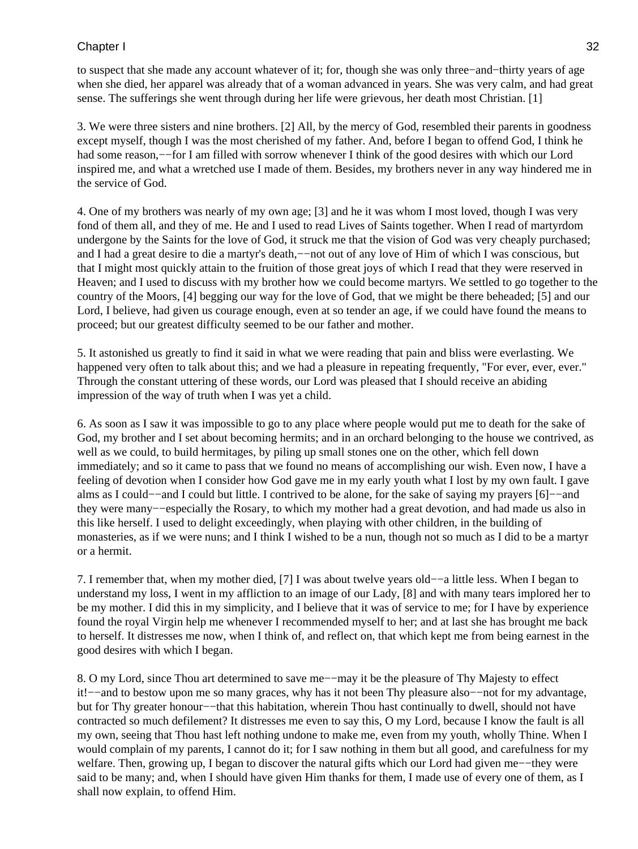### Chapter I and the set of the set of the set of the set of the set of the set of the set of the set of the set of the set of the set of the set of the set of the set of the set of the set of the set of the set of the set of

to suspect that she made any account whatever of it; for, though she was only three−and−thirty years of age when she died, her apparel was already that of a woman advanced in years. She was very calm, and had great sense. The sufferings she went through during her life were grievous, her death most Christian. [1]

3. We were three sisters and nine brothers. [2] All, by the mercy of God, resembled their parents in goodness except myself, though I was the most cherished of my father. And, before I began to offend God, I think he had some reason,−−for I am filled with sorrow whenever I think of the good desires with which our Lord inspired me, and what a wretched use I made of them. Besides, my brothers never in any way hindered me in the service of God.

4. One of my brothers was nearly of my own age; [3] and he it was whom I most loved, though I was very fond of them all, and they of me. He and I used to read Lives of Saints together. When I read of martyrdom undergone by the Saints for the love of God, it struck me that the vision of God was very cheaply purchased; and I had a great desire to die a martyr's death,−−not out of any love of Him of which I was conscious, but that I might most quickly attain to the fruition of those great joys of which I read that they were reserved in Heaven; and I used to discuss with my brother how we could become martyrs. We settled to go together to the country of the Moors, [4] begging our way for the love of God, that we might be there beheaded; [5] and our Lord, I believe, had given us courage enough, even at so tender an age, if we could have found the means to proceed; but our greatest difficulty seemed to be our father and mother.

5. It astonished us greatly to find it said in what we were reading that pain and bliss were everlasting. We happened very often to talk about this; and we had a pleasure in repeating frequently, "For ever, ever, ever." Through the constant uttering of these words, our Lord was pleased that I should receive an abiding impression of the way of truth when I was yet a child.

6. As soon as I saw it was impossible to go to any place where people would put me to death for the sake of God, my brother and I set about becoming hermits; and in an orchard belonging to the house we contrived, as well as we could, to build hermitages, by piling up small stones one on the other, which fell down immediately; and so it came to pass that we found no means of accomplishing our wish. Even now, I have a feeling of devotion when I consider how God gave me in my early youth what I lost by my own fault. I gave alms as I could−−and I could but little. I contrived to be alone, for the sake of saying my prayers [6]−−and they were many−−especially the Rosary, to which my mother had a great devotion, and had made us also in this like herself. I used to delight exceedingly, when playing with other children, in the building of monasteries, as if we were nuns; and I think I wished to be a nun, though not so much as I did to be a martyr or a hermit.

7. I remember that, when my mother died, [7] I was about twelve years old−−a little less. When I began to understand my loss, I went in my affliction to an image of our Lady, [8] and with many tears implored her to be my mother. I did this in my simplicity, and I believe that it was of service to me; for I have by experience found the royal Virgin help me whenever I recommended myself to her; and at last she has brought me back to herself. It distresses me now, when I think of, and reflect on, that which kept me from being earnest in the good desires with which I began.

8. O my Lord, since Thou art determined to save me−−may it be the pleasure of Thy Majesty to effect it!−−and to bestow upon me so many graces, why has it not been Thy pleasure also−−not for my advantage, but for Thy greater honour−−that this habitation, wherein Thou hast continually to dwell, should not have contracted so much defilement? It distresses me even to say this, O my Lord, because I know the fault is all my own, seeing that Thou hast left nothing undone to make me, even from my youth, wholly Thine. When I would complain of my parents, I cannot do it; for I saw nothing in them but all good, and carefulness for my welfare. Then, growing up, I began to discover the natural gifts which our Lord had given me−−they were said to be many; and, when I should have given Him thanks for them, I made use of every one of them, as I shall now explain, to offend Him.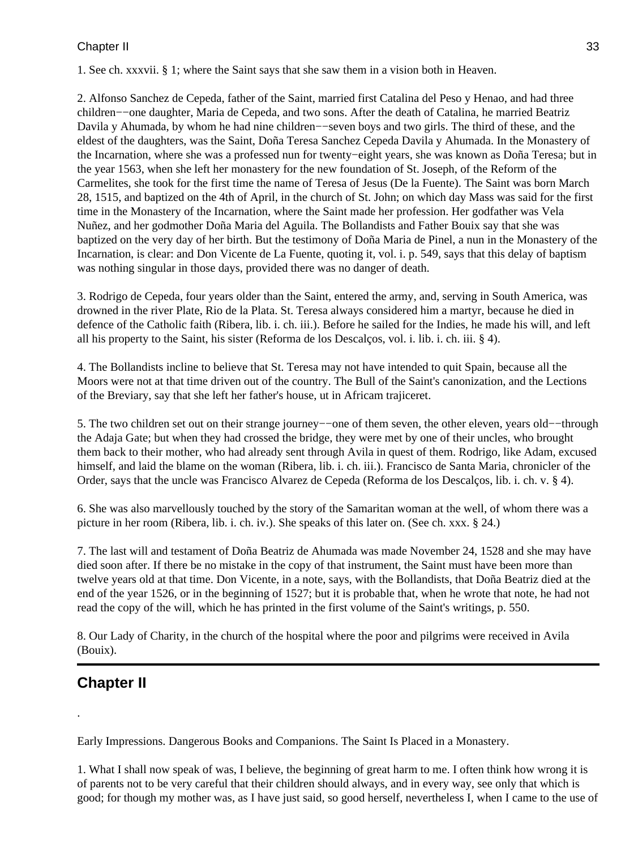### Chapter II 33

1. See ch. xxxvii. § 1; where the Saint says that she saw them in a vision both in Heaven.

2. Alfonso Sanchez de Cepeda, father of the Saint, married first Catalina del Peso y Henao, and had three children−−one daughter, Maria de Cepeda, and two sons. After the death of Catalina, he married Beatriz Davila y Ahumada, by whom he had nine children−−seven boys and two girls. The third of these, and the eldest of the daughters, was the Saint, Doña Teresa Sanchez Cepeda Davila y Ahumada. In the Monastery of the Incarnation, where she was a professed nun for twenty−eight years, she was known as Doña Teresa; but in the year 1563, when she left her monastery for the new foundation of St. Joseph, of the Reform of the Carmelites, she took for the first time the name of Teresa of Jesus (De la Fuente). The Saint was born March 28, 1515, and baptized on the 4th of April, in the church of St. John; on which day Mass was said for the first time in the Monastery of the Incarnation, where the Saint made her profession. Her godfather was Vela Nuñez, and her godmother Doña Maria del Aguila. The Bollandists and Father Bouix say that she was baptized on the very day of her birth. But the testimony of Doña Maria de Pinel, a nun in the Monastery of the Incarnation, is clear: and Don Vicente de La Fuente, quoting it, vol. i. p. 549, says that this delay of baptism was nothing singular in those days, provided there was no danger of death.

3. Rodrigo de Cepeda, four years older than the Saint, entered the army, and, serving in South America, was drowned in the river Plate, Rio de la Plata. St. Teresa always considered him a martyr, because he died in defence of the Catholic faith (Ribera, lib. i. ch. iii.). Before he sailed for the Indies, he made his will, and left all his property to the Saint, his sister (Reforma de los Descalços, vol. i. lib. i. ch. iii. § 4).

4. The Bollandists incline to believe that St. Teresa may not have intended to quit Spain, because all the Moors were not at that time driven out of the country. The Bull of the Saint's canonization, and the Lections of the Breviary, say that she left her father's house, ut in Africam trajiceret.

5. The two children set out on their strange journey−−one of them seven, the other eleven, years old−−through the Adaja Gate; but when they had crossed the bridge, they were met by one of their uncles, who brought them back to their mother, who had already sent through Avila in quest of them. Rodrigo, like Adam, excused himself, and laid the blame on the woman (Ribera, lib. i. ch. iii.). Francisco de Santa Maria, chronicler of the Order, says that the uncle was Francisco Alvarez de Cepeda (Reforma de los Descalços, lib. i. ch. v. § 4).

6. She was also marvellously touched by the story of the Samaritan woman at the well, of whom there was a picture in her room (Ribera, lib. i. ch. iv.). She speaks of this later on. (See ch. xxx. § 24.)

7. The last will and testament of Doña Beatriz de Ahumada was made November 24, 1528 and she may have died soon after. If there be no mistake in the copy of that instrument, the Saint must have been more than twelve years old at that time. Don Vicente, in a note, says, with the Bollandists, that Doña Beatriz died at the end of the year 1526, or in the beginning of 1527; but it is probable that, when he wrote that note, he had not read the copy of the will, which he has printed in the first volume of the Saint's writings, p. 550.

8. Our Lady of Charity, in the church of the hospital where the poor and pilgrims were received in Avila (Bouix).

### **Chapter II**

.

Early Impressions. Dangerous Books and Companions. The Saint Is Placed in a Monastery.

1. What I shall now speak of was, I believe, the beginning of great harm to me. I often think how wrong it is of parents not to be very careful that their children should always, and in every way, see only that which is good; for though my mother was, as I have just said, so good herself, nevertheless I, when I came to the use of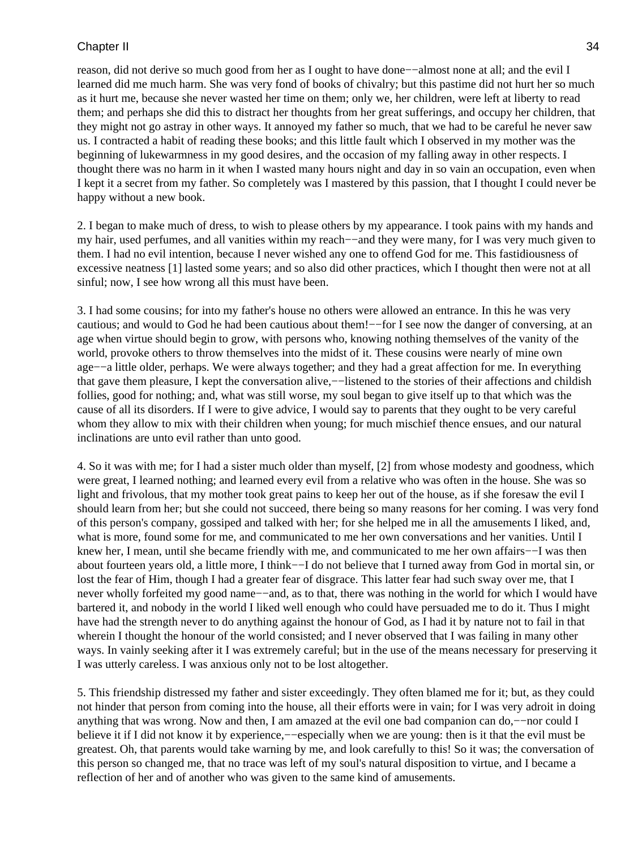#### Chapter II 34

reason, did not derive so much good from her as I ought to have done−−almost none at all; and the evil I learned did me much harm. She was very fond of books of chivalry; but this pastime did not hurt her so much as it hurt me, because she never wasted her time on them; only we, her children, were left at liberty to read them; and perhaps she did this to distract her thoughts from her great sufferings, and occupy her children, that they might not go astray in other ways. It annoyed my father so much, that we had to be careful he never saw us. I contracted a habit of reading these books; and this little fault which I observed in my mother was the beginning of lukewarmness in my good desires, and the occasion of my falling away in other respects. I thought there was no harm in it when I wasted many hours night and day in so vain an occupation, even when I kept it a secret from my father. So completely was I mastered by this passion, that I thought I could never be happy without a new book.

2. I began to make much of dress, to wish to please others by my appearance. I took pains with my hands and my hair, used perfumes, and all vanities within my reach–−and they were many, for I was very much given to them. I had no evil intention, because I never wished any one to offend God for me. This fastidiousness of excessive neatness [1] lasted some years; and so also did other practices, which I thought then were not at all sinful; now, I see how wrong all this must have been.

3. I had some cousins; for into my father's house no others were allowed an entrance. In this he was very cautious; and would to God he had been cautious about them!−−for I see now the danger of conversing, at an age when virtue should begin to grow, with persons who, knowing nothing themselves of the vanity of the world, provoke others to throw themselves into the midst of it. These cousins were nearly of mine own age−−a little older, perhaps. We were always together; and they had a great affection for me. In everything that gave them pleasure, I kept the conversation alive,−−listened to the stories of their affections and childish follies, good for nothing; and, what was still worse, my soul began to give itself up to that which was the cause of all its disorders. If I were to give advice, I would say to parents that they ought to be very careful whom they allow to mix with their children when young; for much mischief thence ensues, and our natural inclinations are unto evil rather than unto good.

4. So it was with me; for I had a sister much older than myself, [2] from whose modesty and goodness, which were great, I learned nothing; and learned every evil from a relative who was often in the house. She was so light and frivolous, that my mother took great pains to keep her out of the house, as if she foresaw the evil I should learn from her; but she could not succeed, there being so many reasons for her coming. I was very fond of this person's company, gossiped and talked with her; for she helped me in all the amusements I liked, and, what is more, found some for me, and communicated to me her own conversations and her vanities. Until I knew her, I mean, until she became friendly with me, and communicated to me her own affairs−−I was then about fourteen years old, a little more, I think−−I do not believe that I turned away from God in mortal sin, or lost the fear of Him, though I had a greater fear of disgrace. This latter fear had such sway over me, that I never wholly forfeited my good name−−and, as to that, there was nothing in the world for which I would have bartered it, and nobody in the world I liked well enough who could have persuaded me to do it. Thus I might have had the strength never to do anything against the honour of God, as I had it by nature not to fail in that wherein I thought the honour of the world consisted; and I never observed that I was failing in many other ways. In vainly seeking after it I was extremely careful; but in the use of the means necessary for preserving it I was utterly careless. I was anxious only not to be lost altogether.

5. This friendship distressed my father and sister exceedingly. They often blamed me for it; but, as they could not hinder that person from coming into the house, all their efforts were in vain; for I was very adroit in doing anything that was wrong. Now and then, I am amazed at the evil one bad companion can do,−−nor could I believe it if I did not know it by experience,−−especially when we are young: then is it that the evil must be greatest. Oh, that parents would take warning by me, and look carefully to this! So it was; the conversation of this person so changed me, that no trace was left of my soul's natural disposition to virtue, and I became a reflection of her and of another who was given to the same kind of amusements.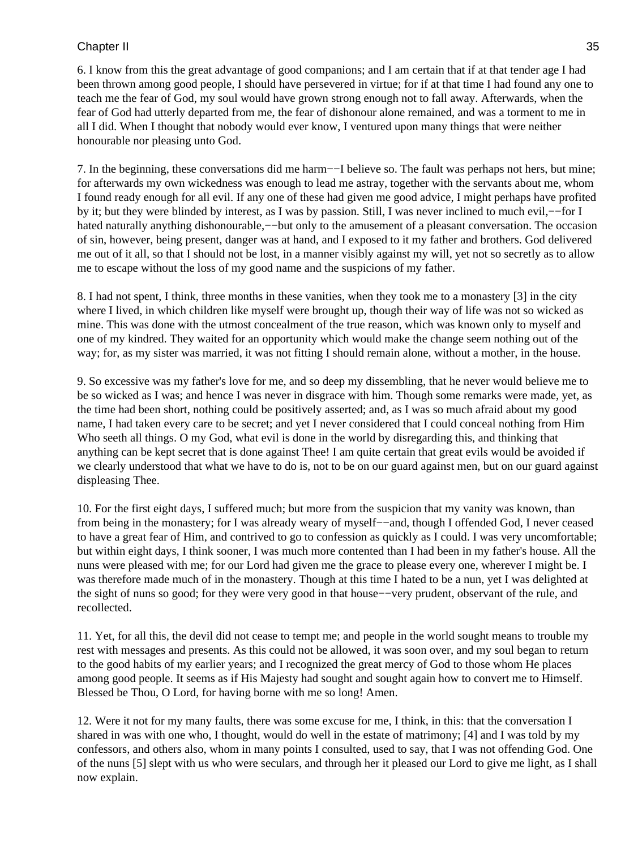### Chapter II 35

6. I know from this the great advantage of good companions; and I am certain that if at that tender age I had been thrown among good people, I should have persevered in virtue; for if at that time I had found any one to teach me the fear of God, my soul would have grown strong enough not to fall away. Afterwards, when the fear of God had utterly departed from me, the fear of dishonour alone remained, and was a torment to me in all I did. When I thought that nobody would ever know, I ventured upon many things that were neither honourable nor pleasing unto God.

7. In the beginning, these conversations did me harm−−I believe so. The fault was perhaps not hers, but mine; for afterwards my own wickedness was enough to lead me astray, together with the servants about me, whom I found ready enough for all evil. If any one of these had given me good advice, I might perhaps have profited by it; but they were blinded by interest, as I was by passion. Still, I was never inclined to much evil,−−for I hated naturally anything dishonourable,−−but only to the amusement of a pleasant conversation. The occasion of sin, however, being present, danger was at hand, and I exposed to it my father and brothers. God delivered me out of it all, so that I should not be lost, in a manner visibly against my will, yet not so secretly as to allow me to escape without the loss of my good name and the suspicions of my father.

8. I had not spent, I think, three months in these vanities, when they took me to a monastery [3] in the city where I lived, in which children like myself were brought up, though their way of life was not so wicked as mine. This was done with the utmost concealment of the true reason, which was known only to myself and one of my kindred. They waited for an opportunity which would make the change seem nothing out of the way; for, as my sister was married, it was not fitting I should remain alone, without a mother, in the house.

9. So excessive was my father's love for me, and so deep my dissembling, that he never would believe me to be so wicked as I was; and hence I was never in disgrace with him. Though some remarks were made, yet, as the time had been short, nothing could be positively asserted; and, as I was so much afraid about my good name, I had taken every care to be secret; and yet I never considered that I could conceal nothing from Him Who seeth all things. O my God, what evil is done in the world by disregarding this, and thinking that anything can be kept secret that is done against Thee! I am quite certain that great evils would be avoided if we clearly understood that what we have to do is, not to be on our guard against men, but on our guard against displeasing Thee.

10. For the first eight days, I suffered much; but more from the suspicion that my vanity was known, than from being in the monastery; for I was already weary of myself−−and, though I offended God, I never ceased to have a great fear of Him, and contrived to go to confession as quickly as I could. I was very uncomfortable; but within eight days, I think sooner, I was much more contented than I had been in my father's house. All the nuns were pleased with me; for our Lord had given me the grace to please every one, wherever I might be. I was therefore made much of in the monastery. Though at this time I hated to be a nun, yet I was delighted at the sight of nuns so good; for they were very good in that house−−very prudent, observant of the rule, and recollected.

11. Yet, for all this, the devil did not cease to tempt me; and people in the world sought means to trouble my rest with messages and presents. As this could not be allowed, it was soon over, and my soul began to return to the good habits of my earlier years; and I recognized the great mercy of God to those whom He places among good people. It seems as if His Majesty had sought and sought again how to convert me to Himself. Blessed be Thou, O Lord, for having borne with me so long! Amen.

12. Were it not for my many faults, there was some excuse for me, I think, in this: that the conversation I shared in was with one who, I thought, would do well in the estate of matrimony; [4] and I was told by my confessors, and others also, whom in many points I consulted, used to say, that I was not offending God. One of the nuns [5] slept with us who were seculars, and through her it pleased our Lord to give me light, as I shall now explain.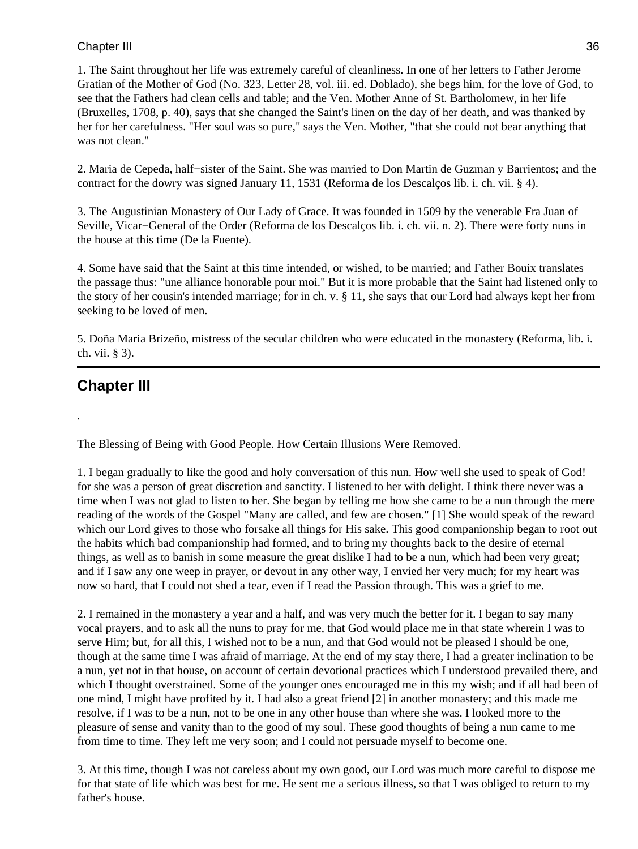### Chapter III 36

1. The Saint throughout her life was extremely careful of cleanliness. In one of her letters to Father Jerome Gratian of the Mother of God (No. 323, Letter 28, vol. iii. ed. Doblado), she begs him, for the love of God, to see that the Fathers had clean cells and table; and the Ven. Mother Anne of St. Bartholomew, in her life (Bruxelles, 1708, p. 40), says that she changed the Saint's linen on the day of her death, and was thanked by her for her carefulness. "Her soul was so pure," says the Ven. Mother, "that she could not bear anything that was not clean."

2. Maria de Cepeda, half−sister of the Saint. She was married to Don Martin de Guzman y Barrientos; and the contract for the dowry was signed January 11, 1531 (Reforma de los Descalços lib. i. ch. vii. § 4).

3. The Augustinian Monastery of Our Lady of Grace. It was founded in 1509 by the venerable Fra Juan of Seville, Vicar−General of the Order (Reforma de los Descalços lib. i. ch. vii. n. 2). There were forty nuns in the house at this time (De la Fuente).

4. Some have said that the Saint at this time intended, or wished, to be married; and Father Bouix translates the passage thus: "une alliance honorable pour moi." But it is more probable that the Saint had listened only to the story of her cousin's intended marriage; for in ch. v. § 11, she says that our Lord had always kept her from seeking to be loved of men.

5. Doña Maria Brizeño, mistress of the secular children who were educated in the monastery (Reforma, lib. i. ch. vii. § 3).

## **Chapter III**

.

The Blessing of Being with Good People. How Certain Illusions Were Removed.

1. I began gradually to like the good and holy conversation of this nun. How well she used to speak of God! for she was a person of great discretion and sanctity. I listened to her with delight. I think there never was a time when I was not glad to listen to her. She began by telling me how she came to be a nun through the mere reading of the words of the Gospel "Many are called, and few are chosen." [1] She would speak of the reward which our Lord gives to those who forsake all things for His sake. This good companionship began to root out the habits which bad companionship had formed, and to bring my thoughts back to the desire of eternal things, as well as to banish in some measure the great dislike I had to be a nun, which had been very great; and if I saw any one weep in prayer, or devout in any other way, I envied her very much; for my heart was now so hard, that I could not shed a tear, even if I read the Passion through. This was a grief to me.

2. I remained in the monastery a year and a half, and was very much the better for it. I began to say many vocal prayers, and to ask all the nuns to pray for me, that God would place me in that state wherein I was to serve Him; but, for all this, I wished not to be a nun, and that God would not be pleased I should be one, though at the same time I was afraid of marriage. At the end of my stay there, I had a greater inclination to be a nun, yet not in that house, on account of certain devotional practices which I understood prevailed there, and which I thought overstrained. Some of the younger ones encouraged me in this my wish; and if all had been of one mind, I might have profited by it. I had also a great friend [2] in another monastery; and this made me resolve, if I was to be a nun, not to be one in any other house than where she was. I looked more to the pleasure of sense and vanity than to the good of my soul. These good thoughts of being a nun came to me from time to time. They left me very soon; and I could not persuade myself to become one.

3. At this time, though I was not careless about my own good, our Lord was much more careful to dispose me for that state of life which was best for me. He sent me a serious illness, so that I was obliged to return to my father's house.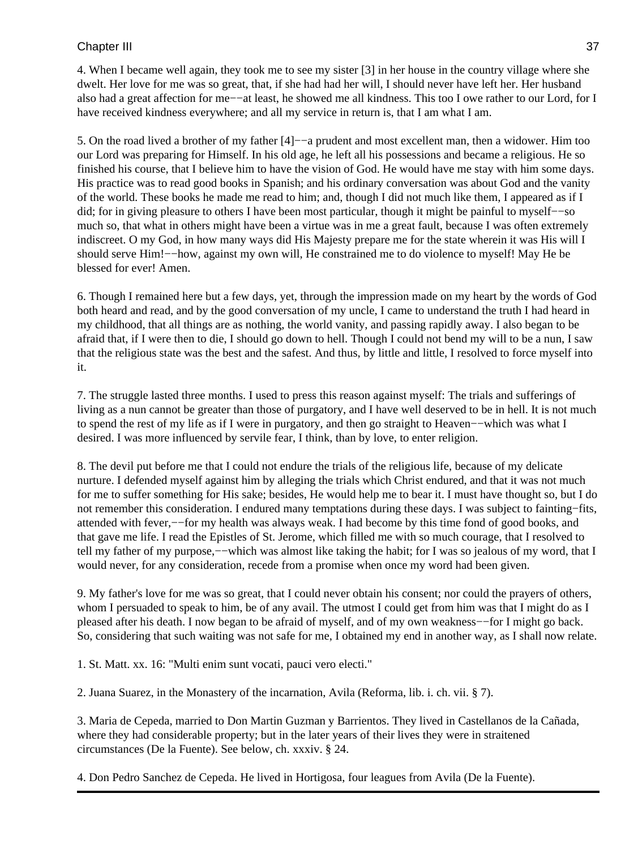4. When I became well again, they took me to see my sister [3] in her house in the country village where she dwelt. Her love for me was so great, that, if she had had her will, I should never have left her. Her husband also had a great affection for me−−at least, he showed me all kindness. This too I owe rather to our Lord, for I have received kindness everywhere; and all my service in return is, that I am what I am.

5. On the road lived a brother of my father [4]−−a prudent and most excellent man, then a widower. Him too our Lord was preparing for Himself. In his old age, he left all his possessions and became a religious. He so finished his course, that I believe him to have the vision of God. He would have me stay with him some days. His practice was to read good books in Spanish; and his ordinary conversation was about God and the vanity of the world. These books he made me read to him; and, though I did not much like them, I appeared as if I did; for in giving pleasure to others I have been most particular, though it might be painful to myself−−so much so, that what in others might have been a virtue was in me a great fault, because I was often extremely indiscreet. O my God, in how many ways did His Majesty prepare me for the state wherein it was His will I should serve Him!−−how, against my own will, He constrained me to do violence to myself! May He be blessed for ever! Amen.

6. Though I remained here but a few days, yet, through the impression made on my heart by the words of God both heard and read, and by the good conversation of my uncle, I came to understand the truth I had heard in my childhood, that all things are as nothing, the world vanity, and passing rapidly away. I also began to be afraid that, if I were then to die, I should go down to hell. Though I could not bend my will to be a nun, I saw that the religious state was the best and the safest. And thus, by little and little, I resolved to force myself into it.

7. The struggle lasted three months. I used to press this reason against myself: The trials and sufferings of living as a nun cannot be greater than those of purgatory, and I have well deserved to be in hell. It is not much to spend the rest of my life as if I were in purgatory, and then go straight to Heaven−−which was what I desired. I was more influenced by servile fear, I think, than by love, to enter religion.

8. The devil put before me that I could not endure the trials of the religious life, because of my delicate nurture. I defended myself against him by alleging the trials which Christ endured, and that it was not much for me to suffer something for His sake; besides, He would help me to bear it. I must have thought so, but I do not remember this consideration. I endured many temptations during these days. I was subject to fainting−fits, attended with fever,−−for my health was always weak. I had become by this time fond of good books, and that gave me life. I read the Epistles of St. Jerome, which filled me with so much courage, that I resolved to tell my father of my purpose,−−which was almost like taking the habit; for I was so jealous of my word, that I would never, for any consideration, recede from a promise when once my word had been given.

9. My father's love for me was so great, that I could never obtain his consent; nor could the prayers of others, whom I persuaded to speak to him, be of any avail. The utmost I could get from him was that I might do as I pleased after his death. I now began to be afraid of myself, and of my own weakness−−for I might go back. So, considering that such waiting was not safe for me, I obtained my end in another way, as I shall now relate.

1. St. Matt. xx. 16: "Multi enim sunt vocati, pauci vero electi."

2. Juana Suarez, in the Monastery of the incarnation, Avila (Reforma, lib. i. ch. vii. § 7).

3. Maria de Cepeda, married to Don Martin Guzman y Barrientos. They lived in Castellanos de la Cañada, where they had considerable property; but in the later years of their lives they were in straitened circumstances (De la Fuente). See below, ch. xxxiv. § 24.

4. Don Pedro Sanchez de Cepeda. He lived in Hortigosa, four leagues from Avila (De la Fuente).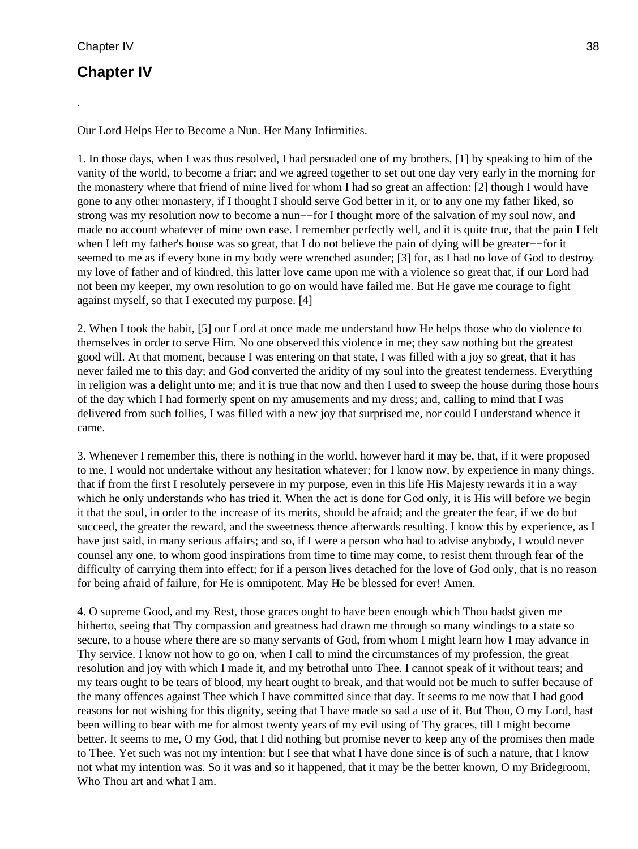.

## **Chapter IV**

Our Lord Helps Her to Become a Nun. Her Many Infirmities.

1. In those days, when I was thus resolved, I had persuaded one of my brothers, [1] by speaking to him of the vanity of the world, to become a friar; and we agreed together to set out one day very early in the morning for the monastery where that friend of mine lived for whom I had so great an affection: [2] though I would have gone to any other monastery, if I thought I should serve God better in it, or to any one my father liked, so strong was my resolution now to become a nun–−for I thought more of the salvation of my soul now, and made no account whatever of mine own ease. I remember perfectly well, and it is quite true, that the pain I felt when I left my father's house was so great, that I do not believe the pain of dying will be greater−−for it seemed to me as if every bone in my body were wrenched asunder; [3] for, as I had no love of God to destroy my love of father and of kindred, this latter love came upon me with a violence so great that, if our Lord had not been my keeper, my own resolution to go on would have failed me. But He gave me courage to fight against myself, so that I executed my purpose. [4]

2. When I took the habit, [5] our Lord at once made me understand how He helps those who do violence to themselves in order to serve Him. No one observed this violence in me; they saw nothing but the greatest good will. At that moment, because I was entering on that state, I was filled with a joy so great, that it has never failed me to this day; and God converted the aridity of my soul into the greatest tenderness. Everything in religion was a delight unto me; and it is true that now and then I used to sweep the house during those hours of the day which I had formerly spent on my amusements and my dress; and, calling to mind that I was delivered from such follies, I was filled with a new joy that surprised me, nor could I understand whence it came.

3. Whenever I remember this, there is nothing in the world, however hard it may be, that, if it were proposed to me, I would not undertake without any hesitation whatever; for I know now, by experience in many things, that if from the first I resolutely persevere in my purpose, even in this life His Majesty rewards it in a way which he only understands who has tried it. When the act is done for God only, it is His will before we begin it that the soul, in order to the increase of its merits, should be afraid; and the greater the fear, if we do but succeed, the greater the reward, and the sweetness thence afterwards resulting. I know this by experience, as I have just said, in many serious affairs; and so, if I were a person who had to advise anybody, I would never counsel any one, to whom good inspirations from time to time may come, to resist them through fear of the difficulty of carrying them into effect; for if a person lives detached for the love of God only, that is no reason for being afraid of failure, for He is omnipotent. May He be blessed for ever! Amen.

4. O supreme Good, and my Rest, those graces ought to have been enough which Thou hadst given me hitherto, seeing that Thy compassion and greatness had drawn me through so many windings to a state so secure, to a house where there are so many servants of God, from whom I might learn how I may advance in Thy service. I know not how to go on, when I call to mind the circumstances of my profession, the great resolution and joy with which I made it, and my betrothal unto Thee. I cannot speak of it without tears; and my tears ought to be tears of blood, my heart ought to break, and that would not be much to suffer because of the many offences against Thee which I have committed since that day. It seems to me now that I had good reasons for not wishing for this dignity, seeing that I have made so sad a use of it. But Thou, O my Lord, hast been willing to bear with me for almost twenty years of my evil using of Thy graces, till I might become better. It seems to me, O my God, that I did nothing but promise never to keep any of the promises then made to Thee. Yet such was not my intention: but I see that what I have done since is of such a nature, that I know not what my intention was. So it was and so it happened, that it may be the better known, O my Bridegroom, Who Thou art and what I am.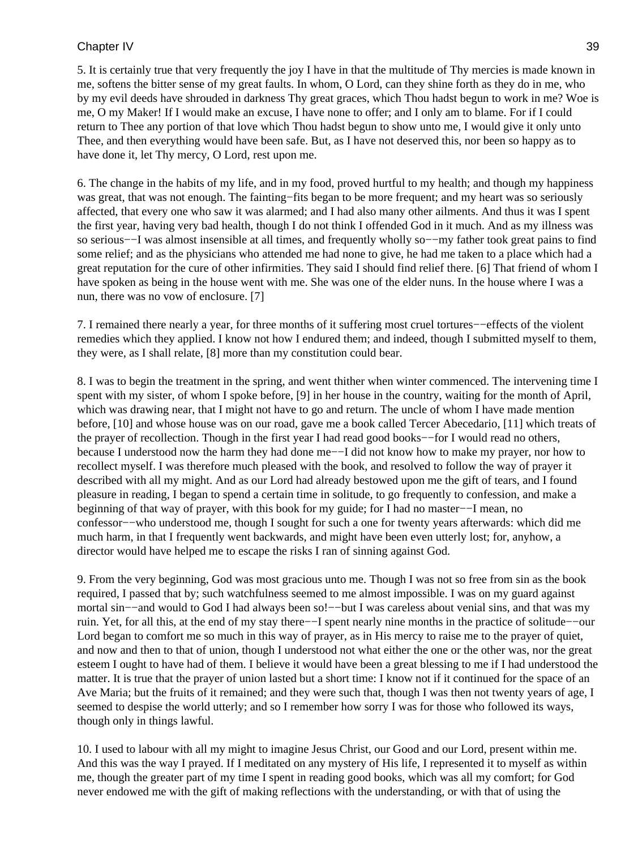## Chapter IV 39

5. It is certainly true that very frequently the joy I have in that the multitude of Thy mercies is made known in me, softens the bitter sense of my great faults. In whom, O Lord, can they shine forth as they do in me, who by my evil deeds have shrouded in darkness Thy great graces, which Thou hadst begun to work in me? Woe is me, O my Maker! If I would make an excuse, I have none to offer; and I only am to blame. For if I could return to Thee any portion of that love which Thou hadst begun to show unto me, I would give it only unto Thee, and then everything would have been safe. But, as I have not deserved this, nor been so happy as to have done it, let Thy mercy, O Lord, rest upon me.

6. The change in the habits of my life, and in my food, proved hurtful to my health; and though my happiness was great, that was not enough. The fainting−fits began to be more frequent; and my heart was so seriously affected, that every one who saw it was alarmed; and I had also many other ailments. And thus it was I spent the first year, having very bad health, though I do not think I offended God in it much. And as my illness was so serious−−I was almost insensible at all times, and frequently wholly so−−my father took great pains to find some relief; and as the physicians who attended me had none to give, he had me taken to a place which had a great reputation for the cure of other infirmities. They said I should find relief there. [6] That friend of whom I have spoken as being in the house went with me. She was one of the elder nuns. In the house where I was a nun, there was no vow of enclosure. [7]

7. I remained there nearly a year, for three months of it suffering most cruel tortures−−effects of the violent remedies which they applied. I know not how I endured them; and indeed, though I submitted myself to them, they were, as I shall relate, [8] more than my constitution could bear.

8. I was to begin the treatment in the spring, and went thither when winter commenced. The intervening time I spent with my sister, of whom I spoke before, [9] in her house in the country, waiting for the month of April, which was drawing near, that I might not have to go and return. The uncle of whom I have made mention before, [10] and whose house was on our road, gave me a book called Tercer Abecedario, [11] which treats of the prayer of recollection. Though in the first year I had read good books−−for I would read no others, because I understood now the harm they had done me−−I did not know how to make my prayer, nor how to recollect myself. I was therefore much pleased with the book, and resolved to follow the way of prayer it described with all my might. And as our Lord had already bestowed upon me the gift of tears, and I found pleasure in reading, I began to spend a certain time in solitude, to go frequently to confession, and make a beginning of that way of prayer, with this book for my guide; for I had no master−−I mean, no confessor−−who understood me, though I sought for such a one for twenty years afterwards: which did me much harm, in that I frequently went backwards, and might have been even utterly lost; for, anyhow, a director would have helped me to escape the risks I ran of sinning against God.

9. From the very beginning, God was most gracious unto me. Though I was not so free from sin as the book required, I passed that by; such watchfulness seemed to me almost impossible. I was on my guard against mortal sin––and would to God I had always been so!—–but I was careless about venial sins, and that was my ruin. Yet, for all this, at the end of my stay there−−I spent nearly nine months in the practice of solitude−−our Lord began to comfort me so much in this way of prayer, as in His mercy to raise me to the prayer of quiet, and now and then to that of union, though I understood not what either the one or the other was, nor the great esteem I ought to have had of them. I believe it would have been a great blessing to me if I had understood the matter. It is true that the prayer of union lasted but a short time: I know not if it continued for the space of an Ave Maria; but the fruits of it remained; and they were such that, though I was then not twenty years of age, I seemed to despise the world utterly; and so I remember how sorry I was for those who followed its ways, though only in things lawful.

10. I used to labour with all my might to imagine Jesus Christ, our Good and our Lord, present within me. And this was the way I prayed. If I meditated on any mystery of His life, I represented it to myself as within me, though the greater part of my time I spent in reading good books, which was all my comfort; for God never endowed me with the gift of making reflections with the understanding, or with that of using the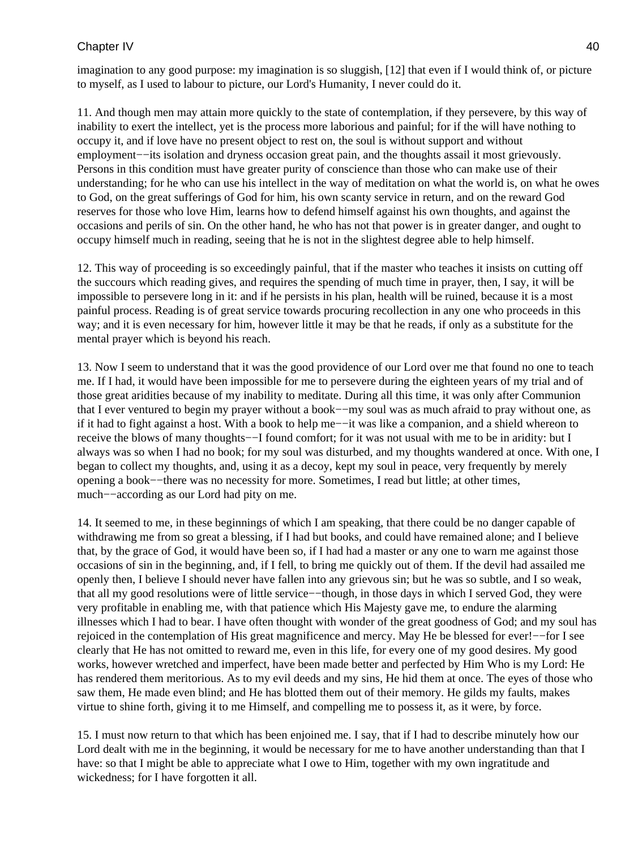## Chapter IV 40

imagination to any good purpose: my imagination is so sluggish, [12] that even if I would think of, or picture to myself, as I used to labour to picture, our Lord's Humanity, I never could do it.

11. And though men may attain more quickly to the state of contemplation, if they persevere, by this way of inability to exert the intellect, yet is the process more laborious and painful; for if the will have nothing to occupy it, and if love have no present object to rest on, the soul is without support and without employment–−its isolation and dryness occasion great pain, and the thoughts assail it most grievously. Persons in this condition must have greater purity of conscience than those who can make use of their understanding; for he who can use his intellect in the way of meditation on what the world is, on what he owes to God, on the great sufferings of God for him, his own scanty service in return, and on the reward God reserves for those who love Him, learns how to defend himself against his own thoughts, and against the occasions and perils of sin. On the other hand, he who has not that power is in greater danger, and ought to occupy himself much in reading, seeing that he is not in the slightest degree able to help himself.

12. This way of proceeding is so exceedingly painful, that if the master who teaches it insists on cutting off the succours which reading gives, and requires the spending of much time in prayer, then, I say, it will be impossible to persevere long in it: and if he persists in his plan, health will be ruined, because it is a most painful process. Reading is of great service towards procuring recollection in any one who proceeds in this way; and it is even necessary for him, however little it may be that he reads, if only as a substitute for the mental prayer which is beyond his reach.

13. Now I seem to understand that it was the good providence of our Lord over me that found no one to teach me. If I had, it would have been impossible for me to persevere during the eighteen years of my trial and of those great aridities because of my inability to meditate. During all this time, it was only after Communion that I ever ventured to begin my prayer without a book−−my soul was as much afraid to pray without one, as if it had to fight against a host. With a book to help me−−it was like a companion, and a shield whereon to receive the blows of many thoughts−−I found comfort; for it was not usual with me to be in aridity: but I always was so when I had no book; for my soul was disturbed, and my thoughts wandered at once. With one, I began to collect my thoughts, and, using it as a decoy, kept my soul in peace, very frequently by merely opening a book−−there was no necessity for more. Sometimes, I read but little; at other times, much−−according as our Lord had pity on me.

14. It seemed to me, in these beginnings of which I am speaking, that there could be no danger capable of withdrawing me from so great a blessing, if I had but books, and could have remained alone; and I believe that, by the grace of God, it would have been so, if I had had a master or any one to warn me against those occasions of sin in the beginning, and, if I fell, to bring me quickly out of them. If the devil had assailed me openly then, I believe I should never have fallen into any grievous sin; but he was so subtle, and I so weak, that all my good resolutions were of little service−−though, in those days in which I served God, they were very profitable in enabling me, with that patience which His Majesty gave me, to endure the alarming illnesses which I had to bear. I have often thought with wonder of the great goodness of God; and my soul has rejoiced in the contemplation of His great magnificence and mercy. May He be blessed for ever!−−for I see clearly that He has not omitted to reward me, even in this life, for every one of my good desires. My good works, however wretched and imperfect, have been made better and perfected by Him Who is my Lord: He has rendered them meritorious. As to my evil deeds and my sins, He hid them at once. The eyes of those who saw them, He made even blind; and He has blotted them out of their memory. He gilds my faults, makes virtue to shine forth, giving it to me Himself, and compelling me to possess it, as it were, by force.

15. I must now return to that which has been enjoined me. I say, that if I had to describe minutely how our Lord dealt with me in the beginning, it would be necessary for me to have another understanding than that I have: so that I might be able to appreciate what I owe to Him, together with my own ingratitude and wickedness; for I have forgotten it all.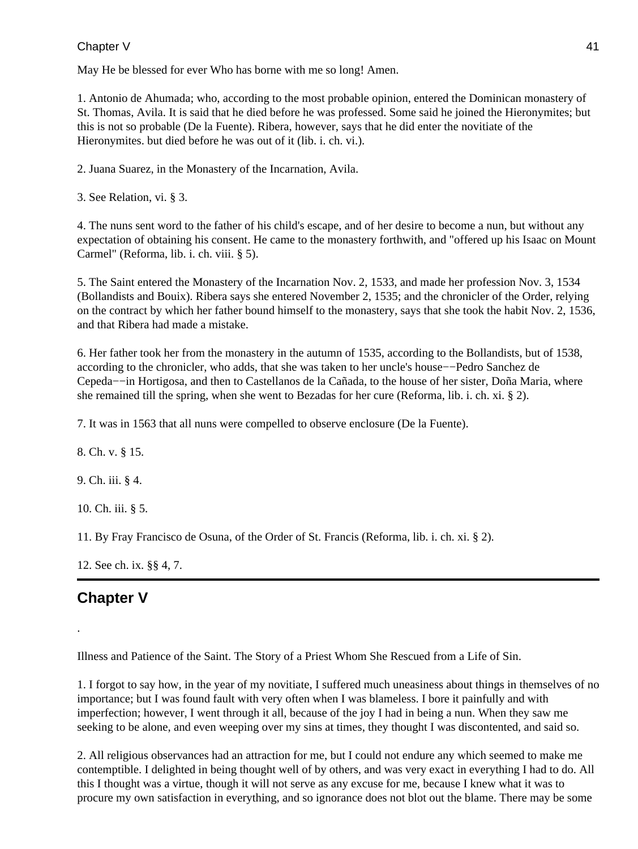#### Chapter V and the contract of the contract of the contract of the contract of the contract of the contract of the contract of the contract of the contract of the contract of the contract of the contract of the contract of

May He be blessed for ever Who has borne with me so long! Amen.

1. Antonio de Ahumada; who, according to the most probable opinion, entered the Dominican monastery of St. Thomas, Avila. It is said that he died before he was professed. Some said he joined the Hieronymites; but this is not so probable (De la Fuente). Ribera, however, says that he did enter the novitiate of the Hieronymites. but died before he was out of it (lib. i. ch. vi.).

2. Juana Suarez, in the Monastery of the Incarnation, Avila.

3. See Relation, vi. § 3.

4. The nuns sent word to the father of his child's escape, and of her desire to become a nun, but without any expectation of obtaining his consent. He came to the monastery forthwith, and "offered up his Isaac on Mount Carmel" (Reforma, lib. i. ch. viii. § 5).

5. The Saint entered the Monastery of the Incarnation Nov. 2, 1533, and made her profession Nov. 3, 1534 (Bollandists and Bouix). Ribera says she entered November 2, 1535; and the chronicler of the Order, relying on the contract by which her father bound himself to the monastery, says that she took the habit Nov. 2, 1536, and that Ribera had made a mistake.

6. Her father took her from the monastery in the autumn of 1535, according to the Bollandists, but of 1538, according to the chronicler, who adds, that she was taken to her uncle's house−−Pedro Sanchez de Cepeda−−in Hortigosa, and then to Castellanos de la Cañada, to the house of her sister, Doña Maria, where she remained till the spring, when she went to Bezadas for her cure (Reforma, lib. i. ch. xi. § 2).

7. It was in 1563 that all nuns were compelled to observe enclosure (De la Fuente).

8. Ch. v. § 15.

9. Ch. iii. § 4.

10. Ch. iii. § 5.

11. By Fray Francisco de Osuna, of the Order of St. Francis (Reforma, lib. i. ch. xi. § 2).

12. See ch. ix. §§ 4, 7.

## **Chapter V**

.

Illness and Patience of the Saint. The Story of a Priest Whom She Rescued from a Life of Sin.

1. I forgot to say how, in the year of my novitiate, I suffered much uneasiness about things in themselves of no importance; but I was found fault with very often when I was blameless. I bore it painfully and with imperfection; however, I went through it all, because of the joy I had in being a nun. When they saw me seeking to be alone, and even weeping over my sins at times, they thought I was discontented, and said so.

2. All religious observances had an attraction for me, but I could not endure any which seemed to make me contemptible. I delighted in being thought well of by others, and was very exact in everything I had to do. All this I thought was a virtue, though it will not serve as any excuse for me, because I knew what it was to procure my own satisfaction in everything, and so ignorance does not blot out the blame. There may be some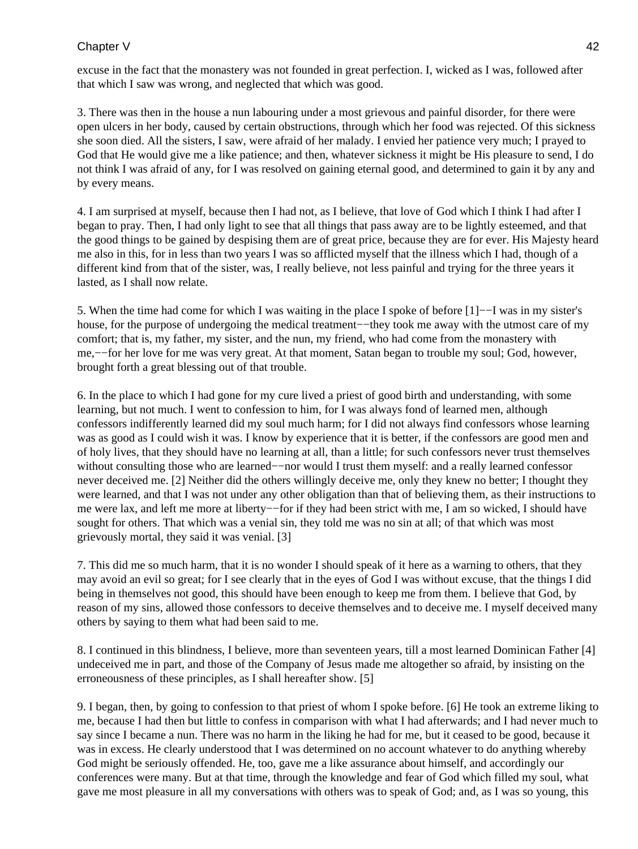## Chapter V 42

excuse in the fact that the monastery was not founded in great perfection. I, wicked as I was, followed after that which I saw was wrong, and neglected that which was good.

3. There was then in the house a nun labouring under a most grievous and painful disorder, for there were open ulcers in her body, caused by certain obstructions, through which her food was rejected. Of this sickness she soon died. All the sisters, I saw, were afraid of her malady. I envied her patience very much; I prayed to God that He would give me a like patience; and then, whatever sickness it might be His pleasure to send, I do not think I was afraid of any, for I was resolved on gaining eternal good, and determined to gain it by any and by every means.

4. I am surprised at myself, because then I had not, as I believe, that love of God which I think I had after I began to pray. Then, I had only light to see that all things that pass away are to be lightly esteemed, and that the good things to be gained by despising them are of great price, because they are for ever. His Majesty heard me also in this, for in less than two years I was so afflicted myself that the illness which I had, though of a different kind from that of the sister, was, I really believe, not less painful and trying for the three years it lasted, as I shall now relate.

5. When the time had come for which I was waiting in the place I spoke of before [1]−−I was in my sister's house, for the purpose of undergoing the medical treatment−−they took me away with the utmost care of my comfort; that is, my father, my sister, and the nun, my friend, who had come from the monastery with me,−−for her love for me was very great. At that moment, Satan began to trouble my soul; God, however, brought forth a great blessing out of that trouble.

6. In the place to which I had gone for my cure lived a priest of good birth and understanding, with some learning, but not much. I went to confession to him, for I was always fond of learned men, although confessors indifferently learned did my soul much harm; for I did not always find confessors whose learning was as good as I could wish it was. I know by experience that it is better, if the confessors are good men and of holy lives, that they should have no learning at all, than a little; for such confessors never trust themselves without consulting those who are learned–−nor would I trust them myself: and a really learned confessor never deceived me. [2] Neither did the others willingly deceive me, only they knew no better; I thought they were learned, and that I was not under any other obligation than that of believing them, as their instructions to me were lax, and left me more at liberty−−for if they had been strict with me, I am so wicked, I should have sought for others. That which was a venial sin, they told me was no sin at all; of that which was most grievously mortal, they said it was venial. [3]

7. This did me so much harm, that it is no wonder I should speak of it here as a warning to others, that they may avoid an evil so great; for I see clearly that in the eyes of God I was without excuse, that the things I did being in themselves not good, this should have been enough to keep me from them. I believe that God, by reason of my sins, allowed those confessors to deceive themselves and to deceive me. I myself deceived many others by saying to them what had been said to me.

8. I continued in this blindness, I believe, more than seventeen years, till a most learned Dominican Father [4] undeceived me in part, and those of the Company of Jesus made me altogether so afraid, by insisting on the erroneousness of these principles, as I shall hereafter show. [5]

9. I began, then, by going to confession to that priest of whom I spoke before. [6] He took an extreme liking to me, because I had then but little to confess in comparison with what I had afterwards; and I had never much to say since I became a nun. There was no harm in the liking he had for me, but it ceased to be good, because it was in excess. He clearly understood that I was determined on no account whatever to do anything whereby God might be seriously offended. He, too, gave me a like assurance about himself, and accordingly our conferences were many. But at that time, through the knowledge and fear of God which filled my soul, what gave me most pleasure in all my conversations with others was to speak of God; and, as I was so young, this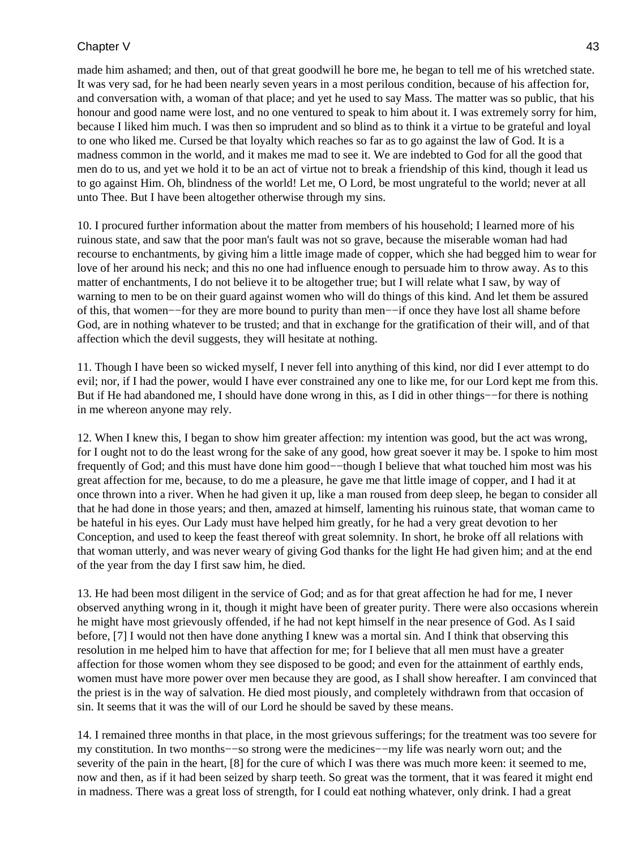### Chapter V 43

made him ashamed; and then, out of that great goodwill he bore me, he began to tell me of his wretched state. It was very sad, for he had been nearly seven years in a most perilous condition, because of his affection for, and conversation with, a woman of that place; and yet he used to say Mass. The matter was so public, that his honour and good name were lost, and no one ventured to speak to him about it. I was extremely sorry for him, because I liked him much. I was then so imprudent and so blind as to think it a virtue to be grateful and loyal to one who liked me. Cursed be that loyalty which reaches so far as to go against the law of God. It is a madness common in the world, and it makes me mad to see it. We are indebted to God for all the good that men do to us, and yet we hold it to be an act of virtue not to break a friendship of this kind, though it lead us to go against Him. Oh, blindness of the world! Let me, O Lord, be most ungrateful to the world; never at all unto Thee. But I have been altogether otherwise through my sins.

10. I procured further information about the matter from members of his household; I learned more of his ruinous state, and saw that the poor man's fault was not so grave, because the miserable woman had had recourse to enchantments, by giving him a little image made of copper, which she had begged him to wear for love of her around his neck; and this no one had influence enough to persuade him to throw away. As to this matter of enchantments, I do not believe it to be altogether true; but I will relate what I saw, by way of warning to men to be on their guard against women who will do things of this kind. And let them be assured of this, that women−−for they are more bound to purity than men−−if once they have lost all shame before God, are in nothing whatever to be trusted; and that in exchange for the gratification of their will, and of that affection which the devil suggests, they will hesitate at nothing.

11. Though I have been so wicked myself, I never fell into anything of this kind, nor did I ever attempt to do evil; nor, if I had the power, would I have ever constrained any one to like me, for our Lord kept me from this. But if He had abandoned me, I should have done wrong in this, as I did in other things−−for there is nothing in me whereon anyone may rely.

12. When I knew this, I began to show him greater affection: my intention was good, but the act was wrong, for I ought not to do the least wrong for the sake of any good, how great soever it may be. I spoke to him most frequently of God; and this must have done him good−−though I believe that what touched him most was his great affection for me, because, to do me a pleasure, he gave me that little image of copper, and I had it at once thrown into a river. When he had given it up, like a man roused from deep sleep, he began to consider all that he had done in those years; and then, amazed at himself, lamenting his ruinous state, that woman came to be hateful in his eyes. Our Lady must have helped him greatly, for he had a very great devotion to her Conception, and used to keep the feast thereof with great solemnity. In short, he broke off all relations with that woman utterly, and was never weary of giving God thanks for the light He had given him; and at the end of the year from the day I first saw him, he died.

13. He had been most diligent in the service of God; and as for that great affection he had for me, I never observed anything wrong in it, though it might have been of greater purity. There were also occasions wherein he might have most grievously offended, if he had not kept himself in the near presence of God. As I said before, [7] I would not then have done anything I knew was a mortal sin. And I think that observing this resolution in me helped him to have that affection for me; for I believe that all men must have a greater affection for those women whom they see disposed to be good; and even for the attainment of earthly ends, women must have more power over men because they are good, as I shall show hereafter. I am convinced that the priest is in the way of salvation. He died most piously, and completely withdrawn from that occasion of sin. It seems that it was the will of our Lord he should be saved by these means.

14. I remained three months in that place, in the most grievous sufferings; for the treatment was too severe for my constitution. In two months−−so strong were the medicines−−my life was nearly worn out; and the severity of the pain in the heart, [8] for the cure of which I was there was much more keen: it seemed to me, now and then, as if it had been seized by sharp teeth. So great was the torment, that it was feared it might end in madness. There was a great loss of strength, for I could eat nothing whatever, only drink. I had a great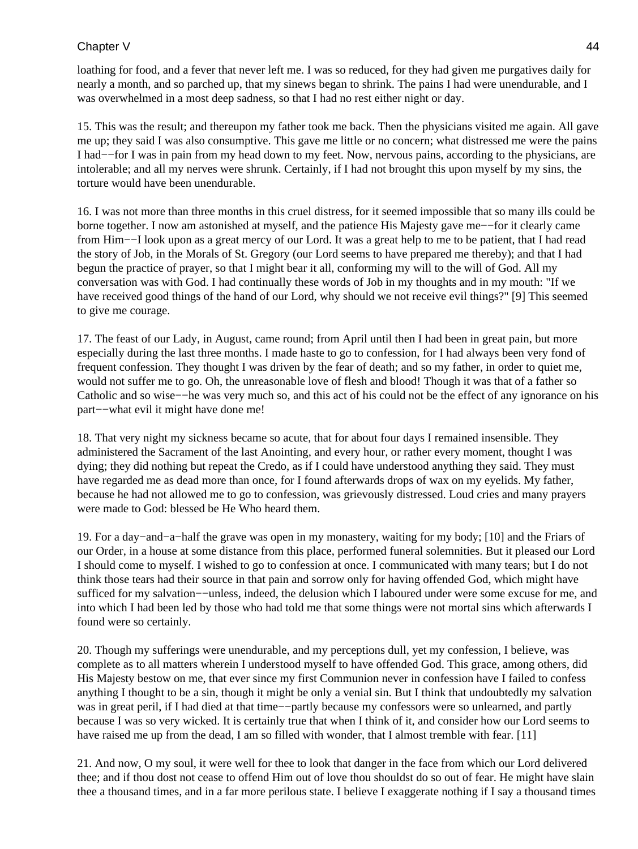## Chapter V 44

loathing for food, and a fever that never left me. I was so reduced, for they had given me purgatives daily for nearly a month, and so parched up, that my sinews began to shrink. The pains I had were unendurable, and I was overwhelmed in a most deep sadness, so that I had no rest either night or day.

15. This was the result; and thereupon my father took me back. Then the physicians visited me again. All gave me up; they said I was also consumptive. This gave me little or no concern; what distressed me were the pains I had−−for I was in pain from my head down to my feet. Now, nervous pains, according to the physicians, are intolerable; and all my nerves were shrunk. Certainly, if I had not brought this upon myself by my sins, the torture would have been unendurable.

16. I was not more than three months in this cruel distress, for it seemed impossible that so many ills could be borne together. I now am astonished at myself, and the patience His Majesty gave me−−for it clearly came from Him−−I look upon as a great mercy of our Lord. It was a great help to me to be patient, that I had read the story of Job, in the Morals of St. Gregory (our Lord seems to have prepared me thereby); and that I had begun the practice of prayer, so that I might bear it all, conforming my will to the will of God. All my conversation was with God. I had continually these words of Job in my thoughts and in my mouth: "If we have received good things of the hand of our Lord, why should we not receive evil things?" [9] This seemed to give me courage.

17. The feast of our Lady, in August, came round; from April until then I had been in great pain, but more especially during the last three months. I made haste to go to confession, for I had always been very fond of frequent confession. They thought I was driven by the fear of death; and so my father, in order to quiet me, would not suffer me to go. Oh, the unreasonable love of flesh and blood! Though it was that of a father so Catholic and so wise−−he was very much so, and this act of his could not be the effect of any ignorance on his part−−what evil it might have done me!

18. That very night my sickness became so acute, that for about four days I remained insensible. They administered the Sacrament of the last Anointing, and every hour, or rather every moment, thought I was dying; they did nothing but repeat the Credo, as if I could have understood anything they said. They must have regarded me as dead more than once, for I found afterwards drops of wax on my eyelids. My father, because he had not allowed me to go to confession, was grievously distressed. Loud cries and many prayers were made to God: blessed be He Who heard them.

19. For a day−and−a−half the grave was open in my monastery, waiting for my body; [10] and the Friars of our Order, in a house at some distance from this place, performed funeral solemnities. But it pleased our Lord I should come to myself. I wished to go to confession at once. I communicated with many tears; but I do not think those tears had their source in that pain and sorrow only for having offended God, which might have sufficed for my salvation−−unless, indeed, the delusion which I laboured under were some excuse for me, and into which I had been led by those who had told me that some things were not mortal sins which afterwards I found were so certainly.

20. Though my sufferings were unendurable, and my perceptions dull, yet my confession, I believe, was complete as to all matters wherein I understood myself to have offended God. This grace, among others, did His Majesty bestow on me, that ever since my first Communion never in confession have I failed to confess anything I thought to be a sin, though it might be only a venial sin. But I think that undoubtedly my salvation was in great peril, if I had died at that time−−partly because my confessors were so unlearned, and partly because I was so very wicked. It is certainly true that when I think of it, and consider how our Lord seems to have raised me up from the dead, I am so filled with wonder, that I almost tremble with fear. [11]

21. And now, O my soul, it were well for thee to look that danger in the face from which our Lord delivered thee; and if thou dost not cease to offend Him out of love thou shouldst do so out of fear. He might have slain thee a thousand times, and in a far more perilous state. I believe I exaggerate nothing if I say a thousand times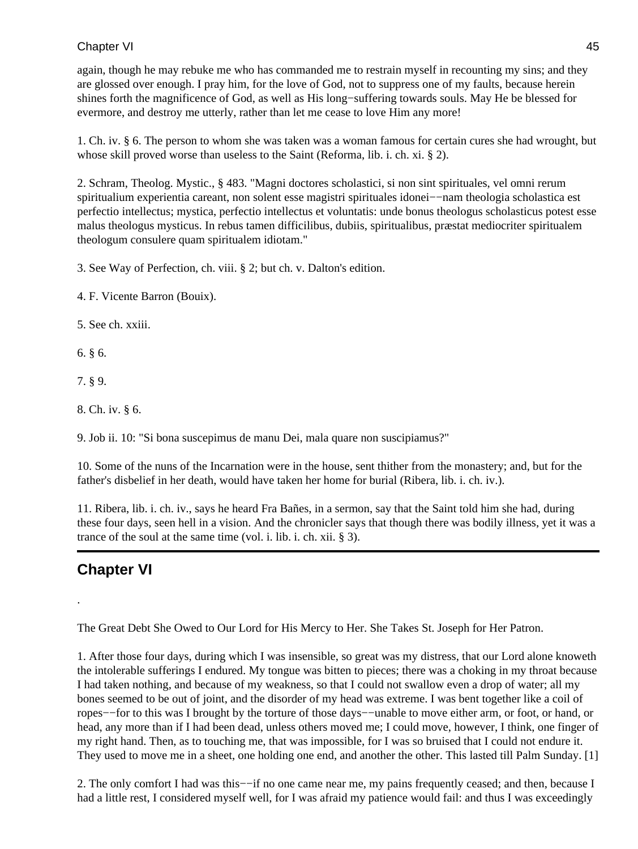again, though he may rebuke me who has commanded me to restrain myself in recounting my sins; and they are glossed over enough. I pray him, for the love of God, not to suppress one of my faults, because herein shines forth the magnificence of God, as well as His long−suffering towards souls. May He be blessed for evermore, and destroy me utterly, rather than let me cease to love Him any more!

1. Ch. iv. § 6. The person to whom she was taken was a woman famous for certain cures she had wrought, but whose skill proved worse than useless to the Saint (Reforma, lib. i. ch. xi. § 2).

2. Schram, Theolog. Mystic., § 483. "Magni doctores scholastici, si non sint spirituales, vel omni rerum spiritualium experientia careant, non solent esse magistri spirituales idonei−−nam theologia scholastica est perfectio intellectus; mystica, perfectio intellectus et voluntatis: unde bonus theologus scholasticus potest esse malus theologus mysticus. In rebus tamen difficilibus, dubiis, spiritualibus, præstat mediocriter spiritualem theologum consulere quam spiritualem idiotam."

3. See Way of Perfection, ch. viii. § 2; but ch. v. Dalton's edition.

4. F. Vicente Barron (Bouix).

5. See ch. xxiii.

6. § 6.

7. § 9.

8. Ch. iv. § 6.

9. Job ii. 10: "Si bona suscepimus de manu Dei, mala quare non suscipiamus?"

10. Some of the nuns of the Incarnation were in the house, sent thither from the monastery; and, but for the father's disbelief in her death, would have taken her home for burial (Ribera, lib. i. ch. iv.).

11. Ribera, lib. i. ch. iv., says he heard Fra Bañes, in a sermon, say that the Saint told him she had, during these four days, seen hell in a vision. And the chronicler says that though there was bodily illness, yet it was a trance of the soul at the same time (vol. i. lib. i. ch. xii. § 3).

# **Chapter VI**

.

The Great Debt She Owed to Our Lord for His Mercy to Her. She Takes St. Joseph for Her Patron.

1. After those four days, during which I was insensible, so great was my distress, that our Lord alone knoweth the intolerable sufferings I endured. My tongue was bitten to pieces; there was a choking in my throat because I had taken nothing, and because of my weakness, so that I could not swallow even a drop of water; all my bones seemed to be out of joint, and the disorder of my head was extreme. I was bent together like a coil of ropes−−for to this was I brought by the torture of those days−−unable to move either arm, or foot, or hand, or head, any more than if I had been dead, unless others moved me; I could move, however, I think, one finger of my right hand. Then, as to touching me, that was impossible, for I was so bruised that I could not endure it. They used to move me in a sheet, one holding one end, and another the other. This lasted till Palm Sunday. [1]

2. The only comfort I had was this-−if no one came near me, my pains frequently ceased; and then, because I had a little rest, I considered myself well, for I was afraid my patience would fail: and thus I was exceedingly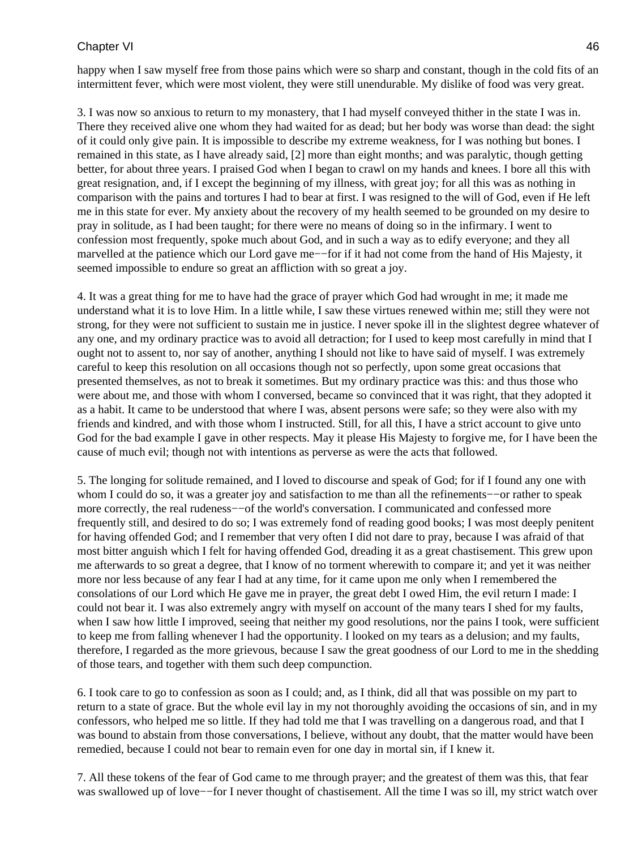happy when I saw myself free from those pains which were so sharp and constant, though in the cold fits of an intermittent fever, which were most violent, they were still unendurable. My dislike of food was very great.

3. I was now so anxious to return to my monastery, that I had myself conveyed thither in the state I was in. There they received alive one whom they had waited for as dead; but her body was worse than dead: the sight of it could only give pain. It is impossible to describe my extreme weakness, for I was nothing but bones. I remained in this state, as I have already said, [2] more than eight months; and was paralytic, though getting better, for about three years. I praised God when I began to crawl on my hands and knees. I bore all this with great resignation, and, if I except the beginning of my illness, with great joy; for all this was as nothing in comparison with the pains and tortures I had to bear at first. I was resigned to the will of God, even if He left me in this state for ever. My anxiety about the recovery of my health seemed to be grounded on my desire to pray in solitude, as I had been taught; for there were no means of doing so in the infirmary. I went to confession most frequently, spoke much about God, and in such a way as to edify everyone; and they all marvelled at the patience which our Lord gave me−−for if it had not come from the hand of His Majesty, it seemed impossible to endure so great an affliction with so great a joy.

4. It was a great thing for me to have had the grace of prayer which God had wrought in me; it made me understand what it is to love Him. In a little while, I saw these virtues renewed within me; still they were not strong, for they were not sufficient to sustain me in justice. I never spoke ill in the slightest degree whatever of any one, and my ordinary practice was to avoid all detraction; for I used to keep most carefully in mind that I ought not to assent to, nor say of another, anything I should not like to have said of myself. I was extremely careful to keep this resolution on all occasions though not so perfectly, upon some great occasions that presented themselves, as not to break it sometimes. But my ordinary practice was this: and thus those who were about me, and those with whom I conversed, became so convinced that it was right, that they adopted it as a habit. It came to be understood that where I was, absent persons were safe; so they were also with my friends and kindred, and with those whom I instructed. Still, for all this, I have a strict account to give unto God for the bad example I gave in other respects. May it please His Majesty to forgive me, for I have been the cause of much evil; though not with intentions as perverse as were the acts that followed.

5. The longing for solitude remained, and I loved to discourse and speak of God; for if I found any one with whom I could do so, it was a greater joy and satisfaction to me than all the refinements−−or rather to speak more correctly, the real rudeness−−of the world's conversation. I communicated and confessed more frequently still, and desired to do so; I was extremely fond of reading good books; I was most deeply penitent for having offended God; and I remember that very often I did not dare to pray, because I was afraid of that most bitter anguish which I felt for having offended God, dreading it as a great chastisement. This grew upon me afterwards to so great a degree, that I know of no torment wherewith to compare it; and yet it was neither more nor less because of any fear I had at any time, for it came upon me only when I remembered the consolations of our Lord which He gave me in prayer, the great debt I owed Him, the evil return I made: I could not bear it. I was also extremely angry with myself on account of the many tears I shed for my faults, when I saw how little I improved, seeing that neither my good resolutions, nor the pains I took, were sufficient to keep me from falling whenever I had the opportunity. I looked on my tears as a delusion; and my faults, therefore, I regarded as the more grievous, because I saw the great goodness of our Lord to me in the shedding of those tears, and together with them such deep compunction.

6. I took care to go to confession as soon as I could; and, as I think, did all that was possible on my part to return to a state of grace. But the whole evil lay in my not thoroughly avoiding the occasions of sin, and in my confessors, who helped me so little. If they had told me that I was travelling on a dangerous road, and that I was bound to abstain from those conversations, I believe, without any doubt, that the matter would have been remedied, because I could not bear to remain even for one day in mortal sin, if I knew it.

7. All these tokens of the fear of God came to me through prayer; and the greatest of them was this, that fear was swallowed up of love−−for I never thought of chastisement. All the time I was so ill, my strict watch over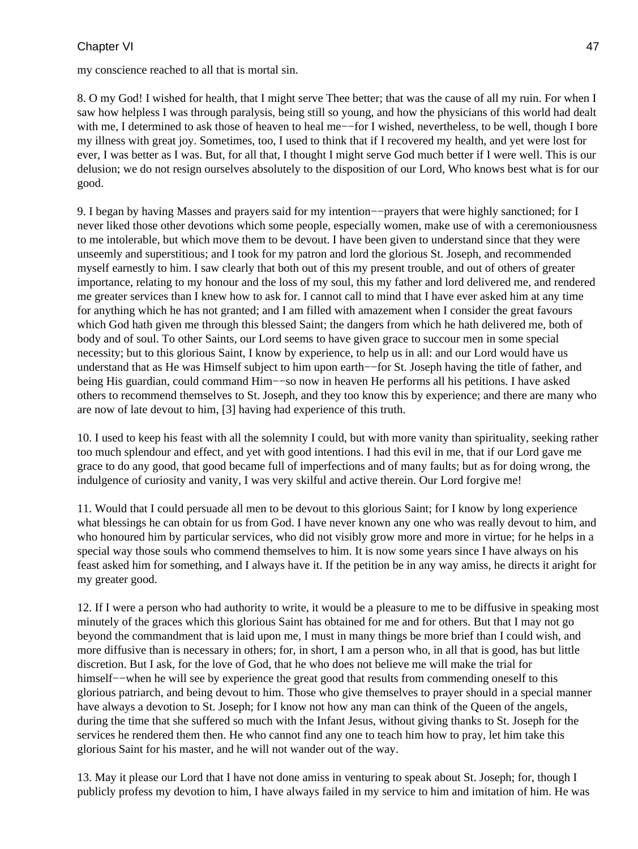my conscience reached to all that is mortal sin.

8. O my God! I wished for health, that I might serve Thee better; that was the cause of all my ruin. For when I saw how helpless I was through paralysis, being still so young, and how the physicians of this world had dealt with me, I determined to ask those of heaven to heal me––for I wished, nevertheless, to be well, though I bore my illness with great joy. Sometimes, too, I used to think that if I recovered my health, and yet were lost for ever, I was better as I was. But, for all that, I thought I might serve God much better if I were well. This is our delusion; we do not resign ourselves absolutely to the disposition of our Lord, Who knows best what is for our good.

9. I began by having Masses and prayers said for my intention−−prayers that were highly sanctioned; for I never liked those other devotions which some people, especially women, make use of with a ceremoniousness to me intolerable, but which move them to be devout. I have been given to understand since that they were unseemly and superstitious; and I took for my patron and lord the glorious St. Joseph, and recommended myself earnestly to him. I saw clearly that both out of this my present trouble, and out of others of greater importance, relating to my honour and the loss of my soul, this my father and lord delivered me, and rendered me greater services than I knew how to ask for. I cannot call to mind that I have ever asked him at any time for anything which he has not granted; and I am filled with amazement when I consider the great favours which God hath given me through this blessed Saint; the dangers from which he hath delivered me, both of body and of soul. To other Saints, our Lord seems to have given grace to succour men in some special necessity; but to this glorious Saint, I know by experience, to help us in all: and our Lord would have us understand that as He was Himself subject to him upon earth−−for St. Joseph having the title of father, and being His guardian, could command Him−−so now in heaven He performs all his petitions. I have asked others to recommend themselves to St. Joseph, and they too know this by experience; and there are many who are now of late devout to him, [3] having had experience of this truth.

10. I used to keep his feast with all the solemnity I could, but with more vanity than spirituality, seeking rather too much splendour and effect, and yet with good intentions. I had this evil in me, that if our Lord gave me grace to do any good, that good became full of imperfections and of many faults; but as for doing wrong, the indulgence of curiosity and vanity, I was very skilful and active therein. Our Lord forgive me!

11. Would that I could persuade all men to be devout to this glorious Saint; for I know by long experience what blessings he can obtain for us from God. I have never known any one who was really devout to him, and who honoured him by particular services, who did not visibly grow more and more in virtue; for he helps in a special way those souls who commend themselves to him. It is now some years since I have always on his feast asked him for something, and I always have it. If the petition be in any way amiss, he directs it aright for my greater good.

12. If I were a person who had authority to write, it would be a pleasure to me to be diffusive in speaking most minutely of the graces which this glorious Saint has obtained for me and for others. But that I may not go beyond the commandment that is laid upon me, I must in many things be more brief than I could wish, and more diffusive than is necessary in others; for, in short, I am a person who, in all that is good, has but little discretion. But I ask, for the love of God, that he who does not believe me will make the trial for himself−−when he will see by experience the great good that results from commending oneself to this glorious patriarch, and being devout to him. Those who give themselves to prayer should in a special manner have always a devotion to St. Joseph; for I know not how any man can think of the Queen of the angels, during the time that she suffered so much with the Infant Jesus, without giving thanks to St. Joseph for the services he rendered them then. He who cannot find any one to teach him how to pray, let him take this glorious Saint for his master, and he will not wander out of the way.

13. May it please our Lord that I have not done amiss in venturing to speak about St. Joseph; for, though I publicly profess my devotion to him, I have always failed in my service to him and imitation of him. He was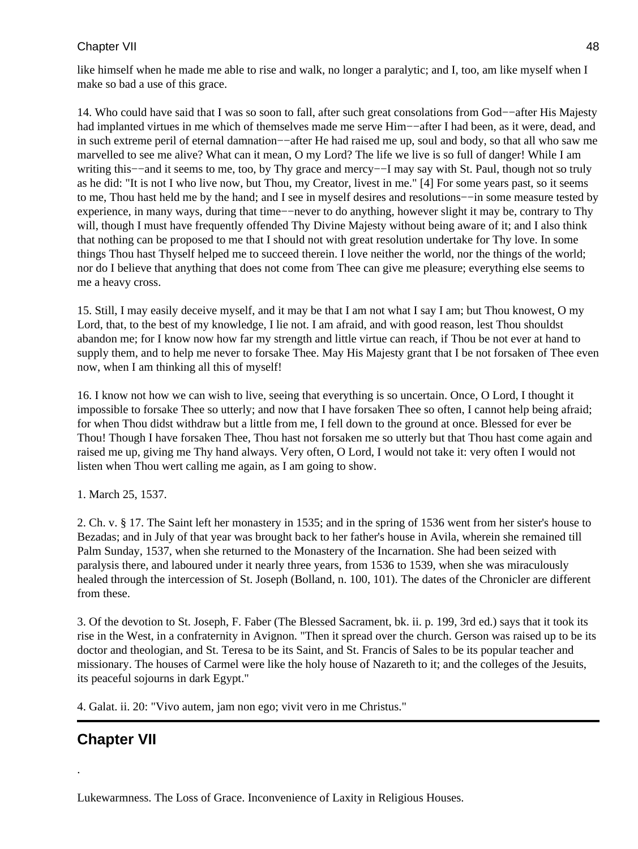like himself when he made me able to rise and walk, no longer a paralytic; and I, too, am like myself when I make so bad a use of this grace.

14. Who could have said that I was so soon to fall, after such great consolations from God−−after His Majesty had implanted virtues in me which of themselves made me serve Him−−after I had been, as it were, dead, and in such extreme peril of eternal damnation−−after He had raised me up, soul and body, so that all who saw me marvelled to see me alive? What can it mean, O my Lord? The life we live is so full of danger! While I am writing this−−and it seems to me, too, by Thy grace and mercy−−I may say with St. Paul, though not so truly as he did: "It is not I who live now, but Thou, my Creator, livest in me." [4] For some years past, so it seems to me, Thou hast held me by the hand; and I see in myself desires and resolutions−−in some measure tested by experience, in many ways, during that time−−never to do anything, however slight it may be, contrary to Thy will, though I must have frequently offended Thy Divine Majesty without being aware of it; and I also think that nothing can be proposed to me that I should not with great resolution undertake for Thy love. In some things Thou hast Thyself helped me to succeed therein. I love neither the world, nor the things of the world; nor do I believe that anything that does not come from Thee can give me pleasure; everything else seems to me a heavy cross.

15. Still, I may easily deceive myself, and it may be that I am not what I say I am; but Thou knowest, O my Lord, that, to the best of my knowledge, I lie not. I am afraid, and with good reason, lest Thou shouldst abandon me; for I know now how far my strength and little virtue can reach, if Thou be not ever at hand to supply them, and to help me never to forsake Thee. May His Majesty grant that I be not forsaken of Thee even now, when I am thinking all this of myself!

16. I know not how we can wish to live, seeing that everything is so uncertain. Once, O Lord, I thought it impossible to forsake Thee so utterly; and now that I have forsaken Thee so often, I cannot help being afraid; for when Thou didst withdraw but a little from me, I fell down to the ground at once. Blessed for ever be Thou! Though I have forsaken Thee, Thou hast not forsaken me so utterly but that Thou hast come again and raised me up, giving me Thy hand always. Very often, O Lord, I would not take it: very often I would not listen when Thou wert calling me again, as I am going to show.

1. March 25, 1537.

2. Ch. v. § 17. The Saint left her monastery in 1535; and in the spring of 1536 went from her sister's house to Bezadas; and in July of that year was brought back to her father's house in Avila, wherein she remained till Palm Sunday, 1537, when she returned to the Monastery of the Incarnation. She had been seized with paralysis there, and laboured under it nearly three years, from 1536 to 1539, when she was miraculously healed through the intercession of St. Joseph (Bolland, n. 100, 101). The dates of the Chronicler are different from these.

3. Of the devotion to St. Joseph, F. Faber (The Blessed Sacrament, bk. ii. p. 199, 3rd ed.) says that it took its rise in the West, in a confraternity in Avignon. "Then it spread over the church. Gerson was raised up to be its doctor and theologian, and St. Teresa to be its Saint, and St. Francis of Sales to be its popular teacher and missionary. The houses of Carmel were like the holy house of Nazareth to it; and the colleges of the Jesuits, its peaceful sojourns in dark Egypt."

4. Galat. ii. 20: "Vivo autem, jam non ego; vivit vero in me Christus."

# **Chapter VII**

.

Lukewarmness. The Loss of Grace. Inconvenience of Laxity in Religious Houses.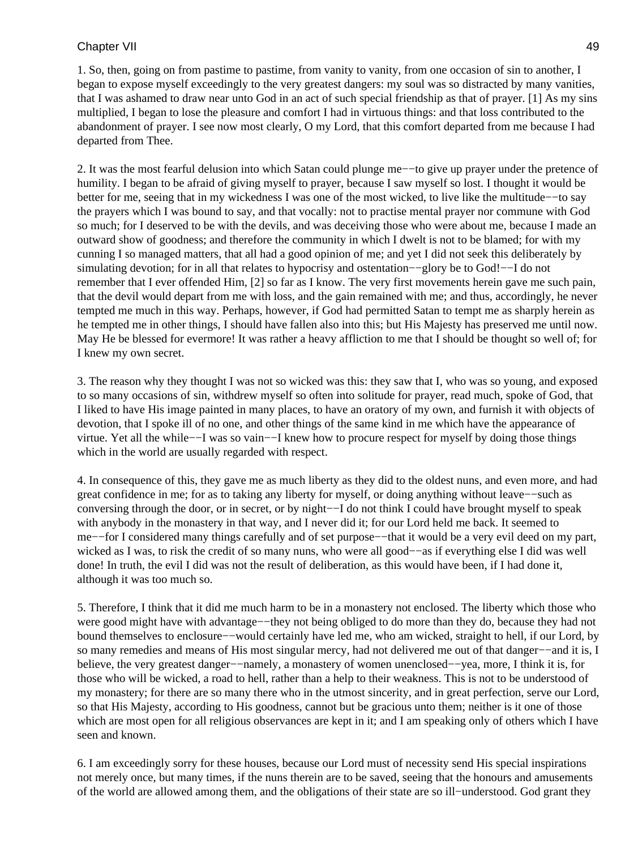1. So, then, going on from pastime to pastime, from vanity to vanity, from one occasion of sin to another, I began to expose myself exceedingly to the very greatest dangers: my soul was so distracted by many vanities, that I was ashamed to draw near unto God in an act of such special friendship as that of prayer. [1] As my sins multiplied, I began to lose the pleasure and comfort I had in virtuous things: and that loss contributed to the abandonment of prayer. I see now most clearly, O my Lord, that this comfort departed from me because I had departed from Thee.

2. It was the most fearful delusion into which Satan could plunge me−−to give up prayer under the pretence of humility. I began to be afraid of giving myself to prayer, because I saw myself so lost. I thought it would be better for me, seeing that in my wickedness I was one of the most wicked, to live like the multitude−−to say the prayers which I was bound to say, and that vocally: not to practise mental prayer nor commune with God so much; for I deserved to be with the devils, and was deceiving those who were about me, because I made an outward show of goodness; and therefore the community in which I dwelt is not to be blamed; for with my cunning I so managed matters, that all had a good opinion of me; and yet I did not seek this deliberately by simulating devotion; for in all that relates to hypocrisy and ostentation−−glory be to God!−−I do not remember that I ever offended Him, [2] so far as I know. The very first movements herein gave me such pain, that the devil would depart from me with loss, and the gain remained with me; and thus, accordingly, he never tempted me much in this way. Perhaps, however, if God had permitted Satan to tempt me as sharply herein as he tempted me in other things, I should have fallen also into this; but His Majesty has preserved me until now. May He be blessed for evermore! It was rather a heavy affliction to me that I should be thought so well of; for I knew my own secret.

3. The reason why they thought I was not so wicked was this: they saw that I, who was so young, and exposed to so many occasions of sin, withdrew myself so often into solitude for prayer, read much, spoke of God, that I liked to have His image painted in many places, to have an oratory of my own, and furnish it with objects of devotion, that I spoke ill of no one, and other things of the same kind in me which have the appearance of virtue. Yet all the while−−I was so vain−−I knew how to procure respect for myself by doing those things which in the world are usually regarded with respect.

4. In consequence of this, they gave me as much liberty as they did to the oldest nuns, and even more, and had great confidence in me; for as to taking any liberty for myself, or doing anything without leave−−such as conversing through the door, or in secret, or by night−−I do not think I could have brought myself to speak with anybody in the monastery in that way, and I never did it; for our Lord held me back. It seemed to me−−for I considered many things carefully and of set purpose−−that it would be a very evil deed on my part, wicked as I was, to risk the credit of so many nuns, who were all good−−as if everything else I did was well done! In truth, the evil I did was not the result of deliberation, as this would have been, if I had done it, although it was too much so.

5. Therefore, I think that it did me much harm to be in a monastery not enclosed. The liberty which those who were good might have with advantage−−they not being obliged to do more than they do, because they had not bound themselves to enclosure−−would certainly have led me, who am wicked, straight to hell, if our Lord, by so many remedies and means of His most singular mercy, had not delivered me out of that danger−−and it is, I believe, the very greatest danger−−namely, a monastery of women unenclosed−−yea, more, I think it is, for those who will be wicked, a road to hell, rather than a help to their weakness. This is not to be understood of my monastery; for there are so many there who in the utmost sincerity, and in great perfection, serve our Lord, so that His Majesty, according to His goodness, cannot but be gracious unto them; neither is it one of those which are most open for all religious observances are kept in it; and I am speaking only of others which I have seen and known.

6. I am exceedingly sorry for these houses, because our Lord must of necessity send His special inspirations not merely once, but many times, if the nuns therein are to be saved, seeing that the honours and amusements of the world are allowed among them, and the obligations of their state are so ill−understood. God grant they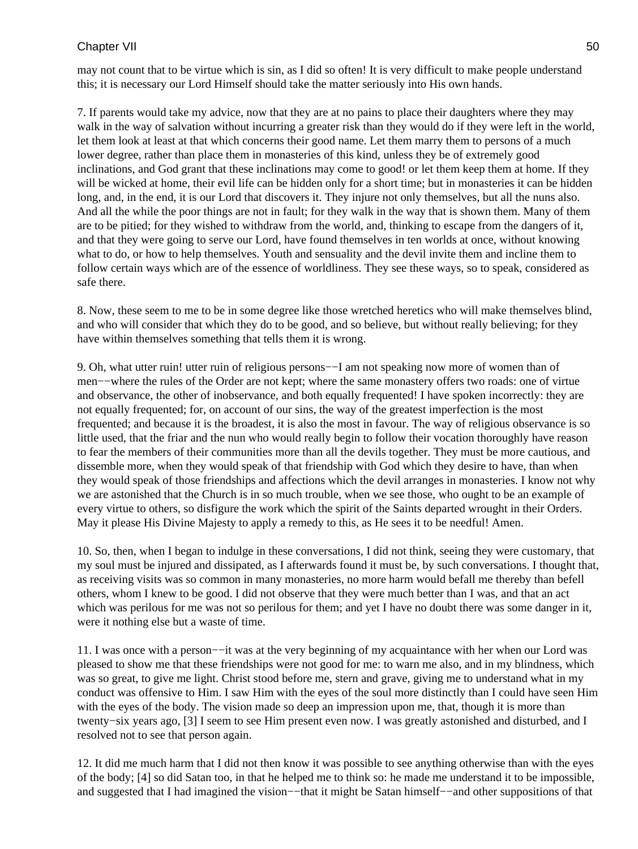may not count that to be virtue which is sin, as I did so often! It is very difficult to make people understand this; it is necessary our Lord Himself should take the matter seriously into His own hands.

7. If parents would take my advice, now that they are at no pains to place their daughters where they may walk in the way of salvation without incurring a greater risk than they would do if they were left in the world, let them look at least at that which concerns their good name. Let them marry them to persons of a much lower degree, rather than place them in monasteries of this kind, unless they be of extremely good inclinations, and God grant that these inclinations may come to good! or let them keep them at home. If they will be wicked at home, their evil life can be hidden only for a short time; but in monasteries it can be hidden long, and, in the end, it is our Lord that discovers it. They injure not only themselves, but all the nuns also. And all the while the poor things are not in fault; for they walk in the way that is shown them. Many of them are to be pitied; for they wished to withdraw from the world, and, thinking to escape from the dangers of it, and that they were going to serve our Lord, have found themselves in ten worlds at once, without knowing what to do, or how to help themselves. Youth and sensuality and the devil invite them and incline them to follow certain ways which are of the essence of worldliness. They see these ways, so to speak, considered as safe there.

8. Now, these seem to me to be in some degree like those wretched heretics who will make themselves blind, and who will consider that which they do to be good, and so believe, but without really believing; for they have within themselves something that tells them it is wrong.

9. Oh, what utter ruin! utter ruin of religious persons−−I am not speaking now more of women than of men−−where the rules of the Order are not kept; where the same monastery offers two roads: one of virtue and observance, the other of inobservance, and both equally frequented! I have spoken incorrectly: they are not equally frequented; for, on account of our sins, the way of the greatest imperfection is the most frequented; and because it is the broadest, it is also the most in favour. The way of religious observance is so little used, that the friar and the nun who would really begin to follow their vocation thoroughly have reason to fear the members of their communities more than all the devils together. They must be more cautious, and dissemble more, when they would speak of that friendship with God which they desire to have, than when they would speak of those friendships and affections which the devil arranges in monasteries. I know not why we are astonished that the Church is in so much trouble, when we see those, who ought to be an example of every virtue to others, so disfigure the work which the spirit of the Saints departed wrought in their Orders. May it please His Divine Majesty to apply a remedy to this, as He sees it to be needful! Amen.

10. So, then, when I began to indulge in these conversations, I did not think, seeing they were customary, that my soul must be injured and dissipated, as I afterwards found it must be, by such conversations. I thought that, as receiving visits was so common in many monasteries, no more harm would befall me thereby than befell others, whom I knew to be good. I did not observe that they were much better than I was, and that an act which was perilous for me was not so perilous for them; and yet I have no doubt there was some danger in it, were it nothing else but a waste of time.

11. I was once with a person−−it was at the very beginning of my acquaintance with her when our Lord was pleased to show me that these friendships were not good for me: to warn me also, and in my blindness, which was so great, to give me light. Christ stood before me, stern and grave, giving me to understand what in my conduct was offensive to Him. I saw Him with the eyes of the soul more distinctly than I could have seen Him with the eyes of the body. The vision made so deep an impression upon me, that, though it is more than twenty−six years ago, [3] I seem to see Him present even now. I was greatly astonished and disturbed, and I resolved not to see that person again.

12. It did me much harm that I did not then know it was possible to see anything otherwise than with the eyes of the body; [4] so did Satan too, in that he helped me to think so: he made me understand it to be impossible, and suggested that I had imagined the vision−−that it might be Satan himself−−and other suppositions of that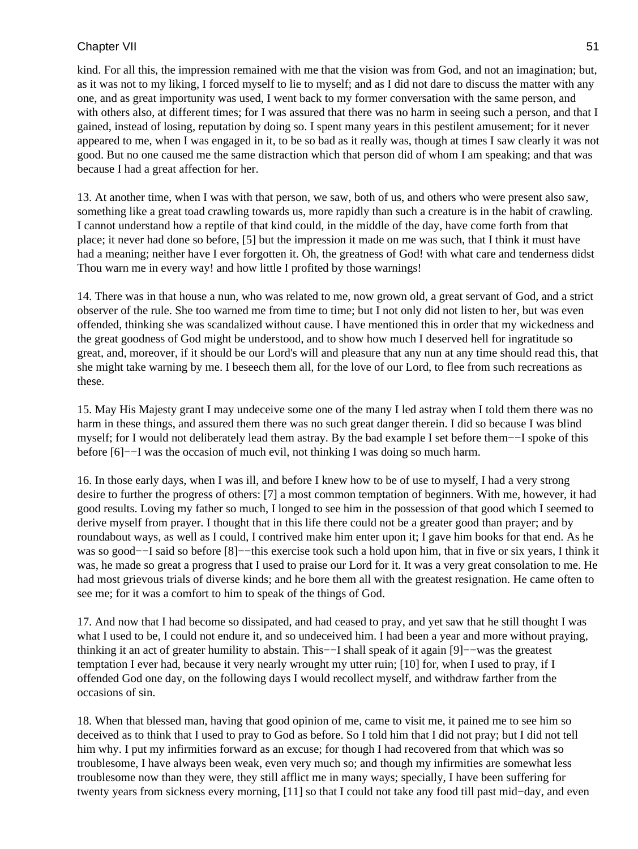kind. For all this, the impression remained with me that the vision was from God, and not an imagination; but, as it was not to my liking, I forced myself to lie to myself; and as I did not dare to discuss the matter with any one, and as great importunity was used, I went back to my former conversation with the same person, and with others also, at different times; for I was assured that there was no harm in seeing such a person, and that I gained, instead of losing, reputation by doing so. I spent many years in this pestilent amusement; for it never appeared to me, when I was engaged in it, to be so bad as it really was, though at times I saw clearly it was not good. But no one caused me the same distraction which that person did of whom I am speaking; and that was because I had a great affection for her.

13. At another time, when I was with that person, we saw, both of us, and others who were present also saw, something like a great toad crawling towards us, more rapidly than such a creature is in the habit of crawling. I cannot understand how a reptile of that kind could, in the middle of the day, have come forth from that place; it never had done so before, [5] but the impression it made on me was such, that I think it must have had a meaning; neither have I ever forgotten it. Oh, the greatness of God! with what care and tenderness didst Thou warn me in every way! and how little I profited by those warnings!

14. There was in that house a nun, who was related to me, now grown old, a great servant of God, and a strict observer of the rule. She too warned me from time to time; but I not only did not listen to her, but was even offended, thinking she was scandalized without cause. I have mentioned this in order that my wickedness and the great goodness of God might be understood, and to show how much I deserved hell for ingratitude so great, and, moreover, if it should be our Lord's will and pleasure that any nun at any time should read this, that she might take warning by me. I beseech them all, for the love of our Lord, to flee from such recreations as these.

15. May His Majesty grant I may undeceive some one of the many I led astray when I told them there was no harm in these things, and assured them there was no such great danger therein. I did so because I was blind myself; for I would not deliberately lead them astray. By the bad example I set before them−−I spoke of this before [6]−−I was the occasion of much evil, not thinking I was doing so much harm.

16. In those early days, when I was ill, and before I knew how to be of use to myself, I had a very strong desire to further the progress of others: [7] a most common temptation of beginners. With me, however, it had good results. Loving my father so much, I longed to see him in the possession of that good which I seemed to derive myself from prayer. I thought that in this life there could not be a greater good than prayer; and by roundabout ways, as well as I could, I contrived make him enter upon it; I gave him books for that end. As he was so good−−I said so before [8]−−this exercise took such a hold upon him, that in five or six years, I think it was, he made so great a progress that I used to praise our Lord for it. It was a very great consolation to me. He had most grievous trials of diverse kinds; and he bore them all with the greatest resignation. He came often to see me; for it was a comfort to him to speak of the things of God.

17. And now that I had become so dissipated, and had ceased to pray, and yet saw that he still thought I was what I used to be, I could not endure it, and so undeceived him. I had been a year and more without praying, thinking it an act of greater humility to abstain. This−−I shall speak of it again [9]−−was the greatest temptation I ever had, because it very nearly wrought my utter ruin; [10] for, when I used to pray, if I offended God one day, on the following days I would recollect myself, and withdraw farther from the occasions of sin.

18. When that blessed man, having that good opinion of me, came to visit me, it pained me to see him so deceived as to think that I used to pray to God as before. So I told him that I did not pray; but I did not tell him why. I put my infirmities forward as an excuse; for though I had recovered from that which was so troublesome, I have always been weak, even very much so; and though my infirmities are somewhat less troublesome now than they were, they still afflict me in many ways; specially, I have been suffering for twenty years from sickness every morning, [11] so that I could not take any food till past mid−day, and even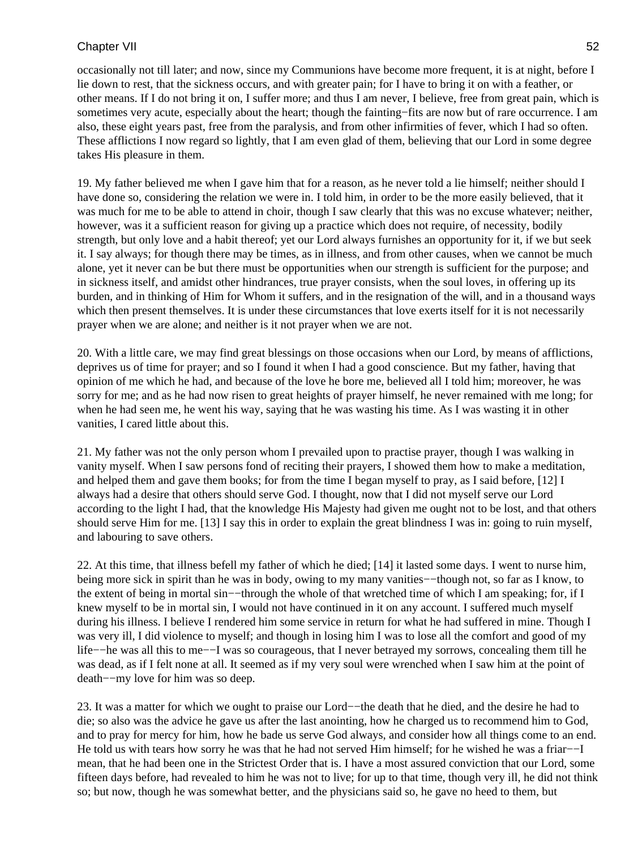occasionally not till later; and now, since my Communions have become more frequent, it is at night, before I lie down to rest, that the sickness occurs, and with greater pain; for I have to bring it on with a feather, or other means. If I do not bring it on, I suffer more; and thus I am never, I believe, free from great pain, which is sometimes very acute, especially about the heart; though the fainting−fits are now but of rare occurrence. I am also, these eight years past, free from the paralysis, and from other infirmities of fever, which I had so often. These afflictions I now regard so lightly, that I am even glad of them, believing that our Lord in some degree takes His pleasure in them.

19. My father believed me when I gave him that for a reason, as he never told a lie himself; neither should I have done so, considering the relation we were in. I told him, in order to be the more easily believed, that it was much for me to be able to attend in choir, though I saw clearly that this was no excuse whatever; neither, however, was it a sufficient reason for giving up a practice which does not require, of necessity, bodily strength, but only love and a habit thereof; yet our Lord always furnishes an opportunity for it, if we but seek it. I say always; for though there may be times, as in illness, and from other causes, when we cannot be much alone, yet it never can be but there must be opportunities when our strength is sufficient for the purpose; and in sickness itself, and amidst other hindrances, true prayer consists, when the soul loves, in offering up its burden, and in thinking of Him for Whom it suffers, and in the resignation of the will, and in a thousand ways which then present themselves. It is under these circumstances that love exerts itself for it is not necessarily prayer when we are alone; and neither is it not prayer when we are not.

20. With a little care, we may find great blessings on those occasions when our Lord, by means of afflictions, deprives us of time for prayer; and so I found it when I had a good conscience. But my father, having that opinion of me which he had, and because of the love he bore me, believed all I told him; moreover, he was sorry for me; and as he had now risen to great heights of prayer himself, he never remained with me long; for when he had seen me, he went his way, saying that he was wasting his time. As I was wasting it in other vanities, I cared little about this.

21. My father was not the only person whom I prevailed upon to practise prayer, though I was walking in vanity myself. When I saw persons fond of reciting their prayers, I showed them how to make a meditation, and helped them and gave them books; for from the time I began myself to pray, as I said before, [12] I always had a desire that others should serve God. I thought, now that I did not myself serve our Lord according to the light I had, that the knowledge His Majesty had given me ought not to be lost, and that others should serve Him for me. [13] I say this in order to explain the great blindness I was in: going to ruin myself, and labouring to save others.

22. At this time, that illness befell my father of which he died; [14] it lasted some days. I went to nurse him, being more sick in spirit than he was in body, owing to my many vanities−−though not, so far as I know, to the extent of being in mortal sin−−through the whole of that wretched time of which I am speaking; for, if I knew myself to be in mortal sin, I would not have continued in it on any account. I suffered much myself during his illness. I believe I rendered him some service in return for what he had suffered in mine. Though I was very ill, I did violence to myself; and though in losing him I was to lose all the comfort and good of my life−−he was all this to me−−I was so courageous, that I never betrayed my sorrows, concealing them till he was dead, as if I felt none at all. It seemed as if my very soul were wrenched when I saw him at the point of death−−my love for him was so deep.

23. It was a matter for which we ought to praise our Lord−−the death that he died, and the desire he had to die; so also was the advice he gave us after the last anointing, how he charged us to recommend him to God, and to pray for mercy for him, how he bade us serve God always, and consider how all things come to an end. He told us with tears how sorry he was that he had not served Him himself; for he wished he was a friar−−I mean, that he had been one in the Strictest Order that is. I have a most assured conviction that our Lord, some fifteen days before, had revealed to him he was not to live; for up to that time, though very ill, he did not think so; but now, though he was somewhat better, and the physicians said so, he gave no heed to them, but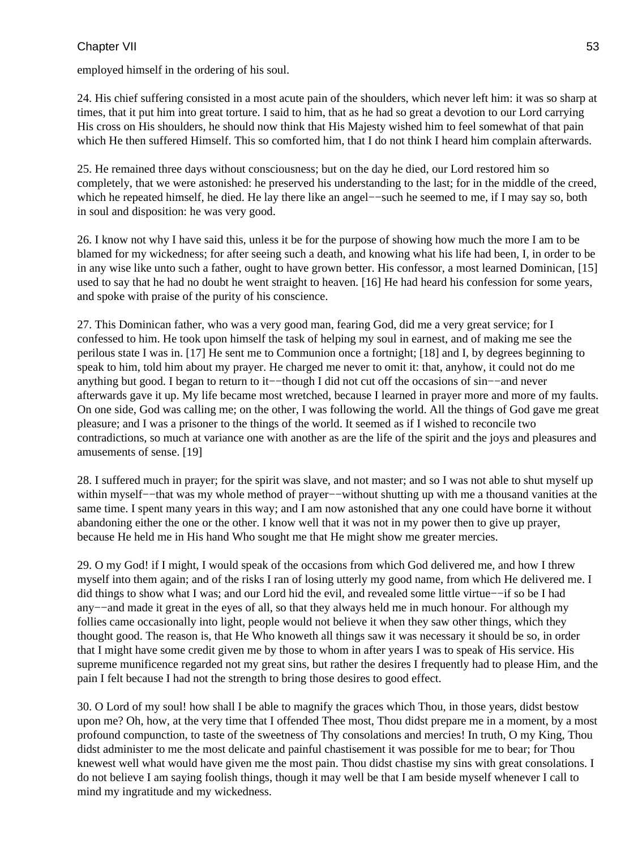employed himself in the ordering of his soul.

24. His chief suffering consisted in a most acute pain of the shoulders, which never left him: it was so sharp at times, that it put him into great torture. I said to him, that as he had so great a devotion to our Lord carrying His cross on His shoulders, he should now think that His Majesty wished him to feel somewhat of that pain which He then suffered Himself. This so comforted him, that I do not think I heard him complain afterwards.

25. He remained three days without consciousness; but on the day he died, our Lord restored him so completely, that we were astonished: he preserved his understanding to the last; for in the middle of the creed, which he repeated himself, he died. He lay there like an angel−−such he seemed to me, if I may say so, both in soul and disposition: he was very good.

26. I know not why I have said this, unless it be for the purpose of showing how much the more I am to be blamed for my wickedness; for after seeing such a death, and knowing what his life had been, I, in order to be in any wise like unto such a father, ought to have grown better. His confessor, a most learned Dominican, [15] used to say that he had no doubt he went straight to heaven. [16] He had heard his confession for some years, and spoke with praise of the purity of his conscience.

27. This Dominican father, who was a very good man, fearing God, did me a very great service; for I confessed to him. He took upon himself the task of helping my soul in earnest, and of making me see the perilous state I was in. [17] He sent me to Communion once a fortnight; [18] and I, by degrees beginning to speak to him, told him about my prayer. He charged me never to omit it: that, anyhow, it could not do me anything but good. I began to return to it−−though I did not cut off the occasions of sin−−and never afterwards gave it up. My life became most wretched, because I learned in prayer more and more of my faults. On one side, God was calling me; on the other, I was following the world. All the things of God gave me great pleasure; and I was a prisoner to the things of the world. It seemed as if I wished to reconcile two contradictions, so much at variance one with another as are the life of the spirit and the joys and pleasures and amusements of sense. [19]

28. I suffered much in prayer; for the spirit was slave, and not master; and so I was not able to shut myself up within myself−−that was my whole method of prayer−−without shutting up with me a thousand vanities at the same time. I spent many years in this way; and I am now astonished that any one could have borne it without abandoning either the one or the other. I know well that it was not in my power then to give up prayer, because He held me in His hand Who sought me that He might show me greater mercies.

29. O my God! if I might, I would speak of the occasions from which God delivered me, and how I threw myself into them again; and of the risks I ran of losing utterly my good name, from which He delivered me. I did things to show what I was; and our Lord hid the evil, and revealed some little virtue−−if so be I had any−−and made it great in the eyes of all, so that they always held me in much honour. For although my follies came occasionally into light, people would not believe it when they saw other things, which they thought good. The reason is, that He Who knoweth all things saw it was necessary it should be so, in order that I might have some credit given me by those to whom in after years I was to speak of His service. His supreme munificence regarded not my great sins, but rather the desires I frequently had to please Him, and the pain I felt because I had not the strength to bring those desires to good effect.

30. O Lord of my soul! how shall I be able to magnify the graces which Thou, in those years, didst bestow upon me? Oh, how, at the very time that I offended Thee most, Thou didst prepare me in a moment, by a most profound compunction, to taste of the sweetness of Thy consolations and mercies! In truth, O my King, Thou didst administer to me the most delicate and painful chastisement it was possible for me to bear; for Thou knewest well what would have given me the most pain. Thou didst chastise my sins with great consolations. I do not believe I am saying foolish things, though it may well be that I am beside myself whenever I call to mind my ingratitude and my wickedness.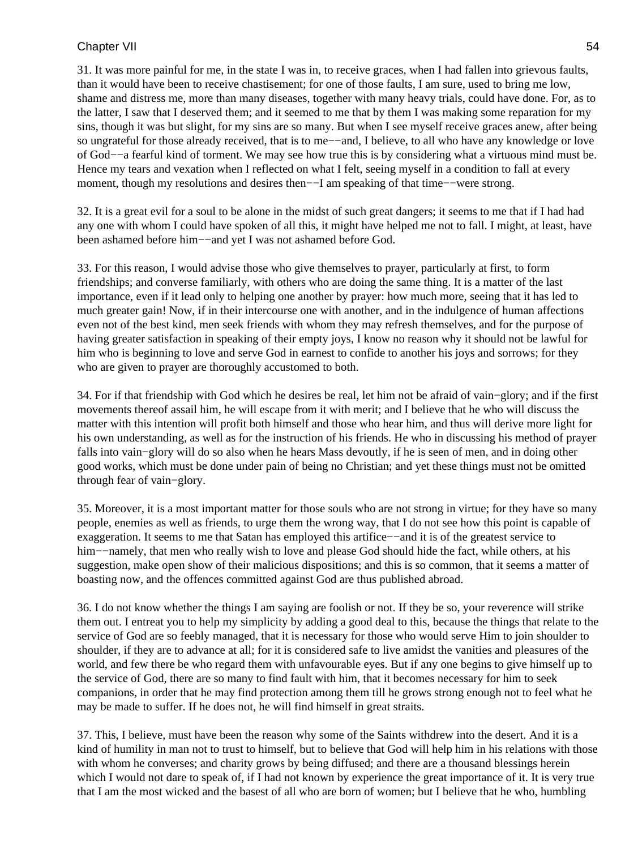31. It was more painful for me, in the state I was in, to receive graces, when I had fallen into grievous faults, than it would have been to receive chastisement; for one of those faults, I am sure, used to bring me low, shame and distress me, more than many diseases, together with many heavy trials, could have done. For, as to the latter, I saw that I deserved them; and it seemed to me that by them I was making some reparation for my sins, though it was but slight, for my sins are so many. But when I see myself receive graces anew, after being so ungrateful for those already received, that is to me—–and, I believe, to all who have any knowledge or love of God−−a fearful kind of torment. We may see how true this is by considering what a virtuous mind must be. Hence my tears and vexation when I reflected on what I felt, seeing myself in a condition to fall at every moment, though my resolutions and desires then−−I am speaking of that time−−were strong.

32. It is a great evil for a soul to be alone in the midst of such great dangers; it seems to me that if I had had any one with whom I could have spoken of all this, it might have helped me not to fall. I might, at least, have been ashamed before him−−and yet I was not ashamed before God.

33. For this reason, I would advise those who give themselves to prayer, particularly at first, to form friendships; and converse familiarly, with others who are doing the same thing. It is a matter of the last importance, even if it lead only to helping one another by prayer: how much more, seeing that it has led to much greater gain! Now, if in their intercourse one with another, and in the indulgence of human affections even not of the best kind, men seek friends with whom they may refresh themselves, and for the purpose of having greater satisfaction in speaking of their empty joys, I know no reason why it should not be lawful for him who is beginning to love and serve God in earnest to confide to another his joys and sorrows; for they who are given to prayer are thoroughly accustomed to both.

34. For if that friendship with God which he desires be real, let him not be afraid of vain−glory; and if the first movements thereof assail him, he will escape from it with merit; and I believe that he who will discuss the matter with this intention will profit both himself and those who hear him, and thus will derive more light for his own understanding, as well as for the instruction of his friends. He who in discussing his method of prayer falls into vain−glory will do so also when he hears Mass devoutly, if he is seen of men, and in doing other good works, which must be done under pain of being no Christian; and yet these things must not be omitted through fear of vain−glory.

35. Moreover, it is a most important matter for those souls who are not strong in virtue; for they have so many people, enemies as well as friends, to urge them the wrong way, that I do not see how this point is capable of exaggeration. It seems to me that Satan has employed this artifice−−and it is of the greatest service to him−−namely, that men who really wish to love and please God should hide the fact, while others, at his suggestion, make open show of their malicious dispositions; and this is so common, that it seems a matter of boasting now, and the offences committed against God are thus published abroad.

36. I do not know whether the things I am saying are foolish or not. If they be so, your reverence will strike them out. I entreat you to help my simplicity by adding a good deal to this, because the things that relate to the service of God are so feebly managed, that it is necessary for those who would serve Him to join shoulder to shoulder, if they are to advance at all; for it is considered safe to live amidst the vanities and pleasures of the world, and few there be who regard them with unfavourable eyes. But if any one begins to give himself up to the service of God, there are so many to find fault with him, that it becomes necessary for him to seek companions, in order that he may find protection among them till he grows strong enough not to feel what he may be made to suffer. If he does not, he will find himself in great straits.

37. This, I believe, must have been the reason why some of the Saints withdrew into the desert. And it is a kind of humility in man not to trust to himself, but to believe that God will help him in his relations with those with whom he converses; and charity grows by being diffused; and there are a thousand blessings herein which I would not dare to speak of, if I had not known by experience the great importance of it. It is very true that I am the most wicked and the basest of all who are born of women; but I believe that he who, humbling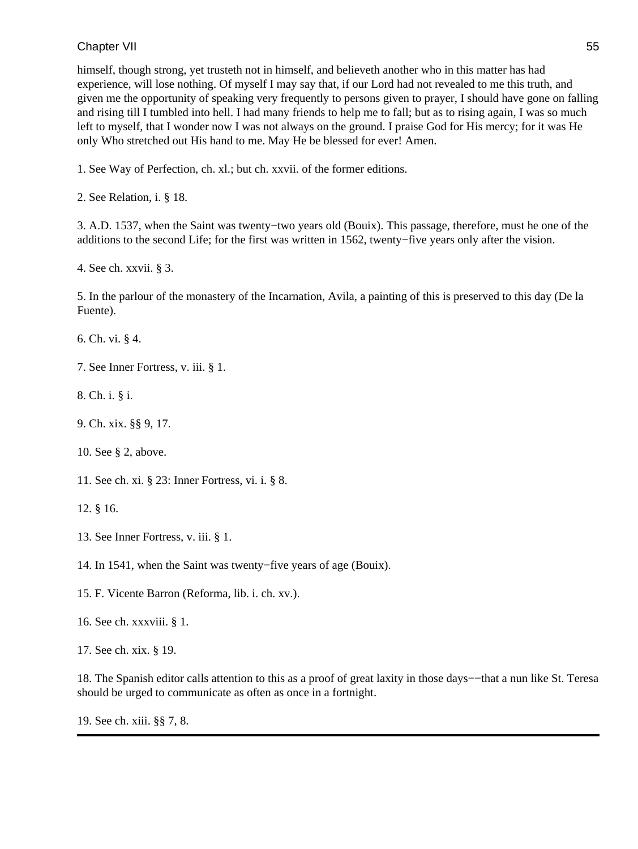himself, though strong, yet trusteth not in himself, and believeth another who in this matter has had experience, will lose nothing. Of myself I may say that, if our Lord had not revealed to me this truth, and given me the opportunity of speaking very frequently to persons given to prayer, I should have gone on falling and rising till I tumbled into hell. I had many friends to help me to fall; but as to rising again, I was so much left to myself, that I wonder now I was not always on the ground. I praise God for His mercy; for it was He only Who stretched out His hand to me. May He be blessed for ever! Amen.

1. See Way of Perfection, ch. xl.; but ch. xxvii. of the former editions.

2. See Relation, i. § 18.

3. A.D. 1537, when the Saint was twenty−two years old (Bouix). This passage, therefore, must he one of the additions to the second Life; for the first was written in 1562, twenty−five years only after the vision.

4. See ch. xxvii. § 3.

5. In the parlour of the monastery of the Incarnation, Avila, a painting of this is preserved to this day (De la Fuente).

6. Ch. vi. § 4.

7. See Inner Fortress, v. iii. § 1.

8. Ch. i. § i.

9. Ch. xix. §§ 9, 17.

10. See § 2, above.

11. See ch. xi. § 23: Inner Fortress, vi. i. § 8.

12. § 16.

- 13. See Inner Fortress, v. iii. § 1.
- 14. In 1541, when the Saint was twenty−five years of age (Bouix).
- 15. F. Vicente Barron (Reforma, lib. i. ch. xv.).
- 16. See ch. xxxviii. § 1.

17. See ch. xix. § 19.

18. The Spanish editor calls attention to this as a proof of great laxity in those days−−that a nun like St. Teresa should be urged to communicate as often as once in a fortnight.

19. See ch. xiii. §§ 7, 8.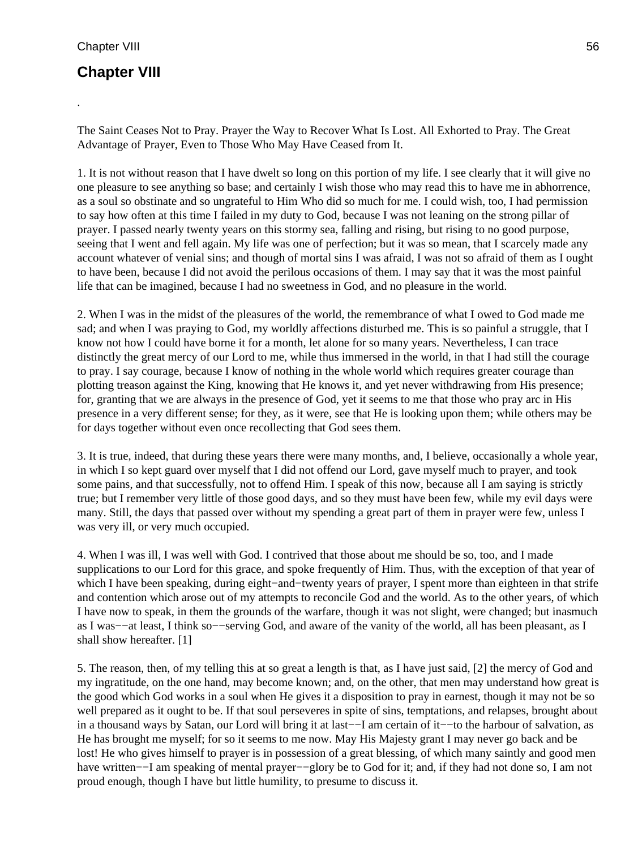.

## **Chapter VIII**

The Saint Ceases Not to Pray. Prayer the Way to Recover What Is Lost. All Exhorted to Pray. The Great Advantage of Prayer, Even to Those Who May Have Ceased from It.

1. It is not without reason that I have dwelt so long on this portion of my life. I see clearly that it will give no one pleasure to see anything so base; and certainly I wish those who may read this to have me in abhorrence, as a soul so obstinate and so ungrateful to Him Who did so much for me. I could wish, too, I had permission to say how often at this time I failed in my duty to God, because I was not leaning on the strong pillar of prayer. I passed nearly twenty years on this stormy sea, falling and rising, but rising to no good purpose, seeing that I went and fell again. My life was one of perfection; but it was so mean, that I scarcely made any account whatever of venial sins; and though of mortal sins I was afraid, I was not so afraid of them as I ought to have been, because I did not avoid the perilous occasions of them. I may say that it was the most painful life that can be imagined, because I had no sweetness in God, and no pleasure in the world.

2. When I was in the midst of the pleasures of the world, the remembrance of what I owed to God made me sad; and when I was praying to God, my worldly affections disturbed me. This is so painful a struggle, that I know not how I could have borne it for a month, let alone for so many years. Nevertheless, I can trace distinctly the great mercy of our Lord to me, while thus immersed in the world, in that I had still the courage to pray. I say courage, because I know of nothing in the whole world which requires greater courage than plotting treason against the King, knowing that He knows it, and yet never withdrawing from His presence; for, granting that we are always in the presence of God, yet it seems to me that those who pray arc in His presence in a very different sense; for they, as it were, see that He is looking upon them; while others may be for days together without even once recollecting that God sees them.

3. It is true, indeed, that during these years there were many months, and, I believe, occasionally a whole year, in which I so kept guard over myself that I did not offend our Lord, gave myself much to prayer, and took some pains, and that successfully, not to offend Him. I speak of this now, because all I am saying is strictly true; but I remember very little of those good days, and so they must have been few, while my evil days were many. Still, the days that passed over without my spending a great part of them in prayer were few, unless I was very ill, or very much occupied.

4. When I was ill, I was well with God. I contrived that those about me should be so, too, and I made supplications to our Lord for this grace, and spoke frequently of Him. Thus, with the exception of that year of which I have been speaking, during eight−and−twenty years of prayer, I spent more than eighteen in that strife and contention which arose out of my attempts to reconcile God and the world. As to the other years, of which I have now to speak, in them the grounds of the warfare, though it was not slight, were changed; but inasmuch as I was−−at least, I think so−−serving God, and aware of the vanity of the world, all has been pleasant, as I shall show hereafter. [1]

5. The reason, then, of my telling this at so great a length is that, as I have just said, [2] the mercy of God and my ingratitude, on the one hand, may become known; and, on the other, that men may understand how great is the good which God works in a soul when He gives it a disposition to pray in earnest, though it may not be so well prepared as it ought to be. If that soul perseveres in spite of sins, temptations, and relapses, brought about in a thousand ways by Satan, our Lord will bring it at last−−I am certain of it−−to the harbour of salvation, as He has brought me myself; for so it seems to me now. May His Majesty grant I may never go back and be lost! He who gives himself to prayer is in possession of a great blessing, of which many saintly and good men have written−−I am speaking of mental prayer−−glory be to God for it; and, if they had not done so, I am not proud enough, though I have but little humility, to presume to discuss it.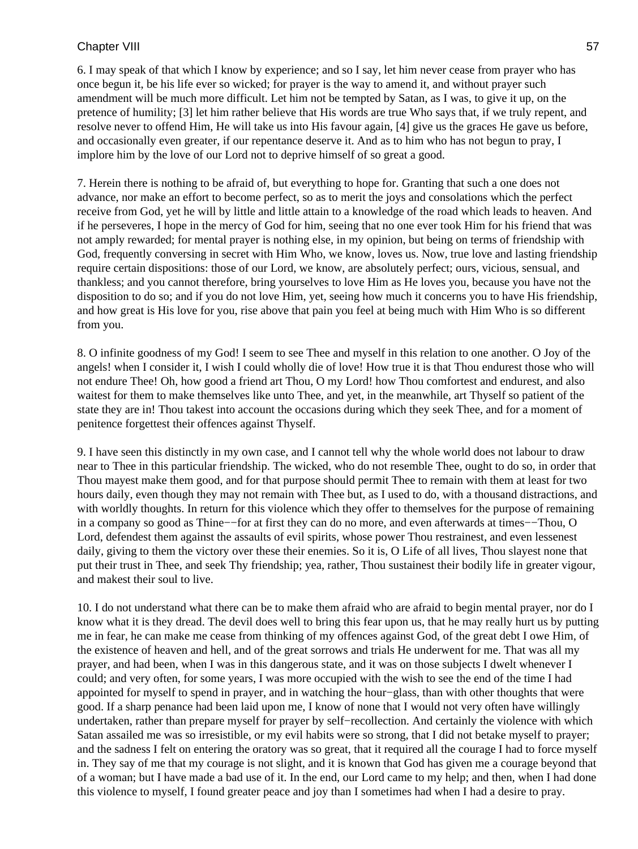6. I may speak of that which I know by experience; and so I say, let him never cease from prayer who has once begun it, be his life ever so wicked; for prayer is the way to amend it, and without prayer such amendment will be much more difficult. Let him not be tempted by Satan, as I was, to give it up, on the pretence of humility; [3] let him rather believe that His words are true Who says that, if we truly repent, and resolve never to offend Him, He will take us into His favour again, [4] give us the graces He gave us before, and occasionally even greater, if our repentance deserve it. And as to him who has not begun to pray, I implore him by the love of our Lord not to deprive himself of so great a good.

7. Herein there is nothing to be afraid of, but everything to hope for. Granting that such a one does not advance, nor make an effort to become perfect, so as to merit the joys and consolations which the perfect receive from God, yet he will by little and little attain to a knowledge of the road which leads to heaven. And if he perseveres, I hope in the mercy of God for him, seeing that no one ever took Him for his friend that was not amply rewarded; for mental prayer is nothing else, in my opinion, but being on terms of friendship with God, frequently conversing in secret with Him Who, we know, loves us. Now, true love and lasting friendship require certain dispositions: those of our Lord, we know, are absolutely perfect; ours, vicious, sensual, and thankless; and you cannot therefore, bring yourselves to love Him as He loves you, because you have not the disposition to do so; and if you do not love Him, yet, seeing how much it concerns you to have His friendship, and how great is His love for you, rise above that pain you feel at being much with Him Who is so different from you.

8. O infinite goodness of my God! I seem to see Thee and myself in this relation to one another. O Joy of the angels! when I consider it, I wish I could wholly die of love! How true it is that Thou endurest those who will not endure Thee! Oh, how good a friend art Thou, O my Lord! how Thou comfortest and endurest, and also waitest for them to make themselves like unto Thee, and yet, in the meanwhile, art Thyself so patient of the state they are in! Thou takest into account the occasions during which they seek Thee, and for a moment of penitence forgettest their offences against Thyself.

9. I have seen this distinctly in my own case, and I cannot tell why the whole world does not labour to draw near to Thee in this particular friendship. The wicked, who do not resemble Thee, ought to do so, in order that Thou mayest make them good, and for that purpose should permit Thee to remain with them at least for two hours daily, even though they may not remain with Thee but, as I used to do, with a thousand distractions, and with worldly thoughts. In return for this violence which they offer to themselves for the purpose of remaining in a company so good as Thine−−for at first they can do no more, and even afterwards at times−−Thou, O Lord, defendest them against the assaults of evil spirits, whose power Thou restrainest, and even lessenest daily, giving to them the victory over these their enemies. So it is, O Life of all lives, Thou slayest none that put their trust in Thee, and seek Thy friendship; yea, rather, Thou sustainest their bodily life in greater vigour, and makest their soul to live.

10. I do not understand what there can be to make them afraid who are afraid to begin mental prayer, nor do I know what it is they dread. The devil does well to bring this fear upon us, that he may really hurt us by putting me in fear, he can make me cease from thinking of my offences against God, of the great debt I owe Him, of the existence of heaven and hell, and of the great sorrows and trials He underwent for me. That was all my prayer, and had been, when I was in this dangerous state, and it was on those subjects I dwelt whenever I could; and very often, for some years, I was more occupied with the wish to see the end of the time I had appointed for myself to spend in prayer, and in watching the hour−glass, than with other thoughts that were good. If a sharp penance had been laid upon me, I know of none that I would not very often have willingly undertaken, rather than prepare myself for prayer by self−recollection. And certainly the violence with which Satan assailed me was so irresistible, or my evil habits were so strong, that I did not betake myself to prayer; and the sadness I felt on entering the oratory was so great, that it required all the courage I had to force myself in. They say of me that my courage is not slight, and it is known that God has given me a courage beyond that of a woman; but I have made a bad use of it. In the end, our Lord came to my help; and then, when I had done this violence to myself, I found greater peace and joy than I sometimes had when I had a desire to pray.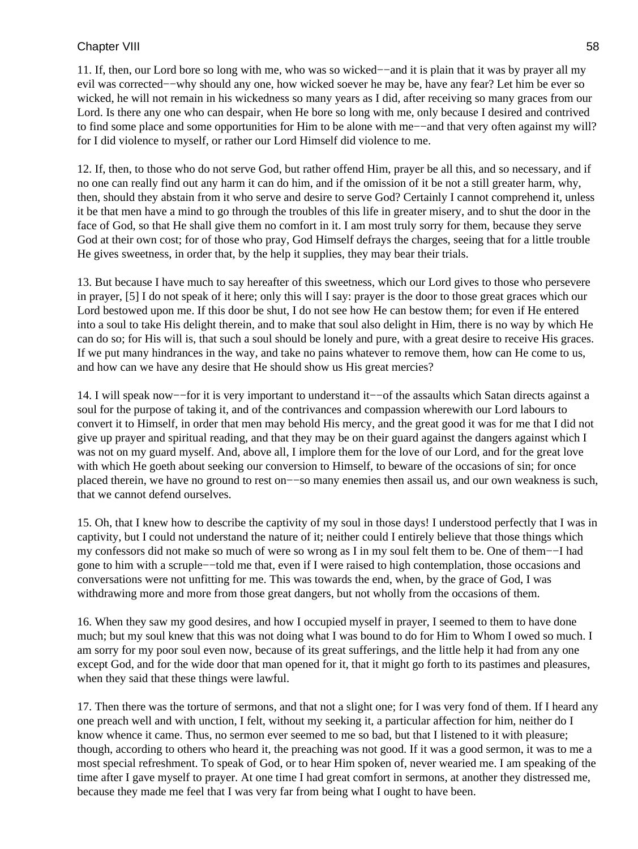11. If, then, our Lord bore so long with me, who was so wicked−−and it is plain that it was by prayer all my evil was corrected−−why should any one, how wicked soever he may be, have any fear? Let him be ever so wicked, he will not remain in his wickedness so many years as I did, after receiving so many graces from our Lord. Is there any one who can despair, when He bore so long with me, only because I desired and contrived to find some place and some opportunities for Him to be alone with me−−and that very often against my will? for I did violence to myself, or rather our Lord Himself did violence to me.

12. If, then, to those who do not serve God, but rather offend Him, prayer be all this, and so necessary, and if no one can really find out any harm it can do him, and if the omission of it be not a still greater harm, why, then, should they abstain from it who serve and desire to serve God? Certainly I cannot comprehend it, unless it be that men have a mind to go through the troubles of this life in greater misery, and to shut the door in the face of God, so that He shall give them no comfort in it. I am most truly sorry for them, because they serve God at their own cost; for of those who pray, God Himself defrays the charges, seeing that for a little trouble He gives sweetness, in order that, by the help it supplies, they may bear their trials.

13. But because I have much to say hereafter of this sweetness, which our Lord gives to those who persevere in prayer, [5] I do not speak of it here; only this will I say: prayer is the door to those great graces which our Lord bestowed upon me. If this door be shut, I do not see how He can bestow them; for even if He entered into a soul to take His delight therein, and to make that soul also delight in Him, there is no way by which He can do so; for His will is, that such a soul should be lonely and pure, with a great desire to receive His graces. If we put many hindrances in the way, and take no pains whatever to remove them, how can He come to us, and how can we have any desire that He should show us His great mercies?

14. I will speak now−−for it is very important to understand it−−of the assaults which Satan directs against a soul for the purpose of taking it, and of the contrivances and compassion wherewith our Lord labours to convert it to Himself, in order that men may behold His mercy, and the great good it was for me that I did not give up prayer and spiritual reading, and that they may be on their guard against the dangers against which I was not on my guard myself. And, above all, I implore them for the love of our Lord, and for the great love with which He goeth about seeking our conversion to Himself, to beware of the occasions of sin; for once placed therein, we have no ground to rest on−−so many enemies then assail us, and our own weakness is such, that we cannot defend ourselves.

15. Oh, that I knew how to describe the captivity of my soul in those days! I understood perfectly that I was in captivity, but I could not understand the nature of it; neither could I entirely believe that those things which my confessors did not make so much of were so wrong as I in my soul felt them to be. One of them−−I had gone to him with a scruple−−told me that, even if I were raised to high contemplation, those occasions and conversations were not unfitting for me. This was towards the end, when, by the grace of God, I was withdrawing more and more from those great dangers, but not wholly from the occasions of them.

16. When they saw my good desires, and how I occupied myself in prayer, I seemed to them to have done much; but my soul knew that this was not doing what I was bound to do for Him to Whom I owed so much. I am sorry for my poor soul even now, because of its great sufferings, and the little help it had from any one except God, and for the wide door that man opened for it, that it might go forth to its pastimes and pleasures, when they said that these things were lawful.

17. Then there was the torture of sermons, and that not a slight one; for I was very fond of them. If I heard any one preach well and with unction, I felt, without my seeking it, a particular affection for him, neither do I know whence it came. Thus, no sermon ever seemed to me so bad, but that I listened to it with pleasure; though, according to others who heard it, the preaching was not good. If it was a good sermon, it was to me a most special refreshment. To speak of God, or to hear Him spoken of, never wearied me. I am speaking of the time after I gave myself to prayer. At one time I had great comfort in sermons, at another they distressed me, because they made me feel that I was very far from being what I ought to have been.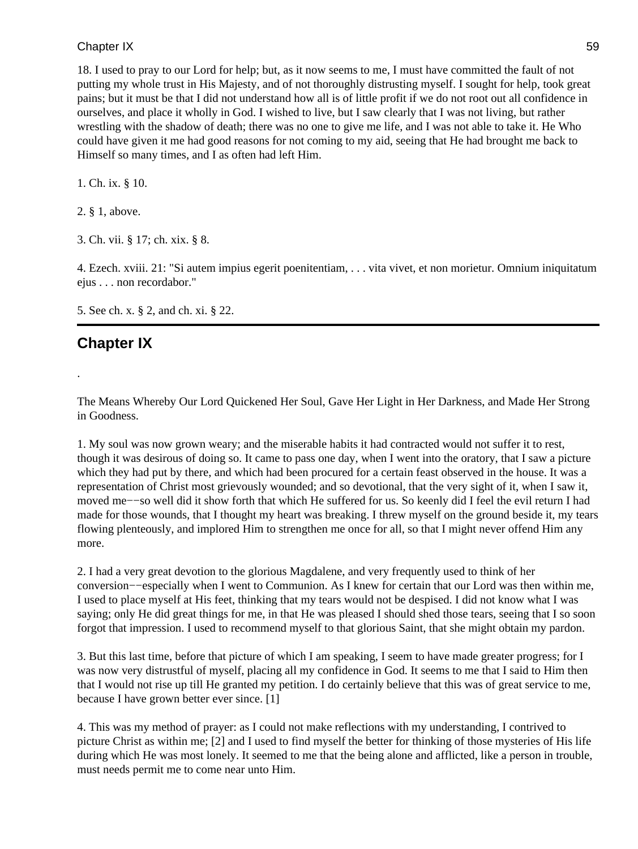18. I used to pray to our Lord for help; but, as it now seems to me, I must have committed the fault of not putting my whole trust in His Majesty, and of not thoroughly distrusting myself. I sought for help, took great pains; but it must be that I did not understand how all is of little profit if we do not root out all confidence in ourselves, and place it wholly in God. I wished to live, but I saw clearly that I was not living, but rather wrestling with the shadow of death; there was no one to give me life, and I was not able to take it. He Who could have given it me had good reasons for not coming to my aid, seeing that He had brought me back to Himself so many times, and I as often had left Him.

1. Ch. ix. § 10.

2. § 1, above.

3. Ch. vii. § 17; ch. xix. § 8.

4. Ezech. xviii. 21: "Si autem impius egerit poenitentiam, . . . vita vivet, et non morietur. Omnium iniquitatum ejus . . . non recordabor."

5. See ch. x. § 2, and ch. xi. § 22.

# **Chapter IX**

.

The Means Whereby Our Lord Quickened Her Soul, Gave Her Light in Her Darkness, and Made Her Strong in Goodness.

1. My soul was now grown weary; and the miserable habits it had contracted would not suffer it to rest, though it was desirous of doing so. It came to pass one day, when I went into the oratory, that I saw a picture which they had put by there, and which had been procured for a certain feast observed in the house. It was a representation of Christ most grievously wounded; and so devotional, that the very sight of it, when I saw it, moved me−−so well did it show forth that which He suffered for us. So keenly did I feel the evil return I had made for those wounds, that I thought my heart was breaking. I threw myself on the ground beside it, my tears flowing plenteously, and implored Him to strengthen me once for all, so that I might never offend Him any more.

2. I had a very great devotion to the glorious Magdalene, and very frequently used to think of her conversion−−especially when I went to Communion. As I knew for certain that our Lord was then within me, I used to place myself at His feet, thinking that my tears would not be despised. I did not know what I was saying; only He did great things for me, in that He was pleased I should shed those tears, seeing that I so soon forgot that impression. I used to recommend myself to that glorious Saint, that she might obtain my pardon.

3. But this last time, before that picture of which I am speaking, I seem to have made greater progress; for I was now very distrustful of myself, placing all my confidence in God. It seems to me that I said to Him then that I would not rise up till He granted my petition. I do certainly believe that this was of great service to me, because I have grown better ever since. [1]

4. This was my method of prayer: as I could not make reflections with my understanding, I contrived to picture Christ as within me; [2] and I used to find myself the better for thinking of those mysteries of His life during which He was most lonely. It seemed to me that the being alone and afflicted, like a person in trouble, must needs permit me to come near unto Him.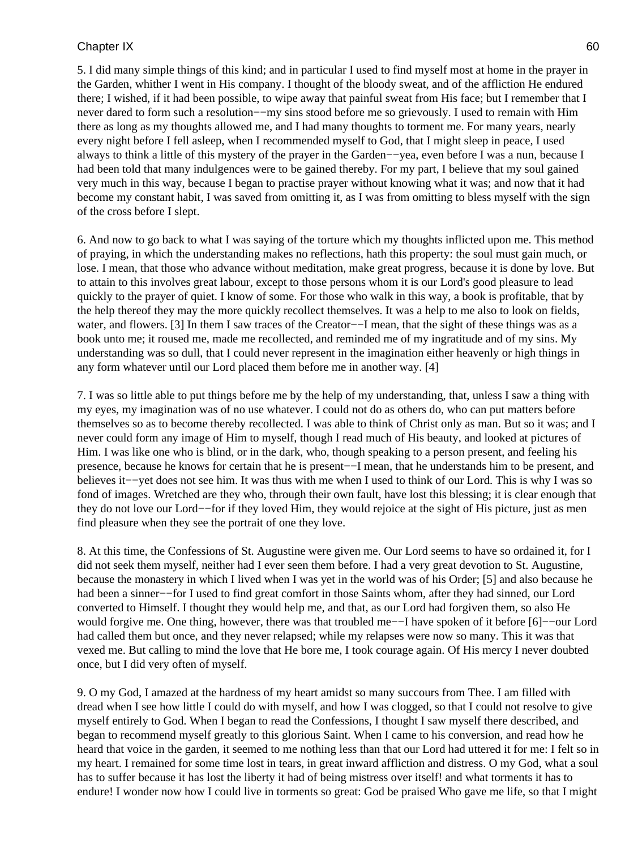5. I did many simple things of this kind; and in particular I used to find myself most at home in the prayer in the Garden, whither I went in His company. I thought of the bloody sweat, and of the affliction He endured there; I wished, if it had been possible, to wipe away that painful sweat from His face; but I remember that I never dared to form such a resolution−−my sins stood before me so grievously. I used to remain with Him there as long as my thoughts allowed me, and I had many thoughts to torment me. For many years, nearly every night before I fell asleep, when I recommended myself to God, that I might sleep in peace, I used always to think a little of this mystery of the prayer in the Garden−−yea, even before I was a nun, because I had been told that many indulgences were to be gained thereby. For my part, I believe that my soul gained very much in this way, because I began to practise prayer without knowing what it was; and now that it had become my constant habit, I was saved from omitting it, as I was from omitting to bless myself with the sign of the cross before I slept.

6. And now to go back to what I was saying of the torture which my thoughts inflicted upon me. This method of praying, in which the understanding makes no reflections, hath this property: the soul must gain much, or lose. I mean, that those who advance without meditation, make great progress, because it is done by love. But to attain to this involves great labour, except to those persons whom it is our Lord's good pleasure to lead quickly to the prayer of quiet. I know of some. For those who walk in this way, a book is profitable, that by the help thereof they may the more quickly recollect themselves. It was a help to me also to look on fields, water, and flowers. [3] In them I saw traces of the Creator−−I mean, that the sight of these things was as a book unto me; it roused me, made me recollected, and reminded me of my ingratitude and of my sins. My understanding was so dull, that I could never represent in the imagination either heavenly or high things in any form whatever until our Lord placed them before me in another way. [4]

7. I was so little able to put things before me by the help of my understanding, that, unless I saw a thing with my eyes, my imagination was of no use whatever. I could not do as others do, who can put matters before themselves so as to become thereby recollected. I was able to think of Christ only as man. But so it was; and I never could form any image of Him to myself, though I read much of His beauty, and looked at pictures of Him. I was like one who is blind, or in the dark, who, though speaking to a person present, and feeling his presence, because he knows for certain that he is present−−I mean, that he understands him to be present, and believes it−−yet does not see him. It was thus with me when I used to think of our Lord. This is why I was so fond of images. Wretched are they who, through their own fault, have lost this blessing; it is clear enough that they do not love our Lord−−for if they loved Him, they would rejoice at the sight of His picture, just as men find pleasure when they see the portrait of one they love.

8. At this time, the Confessions of St. Augustine were given me. Our Lord seems to have so ordained it, for I did not seek them myself, neither had I ever seen them before. I had a very great devotion to St. Augustine, because the monastery in which I lived when I was yet in the world was of his Order; [5] and also because he had been a sinner−−for I used to find great comfort in those Saints whom, after they had sinned, our Lord converted to Himself. I thought they would help me, and that, as our Lord had forgiven them, so also He would forgive me. One thing, however, there was that troubled me−−I have spoken of it before [6]−−our Lord had called them but once, and they never relapsed; while my relapses were now so many. This it was that vexed me. But calling to mind the love that He bore me, I took courage again. Of His mercy I never doubted once, but I did very often of myself.

9. O my God, I amazed at the hardness of my heart amidst so many succours from Thee. I am filled with dread when I see how little I could do with myself, and how I was clogged, so that I could not resolve to give myself entirely to God. When I began to read the Confessions, I thought I saw myself there described, and began to recommend myself greatly to this glorious Saint. When I came to his conversion, and read how he heard that voice in the garden, it seemed to me nothing less than that our Lord had uttered it for me: I felt so in my heart. I remained for some time lost in tears, in great inward affliction and distress. O my God, what a soul has to suffer because it has lost the liberty it had of being mistress over itself! and what torments it has to endure! I wonder now how I could live in torments so great: God be praised Who gave me life, so that I might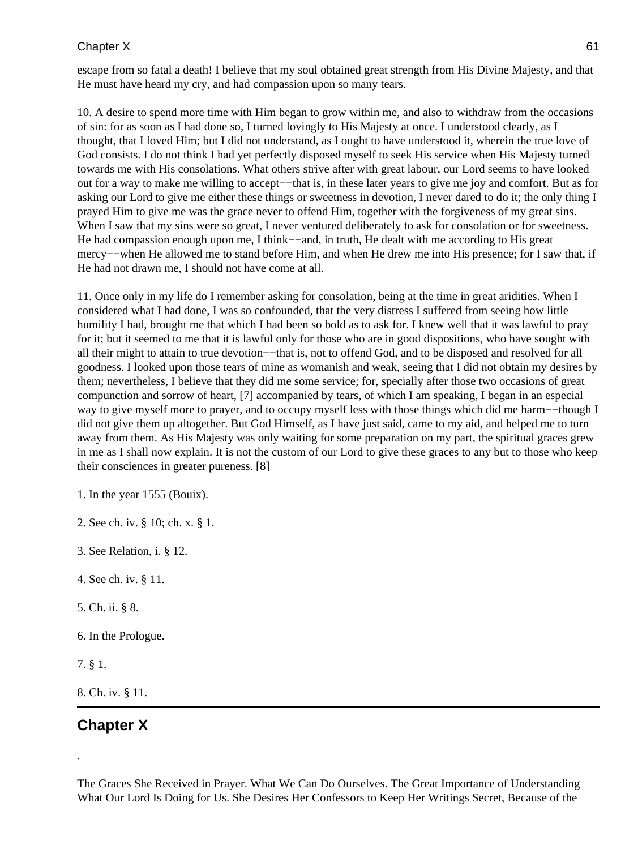escape from so fatal a death! I believe that my soul obtained great strength from His Divine Majesty, and that He must have heard my cry, and had compassion upon so many tears.

10. A desire to spend more time with Him began to grow within me, and also to withdraw from the occasions of sin: for as soon as I had done so, I turned lovingly to His Majesty at once. I understood clearly, as I thought, that I loved Him; but I did not understand, as I ought to have understood it, wherein the true love of God consists. I do not think I had yet perfectly disposed myself to seek His service when His Majesty turned towards me with His consolations. What others strive after with great labour, our Lord seems to have looked out for a way to make me willing to accept−−that is, in these later years to give me joy and comfort. But as for asking our Lord to give me either these things or sweetness in devotion, I never dared to do it; the only thing I prayed Him to give me was the grace never to offend Him, together with the forgiveness of my great sins. When I saw that my sins were so great, I never ventured deliberately to ask for consolation or for sweetness. He had compassion enough upon me, I think—–and, in truth, He dealt with me according to His great mercy−−when He allowed me to stand before Him, and when He drew me into His presence; for I saw that, if He had not drawn me, I should not have come at all.

11. Once only in my life do I remember asking for consolation, being at the time in great aridities. When I considered what I had done, I was so confounded, that the very distress I suffered from seeing how little humility I had, brought me that which I had been so bold as to ask for. I knew well that it was lawful to pray for it; but it seemed to me that it is lawful only for those who are in good dispositions, who have sought with all their might to attain to true devotion−−that is, not to offend God, and to be disposed and resolved for all goodness. I looked upon those tears of mine as womanish and weak, seeing that I did not obtain my desires by them; nevertheless, I believe that they did me some service; for, specially after those two occasions of great compunction and sorrow of heart, [7] accompanied by tears, of which I am speaking, I began in an especial way to give myself more to prayer, and to occupy myself less with those things which did me harm−−though I did not give them up altogether. But God Himself, as I have just said, came to my aid, and helped me to turn away from them. As His Majesty was only waiting for some preparation on my part, the spiritual graces grew in me as I shall now explain. It is not the custom of our Lord to give these graces to any but to those who keep their consciences in greater pureness. [8]

1. In the year 1555 (Bouix).

2. See ch. iv. § 10; ch. x. § 1.

3. See Relation, i. § 12.

- 4. See ch. iv. § 11.
- 5. Ch. ii. § 8.
- 6. In the Prologue.

7. § 1.

.

8. Ch. iv. § 11.

## **Chapter X**

The Graces She Received in Prayer. What We Can Do Ourselves. The Great Importance of Understanding What Our Lord Is Doing for Us. She Desires Her Confessors to Keep Her Writings Secret, Because of the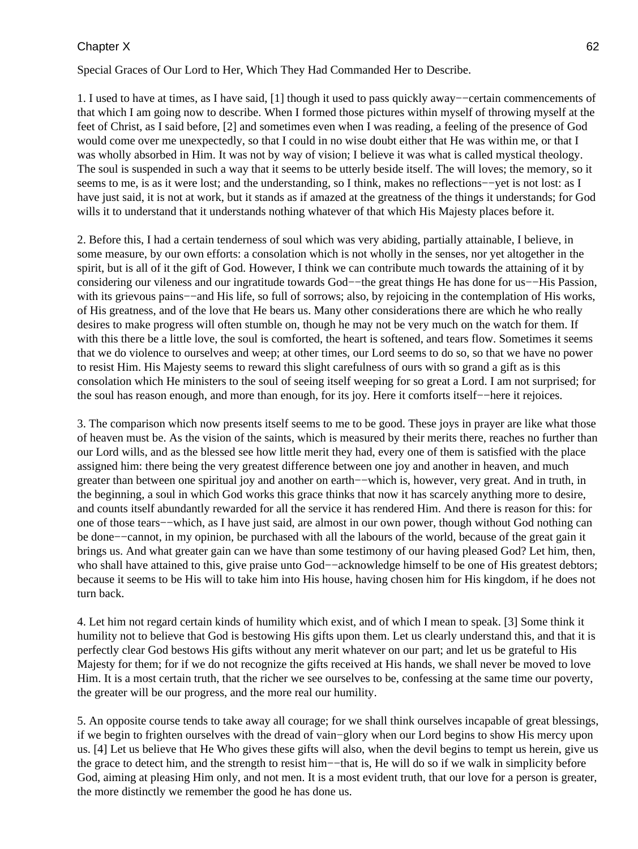Special Graces of Our Lord to Her, Which They Had Commanded Her to Describe.

1. I used to have at times, as I have said, [1] though it used to pass quickly away−−certain commencements of that which I am going now to describe. When I formed those pictures within myself of throwing myself at the feet of Christ, as I said before, [2] and sometimes even when I was reading, a feeling of the presence of God would come over me unexpectedly, so that I could in no wise doubt either that He was within me, or that I was wholly absorbed in Him. It was not by way of vision; I believe it was what is called mystical theology. The soul is suspended in such a way that it seems to be utterly beside itself. The will loves; the memory, so it seems to me, is as it were lost; and the understanding, so I think, makes no reflections— $-$ yet is not lost: as I have just said, it is not at work, but it stands as if amazed at the greatness of the things it understands; for God wills it to understand that it understands nothing whatever of that which His Majesty places before it.

2. Before this, I had a certain tenderness of soul which was very abiding, partially attainable, I believe, in some measure, by our own efforts: a consolation which is not wholly in the senses, nor yet altogether in the spirit, but is all of it the gift of God. However, I think we can contribute much towards the attaining of it by considering our vileness and our ingratitude towards God−−the great things He has done for us−−His Passion, with its grievous pains—–and His life, so full of sorrows; also, by rejoicing in the contemplation of His works, of His greatness, and of the love that He bears us. Many other considerations there are which he who really desires to make progress will often stumble on, though he may not be very much on the watch for them. If with this there be a little love, the soul is comforted, the heart is softened, and tears flow. Sometimes it seems that we do violence to ourselves and weep; at other times, our Lord seems to do so, so that we have no power to resist Him. His Majesty seems to reward this slight carefulness of ours with so grand a gift as is this consolation which He ministers to the soul of seeing itself weeping for so great a Lord. I am not surprised; for the soul has reason enough, and more than enough, for its joy. Here it comforts itself−−here it rejoices.

3. The comparison which now presents itself seems to me to be good. These joys in prayer are like what those of heaven must be. As the vision of the saints, which is measured by their merits there, reaches no further than our Lord wills, and as the blessed see how little merit they had, every one of them is satisfied with the place assigned him: there being the very greatest difference between one joy and another in heaven, and much greater than between one spiritual joy and another on earth−−which is, however, very great. And in truth, in the beginning, a soul in which God works this grace thinks that now it has scarcely anything more to desire, and counts itself abundantly rewarded for all the service it has rendered Him. And there is reason for this: for one of those tears−−which, as I have just said, are almost in our own power, though without God nothing can be done−−cannot, in my opinion, be purchased with all the labours of the world, because of the great gain it brings us. And what greater gain can we have than some testimony of our having pleased God? Let him, then, who shall have attained to this, give praise unto God−−acknowledge himself to be one of His greatest debtors; because it seems to be His will to take him into His house, having chosen him for His kingdom, if he does not turn back.

4. Let him not regard certain kinds of humility which exist, and of which I mean to speak. [3] Some think it humility not to believe that God is bestowing His gifts upon them. Let us clearly understand this, and that it is perfectly clear God bestows His gifts without any merit whatever on our part; and let us be grateful to His Majesty for them; for if we do not recognize the gifts received at His hands, we shall never be moved to love Him. It is a most certain truth, that the richer we see ourselves to be, confessing at the same time our poverty, the greater will be our progress, and the more real our humility.

5. An opposite course tends to take away all courage; for we shall think ourselves incapable of great blessings, if we begin to frighten ourselves with the dread of vain−glory when our Lord begins to show His mercy upon us. [4] Let us believe that He Who gives these gifts will also, when the devil begins to tempt us herein, give us the grace to detect him, and the strength to resist him−−that is, He will do so if we walk in simplicity before God, aiming at pleasing Him only, and not men. It is a most evident truth, that our love for a person is greater, the more distinctly we remember the good he has done us.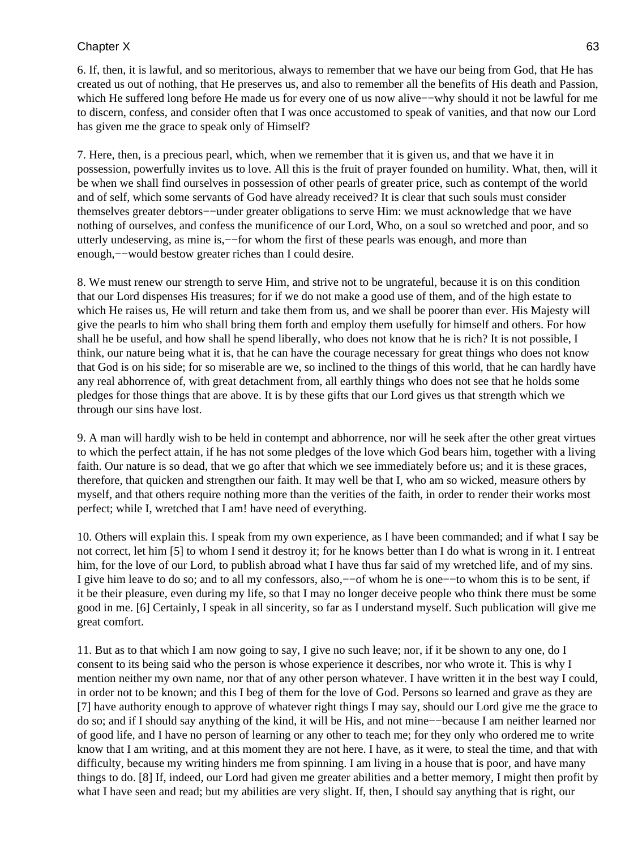6. If, then, it is lawful, and so meritorious, always to remember that we have our being from God, that He has created us out of nothing, that He preserves us, and also to remember all the benefits of His death and Passion, which He suffered long before He made us for every one of us now alive−−why should it not be lawful for me to discern, confess, and consider often that I was once accustomed to speak of vanities, and that now our Lord has given me the grace to speak only of Himself?

7. Here, then, is a precious pearl, which, when we remember that it is given us, and that we have it in possession, powerfully invites us to love. All this is the fruit of prayer founded on humility. What, then, will it be when we shall find ourselves in possession of other pearls of greater price, such as contempt of the world and of self, which some servants of God have already received? It is clear that such souls must consider themselves greater debtors−−under greater obligations to serve Him: we must acknowledge that we have nothing of ourselves, and confess the munificence of our Lord, Who, on a soul so wretched and poor, and so utterly undeserving, as mine is,−−for whom the first of these pearls was enough, and more than enough,−−would bestow greater riches than I could desire.

8. We must renew our strength to serve Him, and strive not to be ungrateful, because it is on this condition that our Lord dispenses His treasures; for if we do not make a good use of them, and of the high estate to which He raises us, He will return and take them from us, and we shall be poorer than ever. His Majesty will give the pearls to him who shall bring them forth and employ them usefully for himself and others. For how shall he be useful, and how shall he spend liberally, who does not know that he is rich? It is not possible, I think, our nature being what it is, that he can have the courage necessary for great things who does not know that God is on his side; for so miserable are we, so inclined to the things of this world, that he can hardly have any real abhorrence of, with great detachment from, all earthly things who does not see that he holds some pledges for those things that are above. It is by these gifts that our Lord gives us that strength which we through our sins have lost.

9. A man will hardly wish to be held in contempt and abhorrence, nor will he seek after the other great virtues to which the perfect attain, if he has not some pledges of the love which God bears him, together with a living faith. Our nature is so dead, that we go after that which we see immediately before us; and it is these graces, therefore, that quicken and strengthen our faith. It may well be that I, who am so wicked, measure others by myself, and that others require nothing more than the verities of the faith, in order to render their works most perfect; while I, wretched that I am! have need of everything.

10. Others will explain this. I speak from my own experience, as I have been commanded; and if what I say be not correct, let him [5] to whom I send it destroy it; for he knows better than I do what is wrong in it. I entreat him, for the love of our Lord, to publish abroad what I have thus far said of my wretched life, and of my sins. I give him leave to do so; and to all my confessors, also,−−of whom he is one−−to whom this is to be sent, if it be their pleasure, even during my life, so that I may no longer deceive people who think there must be some good in me. [6] Certainly, I speak in all sincerity, so far as I understand myself. Such publication will give me great comfort.

11. But as to that which I am now going to say, I give no such leave; nor, if it be shown to any one, do I consent to its being said who the person is whose experience it describes, nor who wrote it. This is why I mention neither my own name, nor that of any other person whatever. I have written it in the best way I could, in order not to be known; and this I beg of them for the love of God. Persons so learned and grave as they are [7] have authority enough to approve of whatever right things I may say, should our Lord give me the grace to do so; and if I should say anything of the kind, it will be His, and not mine−−because I am neither learned nor of good life, and I have no person of learning or any other to teach me; for they only who ordered me to write know that I am writing, and at this moment they are not here. I have, as it were, to steal the time, and that with difficulty, because my writing hinders me from spinning. I am living in a house that is poor, and have many things to do. [8] If, indeed, our Lord had given me greater abilities and a better memory, I might then profit by what I have seen and read; but my abilities are very slight. If, then, I should say anything that is right, our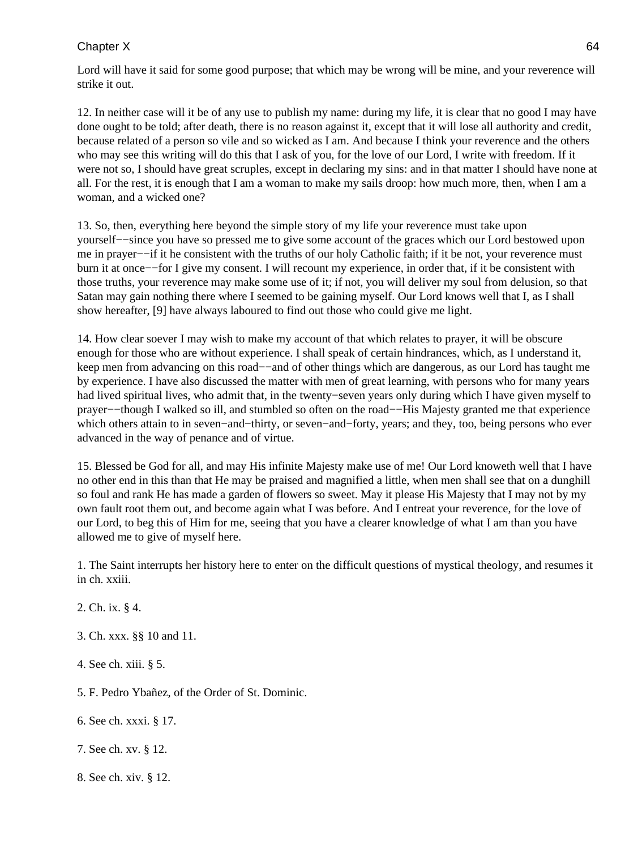Lord will have it said for some good purpose; that which may be wrong will be mine, and your reverence will strike it out.

12. In neither case will it be of any use to publish my name: during my life, it is clear that no good I may have done ought to be told; after death, there is no reason against it, except that it will lose all authority and credit, because related of a person so vile and so wicked as I am. And because I think your reverence and the others who may see this writing will do this that I ask of you, for the love of our Lord, I write with freedom. If it were not so, I should have great scruples, except in declaring my sins: and in that matter I should have none at all. For the rest, it is enough that I am a woman to make my sails droop: how much more, then, when I am a woman, and a wicked one?

13. So, then, everything here beyond the simple story of my life your reverence must take upon yourself−−since you have so pressed me to give some account of the graces which our Lord bestowed upon me in prayer−−if it he consistent with the truths of our holy Catholic faith; if it be not, your reverence must burn it at once−−for I give my consent. I will recount my experience, in order that, if it be consistent with those truths, your reverence may make some use of it; if not, you will deliver my soul from delusion, so that Satan may gain nothing there where I seemed to be gaining myself. Our Lord knows well that I, as I shall show hereafter, [9] have always laboured to find out those who could give me light.

14. How clear soever I may wish to make my account of that which relates to prayer, it will be obscure enough for those who are without experience. I shall speak of certain hindrances, which, as I understand it, keep men from advancing on this road−−and of other things which are dangerous, as our Lord has taught me by experience. I have also discussed the matter with men of great learning, with persons who for many years had lived spiritual lives, who admit that, in the twenty−seven years only during which I have given myself to prayer−−though I walked so ill, and stumbled so often on the road−−His Majesty granted me that experience which others attain to in seven−and−thirty, or seven−and−forty, years; and they, too, being persons who ever advanced in the way of penance and of virtue.

15. Blessed be God for all, and may His infinite Majesty make use of me! Our Lord knoweth well that I have no other end in this than that He may be praised and magnified a little, when men shall see that on a dunghill so foul and rank He has made a garden of flowers so sweet. May it please His Majesty that I may not by my own fault root them out, and become again what I was before. And I entreat your reverence, for the love of our Lord, to beg this of Him for me, seeing that you have a clearer knowledge of what I am than you have allowed me to give of myself here.

1. The Saint interrupts her history here to enter on the difficult questions of mystical theology, and resumes it in ch. xxiii.

- 2. Ch. ix. § 4.
- 3. Ch. xxx. §§ 10 and 11.
- 4. See ch. xiii. § 5.
- 5. F. Pedro Ybañez, of the Order of St. Dominic.
- 6. See ch. xxxi. § 17.
- 7. See ch. xv. § 12.
- 8. See ch. xiv. § 12.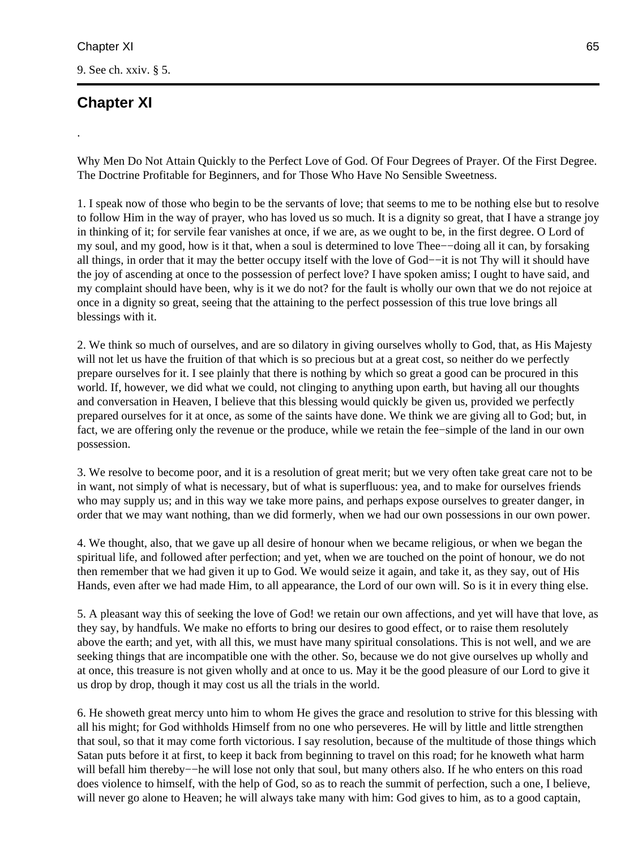9. See ch. xxiv. § 5.

# **Chapter XI**

.

Why Men Do Not Attain Quickly to the Perfect Love of God. Of Four Degrees of Prayer. Of the First Degree. The Doctrine Profitable for Beginners, and for Those Who Have No Sensible Sweetness.

1. I speak now of those who begin to be the servants of love; that seems to me to be nothing else but to resolve to follow Him in the way of prayer, who has loved us so much. It is a dignity so great, that I have a strange joy in thinking of it; for servile fear vanishes at once, if we are, as we ought to be, in the first degree. O Lord of my soul, and my good, how is it that, when a soul is determined to love Thee−−doing all it can, by forsaking all things, in order that it may the better occupy itself with the love of God−−it is not Thy will it should have the joy of ascending at once to the possession of perfect love? I have spoken amiss; I ought to have said, and my complaint should have been, why is it we do not? for the fault is wholly our own that we do not rejoice at once in a dignity so great, seeing that the attaining to the perfect possession of this true love brings all blessings with it.

2. We think so much of ourselves, and are so dilatory in giving ourselves wholly to God, that, as His Majesty will not let us have the fruition of that which is so precious but at a great cost, so neither do we perfectly prepare ourselves for it. I see plainly that there is nothing by which so great a good can be procured in this world. If, however, we did what we could, not clinging to anything upon earth, but having all our thoughts and conversation in Heaven, I believe that this blessing would quickly be given us, provided we perfectly prepared ourselves for it at once, as some of the saints have done. We think we are giving all to God; but, in fact, we are offering only the revenue or the produce, while we retain the fee−simple of the land in our own possession.

3. We resolve to become poor, and it is a resolution of great merit; but we very often take great care not to be in want, not simply of what is necessary, but of what is superfluous: yea, and to make for ourselves friends who may supply us; and in this way we take more pains, and perhaps expose ourselves to greater danger, in order that we may want nothing, than we did formerly, when we had our own possessions in our own power.

4. We thought, also, that we gave up all desire of honour when we became religious, or when we began the spiritual life, and followed after perfection; and yet, when we are touched on the point of honour, we do not then remember that we had given it up to God. We would seize it again, and take it, as they say, out of His Hands, even after we had made Him, to all appearance, the Lord of our own will. So is it in every thing else.

5. A pleasant way this of seeking the love of God! we retain our own affections, and yet will have that love, as they say, by handfuls. We make no efforts to bring our desires to good effect, or to raise them resolutely above the earth; and yet, with all this, we must have many spiritual consolations. This is not well, and we are seeking things that are incompatible one with the other. So, because we do not give ourselves up wholly and at once, this treasure is not given wholly and at once to us. May it be the good pleasure of our Lord to give it us drop by drop, though it may cost us all the trials in the world.

6. He showeth great mercy unto him to whom He gives the grace and resolution to strive for this blessing with all his might; for God withholds Himself from no one who perseveres. He will by little and little strengthen that soul, so that it may come forth victorious. I say resolution, because of the multitude of those things which Satan puts before it at first, to keep it back from beginning to travel on this road; for he knoweth what harm will befall him thereby−−he will lose not only that soul, but many others also. If he who enters on this road does violence to himself, with the help of God, so as to reach the summit of perfection, such a one, I believe, will never go alone to Heaven; he will always take many with him: God gives to him, as to a good captain,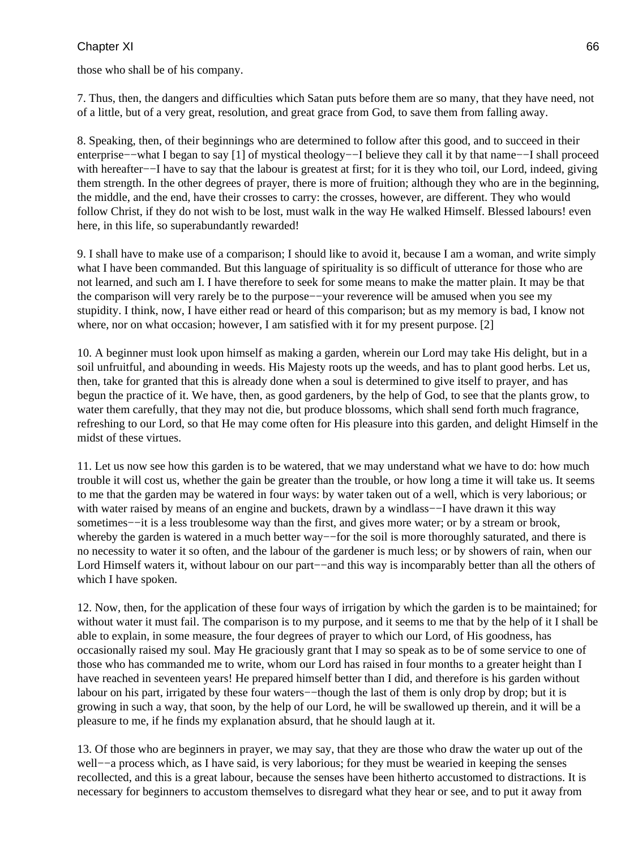those who shall be of his company.

7. Thus, then, the dangers and difficulties which Satan puts before them are so many, that they have need, not of a little, but of a very great, resolution, and great grace from God, to save them from falling away.

8. Speaking, then, of their beginnings who are determined to follow after this good, and to succeed in their enterprise−−what I began to say [1] of mystical theology−−I believe they call it by that name−−I shall proceed with hereafter–−I have to say that the labour is greatest at first; for it is they who toil, our Lord, indeed, giving them strength. In the other degrees of prayer, there is more of fruition; although they who are in the beginning, the middle, and the end, have their crosses to carry: the crosses, however, are different. They who would follow Christ, if they do not wish to be lost, must walk in the way He walked Himself. Blessed labours! even here, in this life, so superabundantly rewarded!

9. I shall have to make use of a comparison; I should like to avoid it, because I am a woman, and write simply what I have been commanded. But this language of spirituality is so difficult of utterance for those who are not learned, and such am I. I have therefore to seek for some means to make the matter plain. It may be that the comparison will very rarely be to the purpose−−your reverence will be amused when you see my stupidity. I think, now, I have either read or heard of this comparison; but as my memory is bad, I know not where, nor on what occasion; however, I am satisfied with it for my present purpose. [2]

10. A beginner must look upon himself as making a garden, wherein our Lord may take His delight, but in a soil unfruitful, and abounding in weeds. His Majesty roots up the weeds, and has to plant good herbs. Let us, then, take for granted that this is already done when a soul is determined to give itself to prayer, and has begun the practice of it. We have, then, as good gardeners, by the help of God, to see that the plants grow, to water them carefully, that they may not die, but produce blossoms, which shall send forth much fragrance, refreshing to our Lord, so that He may come often for His pleasure into this garden, and delight Himself in the midst of these virtues.

11. Let us now see how this garden is to be watered, that we may understand what we have to do: how much trouble it will cost us, whether the gain be greater than the trouble, or how long a time it will take us. It seems to me that the garden may be watered in four ways: by water taken out of a well, which is very laborious; or with water raised by means of an engine and buckets, drawn by a windlass–−I have drawn it this way sometimes−−it is a less troublesome way than the first, and gives more water; or by a stream or brook, whereby the garden is watered in a much better way—−for the soil is more thoroughly saturated, and there is no necessity to water it so often, and the labour of the gardener is much less; or by showers of rain, when our Lord Himself waters it, without labour on our part−−and this way is incomparably better than all the others of which I have spoken.

12. Now, then, for the application of these four ways of irrigation by which the garden is to be maintained; for without water it must fail. The comparison is to my purpose, and it seems to me that by the help of it I shall be able to explain, in some measure, the four degrees of prayer to which our Lord, of His goodness, has occasionally raised my soul. May He graciously grant that I may so speak as to be of some service to one of those who has commanded me to write, whom our Lord has raised in four months to a greater height than I have reached in seventeen years! He prepared himself better than I did, and therefore is his garden without labour on his part, irrigated by these four waters−−though the last of them is only drop by drop; but it is growing in such a way, that soon, by the help of our Lord, he will be swallowed up therein, and it will be a pleasure to me, if he finds my explanation absurd, that he should laugh at it.

13. Of those who are beginners in prayer, we may say, that they are those who draw the water up out of the well−−a process which, as I have said, is very laborious; for they must be wearied in keeping the senses recollected, and this is a great labour, because the senses have been hitherto accustomed to distractions. It is necessary for beginners to accustom themselves to disregard what they hear or see, and to put it away from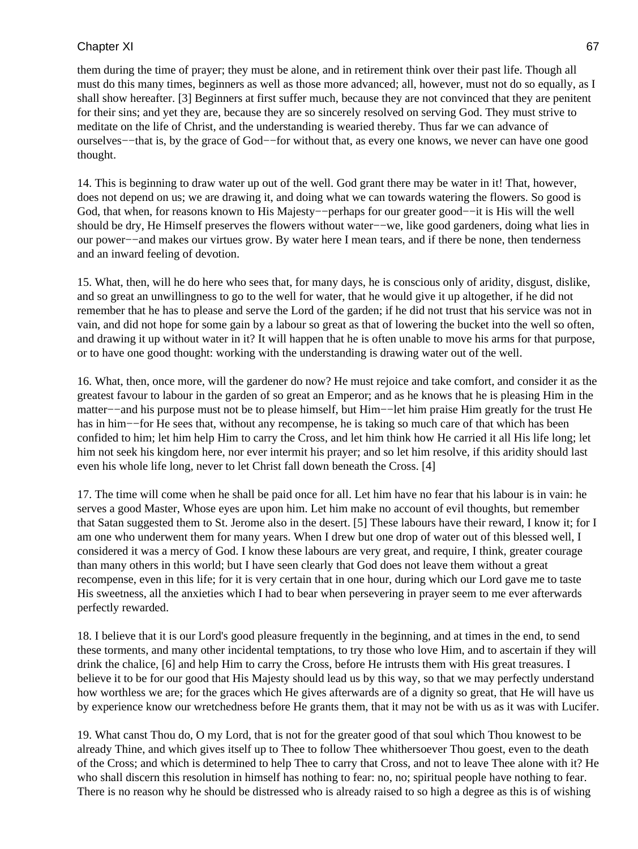them during the time of prayer; they must be alone, and in retirement think over their past life. Though all must do this many times, beginners as well as those more advanced; all, however, must not do so equally, as I shall show hereafter. [3] Beginners at first suffer much, because they are not convinced that they are penitent for their sins; and yet they are, because they are so sincerely resolved on serving God. They must strive to meditate on the life of Christ, and the understanding is wearied thereby. Thus far we can advance of ourselves−−that is, by the grace of God−−for without that, as every one knows, we never can have one good thought.

14. This is beginning to draw water up out of the well. God grant there may be water in it! That, however, does not depend on us; we are drawing it, and doing what we can towards watering the flowers. So good is God, that when, for reasons known to His Majesty−−perhaps for our greater good−−it is His will the well should be dry, He Himself preserves the flowers without water−−we, like good gardeners, doing what lies in our power−−and makes our virtues grow. By water here I mean tears, and if there be none, then tenderness and an inward feeling of devotion.

15. What, then, will he do here who sees that, for many days, he is conscious only of aridity, disgust, dislike, and so great an unwillingness to go to the well for water, that he would give it up altogether, if he did not remember that he has to please and serve the Lord of the garden; if he did not trust that his service was not in vain, and did not hope for some gain by a labour so great as that of lowering the bucket into the well so often, and drawing it up without water in it? It will happen that he is often unable to move his arms for that purpose, or to have one good thought: working with the understanding is drawing water out of the well.

16. What, then, once more, will the gardener do now? He must rejoice and take comfort, and consider it as the greatest favour to labour in the garden of so great an Emperor; and as he knows that he is pleasing Him in the matter−−and his purpose must not be to please himself, but Him−−let him praise Him greatly for the trust He has in him−−for He sees that, without any recompense, he is taking so much care of that which has been confided to him; let him help Him to carry the Cross, and let him think how He carried it all His life long; let him not seek his kingdom here, nor ever intermit his prayer; and so let him resolve, if this aridity should last even his whole life long, never to let Christ fall down beneath the Cross. [4]

17. The time will come when he shall be paid once for all. Let him have no fear that his labour is in vain: he serves a good Master, Whose eyes are upon him. Let him make no account of evil thoughts, but remember that Satan suggested them to St. Jerome also in the desert. [5] These labours have their reward, I know it; for I am one who underwent them for many years. When I drew but one drop of water out of this blessed well, I considered it was a mercy of God. I know these labours are very great, and require, I think, greater courage than many others in this world; but I have seen clearly that God does not leave them without a great recompense, even in this life; for it is very certain that in one hour, during which our Lord gave me to taste His sweetness, all the anxieties which I had to bear when persevering in prayer seem to me ever afterwards perfectly rewarded.

18. I believe that it is our Lord's good pleasure frequently in the beginning, and at times in the end, to send these torments, and many other incidental temptations, to try those who love Him, and to ascertain if they will drink the chalice, [6] and help Him to carry the Cross, before He intrusts them with His great treasures. I believe it to be for our good that His Majesty should lead us by this way, so that we may perfectly understand how worthless we are; for the graces which He gives afterwards are of a dignity so great, that He will have us by experience know our wretchedness before He grants them, that it may not be with us as it was with Lucifer.

19. What canst Thou do, O my Lord, that is not for the greater good of that soul which Thou knowest to be already Thine, and which gives itself up to Thee to follow Thee whithersoever Thou goest, even to the death of the Cross; and which is determined to help Thee to carry that Cross, and not to leave Thee alone with it? He who shall discern this resolution in himself has nothing to fear: no, no; spiritual people have nothing to fear. There is no reason why he should be distressed who is already raised to so high a degree as this is of wishing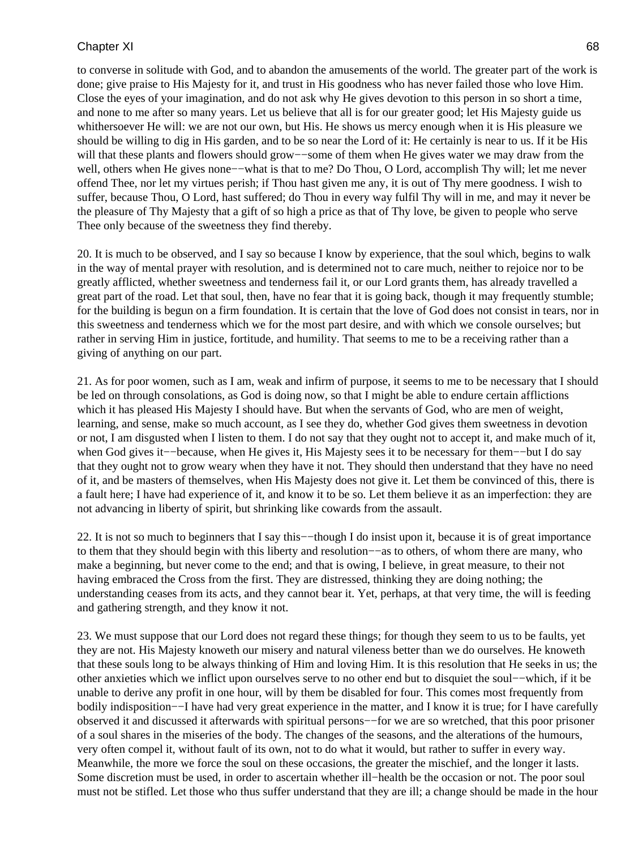to converse in solitude with God, and to abandon the amusements of the world. The greater part of the work is done; give praise to His Majesty for it, and trust in His goodness who has never failed those who love Him. Close the eyes of your imagination, and do not ask why He gives devotion to this person in so short a time, and none to me after so many years. Let us believe that all is for our greater good; let His Majesty guide us whithersoever He will: we are not our own, but His. He shows us mercy enough when it is His pleasure we should be willing to dig in His garden, and to be so near the Lord of it: He certainly is near to us. If it be His will that these plants and flowers should grow—–some of them when He gives water we may draw from the well, others when He gives none−−what is that to me? Do Thou, O Lord, accomplish Thy will; let me never offend Thee, nor let my virtues perish; if Thou hast given me any, it is out of Thy mere goodness. I wish to suffer, because Thou, O Lord, hast suffered; do Thou in every way fulfil Thy will in me, and may it never be the pleasure of Thy Majesty that a gift of so high a price as that of Thy love, be given to people who serve Thee only because of the sweetness they find thereby.

20. It is much to be observed, and I say so because I know by experience, that the soul which, begins to walk in the way of mental prayer with resolution, and is determined not to care much, neither to rejoice nor to be greatly afflicted, whether sweetness and tenderness fail it, or our Lord grants them, has already travelled a great part of the road. Let that soul, then, have no fear that it is going back, though it may frequently stumble; for the building is begun on a firm foundation. It is certain that the love of God does not consist in tears, nor in this sweetness and tenderness which we for the most part desire, and with which we console ourselves; but rather in serving Him in justice, fortitude, and humility. That seems to me to be a receiving rather than a giving of anything on our part.

21. As for poor women, such as I am, weak and infirm of purpose, it seems to me to be necessary that I should be led on through consolations, as God is doing now, so that I might be able to endure certain afflictions which it has pleased His Majesty I should have. But when the servants of God, who are men of weight, learning, and sense, make so much account, as I see they do, whether God gives them sweetness in devotion or not, I am disgusted when I listen to them. I do not say that they ought not to accept it, and make much of it, when God gives it−−because, when He gives it, His Majesty sees it to be necessary for them−−but I do say that they ought not to grow weary when they have it not. They should then understand that they have no need of it, and be masters of themselves, when His Majesty does not give it. Let them be convinced of this, there is a fault here; I have had experience of it, and know it to be so. Let them believe it as an imperfection: they are not advancing in liberty of spirit, but shrinking like cowards from the assault.

22. It is not so much to beginners that I say this−−though I do insist upon it, because it is of great importance to them that they should begin with this liberty and resolution−−as to others, of whom there are many, who make a beginning, but never come to the end; and that is owing, I believe, in great measure, to their not having embraced the Cross from the first. They are distressed, thinking they are doing nothing; the understanding ceases from its acts, and they cannot bear it. Yet, perhaps, at that very time, the will is feeding and gathering strength, and they know it not.

23. We must suppose that our Lord does not regard these things; for though they seem to us to be faults, yet they are not. His Majesty knoweth our misery and natural vileness better than we do ourselves. He knoweth that these souls long to be always thinking of Him and loving Him. It is this resolution that He seeks in us; the other anxieties which we inflict upon ourselves serve to no other end but to disquiet the soul−−which, if it be unable to derive any profit in one hour, will by them be disabled for four. This comes most frequently from bodily indisposition−−I have had very great experience in the matter, and I know it is true; for I have carefully observed it and discussed it afterwards with spiritual persons−−for we are so wretched, that this poor prisoner of a soul shares in the miseries of the body. The changes of the seasons, and the alterations of the humours, very often compel it, without fault of its own, not to do what it would, but rather to suffer in every way. Meanwhile, the more we force the soul on these occasions, the greater the mischief, and the longer it lasts. Some discretion must be used, in order to ascertain whether ill−health be the occasion or not. The poor soul must not be stifled. Let those who thus suffer understand that they are ill; a change should be made in the hour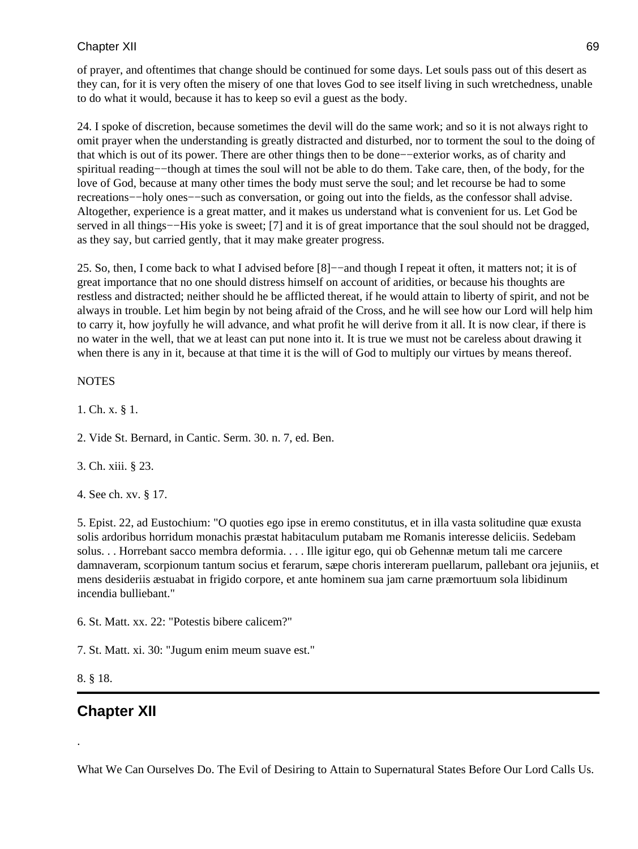of prayer, and oftentimes that change should be continued for some days. Let souls pass out of this desert as they can, for it is very often the misery of one that loves God to see itself living in such wretchedness, unable to do what it would, because it has to keep so evil a guest as the body.

24. I spoke of discretion, because sometimes the devil will do the same work; and so it is not always right to omit prayer when the understanding is greatly distracted and disturbed, nor to torment the soul to the doing of that which is out of its power. There are other things then to be done−−exterior works, as of charity and spiritual reading−−though at times the soul will not be able to do them. Take care, then, of the body, for the love of God, because at many other times the body must serve the soul; and let recourse be had to some recreations−−holy ones−−such as conversation, or going out into the fields, as the confessor shall advise. Altogether, experience is a great matter, and it makes us understand what is convenient for us. Let God be served in all things-−His yoke is sweet; [7] and it is of great importance that the soul should not be dragged, as they say, but carried gently, that it may make greater progress.

25. So, then, I come back to what I advised before [8]−−and though I repeat it often, it matters not; it is of great importance that no one should distress himself on account of aridities, or because his thoughts are restless and distracted; neither should he be afflicted thereat, if he would attain to liberty of spirit, and not be always in trouble. Let him begin by not being afraid of the Cross, and he will see how our Lord will help him to carry it, how joyfully he will advance, and what profit he will derive from it all. It is now clear, if there is no water in the well, that we at least can put none into it. It is true we must not be careless about drawing it when there is any in it, because at that time it is the will of God to multiply our virtues by means thereof.

#### **NOTES**

1. Ch. x. § 1.

2. Vide St. Bernard, in Cantic. Serm. 30. n. 7, ed. Ben.

3. Ch. xiii. § 23.

4. See ch. xv. § 17.

5. Epist. 22, ad Eustochium: "O quoties ego ipse in eremo constitutus, et in illa vasta solitudine quæ exusta solis ardoribus horridum monachis præstat habitaculum putabam me Romanis interesse deliciis. Sedebam solus. . . Horrebant sacco membra deformia. . . . Ille igitur ego, qui ob Gehennæ metum tali me carcere damnaveram, scorpionum tantum socius et ferarum, sæpe choris intereram puellarum, pallebant ora jejuniis, et mens desideriis æstuabat in frigido corpore, et ante hominem sua jam carne præmortuum sola libidinum incendia bulliebant."

6. St. Matt. xx. 22: "Potestis bibere calicem?"

7. St. Matt. xi. 30: "Jugum enim meum suave est."

#### 8. § 18.

.

## **Chapter XII**

What We Can Ourselves Do. The Evil of Desiring to Attain to Supernatural States Before Our Lord Calls Us.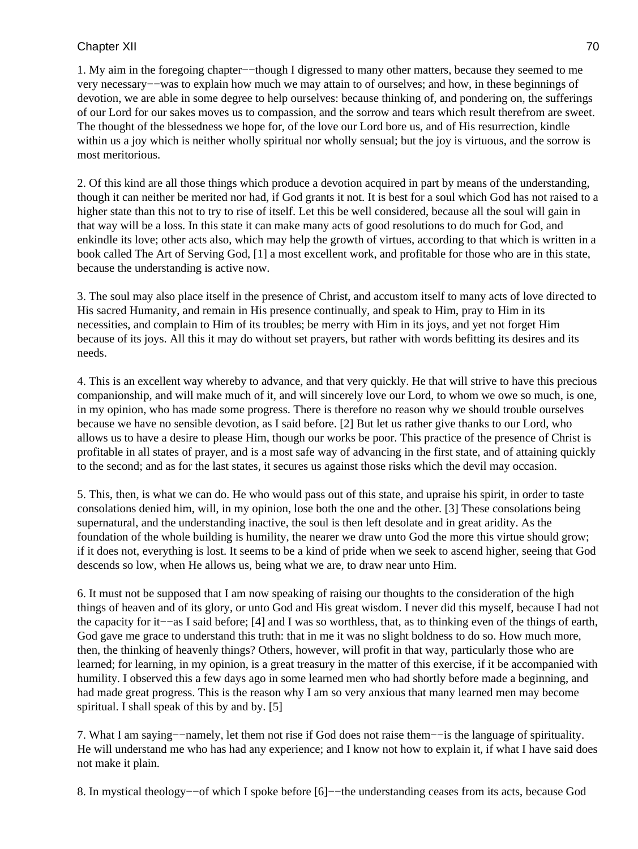1. My aim in the foregoing chapter−−though I digressed to many other matters, because they seemed to me very necessary−−was to explain how much we may attain to of ourselves; and how, in these beginnings of devotion, we are able in some degree to help ourselves: because thinking of, and pondering on, the sufferings of our Lord for our sakes moves us to compassion, and the sorrow and tears which result therefrom are sweet. The thought of the blessedness we hope for, of the love our Lord bore us, and of His resurrection, kindle within us a joy which is neither wholly spiritual nor wholly sensual; but the joy is virtuous, and the sorrow is most meritorious.

2. Of this kind are all those things which produce a devotion acquired in part by means of the understanding, though it can neither be merited nor had, if God grants it not. It is best for a soul which God has not raised to a higher state than this not to try to rise of itself. Let this be well considered, because all the soul will gain in that way will be a loss. In this state it can make many acts of good resolutions to do much for God, and enkindle its love; other acts also, which may help the growth of virtues, according to that which is written in a book called The Art of Serving God, [1] a most excellent work, and profitable for those who are in this state, because the understanding is active now.

3. The soul may also place itself in the presence of Christ, and accustom itself to many acts of love directed to His sacred Humanity, and remain in His presence continually, and speak to Him, pray to Him in its necessities, and complain to Him of its troubles; be merry with Him in its joys, and yet not forget Him because of its joys. All this it may do without set prayers, but rather with words befitting its desires and its needs.

4. This is an excellent way whereby to advance, and that very quickly. He that will strive to have this precious companionship, and will make much of it, and will sincerely love our Lord, to whom we owe so much, is one, in my opinion, who has made some progress. There is therefore no reason why we should trouble ourselves because we have no sensible devotion, as I said before. [2] But let us rather give thanks to our Lord, who allows us to have a desire to please Him, though our works be poor. This practice of the presence of Christ is profitable in all states of prayer, and is a most safe way of advancing in the first state, and of attaining quickly to the second; and as for the last states, it secures us against those risks which the devil may occasion.

5. This, then, is what we can do. He who would pass out of this state, and upraise his spirit, in order to taste consolations denied him, will, in my opinion, lose both the one and the other. [3] These consolations being supernatural, and the understanding inactive, the soul is then left desolate and in great aridity. As the foundation of the whole building is humility, the nearer we draw unto God the more this virtue should grow; if it does not, everything is lost. It seems to be a kind of pride when we seek to ascend higher, seeing that God descends so low, when He allows us, being what we are, to draw near unto Him.

6. It must not be supposed that I am now speaking of raising our thoughts to the consideration of the high things of heaven and of its glory, or unto God and His great wisdom. I never did this myself, because I had not the capacity for it−−as I said before; [4] and I was so worthless, that, as to thinking even of the things of earth, God gave me grace to understand this truth: that in me it was no slight boldness to do so. How much more, then, the thinking of heavenly things? Others, however, will profit in that way, particularly those who are learned; for learning, in my opinion, is a great treasury in the matter of this exercise, if it be accompanied with humility. I observed this a few days ago in some learned men who had shortly before made a beginning, and had made great progress. This is the reason why I am so very anxious that many learned men may become spiritual. I shall speak of this by and by. [5]

7. What I am saying−−namely, let them not rise if God does not raise them−−is the language of spirituality. He will understand me who has had any experience; and I know not how to explain it, if what I have said does not make it plain.

8. In mystical theology−−of which I spoke before [6]−−the understanding ceases from its acts, because God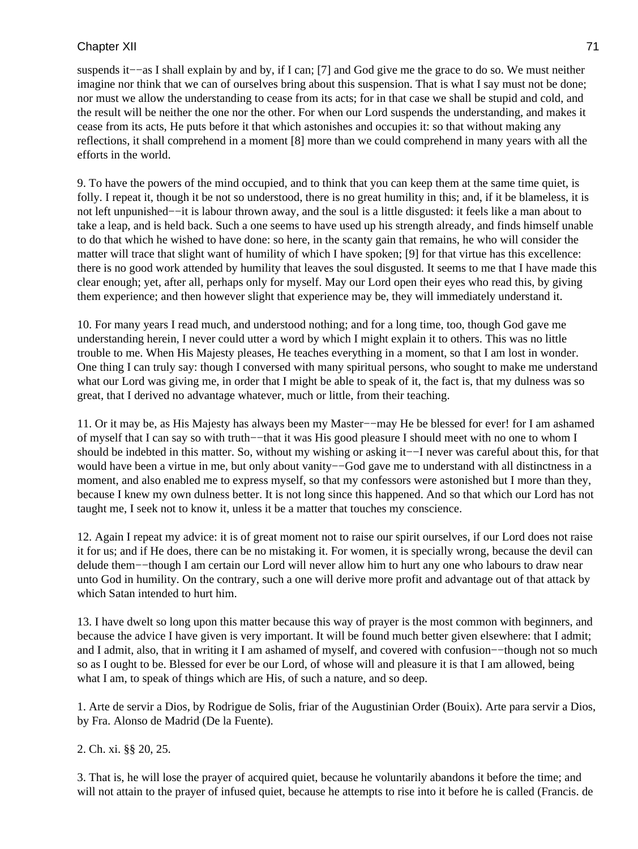suspends it–−as I shall explain by and by, if I can; [7] and God give me the grace to do so. We must neither imagine nor think that we can of ourselves bring about this suspension. That is what I say must not be done; nor must we allow the understanding to cease from its acts; for in that case we shall be stupid and cold, and the result will be neither the one nor the other. For when our Lord suspends the understanding, and makes it cease from its acts, He puts before it that which astonishes and occupies it: so that without making any reflections, it shall comprehend in a moment [8] more than we could comprehend in many years with all the efforts in the world.

9. To have the powers of the mind occupied, and to think that you can keep them at the same time quiet, is folly. I repeat it, though it be not so understood, there is no great humility in this; and, if it be blameless, it is not left unpunished−−it is labour thrown away, and the soul is a little disgusted: it feels like a man about to take a leap, and is held back. Such a one seems to have used up his strength already, and finds himself unable to do that which he wished to have done: so here, in the scanty gain that remains, he who will consider the matter will trace that slight want of humility of which I have spoken; [9] for that virtue has this excellence: there is no good work attended by humility that leaves the soul disgusted. It seems to me that I have made this clear enough; yet, after all, perhaps only for myself. May our Lord open their eyes who read this, by giving them experience; and then however slight that experience may be, they will immediately understand it.

10. For many years I read much, and understood nothing; and for a long time, too, though God gave me understanding herein, I never could utter a word by which I might explain it to others. This was no little trouble to me. When His Majesty pleases, He teaches everything in a moment, so that I am lost in wonder. One thing I can truly say: though I conversed with many spiritual persons, who sought to make me understand what our Lord was giving me, in order that I might be able to speak of it, the fact is, that my dulness was so great, that I derived no advantage whatever, much or little, from their teaching.

11. Or it may be, as His Majesty has always been my Master−−may He be blessed for ever! for I am ashamed of myself that I can say so with truth−−that it was His good pleasure I should meet with no one to whom I should be indebted in this matter. So, without my wishing or asking it−−I never was careful about this, for that would have been a virtue in me, but only about vanity–−God gave me to understand with all distinctness in a moment, and also enabled me to express myself, so that my confessors were astonished but I more than they, because I knew my own dulness better. It is not long since this happened. And so that which our Lord has not taught me, I seek not to know it, unless it be a matter that touches my conscience.

12. Again I repeat my advice: it is of great moment not to raise our spirit ourselves, if our Lord does not raise it for us; and if He does, there can be no mistaking it. For women, it is specially wrong, because the devil can delude them−−though I am certain our Lord will never allow him to hurt any one who labours to draw near unto God in humility. On the contrary, such a one will derive more profit and advantage out of that attack by which Satan intended to hurt him.

13. I have dwelt so long upon this matter because this way of prayer is the most common with beginners, and because the advice I have given is very important. It will be found much better given elsewhere: that I admit; and I admit, also, that in writing it I am ashamed of myself, and covered with confusion−−though not so much so as I ought to be. Blessed for ever be our Lord, of whose will and pleasure it is that I am allowed, being what I am, to speak of things which are His, of such a nature, and so deep.

1. Arte de servir a Dios, by Rodrigue de Solis, friar of the Augustinian Order (Bouix). Arte para servir a Dios, by Fra. Alonso de Madrid (De la Fuente).

2. Ch. xi. §§ 20, 25.

3. That is, he will lose the prayer of acquired quiet, because he voluntarily abandons it before the time; and will not attain to the prayer of infused quiet, because he attempts to rise into it before he is called (Francis. de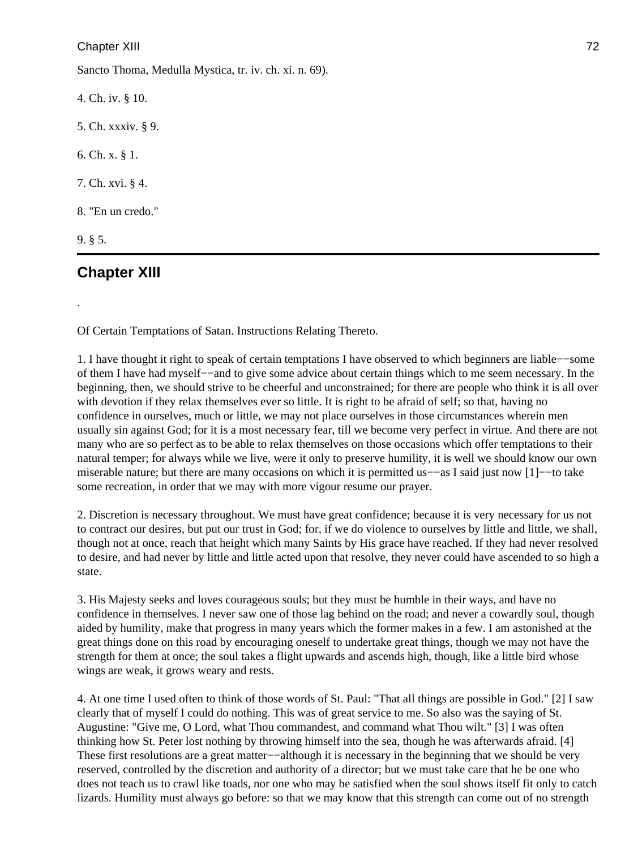Sancto Thoma, Medulla Mystica, tr. iv. ch. xi. n. 69).

4. Ch. iv. § 10. 5. Ch. xxxiv. § 9. 6. Ch. x. § 1. 7. Ch. xvi. § 4. 8. "En un credo." 9. § 5.

# **Chapter XIII**

.

Of Certain Temptations of Satan. Instructions Relating Thereto.

1. I have thought it right to speak of certain temptations I have observed to which beginners are liable−−some of them I have had myself−−and to give some advice about certain things which to me seem necessary. In the beginning, then, we should strive to be cheerful and unconstrained; for there are people who think it is all over with devotion if they relax themselves ever so little. It is right to be afraid of self; so that, having no confidence in ourselves, much or little, we may not place ourselves in those circumstances wherein men usually sin against God; for it is a most necessary fear, till we become very perfect in virtue. And there are not many who are so perfect as to be able to relax themselves on those occasions which offer temptations to their natural temper; for always while we live, were it only to preserve humility, it is well we should know our own miserable nature; but there are many occasions on which it is permitted us−−as I said just now [1]−−to take some recreation, in order that we may with more vigour resume our prayer.

2. Discretion is necessary throughout. We must have great confidence; because it is very necessary for us not to contract our desires, but put our trust in God; for, if we do violence to ourselves by little and little, we shall, though not at once, reach that height which many Saints by His grace have reached. If they had never resolved to desire, and had never by little and little acted upon that resolve, they never could have ascended to so high a state.

3. His Majesty seeks and loves courageous souls; but they must be humble in their ways, and have no confidence in themselves. I never saw one of those lag behind on the road; and never a cowardly soul, though aided by humility, make that progress in many years which the former makes in a few. I am astonished at the great things done on this road by encouraging oneself to undertake great things, though we may not have the strength for them at once; the soul takes a flight upwards and ascends high, though, like a little bird whose wings are weak, it grows weary and rests.

4. At one time I used often to think of those words of St. Paul: "That all things are possible in God." [2] I saw clearly that of myself I could do nothing. This was of great service to me. So also was the saying of St. Augustine: "Give me, O Lord, what Thou commandest, and command what Thou wilt." [3] I was often thinking how St. Peter lost nothing by throwing himself into the sea, though he was afterwards afraid. [4] These first resolutions are a great matter-−although it is necessary in the beginning that we should be very reserved, controlled by the discretion and authority of a director; but we must take care that he be one who does not teach us to crawl like toads, nor one who may be satisfied when the soul shows itself fit only to catch lizards. Humility must always go before: so that we may know that this strength can come out of no strength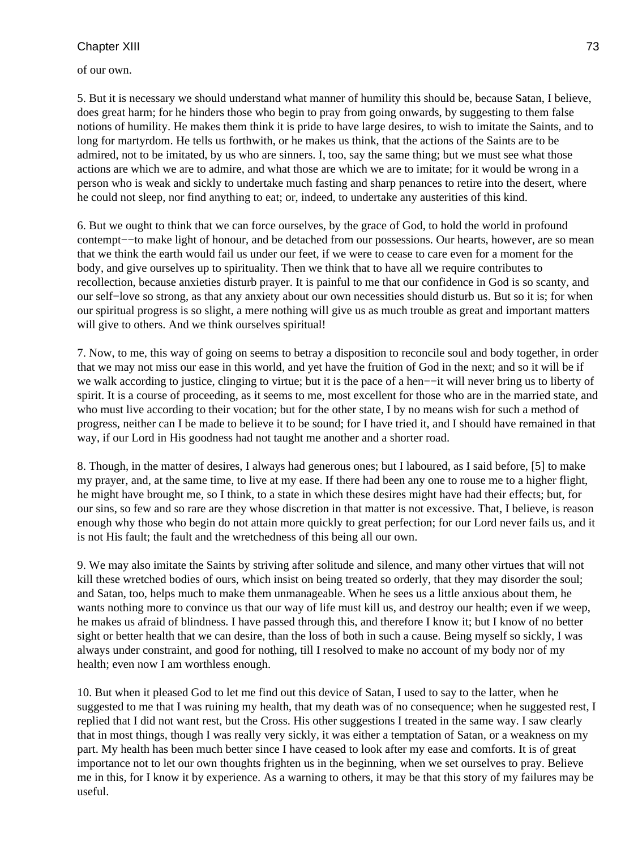of our own.

5. But it is necessary we should understand what manner of humility this should be, because Satan, I believe, does great harm; for he hinders those who begin to pray from going onwards, by suggesting to them false notions of humility. He makes them think it is pride to have large desires, to wish to imitate the Saints, and to long for martyrdom. He tells us forthwith, or he makes us think, that the actions of the Saints are to be admired, not to be imitated, by us who are sinners. I, too, say the same thing; but we must see what those actions are which we are to admire, and what those are which we are to imitate; for it would be wrong in a person who is weak and sickly to undertake much fasting and sharp penances to retire into the desert, where he could not sleep, nor find anything to eat; or, indeed, to undertake any austerities of this kind.

6. But we ought to think that we can force ourselves, by the grace of God, to hold the world in profound contempt−−to make light of honour, and be detached from our possessions. Our hearts, however, are so mean that we think the earth would fail us under our feet, if we were to cease to care even for a moment for the body, and give ourselves up to spirituality. Then we think that to have all we require contributes to recollection, because anxieties disturb prayer. It is painful to me that our confidence in God is so scanty, and our self−love so strong, as that any anxiety about our own necessities should disturb us. But so it is; for when our spiritual progress is so slight, a mere nothing will give us as much trouble as great and important matters will give to others. And we think ourselves spiritual!

7. Now, to me, this way of going on seems to betray a disposition to reconcile soul and body together, in order that we may not miss our ease in this world, and yet have the fruition of God in the next; and so it will be if we walk according to justice, clinging to virtue; but it is the pace of a hen−−it will never bring us to liberty of spirit. It is a course of proceeding, as it seems to me, most excellent for those who are in the married state, and who must live according to their vocation; but for the other state, I by no means wish for such a method of progress, neither can I be made to believe it to be sound; for I have tried it, and I should have remained in that way, if our Lord in His goodness had not taught me another and a shorter road.

8. Though, in the matter of desires, I always had generous ones; but I laboured, as I said before, [5] to make my prayer, and, at the same time, to live at my ease. If there had been any one to rouse me to a higher flight, he might have brought me, so I think, to a state in which these desires might have had their effects; but, for our sins, so few and so rare are they whose discretion in that matter is not excessive. That, I believe, is reason enough why those who begin do not attain more quickly to great perfection; for our Lord never fails us, and it is not His fault; the fault and the wretchedness of this being all our own.

9. We may also imitate the Saints by striving after solitude and silence, and many other virtues that will not kill these wretched bodies of ours, which insist on being treated so orderly, that they may disorder the soul; and Satan, too, helps much to make them unmanageable. When he sees us a little anxious about them, he wants nothing more to convince us that our way of life must kill us, and destroy our health; even if we weep, he makes us afraid of blindness. I have passed through this, and therefore I know it; but I know of no better sight or better health that we can desire, than the loss of both in such a cause. Being myself so sickly, I was always under constraint, and good for nothing, till I resolved to make no account of my body nor of my health; even now I am worthless enough.

10. But when it pleased God to let me find out this device of Satan, I used to say to the latter, when he suggested to me that I was ruining my health, that my death was of no consequence; when he suggested rest, I replied that I did not want rest, but the Cross. His other suggestions I treated in the same way. I saw clearly that in most things, though I was really very sickly, it was either a temptation of Satan, or a weakness on my part. My health has been much better since I have ceased to look after my ease and comforts. It is of great importance not to let our own thoughts frighten us in the beginning, when we set ourselves to pray. Believe me in this, for I know it by experience. As a warning to others, it may be that this story of my failures may be useful.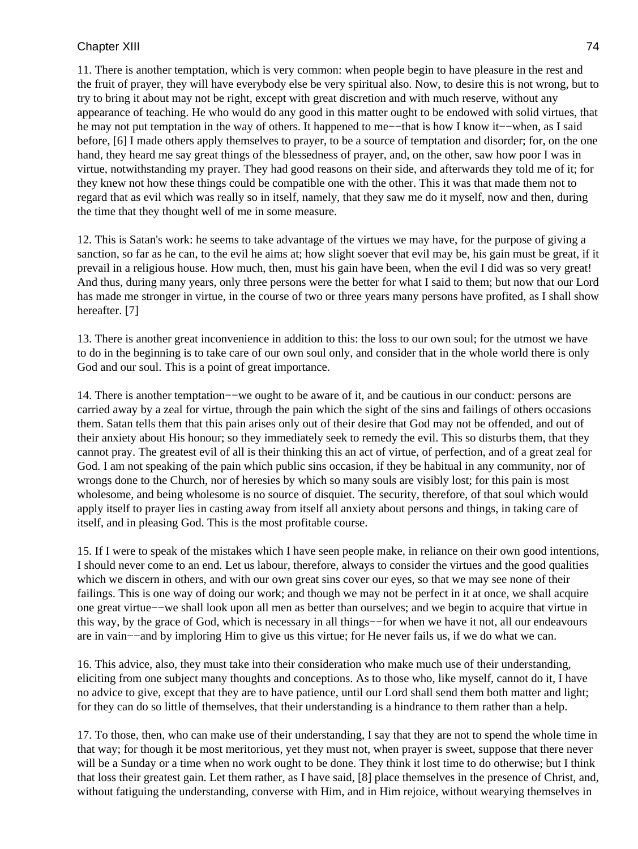11. There is another temptation, which is very common: when people begin to have pleasure in the rest and the fruit of prayer, they will have everybody else be very spiritual also. Now, to desire this is not wrong, but to try to bring it about may not be right, except with great discretion and with much reserve, without any appearance of teaching. He who would do any good in this matter ought to be endowed with solid virtues, that he may not put temptation in the way of others. It happened to me−−that is how I know it−−when, as I said before, [6] I made others apply themselves to prayer, to be a source of temptation and disorder; for, on the one hand, they heard me say great things of the blessedness of prayer, and, on the other, saw how poor I was in virtue, notwithstanding my prayer. They had good reasons on their side, and afterwards they told me of it; for they knew not how these things could be compatible one with the other. This it was that made them not to regard that as evil which was really so in itself, namely, that they saw me do it myself, now and then, during the time that they thought well of me in some measure.

12. This is Satan's work: he seems to take advantage of the virtues we may have, for the purpose of giving a sanction, so far as he can, to the evil he aims at; how slight soever that evil may be, his gain must be great, if it prevail in a religious house. How much, then, must his gain have been, when the evil I did was so very great! And thus, during many years, only three persons were the better for what I said to them; but now that our Lord has made me stronger in virtue, in the course of two or three years many persons have profited, as I shall show hereafter. [7]

13. There is another great inconvenience in addition to this: the loss to our own soul; for the utmost we have to do in the beginning is to take care of our own soul only, and consider that in the whole world there is only God and our soul. This is a point of great importance.

14. There is another temptation−−we ought to be aware of it, and be cautious in our conduct: persons are carried away by a zeal for virtue, through the pain which the sight of the sins and failings of others occasions them. Satan tells them that this pain arises only out of their desire that God may not be offended, and out of their anxiety about His honour; so they immediately seek to remedy the evil. This so disturbs them, that they cannot pray. The greatest evil of all is their thinking this an act of virtue, of perfection, and of a great zeal for God. I am not speaking of the pain which public sins occasion, if they be habitual in any community, nor of wrongs done to the Church, nor of heresies by which so many souls are visibly lost; for this pain is most wholesome, and being wholesome is no source of disquiet. The security, therefore, of that soul which would apply itself to prayer lies in casting away from itself all anxiety about persons and things, in taking care of itself, and in pleasing God. This is the most profitable course.

15. If I were to speak of the mistakes which I have seen people make, in reliance on their own good intentions, I should never come to an end. Let us labour, therefore, always to consider the virtues and the good qualities which we discern in others, and with our own great sins cover our eyes, so that we may see none of their failings. This is one way of doing our work; and though we may not be perfect in it at once, we shall acquire one great virtue−−we shall look upon all men as better than ourselves; and we begin to acquire that virtue in this way, by the grace of God, which is necessary in all things−−for when we have it not, all our endeavours are in vain−−and by imploring Him to give us this virtue; for He never fails us, if we do what we can.

16. This advice, also, they must take into their consideration who make much use of their understanding, eliciting from one subject many thoughts and conceptions. As to those who, like myself, cannot do it, I have no advice to give, except that they are to have patience, until our Lord shall send them both matter and light; for they can do so little of themselves, that their understanding is a hindrance to them rather than a help.

17. To those, then, who can make use of their understanding, I say that they are not to spend the whole time in that way; for though it be most meritorious, yet they must not, when prayer is sweet, suppose that there never will be a Sunday or a time when no work ought to be done. They think it lost time to do otherwise; but I think that loss their greatest gain. Let them rather, as I have said, [8] place themselves in the presence of Christ, and, without fatiguing the understanding, converse with Him, and in Him rejoice, without wearying themselves in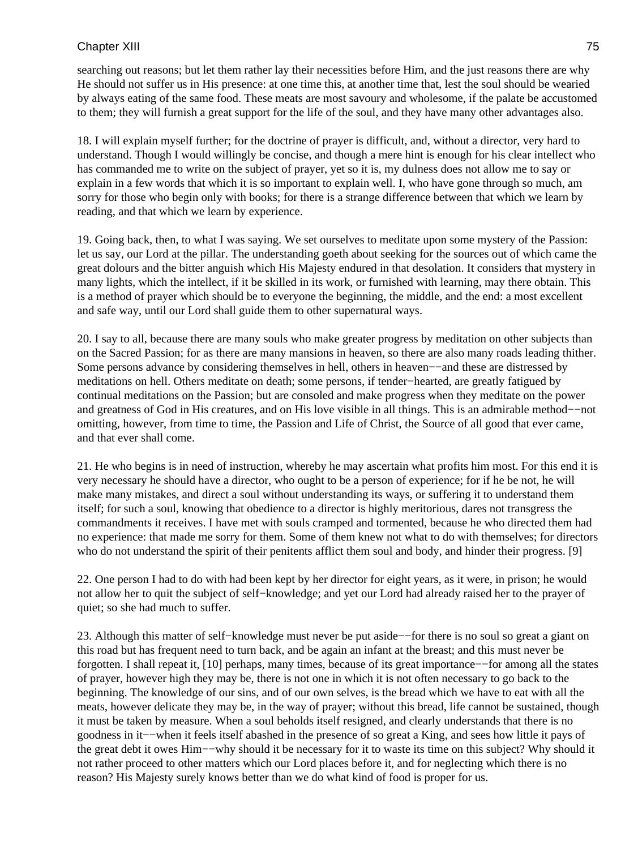searching out reasons; but let them rather lay their necessities before Him, and the just reasons there are why He should not suffer us in His presence: at one time this, at another time that, lest the soul should be wearied by always eating of the same food. These meats are most savoury and wholesome, if the palate be accustomed to them; they will furnish a great support for the life of the soul, and they have many other advantages also.

18. I will explain myself further; for the doctrine of prayer is difficult, and, without a director, very hard to understand. Though I would willingly be concise, and though a mere hint is enough for his clear intellect who has commanded me to write on the subject of prayer, yet so it is, my dulness does not allow me to say or explain in a few words that which it is so important to explain well. I, who have gone through so much, am sorry for those who begin only with books; for there is a strange difference between that which we learn by reading, and that which we learn by experience.

19. Going back, then, to what I was saying. We set ourselves to meditate upon some mystery of the Passion: let us say, our Lord at the pillar. The understanding goeth about seeking for the sources out of which came the great dolours and the bitter anguish which His Majesty endured in that desolation. It considers that mystery in many lights, which the intellect, if it be skilled in its work, or furnished with learning, may there obtain. This is a method of prayer which should be to everyone the beginning, the middle, and the end: a most excellent and safe way, until our Lord shall guide them to other supernatural ways.

20. I say to all, because there are many souls who make greater progress by meditation on other subjects than on the Sacred Passion; for as there are many mansions in heaven, so there are also many roads leading thither. Some persons advance by considering themselves in hell, others in heaven––and these are distressed by meditations on hell. Others meditate on death; some persons, if tender−hearted, are greatly fatigued by continual meditations on the Passion; but are consoled and make progress when they meditate on the power and greatness of God in His creatures, and on His love visible in all things. This is an admirable method−−not omitting, however, from time to time, the Passion and Life of Christ, the Source of all good that ever came, and that ever shall come.

21. He who begins is in need of instruction, whereby he may ascertain what profits him most. For this end it is very necessary he should have a director, who ought to be a person of experience; for if he be not, he will make many mistakes, and direct a soul without understanding its ways, or suffering it to understand them itself; for such a soul, knowing that obedience to a director is highly meritorious, dares not transgress the commandments it receives. I have met with souls cramped and tormented, because he who directed them had no experience: that made me sorry for them. Some of them knew not what to do with themselves; for directors who do not understand the spirit of their penitents afflict them soul and body, and hinder their progress. [9]

22. One person I had to do with had been kept by her director for eight years, as it were, in prison; he would not allow her to quit the subject of self−knowledge; and yet our Lord had already raised her to the prayer of quiet; so she had much to suffer.

23. Although this matter of self−knowledge must never be put aside−−for there is no soul so great a giant on this road but has frequent need to turn back, and be again an infant at the breast; and this must never be forgotten. I shall repeat it, [10] perhaps, many times, because of its great importance−−for among all the states of prayer, however high they may be, there is not one in which it is not often necessary to go back to the beginning. The knowledge of our sins, and of our own selves, is the bread which we have to eat with all the meats, however delicate they may be, in the way of prayer; without this bread, life cannot be sustained, though it must be taken by measure. When a soul beholds itself resigned, and clearly understands that there is no goodness in it−−when it feels itself abashed in the presence of so great a King, and sees how little it pays of the great debt it owes Him−−why should it be necessary for it to waste its time on this subject? Why should it not rather proceed to other matters which our Lord places before it, and for neglecting which there is no reason? His Majesty surely knows better than we do what kind of food is proper for us.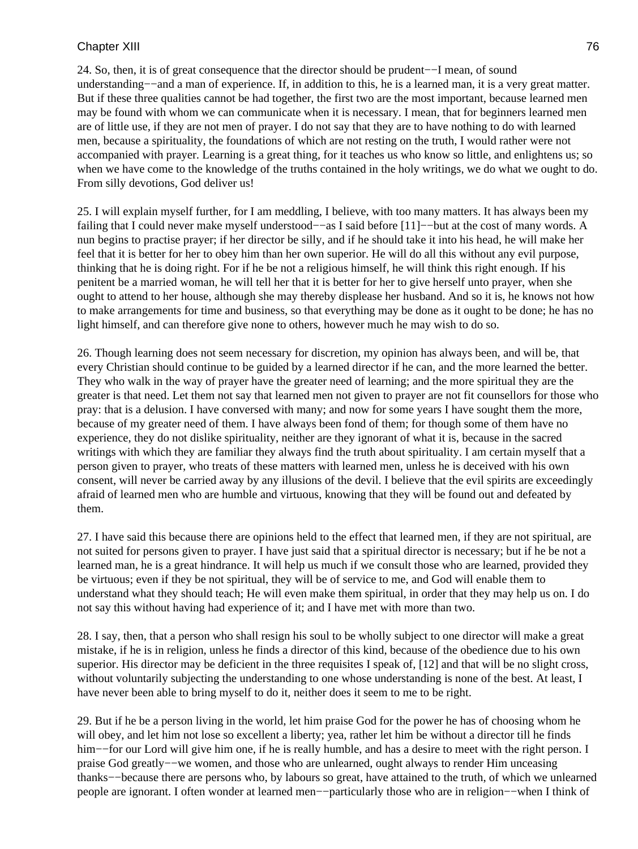24. So, then, it is of great consequence that the director should be prudent−−I mean, of sound understanding−−and a man of experience. If, in addition to this, he is a learned man, it is a very great matter. But if these three qualities cannot be had together, the first two are the most important, because learned men may be found with whom we can communicate when it is necessary. I mean, that for beginners learned men are of little use, if they are not men of prayer. I do not say that they are to have nothing to do with learned men, because a spirituality, the foundations of which are not resting on the truth, I would rather were not accompanied with prayer. Learning is a great thing, for it teaches us who know so little, and enlightens us; so when we have come to the knowledge of the truths contained in the holy writings, we do what we ought to do. From silly devotions, God deliver us!

25. I will explain myself further, for I am meddling, I believe, with too many matters. It has always been my failing that I could never make myself understood−−as I said before [11]−−but at the cost of many words. A nun begins to practise prayer; if her director be silly, and if he should take it into his head, he will make her feel that it is better for her to obey him than her own superior. He will do all this without any evil purpose, thinking that he is doing right. For if he be not a religious himself, he will think this right enough. If his penitent be a married woman, he will tell her that it is better for her to give herself unto prayer, when she ought to attend to her house, although she may thereby displease her husband. And so it is, he knows not how to make arrangements for time and business, so that everything may be done as it ought to be done; he has no light himself, and can therefore give none to others, however much he may wish to do so.

26. Though learning does not seem necessary for discretion, my opinion has always been, and will be, that every Christian should continue to be guided by a learned director if he can, and the more learned the better. They who walk in the way of prayer have the greater need of learning; and the more spiritual they are the greater is that need. Let them not say that learned men not given to prayer are not fit counsellors for those who pray: that is a delusion. I have conversed with many; and now for some years I have sought them the more, because of my greater need of them. I have always been fond of them; for though some of them have no experience, they do not dislike spirituality, neither are they ignorant of what it is, because in the sacred writings with which they are familiar they always find the truth about spirituality. I am certain myself that a person given to prayer, who treats of these matters with learned men, unless he is deceived with his own consent, will never be carried away by any illusions of the devil. I believe that the evil spirits are exceedingly afraid of learned men who are humble and virtuous, knowing that they will be found out and defeated by them.

27. I have said this because there are opinions held to the effect that learned men, if they are not spiritual, are not suited for persons given to prayer. I have just said that a spiritual director is necessary; but if he be not a learned man, he is a great hindrance. It will help us much if we consult those who are learned, provided they be virtuous; even if they be not spiritual, they will be of service to me, and God will enable them to understand what they should teach; He will even make them spiritual, in order that they may help us on. I do not say this without having had experience of it; and I have met with more than two.

28. I say, then, that a person who shall resign his soul to be wholly subject to one director will make a great mistake, if he is in religion, unless he finds a director of this kind, because of the obedience due to his own superior. His director may be deficient in the three requisites I speak of, [12] and that will be no slight cross, without voluntarily subjecting the understanding to one whose understanding is none of the best. At least, I have never been able to bring myself to do it, neither does it seem to me to be right.

29. But if he be a person living in the world, let him praise God for the power he has of choosing whom he will obey, and let him not lose so excellent a liberty; yea, rather let him be without a director till he finds him−−for our Lord will give him one, if he is really humble, and has a desire to meet with the right person. I praise God greatly−−we women, and those who are unlearned, ought always to render Him unceasing thanks−−because there are persons who, by labours so great, have attained to the truth, of which we unlearned people are ignorant. I often wonder at learned men−−particularly those who are in religion−−when I think of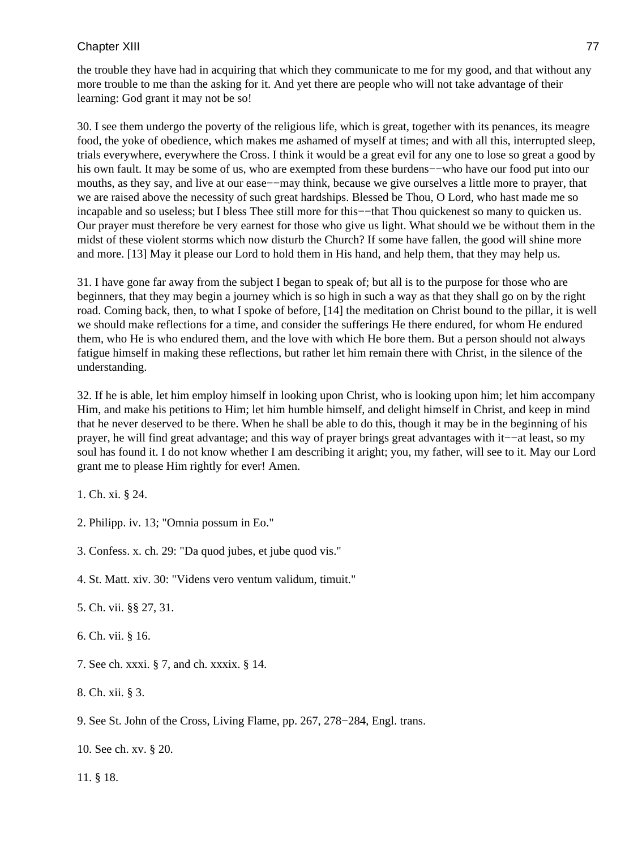the trouble they have had in acquiring that which they communicate to me for my good, and that without any more trouble to me than the asking for it. And yet there are people who will not take advantage of their learning: God grant it may not be so!

30. I see them undergo the poverty of the religious life, which is great, together with its penances, its meagre food, the yoke of obedience, which makes me ashamed of myself at times; and with all this, interrupted sleep, trials everywhere, everywhere the Cross. I think it would be a great evil for any one to lose so great a good by his own fault. It may be some of us, who are exempted from these burdens−−who have our food put into our mouths, as they say, and live at our ease−−may think, because we give ourselves a little more to prayer, that we are raised above the necessity of such great hardships. Blessed be Thou, O Lord, who hast made me so incapable and so useless; but I bless Thee still more for this−−that Thou quickenest so many to quicken us. Our prayer must therefore be very earnest for those who give us light. What should we be without them in the midst of these violent storms which now disturb the Church? If some have fallen, the good will shine more and more. [13] May it please our Lord to hold them in His hand, and help them, that they may help us.

31. I have gone far away from the subject I began to speak of; but all is to the purpose for those who are beginners, that they may begin a journey which is so high in such a way as that they shall go on by the right road. Coming back, then, to what I spoke of before, [14] the meditation on Christ bound to the pillar, it is well we should make reflections for a time, and consider the sufferings He there endured, for whom He endured them, who He is who endured them, and the love with which He bore them. But a person should not always fatigue himself in making these reflections, but rather let him remain there with Christ, in the silence of the understanding.

32. If he is able, let him employ himself in looking upon Christ, who is looking upon him; let him accompany Him, and make his petitions to Him; let him humble himself, and delight himself in Christ, and keep in mind that he never deserved to be there. When he shall be able to do this, though it may be in the beginning of his prayer, he will find great advantage; and this way of prayer brings great advantages with it−−at least, so my soul has found it. I do not know whether I am describing it aright; you, my father, will see to it. May our Lord grant me to please Him rightly for ever! Amen.

1. Ch. xi. § 24.

2. Philipp. iv. 13; "Omnia possum in Eo."

3. Confess. x. ch. 29: "Da quod jubes, et jube quod vis."

4. St. Matt. xiv. 30: "Videns vero ventum validum, timuit."

5. Ch. vii. §§ 27, 31.

- 6. Ch. vii. § 16.
- 7. See ch. xxxi. § 7, and ch. xxxix. § 14.
- 8. Ch. xii. § 3.

9. See St. John of the Cross, Living Flame, pp. 267, 278−284, Engl. trans.

10. See ch. xv. § 20.

11. § 18.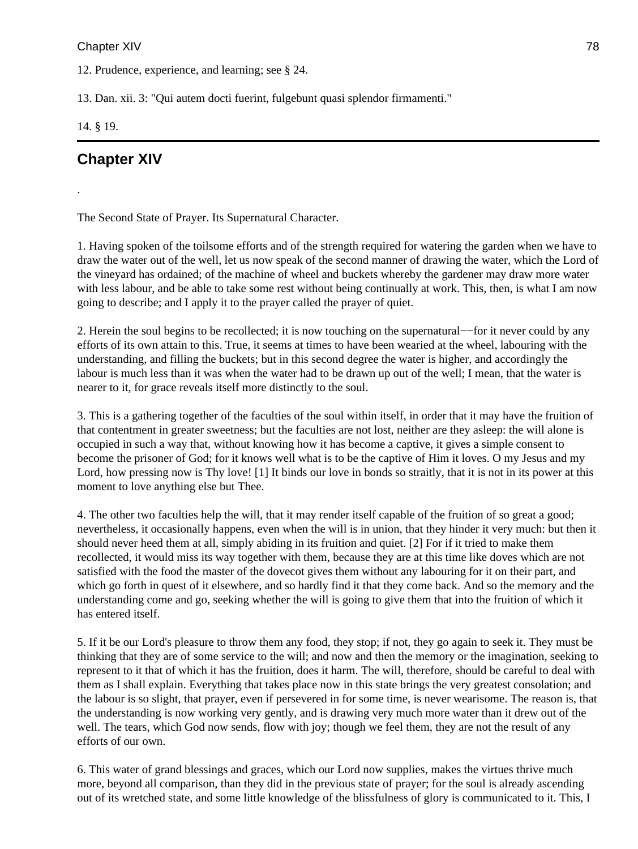12. Prudence, experience, and learning; see § 24.

13. Dan. xii. 3: "Qui autem docti fuerint, fulgebunt quasi splendor firmamenti."

14. § 19.

.

# **Chapter XIV**

The Second State of Prayer. Its Supernatural Character.

1. Having spoken of the toilsome efforts and of the strength required for watering the garden when we have to draw the water out of the well, let us now speak of the second manner of drawing the water, which the Lord of the vineyard has ordained; of the machine of wheel and buckets whereby the gardener may draw more water with less labour, and be able to take some rest without being continually at work. This, then, is what I am now going to describe; and I apply it to the prayer called the prayer of quiet.

2. Herein the soul begins to be recollected; it is now touching on the supernatural−−for it never could by any efforts of its own attain to this. True, it seems at times to have been wearied at the wheel, labouring with the understanding, and filling the buckets; but in this second degree the water is higher, and accordingly the labour is much less than it was when the water had to be drawn up out of the well; I mean, that the water is nearer to it, for grace reveals itself more distinctly to the soul.

3. This is a gathering together of the faculties of the soul within itself, in order that it may have the fruition of that contentment in greater sweetness; but the faculties are not lost, neither are they asleep: the will alone is occupied in such a way that, without knowing how it has become a captive, it gives a simple consent to become the prisoner of God; for it knows well what is to be the captive of Him it loves. O my Jesus and my Lord, how pressing now is Thy love! [1] It binds our love in bonds so straitly, that it is not in its power at this moment to love anything else but Thee.

4. The other two faculties help the will, that it may render itself capable of the fruition of so great a good; nevertheless, it occasionally happens, even when the will is in union, that they hinder it very much: but then it should never heed them at all, simply abiding in its fruition and quiet. [2] For if it tried to make them recollected, it would miss its way together with them, because they are at this time like doves which are not satisfied with the food the master of the dovecot gives them without any labouring for it on their part, and which go forth in quest of it elsewhere, and so hardly find it that they come back. And so the memory and the understanding come and go, seeking whether the will is going to give them that into the fruition of which it has entered itself.

5. If it be our Lord's pleasure to throw them any food, they stop; if not, they go again to seek it. They must be thinking that they are of some service to the will; and now and then the memory or the imagination, seeking to represent to it that of which it has the fruition, does it harm. The will, therefore, should be careful to deal with them as I shall explain. Everything that takes place now in this state brings the very greatest consolation; and the labour is so slight, that prayer, even if persevered in for some time, is never wearisome. The reason is, that the understanding is now working very gently, and is drawing very much more water than it drew out of the well. The tears, which God now sends, flow with joy; though we feel them, they are not the result of any efforts of our own.

6. This water of grand blessings and graces, which our Lord now supplies, makes the virtues thrive much more, beyond all comparison, than they did in the previous state of prayer; for the soul is already ascending out of its wretched state, and some little knowledge of the blissfulness of glory is communicated to it. This, I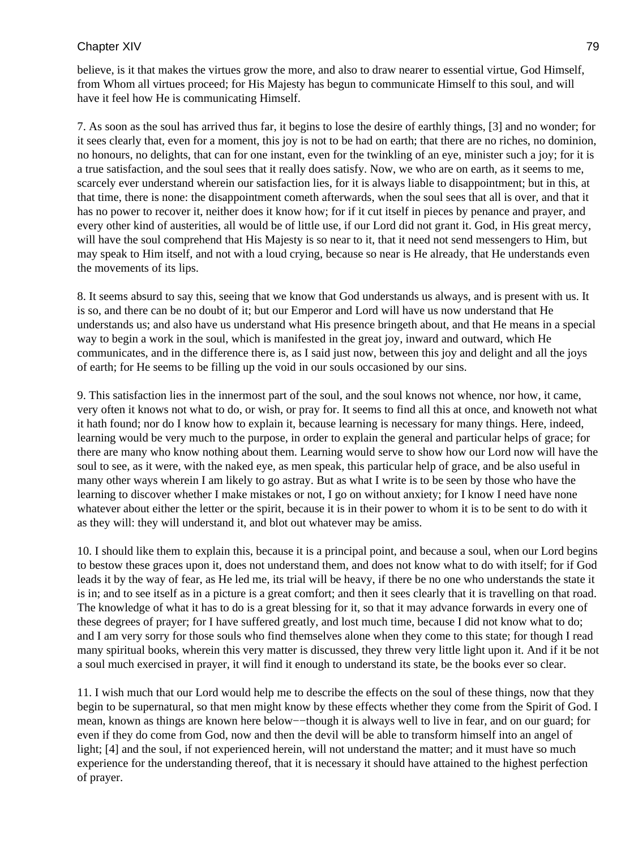believe, is it that makes the virtues grow the more, and also to draw nearer to essential virtue, God Himself, from Whom all virtues proceed; for His Majesty has begun to communicate Himself to this soul, and will have it feel how He is communicating Himself.

7. As soon as the soul has arrived thus far, it begins to lose the desire of earthly things, [3] and no wonder; for it sees clearly that, even for a moment, this joy is not to be had on earth; that there are no riches, no dominion, no honours, no delights, that can for one instant, even for the twinkling of an eye, minister such a joy; for it is a true satisfaction, and the soul sees that it really does satisfy. Now, we who are on earth, as it seems to me, scarcely ever understand wherein our satisfaction lies, for it is always liable to disappointment; but in this, at that time, there is none: the disappointment cometh afterwards, when the soul sees that all is over, and that it has no power to recover it, neither does it know how; for if it cut itself in pieces by penance and prayer, and every other kind of austerities, all would be of little use, if our Lord did not grant it. God, in His great mercy, will have the soul comprehend that His Majesty is so near to it, that it need not send messengers to Him, but may speak to Him itself, and not with a loud crying, because so near is He already, that He understands even the movements of its lips.

8. It seems absurd to say this, seeing that we know that God understands us always, and is present with us. It is so, and there can be no doubt of it; but our Emperor and Lord will have us now understand that He understands us; and also have us understand what His presence bringeth about, and that He means in a special way to begin a work in the soul, which is manifested in the great joy, inward and outward, which He communicates, and in the difference there is, as I said just now, between this joy and delight and all the joys of earth; for He seems to be filling up the void in our souls occasioned by our sins.

9. This satisfaction lies in the innermost part of the soul, and the soul knows not whence, nor how, it came, very often it knows not what to do, or wish, or pray for. It seems to find all this at once, and knoweth not what it hath found; nor do I know how to explain it, because learning is necessary for many things. Here, indeed, learning would be very much to the purpose, in order to explain the general and particular helps of grace; for there are many who know nothing about them. Learning would serve to show how our Lord now will have the soul to see, as it were, with the naked eye, as men speak, this particular help of grace, and be also useful in many other ways wherein I am likely to go astray. But as what I write is to be seen by those who have the learning to discover whether I make mistakes or not, I go on without anxiety; for I know I need have none whatever about either the letter or the spirit, because it is in their power to whom it is to be sent to do with it as they will: they will understand it, and blot out whatever may be amiss.

10. I should like them to explain this, because it is a principal point, and because a soul, when our Lord begins to bestow these graces upon it, does not understand them, and does not know what to do with itself; for if God leads it by the way of fear, as He led me, its trial will be heavy, if there be no one who understands the state it is in; and to see itself as in a picture is a great comfort; and then it sees clearly that it is travelling on that road. The knowledge of what it has to do is a great blessing for it, so that it may advance forwards in every one of these degrees of prayer; for I have suffered greatly, and lost much time, because I did not know what to do; and I am very sorry for those souls who find themselves alone when they come to this state; for though I read many spiritual books, wherein this very matter is discussed, they threw very little light upon it. And if it be not a soul much exercised in prayer, it will find it enough to understand its state, be the books ever so clear.

11. I wish much that our Lord would help me to describe the effects on the soul of these things, now that they begin to be supernatural, so that men might know by these effects whether they come from the Spirit of God. I mean, known as things are known here below—–though it is always well to live in fear, and on our guard; for even if they do come from God, now and then the devil will be able to transform himself into an angel of light; [4] and the soul, if not experienced herein, will not understand the matter; and it must have so much experience for the understanding thereof, that it is necessary it should have attained to the highest perfection of prayer.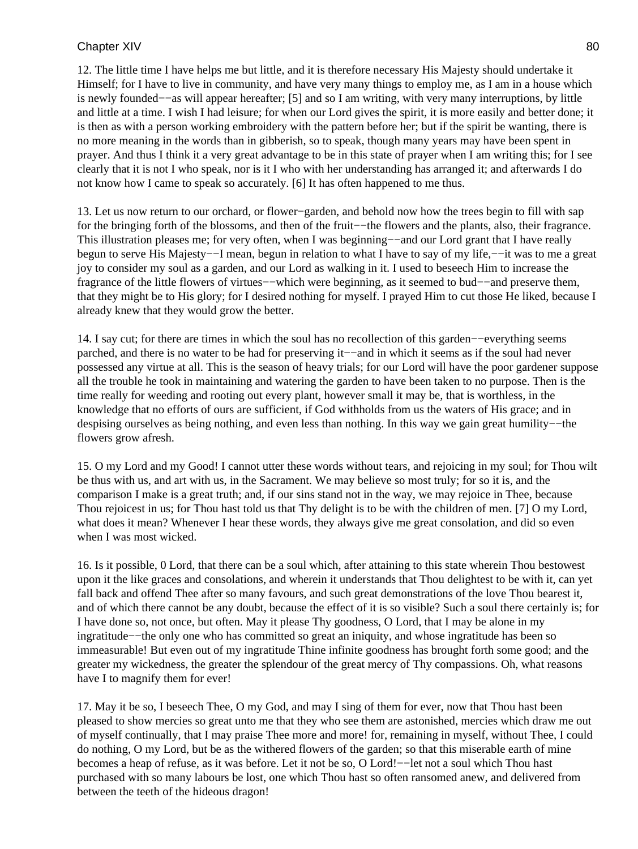12. The little time I have helps me but little, and it is therefore necessary His Majesty should undertake it Himself; for I have to live in community, and have very many things to employ me, as I am in a house which is newly founded−−as will appear hereafter; [5] and so I am writing, with very many interruptions, by little and little at a time. I wish I had leisure; for when our Lord gives the spirit, it is more easily and better done; it is then as with a person working embroidery with the pattern before her; but if the spirit be wanting, there is no more meaning in the words than in gibberish, so to speak, though many years may have been spent in prayer. And thus I think it a very great advantage to be in this state of prayer when I am writing this; for I see clearly that it is not I who speak, nor is it I who with her understanding has arranged it; and afterwards I do not know how I came to speak so accurately. [6] It has often happened to me thus.

13. Let us now return to our orchard, or flower−garden, and behold now how the trees begin to fill with sap for the bringing forth of the blossoms, and then of the fruit−−the flowers and the plants, also, their fragrance. This illustration pleases me; for very often, when I was beginning−−and our Lord grant that I have really begun to serve His Majesty−−I mean, begun in relation to what I have to say of my life,−−it was to me a great joy to consider my soul as a garden, and our Lord as walking in it. I used to beseech Him to increase the fragrance of the little flowers of virtues−−which were beginning, as it seemed to bud−−and preserve them, that they might be to His glory; for I desired nothing for myself. I prayed Him to cut those He liked, because I already knew that they would grow the better.

14. I say cut; for there are times in which the soul has no recollection of this garden−−everything seems parched, and there is no water to be had for preserving it−−and in which it seems as if the soul had never possessed any virtue at all. This is the season of heavy trials; for our Lord will have the poor gardener suppose all the trouble he took in maintaining and watering the garden to have been taken to no purpose. Then is the time really for weeding and rooting out every plant, however small it may be, that is worthless, in the knowledge that no efforts of ours are sufficient, if God withholds from us the waters of His grace; and in despising ourselves as being nothing, and even less than nothing. In this way we gain great humility−−the flowers grow afresh.

15. O my Lord and my Good! I cannot utter these words without tears, and rejoicing in my soul; for Thou wilt be thus with us, and art with us, in the Sacrament. We may believe so most truly; for so it is, and the comparison I make is a great truth; and, if our sins stand not in the way, we may rejoice in Thee, because Thou rejoicest in us; for Thou hast told us that Thy delight is to be with the children of men. [7] O my Lord, what does it mean? Whenever I hear these words, they always give me great consolation, and did so even when I was most wicked.

16. Is it possible, 0 Lord, that there can be a soul which, after attaining to this state wherein Thou bestowest upon it the like graces and consolations, and wherein it understands that Thou delightest to be with it, can yet fall back and offend Thee after so many favours, and such great demonstrations of the love Thou bearest it, and of which there cannot be any doubt, because the effect of it is so visible? Such a soul there certainly is; for I have done so, not once, but often. May it please Thy goodness, O Lord, that I may be alone in my ingratitude−−the only one who has committed so great an iniquity, and whose ingratitude has been so immeasurable! But even out of my ingratitude Thine infinite goodness has brought forth some good; and the greater my wickedness, the greater the splendour of the great mercy of Thy compassions. Oh, what reasons have I to magnify them for ever!

17. May it be so, I beseech Thee, O my God, and may I sing of them for ever, now that Thou hast been pleased to show mercies so great unto me that they who see them are astonished, mercies which draw me out of myself continually, that I may praise Thee more and more! for, remaining in myself, without Thee, I could do nothing, O my Lord, but be as the withered flowers of the garden; so that this miserable earth of mine becomes a heap of refuse, as it was before. Let it not be so, O Lord!−−let not a soul which Thou hast purchased with so many labours be lost, one which Thou hast so often ransomed anew, and delivered from between the teeth of the hideous dragon!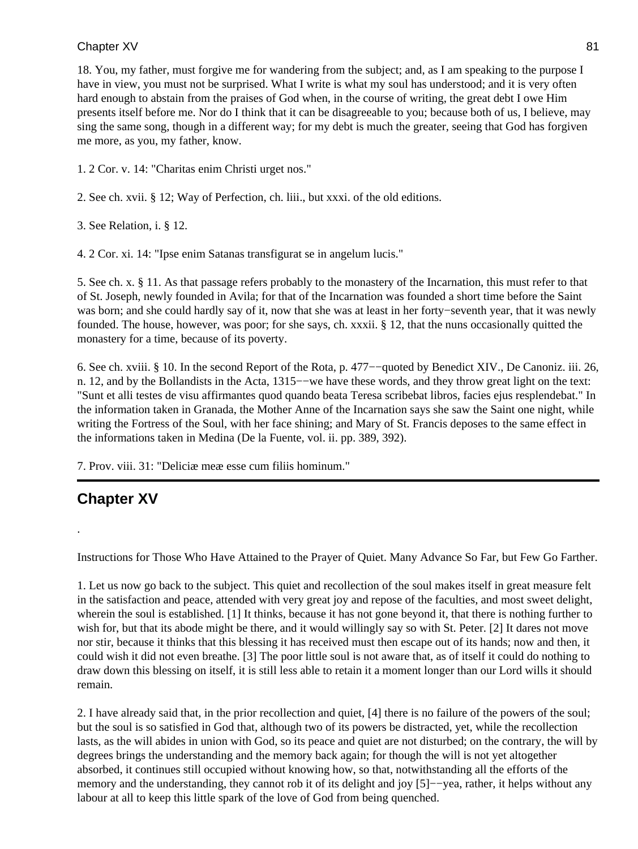18. You, my father, must forgive me for wandering from the subject; and, as I am speaking to the purpose I have in view, you must not be surprised. What I write is what my soul has understood; and it is very often hard enough to abstain from the praises of God when, in the course of writing, the great debt I owe Him presents itself before me. Nor do I think that it can be disagreeable to you; because both of us, I believe, may sing the same song, though in a different way; for my debt is much the greater, seeing that God has forgiven me more, as you, my father, know.

1. 2 Cor. v. 14: "Charitas enim Christi urget nos."

2. See ch. xvii. § 12; Way of Perfection, ch. liii., but xxxi. of the old editions.

3. See Relation, i. § 12.

4. 2 Cor. xi. 14: "Ipse enim Satanas transfigurat se in angelum lucis."

5. See ch. x. § 11. As that passage refers probably to the monastery of the Incarnation, this must refer to that of St. Joseph, newly founded in Avila; for that of the Incarnation was founded a short time before the Saint was born; and she could hardly say of it, now that she was at least in her forty−seventh year, that it was newly founded. The house, however, was poor; for she says, ch. xxxii. § 12, that the nuns occasionally quitted the monastery for a time, because of its poverty.

6. See ch. xviii. § 10. In the second Report of the Rota, p. 477−−quoted by Benedict XIV., De Canoniz. iii. 26, n. 12, and by the Bollandists in the Acta, 1315––we have these words, and they throw great light on the text: "Sunt et alli testes de visu affirmantes quod quando beata Teresa scribebat libros, facies ejus resplendebat." In the information taken in Granada, the Mother Anne of the Incarnation says she saw the Saint one night, while writing the Fortress of the Soul, with her face shining; and Mary of St. Francis deposes to the same effect in the informations taken in Medina (De la Fuente, vol. ii. pp. 389, 392).

7. Prov. viii. 31: "Deliciæ meæ esse cum filiis hominum."

# **Chapter XV**

.

Instructions for Those Who Have Attained to the Prayer of Quiet. Many Advance So Far, but Few Go Farther.

1. Let us now go back to the subject. This quiet and recollection of the soul makes itself in great measure felt in the satisfaction and peace, attended with very great joy and repose of the faculties, and most sweet delight, wherein the soul is established. [1] It thinks, because it has not gone beyond it, that there is nothing further to wish for, but that its abode might be there, and it would willingly say so with St. Peter. [2] It dares not move nor stir, because it thinks that this blessing it has received must then escape out of its hands; now and then, it could wish it did not even breathe. [3] The poor little soul is not aware that, as of itself it could do nothing to draw down this blessing on itself, it is still less able to retain it a moment longer than our Lord wills it should remain.

2. I have already said that, in the prior recollection and quiet, [4] there is no failure of the powers of the soul; but the soul is so satisfied in God that, although two of its powers be distracted, yet, while the recollection lasts, as the will abides in union with God, so its peace and quiet are not disturbed; on the contrary, the will by degrees brings the understanding and the memory back again; for though the will is not yet altogether absorbed, it continues still occupied without knowing how, so that, notwithstanding all the efforts of the memory and the understanding, they cannot rob it of its delight and joy [5]−−yea, rather, it helps without any labour at all to keep this little spark of the love of God from being quenched.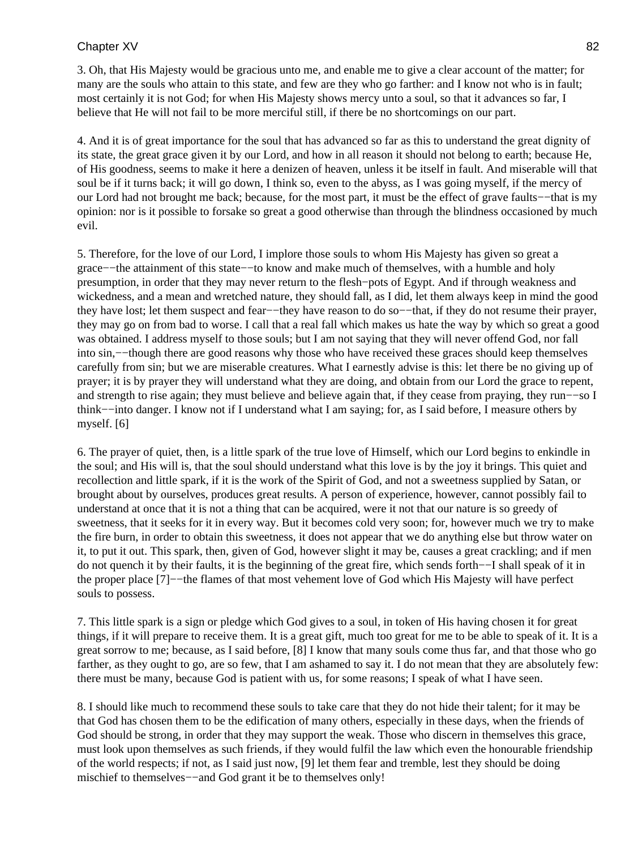3. Oh, that His Majesty would be gracious unto me, and enable me to give a clear account of the matter; for many are the souls who attain to this state, and few are they who go farther: and I know not who is in fault; most certainly it is not God; for when His Majesty shows mercy unto a soul, so that it advances so far, I believe that He will not fail to be more merciful still, if there be no shortcomings on our part.

4. And it is of great importance for the soul that has advanced so far as this to understand the great dignity of its state, the great grace given it by our Lord, and how in all reason it should not belong to earth; because He, of His goodness, seems to make it here a denizen of heaven, unless it be itself in fault. And miserable will that soul be if it turns back; it will go down, I think so, even to the abyss, as I was going myself, if the mercy of our Lord had not brought me back; because, for the most part, it must be the effect of grave faults−−that is my opinion: nor is it possible to forsake so great a good otherwise than through the blindness occasioned by much evil.

5. Therefore, for the love of our Lord, I implore those souls to whom His Majesty has given so great a grace−−the attainment of this state−−to know and make much of themselves, with a humble and holy presumption, in order that they may never return to the flesh−pots of Egypt. And if through weakness and wickedness, and a mean and wretched nature, they should fall, as I did, let them always keep in mind the good they have lost; let them suspect and fear−−they have reason to do so−−that, if they do not resume their prayer, they may go on from bad to worse. I call that a real fall which makes us hate the way by which so great a good was obtained. I address myself to those souls; but I am not saying that they will never offend God, nor fall into sin,−−though there are good reasons why those who have received these graces should keep themselves carefully from sin; but we are miserable creatures. What I earnestly advise is this: let there be no giving up of prayer; it is by prayer they will understand what they are doing, and obtain from our Lord the grace to repent, and strength to rise again; they must believe and believe again that, if they cease from praying, they run−−so I think−−into danger. I know not if I understand what I am saying; for, as I said before, I measure others by myself. [6]

6. The prayer of quiet, then, is a little spark of the true love of Himself, which our Lord begins to enkindle in the soul; and His will is, that the soul should understand what this love is by the joy it brings. This quiet and recollection and little spark, if it is the work of the Spirit of God, and not a sweetness supplied by Satan, or brought about by ourselves, produces great results. A person of experience, however, cannot possibly fail to understand at once that it is not a thing that can be acquired, were it not that our nature is so greedy of sweetness, that it seeks for it in every way. But it becomes cold very soon; for, however much we try to make the fire burn, in order to obtain this sweetness, it does not appear that we do anything else but throw water on it, to put it out. This spark, then, given of God, however slight it may be, causes a great crackling; and if men do not quench it by their faults, it is the beginning of the great fire, which sends forth−−I shall speak of it in the proper place [7]−−the flames of that most vehement love of God which His Majesty will have perfect souls to possess.

7. This little spark is a sign or pledge which God gives to a soul, in token of His having chosen it for great things, if it will prepare to receive them. It is a great gift, much too great for me to be able to speak of it. It is a great sorrow to me; because, as I said before, [8] I know that many souls come thus far, and that those who go farther, as they ought to go, are so few, that I am ashamed to say it. I do not mean that they are absolutely few: there must be many, because God is patient with us, for some reasons; I speak of what I have seen.

8. I should like much to recommend these souls to take care that they do not hide their talent; for it may be that God has chosen them to be the edification of many others, especially in these days, when the friends of God should be strong, in order that they may support the weak. Those who discern in themselves this grace, must look upon themselves as such friends, if they would fulfil the law which even the honourable friendship of the world respects; if not, as I said just now, [9] let them fear and tremble, lest they should be doing mischief to themselves−−and God grant it be to themselves only!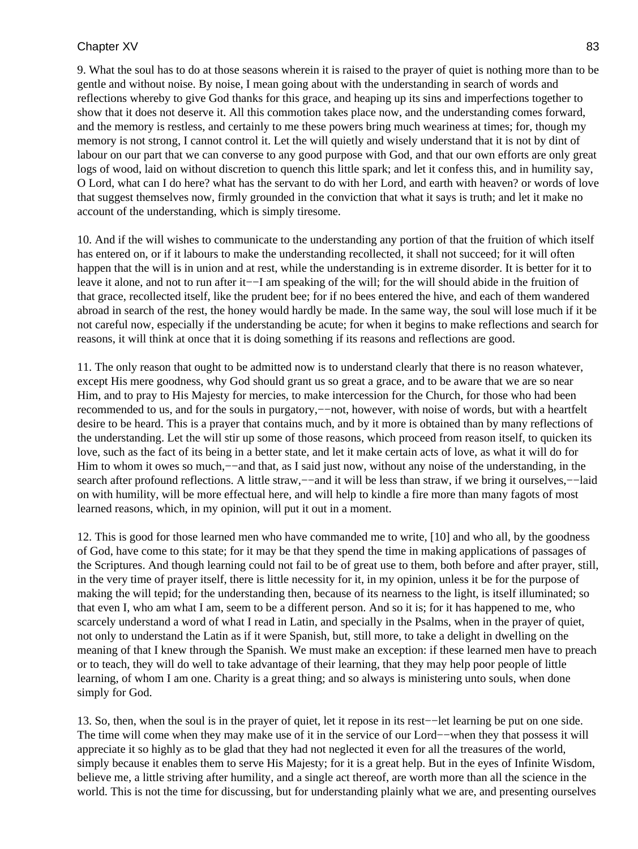9. What the soul has to do at those seasons wherein it is raised to the prayer of quiet is nothing more than to be gentle and without noise. By noise, I mean going about with the understanding in search of words and reflections whereby to give God thanks for this grace, and heaping up its sins and imperfections together to show that it does not deserve it. All this commotion takes place now, and the understanding comes forward, and the memory is restless, and certainly to me these powers bring much weariness at times; for, though my memory is not strong, I cannot control it. Let the will quietly and wisely understand that it is not by dint of labour on our part that we can converse to any good purpose with God, and that our own efforts are only great logs of wood, laid on without discretion to quench this little spark; and let it confess this, and in humility say, O Lord, what can I do here? what has the servant to do with her Lord, and earth with heaven? or words of love that suggest themselves now, firmly grounded in the conviction that what it says is truth; and let it make no account of the understanding, which is simply tiresome.

10. And if the will wishes to communicate to the understanding any portion of that the fruition of which itself has entered on, or if it labours to make the understanding recollected, it shall not succeed; for it will often happen that the will is in union and at rest, while the understanding is in extreme disorder. It is better for it to leave it alone, and not to run after it−−I am speaking of the will; for the will should abide in the fruition of that grace, recollected itself, like the prudent bee; for if no bees entered the hive, and each of them wandered abroad in search of the rest, the honey would hardly be made. In the same way, the soul will lose much if it be not careful now, especially if the understanding be acute; for when it begins to make reflections and search for reasons, it will think at once that it is doing something if its reasons and reflections are good.

11. The only reason that ought to be admitted now is to understand clearly that there is no reason whatever, except His mere goodness, why God should grant us so great a grace, and to be aware that we are so near Him, and to pray to His Majesty for mercies, to make intercession for the Church, for those who had been recommended to us, and for the souls in purgatory,−−not, however, with noise of words, but with a heartfelt desire to be heard. This is a prayer that contains much, and by it more is obtained than by many reflections of the understanding. Let the will stir up some of those reasons, which proceed from reason itself, to quicken its love, such as the fact of its being in a better state, and let it make certain acts of love, as what it will do for Him to whom it owes so much,--and that, as I said just now, without any noise of the understanding, in the search after profound reflections. A little straw,—–and it will be less than straw, if we bring it ourselves,—–laid on with humility, will be more effectual here, and will help to kindle a fire more than many fagots of most learned reasons, which, in my opinion, will put it out in a moment.

12. This is good for those learned men who have commanded me to write, [10] and who all, by the goodness of God, have come to this state; for it may be that they spend the time in making applications of passages of the Scriptures. And though learning could not fail to be of great use to them, both before and after prayer, still, in the very time of prayer itself, there is little necessity for it, in my opinion, unless it be for the purpose of making the will tepid; for the understanding then, because of its nearness to the light, is itself illuminated; so that even I, who am what I am, seem to be a different person. And so it is; for it has happened to me, who scarcely understand a word of what I read in Latin, and specially in the Psalms, when in the prayer of quiet, not only to understand the Latin as if it were Spanish, but, still more, to take a delight in dwelling on the meaning of that I knew through the Spanish. We must make an exception: if these learned men have to preach or to teach, they will do well to take advantage of their learning, that they may help poor people of little learning, of whom I am one. Charity is a great thing; and so always is ministering unto souls, when done simply for God.

13. So, then, when the soul is in the prayer of quiet, let it repose in its rest−−let learning be put on one side. The time will come when they may make use of it in the service of our Lord−−when they that possess it will appreciate it so highly as to be glad that they had not neglected it even for all the treasures of the world, simply because it enables them to serve His Majesty; for it is a great help. But in the eyes of Infinite Wisdom, believe me, a little striving after humility, and a single act thereof, are worth more than all the science in the world. This is not the time for discussing, but for understanding plainly what we are, and presenting ourselves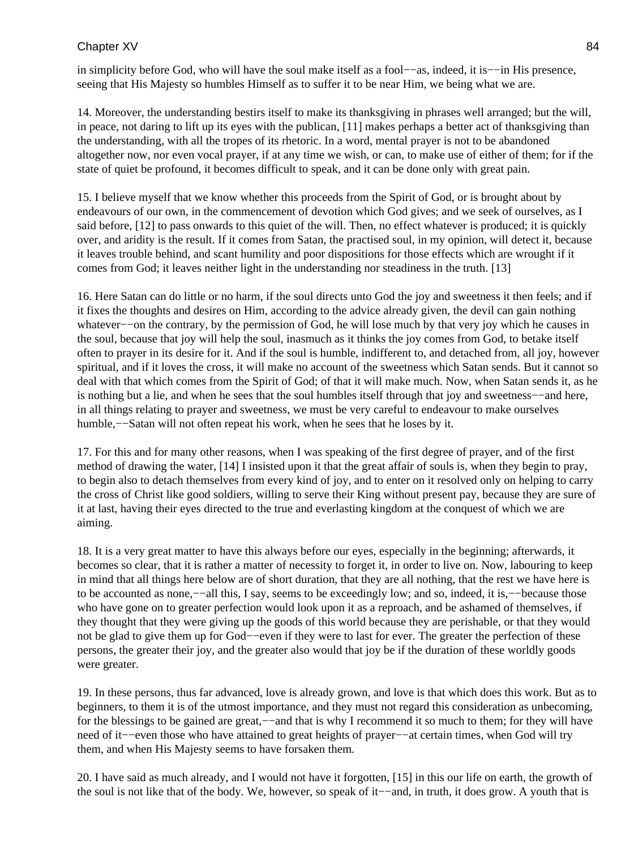in simplicity before God, who will have the soul make itself as a fool−−as, indeed, it is−−in His presence, seeing that His Majesty so humbles Himself as to suffer it to be near Him, we being what we are.

14. Moreover, the understanding bestirs itself to make its thanksgiving in phrases well arranged; but the will, in peace, not daring to lift up its eyes with the publican, [11] makes perhaps a better act of thanksgiving than the understanding, with all the tropes of its rhetoric. In a word, mental prayer is not to be abandoned altogether now, nor even vocal prayer, if at any time we wish, or can, to make use of either of them; for if the state of quiet be profound, it becomes difficult to speak, and it can be done only with great pain.

15. I believe myself that we know whether this proceeds from the Spirit of God, or is brought about by endeavours of our own, in the commencement of devotion which God gives; and we seek of ourselves, as I said before, [12] to pass onwards to this quiet of the will. Then, no effect whatever is produced; it is quickly over, and aridity is the result. If it comes from Satan, the practised soul, in my opinion, will detect it, because it leaves trouble behind, and scant humility and poor dispositions for those effects which are wrought if it comes from God; it leaves neither light in the understanding nor steadiness in the truth. [13]

16. Here Satan can do little or no harm, if the soul directs unto God the joy and sweetness it then feels; and if it fixes the thoughts and desires on Him, according to the advice already given, the devil can gain nothing whatever−−on the contrary, by the permission of God, he will lose much by that very joy which he causes in the soul, because that joy will help the soul, inasmuch as it thinks the joy comes from God, to betake itself often to prayer in its desire for it. And if the soul is humble, indifferent to, and detached from, all joy, however spiritual, and if it loves the cross, it will make no account of the sweetness which Satan sends. But it cannot so deal with that which comes from the Spirit of God; of that it will make much. Now, when Satan sends it, as he is nothing but a lie, and when he sees that the soul humbles itself through that joy and sweetness−−and here, in all things relating to prayer and sweetness, we must be very careful to endeavour to make ourselves humble,−−Satan will not often repeat his work, when he sees that he loses by it.

17. For this and for many other reasons, when I was speaking of the first degree of prayer, and of the first method of drawing the water, [14] I insisted upon it that the great affair of souls is, when they begin to pray, to begin also to detach themselves from every kind of joy, and to enter on it resolved only on helping to carry the cross of Christ like good soldiers, willing to serve their King without present pay, because they are sure of it at last, having their eyes directed to the true and everlasting kingdom at the conquest of which we are aiming.

18. It is a very great matter to have this always before our eyes, especially in the beginning; afterwards, it becomes so clear, that it is rather a matter of necessity to forget it, in order to live on. Now, labouring to keep in mind that all things here below are of short duration, that they are all nothing, that the rest we have here is to be accounted as none,−−all this, I say, seems to be exceedingly low; and so, indeed, it is,−−because those who have gone on to greater perfection would look upon it as a reproach, and be ashamed of themselves, if they thought that they were giving up the goods of this world because they are perishable, or that they would not be glad to give them up for God−−even if they were to last for ever. The greater the perfection of these persons, the greater their joy, and the greater also would that joy be if the duration of these worldly goods were greater.

19. In these persons, thus far advanced, love is already grown, and love is that which does this work. But as to beginners, to them it is of the utmost importance, and they must not regard this consideration as unbecoming, for the blessings to be gained are great,—−and that is why I recommend it so much to them; for they will have need of it−−even those who have attained to great heights of prayer−−at certain times, when God will try them, and when His Majesty seems to have forsaken them.

20. I have said as much already, and I would not have it forgotten, [15] in this our life on earth, the growth of the soul is not like that of the body. We, however, so speak of it−−and, in truth, it does grow. A youth that is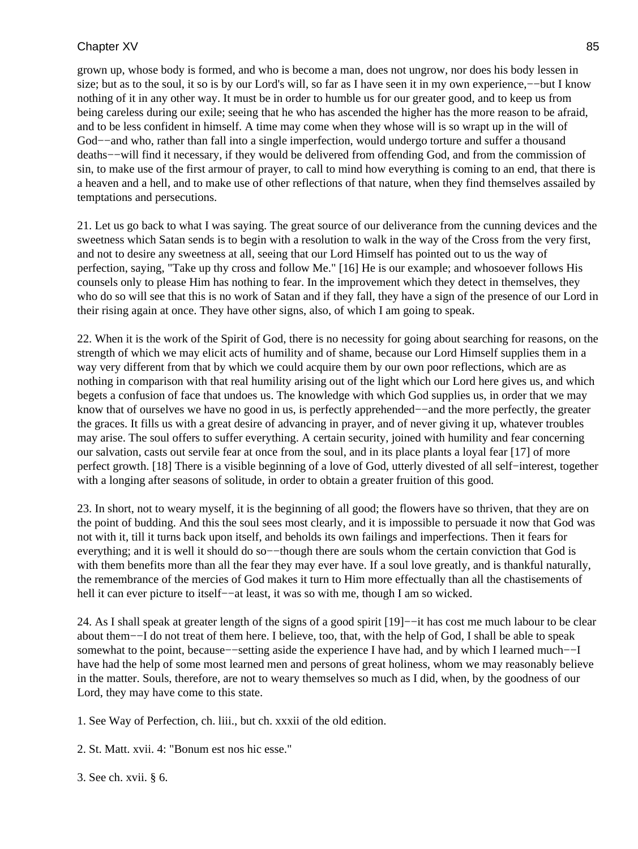grown up, whose body is formed, and who is become a man, does not ungrow, nor does his body lessen in size; but as to the soul, it so is by our Lord's will, so far as I have seen it in my own experience,—–but I know nothing of it in any other way. It must be in order to humble us for our greater good, and to keep us from being careless during our exile; seeing that he who has ascended the higher has the more reason to be afraid, and to be less confident in himself. A time may come when they whose will is so wrapt up in the will of God−−and who, rather than fall into a single imperfection, would undergo torture and suffer a thousand deaths−−will find it necessary, if they would be delivered from offending God, and from the commission of sin, to make use of the first armour of prayer, to call to mind how everything is coming to an end, that there is a heaven and a hell, and to make use of other reflections of that nature, when they find themselves assailed by temptations and persecutions.

21. Let us go back to what I was saying. The great source of our deliverance from the cunning devices and the sweetness which Satan sends is to begin with a resolution to walk in the way of the Cross from the very first, and not to desire any sweetness at all, seeing that our Lord Himself has pointed out to us the way of perfection, saying, "Take up thy cross and follow Me." [16] He is our example; and whosoever follows His counsels only to please Him has nothing to fear. In the improvement which they detect in themselves, they who do so will see that this is no work of Satan and if they fall, they have a sign of the presence of our Lord in their rising again at once. They have other signs, also, of which I am going to speak.

22. When it is the work of the Spirit of God, there is no necessity for going about searching for reasons, on the strength of which we may elicit acts of humility and of shame, because our Lord Himself supplies them in a way very different from that by which we could acquire them by our own poor reflections, which are as nothing in comparison with that real humility arising out of the light which our Lord here gives us, and which begets a confusion of face that undoes us. The knowledge with which God supplies us, in order that we may know that of ourselves we have no good in us, is perfectly apprehended−−and the more perfectly, the greater the graces. It fills us with a great desire of advancing in prayer, and of never giving it up, whatever troubles may arise. The soul offers to suffer everything. A certain security, joined with humility and fear concerning our salvation, casts out servile fear at once from the soul, and in its place plants a loyal fear [17] of more perfect growth. [18] There is a visible beginning of a love of God, utterly divested of all self−interest, together with a longing after seasons of solitude, in order to obtain a greater fruition of this good.

23. In short, not to weary myself, it is the beginning of all good; the flowers have so thriven, that they are on the point of budding. And this the soul sees most clearly, and it is impossible to persuade it now that God was not with it, till it turns back upon itself, and beholds its own failings and imperfections. Then it fears for everything; and it is well it should do so—−though there are souls whom the certain conviction that God is with them benefits more than all the fear they may ever have. If a soul love greatly, and is thankful naturally, the remembrance of the mercies of God makes it turn to Him more effectually than all the chastisements of hell it can ever picture to itself-−at least, it was so with me, though I am so wicked.

24. As I shall speak at greater length of the signs of a good spirit [19]−−it has cost me much labour to be clear about them−−I do not treat of them here. I believe, too, that, with the help of God, I shall be able to speak somewhat to the point, because––setting aside the experience I have had, and by which I learned much––I have had the help of some most learned men and persons of great holiness, whom we may reasonably believe in the matter. Souls, therefore, are not to weary themselves so much as I did, when, by the goodness of our Lord, they may have come to this state.

1. See Way of Perfection, ch. liii., but ch. xxxii of the old edition.

2. St. Matt. xvii. 4: "Bonum est nos hic esse."

3. See ch. xvii. § 6.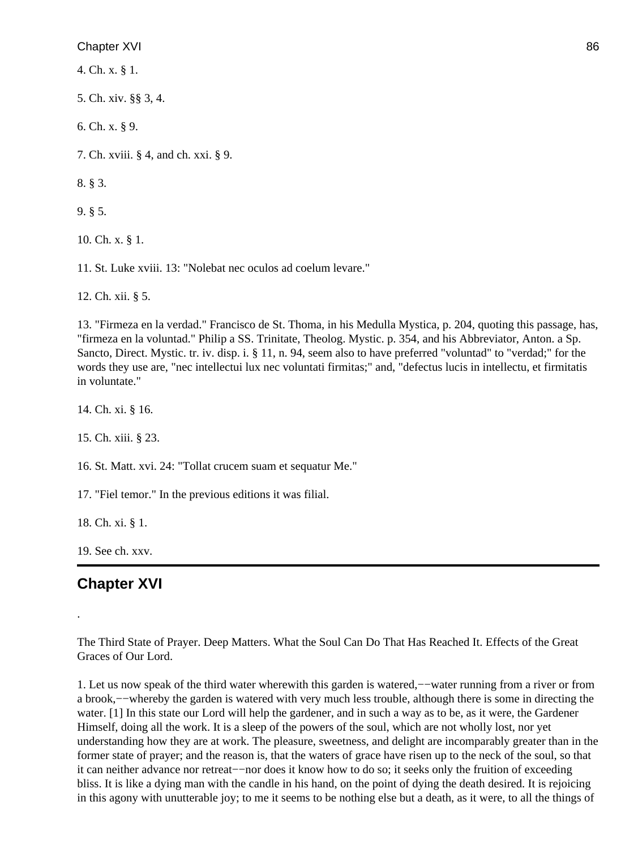4. Ch. x. § 1.

5. Ch. xiv. §§ 3, 4.

6. Ch. x. § 9.

7. Ch. xviii. § 4, and ch. xxi. § 9.

8. § 3.

9. § 5.

10. Ch. x. § 1.

11. St. Luke xviii. 13: "Nolebat nec oculos ad coelum levare."

12. Ch. xii. § 5.

13. "Firmeza en la verdad." Francisco de St. Thoma, in his Medulla Mystica, p. 204, quoting this passage, has, "firmeza en la voluntad." Philip a SS. Trinitate, Theolog. Mystic. p. 354, and his Abbreviator, Anton. a Sp. Sancto, Direct. Mystic. tr. iv. disp. i. § 11, n. 94, seem also to have preferred "voluntad" to "verdad;" for the words they use are, "nec intellectui lux nec voluntati firmitas;" and, "defectus lucis in intellectu, et firmitatis in voluntate."

14. Ch. xi. § 16.

15. Ch. xiii. § 23.

16. St. Matt. xvi. 24: "Tollat crucem suam et sequatur Me."

17. "Fiel temor." In the previous editions it was filial.

18. Ch. xi. § 1.

19. See ch. xxv.

# **Chapter XVI**

.

The Third State of Prayer. Deep Matters. What the Soul Can Do That Has Reached It. Effects of the Great Graces of Our Lord.

1. Let us now speak of the third water wherewith this garden is watered,−−water running from a river or from a brook,−−whereby the garden is watered with very much less trouble, although there is some in directing the water. [1] In this state our Lord will help the gardener, and in such a way as to be, as it were, the Gardener Himself, doing all the work. It is a sleep of the powers of the soul, which are not wholly lost, nor yet understanding how they are at work. The pleasure, sweetness, and delight are incomparably greater than in the former state of prayer; and the reason is, that the waters of grace have risen up to the neck of the soul, so that it can neither advance nor retreat−−nor does it know how to do so; it seeks only the fruition of exceeding bliss. It is like a dying man with the candle in his hand, on the point of dying the death desired. It is rejoicing in this agony with unutterable joy; to me it seems to be nothing else but a death, as it were, to all the things of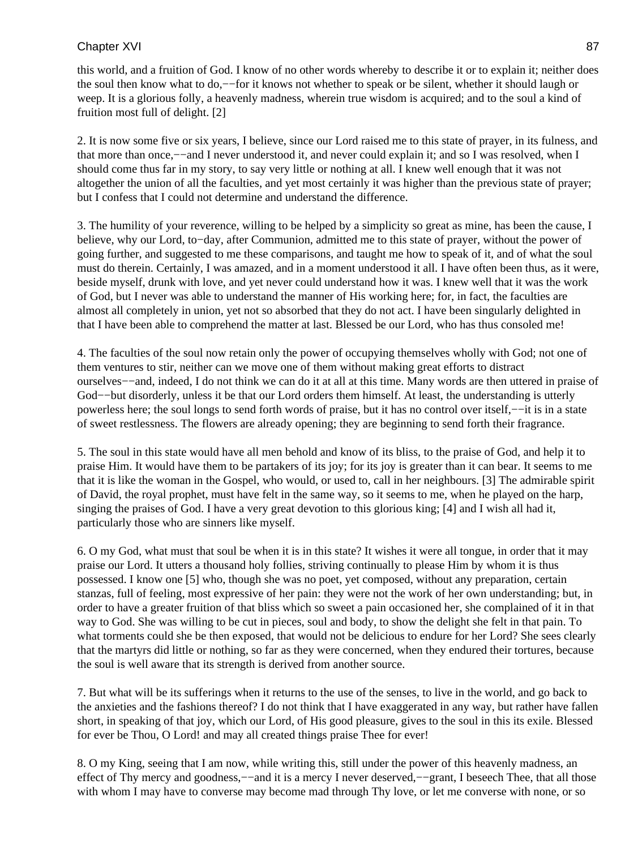this world, and a fruition of God. I know of no other words whereby to describe it or to explain it; neither does the soul then know what to do,−−for it knows not whether to speak or be silent, whether it should laugh or weep. It is a glorious folly, a heavenly madness, wherein true wisdom is acquired; and to the soul a kind of fruition most full of delight. [2]

2. It is now some five or six years, I believe, since our Lord raised me to this state of prayer, in its fulness, and that more than once,−−and I never understood it, and never could explain it; and so I was resolved, when I should come thus far in my story, to say very little or nothing at all. I knew well enough that it was not altogether the union of all the faculties, and yet most certainly it was higher than the previous state of prayer; but I confess that I could not determine and understand the difference.

3. The humility of your reverence, willing to be helped by a simplicity so great as mine, has been the cause, I believe, why our Lord, to−day, after Communion, admitted me to this state of prayer, without the power of going further, and suggested to me these comparisons, and taught me how to speak of it, and of what the soul must do therein. Certainly, I was amazed, and in a moment understood it all. I have often been thus, as it were, beside myself, drunk with love, and yet never could understand how it was. I knew well that it was the work of God, but I never was able to understand the manner of His working here; for, in fact, the faculties are almost all completely in union, yet not so absorbed that they do not act. I have been singularly delighted in that I have been able to comprehend the matter at last. Blessed be our Lord, who has thus consoled me!

4. The faculties of the soul now retain only the power of occupying themselves wholly with God; not one of them ventures to stir, neither can we move one of them without making great efforts to distract ourselves−−and, indeed, I do not think we can do it at all at this time. Many words are then uttered in praise of God−−but disorderly, unless it be that our Lord orders them himself. At least, the understanding is utterly powerless here; the soul longs to send forth words of praise, but it has no control over itself,−−it is in a state of sweet restlessness. The flowers are already opening; they are beginning to send forth their fragrance.

5. The soul in this state would have all men behold and know of its bliss, to the praise of God, and help it to praise Him. It would have them to be partakers of its joy; for its joy is greater than it can bear. It seems to me that it is like the woman in the Gospel, who would, or used to, call in her neighbours. [3] The admirable spirit of David, the royal prophet, must have felt in the same way, so it seems to me, when he played on the harp, singing the praises of God. I have a very great devotion to this glorious king; [4] and I wish all had it, particularly those who are sinners like myself.

6. O my God, what must that soul be when it is in this state? It wishes it were all tongue, in order that it may praise our Lord. It utters a thousand holy follies, striving continually to please Him by whom it is thus possessed. I know one [5] who, though she was no poet, yet composed, without any preparation, certain stanzas, full of feeling, most expressive of her pain: they were not the work of her own understanding; but, in order to have a greater fruition of that bliss which so sweet a pain occasioned her, she complained of it in that way to God. She was willing to be cut in pieces, soul and body, to show the delight she felt in that pain. To what torments could she be then exposed, that would not be delicious to endure for her Lord? She sees clearly that the martyrs did little or nothing, so far as they were concerned, when they endured their tortures, because the soul is well aware that its strength is derived from another source.

7. But what will be its sufferings when it returns to the use of the senses, to live in the world, and go back to the anxieties and the fashions thereof? I do not think that I have exaggerated in any way, but rather have fallen short, in speaking of that joy, which our Lord, of His good pleasure, gives to the soul in this its exile. Blessed for ever be Thou, O Lord! and may all created things praise Thee for ever!

8. O my King, seeing that I am now, while writing this, still under the power of this heavenly madness, an effect of Thy mercy and goodness,—–and it is a mercy I never deserved,—–grant, I beseech Thee, that all those with whom I may have to converse may become mad through Thy love, or let me converse with none, or so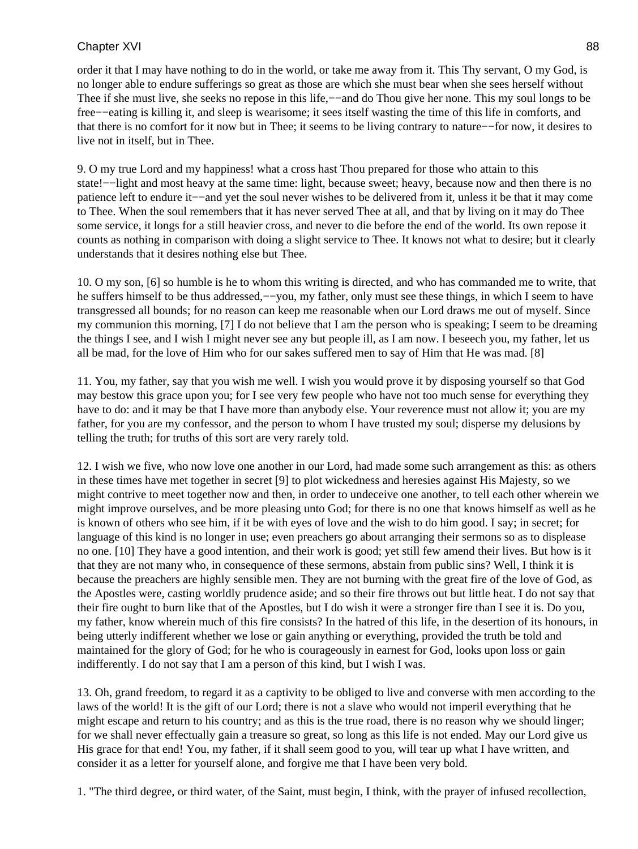order it that I may have nothing to do in the world, or take me away from it. This Thy servant, O my God, is no longer able to endure sufferings so great as those are which she must bear when she sees herself without Thee if she must live, she seeks no repose in this life,—−and do Thou give her none. This my soul longs to be free−−eating is killing it, and sleep is wearisome; it sees itself wasting the time of this life in comforts, and that there is no comfort for it now but in Thee; it seems to be living contrary to nature−−for now, it desires to live not in itself, but in Thee.

9. O my true Lord and my happiness! what a cross hast Thou prepared for those who attain to this state!−−light and most heavy at the same time: light, because sweet; heavy, because now and then there is no patience left to endure it−−and yet the soul never wishes to be delivered from it, unless it be that it may come to Thee. When the soul remembers that it has never served Thee at all, and that by living on it may do Thee some service, it longs for a still heavier cross, and never to die before the end of the world. Its own repose it counts as nothing in comparison with doing a slight service to Thee. It knows not what to desire; but it clearly understands that it desires nothing else but Thee.

10. O my son, [6] so humble is he to whom this writing is directed, and who has commanded me to write, that he suffers himself to be thus addressed,−−you, my father, only must see these things, in which I seem to have transgressed all bounds; for no reason can keep me reasonable when our Lord draws me out of myself. Since my communion this morning, [7] I do not believe that I am the person who is speaking; I seem to be dreaming the things I see, and I wish I might never see any but people ill, as I am now. I beseech you, my father, let us all be mad, for the love of Him who for our sakes suffered men to say of Him that He was mad. [8]

11. You, my father, say that you wish me well. I wish you would prove it by disposing yourself so that God may bestow this grace upon you; for I see very few people who have not too much sense for everything they have to do: and it may be that I have more than anybody else. Your reverence must not allow it; you are my father, for you are my confessor, and the person to whom I have trusted my soul; disperse my delusions by telling the truth; for truths of this sort are very rarely told.

12. I wish we five, who now love one another in our Lord, had made some such arrangement as this: as others in these times have met together in secret [9] to plot wickedness and heresies against His Majesty, so we might contrive to meet together now and then, in order to undeceive one another, to tell each other wherein we might improve ourselves, and be more pleasing unto God; for there is no one that knows himself as well as he is known of others who see him, if it be with eyes of love and the wish to do him good. I say; in secret; for language of this kind is no longer in use; even preachers go about arranging their sermons so as to displease no one. [10] They have a good intention, and their work is good; yet still few amend their lives. But how is it that they are not many who, in consequence of these sermons, abstain from public sins? Well, I think it is because the preachers are highly sensible men. They are not burning with the great fire of the love of God, as the Apostles were, casting worldly prudence aside; and so their fire throws out but little heat. I do not say that their fire ought to burn like that of the Apostles, but I do wish it were a stronger fire than I see it is. Do you, my father, know wherein much of this fire consists? In the hatred of this life, in the desertion of its honours, in being utterly indifferent whether we lose or gain anything or everything, provided the truth be told and maintained for the glory of God; for he who is courageously in earnest for God, looks upon loss or gain indifferently. I do not say that I am a person of this kind, but I wish I was.

13. Oh, grand freedom, to regard it as a captivity to be obliged to live and converse with men according to the laws of the world! It is the gift of our Lord; there is not a slave who would not imperil everything that he might escape and return to his country; and as this is the true road, there is no reason why we should linger; for we shall never effectually gain a treasure so great, so long as this life is not ended. May our Lord give us His grace for that end! You, my father, if it shall seem good to you, will tear up what I have written, and consider it as a letter for yourself alone, and forgive me that I have been very bold.

1. "The third degree, or third water, of the Saint, must begin, I think, with the prayer of infused recollection,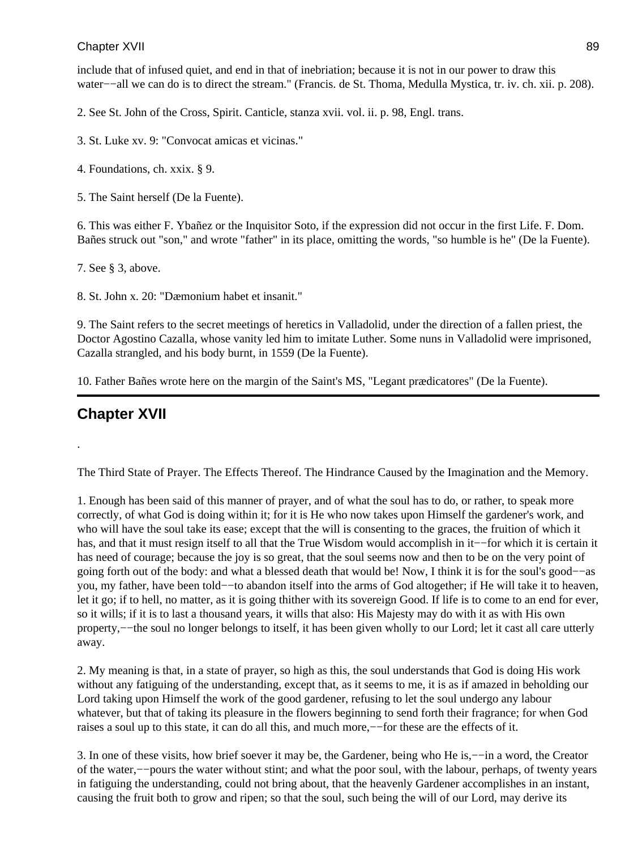include that of infused quiet, and end in that of inebriation; because it is not in our power to draw this water−−all we can do is to direct the stream." (Francis. de St. Thoma, Medulla Mystica, tr. iv. ch. xii. p. 208).

2. See St. John of the Cross, Spirit. Canticle, stanza xvii. vol. ii. p. 98, Engl. trans.

3. St. Luke xv. 9: "Convocat amicas et vicinas."

4. Foundations, ch. xxix. § 9.

5. The Saint herself (De la Fuente).

6. This was either F. Ybañez or the Inquisitor Soto, if the expression did not occur in the first Life. F. Dom. Bañes struck out "son," and wrote "father" in its place, omitting the words, "so humble is he" (De la Fuente).

7. See § 3, above.

8. St. John x. 20: "Dæmonium habet et insanit."

9. The Saint refers to the secret meetings of heretics in Valladolid, under the direction of a fallen priest, the Doctor Agostino Cazalla, whose vanity led him to imitate Luther. Some nuns in Valladolid were imprisoned, Cazalla strangled, and his body burnt, in 1559 (De la Fuente).

10. Father Bañes wrote here on the margin of the Saint's MS, "Legant prædicatores" (De la Fuente).

# **Chapter XVII**

.

The Third State of Prayer. The Effects Thereof. The Hindrance Caused by the Imagination and the Memory.

1. Enough has been said of this manner of prayer, and of what the soul has to do, or rather, to speak more correctly, of what God is doing within it; for it is He who now takes upon Himself the gardener's work, and who will have the soul take its ease; except that the will is consenting to the graces, the fruition of which it has, and that it must resign itself to all that the True Wisdom would accomplish in it−−for which it is certain it has need of courage; because the joy is so great, that the soul seems now and then to be on the very point of going forth out of the body: and what a blessed death that would be! Now, I think it is for the soul's good−−as you, my father, have been told−−to abandon itself into the arms of God altogether; if He will take it to heaven, let it go; if to hell, no matter, as it is going thither with its sovereign Good. If life is to come to an end for ever, so it wills; if it is to last a thousand years, it wills that also: His Majesty may do with it as with His own property,−−the soul no longer belongs to itself, it has been given wholly to our Lord; let it cast all care utterly away.

2. My meaning is that, in a state of prayer, so high as this, the soul understands that God is doing His work without any fatiguing of the understanding, except that, as it seems to me, it is as if amazed in beholding our Lord taking upon Himself the work of the good gardener, refusing to let the soul undergo any labour whatever, but that of taking its pleasure in the flowers beginning to send forth their fragrance; for when God raises a soul up to this state, it can do all this, and much more,−−for these are the effects of it.

3. In one of these visits, how brief soever it may be, the Gardener, being who He is,−−in a word, the Creator of the water,−−pours the water without stint; and what the poor soul, with the labour, perhaps, of twenty years in fatiguing the understanding, could not bring about, that the heavenly Gardener accomplishes in an instant, causing the fruit both to grow and ripen; so that the soul, such being the will of our Lord, may derive its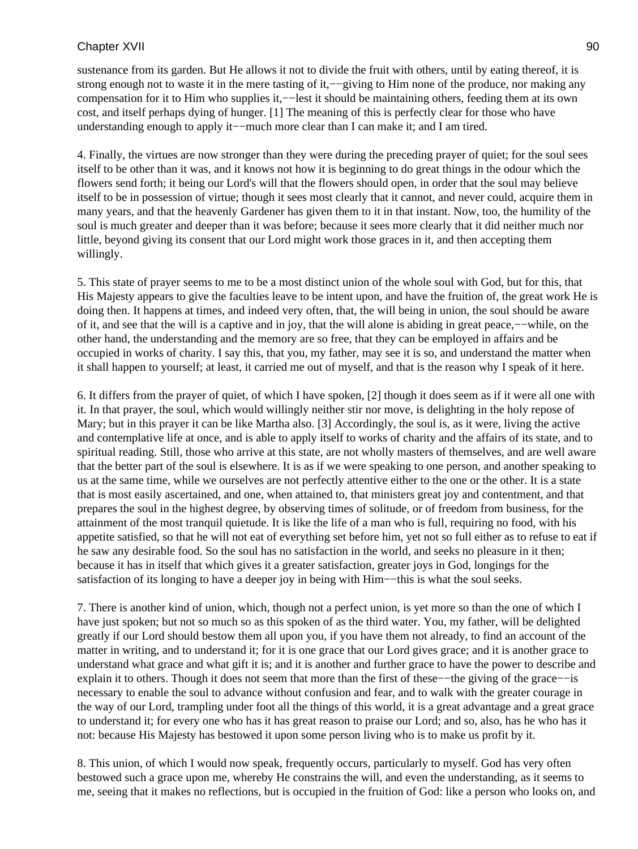sustenance from its garden. But He allows it not to divide the fruit with others, until by eating thereof, it is strong enough not to waste it in the mere tasting of it,—−giving to Him none of the produce, nor making any compensation for it to Him who supplies it,−−lest it should be maintaining others, feeding them at its own cost, and itself perhaps dying of hunger. [1] The meaning of this is perfectly clear for those who have understanding enough to apply it−−much more clear than I can make it; and I am tired.

4. Finally, the virtues are now stronger than they were during the preceding prayer of quiet; for the soul sees itself to be other than it was, and it knows not how it is beginning to do great things in the odour which the flowers send forth; it being our Lord's will that the flowers should open, in order that the soul may believe itself to be in possession of virtue; though it sees most clearly that it cannot, and never could, acquire them in many years, and that the heavenly Gardener has given them to it in that instant. Now, too, the humility of the soul is much greater and deeper than it was before; because it sees more clearly that it did neither much nor little, beyond giving its consent that our Lord might work those graces in it, and then accepting them willingly.

5. This state of prayer seems to me to be a most distinct union of the whole soul with God, but for this, that His Majesty appears to give the faculties leave to be intent upon, and have the fruition of, the great work He is doing then. It happens at times, and indeed very often, that, the will being in union, the soul should be aware of it, and see that the will is a captive and in joy, that the will alone is abiding in great peace,−−while, on the other hand, the understanding and the memory are so free, that they can be employed in affairs and be occupied in works of charity. I say this, that you, my father, may see it is so, and understand the matter when it shall happen to yourself; at least, it carried me out of myself, and that is the reason why I speak of it here.

6. It differs from the prayer of quiet, of which I have spoken, [2] though it does seem as if it were all one with it. In that prayer, the soul, which would willingly neither stir nor move, is delighting in the holy repose of Mary; but in this prayer it can be like Martha also. [3] Accordingly, the soul is, as it were, living the active and contemplative life at once, and is able to apply itself to works of charity and the affairs of its state, and to spiritual reading. Still, those who arrive at this state, are not wholly masters of themselves, and are well aware that the better part of the soul is elsewhere. It is as if we were speaking to one person, and another speaking to us at the same time, while we ourselves are not perfectly attentive either to the one or the other. It is a state that is most easily ascertained, and one, when attained to, that ministers great joy and contentment, and that prepares the soul in the highest degree, by observing times of solitude, or of freedom from business, for the attainment of the most tranquil quietude. It is like the life of a man who is full, requiring no food, with his appetite satisfied, so that he will not eat of everything set before him, yet not so full either as to refuse to eat if he saw any desirable food. So the soul has no satisfaction in the world, and seeks no pleasure in it then; because it has in itself that which gives it a greater satisfaction, greater joys in God, longings for the satisfaction of its longing to have a deeper joy in being with Him−−this is what the soul seeks.

7. There is another kind of union, which, though not a perfect union, is yet more so than the one of which I have just spoken; but not so much so as this spoken of as the third water. You, my father, will be delighted greatly if our Lord should bestow them all upon you, if you have them not already, to find an account of the matter in writing, and to understand it; for it is one grace that our Lord gives grace; and it is another grace to understand what grace and what gift it is; and it is another and further grace to have the power to describe and explain it to others. Though it does not seem that more than the first of these−−the giving of the grace−−is necessary to enable the soul to advance without confusion and fear, and to walk with the greater courage in the way of our Lord, trampling under foot all the things of this world, it is a great advantage and a great grace to understand it; for every one who has it has great reason to praise our Lord; and so, also, has he who has it not: because His Majesty has bestowed it upon some person living who is to make us profit by it.

8. This union, of which I would now speak, frequently occurs, particularly to myself. God has very often bestowed such a grace upon me, whereby He constrains the will, and even the understanding, as it seems to me, seeing that it makes no reflections, but is occupied in the fruition of God: like a person who looks on, and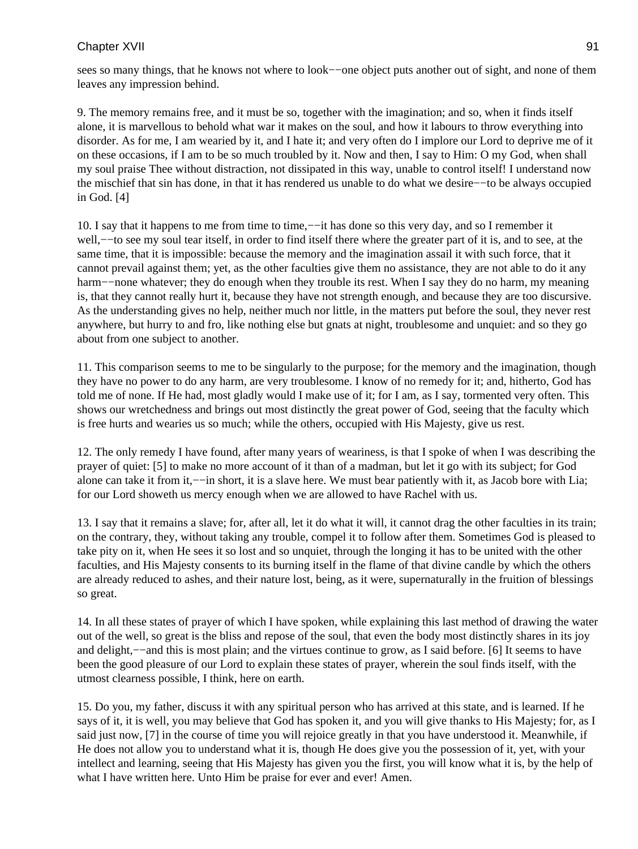sees so many things, that he knows not where to look−−one object puts another out of sight, and none of them leaves any impression behind.

9. The memory remains free, and it must be so, together with the imagination; and so, when it finds itself alone, it is marvellous to behold what war it makes on the soul, and how it labours to throw everything into disorder. As for me, I am wearied by it, and I hate it; and very often do I implore our Lord to deprive me of it on these occasions, if I am to be so much troubled by it. Now and then, I say to Him: O my God, when shall my soul praise Thee without distraction, not dissipated in this way, unable to control itself! I understand now the mischief that sin has done, in that it has rendered us unable to do what we desire−−to be always occupied in God. [4]

10. I say that it happens to me from time to time,−−it has done so this very day, and so I remember it well,−−to see my soul tear itself, in order to find itself there where the greater part of it is, and to see, at the same time, that it is impossible: because the memory and the imagination assail it with such force, that it cannot prevail against them; yet, as the other faculties give them no assistance, they are not able to do it any harm−−none whatever; they do enough when they trouble its rest. When I say they do no harm, my meaning is, that they cannot really hurt it, because they have not strength enough, and because they are too discursive. As the understanding gives no help, neither much nor little, in the matters put before the soul, they never rest anywhere, but hurry to and fro, like nothing else but gnats at night, troublesome and unquiet: and so they go about from one subject to another.

11. This comparison seems to me to be singularly to the purpose; for the memory and the imagination, though they have no power to do any harm, are very troublesome. I know of no remedy for it; and, hitherto, God has told me of none. If He had, most gladly would I make use of it; for I am, as I say, tormented very often. This shows our wretchedness and brings out most distinctly the great power of God, seeing that the faculty which is free hurts and wearies us so much; while the others, occupied with His Majesty, give us rest.

12. The only remedy I have found, after many years of weariness, is that I spoke of when I was describing the prayer of quiet: [5] to make no more account of it than of a madman, but let it go with its subject; for God alone can take it from it,−−in short, it is a slave here. We must bear patiently with it, as Jacob bore with Lia; for our Lord showeth us mercy enough when we are allowed to have Rachel with us.

13. I say that it remains a slave; for, after all, let it do what it will, it cannot drag the other faculties in its train; on the contrary, they, without taking any trouble, compel it to follow after them. Sometimes God is pleased to take pity on it, when He sees it so lost and so unquiet, through the longing it has to be united with the other faculties, and His Majesty consents to its burning itself in the flame of that divine candle by which the others are already reduced to ashes, and their nature lost, being, as it were, supernaturally in the fruition of blessings so great.

14. In all these states of prayer of which I have spoken, while explaining this last method of drawing the water out of the well, so great is the bliss and repose of the soul, that even the body most distinctly shares in its joy and delight,−−and this is most plain; and the virtues continue to grow, as I said before. [6] It seems to have been the good pleasure of our Lord to explain these states of prayer, wherein the soul finds itself, with the utmost clearness possible, I think, here on earth.

15. Do you, my father, discuss it with any spiritual person who has arrived at this state, and is learned. If he says of it, it is well, you may believe that God has spoken it, and you will give thanks to His Majesty; for, as I said just now, [7] in the course of time you will rejoice greatly in that you have understood it. Meanwhile, if He does not allow you to understand what it is, though He does give you the possession of it, yet, with your intellect and learning, seeing that His Majesty has given you the first, you will know what it is, by the help of what I have written here. Unto Him be praise for ever and ever! Amen.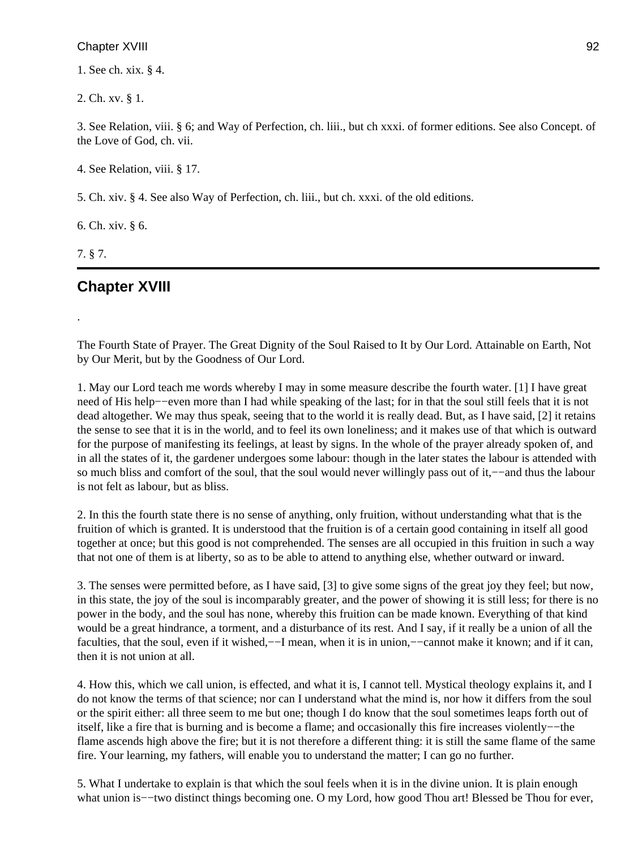1. See ch. xix. § 4.

2. Ch. xv. § 1.

3. See Relation, viii. § 6; and Way of Perfection, ch. liii., but ch xxxi. of former editions. See also Concept. of the Love of God, ch. vii.

4. See Relation, viii. § 17.

5. Ch. xiv. § 4. See also Way of Perfection, ch. liii., but ch. xxxi. of the old editions.

6. Ch. xiv. § 6.

7. § 7.

.

# **Chapter XVIII**

The Fourth State of Prayer. The Great Dignity of the Soul Raised to It by Our Lord. Attainable on Earth, Not by Our Merit, but by the Goodness of Our Lord.

1. May our Lord teach me words whereby I may in some measure describe the fourth water. [1] I have great need of His help−−even more than I had while speaking of the last; for in that the soul still feels that it is not dead altogether. We may thus speak, seeing that to the world it is really dead. But, as I have said, [2] it retains the sense to see that it is in the world, and to feel its own loneliness; and it makes use of that which is outward for the purpose of manifesting its feelings, at least by signs. In the whole of the prayer already spoken of, and in all the states of it, the gardener undergoes some labour: though in the later states the labour is attended with so much bliss and comfort of the soul, that the soul would never willingly pass out of it,−−and thus the labour is not felt as labour, but as bliss.

2. In this the fourth state there is no sense of anything, only fruition, without understanding what that is the fruition of which is granted. It is understood that the fruition is of a certain good containing in itself all good together at once; but this good is not comprehended. The senses are all occupied in this fruition in such a way that not one of them is at liberty, so as to be able to attend to anything else, whether outward or inward.

3. The senses were permitted before, as I have said, [3] to give some signs of the great joy they feel; but now, in this state, the joy of the soul is incomparably greater, and the power of showing it is still less; for there is no power in the body, and the soul has none, whereby this fruition can be made known. Everything of that kind would be a great hindrance, a torment, and a disturbance of its rest. And I say, if it really be a union of all the faculties, that the soul, even if it wished,−−I mean, when it is in union,−−cannot make it known; and if it can, then it is not union at all.

4. How this, which we call union, is effected, and what it is, I cannot tell. Mystical theology explains it, and I do not know the terms of that science; nor can I understand what the mind is, nor how it differs from the soul or the spirit either: all three seem to me but one; though I do know that the soul sometimes leaps forth out of itself, like a fire that is burning and is become a flame; and occasionally this fire increases violently−−the flame ascends high above the fire; but it is not therefore a different thing: it is still the same flame of the same fire. Your learning, my fathers, will enable you to understand the matter; I can go no further.

5. What I undertake to explain is that which the soul feels when it is in the divine union. It is plain enough what union is−−two distinct things becoming one. O my Lord, how good Thou art! Blessed be Thou for ever,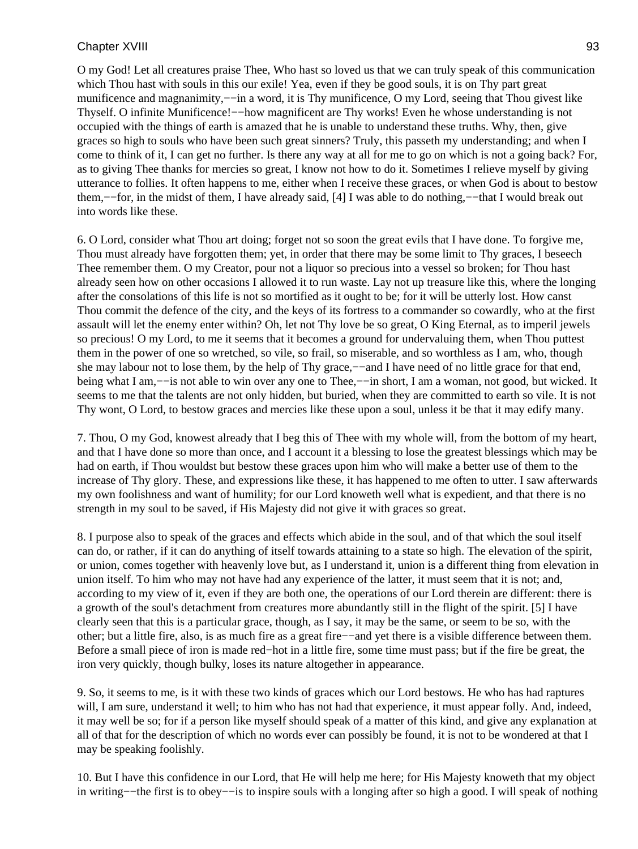O my God! Let all creatures praise Thee, Who hast so loved us that we can truly speak of this communication which Thou hast with souls in this our exile! Yea, even if they be good souls, it is on Thy part great munificence and magnanimity,—−in a word, it is Thy munificence, O my Lord, seeing that Thou givest like Thyself. O infinite Munificence!—how magnificent are Thy works! Even he whose understanding is not occupied with the things of earth is amazed that he is unable to understand these truths. Why, then, give graces so high to souls who have been such great sinners? Truly, this passeth my understanding; and when I come to think of it, I can get no further. Is there any way at all for me to go on which is not a going back? For, as to giving Thee thanks for mercies so great, I know not how to do it. Sometimes I relieve myself by giving utterance to follies. It often happens to me, either when I receive these graces, or when God is about to bestow them,−−for, in the midst of them, I have already said, [4] I was able to do nothing,−−that I would break out into words like these.

6. O Lord, consider what Thou art doing; forget not so soon the great evils that I have done. To forgive me, Thou must already have forgotten them; yet, in order that there may be some limit to Thy graces, I beseech Thee remember them. O my Creator, pour not a liquor so precious into a vessel so broken; for Thou hast already seen how on other occasions I allowed it to run waste. Lay not up treasure like this, where the longing after the consolations of this life is not so mortified as it ought to be; for it will be utterly lost. How canst Thou commit the defence of the city, and the keys of its fortress to a commander so cowardly, who at the first assault will let the enemy enter within? Oh, let not Thy love be so great, O King Eternal, as to imperil jewels so precious! O my Lord, to me it seems that it becomes a ground for undervaluing them, when Thou puttest them in the power of one so wretched, so vile, so frail, so miserable, and so worthless as I am, who, though she may labour not to lose them, by the help of Thy grace,—−and I have need of no little grace for that end, being what I am,—–is not able to win over any one to Thee,—–in short, I am a woman, not good, but wicked. It seems to me that the talents are not only hidden, but buried, when they are committed to earth so vile. It is not Thy wont, O Lord, to bestow graces and mercies like these upon a soul, unless it be that it may edify many.

7. Thou, O my God, knowest already that I beg this of Thee with my whole will, from the bottom of my heart, and that I have done so more than once, and I account it a blessing to lose the greatest blessings which may be had on earth, if Thou wouldst but bestow these graces upon him who will make a better use of them to the increase of Thy glory. These, and expressions like these, it has happened to me often to utter. I saw afterwards my own foolishness and want of humility; for our Lord knoweth well what is expedient, and that there is no strength in my soul to be saved, if His Majesty did not give it with graces so great.

8. I purpose also to speak of the graces and effects which abide in the soul, and of that which the soul itself can do, or rather, if it can do anything of itself towards attaining to a state so high. The elevation of the spirit, or union, comes together with heavenly love but, as I understand it, union is a different thing from elevation in union itself. To him who may not have had any experience of the latter, it must seem that it is not; and, according to my view of it, even if they are both one, the operations of our Lord therein are different: there is a growth of the soul's detachment from creatures more abundantly still in the flight of the spirit. [5] I have clearly seen that this is a particular grace, though, as I say, it may be the same, or seem to be so, with the other; but a little fire, also, is as much fire as a great fire−−and yet there is a visible difference between them. Before a small piece of iron is made red−hot in a little fire, some time must pass; but if the fire be great, the iron very quickly, though bulky, loses its nature altogether in appearance.

9. So, it seems to me, is it with these two kinds of graces which our Lord bestows. He who has had raptures will, I am sure, understand it well; to him who has not had that experience, it must appear folly. And, indeed, it may well be so; for if a person like myself should speak of a matter of this kind, and give any explanation at all of that for the description of which no words ever can possibly be found, it is not to be wondered at that I may be speaking foolishly.

10. But I have this confidence in our Lord, that He will help me here; for His Majesty knoweth that my object in writing−−the first is to obey−−is to inspire souls with a longing after so high a good. I will speak of nothing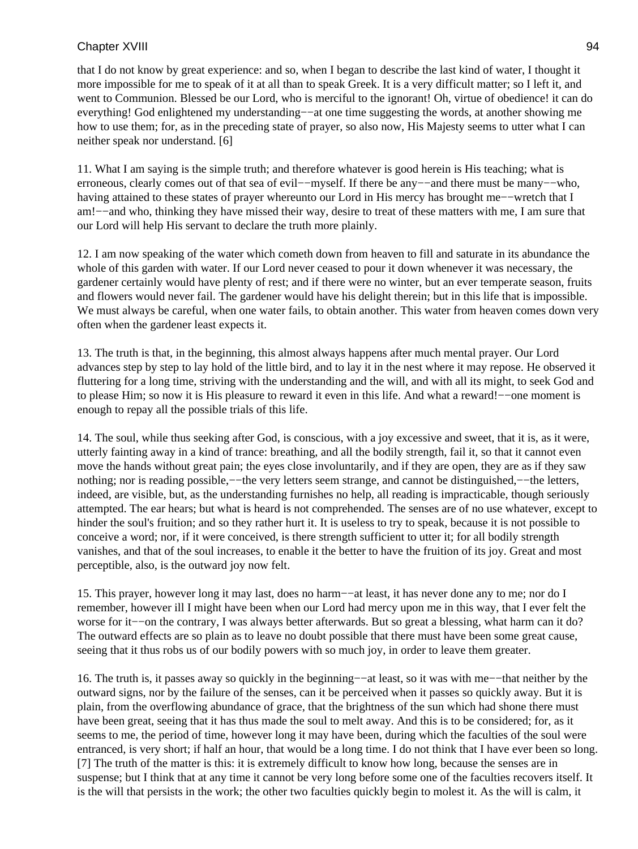that I do not know by great experience: and so, when I began to describe the last kind of water, I thought it more impossible for me to speak of it at all than to speak Greek. It is a very difficult matter; so I left it, and went to Communion. Blessed be our Lord, who is merciful to the ignorant! Oh, virtue of obedience! it can do everything! God enlightened my understanding–−at one time suggesting the words, at another showing me how to use them; for, as in the preceding state of prayer, so also now, His Majesty seems to utter what I can neither speak nor understand. [6]

11. What I am saying is the simple truth; and therefore whatever is good herein is His teaching; what is erroneous, clearly comes out of that sea of evil−−myself. If there be any−−and there must be many−−who, having attained to these states of prayer whereunto our Lord in His mercy has brought me−−wretch that I am!−−and who, thinking they have missed their way, desire to treat of these matters with me, I am sure that our Lord will help His servant to declare the truth more plainly.

12. I am now speaking of the water which cometh down from heaven to fill and saturate in its abundance the whole of this garden with water. If our Lord never ceased to pour it down whenever it was necessary, the gardener certainly would have plenty of rest; and if there were no winter, but an ever temperate season, fruits and flowers would never fail. The gardener would have his delight therein; but in this life that is impossible. We must always be careful, when one water fails, to obtain another. This water from heaven comes down very often when the gardener least expects it.

13. The truth is that, in the beginning, this almost always happens after much mental prayer. Our Lord advances step by step to lay hold of the little bird, and to lay it in the nest where it may repose. He observed it fluttering for a long time, striving with the understanding and the will, and with all its might, to seek God and to please Him; so now it is His pleasure to reward it even in this life. And what a reward!−−one moment is enough to repay all the possible trials of this life.

14. The soul, while thus seeking after God, is conscious, with a joy excessive and sweet, that it is, as it were, utterly fainting away in a kind of trance: breathing, and all the bodily strength, fail it, so that it cannot even move the hands without great pain; the eyes close involuntarily, and if they are open, they are as if they saw nothing; nor is reading possible,−−the very letters seem strange, and cannot be distinguished,−−the letters, indeed, are visible, but, as the understanding furnishes no help, all reading is impracticable, though seriously attempted. The ear hears; but what is heard is not comprehended. The senses are of no use whatever, except to hinder the soul's fruition; and so they rather hurt it. It is useless to try to speak, because it is not possible to conceive a word; nor, if it were conceived, is there strength sufficient to utter it; for all bodily strength vanishes, and that of the soul increases, to enable it the better to have the fruition of its joy. Great and most perceptible, also, is the outward joy now felt.

15. This prayer, however long it may last, does no harm−−at least, it has never done any to me; nor do I remember, however ill I might have been when our Lord had mercy upon me in this way, that I ever felt the worse for it−−on the contrary, I was always better afterwards. But so great a blessing, what harm can it do? The outward effects are so plain as to leave no doubt possible that there must have been some great cause, seeing that it thus robs us of our bodily powers with so much joy, in order to leave them greater.

16. The truth is, it passes away so quickly in the beginning−−at least, so it was with me−−that neither by the outward signs, nor by the failure of the senses, can it be perceived when it passes so quickly away. But it is plain, from the overflowing abundance of grace, that the brightness of the sun which had shone there must have been great, seeing that it has thus made the soul to melt away. And this is to be considered; for, as it seems to me, the period of time, however long it may have been, during which the faculties of the soul were entranced, is very short; if half an hour, that would be a long time. I do not think that I have ever been so long. [7] The truth of the matter is this: it is extremely difficult to know how long, because the senses are in suspense; but I think that at any time it cannot be very long before some one of the faculties recovers itself. It is the will that persists in the work; the other two faculties quickly begin to molest it. As the will is calm, it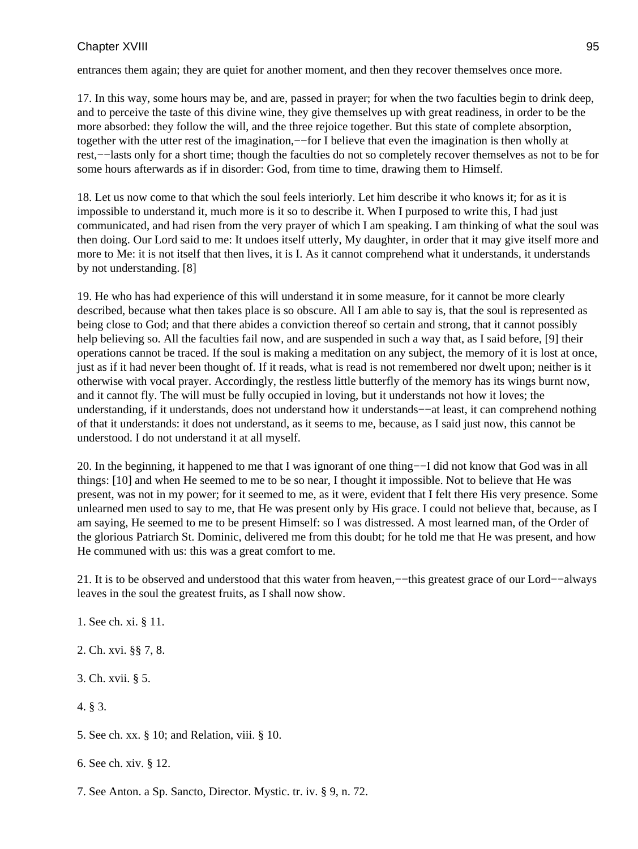entrances them again; they are quiet for another moment, and then they recover themselves once more.

17. In this way, some hours may be, and are, passed in prayer; for when the two faculties begin to drink deep, and to perceive the taste of this divine wine, they give themselves up with great readiness, in order to be the more absorbed: they follow the will, and the three rejoice together. But this state of complete absorption, together with the utter rest of the imagination,—−for I believe that even the imagination is then wholly at rest,−−lasts only for a short time; though the faculties do not so completely recover themselves as not to be for some hours afterwards as if in disorder: God, from time to time, drawing them to Himself.

18. Let us now come to that which the soul feels interiorly. Let him describe it who knows it; for as it is impossible to understand it, much more is it so to describe it. When I purposed to write this, I had just communicated, and had risen from the very prayer of which I am speaking. I am thinking of what the soul was then doing. Our Lord said to me: It undoes itself utterly, My daughter, in order that it may give itself more and more to Me: it is not itself that then lives, it is I. As it cannot comprehend what it understands, it understands by not understanding. [8]

19. He who has had experience of this will understand it in some measure, for it cannot be more clearly described, because what then takes place is so obscure. All I am able to say is, that the soul is represented as being close to God; and that there abides a conviction thereof so certain and strong, that it cannot possibly help believing so. All the faculties fail now, and are suspended in such a way that, as I said before, [9] their operations cannot be traced. If the soul is making a meditation on any subject, the memory of it is lost at once, just as if it had never been thought of. If it reads, what is read is not remembered nor dwelt upon; neither is it otherwise with vocal prayer. Accordingly, the restless little butterfly of the memory has its wings burnt now, and it cannot fly. The will must be fully occupied in loving, but it understands not how it loves; the understanding, if it understands, does not understand how it understands−−at least, it can comprehend nothing of that it understands: it does not understand, as it seems to me, because, as I said just now, this cannot be understood. I do not understand it at all myself.

20. In the beginning, it happened to me that I was ignorant of one thing−−I did not know that God was in all things: [10] and when He seemed to me to be so near, I thought it impossible. Not to believe that He was present, was not in my power; for it seemed to me, as it were, evident that I felt there His very presence. Some unlearned men used to say to me, that He was present only by His grace. I could not believe that, because, as I am saying, He seemed to me to be present Himself: so I was distressed. A most learned man, of the Order of the glorious Patriarch St. Dominic, delivered me from this doubt; for he told me that He was present, and how He communed with us: this was a great comfort to me.

21. It is to be observed and understood that this water from heaven,−−this greatest grace of our Lord−−always leaves in the soul the greatest fruits, as I shall now show.

- 1. See ch. xi. § 11.
- 2. Ch. xvi. §§ 7, 8.
- 3. Ch. xvii. § 5.
- 4. § 3.
- 5. See ch. xx. § 10; and Relation, viii. § 10.
- 6. See ch. xiv. § 12.
- 7. See Anton. a Sp. Sancto, Director. Mystic. tr. iv. § 9, n. 72.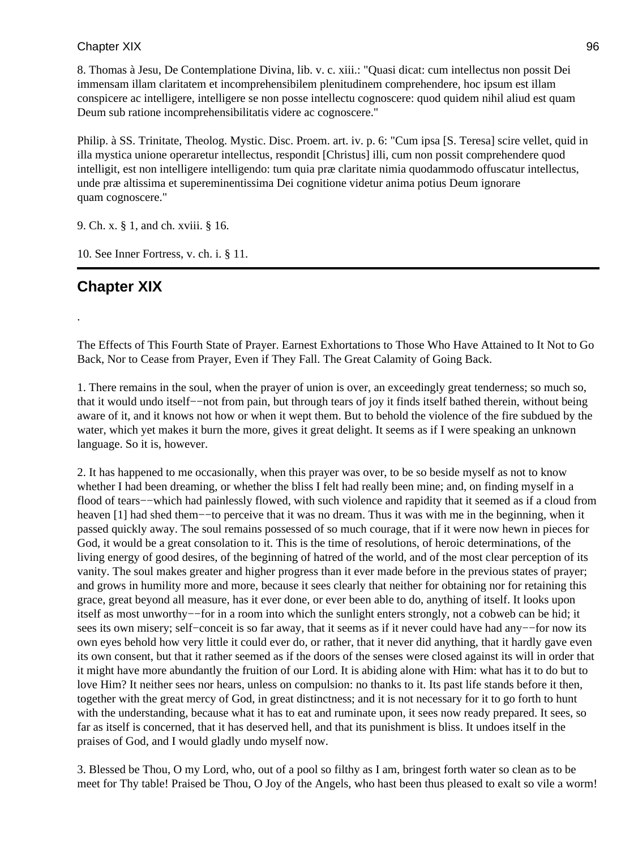8. Thomas à Jesu, De Contemplatione Divina, lib. v. c. xiii.: "Quasi dicat: cum intellectus non possit Dei immensam illam claritatem et incomprehensibilem plenitudinem comprehendere, hoc ipsum est illam conspicere ac intelligere, intelligere se non posse intellectu cognoscere: quod quidem nihil aliud est quam Deum sub ratione incomprehensibilitatis videre ac cognoscere."

Philip. à SS. Trinitate, Theolog. Mystic. Disc. Proem. art. iv. p. 6: "Cum ipsa [S. Teresa] scire vellet, quid in illa mystica unione operaretur intellectus, respondit [Christus] illi, cum non possit comprehendere quod intelligit, est non intelligere intelligendo: tum quia præ claritate nimia quodammodo offuscatur intellectus, unde præ altissima et supereminentissima Dei cognitione videtur anima potius Deum ignorare quam cognoscere."

9. Ch. x. § 1, and ch. xviii. § 16.

10. See Inner Fortress, v. ch. i. § 11.

# **Chapter XIX**

.

The Effects of This Fourth State of Prayer. Earnest Exhortations to Those Who Have Attained to It Not to Go Back, Nor to Cease from Prayer, Even if They Fall. The Great Calamity of Going Back.

1. There remains in the soul, when the prayer of union is over, an exceedingly great tenderness; so much so, that it would undo itself−−not from pain, but through tears of joy it finds itself bathed therein, without being aware of it, and it knows not how or when it wept them. But to behold the violence of the fire subdued by the water, which yet makes it burn the more, gives it great delight. It seems as if I were speaking an unknown language. So it is, however.

2. It has happened to me occasionally, when this prayer was over, to be so beside myself as not to know whether I had been dreaming, or whether the bliss I felt had really been mine; and, on finding myself in a flood of tears−−which had painlessly flowed, with such violence and rapidity that it seemed as if a cloud from heaven [1] had shed them−−to perceive that it was no dream. Thus it was with me in the beginning, when it passed quickly away. The soul remains possessed of so much courage, that if it were now hewn in pieces for God, it would be a great consolation to it. This is the time of resolutions, of heroic determinations, of the living energy of good desires, of the beginning of hatred of the world, and of the most clear perception of its vanity. The soul makes greater and higher progress than it ever made before in the previous states of prayer; and grows in humility more and more, because it sees clearly that neither for obtaining nor for retaining this grace, great beyond all measure, has it ever done, or ever been able to do, anything of itself. It looks upon itself as most unworthy−−for in a room into which the sunlight enters strongly, not a cobweb can be hid; it sees its own misery; self–conceit is so far away, that it seems as if it never could have had any–−for now its own eyes behold how very little it could ever do, or rather, that it never did anything, that it hardly gave even its own consent, but that it rather seemed as if the doors of the senses were closed against its will in order that it might have more abundantly the fruition of our Lord. It is abiding alone with Him: what has it to do but to love Him? It neither sees nor hears, unless on compulsion: no thanks to it. Its past life stands before it then, together with the great mercy of God, in great distinctness; and it is not necessary for it to go forth to hunt with the understanding, because what it has to eat and ruminate upon, it sees now ready prepared. It sees, so far as itself is concerned, that it has deserved hell, and that its punishment is bliss. It undoes itself in the praises of God, and I would gladly undo myself now.

3. Blessed be Thou, O my Lord, who, out of a pool so filthy as I am, bringest forth water so clean as to be meet for Thy table! Praised be Thou, O Joy of the Angels, who hast been thus pleased to exalt so vile a worm!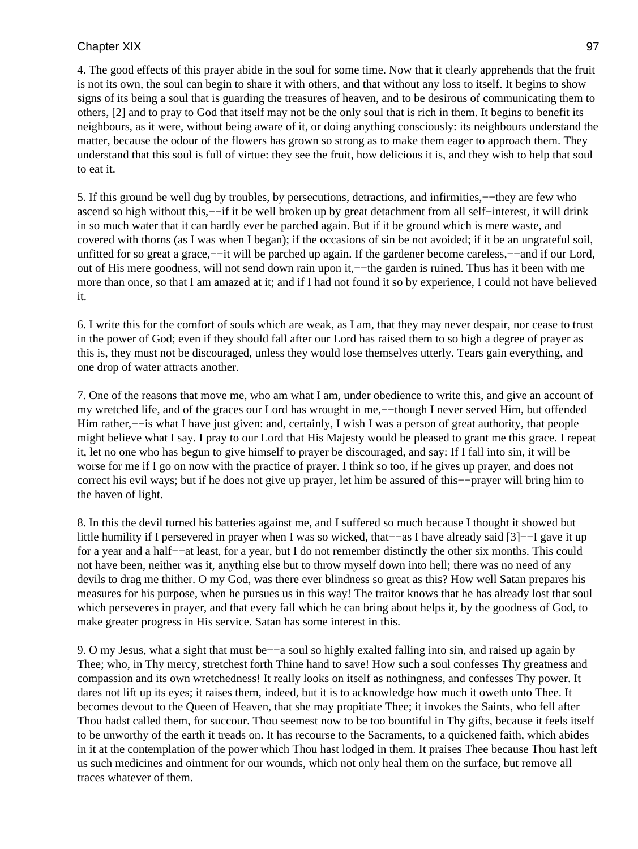4. The good effects of this prayer abide in the soul for some time. Now that it clearly apprehends that the fruit is not its own, the soul can begin to share it with others, and that without any loss to itself. It begins to show signs of its being a soul that is guarding the treasures of heaven, and to be desirous of communicating them to others, [2] and to pray to God that itself may not be the only soul that is rich in them. It begins to benefit its neighbours, as it were, without being aware of it, or doing anything consciously: its neighbours understand the matter, because the odour of the flowers has grown so strong as to make them eager to approach them. They understand that this soul is full of virtue: they see the fruit, how delicious it is, and they wish to help that soul to eat it.

5. If this ground be well dug by troubles, by persecutions, detractions, and infirmities,−−they are few who ascend so high without this,−−if it be well broken up by great detachment from all self−interest, it will drink in so much water that it can hardly ever be parched again. But if it be ground which is mere waste, and covered with thorns (as I was when I began); if the occasions of sin be not avoided; if it be an ungrateful soil, unfitted for so great a grace,−−it will be parched up again. If the gardener become careless,−−and if our Lord, out of His mere goodness, will not send down rain upon it,—−the garden is ruined. Thus has it been with me more than once, so that I am amazed at it; and if I had not found it so by experience, I could not have believed it.

6. I write this for the comfort of souls which are weak, as I am, that they may never despair, nor cease to trust in the power of God; even if they should fall after our Lord has raised them to so high a degree of prayer as this is, they must not be discouraged, unless they would lose themselves utterly. Tears gain everything, and one drop of water attracts another.

7. One of the reasons that move me, who am what I am, under obedience to write this, and give an account of my wretched life, and of the graces our Lord has wrought in me,−−though I never served Him, but offended Him rather,—–is what I have just given: and, certainly, I wish I was a person of great authority, that people might believe what I say. I pray to our Lord that His Majesty would be pleased to grant me this grace. I repeat it, let no one who has begun to give himself to prayer be discouraged, and say: If I fall into sin, it will be worse for me if I go on now with the practice of prayer. I think so too, if he gives up prayer, and does not correct his evil ways; but if he does not give up prayer, let him be assured of this−−prayer will bring him to the haven of light.

8. In this the devil turned his batteries against me, and I suffered so much because I thought it showed but little humility if I persevered in prayer when I was so wicked, that−−as I have already said [3]−−I gave it up for a year and a half−−at least, for a year, but I do not remember distinctly the other six months. This could not have been, neither was it, anything else but to throw myself down into hell; there was no need of any devils to drag me thither. O my God, was there ever blindness so great as this? How well Satan prepares his measures for his purpose, when he pursues us in this way! The traitor knows that he has already lost that soul which perseveres in prayer, and that every fall which he can bring about helps it, by the goodness of God, to make greater progress in His service. Satan has some interest in this.

9. O my Jesus, what a sight that must be−−a soul so highly exalted falling into sin, and raised up again by Thee; who, in Thy mercy, stretchest forth Thine hand to save! How such a soul confesses Thy greatness and compassion and its own wretchedness! It really looks on itself as nothingness, and confesses Thy power. It dares not lift up its eyes; it raises them, indeed, but it is to acknowledge how much it oweth unto Thee. It becomes devout to the Queen of Heaven, that she may propitiate Thee; it invokes the Saints, who fell after Thou hadst called them, for succour. Thou seemest now to be too bountiful in Thy gifts, because it feels itself to be unworthy of the earth it treads on. It has recourse to the Sacraments, to a quickened faith, which abides in it at the contemplation of the power which Thou hast lodged in them. It praises Thee because Thou hast left us such medicines and ointment for our wounds, which not only heal them on the surface, but remove all traces whatever of them.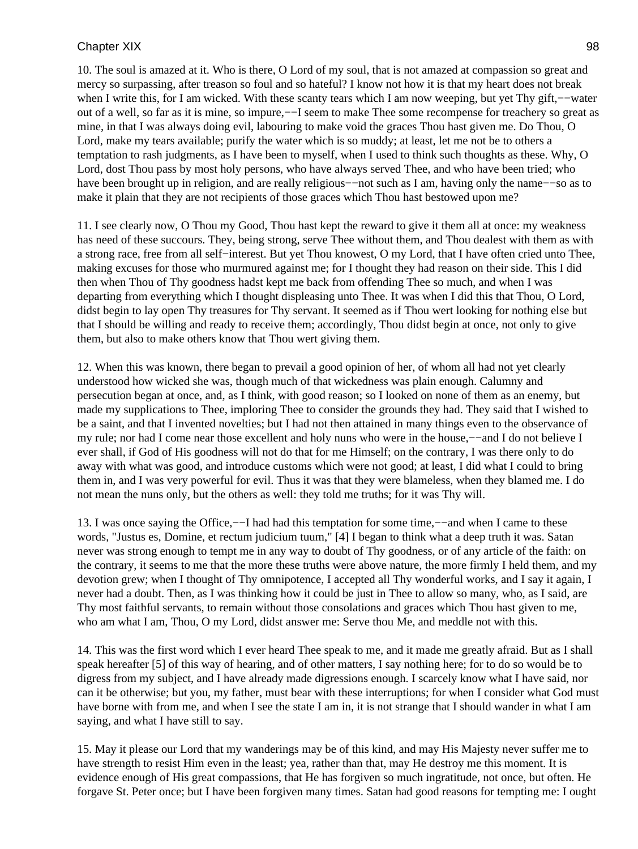10. The soul is amazed at it. Who is there, O Lord of my soul, that is not amazed at compassion so great and mercy so surpassing, after treason so foul and so hateful? I know not how it is that my heart does not break when I write this, for I am wicked. With these scanty tears which I am now weeping, but yet Thy gift,−−water out of a well, so far as it is mine, so impure,—I seem to make Thee some recompense for treachery so great as mine, in that I was always doing evil, labouring to make void the graces Thou hast given me. Do Thou, O Lord, make my tears available; purify the water which is so muddy; at least, let me not be to others a temptation to rash judgments, as I have been to myself, when I used to think such thoughts as these. Why, O Lord, dost Thou pass by most holy persons, who have always served Thee, and who have been tried; who have been brought up in religion, and are really religious−−not such as I am, having only the name−−so as to make it plain that they are not recipients of those graces which Thou hast bestowed upon me?

11. I see clearly now, O Thou my Good, Thou hast kept the reward to give it them all at once: my weakness has need of these succours. They, being strong, serve Thee without them, and Thou dealest with them as with a strong race, free from all self−interest. But yet Thou knowest, O my Lord, that I have often cried unto Thee, making excuses for those who murmured against me; for I thought they had reason on their side. This I did then when Thou of Thy goodness hadst kept me back from offending Thee so much, and when I was departing from everything which I thought displeasing unto Thee. It was when I did this that Thou, O Lord, didst begin to lay open Thy treasures for Thy servant. It seemed as if Thou wert looking for nothing else but that I should be willing and ready to receive them; accordingly, Thou didst begin at once, not only to give them, but also to make others know that Thou wert giving them.

12. When this was known, there began to prevail a good opinion of her, of whom all had not yet clearly understood how wicked she was, though much of that wickedness was plain enough. Calumny and persecution began at once, and, as I think, with good reason; so I looked on none of them as an enemy, but made my supplications to Thee, imploring Thee to consider the grounds they had. They said that I wished to be a saint, and that I invented novelties; but I had not then attained in many things even to the observance of my rule; nor had I come near those excellent and holy nuns who were in the house,—–and I do not believe I ever shall, if God of His goodness will not do that for me Himself; on the contrary, I was there only to do away with what was good, and introduce customs which were not good; at least, I did what I could to bring them in, and I was very powerful for evil. Thus it was that they were blameless, when they blamed me. I do not mean the nuns only, but the others as well: they told me truths; for it was Thy will.

13. I was once saying the Office,−−I had had this temptation for some time,−−and when I came to these words, "Justus es, Domine, et rectum judicium tuum," [4] I began to think what a deep truth it was. Satan never was strong enough to tempt me in any way to doubt of Thy goodness, or of any article of the faith: on the contrary, it seems to me that the more these truths were above nature, the more firmly I held them, and my devotion grew; when I thought of Thy omnipotence, I accepted all Thy wonderful works, and I say it again, I never had a doubt. Then, as I was thinking how it could be just in Thee to allow so many, who, as I said, are Thy most faithful servants, to remain without those consolations and graces which Thou hast given to me, who am what I am, Thou, O my Lord, didst answer me: Serve thou Me, and meddle not with this.

14. This was the first word which I ever heard Thee speak to me, and it made me greatly afraid. But as I shall speak hereafter [5] of this way of hearing, and of other matters, I say nothing here; for to do so would be to digress from my subject, and I have already made digressions enough. I scarcely know what I have said, nor can it be otherwise; but you, my father, must bear with these interruptions; for when I consider what God must have borne with from me, and when I see the state I am in, it is not strange that I should wander in what I am saying, and what I have still to say.

15. May it please our Lord that my wanderings may be of this kind, and may His Majesty never suffer me to have strength to resist Him even in the least; yea, rather than that, may He destroy me this moment. It is evidence enough of His great compassions, that He has forgiven so much ingratitude, not once, but often. He forgave St. Peter once; but I have been forgiven many times. Satan had good reasons for tempting me: I ought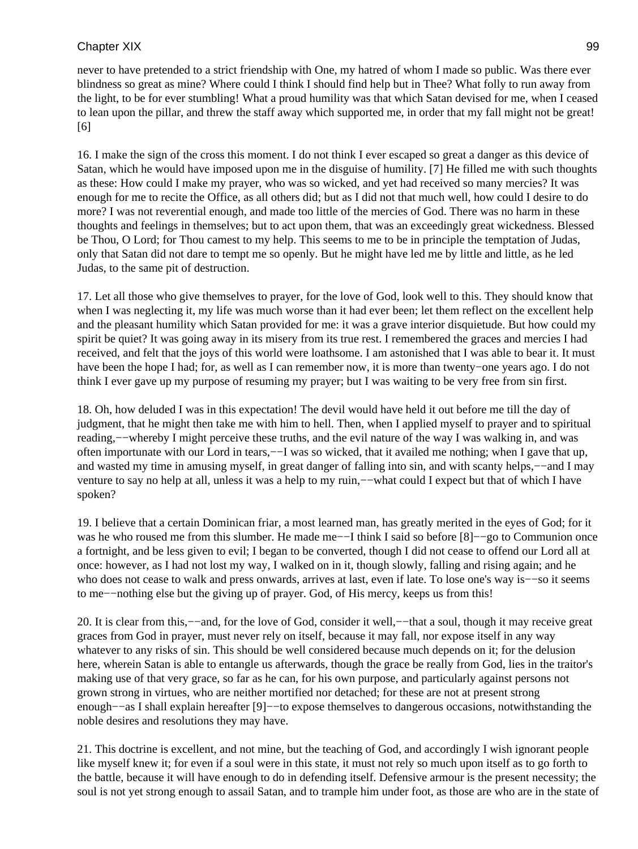never to have pretended to a strict friendship with One, my hatred of whom I made so public. Was there ever blindness so great as mine? Where could I think I should find help but in Thee? What folly to run away from the light, to be for ever stumbling! What a proud humility was that which Satan devised for me, when I ceased to lean upon the pillar, and threw the staff away which supported me, in order that my fall might not be great! [6]

16. I make the sign of the cross this moment. I do not think I ever escaped so great a danger as this device of Satan, which he would have imposed upon me in the disguise of humility. [7] He filled me with such thoughts as these: How could I make my prayer, who was so wicked, and yet had received so many mercies? It was enough for me to recite the Office, as all others did; but as I did not that much well, how could I desire to do more? I was not reverential enough, and made too little of the mercies of God. There was no harm in these thoughts and feelings in themselves; but to act upon them, that was an exceedingly great wickedness. Blessed be Thou, O Lord; for Thou camest to my help. This seems to me to be in principle the temptation of Judas, only that Satan did not dare to tempt me so openly. But he might have led me by little and little, as he led Judas, to the same pit of destruction.

17. Let all those who give themselves to prayer, for the love of God, look well to this. They should know that when I was neglecting it, my life was much worse than it had ever been; let them reflect on the excellent help and the pleasant humility which Satan provided for me: it was a grave interior disquietude. But how could my spirit be quiet? It was going away in its misery from its true rest. I remembered the graces and mercies I had received, and felt that the joys of this world were loathsome. I am astonished that I was able to bear it. It must have been the hope I had; for, as well as I can remember now, it is more than twenty−one years ago. I do not think I ever gave up my purpose of resuming my prayer; but I was waiting to be very free from sin first.

18. Oh, how deluded I was in this expectation! The devil would have held it out before me till the day of judgment, that he might then take me with him to hell. Then, when I applied myself to prayer and to spiritual reading,−−whereby I might perceive these truths, and the evil nature of the way I was walking in, and was often importunate with our Lord in tears,−−I was so wicked, that it availed me nothing; when I gave that up, and wasted my time in amusing myself, in great danger of falling into sin, and with scanty helps,−−and I may venture to say no help at all, unless it was a help to my ruin,−−what could I expect but that of which I have spoken?

19. I believe that a certain Dominican friar, a most learned man, has greatly merited in the eyes of God; for it was he who roused me from this slumber. He made me––I think I said so before [8]––go to Communion once a fortnight, and be less given to evil; I began to be converted, though I did not cease to offend our Lord all at once: however, as I had not lost my way, I walked on in it, though slowly, falling and rising again; and he who does not cease to walk and press onwards, arrives at last, even if late. To lose one's way is—so it seems to me−−nothing else but the giving up of prayer. God, of His mercy, keeps us from this!

20. It is clear from this,−−and, for the love of God, consider it well,−−that a soul, though it may receive great graces from God in prayer, must never rely on itself, because it may fall, nor expose itself in any way whatever to any risks of sin. This should be well considered because much depends on it; for the delusion here, wherein Satan is able to entangle us afterwards, though the grace be really from God, lies in the traitor's making use of that very grace, so far as he can, for his own purpose, and particularly against persons not grown strong in virtues, who are neither mortified nor detached; for these are not at present strong enough−−as I shall explain hereafter [9]−−to expose themselves to dangerous occasions, notwithstanding the noble desires and resolutions they may have.

21. This doctrine is excellent, and not mine, but the teaching of God, and accordingly I wish ignorant people like myself knew it; for even if a soul were in this state, it must not rely so much upon itself as to go forth to the battle, because it will have enough to do in defending itself. Defensive armour is the present necessity; the soul is not yet strong enough to assail Satan, and to trample him under foot, as those are who are in the state of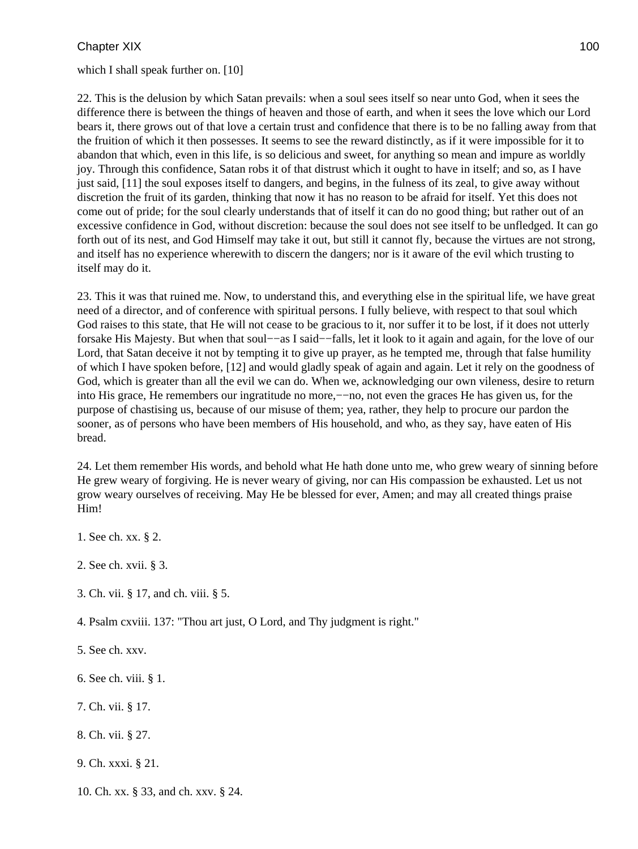which I shall speak further on. [10]

22. This is the delusion by which Satan prevails: when a soul sees itself so near unto God, when it sees the difference there is between the things of heaven and those of earth, and when it sees the love which our Lord bears it, there grows out of that love a certain trust and confidence that there is to be no falling away from that the fruition of which it then possesses. It seems to see the reward distinctly, as if it were impossible for it to abandon that which, even in this life, is so delicious and sweet, for anything so mean and impure as worldly joy. Through this confidence, Satan robs it of that distrust which it ought to have in itself; and so, as I have just said, [11] the soul exposes itself to dangers, and begins, in the fulness of its zeal, to give away without discretion the fruit of its garden, thinking that now it has no reason to be afraid for itself. Yet this does not come out of pride; for the soul clearly understands that of itself it can do no good thing; but rather out of an excessive confidence in God, without discretion: because the soul does not see itself to be unfledged. It can go forth out of its nest, and God Himself may take it out, but still it cannot fly, because the virtues are not strong, and itself has no experience wherewith to discern the dangers; nor is it aware of the evil which trusting to itself may do it.

23. This it was that ruined me. Now, to understand this, and everything else in the spiritual life, we have great need of a director, and of conference with spiritual persons. I fully believe, with respect to that soul which God raises to this state, that He will not cease to be gracious to it, nor suffer it to be lost, if it does not utterly forsake His Majesty. But when that soul−−as I said−−falls, let it look to it again and again, for the love of our Lord, that Satan deceive it not by tempting it to give up prayer, as he tempted me, through that false humility of which I have spoken before, [12] and would gladly speak of again and again. Let it rely on the goodness of God, which is greater than all the evil we can do. When we, acknowledging our own vileness, desire to return into His grace, He remembers our ingratitude no more,−−no, not even the graces He has given us, for the purpose of chastising us, because of our misuse of them; yea, rather, they help to procure our pardon the sooner, as of persons who have been members of His household, and who, as they say, have eaten of His bread.

24. Let them remember His words, and behold what He hath done unto me, who grew weary of sinning before He grew weary of forgiving. He is never weary of giving, nor can His compassion be exhausted. Let us not grow weary ourselves of receiving. May He be blessed for ever, Amen; and may all created things praise Him!

- 1. See ch. xx. § 2.
- 2. See ch. xvii. § 3.
- 3. Ch. vii. § 17, and ch. viii. § 5.
- 4. Psalm cxviii. 137: "Thou art just, O Lord, and Thy judgment is right."
- 5. See ch. xxv.
- 6. See ch. viii. § 1.
- 7. Ch. vii. § 17.
- 8. Ch. vii. § 27.
- 9. Ch. xxxi. § 21.
- 10. Ch. xx. § 33, and ch. xxv. § 24.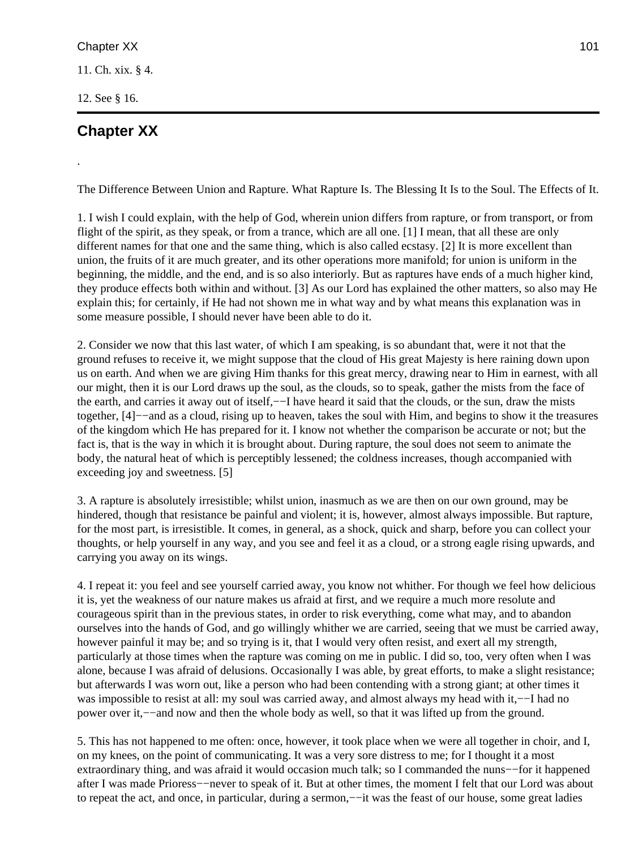.

The Difference Between Union and Rapture. What Rapture Is. The Blessing It Is to the Soul. The Effects of It.

1. I wish I could explain, with the help of God, wherein union differs from rapture, or from transport, or from flight of the spirit, as they speak, or from a trance, which are all one. [1] I mean, that all these are only different names for that one and the same thing, which is also called ecstasy. [2] It is more excellent than union, the fruits of it are much greater, and its other operations more manifold; for union is uniform in the beginning, the middle, and the end, and is so also interiorly. But as raptures have ends of a much higher kind, they produce effects both within and without. [3] As our Lord has explained the other matters, so also may He explain this; for certainly, if He had not shown me in what way and by what means this explanation was in some measure possible, I should never have been able to do it.

2. Consider we now that this last water, of which I am speaking, is so abundant that, were it not that the ground refuses to receive it, we might suppose that the cloud of His great Majesty is here raining down upon us on earth. And when we are giving Him thanks for this great mercy, drawing near to Him in earnest, with all our might, then it is our Lord draws up the soul, as the clouds, so to speak, gather the mists from the face of the earth, and carries it away out of itself,—−I have heard it said that the clouds, or the sun, draw the mists together, [4]−−and as a cloud, rising up to heaven, takes the soul with Him, and begins to show it the treasures of the kingdom which He has prepared for it. I know not whether the comparison be accurate or not; but the fact is, that is the way in which it is brought about. During rapture, the soul does not seem to animate the body, the natural heat of which is perceptibly lessened; the coldness increases, though accompanied with exceeding joy and sweetness. [5]

3. A rapture is absolutely irresistible; whilst union, inasmuch as we are then on our own ground, may be hindered, though that resistance be painful and violent; it is, however, almost always impossible. But rapture, for the most part, is irresistible. It comes, in general, as a shock, quick and sharp, before you can collect your thoughts, or help yourself in any way, and you see and feel it as a cloud, or a strong eagle rising upwards, and carrying you away on its wings.

4. I repeat it: you feel and see yourself carried away, you know not whither. For though we feel how delicious it is, yet the weakness of our nature makes us afraid at first, and we require a much more resolute and courageous spirit than in the previous states, in order to risk everything, come what may, and to abandon ourselves into the hands of God, and go willingly whither we are carried, seeing that we must be carried away, however painful it may be; and so trying is it, that I would very often resist, and exert all my strength, particularly at those times when the rapture was coming on me in public. I did so, too, very often when I was alone, because I was afraid of delusions. Occasionally I was able, by great efforts, to make a slight resistance; but afterwards I was worn out, like a person who had been contending with a strong giant; at other times it was impossible to resist at all: my soul was carried away, and almost always my head with it,−−I had no power over it,−−and now and then the whole body as well, so that it was lifted up from the ground.

5. This has not happened to me often: once, however, it took place when we were all together in choir, and I, on my knees, on the point of communicating. It was a very sore distress to me; for I thought it a most extraordinary thing, and was afraid it would occasion much talk; so I commanded the nuns−−for it happened after I was made Prioress−−never to speak of it. But at other times, the moment I felt that our Lord was about to repeat the act, and once, in particular, during a sermon,−−it was the feast of our house, some great ladies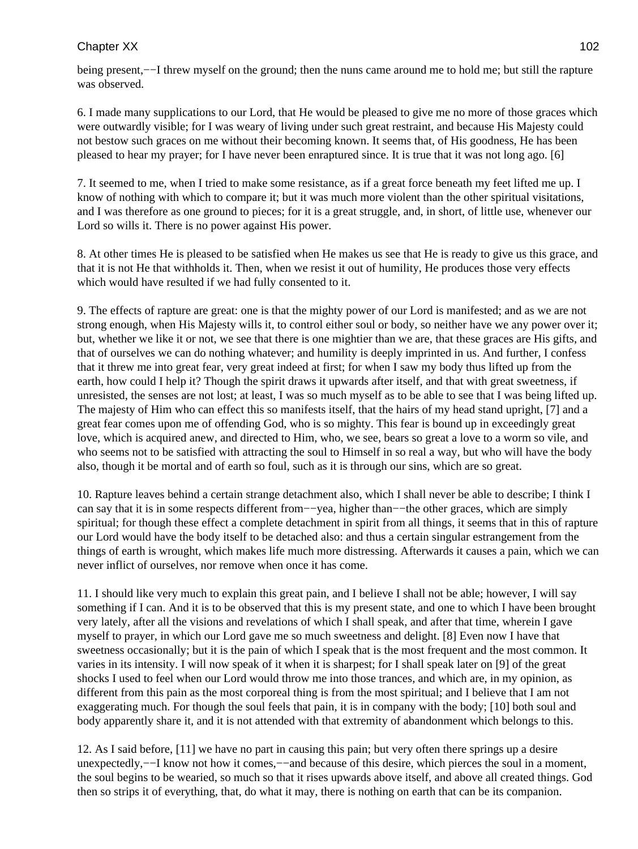being present,−−I threw myself on the ground; then the nuns came around me to hold me; but still the rapture was observed.

6. I made many supplications to our Lord, that He would be pleased to give me no more of those graces which were outwardly visible; for I was weary of living under such great restraint, and because His Majesty could not bestow such graces on me without their becoming known. It seems that, of His goodness, He has been pleased to hear my prayer; for I have never been enraptured since. It is true that it was not long ago. [6]

7. It seemed to me, when I tried to make some resistance, as if a great force beneath my feet lifted me up. I know of nothing with which to compare it; but it was much more violent than the other spiritual visitations, and I was therefore as one ground to pieces; for it is a great struggle, and, in short, of little use, whenever our Lord so wills it. There is no power against His power.

8. At other times He is pleased to be satisfied when He makes us see that He is ready to give us this grace, and that it is not He that withholds it. Then, when we resist it out of humility, He produces those very effects which would have resulted if we had fully consented to it.

9. The effects of rapture are great: one is that the mighty power of our Lord is manifested; and as we are not strong enough, when His Majesty wills it, to control either soul or body, so neither have we any power over it; but, whether we like it or not, we see that there is one mightier than we are, that these graces are His gifts, and that of ourselves we can do nothing whatever; and humility is deeply imprinted in us. And further, I confess that it threw me into great fear, very great indeed at first; for when I saw my body thus lifted up from the earth, how could I help it? Though the spirit draws it upwards after itself, and that with great sweetness, if unresisted, the senses are not lost; at least, I was so much myself as to be able to see that I was being lifted up. The majesty of Him who can effect this so manifests itself, that the hairs of my head stand upright, [7] and a great fear comes upon me of offending God, who is so mighty. This fear is bound up in exceedingly great love, which is acquired anew, and directed to Him, who, we see, bears so great a love to a worm so vile, and who seems not to be satisfied with attracting the soul to Himself in so real a way, but who will have the body also, though it be mortal and of earth so foul, such as it is through our sins, which are so great.

10. Rapture leaves behind a certain strange detachment also, which I shall never be able to describe; I think I can say that it is in some respects different from−−yea, higher than−−the other graces, which are simply spiritual; for though these effect a complete detachment in spirit from all things, it seems that in this of rapture our Lord would have the body itself to be detached also: and thus a certain singular estrangement from the things of earth is wrought, which makes life much more distressing. Afterwards it causes a pain, which we can never inflict of ourselves, nor remove when once it has come.

11. I should like very much to explain this great pain, and I believe I shall not be able; however, I will say something if I can. And it is to be observed that this is my present state, and one to which I have been brought very lately, after all the visions and revelations of which I shall speak, and after that time, wherein I gave myself to prayer, in which our Lord gave me so much sweetness and delight. [8] Even now I have that sweetness occasionally; but it is the pain of which I speak that is the most frequent and the most common. It varies in its intensity. I will now speak of it when it is sharpest; for I shall speak later on [9] of the great shocks I used to feel when our Lord would throw me into those trances, and which are, in my opinion, as different from this pain as the most corporeal thing is from the most spiritual; and I believe that I am not exaggerating much. For though the soul feels that pain, it is in company with the body; [10] both soul and body apparently share it, and it is not attended with that extremity of abandonment which belongs to this.

12. As I said before, [11] we have no part in causing this pain; but very often there springs up a desire unexpectedly,−−I know not how it comes,−−and because of this desire, which pierces the soul in a moment, the soul begins to be wearied, so much so that it rises upwards above itself, and above all created things. God then so strips it of everything, that, do what it may, there is nothing on earth that can be its companion.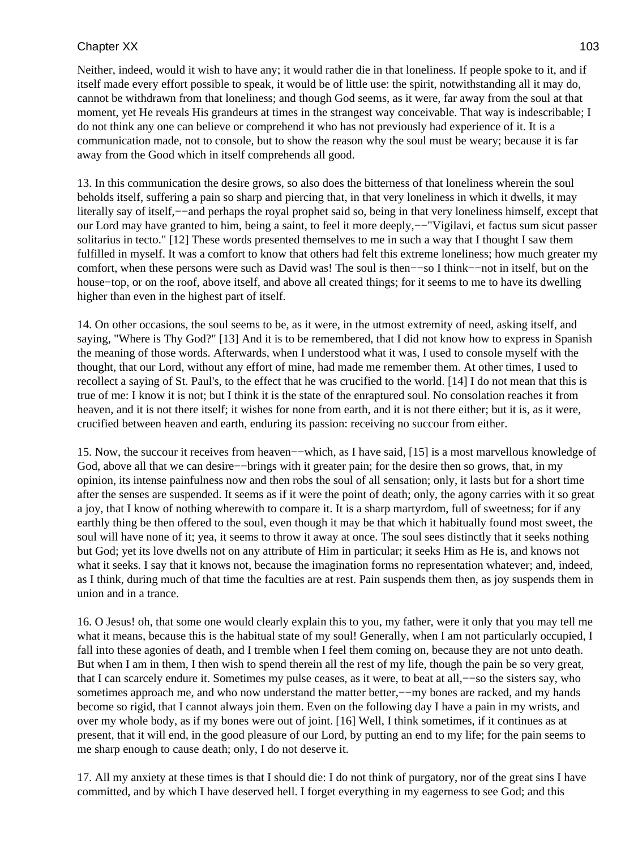Neither, indeed, would it wish to have any; it would rather die in that loneliness. If people spoke to it, and if itself made every effort possible to speak, it would be of little use: the spirit, notwithstanding all it may do, cannot be withdrawn from that loneliness; and though God seems, as it were, far away from the soul at that moment, yet He reveals His grandeurs at times in the strangest way conceivable. That way is indescribable; I do not think any one can believe or comprehend it who has not previously had experience of it. It is a communication made, not to console, but to show the reason why the soul must be weary; because it is far away from the Good which in itself comprehends all good.

13. In this communication the desire grows, so also does the bitterness of that loneliness wherein the soul beholds itself, suffering a pain so sharp and piercing that, in that very loneliness in which it dwells, it may literally say of itself,−−and perhaps the royal prophet said so, being in that very loneliness himself, except that our Lord may have granted to him, being a saint, to feel it more deeply,−−"Vigilavi, et factus sum sicut passer solitarius in tecto." [12] These words presented themselves to me in such a way that I thought I saw them fulfilled in myself. It was a comfort to know that others had felt this extreme loneliness; how much greater my comfort, when these persons were such as David was! The soul is then−−so I think−−not in itself, but on the house−top, or on the roof, above itself, and above all created things; for it seems to me to have its dwelling higher than even in the highest part of itself.

14. On other occasions, the soul seems to be, as it were, in the utmost extremity of need, asking itself, and saying, "Where is Thy God?" [13] And it is to be remembered, that I did not know how to express in Spanish the meaning of those words. Afterwards, when I understood what it was, I used to console myself with the thought, that our Lord, without any effort of mine, had made me remember them. At other times, I used to recollect a saying of St. Paul's, to the effect that he was crucified to the world. [14] I do not mean that this is true of me: I know it is not; but I think it is the state of the enraptured soul. No consolation reaches it from heaven, and it is not there itself; it wishes for none from earth, and it is not there either; but it is, as it were, crucified between heaven and earth, enduring its passion: receiving no succour from either.

15. Now, the succour it receives from heaven−−which, as I have said, [15] is a most marvellous knowledge of God, above all that we can desire–−brings with it greater pain; for the desire then so grows, that, in my opinion, its intense painfulness now and then robs the soul of all sensation; only, it lasts but for a short time after the senses are suspended. It seems as if it were the point of death; only, the agony carries with it so great a joy, that I know of nothing wherewith to compare it. It is a sharp martyrdom, full of sweetness; for if any earthly thing be then offered to the soul, even though it may be that which it habitually found most sweet, the soul will have none of it; yea, it seems to throw it away at once. The soul sees distinctly that it seeks nothing but God; yet its love dwells not on any attribute of Him in particular; it seeks Him as He is, and knows not what it seeks. I say that it knows not, because the imagination forms no representation whatever; and, indeed, as I think, during much of that time the faculties are at rest. Pain suspends them then, as joy suspends them in union and in a trance.

16. O Jesus! oh, that some one would clearly explain this to you, my father, were it only that you may tell me what it means, because this is the habitual state of my soul! Generally, when I am not particularly occupied, I fall into these agonies of death, and I tremble when I feel them coming on, because they are not unto death. But when I am in them, I then wish to spend therein all the rest of my life, though the pain be so very great, that I can scarcely endure it. Sometimes my pulse ceases, as it were, to beat at all,−−so the sisters say, who sometimes approach me, and who now understand the matter better,-−my bones are racked, and my hands become so rigid, that I cannot always join them. Even on the following day I have a pain in my wrists, and over my whole body, as if my bones were out of joint. [16] Well, I think sometimes, if it continues as at present, that it will end, in the good pleasure of our Lord, by putting an end to my life; for the pain seems to me sharp enough to cause death; only, I do not deserve it.

17. All my anxiety at these times is that I should die: I do not think of purgatory, nor of the great sins I have committed, and by which I have deserved hell. I forget everything in my eagerness to see God; and this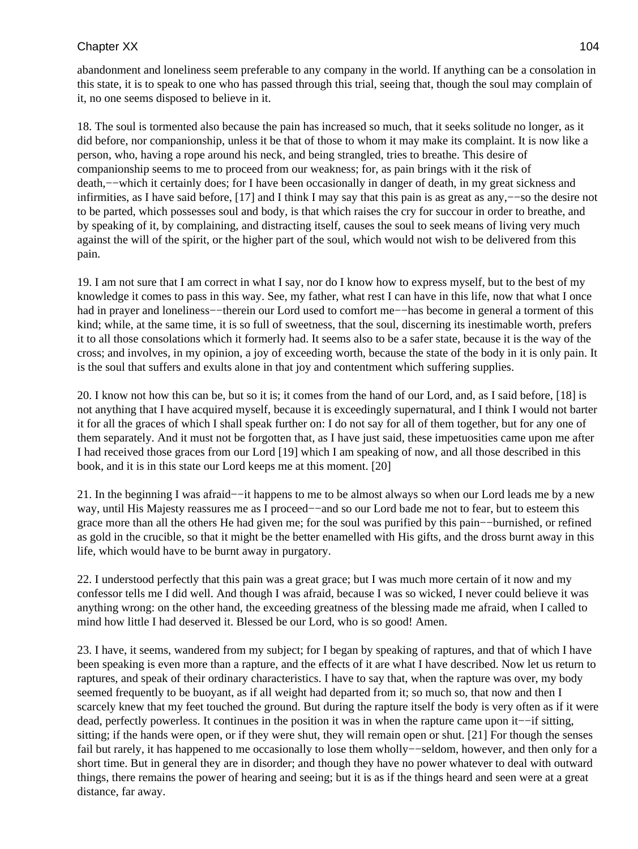abandonment and loneliness seem preferable to any company in the world. If anything can be a consolation in this state, it is to speak to one who has passed through this trial, seeing that, though the soul may complain of it, no one seems disposed to believe in it.

18. The soul is tormented also because the pain has increased so much, that it seeks solitude no longer, as it did before, nor companionship, unless it be that of those to whom it may make its complaint. It is now like a person, who, having a rope around his neck, and being strangled, tries to breathe. This desire of companionship seems to me to proceed from our weakness; for, as pain brings with it the risk of death,−−which it certainly does; for I have been occasionally in danger of death, in my great sickness and infirmities, as I have said before, [17] and I think I may say that this pain is as great as any,−−so the desire not to be parted, which possesses soul and body, is that which raises the cry for succour in order to breathe, and by speaking of it, by complaining, and distracting itself, causes the soul to seek means of living very much against the will of the spirit, or the higher part of the soul, which would not wish to be delivered from this pain.

19. I am not sure that I am correct in what I say, nor do I know how to express myself, but to the best of my knowledge it comes to pass in this way. See, my father, what rest I can have in this life, now that what I once had in prayer and loneliness−−therein our Lord used to comfort me−−has become in general a torment of this kind; while, at the same time, it is so full of sweetness, that the soul, discerning its inestimable worth, prefers it to all those consolations which it formerly had. It seems also to be a safer state, because it is the way of the cross; and involves, in my opinion, a joy of exceeding worth, because the state of the body in it is only pain. It is the soul that suffers and exults alone in that joy and contentment which suffering supplies.

20. I know not how this can be, but so it is; it comes from the hand of our Lord, and, as I said before, [18] is not anything that I have acquired myself, because it is exceedingly supernatural, and I think I would not barter it for all the graces of which I shall speak further on: I do not say for all of them together, but for any one of them separately. And it must not be forgotten that, as I have just said, these impetuosities came upon me after I had received those graces from our Lord [19] which I am speaking of now, and all those described in this book, and it is in this state our Lord keeps me at this moment. [20]

21. In the beginning I was afraid−−it happens to me to be almost always so when our Lord leads me by a new way, until His Majesty reassures me as I proceed−−and so our Lord bade me not to fear, but to esteem this grace more than all the others He had given me; for the soul was purified by this pain−−burnished, or refined as gold in the crucible, so that it might be the better enamelled with His gifts, and the dross burnt away in this life, which would have to be burnt away in purgatory.

22. I understood perfectly that this pain was a great grace; but I was much more certain of it now and my confessor tells me I did well. And though I was afraid, because I was so wicked, I never could believe it was anything wrong: on the other hand, the exceeding greatness of the blessing made me afraid, when I called to mind how little I had deserved it. Blessed be our Lord, who is so good! Amen.

23. I have, it seems, wandered from my subject; for I began by speaking of raptures, and that of which I have been speaking is even more than a rapture, and the effects of it are what I have described. Now let us return to raptures, and speak of their ordinary characteristics. I have to say that, when the rapture was over, my body seemed frequently to be buoyant, as if all weight had departed from it; so much so, that now and then I scarcely knew that my feet touched the ground. But during the rapture itself the body is very often as if it were dead, perfectly powerless. It continues in the position it was in when the rapture came upon it−−if sitting, sitting; if the hands were open, or if they were shut, they will remain open or shut. [21] For though the senses fail but rarely, it has happened to me occasionally to lose them wholly-–seldom, however, and then only for a short time. But in general they are in disorder; and though they have no power whatever to deal with outward things, there remains the power of hearing and seeing; but it is as if the things heard and seen were at a great distance, far away.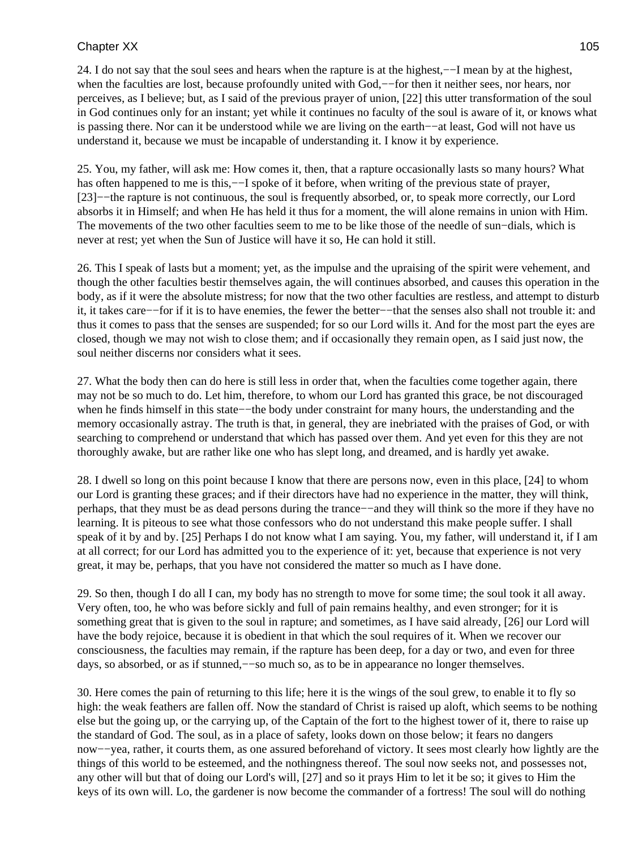24. I do not say that the soul sees and hears when the rapture is at the highest,−−I mean by at the highest, when the faculties are lost, because profoundly united with God,—for then it neither sees, nor hears, nor perceives, as I believe; but, as I said of the previous prayer of union, [22] this utter transformation of the soul in God continues only for an instant; yet while it continues no faculty of the soul is aware of it, or knows what is passing there. Nor can it be understood while we are living on the earth−−at least, God will not have us understand it, because we must be incapable of understanding it. I know it by experience.

25. You, my father, will ask me: How comes it, then, that a rapture occasionally lasts so many hours? What has often happened to me is this,—−I spoke of it before, when writing of the previous state of prayer, [23]−−the rapture is not continuous, the soul is frequently absorbed, or, to speak more correctly, our Lord absorbs it in Himself; and when He has held it thus for a moment, the will alone remains in union with Him. The movements of the two other faculties seem to me to be like those of the needle of sun–dials, which is never at rest; yet when the Sun of Justice will have it so, He can hold it still.

26. This I speak of lasts but a moment; yet, as the impulse and the upraising of the spirit were vehement, and though the other faculties bestir themselves again, the will continues absorbed, and causes this operation in the body, as if it were the absolute mistress; for now that the two other faculties are restless, and attempt to disturb it, it takes care−−for if it is to have enemies, the fewer the better−−that the senses also shall not trouble it: and thus it comes to pass that the senses are suspended; for so our Lord wills it. And for the most part the eyes are closed, though we may not wish to close them; and if occasionally they remain open, as I said just now, the soul neither discerns nor considers what it sees.

27. What the body then can do here is still less in order that, when the faculties come together again, there may not be so much to do. Let him, therefore, to whom our Lord has granted this grace, be not discouraged when he finds himself in this state−−the body under constraint for many hours, the understanding and the memory occasionally astray. The truth is that, in general, they are inebriated with the praises of God, or with searching to comprehend or understand that which has passed over them. And yet even for this they are not thoroughly awake, but are rather like one who has slept long, and dreamed, and is hardly yet awake.

28. I dwell so long on this point because I know that there are persons now, even in this place, [24] to whom our Lord is granting these graces; and if their directors have had no experience in the matter, they will think, perhaps, that they must be as dead persons during the trance−−and they will think so the more if they have no learning. It is piteous to see what those confessors who do not understand this make people suffer. I shall speak of it by and by. [25] Perhaps I do not know what I am saying. You, my father, will understand it, if I am at all correct; for our Lord has admitted you to the experience of it: yet, because that experience is not very great, it may be, perhaps, that you have not considered the matter so much as I have done.

29. So then, though I do all I can, my body has no strength to move for some time; the soul took it all away. Very often, too, he who was before sickly and full of pain remains healthy, and even stronger; for it is something great that is given to the soul in rapture; and sometimes, as I have said already, [26] our Lord will have the body rejoice, because it is obedient in that which the soul requires of it. When we recover our consciousness, the faculties may remain, if the rapture has been deep, for a day or two, and even for three days, so absorbed, or as if stunned,−−so much so, as to be in appearance no longer themselves.

30. Here comes the pain of returning to this life; here it is the wings of the soul grew, to enable it to fly so high: the weak feathers are fallen off. Now the standard of Christ is raised up aloft, which seems to be nothing else but the going up, or the carrying up, of the Captain of the fort to the highest tower of it, there to raise up the standard of God. The soul, as in a place of safety, looks down on those below; it fears no dangers now−−yea, rather, it courts them, as one assured beforehand of victory. It sees most clearly how lightly are the things of this world to be esteemed, and the nothingness thereof. The soul now seeks not, and possesses not, any other will but that of doing our Lord's will, [27] and so it prays Him to let it be so; it gives to Him the keys of its own will. Lo, the gardener is now become the commander of a fortress! The soul will do nothing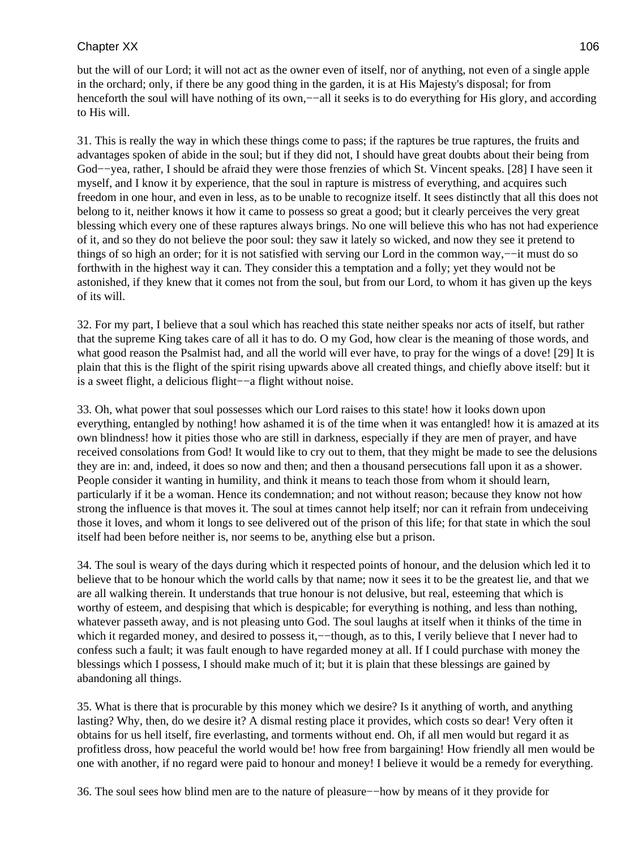but the will of our Lord; it will not act as the owner even of itself, nor of anything, not even of a single apple in the orchard; only, if there be any good thing in the garden, it is at His Majesty's disposal; for from henceforth the soul will have nothing of its own,—−all it seeks is to do everything for His glory, and according to His will.

31. This is really the way in which these things come to pass; if the raptures be true raptures, the fruits and advantages spoken of abide in the soul; but if they did not, I should have great doubts about their being from God−−yea, rather, I should be afraid they were those frenzies of which St. Vincent speaks. [28] I have seen it myself, and I know it by experience, that the soul in rapture is mistress of everything, and acquires such freedom in one hour, and even in less, as to be unable to recognize itself. It sees distinctly that all this does not belong to it, neither knows it how it came to possess so great a good; but it clearly perceives the very great blessing which every one of these raptures always brings. No one will believe this who has not had experience of it, and so they do not believe the poor soul: they saw it lately so wicked, and now they see it pretend to things of so high an order; for it is not satisfied with serving our Lord in the common way,−−it must do so forthwith in the highest way it can. They consider this a temptation and a folly; yet they would not be astonished, if they knew that it comes not from the soul, but from our Lord, to whom it has given up the keys of its will.

32. For my part, I believe that a soul which has reached this state neither speaks nor acts of itself, but rather that the supreme King takes care of all it has to do. O my God, how clear is the meaning of those words, and what good reason the Psalmist had, and all the world will ever have, to pray for the wings of a dove! [29] It is plain that this is the flight of the spirit rising upwards above all created things, and chiefly above itself: but it is a sweet flight, a delicious flight−−a flight without noise.

33. Oh, what power that soul possesses which our Lord raises to this state! how it looks down upon everything, entangled by nothing! how ashamed it is of the time when it was entangled! how it is amazed at its own blindness! how it pities those who are still in darkness, especially if they are men of prayer, and have received consolations from God! It would like to cry out to them, that they might be made to see the delusions they are in: and, indeed, it does so now and then; and then a thousand persecutions fall upon it as a shower. People consider it wanting in humility, and think it means to teach those from whom it should learn, particularly if it be a woman. Hence its condemnation; and not without reason; because they know not how strong the influence is that moves it. The soul at times cannot help itself; nor can it refrain from undeceiving those it loves, and whom it longs to see delivered out of the prison of this life; for that state in which the soul itself had been before neither is, nor seems to be, anything else but a prison.

34. The soul is weary of the days during which it respected points of honour, and the delusion which led it to believe that to be honour which the world calls by that name; now it sees it to be the greatest lie, and that we are all walking therein. It understands that true honour is not delusive, but real, esteeming that which is worthy of esteem, and despising that which is despicable; for everything is nothing, and less than nothing, whatever passeth away, and is not pleasing unto God. The soul laughs at itself when it thinks of the time in which it regarded money, and desired to possess it,—−though, as to this, I verily believe that I never had to confess such a fault; it was fault enough to have regarded money at all. If I could purchase with money the blessings which I possess, I should make much of it; but it is plain that these blessings are gained by abandoning all things.

35. What is there that is procurable by this money which we desire? Is it anything of worth, and anything lasting? Why, then, do we desire it? A dismal resting place it provides, which costs so dear! Very often it obtains for us hell itself, fire everlasting, and torments without end. Oh, if all men would but regard it as profitless dross, how peaceful the world would be! how free from bargaining! How friendly all men would be one with another, if no regard were paid to honour and money! I believe it would be a remedy for everything.

36. The soul sees how blind men are to the nature of pleasure−−how by means of it they provide for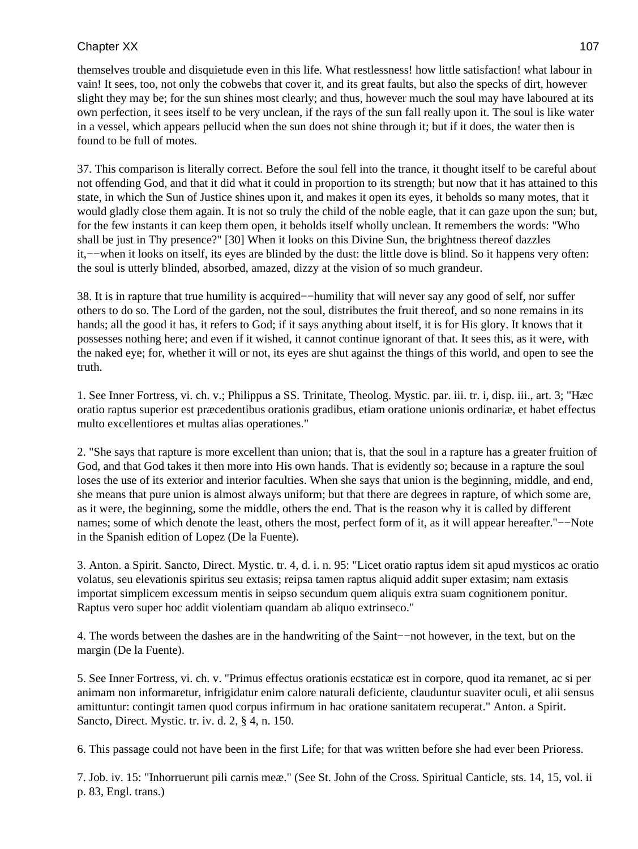themselves trouble and disquietude even in this life. What restlessness! how little satisfaction! what labour in vain! It sees, too, not only the cobwebs that cover it, and its great faults, but also the specks of dirt, however slight they may be; for the sun shines most clearly; and thus, however much the soul may have laboured at its own perfection, it sees itself to be very unclean, if the rays of the sun fall really upon it. The soul is like water in a vessel, which appears pellucid when the sun does not shine through it; but if it does, the water then is found to be full of motes.

37. This comparison is literally correct. Before the soul fell into the trance, it thought itself to be careful about not offending God, and that it did what it could in proportion to its strength; but now that it has attained to this state, in which the Sun of Justice shines upon it, and makes it open its eyes, it beholds so many motes, that it would gladly close them again. It is not so truly the child of the noble eagle, that it can gaze upon the sun; but, for the few instants it can keep them open, it beholds itself wholly unclean. It remembers the words: "Who shall be just in Thy presence?" [30] When it looks on this Divine Sun, the brightness thereof dazzles it,−−when it looks on itself, its eyes are blinded by the dust: the little dove is blind. So it happens very often: the soul is utterly blinded, absorbed, amazed, dizzy at the vision of so much grandeur.

38. It is in rapture that true humility is acquired−−humility that will never say any good of self, nor suffer others to do so. The Lord of the garden, not the soul, distributes the fruit thereof, and so none remains in its hands; all the good it has, it refers to God; if it says anything about itself, it is for His glory. It knows that it possesses nothing here; and even if it wished, it cannot continue ignorant of that. It sees this, as it were, with the naked eye; for, whether it will or not, its eyes are shut against the things of this world, and open to see the truth.

1. See Inner Fortress, vi. ch. v.; Philippus a SS. Trinitate, Theolog. Mystic. par. iii. tr. i, disp. iii., art. 3; "Hæc oratio raptus superior est præcedentibus orationis gradibus, etiam oratione unionis ordinariæ, et habet effectus multo excellentiores et multas alias operationes."

2. "She says that rapture is more excellent than union; that is, that the soul in a rapture has a greater fruition of God, and that God takes it then more into His own hands. That is evidently so; because in a rapture the soul loses the use of its exterior and interior faculties. When she says that union is the beginning, middle, and end, she means that pure union is almost always uniform; but that there are degrees in rapture, of which some are, as it were, the beginning, some the middle, others the end. That is the reason why it is called by different names; some of which denote the least, others the most, perfect form of it, as it will appear hereafter."–−Note in the Spanish edition of Lopez (De la Fuente).

3. Anton. a Spirit. Sancto, Direct. Mystic. tr. 4, d. i. n. 95: "Licet oratio raptus idem sit apud mysticos ac oratio volatus, seu elevationis spiritus seu extasis; reipsa tamen raptus aliquid addit super extasim; nam extasis importat simplicem excessum mentis in seipso secundum quem aliquis extra suam cognitionem ponitur. Raptus vero super hoc addit violentiam quandam ab aliquo extrinseco."

4. The words between the dashes are in the handwriting of the Saint−−not however, in the text, but on the margin (De la Fuente).

5. See Inner Fortress, vi. ch. v. "Primus effectus orationis ecstaticæ est in corpore, quod ita remanet, ac si per animam non informaretur, infrigidatur enim calore naturali deficiente, clauduntur suaviter oculi, et alii sensus amittuntur: contingit tamen quod corpus infirmum in hac oratione sanitatem recuperat." Anton. a Spirit. Sancto, Direct. Mystic. tr. iv. d. 2, § 4, n. 150.

6. This passage could not have been in the first Life; for that was written before she had ever been Prioress.

7. Job. iv. 15: "Inhorruerunt pili carnis meæ." (See St. John of the Cross. Spiritual Canticle, sts. 14, 15, vol. ii p. 83, Engl. trans.)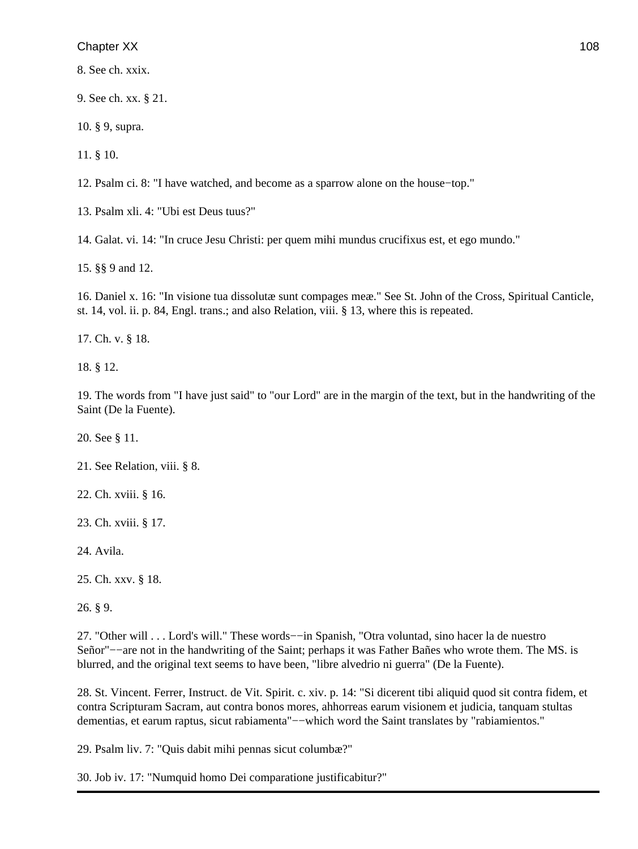8. See ch. xxix.

9. See ch. xx. § 21.

10. § 9, supra.

11. § 10.

12. Psalm ci. 8: "I have watched, and become as a sparrow alone on the house−top."

13. Psalm xli. 4: "Ubi est Deus tuus?"

14. Galat. vi. 14: "In cruce Jesu Christi: per quem mihi mundus crucifixus est, et ego mundo."

15. §§ 9 and 12.

16. Daniel x. 16: "In visione tua dissolutæ sunt compages meæ." See St. John of the Cross, Spiritual Canticle, st. 14, vol. ii. p. 84, Engl. trans.; and also Relation, viii. § 13, where this is repeated.

17. Ch. v. § 18.

18. § 12.

19. The words from "I have just said" to "our Lord" are in the margin of the text, but in the handwriting of the Saint (De la Fuente).

20. See § 11.

21. See Relation, viii. § 8.

22. Ch. xviii. § 16.

23. Ch. xviii. § 17.

24. Avila.

25. Ch. xxv. § 18.

26. § 9.

27. "Other will . . . Lord's will." These words−−in Spanish, "Otra voluntad, sino hacer la de nuestro Señor"−−are not in the handwriting of the Saint; perhaps it was Father Bañes who wrote them. The MS. is blurred, and the original text seems to have been, "libre alvedrio ni guerra" (De la Fuente).

28. St. Vincent. Ferrer, Instruct. de Vit. Spirit. c. xiv. p. 14: "Si dicerent tibi aliquid quod sit contra fidem, et contra Scripturam Sacram, aut contra bonos mores, ahhorreas earum visionem et judicia, tanquam stultas dementias, et earum raptus, sicut rabiamenta"−−which word the Saint translates by "rabiamientos."

29. Psalm liv. 7: "Quis dabit mihi pennas sicut columbæ?"

30. Job iv. 17: "Numquid homo Dei comparatione justificabitur?"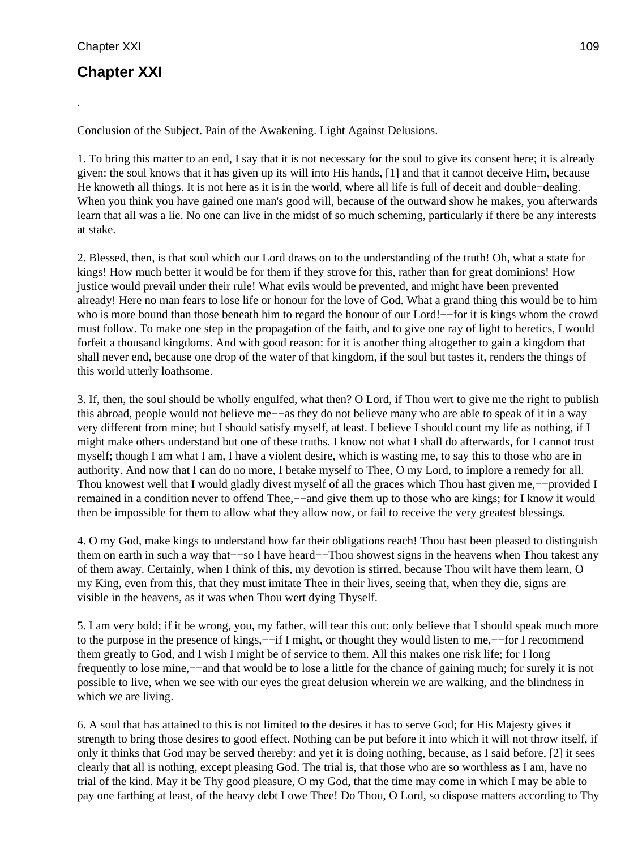.

# **Chapter XXI**

Conclusion of the Subject. Pain of the Awakening. Light Against Delusions.

1. To bring this matter to an end, I say that it is not necessary for the soul to give its consent here; it is already given: the soul knows that it has given up its will into His hands, [1] and that it cannot deceive Him, because He knoweth all things. It is not here as it is in the world, where all life is full of deceit and double−dealing. When you think you have gained one man's good will, because of the outward show he makes, you afterwards learn that all was a lie. No one can live in the midst of so much scheming, particularly if there be any interests at stake.

2. Blessed, then, is that soul which our Lord draws on to the understanding of the truth! Oh, what a state for kings! How much better it would be for them if they strove for this, rather than for great dominions! How justice would prevail under their rule! What evils would be prevented, and might have been prevented already! Here no man fears to lose life or honour for the love of God. What a grand thing this would be to him who is more bound than those beneath him to regard the honour of our Lord!−−for it is kings whom the crowd must follow. To make one step in the propagation of the faith, and to give one ray of light to heretics, I would forfeit a thousand kingdoms. And with good reason: for it is another thing altogether to gain a kingdom that shall never end, because one drop of the water of that kingdom, if the soul but tastes it, renders the things of this world utterly loathsome.

3. If, then, the soul should be wholly engulfed, what then? O Lord, if Thou wert to give me the right to publish this abroad, people would not believe me−−as they do not believe many who are able to speak of it in a way very different from mine; but I should satisfy myself, at least. I believe I should count my life as nothing, if I might make others understand but one of these truths. I know not what I shall do afterwards, for I cannot trust myself; though I am what I am, I have a violent desire, which is wasting me, to say this to those who are in authority. And now that I can do no more, I betake myself to Thee, O my Lord, to implore a remedy for all. Thou knowest well that I would gladly divest myself of all the graces which Thou hast given me,−−provided I remained in a condition never to offend Thee,−−and give them up to those who are kings; for I know it would then be impossible for them to allow what they allow now, or fail to receive the very greatest blessings.

4. O my God, make kings to understand how far their obligations reach! Thou hast been pleased to distinguish them on earth in such a way that−−so I have heard−−Thou showest signs in the heavens when Thou takest any of them away. Certainly, when I think of this, my devotion is stirred, because Thou wilt have them learn, O my King, even from this, that they must imitate Thee in their lives, seeing that, when they die, signs are visible in the heavens, as it was when Thou wert dying Thyself.

5. I am very bold; if it be wrong, you, my father, will tear this out: only believe that I should speak much more to the purpose in the presence of kings,—−if I might, or thought they would listen to me,—−for I recommend them greatly to God, and I wish I might be of service to them. All this makes one risk life; for I long frequently to lose mine,−−and that would be to lose a little for the chance of gaining much; for surely it is not possible to live, when we see with our eyes the great delusion wherein we are walking, and the blindness in which we are living.

6. A soul that has attained to this is not limited to the desires it has to serve God; for His Majesty gives it strength to bring those desires to good effect. Nothing can be put before it into which it will not throw itself, if only it thinks that God may be served thereby: and yet it is doing nothing, because, as I said before, [2] it sees clearly that all is nothing, except pleasing God. The trial is, that those who are so worthless as I am, have no trial of the kind. May it be Thy good pleasure, O my God, that the time may come in which I may be able to pay one farthing at least, of the heavy debt I owe Thee! Do Thou, O Lord, so dispose matters according to Thy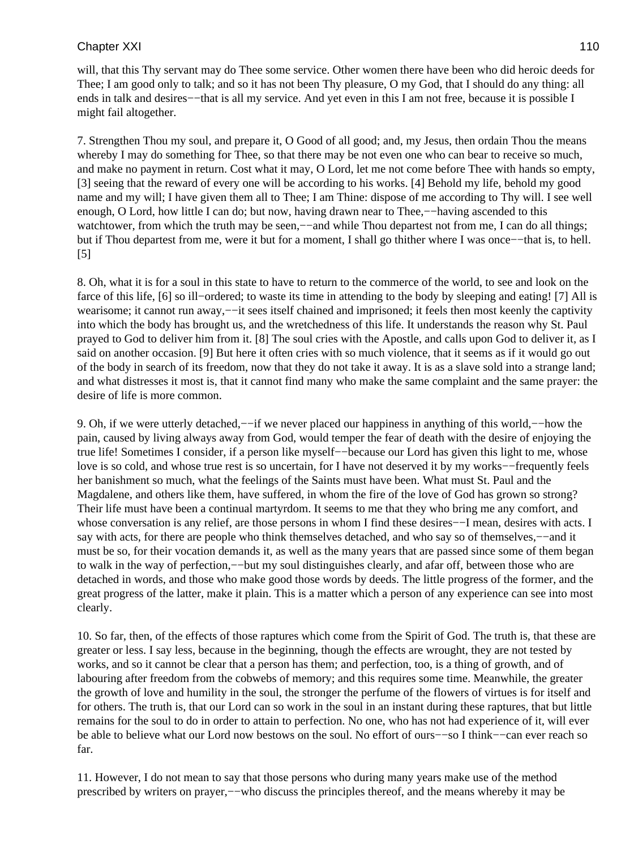will, that this Thy servant may do Thee some service. Other women there have been who did heroic deeds for Thee; I am good only to talk; and so it has not been Thy pleasure, O my God, that I should do any thing: all ends in talk and desires−−that is all my service. And yet even in this I am not free, because it is possible I might fail altogether.

7. Strengthen Thou my soul, and prepare it, O Good of all good; and, my Jesus, then ordain Thou the means whereby I may do something for Thee, so that there may be not even one who can bear to receive so much, and make no payment in return. Cost what it may, O Lord, let me not come before Thee with hands so empty, [3] seeing that the reward of every one will be according to his works. [4] Behold my life, behold my good name and my will; I have given them all to Thee; I am Thine: dispose of me according to Thy will. I see well enough, O Lord, how little I can do; but now, having drawn near to Thee,—−having ascended to this watchtower, from which the truth may be seen,—−and while Thou departest not from me, I can do all things; but if Thou departest from me, were it but for a moment, I shall go thither where I was once−−that is, to hell. [5]

8. Oh, what it is for a soul in this state to have to return to the commerce of the world, to see and look on the farce of this life, [6] so ill−ordered; to waste its time in attending to the body by sleeping and eating! [7] All is wearisome; it cannot run away,−−it sees itself chained and imprisoned; it feels then most keenly the captivity into which the body has brought us, and the wretchedness of this life. It understands the reason why St. Paul prayed to God to deliver him from it. [8] The soul cries with the Apostle, and calls upon God to deliver it, as I said on another occasion. [9] But here it often cries with so much violence, that it seems as if it would go out of the body in search of its freedom, now that they do not take it away. It is as a slave sold into a strange land; and what distresses it most is, that it cannot find many who make the same complaint and the same prayer: the desire of life is more common.

9. Oh, if we were utterly detached,−−if we never placed our happiness in anything of this world,−−how the pain, caused by living always away from God, would temper the fear of death with the desire of enjoying the true life! Sometimes I consider, if a person like myself−−because our Lord has given this light to me, whose love is so cold, and whose true rest is so uncertain, for I have not deserved it by my works−−frequently feels her banishment so much, what the feelings of the Saints must have been. What must St. Paul and the Magdalene, and others like them, have suffered, in whom the fire of the love of God has grown so strong? Their life must have been a continual martyrdom. It seems to me that they who bring me any comfort, and whose conversation is any relief, are those persons in whom I find these desires–−I mean, desires with acts. I say with acts, for there are people who think themselves detached, and who say so of themselves,—–and it must be so, for their vocation demands it, as well as the many years that are passed since some of them began to walk in the way of perfection,−−but my soul distinguishes clearly, and afar off, between those who are detached in words, and those who make good those words by deeds. The little progress of the former, and the great progress of the latter, make it plain. This is a matter which a person of any experience can see into most clearly.

10. So far, then, of the effects of those raptures which come from the Spirit of God. The truth is, that these are greater or less. I say less, because in the beginning, though the effects are wrought, they are not tested by works, and so it cannot be clear that a person has them; and perfection, too, is a thing of growth, and of labouring after freedom from the cobwebs of memory; and this requires some time. Meanwhile, the greater the growth of love and humility in the soul, the stronger the perfume of the flowers of virtues is for itself and for others. The truth is, that our Lord can so work in the soul in an instant during these raptures, that but little remains for the soul to do in order to attain to perfection. No one, who has not had experience of it, will ever be able to believe what our Lord now bestows on the soul. No effort of ours−−so I think−−can ever reach so far.

11. However, I do not mean to say that those persons who during many years make use of the method prescribed by writers on prayer,−−who discuss the principles thereof, and the means whereby it may be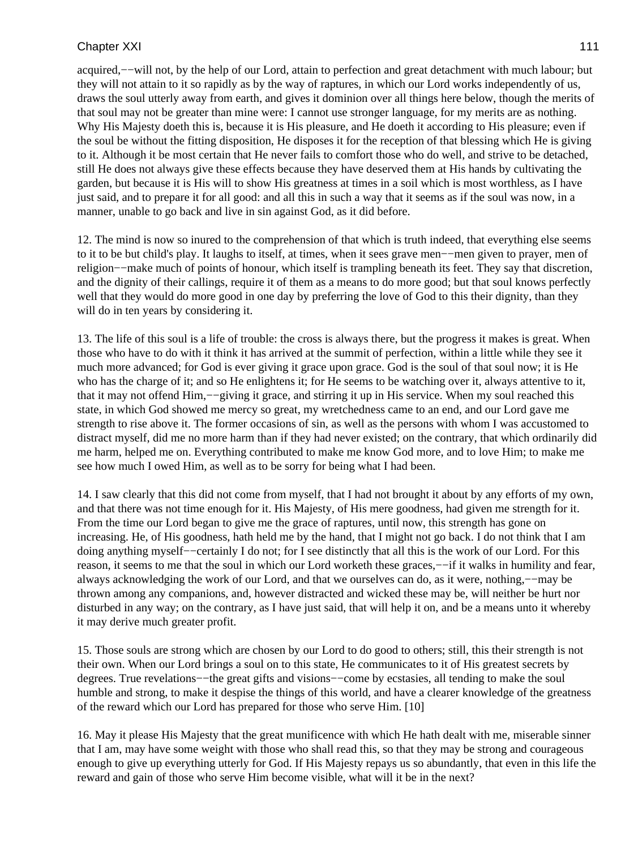acquired,−−will not, by the help of our Lord, attain to perfection and great detachment with much labour; but they will not attain to it so rapidly as by the way of raptures, in which our Lord works independently of us, draws the soul utterly away from earth, and gives it dominion over all things here below, though the merits of that soul may not be greater than mine were: I cannot use stronger language, for my merits are as nothing. Why His Majesty doeth this is, because it is His pleasure, and He doeth it according to His pleasure; even if the soul be without the fitting disposition, He disposes it for the reception of that blessing which He is giving to it. Although it be most certain that He never fails to comfort those who do well, and strive to be detached, still He does not always give these effects because they have deserved them at His hands by cultivating the garden, but because it is His will to show His greatness at times in a soil which is most worthless, as I have just said, and to prepare it for all good: and all this in such a way that it seems as if the soul was now, in a manner, unable to go back and live in sin against God, as it did before.

12. The mind is now so inured to the comprehension of that which is truth indeed, that everything else seems to it to be but child's play. It laughs to itself, at times, when it sees grave men−−men given to prayer, men of religion−−make much of points of honour, which itself is trampling beneath its feet. They say that discretion, and the dignity of their callings, require it of them as a means to do more good; but that soul knows perfectly well that they would do more good in one day by preferring the love of God to this their dignity, than they will do in ten years by considering it.

13. The life of this soul is a life of trouble: the cross is always there, but the progress it makes is great. When those who have to do with it think it has arrived at the summit of perfection, within a little while they see it much more advanced; for God is ever giving it grace upon grace. God is the soul of that soul now; it is He who has the charge of it; and so He enlightens it; for He seems to be watching over it, always attentive to it, that it may not offend Him,−−giving it grace, and stirring it up in His service. When my soul reached this state, in which God showed me mercy so great, my wretchedness came to an end, and our Lord gave me strength to rise above it. The former occasions of sin, as well as the persons with whom I was accustomed to distract myself, did me no more harm than if they had never existed; on the contrary, that which ordinarily did me harm, helped me on. Everything contributed to make me know God more, and to love Him; to make me see how much I owed Him, as well as to be sorry for being what I had been.

14. I saw clearly that this did not come from myself, that I had not brought it about by any efforts of my own, and that there was not time enough for it. His Majesty, of His mere goodness, had given me strength for it. From the time our Lord began to give me the grace of raptures, until now, this strength has gone on increasing. He, of His goodness, hath held me by the hand, that I might not go back. I do not think that I am doing anything myself−−certainly I do not; for I see distinctly that all this is the work of our Lord. For this reason, it seems to me that the soul in which our Lord worketh these graces,−−if it walks in humility and fear, always acknowledging the work of our Lord, and that we ourselves can do, as it were, nothing,−−may be thrown among any companions, and, however distracted and wicked these may be, will neither be hurt nor disturbed in any way; on the contrary, as I have just said, that will help it on, and be a means unto it whereby it may derive much greater profit.

15. Those souls are strong which are chosen by our Lord to do good to others; still, this their strength is not their own. When our Lord brings a soul on to this state, He communicates to it of His greatest secrets by degrees. True revelations−−the great gifts and visions−−come by ecstasies, all tending to make the soul humble and strong, to make it despise the things of this world, and have a clearer knowledge of the greatness of the reward which our Lord has prepared for those who serve Him. [10]

16. May it please His Majesty that the great munificence with which He hath dealt with me, miserable sinner that I am, may have some weight with those who shall read this, so that they may be strong and courageous enough to give up everything utterly for God. If His Majesty repays us so abundantly, that even in this life the reward and gain of those who serve Him become visible, what will it be in the next?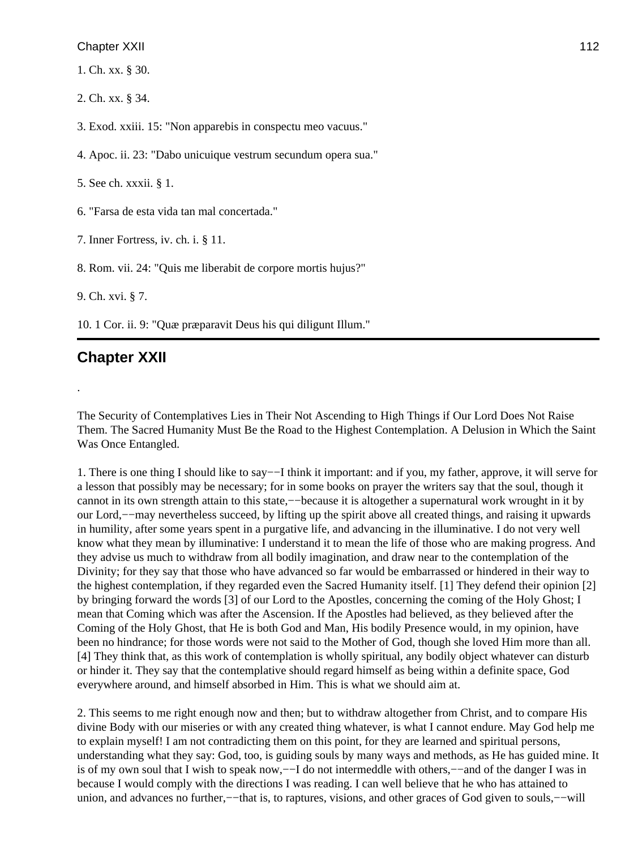1. Ch. xx. § 30.

2. Ch. xx. § 34.

3. Exod. xxiii. 15: "Non apparebis in conspectu meo vacuus."

4. Apoc. ii. 23: "Dabo unicuique vestrum secundum opera sua."

5. See ch. xxxii. § 1.

6. "Farsa de esta vida tan mal concertada."

7. Inner Fortress, iv. ch. i. § 11.

8. Rom. vii. 24: "Quis me liberabit de corpore mortis hujus?"

9. Ch. xvi. § 7.

10. 1 Cor. ii. 9: "Quæ præparavit Deus his qui diligunt Illum."

# **Chapter XXII**

.

The Security of Contemplatives Lies in Their Not Ascending to High Things if Our Lord Does Not Raise Them. The Sacred Humanity Must Be the Road to the Highest Contemplation. A Delusion in Which the Saint Was Once Entangled.

1. There is one thing I should like to say−−I think it important: and if you, my father, approve, it will serve for a lesson that possibly may be necessary; for in some books on prayer the writers say that the soul, though it cannot in its own strength attain to this state,−−because it is altogether a supernatural work wrought in it by our Lord,−−may nevertheless succeed, by lifting up the spirit above all created things, and raising it upwards in humility, after some years spent in a purgative life, and advancing in the illuminative. I do not very well know what they mean by illuminative: I understand it to mean the life of those who are making progress. And they advise us much to withdraw from all bodily imagination, and draw near to the contemplation of the Divinity; for they say that those who have advanced so far would be embarrassed or hindered in their way to the highest contemplation, if they regarded even the Sacred Humanity itself. [1] They defend their opinion [2] by bringing forward the words [3] of our Lord to the Apostles, concerning the coming of the Holy Ghost; I mean that Coming which was after the Ascension. If the Apostles had believed, as they believed after the Coming of the Holy Ghost, that He is both God and Man, His bodily Presence would, in my opinion, have been no hindrance; for those words were not said to the Mother of God, though she loved Him more than all. [4] They think that, as this work of contemplation is wholly spiritual, any bodily object whatever can disturb or hinder it. They say that the contemplative should regard himself as being within a definite space, God everywhere around, and himself absorbed in Him. This is what we should aim at.

2. This seems to me right enough now and then; but to withdraw altogether from Christ, and to compare His divine Body with our miseries or with any created thing whatever, is what I cannot endure. May God help me to explain myself! I am not contradicting them on this point, for they are learned and spiritual persons, understanding what they say: God, too, is guiding souls by many ways and methods, as He has guided mine. It is of my own soul that I wish to speak now,−−I do not intermeddle with others,−−and of the danger I was in because I would comply with the directions I was reading. I can well believe that he who has attained to union, and advances no further,−−that is, to raptures, visions, and other graces of God given to souls,−−will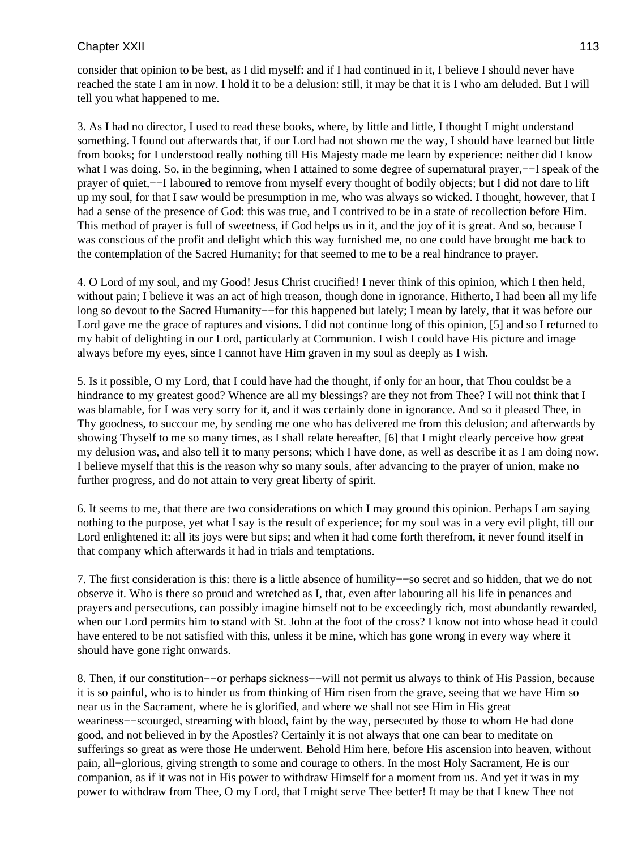consider that opinion to be best, as I did myself: and if I had continued in it, I believe I should never have reached the state I am in now. I hold it to be a delusion: still, it may be that it is I who am deluded. But I will tell you what happened to me.

3. As I had no director, I used to read these books, where, by little and little, I thought I might understand something. I found out afterwards that, if our Lord had not shown me the way, I should have learned but little from books; for I understood really nothing till His Majesty made me learn by experience: neither did I know what I was doing. So, in the beginning, when I attained to some degree of supernatural prayer,——I speak of the prayer of quiet,−−I laboured to remove from myself every thought of bodily objects; but I did not dare to lift up my soul, for that I saw would be presumption in me, who was always so wicked. I thought, however, that I had a sense of the presence of God: this was true, and I contrived to be in a state of recollection before Him. This method of prayer is full of sweetness, if God helps us in it, and the joy of it is great. And so, because I was conscious of the profit and delight which this way furnished me, no one could have brought me back to the contemplation of the Sacred Humanity; for that seemed to me to be a real hindrance to prayer.

4. O Lord of my soul, and my Good! Jesus Christ crucified! I never think of this opinion, which I then held, without pain; I believe it was an act of high treason, though done in ignorance. Hitherto, I had been all my life long so devout to the Sacred Humanity−−for this happened but lately; I mean by lately, that it was before our Lord gave me the grace of raptures and visions. I did not continue long of this opinion, [5] and so I returned to my habit of delighting in our Lord, particularly at Communion. I wish I could have His picture and image always before my eyes, since I cannot have Him graven in my soul as deeply as I wish.

5. Is it possible, O my Lord, that I could have had the thought, if only for an hour, that Thou couldst be a hindrance to my greatest good? Whence are all my blessings? are they not from Thee? I will not think that I was blamable, for I was very sorry for it, and it was certainly done in ignorance. And so it pleased Thee, in Thy goodness, to succour me, by sending me one who has delivered me from this delusion; and afterwards by showing Thyself to me so many times, as I shall relate hereafter, [6] that I might clearly perceive how great my delusion was, and also tell it to many persons; which I have done, as well as describe it as I am doing now. I believe myself that this is the reason why so many souls, after advancing to the prayer of union, make no further progress, and do not attain to very great liberty of spirit.

6. It seems to me, that there are two considerations on which I may ground this opinion. Perhaps I am saying nothing to the purpose, yet what I say is the result of experience; for my soul was in a very evil plight, till our Lord enlightened it: all its joys were but sips; and when it had come forth therefrom, it never found itself in that company which afterwards it had in trials and temptations.

7. The first consideration is this: there is a little absence of humility−−so secret and so hidden, that we do not observe it. Who is there so proud and wretched as I, that, even after labouring all his life in penances and prayers and persecutions, can possibly imagine himself not to be exceedingly rich, most abundantly rewarded, when our Lord permits him to stand with St. John at the foot of the cross? I know not into whose head it could have entered to be not satisfied with this, unless it be mine, which has gone wrong in every way where it should have gone right onwards.

8. Then, if our constitution−−or perhaps sickness−−will not permit us always to think of His Passion, because it is so painful, who is to hinder us from thinking of Him risen from the grave, seeing that we have Him so near us in the Sacrament, where he is glorified, and where we shall not see Him in His great weariness—scourged, streaming with blood, faint by the way, persecuted by those to whom He had done good, and not believed in by the Apostles? Certainly it is not always that one can bear to meditate on sufferings so great as were those He underwent. Behold Him here, before His ascension into heaven, without pain, all−glorious, giving strength to some and courage to others. In the most Holy Sacrament, He is our companion, as if it was not in His power to withdraw Himself for a moment from us. And yet it was in my power to withdraw from Thee, O my Lord, that I might serve Thee better! It may be that I knew Thee not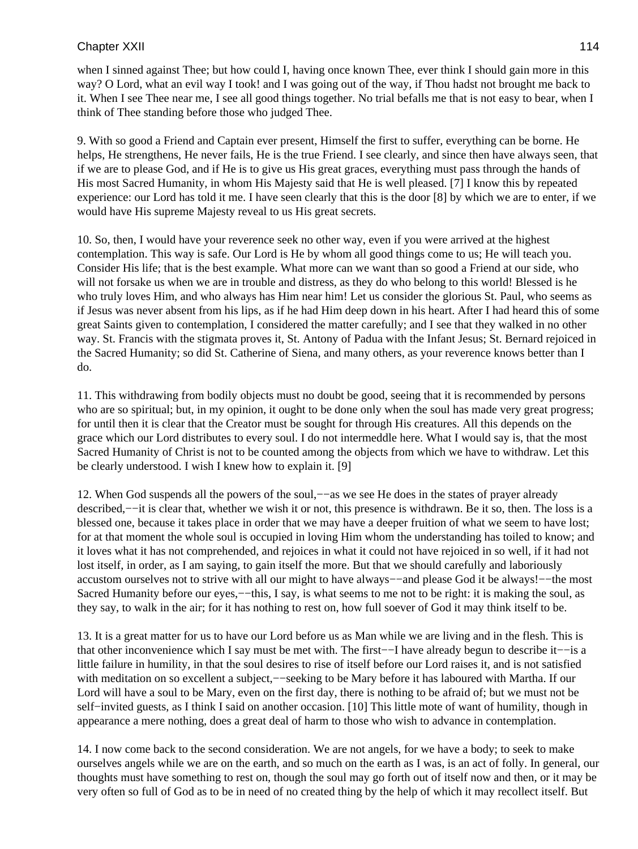when I sinned against Thee; but how could I, having once known Thee, ever think I should gain more in this way? O Lord, what an evil way I took! and I was going out of the way, if Thou hadst not brought me back to it. When I see Thee near me, I see all good things together. No trial befalls me that is not easy to bear, when I think of Thee standing before those who judged Thee.

9. With so good a Friend and Captain ever present, Himself the first to suffer, everything can be borne. He helps, He strengthens, He never fails, He is the true Friend. I see clearly, and since then have always seen, that if we are to please God, and if He is to give us His great graces, everything must pass through the hands of His most Sacred Humanity, in whom His Majesty said that He is well pleased. [7] I know this by repeated experience: our Lord has told it me. I have seen clearly that this is the door [8] by which we are to enter, if we would have His supreme Majesty reveal to us His great secrets.

10. So, then, I would have your reverence seek no other way, even if you were arrived at the highest contemplation. This way is safe. Our Lord is He by whom all good things come to us; He will teach you. Consider His life; that is the best example. What more can we want than so good a Friend at our side, who will not forsake us when we are in trouble and distress, as they do who belong to this world! Blessed is he who truly loves Him, and who always has Him near him! Let us consider the glorious St. Paul, who seems as if Jesus was never absent from his lips, as if he had Him deep down in his heart. After I had heard this of some great Saints given to contemplation, I considered the matter carefully; and I see that they walked in no other way. St. Francis with the stigmata proves it, St. Antony of Padua with the Infant Jesus; St. Bernard rejoiced in the Sacred Humanity; so did St. Catherine of Siena, and many others, as your reverence knows better than I do.

11. This withdrawing from bodily objects must no doubt be good, seeing that it is recommended by persons who are so spiritual; but, in my opinion, it ought to be done only when the soul has made very great progress; for until then it is clear that the Creator must be sought for through His creatures. All this depends on the grace which our Lord distributes to every soul. I do not intermeddle here. What I would say is, that the most Sacred Humanity of Christ is not to be counted among the objects from which we have to withdraw. Let this be clearly understood. I wish I knew how to explain it. [9]

12. When God suspends all the powers of the soul,−−as we see He does in the states of prayer already described,−−it is clear that, whether we wish it or not, this presence is withdrawn. Be it so, then. The loss is a blessed one, because it takes place in order that we may have a deeper fruition of what we seem to have lost; for at that moment the whole soul is occupied in loving Him whom the understanding has toiled to know; and it loves what it has not comprehended, and rejoices in what it could not have rejoiced in so well, if it had not lost itself, in order, as I am saying, to gain itself the more. But that we should carefully and laboriously accustom ourselves not to strive with all our might to have always−−and please God it be always!−−the most Sacred Humanity before our eyes,−−this, I say, is what seems to me not to be right: it is making the soul, as they say, to walk in the air; for it has nothing to rest on, how full soever of God it may think itself to be.

13. It is a great matter for us to have our Lord before us as Man while we are living and in the flesh. This is that other inconvenience which I say must be met with. The first−−I have already begun to describe it−−is a little failure in humility, in that the soul desires to rise of itself before our Lord raises it, and is not satisfied with meditation on so excellent a subject,—–seeking to be Mary before it has laboured with Martha. If our Lord will have a soul to be Mary, even on the first day, there is nothing to be afraid of; but we must not be self–invited guests, as I think I said on another occasion. [10] This little mote of want of humility, though in appearance a mere nothing, does a great deal of harm to those who wish to advance in contemplation.

14. I now come back to the second consideration. We are not angels, for we have a body; to seek to make ourselves angels while we are on the earth, and so much on the earth as I was, is an act of folly. In general, our thoughts must have something to rest on, though the soul may go forth out of itself now and then, or it may be very often so full of God as to be in need of no created thing by the help of which it may recollect itself. But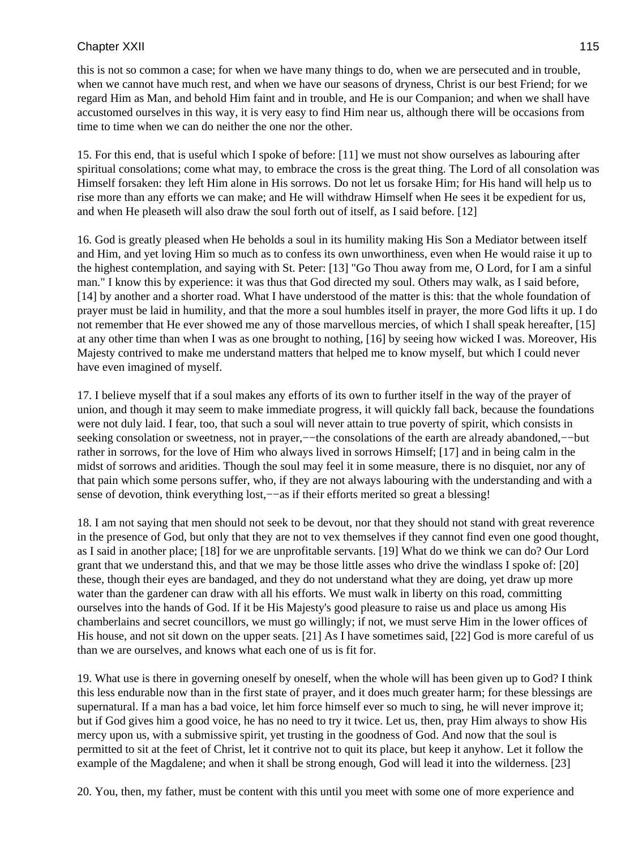this is not so common a case; for when we have many things to do, when we are persecuted and in trouble, when we cannot have much rest, and when we have our seasons of dryness, Christ is our best Friend; for we regard Him as Man, and behold Him faint and in trouble, and He is our Companion; and when we shall have accustomed ourselves in this way, it is very easy to find Him near us, although there will be occasions from time to time when we can do neither the one nor the other.

15. For this end, that is useful which I spoke of before: [11] we must not show ourselves as labouring after spiritual consolations; come what may, to embrace the cross is the great thing. The Lord of all consolation was Himself forsaken: they left Him alone in His sorrows. Do not let us forsake Him; for His hand will help us to rise more than any efforts we can make; and He will withdraw Himself when He sees it be expedient for us, and when He pleaseth will also draw the soul forth out of itself, as I said before. [12]

16. God is greatly pleased when He beholds a soul in its humility making His Son a Mediator between itself and Him, and yet loving Him so much as to confess its own unworthiness, even when He would raise it up to the highest contemplation, and saying with St. Peter: [13] "Go Thou away from me, O Lord, for I am a sinful man." I know this by experience: it was thus that God directed my soul. Others may walk, as I said before, [14] by another and a shorter road. What I have understood of the matter is this: that the whole foundation of prayer must be laid in humility, and that the more a soul humbles itself in prayer, the more God lifts it up. I do not remember that He ever showed me any of those marvellous mercies, of which I shall speak hereafter, [15] at any other time than when I was as one brought to nothing, [16] by seeing how wicked I was. Moreover, His Majesty contrived to make me understand matters that helped me to know myself, but which I could never have even imagined of myself.

17. I believe myself that if a soul makes any efforts of its own to further itself in the way of the prayer of union, and though it may seem to make immediate progress, it will quickly fall back, because the foundations were not duly laid. I fear, too, that such a soul will never attain to true poverty of spirit, which consists in seeking consolation or sweetness, not in prayer,—−the consolations of the earth are already abandoned,—–but rather in sorrows, for the love of Him who always lived in sorrows Himself; [17] and in being calm in the midst of sorrows and aridities. Though the soul may feel it in some measure, there is no disquiet, nor any of that pain which some persons suffer, who, if they are not always labouring with the understanding and with a sense of devotion, think everything lost,—–as if their efforts merited so great a blessing!

18. I am not saying that men should not seek to be devout, nor that they should not stand with great reverence in the presence of God, but only that they are not to vex themselves if they cannot find even one good thought, as I said in another place; [18] for we are unprofitable servants. [19] What do we think we can do? Our Lord grant that we understand this, and that we may be those little asses who drive the windlass I spoke of: [20] these, though their eyes are bandaged, and they do not understand what they are doing, yet draw up more water than the gardener can draw with all his efforts. We must walk in liberty on this road, committing ourselves into the hands of God. If it be His Majesty's good pleasure to raise us and place us among His chamberlains and secret councillors, we must go willingly; if not, we must serve Him in the lower offices of His house, and not sit down on the upper seats. [21] As I have sometimes said, [22] God is more careful of us than we are ourselves, and knows what each one of us is fit for.

19. What use is there in governing oneself by oneself, when the whole will has been given up to God? I think this less endurable now than in the first state of prayer, and it does much greater harm; for these blessings are supernatural. If a man has a bad voice, let him force himself ever so much to sing, he will never improve it; but if God gives him a good voice, he has no need to try it twice. Let us, then, pray Him always to show His mercy upon us, with a submissive spirit, yet trusting in the goodness of God. And now that the soul is permitted to sit at the feet of Christ, let it contrive not to quit its place, but keep it anyhow. Let it follow the example of the Magdalene; and when it shall be strong enough, God will lead it into the wilderness. [23]

20. You, then, my father, must be content with this until you meet with some one of more experience and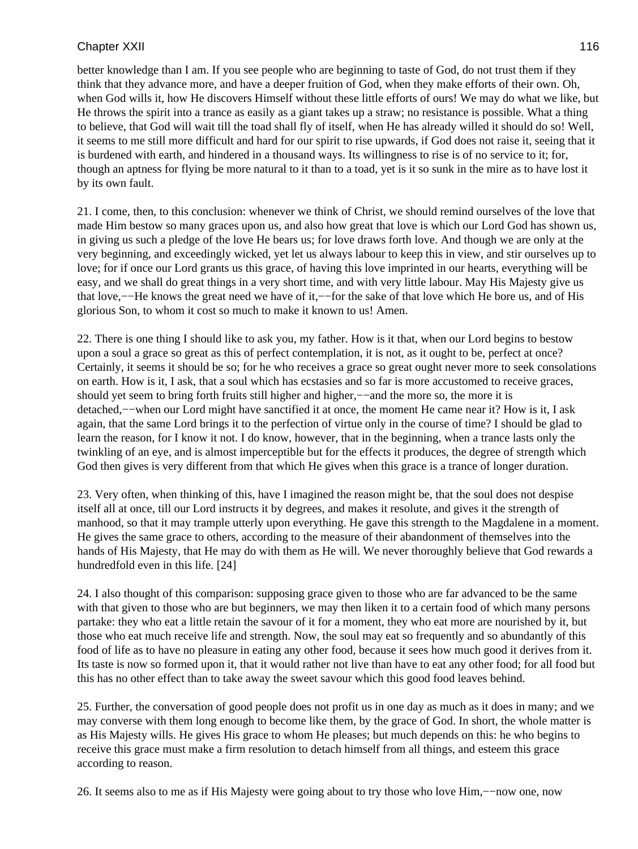better knowledge than I am. If you see people who are beginning to taste of God, do not trust them if they think that they advance more, and have a deeper fruition of God, when they make efforts of their own. Oh, when God wills it, how He discovers Himself without these little efforts of ours! We may do what we like, but He throws the spirit into a trance as easily as a giant takes up a straw; no resistance is possible. What a thing to believe, that God will wait till the toad shall fly of itself, when He has already willed it should do so! Well, it seems to me still more difficult and hard for our spirit to rise upwards, if God does not raise it, seeing that it is burdened with earth, and hindered in a thousand ways. Its willingness to rise is of no service to it; for, though an aptness for flying be more natural to it than to a toad, yet is it so sunk in the mire as to have lost it by its own fault.

21. I come, then, to this conclusion: whenever we think of Christ, we should remind ourselves of the love that made Him bestow so many graces upon us, and also how great that love is which our Lord God has shown us, in giving us such a pledge of the love He bears us; for love draws forth love. And though we are only at the very beginning, and exceedingly wicked, yet let us always labour to keep this in view, and stir ourselves up to love; for if once our Lord grants us this grace, of having this love imprinted in our hearts, everything will be easy, and we shall do great things in a very short time, and with very little labour. May His Majesty give us that love,−−He knows the great need we have of it,−−for the sake of that love which He bore us, and of His glorious Son, to whom it cost so much to make it known to us! Amen.

22. There is one thing I should like to ask you, my father. How is it that, when our Lord begins to bestow upon a soul a grace so great as this of perfect contemplation, it is not, as it ought to be, perfect at once? Certainly, it seems it should be so; for he who receives a grace so great ought never more to seek consolations on earth. How is it, I ask, that a soul which has ecstasies and so far is more accustomed to receive graces, should yet seem to bring forth fruits still higher and higher,—−and the more so, the more it is detached,−−when our Lord might have sanctified it at once, the moment He came near it? How is it, I ask again, that the same Lord brings it to the perfection of virtue only in the course of time? I should be glad to learn the reason, for I know it not. I do know, however, that in the beginning, when a trance lasts only the twinkling of an eye, and is almost imperceptible but for the effects it produces, the degree of strength which God then gives is very different from that which He gives when this grace is a trance of longer duration.

23. Very often, when thinking of this, have I imagined the reason might be, that the soul does not despise itself all at once, till our Lord instructs it by degrees, and makes it resolute, and gives it the strength of manhood, so that it may trample utterly upon everything. He gave this strength to the Magdalene in a moment. He gives the same grace to others, according to the measure of their abandonment of themselves into the hands of His Majesty, that He may do with them as He will. We never thoroughly believe that God rewards a hundredfold even in this life. [24]

24. I also thought of this comparison: supposing grace given to those who are far advanced to be the same with that given to those who are but beginners, we may then liken it to a certain food of which many persons partake: they who eat a little retain the savour of it for a moment, they who eat more are nourished by it, but those who eat much receive life and strength. Now, the soul may eat so frequently and so abundantly of this food of life as to have no pleasure in eating any other food, because it sees how much good it derives from it. Its taste is now so formed upon it, that it would rather not live than have to eat any other food; for all food but this has no other effect than to take away the sweet savour which this good food leaves behind.

25. Further, the conversation of good people does not profit us in one day as much as it does in many; and we may converse with them long enough to become like them, by the grace of God. In short, the whole matter is as His Majesty wills. He gives His grace to whom He pleases; but much depends on this: he who begins to receive this grace must make a firm resolution to detach himself from all things, and esteem this grace according to reason.

26. It seems also to me as if His Majesty were going about to try those who love Him,−−now one, now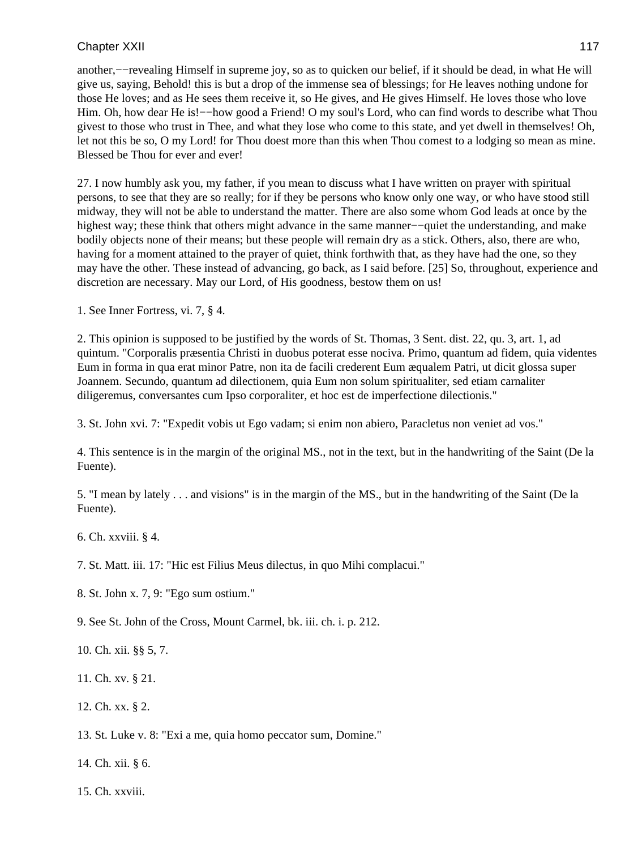another,−−revealing Himself in supreme joy, so as to quicken our belief, if it should be dead, in what He will give us, saying, Behold! this is but a drop of the immense sea of blessings; for He leaves nothing undone for those He loves; and as He sees them receive it, so He gives, and He gives Himself. He loves those who love Him. Oh, how dear He is!—−how good a Friend! O my soul's Lord, who can find words to describe what Thou givest to those who trust in Thee, and what they lose who come to this state, and yet dwell in themselves! Oh, let not this be so, O my Lord! for Thou doest more than this when Thou comest to a lodging so mean as mine. Blessed be Thou for ever and ever!

27. I now humbly ask you, my father, if you mean to discuss what I have written on prayer with spiritual persons, to see that they are so really; for if they be persons who know only one way, or who have stood still midway, they will not be able to understand the matter. There are also some whom God leads at once by the highest way; these think that others might advance in the same manner−−quiet the understanding, and make bodily objects none of their means; but these people will remain dry as a stick. Others, also, there are who, having for a moment attained to the prayer of quiet, think forthwith that, as they have had the one, so they may have the other. These instead of advancing, go back, as I said before. [25] So, throughout, experience and discretion are necessary. May our Lord, of His goodness, bestow them on us!

1. See Inner Fortress, vi. 7, § 4.

2. This opinion is supposed to be justified by the words of St. Thomas, 3 Sent. dist. 22, qu. 3, art. 1, ad quintum. "Corporalis præsentia Christi in duobus poterat esse nociva. Primo, quantum ad fidem, quia videntes Eum in forma in qua erat minor Patre, non ita de facili crederent Eum æqualem Patri, ut dicit glossa super Joannem. Secundo, quantum ad dilectionem, quia Eum non solum spiritualiter, sed etiam carnaliter diligeremus, conversantes cum Ipso corporaliter, et hoc est de imperfectione dilectionis."

3. St. John xvi. 7: "Expedit vobis ut Ego vadam; si enim non abiero, Paracletus non veniet ad vos."

4. This sentence is in the margin of the original MS., not in the text, but in the handwriting of the Saint (De la Fuente).

5. "I mean by lately . . . and visions" is in the margin of the MS., but in the handwriting of the Saint (De la Fuente).

6. Ch. xxviii. § 4.

7. St. Matt. iii. 17: "Hic est Filius Meus dilectus, in quo Mihi complacui."

8. St. John x. 7, 9: "Ego sum ostium."

9. See St. John of the Cross, Mount Carmel, bk. iii. ch. i. p. 212.

10. Ch. xii. §§ 5, 7.

11. Ch. xv. § 21.

12. Ch. xx. § 2.

13. St. Luke v. 8: "Exi a me, quia homo peccator sum, Domine."

14. Ch. xii. § 6.

15. Ch. xxviii.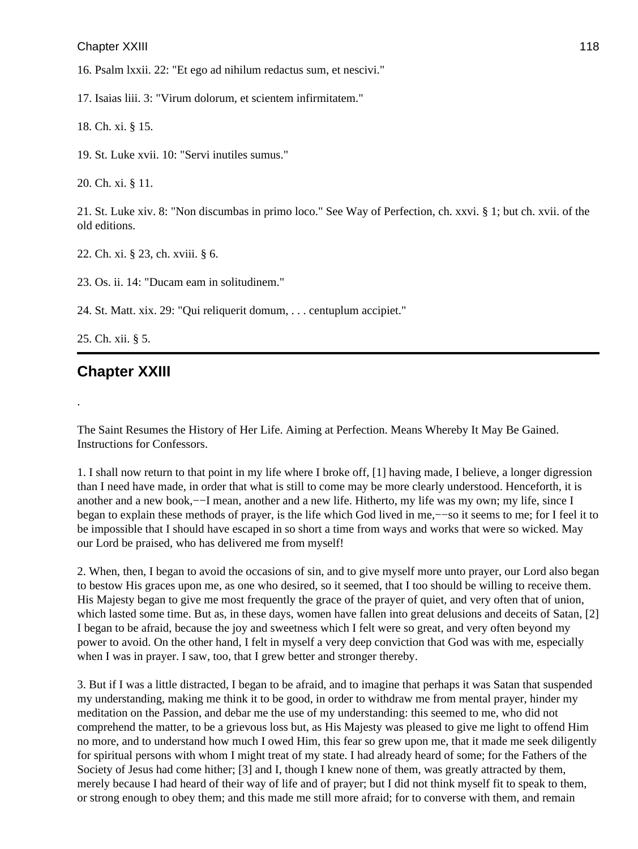16. Psalm lxxii. 22: "Et ego ad nihilum redactus sum, et nescivi."

17. Isaias liii. 3: "Virum dolorum, et scientem infirmitatem."

18. Ch. xi. § 15.

19. St. Luke xvii. 10: "Servi inutiles sumus."

20. Ch. xi. § 11.

21. St. Luke xiv. 8: "Non discumbas in primo loco." See Way of Perfection, ch. xxvi. § 1; but ch. xvii. of the old editions.

22. Ch. xi. § 23, ch. xviii. § 6.

23. Os. ii. 14: "Ducam eam in solitudinem."

24. St. Matt. xix. 29: "Qui reliquerit domum, . . . centuplum accipiet."

25. Ch. xii. § 5.

.

# **Chapter XXIII**

The Saint Resumes the History of Her Life. Aiming at Perfection. Means Whereby It May Be Gained. Instructions for Confessors.

1. I shall now return to that point in my life where I broke off, [1] having made, I believe, a longer digression than I need have made, in order that what is still to come may be more clearly understood. Henceforth, it is another and a new book,−−I mean, another and a new life. Hitherto, my life was my own; my life, since I began to explain these methods of prayer, is the life which God lived in me,−−so it seems to me; for I feel it to be impossible that I should have escaped in so short a time from ways and works that were so wicked. May our Lord be praised, who has delivered me from myself!

2. When, then, I began to avoid the occasions of sin, and to give myself more unto prayer, our Lord also began to bestow His graces upon me, as one who desired, so it seemed, that I too should be willing to receive them. His Majesty began to give me most frequently the grace of the prayer of quiet, and very often that of union, which lasted some time. But as, in these days, women have fallen into great delusions and deceits of Satan, [2] I began to be afraid, because the joy and sweetness which I felt were so great, and very often beyond my power to avoid. On the other hand, I felt in myself a very deep conviction that God was with me, especially when I was in prayer. I saw, too, that I grew better and stronger thereby.

3. But if I was a little distracted, I began to be afraid, and to imagine that perhaps it was Satan that suspended my understanding, making me think it to be good, in order to withdraw me from mental prayer, hinder my meditation on the Passion, and debar me the use of my understanding: this seemed to me, who did not comprehend the matter, to be a grievous loss but, as His Majesty was pleased to give me light to offend Him no more, and to understand how much I owed Him, this fear so grew upon me, that it made me seek diligently for spiritual persons with whom I might treat of my state. I had already heard of some; for the Fathers of the Society of Jesus had come hither; [3] and I, though I knew none of them, was greatly attracted by them, merely because I had heard of their way of life and of prayer; but I did not think myself fit to speak to them, or strong enough to obey them; and this made me still more afraid; for to converse with them, and remain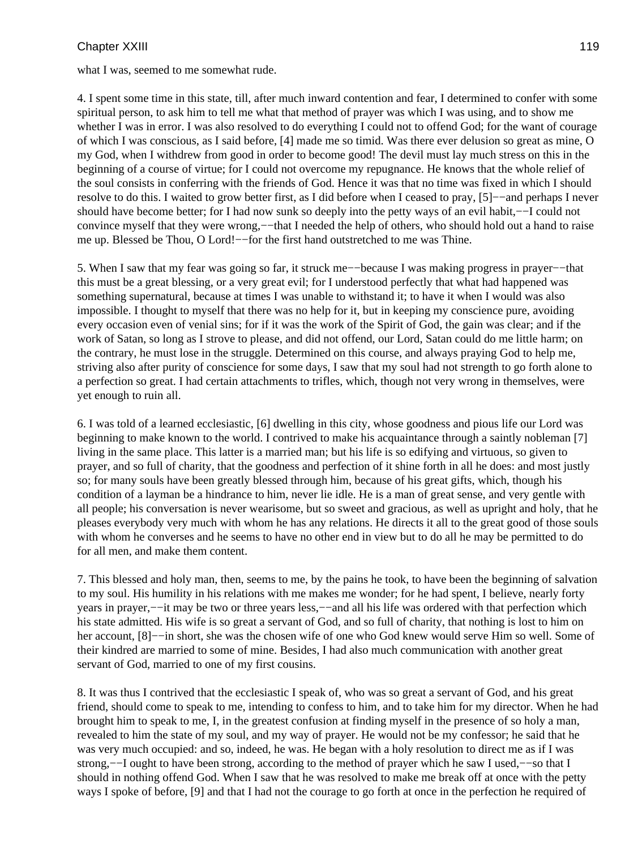what I was, seemed to me somewhat rude.

4. I spent some time in this state, till, after much inward contention and fear, I determined to confer with some spiritual person, to ask him to tell me what that method of prayer was which I was using, and to show me whether I was in error. I was also resolved to do everything I could not to offend God; for the want of courage of which I was conscious, as I said before, [4] made me so timid. Was there ever delusion so great as mine, O my God, when I withdrew from good in order to become good! The devil must lay much stress on this in the beginning of a course of virtue; for I could not overcome my repugnance. He knows that the whole relief of the soul consists in conferring with the friends of God. Hence it was that no time was fixed in which I should resolve to do this. I waited to grow better first, as I did before when I ceased to pray, [5]−−and perhaps I never should have become better; for I had now sunk so deeply into the petty ways of an evil habit,−−I could not convince myself that they were wrong,−−that I needed the help of others, who should hold out a hand to raise me up. Blessed be Thou, O Lord!−−for the first hand outstretched to me was Thine.

5. When I saw that my fear was going so far, it struck me−−because I was making progress in prayer−−that this must be a great blessing, or a very great evil; for I understood perfectly that what had happened was something supernatural, because at times I was unable to withstand it; to have it when I would was also impossible. I thought to myself that there was no help for it, but in keeping my conscience pure, avoiding every occasion even of venial sins; for if it was the work of the Spirit of God, the gain was clear; and if the work of Satan, so long as I strove to please, and did not offend, our Lord, Satan could do me little harm; on the contrary, he must lose in the struggle. Determined on this course, and always praying God to help me, striving also after purity of conscience for some days, I saw that my soul had not strength to go forth alone to a perfection so great. I had certain attachments to trifles, which, though not very wrong in themselves, were yet enough to ruin all.

6. I was told of a learned ecclesiastic, [6] dwelling in this city, whose goodness and pious life our Lord was beginning to make known to the world. I contrived to make his acquaintance through a saintly nobleman [7] living in the same place. This latter is a married man; but his life is so edifying and virtuous, so given to prayer, and so full of charity, that the goodness and perfection of it shine forth in all he does: and most justly so; for many souls have been greatly blessed through him, because of his great gifts, which, though his condition of a layman be a hindrance to him, never lie idle. He is a man of great sense, and very gentle with all people; his conversation is never wearisome, but so sweet and gracious, as well as upright and holy, that he pleases everybody very much with whom he has any relations. He directs it all to the great good of those souls with whom he converses and he seems to have no other end in view but to do all he may be permitted to do for all men, and make them content.

7. This blessed and holy man, then, seems to me, by the pains he took, to have been the beginning of salvation to my soul. His humility in his relations with me makes me wonder; for he had spent, I believe, nearly forty years in prayer,−−it may be two or three years less,−−and all his life was ordered with that perfection which his state admitted. His wife is so great a servant of God, and so full of charity, that nothing is lost to him on her account, [8]−−in short, she was the chosen wife of one who God knew would serve Him so well. Some of their kindred are married to some of mine. Besides, I had also much communication with another great servant of God, married to one of my first cousins.

8. It was thus I contrived that the ecclesiastic I speak of, who was so great a servant of God, and his great friend, should come to speak to me, intending to confess to him, and to take him for my director. When he had brought him to speak to me, I, in the greatest confusion at finding myself in the presence of so holy a man, revealed to him the state of my soul, and my way of prayer. He would not be my confessor; he said that he was very much occupied: and so, indeed, he was. He began with a holy resolution to direct me as if I was strong,−−I ought to have been strong, according to the method of prayer which he saw I used,−−so that I should in nothing offend God. When I saw that he was resolved to make me break off at once with the petty ways I spoke of before, [9] and that I had not the courage to go forth at once in the perfection he required of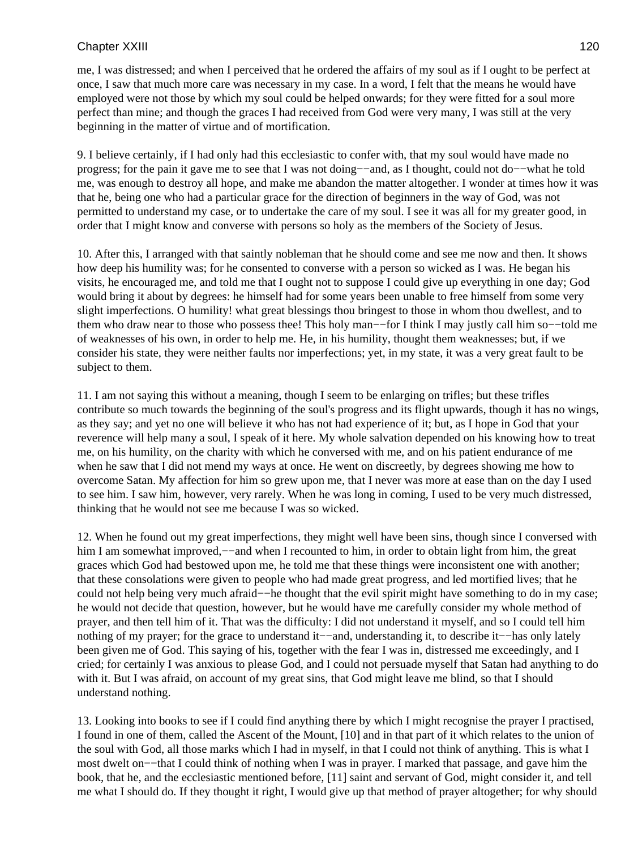me, I was distressed; and when I perceived that he ordered the affairs of my soul as if I ought to be perfect at once, I saw that much more care was necessary in my case. In a word, I felt that the means he would have employed were not those by which my soul could be helped onwards; for they were fitted for a soul more perfect than mine; and though the graces I had received from God were very many, I was still at the very beginning in the matter of virtue and of mortification.

9. I believe certainly, if I had only had this ecclesiastic to confer with, that my soul would have made no progress; for the pain it gave me to see that I was not doing−−and, as I thought, could not do−−what he told me, was enough to destroy all hope, and make me abandon the matter altogether. I wonder at times how it was that he, being one who had a particular grace for the direction of beginners in the way of God, was not permitted to understand my case, or to undertake the care of my soul. I see it was all for my greater good, in order that I might know and converse with persons so holy as the members of the Society of Jesus.

10. After this, I arranged with that saintly nobleman that he should come and see me now and then. It shows how deep his humility was; for he consented to converse with a person so wicked as I was. He began his visits, he encouraged me, and told me that I ought not to suppose I could give up everything in one day; God would bring it about by degrees: he himself had for some years been unable to free himself from some very slight imperfections. O humility! what great blessings thou bringest to those in whom thou dwellest, and to them who draw near to those who possess thee! This holy man−−for I think I may justly call him so−−told me of weaknesses of his own, in order to help me. He, in his humility, thought them weaknesses; but, if we consider his state, they were neither faults nor imperfections; yet, in my state, it was a very great fault to be subject to them.

11. I am not saying this without a meaning, though I seem to be enlarging on trifles; but these trifles contribute so much towards the beginning of the soul's progress and its flight upwards, though it has no wings, as they say; and yet no one will believe it who has not had experience of it; but, as I hope in God that your reverence will help many a soul, I speak of it here. My whole salvation depended on his knowing how to treat me, on his humility, on the charity with which he conversed with me, and on his patient endurance of me when he saw that I did not mend my ways at once. He went on discreetly, by degrees showing me how to overcome Satan. My affection for him so grew upon me, that I never was more at ease than on the day I used to see him. I saw him, however, very rarely. When he was long in coming, I used to be very much distressed, thinking that he would not see me because I was so wicked.

12. When he found out my great imperfections, they might well have been sins, though since I conversed with him I am somewhat improved,−−and when I recounted to him, in order to obtain light from him, the great graces which God had bestowed upon me, he told me that these things were inconsistent one with another; that these consolations were given to people who had made great progress, and led mortified lives; that he could not help being very much afraid−−he thought that the evil spirit might have something to do in my case; he would not decide that question, however, but he would have me carefully consider my whole method of prayer, and then tell him of it. That was the difficulty: I did not understand it myself, and so I could tell him nothing of my prayer; for the grace to understand it−−and, understanding it, to describe it−−has only lately been given me of God. This saying of his, together with the fear I was in, distressed me exceedingly, and I cried; for certainly I was anxious to please God, and I could not persuade myself that Satan had anything to do with it. But I was afraid, on account of my great sins, that God might leave me blind, so that I should understand nothing.

13. Looking into books to see if I could find anything there by which I might recognise the prayer I practised, I found in one of them, called the Ascent of the Mount, [10] and in that part of it which relates to the union of the soul with God, all those marks which I had in myself, in that I could not think of anything. This is what I most dwelt on−−that I could think of nothing when I was in prayer. I marked that passage, and gave him the book, that he, and the ecclesiastic mentioned before, [11] saint and servant of God, might consider it, and tell me what I should do. If they thought it right, I would give up that method of prayer altogether; for why should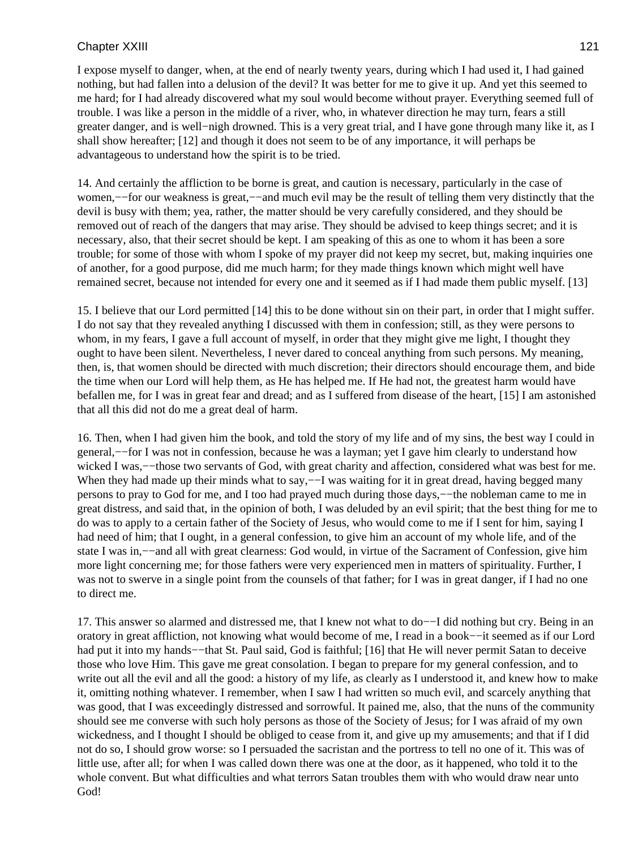I expose myself to danger, when, at the end of nearly twenty years, during which I had used it, I had gained nothing, but had fallen into a delusion of the devil? It was better for me to give it up. And yet this seemed to me hard; for I had already discovered what my soul would become without prayer. Everything seemed full of trouble. I was like a person in the middle of a river, who, in whatever direction he may turn, fears a still greater danger, and is well−nigh drowned. This is a very great trial, and I have gone through many like it, as I shall show hereafter; [12] and though it does not seem to be of any importance, it will perhaps be advantageous to understand how the spirit is to be tried.

14. And certainly the affliction to be borne is great, and caution is necessary, particularly in the case of women,—for our weakness is great,—–and much evil may be the result of telling them very distinctly that the devil is busy with them; yea, rather, the matter should be very carefully considered, and they should be removed out of reach of the dangers that may arise. They should be advised to keep things secret; and it is necessary, also, that their secret should be kept. I am speaking of this as one to whom it has been a sore trouble; for some of those with whom I spoke of my prayer did not keep my secret, but, making inquiries one of another, for a good purpose, did me much harm; for they made things known which might well have remained secret, because not intended for every one and it seemed as if I had made them public myself. [13]

15. I believe that our Lord permitted [14] this to be done without sin on their part, in order that I might suffer. I do not say that they revealed anything I discussed with them in confession; still, as they were persons to whom, in my fears, I gave a full account of myself, in order that they might give me light, I thought they ought to have been silent. Nevertheless, I never dared to conceal anything from such persons. My meaning, then, is, that women should be directed with much discretion; their directors should encourage them, and bide the time when our Lord will help them, as He has helped me. If He had not, the greatest harm would have befallen me, for I was in great fear and dread; and as I suffered from disease of the heart, [15] I am astonished that all this did not do me a great deal of harm.

16. Then, when I had given him the book, and told the story of my life and of my sins, the best way I could in general,−−for I was not in confession, because he was a layman; yet I gave him clearly to understand how wicked I was,—−those two servants of God, with great charity and affection, considered what was best for me. When they had made up their minds what to say,——I was waiting for it in great dread, having begged many persons to pray to God for me, and I too had prayed much during those days,−−the nobleman came to me in great distress, and said that, in the opinion of both, I was deluded by an evil spirit; that the best thing for me to do was to apply to a certain father of the Society of Jesus, who would come to me if I sent for him, saying I had need of him; that I ought, in a general confession, to give him an account of my whole life, and of the state I was in,−−and all with great clearness: God would, in virtue of the Sacrament of Confession, give him more light concerning me; for those fathers were very experienced men in matters of spirituality. Further, I was not to swerve in a single point from the counsels of that father; for I was in great danger, if I had no one to direct me.

17. This answer so alarmed and distressed me, that I knew not what to do−−I did nothing but cry. Being in an oratory in great affliction, not knowing what would become of me, I read in a book−−it seemed as if our Lord had put it into my hands−−that St. Paul said, God is faithful; [16] that He will never permit Satan to deceive those who love Him. This gave me great consolation. I began to prepare for my general confession, and to write out all the evil and all the good: a history of my life, as clearly as I understood it, and knew how to make it, omitting nothing whatever. I remember, when I saw I had written so much evil, and scarcely anything that was good, that I was exceedingly distressed and sorrowful. It pained me, also, that the nuns of the community should see me converse with such holy persons as those of the Society of Jesus; for I was afraid of my own wickedness, and I thought I should be obliged to cease from it, and give up my amusements; and that if I did not do so, I should grow worse: so I persuaded the sacristan and the portress to tell no one of it. This was of little use, after all; for when I was called down there was one at the door, as it happened, who told it to the whole convent. But what difficulties and what terrors Satan troubles them with who would draw near unto God!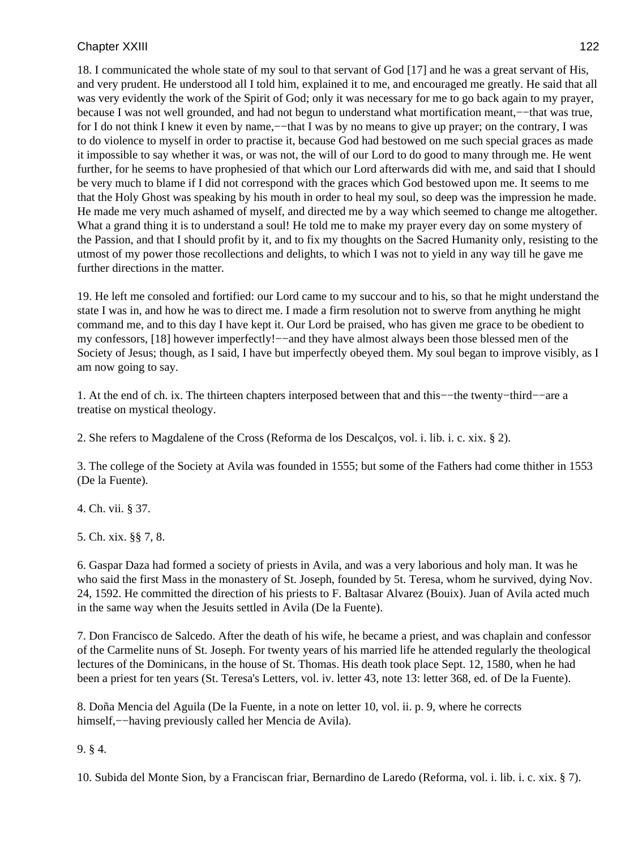18. I communicated the whole state of my soul to that servant of God [17] and he was a great servant of His, and very prudent. He understood all I told him, explained it to me, and encouraged me greatly. He said that all was very evidently the work of the Spirit of God; only it was necessary for me to go back again to my prayer, because I was not well grounded, and had not begun to understand what mortification meant,−−that was true, for I do not think I knew it even by name,−−that I was by no means to give up prayer; on the contrary, I was to do violence to myself in order to practise it, because God had bestowed on me such special graces as made it impossible to say whether it was, or was not, the will of our Lord to do good to many through me. He went further, for he seems to have prophesied of that which our Lord afterwards did with me, and said that I should be very much to blame if I did not correspond with the graces which God bestowed upon me. It seems to me that the Holy Ghost was speaking by his mouth in order to heal my soul, so deep was the impression he made. He made me very much ashamed of myself, and directed me by a way which seemed to change me altogether. What a grand thing it is to understand a soul! He told me to make my prayer every day on some mystery of the Passion, and that I should profit by it, and to fix my thoughts on the Sacred Humanity only, resisting to the utmost of my power those recollections and delights, to which I was not to yield in any way till he gave me further directions in the matter.

19. He left me consoled and fortified: our Lord came to my succour and to his, so that he might understand the state I was in, and how he was to direct me. I made a firm resolution not to swerve from anything he might command me, and to this day I have kept it. Our Lord be praised, who has given me grace to be obedient to my confessors, [18] however imperfectly!—–and they have almost always been those blessed men of the Society of Jesus; though, as I said, I have but imperfectly obeyed them. My soul began to improve visibly, as I am now going to say.

1. At the end of ch. ix. The thirteen chapters interposed between that and this−−the twenty−third−−are a treatise on mystical theology.

2. She refers to Magdalene of the Cross (Reforma de los Descalços, vol. i. lib. i. c. xix. § 2).

3. The college of the Society at Avila was founded in 1555; but some of the Fathers had come thither in 1553 (De la Fuente).

4. Ch. vii. § 37.

5. Ch. xix. §§ 7, 8.

6. Gaspar Daza had formed a society of priests in Avila, and was a very laborious and holy man. It was he who said the first Mass in the monastery of St. Joseph, founded by 5t. Teresa, whom he survived, dying Nov. 24, 1592. He committed the direction of his priests to F. Baltasar Alvarez (Bouix). Juan of Avila acted much in the same way when the Jesuits settled in Avila (De la Fuente).

7. Don Francisco de Salcedo. After the death of his wife, he became a priest, and was chaplain and confessor of the Carmelite nuns of St. Joseph. For twenty years of his married life he attended regularly the theological lectures of the Dominicans, in the house of St. Thomas. His death took place Sept. 12, 1580, when he had been a priest for ten years (St. Teresa's Letters, vol. iv. letter 43, note 13: letter 368, ed. of De la Fuente).

8. Doña Mencia del Aguila (De la Fuente, in a note on letter 10, vol. ii. p. 9, where he corrects himself,−−having previously called her Mencia de Avila).

9. § 4.

10. Subida del Monte Sion, by a Franciscan friar, Bernardino de Laredo (Reforma, vol. i. lib. i. c. xix. § 7).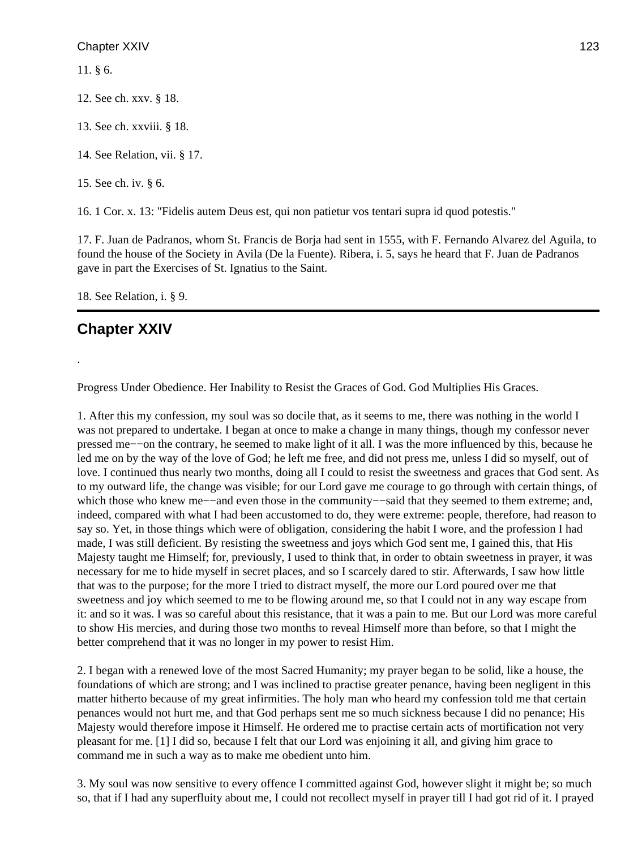11. § 6.

12. See ch. xxv. § 18.

13. See ch. xxviii. § 18.

14. See Relation, vii. § 17.

15. See ch. iv. § 6.

16. 1 Cor. x. 13: "Fidelis autem Deus est, qui non patietur vos tentari supra id quod potestis."

17. F. Juan de Padranos, whom St. Francis de Borja had sent in 1555, with F. Fernando Alvarez del Aguila, to found the house of the Society in Avila (De la Fuente). Ribera, i. 5, says he heard that F. Juan de Padranos gave in part the Exercises of St. Ignatius to the Saint.

18. See Relation, i. § 9.

# **Chapter XXIV**

.

Progress Under Obedience. Her Inability to Resist the Graces of God. God Multiplies His Graces.

1. After this my confession, my soul was so docile that, as it seems to me, there was nothing in the world I was not prepared to undertake. I began at once to make a change in many things, though my confessor never pressed me−−on the contrary, he seemed to make light of it all. I was the more influenced by this, because he led me on by the way of the love of God; he left me free, and did not press me, unless I did so myself, out of love. I continued thus nearly two months, doing all I could to resist the sweetness and graces that God sent. As to my outward life, the change was visible; for our Lord gave me courage to go through with certain things, of which those who knew me–−and even those in the community–−said that they seemed to them extreme; and, indeed, compared with what I had been accustomed to do, they were extreme: people, therefore, had reason to say so. Yet, in those things which were of obligation, considering the habit I wore, and the profession I had made, I was still deficient. By resisting the sweetness and joys which God sent me, I gained this, that His Majesty taught me Himself; for, previously, I used to think that, in order to obtain sweetness in prayer, it was necessary for me to hide myself in secret places, and so I scarcely dared to stir. Afterwards, I saw how little that was to the purpose; for the more I tried to distract myself, the more our Lord poured over me that sweetness and joy which seemed to me to be flowing around me, so that I could not in any way escape from it: and so it was. I was so careful about this resistance, that it was a pain to me. But our Lord was more careful to show His mercies, and during those two months to reveal Himself more than before, so that I might the better comprehend that it was no longer in my power to resist Him.

2. I began with a renewed love of the most Sacred Humanity; my prayer began to be solid, like a house, the foundations of which are strong; and I was inclined to practise greater penance, having been negligent in this matter hitherto because of my great infirmities. The holy man who heard my confession told me that certain penances would not hurt me, and that God perhaps sent me so much sickness because I did no penance; His Majesty would therefore impose it Himself. He ordered me to practise certain acts of mortification not very pleasant for me. [1] I did so, because I felt that our Lord was enjoining it all, and giving him grace to command me in such a way as to make me obedient unto him.

3. My soul was now sensitive to every offence I committed against God, however slight it might be; so much so, that if I had any superfluity about me, I could not recollect myself in prayer till I had got rid of it. I prayed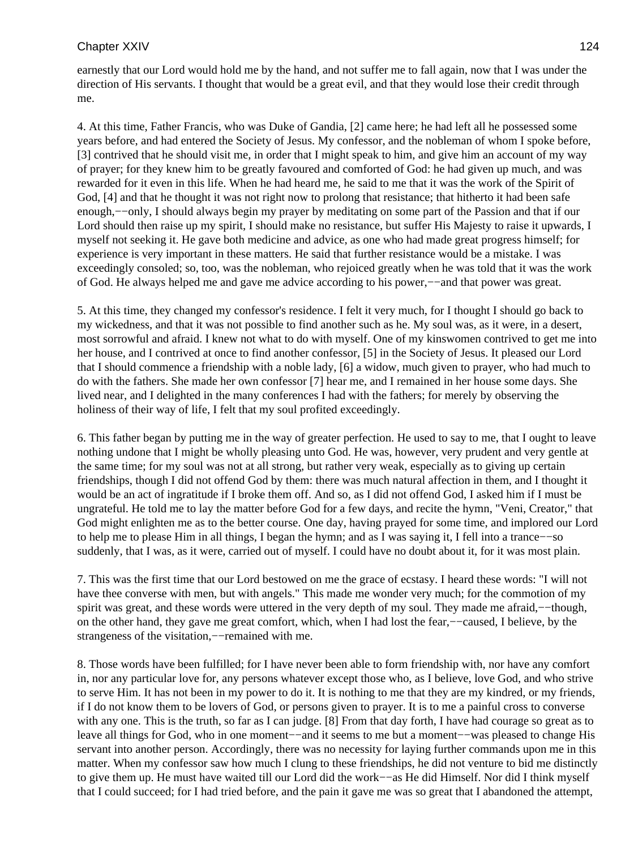earnestly that our Lord would hold me by the hand, and not suffer me to fall again, now that I was under the direction of His servants. I thought that would be a great evil, and that they would lose their credit through me.

4. At this time, Father Francis, who was Duke of Gandia, [2] came here; he had left all he possessed some years before, and had entered the Society of Jesus. My confessor, and the nobleman of whom I spoke before, [3] contrived that he should visit me, in order that I might speak to him, and give him an account of my way of prayer; for they knew him to be greatly favoured and comforted of God: he had given up much, and was rewarded for it even in this life. When he had heard me, he said to me that it was the work of the Spirit of God, [4] and that he thought it was not right now to prolong that resistance; that hitherto it had been safe enough,−−only, I should always begin my prayer by meditating on some part of the Passion and that if our Lord should then raise up my spirit, I should make no resistance, but suffer His Majesty to raise it upwards, I myself not seeking it. He gave both medicine and advice, as one who had made great progress himself; for experience is very important in these matters. He said that further resistance would be a mistake. I was exceedingly consoled; so, too, was the nobleman, who rejoiced greatly when he was told that it was the work of God. He always helped me and gave me advice according to his power,−−and that power was great.

5. At this time, they changed my confessor's residence. I felt it very much, for I thought I should go back to my wickedness, and that it was not possible to find another such as he. My soul was, as it were, in a desert, most sorrowful and afraid. I knew not what to do with myself. One of my kinswomen contrived to get me into her house, and I contrived at once to find another confessor, [5] in the Society of Jesus. It pleased our Lord that I should commence a friendship with a noble lady, [6] a widow, much given to prayer, who had much to do with the fathers. She made her own confessor [7] hear me, and I remained in her house some days. She lived near, and I delighted in the many conferences I had with the fathers; for merely by observing the holiness of their way of life, I felt that my soul profited exceedingly.

6. This father began by putting me in the way of greater perfection. He used to say to me, that I ought to leave nothing undone that I might be wholly pleasing unto God. He was, however, very prudent and very gentle at the same time; for my soul was not at all strong, but rather very weak, especially as to giving up certain friendships, though I did not offend God by them: there was much natural affection in them, and I thought it would be an act of ingratitude if I broke them off. And so, as I did not offend God, I asked him if I must be ungrateful. He told me to lay the matter before God for a few days, and recite the hymn, "Veni, Creator," that God might enlighten me as to the better course. One day, having prayed for some time, and implored our Lord to help me to please Him in all things, I began the hymn; and as I was saying it, I fell into a trance−−so suddenly, that I was, as it were, carried out of myself. I could have no doubt about it, for it was most plain.

7. This was the first time that our Lord bestowed on me the grace of ecstasy. I heard these words: "I will not have thee converse with men, but with angels." This made me wonder very much; for the commotion of my spirit was great, and these words were uttered in the very depth of my soul. They made me afraid,—−though, on the other hand, they gave me great comfort, which, when I had lost the fear,−−caused, I believe, by the strangeness of the visitation,−−remained with me.

8. Those words have been fulfilled; for I have never been able to form friendship with, nor have any comfort in, nor any particular love for, any persons whatever except those who, as I believe, love God, and who strive to serve Him. It has not been in my power to do it. It is nothing to me that they are my kindred, or my friends, if I do not know them to be lovers of God, or persons given to prayer. It is to me a painful cross to converse with any one. This is the truth, so far as I can judge. [8] From that day forth, I have had courage so great as to leave all things for God, who in one moment−−and it seems to me but a moment−−was pleased to change His servant into another person. Accordingly, there was no necessity for laying further commands upon me in this matter. When my confessor saw how much I clung to these friendships, he did not venture to bid me distinctly to give them up. He must have waited till our Lord did the work−−as He did Himself. Nor did I think myself that I could succeed; for I had tried before, and the pain it gave me was so great that I abandoned the attempt,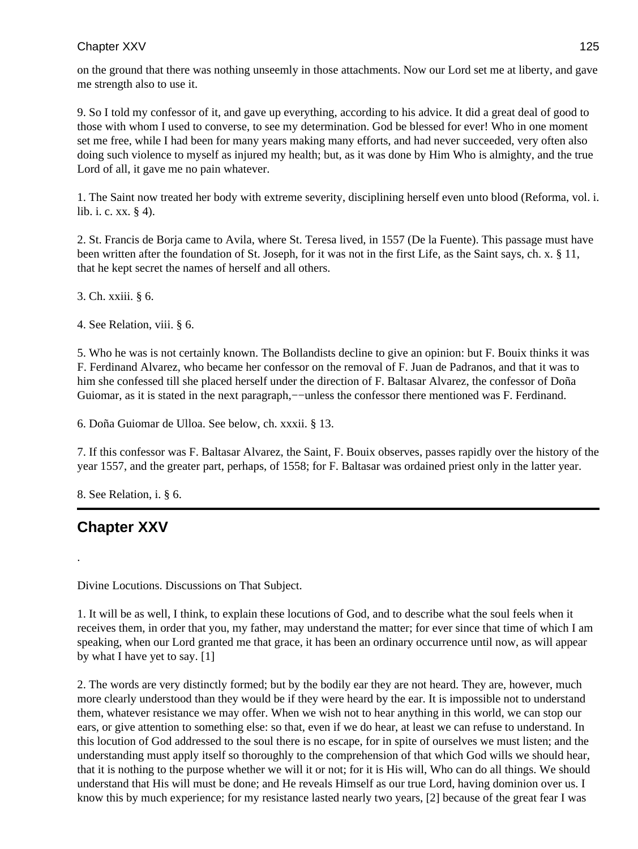on the ground that there was nothing unseemly in those attachments. Now our Lord set me at liberty, and gave me strength also to use it.

9. So I told my confessor of it, and gave up everything, according to his advice. It did a great deal of good to those with whom I used to converse, to see my determination. God be blessed for ever! Who in one moment set me free, while I had been for many years making many efforts, and had never succeeded, very often also doing such violence to myself as injured my health; but, as it was done by Him Who is almighty, and the true Lord of all, it gave me no pain whatever.

1. The Saint now treated her body with extreme severity, disciplining herself even unto blood (Reforma, vol. i. lib. i. c. xx. § 4).

2. St. Francis de Borja came to Avila, where St. Teresa lived, in 1557 (De la Fuente). This passage must have been written after the foundation of St. Joseph, for it was not in the first Life, as the Saint says, ch. x. § 11, that he kept secret the names of herself and all others.

3. Ch. xxiii. § 6.

4. See Relation, viii. § 6.

5. Who he was is not certainly known. The Bollandists decline to give an opinion: but F. Bouix thinks it was F. Ferdinand Alvarez, who became her confessor on the removal of F. Juan de Padranos, and that it was to him she confessed till she placed herself under the direction of F. Baltasar Alvarez, the confessor of Doña Guiomar, as it is stated in the next paragraph,—–unless the confessor there mentioned was F. Ferdinand.

6. Doña Guiomar de Ulloa. See below, ch. xxxii. § 13.

7. If this confessor was F. Baltasar Alvarez, the Saint, F. Bouix observes, passes rapidly over the history of the year 1557, and the greater part, perhaps, of 1558; for F. Baltasar was ordained priest only in the latter year.

8. See Relation, i. § 6.

# **Chapter XXV**

.

Divine Locutions. Discussions on That Subject.

1. It will be as well, I think, to explain these locutions of God, and to describe what the soul feels when it receives them, in order that you, my father, may understand the matter; for ever since that time of which I am speaking, when our Lord granted me that grace, it has been an ordinary occurrence until now, as will appear by what I have yet to say. [1]

2. The words are very distinctly formed; but by the bodily ear they are not heard. They are, however, much more clearly understood than they would be if they were heard by the ear. It is impossible not to understand them, whatever resistance we may offer. When we wish not to hear anything in this world, we can stop our ears, or give attention to something else: so that, even if we do hear, at least we can refuse to understand. In this locution of God addressed to the soul there is no escape, for in spite of ourselves we must listen; and the understanding must apply itself so thoroughly to the comprehension of that which God wills we should hear, that it is nothing to the purpose whether we will it or not; for it is His will, Who can do all things. We should understand that His will must be done; and He reveals Himself as our true Lord, having dominion over us. I know this by much experience; for my resistance lasted nearly two years, [2] because of the great fear I was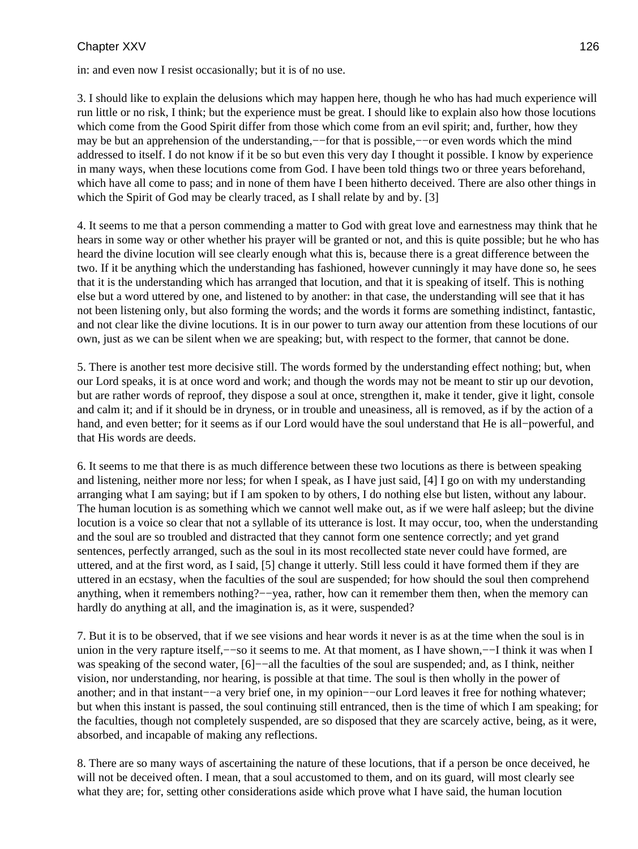in: and even now I resist occasionally; but it is of no use.

3. I should like to explain the delusions which may happen here, though he who has had much experience will run little or no risk, I think; but the experience must be great. I should like to explain also how those locutions which come from the Good Spirit differ from those which come from an evil spirit; and, further, how they may be but an apprehension of the understanding,—for that is possible,—–or even words which the mind addressed to itself. I do not know if it be so but even this very day I thought it possible. I know by experience in many ways, when these locutions come from God. I have been told things two or three years beforehand, which have all come to pass; and in none of them have I been hitherto deceived. There are also other things in which the Spirit of God may be clearly traced, as I shall relate by and by. [3]

4. It seems to me that a person commending a matter to God with great love and earnestness may think that he hears in some way or other whether his prayer will be granted or not, and this is quite possible; but he who has heard the divine locution will see clearly enough what this is, because there is a great difference between the two. If it be anything which the understanding has fashioned, however cunningly it may have done so, he sees that it is the understanding which has arranged that locution, and that it is speaking of itself. This is nothing else but a word uttered by one, and listened to by another: in that case, the understanding will see that it has not been listening only, but also forming the words; and the words it forms are something indistinct, fantastic, and not clear like the divine locutions. It is in our power to turn away our attention from these locutions of our own, just as we can be silent when we are speaking; but, with respect to the former, that cannot be done.

5. There is another test more decisive still. The words formed by the understanding effect nothing; but, when our Lord speaks, it is at once word and work; and though the words may not be meant to stir up our devotion, but are rather words of reproof, they dispose a soul at once, strengthen it, make it tender, give it light, console and calm it; and if it should be in dryness, or in trouble and uneasiness, all is removed, as if by the action of a hand, and even better; for it seems as if our Lord would have the soul understand that He is all−powerful, and that His words are deeds.

6. It seems to me that there is as much difference between these two locutions as there is between speaking and listening, neither more nor less; for when I speak, as I have just said, [4] I go on with my understanding arranging what I am saying; but if I am spoken to by others, I do nothing else but listen, without any labour. The human locution is as something which we cannot well make out, as if we were half asleep; but the divine locution is a voice so clear that not a syllable of its utterance is lost. It may occur, too, when the understanding and the soul are so troubled and distracted that they cannot form one sentence correctly; and yet grand sentences, perfectly arranged, such as the soul in its most recollected state never could have formed, are uttered, and at the first word, as I said, [5] change it utterly. Still less could it have formed them if they are uttered in an ecstasy, when the faculties of the soul are suspended; for how should the soul then comprehend anything, when it remembers nothing?−−yea, rather, how can it remember them then, when the memory can hardly do anything at all, and the imagination is, as it were, suspended?

7. But it is to be observed, that if we see visions and hear words it never is as at the time when the soul is in union in the very rapture itself,−−so it seems to me. At that moment, as I have shown,−−I think it was when I was speaking of the second water, [6]−−all the faculties of the soul are suspended; and, as I think, neither vision, nor understanding, nor hearing, is possible at that time. The soul is then wholly in the power of another; and in that instant−−a very brief one, in my opinion−−our Lord leaves it free for nothing whatever; but when this instant is passed, the soul continuing still entranced, then is the time of which I am speaking; for the faculties, though not completely suspended, are so disposed that they are scarcely active, being, as it were, absorbed, and incapable of making any reflections.

8. There are so many ways of ascertaining the nature of these locutions, that if a person be once deceived, he will not be deceived often. I mean, that a soul accustomed to them, and on its guard, will most clearly see what they are; for, setting other considerations aside which prove what I have said, the human locution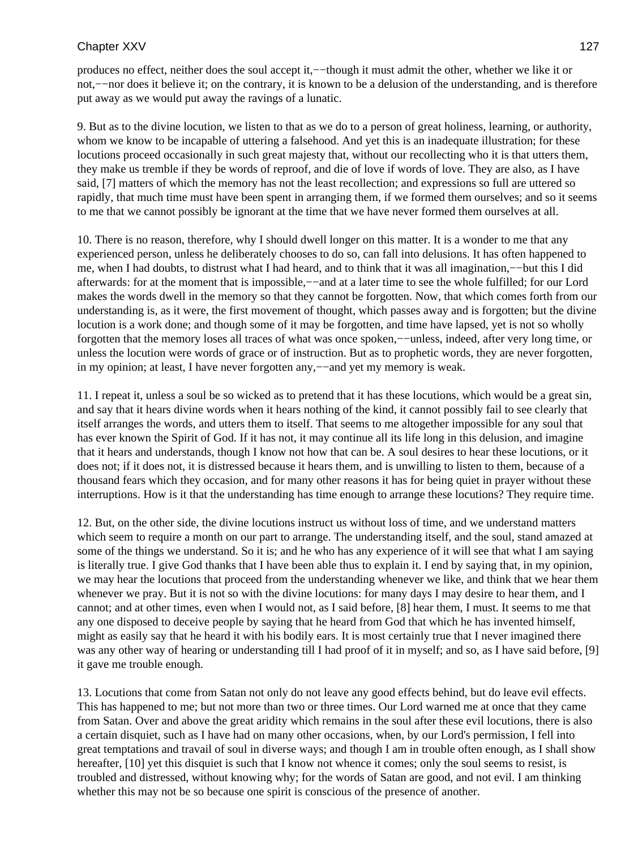produces no effect, neither does the soul accept it,−−though it must admit the other, whether we like it or not,−−nor does it believe it; on the contrary, it is known to be a delusion of the understanding, and is therefore put away as we would put away the ravings of a lunatic.

9. But as to the divine locution, we listen to that as we do to a person of great holiness, learning, or authority, whom we know to be incapable of uttering a falsehood. And yet this is an inadequate illustration; for these locutions proceed occasionally in such great majesty that, without our recollecting who it is that utters them, they make us tremble if they be words of reproof, and die of love if words of love. They are also, as I have said, [7] matters of which the memory has not the least recollection; and expressions so full are uttered so rapidly, that much time must have been spent in arranging them, if we formed them ourselves; and so it seems to me that we cannot possibly be ignorant at the time that we have never formed them ourselves at all.

10. There is no reason, therefore, why I should dwell longer on this matter. It is a wonder to me that any experienced person, unless he deliberately chooses to do so, can fall into delusions. It has often happened to me, when I had doubts, to distrust what I had heard, and to think that it was all imagination,−−but this I did afterwards: for at the moment that is impossible,−−and at a later time to see the whole fulfilled; for our Lord makes the words dwell in the memory so that they cannot be forgotten. Now, that which comes forth from our understanding is, as it were, the first movement of thought, which passes away and is forgotten; but the divine locution is a work done; and though some of it may be forgotten, and time have lapsed, yet is not so wholly forgotten that the memory loses all traces of what was once spoken,−−unless, indeed, after very long time, or unless the locution were words of grace or of instruction. But as to prophetic words, they are never forgotten, in my opinion; at least, I have never forgotten any,—–and yet my memory is weak.

11. I repeat it, unless a soul be so wicked as to pretend that it has these locutions, which would be a great sin, and say that it hears divine words when it hears nothing of the kind, it cannot possibly fail to see clearly that itself arranges the words, and utters them to itself. That seems to me altogether impossible for any soul that has ever known the Spirit of God. If it has not, it may continue all its life long in this delusion, and imagine that it hears and understands, though I know not how that can be. A soul desires to hear these locutions, or it does not; if it does not, it is distressed because it hears them, and is unwilling to listen to them, because of a thousand fears which they occasion, and for many other reasons it has for being quiet in prayer without these interruptions. How is it that the understanding has time enough to arrange these locutions? They require time.

12. But, on the other side, the divine locutions instruct us without loss of time, and we understand matters which seem to require a month on our part to arrange. The understanding itself, and the soul, stand amazed at some of the things we understand. So it is; and he who has any experience of it will see that what I am saying is literally true. I give God thanks that I have been able thus to explain it. I end by saying that, in my opinion, we may hear the locutions that proceed from the understanding whenever we like, and think that we hear them whenever we pray. But it is not so with the divine locutions: for many days I may desire to hear them, and I cannot; and at other times, even when I would not, as I said before, [8] hear them, I must. It seems to me that any one disposed to deceive people by saying that he heard from God that which he has invented himself, might as easily say that he heard it with his bodily ears. It is most certainly true that I never imagined there was any other way of hearing or understanding till I had proof of it in myself; and so, as I have said before, [9] it gave me trouble enough.

13. Locutions that come from Satan not only do not leave any good effects behind, but do leave evil effects. This has happened to me; but not more than two or three times. Our Lord warned me at once that they came from Satan. Over and above the great aridity which remains in the soul after these evil locutions, there is also a certain disquiet, such as I have had on many other occasions, when, by our Lord's permission, I fell into great temptations and travail of soul in diverse ways; and though I am in trouble often enough, as I shall show hereafter, [10] yet this disquiet is such that I know not whence it comes; only the soul seems to resist, is troubled and distressed, without knowing why; for the words of Satan are good, and not evil. I am thinking whether this may not be so because one spirit is conscious of the presence of another.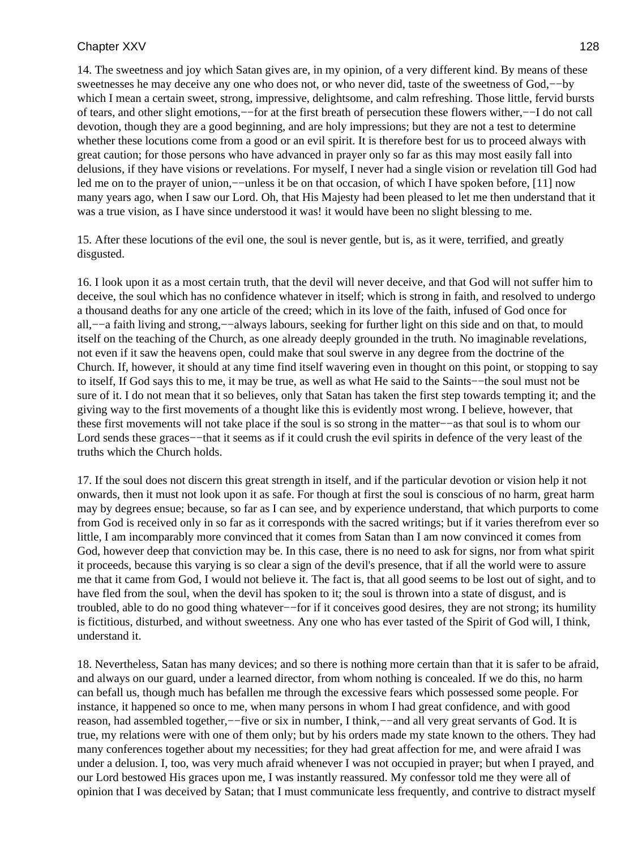14. The sweetness and joy which Satan gives are, in my opinion, of a very different kind. By means of these sweetnesses he may deceive any one who does not, or who never did, taste of the sweetness of God,−−by which I mean a certain sweet, strong, impressive, delightsome, and calm refreshing. Those little, fervid bursts of tears, and other slight emotions,−−for at the first breath of persecution these flowers wither,−−I do not call devotion, though they are a good beginning, and are holy impressions; but they are not a test to determine whether these locutions come from a good or an evil spirit. It is therefore best for us to proceed always with great caution; for those persons who have advanced in prayer only so far as this may most easily fall into delusions, if they have visions or revelations. For myself, I never had a single vision or revelation till God had led me on to the prayer of union,−−unless it be on that occasion, of which I have spoken before, [11] now many years ago, when I saw our Lord. Oh, that His Majesty had been pleased to let me then understand that it was a true vision, as I have since understood it was! it would have been no slight blessing to me.

15. After these locutions of the evil one, the soul is never gentle, but is, as it were, terrified, and greatly disgusted.

16. I look upon it as a most certain truth, that the devil will never deceive, and that God will not suffer him to deceive, the soul which has no confidence whatever in itself; which is strong in faith, and resolved to undergo a thousand deaths for any one article of the creed; which in its love of the faith, infused of God once for all,−−a faith living and strong,−−always labours, seeking for further light on this side and on that, to mould itself on the teaching of the Church, as one already deeply grounded in the truth. No imaginable revelations, not even if it saw the heavens open, could make that soul swerve in any degree from the doctrine of the Church. If, however, it should at any time find itself wavering even in thought on this point, or stopping to say to itself, If God says this to me, it may be true, as well as what He said to the Saints−−the soul must not be sure of it. I do not mean that it so believes, only that Satan has taken the first step towards tempting it; and the giving way to the first movements of a thought like this is evidently most wrong. I believe, however, that these first movements will not take place if the soul is so strong in the matter−−as that soul is to whom our Lord sends these graces−−that it seems as if it could crush the evil spirits in defence of the very least of the truths which the Church holds.

17. If the soul does not discern this great strength in itself, and if the particular devotion or vision help it not onwards, then it must not look upon it as safe. For though at first the soul is conscious of no harm, great harm may by degrees ensue; because, so far as I can see, and by experience understand, that which purports to come from God is received only in so far as it corresponds with the sacred writings; but if it varies therefrom ever so little, I am incomparably more convinced that it comes from Satan than I am now convinced it comes from God, however deep that conviction may be. In this case, there is no need to ask for signs, nor from what spirit it proceeds, because this varying is so clear a sign of the devil's presence, that if all the world were to assure me that it came from God, I would not believe it. The fact is, that all good seems to be lost out of sight, and to have fled from the soul, when the devil has spoken to it; the soul is thrown into a state of disgust, and is troubled, able to do no good thing whatever−−for if it conceives good desires, they are not strong; its humility is fictitious, disturbed, and without sweetness. Any one who has ever tasted of the Spirit of God will, I think, understand it.

18. Nevertheless, Satan has many devices; and so there is nothing more certain than that it is safer to be afraid, and always on our guard, under a learned director, from whom nothing is concealed. If we do this, no harm can befall us, though much has befallen me through the excessive fears which possessed some people. For instance, it happened so once to me, when many persons in whom I had great confidence, and with good reason, had assembled together,−−five or six in number, I think,−−and all very great servants of God. It is true, my relations were with one of them only; but by his orders made my state known to the others. They had many conferences together about my necessities; for they had great affection for me, and were afraid I was under a delusion. I, too, was very much afraid whenever I was not occupied in prayer; but when I prayed, and our Lord bestowed His graces upon me, I was instantly reassured. My confessor told me they were all of opinion that I was deceived by Satan; that I must communicate less frequently, and contrive to distract myself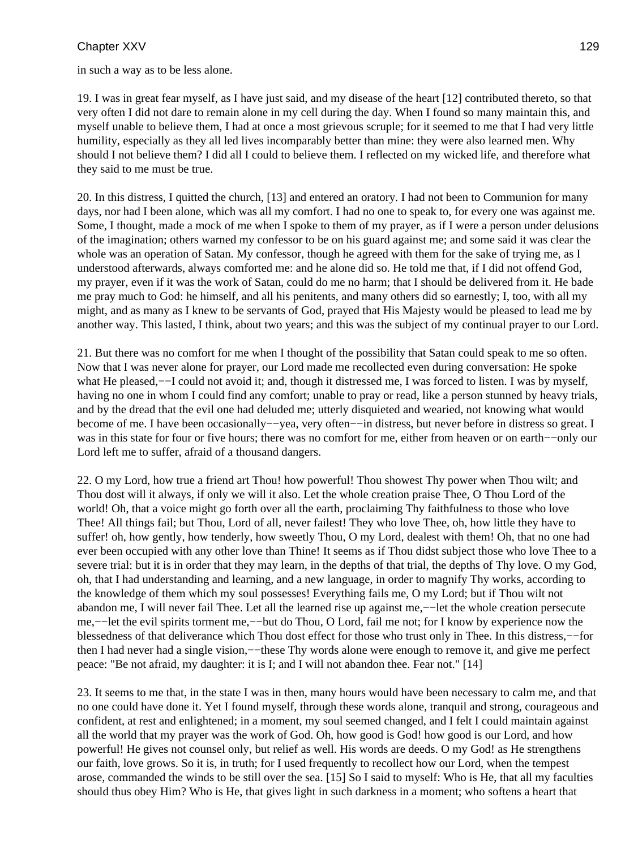in such a way as to be less alone.

19. I was in great fear myself, as I have just said, and my disease of the heart [12] contributed thereto, so that very often I did not dare to remain alone in my cell during the day. When I found so many maintain this, and myself unable to believe them, I had at once a most grievous scruple; for it seemed to me that I had very little humility, especially as they all led lives incomparably better than mine: they were also learned men. Why should I not believe them? I did all I could to believe them. I reflected on my wicked life, and therefore what they said to me must be true.

20. In this distress, I quitted the church, [13] and entered an oratory. I had not been to Communion for many days, nor had I been alone, which was all my comfort. I had no one to speak to, for every one was against me. Some, I thought, made a mock of me when I spoke to them of my prayer, as if I were a person under delusions of the imagination; others warned my confessor to be on his guard against me; and some said it was clear the whole was an operation of Satan. My confessor, though he agreed with them for the sake of trying me, as I understood afterwards, always comforted me: and he alone did so. He told me that, if I did not offend God, my prayer, even if it was the work of Satan, could do me no harm; that I should be delivered from it. He bade me pray much to God: he himself, and all his penitents, and many others did so earnestly; I, too, with all my might, and as many as I knew to be servants of God, prayed that His Majesty would be pleased to lead me by another way. This lasted, I think, about two years; and this was the subject of my continual prayer to our Lord.

21. But there was no comfort for me when I thought of the possibility that Satan could speak to me so often. Now that I was never alone for prayer, our Lord made me recollected even during conversation: He spoke what He pleased,––I could not avoid it; and, though it distressed me, I was forced to listen. I was by myself, having no one in whom I could find any comfort; unable to pray or read, like a person stunned by heavy trials, and by the dread that the evil one had deluded me; utterly disquieted and wearied, not knowing what would become of me. I have been occasionally−−yea, very often−−in distress, but never before in distress so great. I was in this state for four or five hours; there was no comfort for me, either from heaven or on earth−−only our Lord left me to suffer, afraid of a thousand dangers.

22. O my Lord, how true a friend art Thou! how powerful! Thou showest Thy power when Thou wilt; and Thou dost will it always, if only we will it also. Let the whole creation praise Thee, O Thou Lord of the world! Oh, that a voice might go forth over all the earth, proclaiming Thy faithfulness to those who love Thee! All things fail; but Thou, Lord of all, never failest! They who love Thee, oh, how little they have to suffer! oh, how gently, how tenderly, how sweetly Thou, O my Lord, dealest with them! Oh, that no one had ever been occupied with any other love than Thine! It seems as if Thou didst subject those who love Thee to a severe trial: but it is in order that they may learn, in the depths of that trial, the depths of Thy love. O my God, oh, that I had understanding and learning, and a new language, in order to magnify Thy works, according to the knowledge of them which my soul possesses! Everything fails me, O my Lord; but if Thou wilt not abandon me, I will never fail Thee. Let all the learned rise up against me,−−let the whole creation persecute me,−−let the evil spirits torment me,−−but do Thou, O Lord, fail me not; for I know by experience now the blessedness of that deliverance which Thou dost effect for those who trust only in Thee. In this distress,−−for then I had never had a single vision,−−these Thy words alone were enough to remove it, and give me perfect peace: "Be not afraid, my daughter: it is I; and I will not abandon thee. Fear not." [14]

23. It seems to me that, in the state I was in then, many hours would have been necessary to calm me, and that no one could have done it. Yet I found myself, through these words alone, tranquil and strong, courageous and confident, at rest and enlightened; in a moment, my soul seemed changed, and I felt I could maintain against all the world that my prayer was the work of God. Oh, how good is God! how good is our Lord, and how powerful! He gives not counsel only, but relief as well. His words are deeds. O my God! as He strengthens our faith, love grows. So it is, in truth; for I used frequently to recollect how our Lord, when the tempest arose, commanded the winds to be still over the sea. [15] So I said to myself: Who is He, that all my faculties should thus obey Him? Who is He, that gives light in such darkness in a moment; who softens a heart that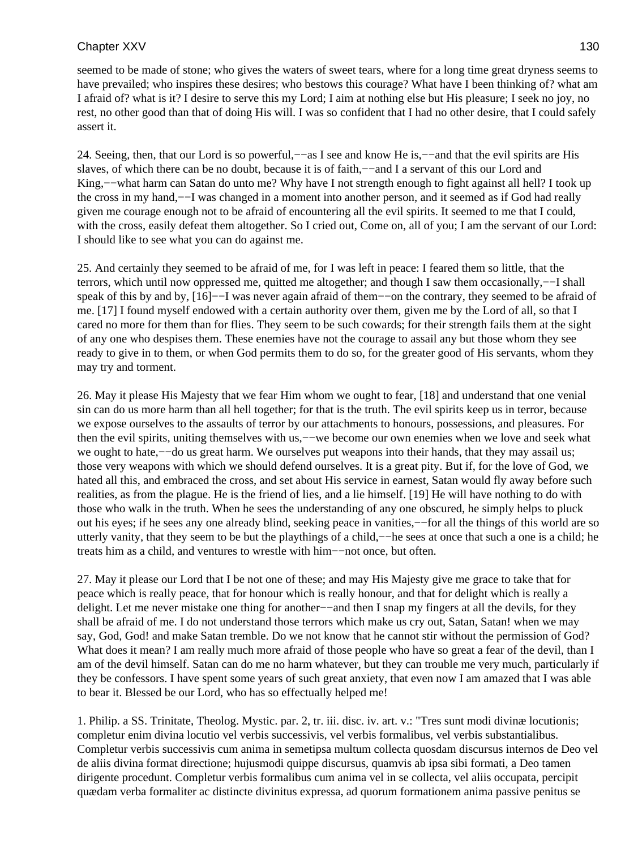seemed to be made of stone; who gives the waters of sweet tears, where for a long time great dryness seems to have prevailed; who inspires these desires; who bestows this courage? What have I been thinking of? what am I afraid of? what is it? I desire to serve this my Lord; I aim at nothing else but His pleasure; I seek no joy, no rest, no other good than that of doing His will. I was so confident that I had no other desire, that I could safely assert it.

24. Seeing, then, that our Lord is so powerful,−−as I see and know He is,−−and that the evil spirits are His slaves, of which there can be no doubt, because it is of faith,—–and I a servant of this our Lord and King,−−what harm can Satan do unto me? Why have I not strength enough to fight against all hell? I took up the cross in my hand,−−I was changed in a moment into another person, and it seemed as if God had really given me courage enough not to be afraid of encountering all the evil spirits. It seemed to me that I could, with the cross, easily defeat them altogether. So I cried out, Come on, all of you; I am the servant of our Lord: I should like to see what you can do against me.

25. And certainly they seemed to be afraid of me, for I was left in peace: I feared them so little, that the terrors, which until now oppressed me, quitted me altogether; and though I saw them occasionally,−−I shall speak of this by and by, [16]−−I was never again afraid of them−−on the contrary, they seemed to be afraid of me. [17] I found myself endowed with a certain authority over them, given me by the Lord of all, so that I cared no more for them than for flies. They seem to be such cowards; for their strength fails them at the sight of any one who despises them. These enemies have not the courage to assail any but those whom they see ready to give in to them, or when God permits them to do so, for the greater good of His servants, whom they may try and torment.

26. May it please His Majesty that we fear Him whom we ought to fear, [18] and understand that one venial sin can do us more harm than all hell together; for that is the truth. The evil spirits keep us in terror, because we expose ourselves to the assaults of terror by our attachments to honours, possessions, and pleasures. For then the evil spirits, uniting themselves with us,−−we become our own enemies when we love and seek what we ought to hate,––do us great harm. We ourselves put weapons into their hands, that they may assail us; those very weapons with which we should defend ourselves. It is a great pity. But if, for the love of God, we hated all this, and embraced the cross, and set about His service in earnest, Satan would fly away before such realities, as from the plague. He is the friend of lies, and a lie himself. [19] He will have nothing to do with those who walk in the truth. When he sees the understanding of any one obscured, he simply helps to pluck out his eyes; if he sees any one already blind, seeking peace in vanities,−−for all the things of this world are so utterly vanity, that they seem to be but the playthings of a child,−−he sees at once that such a one is a child; he treats him as a child, and ventures to wrestle with him−−not once, but often.

27. May it please our Lord that I be not one of these; and may His Majesty give me grace to take that for peace which is really peace, that for honour which is really honour, and that for delight which is really a delight. Let me never mistake one thing for another−−and then I snap my fingers at all the devils, for they shall be afraid of me. I do not understand those terrors which make us cry out, Satan, Satan! when we may say, God, God! and make Satan tremble. Do we not know that he cannot stir without the permission of God? What does it mean? I am really much more afraid of those people who have so great a fear of the devil, than I am of the devil himself. Satan can do me no harm whatever, but they can trouble me very much, particularly if they be confessors. I have spent some years of such great anxiety, that even now I am amazed that I was able to bear it. Blessed be our Lord, who has so effectually helped me!

1. Philip. a SS. Trinitate, Theolog. Mystic. par. 2, tr. iii. disc. iv. art. v.: "Tres sunt modi divinæ locutionis; completur enim divina locutio vel verbis successivis, vel verbis formalibus, vel verbis substantialibus. Completur verbis successivis cum anima in semetipsa multum collecta quosdam discursus internos de Deo vel de aliis divina format directione; hujusmodi quippe discursus, quamvis ab ipsa sibi formati, a Deo tamen dirigente procedunt. Completur verbis formalibus cum anima vel in se collecta, vel aliis occupata, percipit quædam verba formaliter ac distincte divinitus expressa, ad quorum formationem anima passive penitus se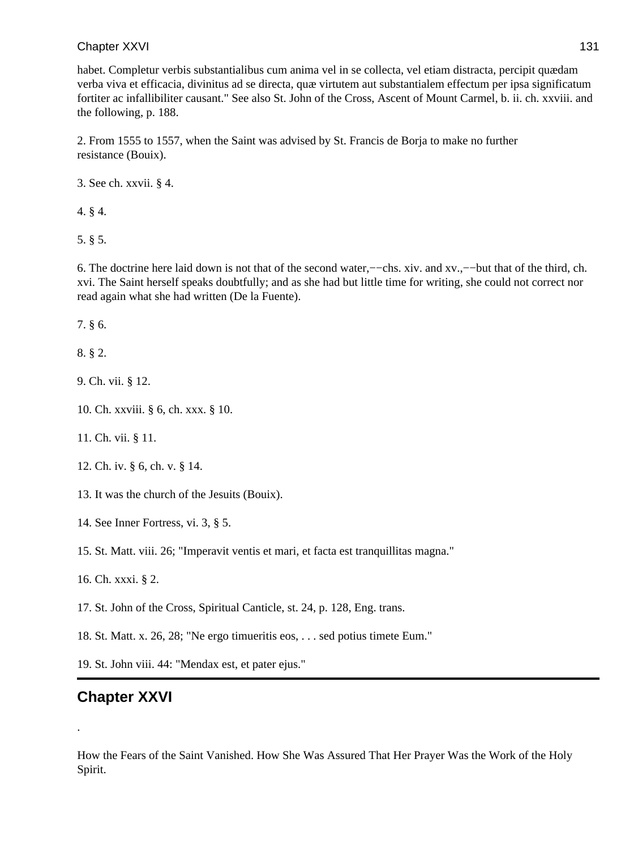habet. Completur verbis substantialibus cum anima vel in se collecta, vel etiam distracta, percipit quædam verba viva et efficacia, divinitus ad se directa, quæ virtutem aut substantialem effectum per ipsa significatum fortiter ac infallibiliter causant." See also St. John of the Cross, Ascent of Mount Carmel, b. ii. ch. xxviii. and the following, p. 188.

2. From 1555 to 1557, when the Saint was advised by St. Francis de Borja to make no further resistance (Bouix).

3. See ch. xxvii. § 4.

4. § 4.

5. § 5.

6. The doctrine here laid down is not that of the second water,−−chs. xiv. and xv.,−−but that of the third, ch. xvi. The Saint herself speaks doubtfully; and as she had but little time for writing, she could not correct nor read again what she had written (De la Fuente).

7. § 6.

8. § 2.

9. Ch. vii. § 12.

10. Ch. xxviii. § 6, ch. xxx. § 10.

11. Ch. vii. § 11.

12. Ch. iv. § 6, ch. v. § 14.

13. It was the church of the Jesuits (Bouix).

14. See Inner Fortress, vi. 3, § 5.

15. St. Matt. viii. 26; "Imperavit ventis et mari, et facta est tranquillitas magna."

16. Ch. xxxi. § 2.

17. St. John of the Cross, Spiritual Canticle, st. 24, p. 128, Eng. trans.

18. St. Matt. x. 26, 28; "Ne ergo timueritis eos, . . . sed potius timete Eum."

19. St. John viii. 44: "Mendax est, et pater ejus."

# **Chapter XXVI**

.

How the Fears of the Saint Vanished. How She Was Assured That Her Prayer Was the Work of the Holy Spirit.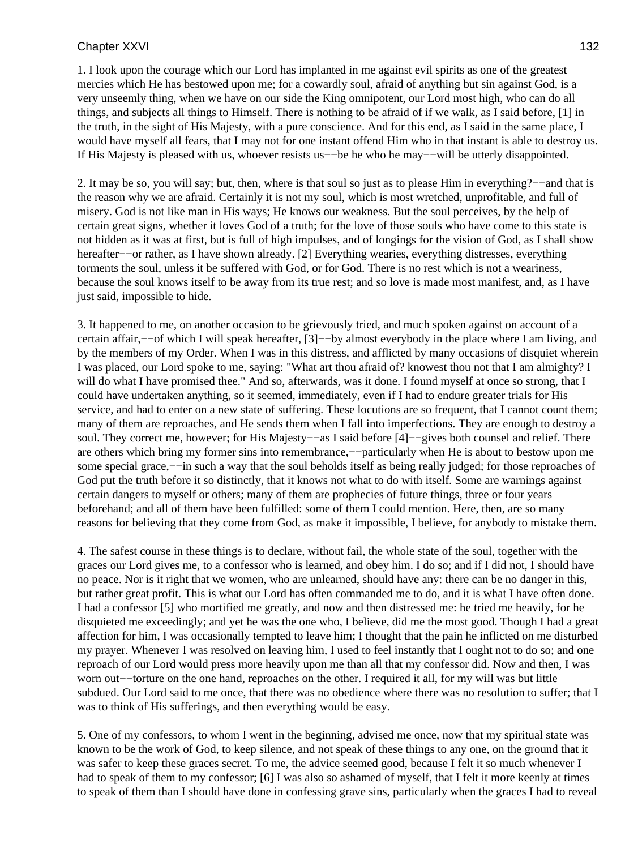1. I look upon the courage which our Lord has implanted in me against evil spirits as one of the greatest mercies which He has bestowed upon me; for a cowardly soul, afraid of anything but sin against God, is a very unseemly thing, when we have on our side the King omnipotent, our Lord most high, who can do all things, and subjects all things to Himself. There is nothing to be afraid of if we walk, as I said before, [1] in the truth, in the sight of His Majesty, with a pure conscience. And for this end, as I said in the same place, I would have myself all fears, that I may not for one instant offend Him who in that instant is able to destroy us. If His Majesty is pleased with us, whoever resists us−−be he who he may−−will be utterly disappointed.

2. It may be so, you will say; but, then, where is that soul so just as to please Him in everything?−−and that is the reason why we are afraid. Certainly it is not my soul, which is most wretched, unprofitable, and full of misery. God is not like man in His ways; He knows our weakness. But the soul perceives, by the help of certain great signs, whether it loves God of a truth; for the love of those souls who have come to this state is not hidden as it was at first, but is full of high impulses, and of longings for the vision of God, as I shall show hereafter−−or rather, as I have shown already. [2] Everything wearies, everything distresses, everything torments the soul, unless it be suffered with God, or for God. There is no rest which is not a weariness, because the soul knows itself to be away from its true rest; and so love is made most manifest, and, as I have just said, impossible to hide.

3. It happened to me, on another occasion to be grievously tried, and much spoken against on account of a certain affair,−−of which I will speak hereafter, [3]−−by almost everybody in the place where I am living, and by the members of my Order. When I was in this distress, and afflicted by many occasions of disquiet wherein I was placed, our Lord spoke to me, saying: "What art thou afraid of? knowest thou not that I am almighty? I will do what I have promised thee." And so, afterwards, was it done. I found myself at once so strong, that I could have undertaken anything, so it seemed, immediately, even if I had to endure greater trials for His service, and had to enter on a new state of suffering. These locutions are so frequent, that I cannot count them; many of them are reproaches, and He sends them when I fall into imperfections. They are enough to destroy a soul. They correct me, however; for His Majesty–−as I said before [4]–−gives both counsel and relief. There are others which bring my former sins into remembrance,−−particularly when He is about to bestow upon me some special grace,—−in such a way that the soul beholds itself as being really judged; for those reproaches of God put the truth before it so distinctly, that it knows not what to do with itself. Some are warnings against certain dangers to myself or others; many of them are prophecies of future things, three or four years beforehand; and all of them have been fulfilled: some of them I could mention. Here, then, are so many reasons for believing that they come from God, as make it impossible, I believe, for anybody to mistake them.

4. The safest course in these things is to declare, without fail, the whole state of the soul, together with the graces our Lord gives me, to a confessor who is learned, and obey him. I do so; and if I did not, I should have no peace. Nor is it right that we women, who are unlearned, should have any: there can be no danger in this, but rather great profit. This is what our Lord has often commanded me to do, and it is what I have often done. I had a confessor [5] who mortified me greatly, and now and then distressed me: he tried me heavily, for he disquieted me exceedingly; and yet he was the one who, I believe, did me the most good. Though I had a great affection for him, I was occasionally tempted to leave him; I thought that the pain he inflicted on me disturbed my prayer. Whenever I was resolved on leaving him, I used to feel instantly that I ought not to do so; and one reproach of our Lord would press more heavily upon me than all that my confessor did. Now and then, I was worn out−−torture on the one hand, reproaches on the other. I required it all, for my will was but little subdued. Our Lord said to me once, that there was no obedience where there was no resolution to suffer; that I was to think of His sufferings, and then everything would be easy.

5. One of my confessors, to whom I went in the beginning, advised me once, now that my spiritual state was known to be the work of God, to keep silence, and not speak of these things to any one, on the ground that it was safer to keep these graces secret. To me, the advice seemed good, because I felt it so much whenever I had to speak of them to my confessor; [6] I was also so ashamed of myself, that I felt it more keenly at times to speak of them than I should have done in confessing grave sins, particularly when the graces I had to reveal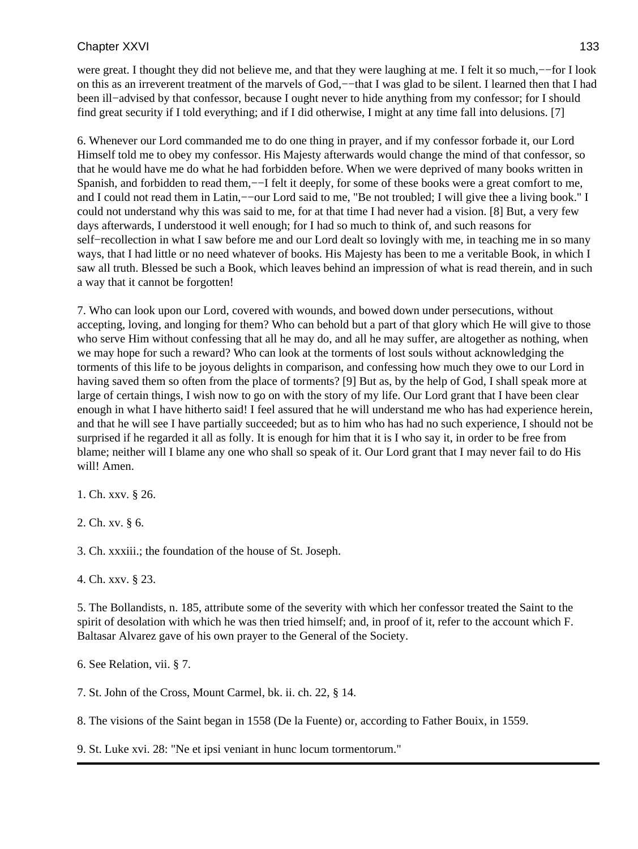were great. I thought they did not believe me, and that they were laughing at me. I felt it so much,−−for I look on this as an irreverent treatment of the marvels of God,−−that I was glad to be silent. I learned then that I had been ill−advised by that confessor, because I ought never to hide anything from my confessor; for I should find great security if I told everything; and if I did otherwise, I might at any time fall into delusions. [7]

6. Whenever our Lord commanded me to do one thing in prayer, and if my confessor forbade it, our Lord Himself told me to obey my confessor. His Majesty afterwards would change the mind of that confessor, so that he would have me do what he had forbidden before. When we were deprived of many books written in Spanish, and forbidden to read them,——I felt it deeply, for some of these books were a great comfort to me, and I could not read them in Latin,−−our Lord said to me, "Be not troubled; I will give thee a living book." I could not understand why this was said to me, for at that time I had never had a vision. [8] But, a very few days afterwards, I understood it well enough; for I had so much to think of, and such reasons for self−recollection in what I saw before me and our Lord dealt so lovingly with me, in teaching me in so many ways, that I had little or no need whatever of books. His Majesty has been to me a veritable Book, in which I saw all truth. Blessed be such a Book, which leaves behind an impression of what is read therein, and in such a way that it cannot be forgotten!

7. Who can look upon our Lord, covered with wounds, and bowed down under persecutions, without accepting, loving, and longing for them? Who can behold but a part of that glory which He will give to those who serve Him without confessing that all he may do, and all he may suffer, are altogether as nothing, when we may hope for such a reward? Who can look at the torments of lost souls without acknowledging the torments of this life to be joyous delights in comparison, and confessing how much they owe to our Lord in having saved them so often from the place of torments? [9] But as, by the help of God, I shall speak more at large of certain things, I wish now to go on with the story of my life. Our Lord grant that I have been clear enough in what I have hitherto said! I feel assured that he will understand me who has had experience herein, and that he will see I have partially succeeded; but as to him who has had no such experience, I should not be surprised if he regarded it all as folly. It is enough for him that it is I who say it, in order to be free from blame; neither will I blame any one who shall so speak of it. Our Lord grant that I may never fail to do His will! Amen.

1. Ch. xxv. § 26.

2. Ch. xv. § 6.

3. Ch. xxxiii.; the foundation of the house of St. Joseph.

4. Ch. xxv. § 23.

5. The Bollandists, n. 185, attribute some of the severity with which her confessor treated the Saint to the spirit of desolation with which he was then tried himself; and, in proof of it, refer to the account which F. Baltasar Alvarez gave of his own prayer to the General of the Society.

6. See Relation, vii. § 7.

7. St. John of the Cross, Mount Carmel, bk. ii. ch. 22, § 14.

8. The visions of the Saint began in 1558 (De la Fuente) or, according to Father Bouix, in 1559.

9. St. Luke xvi. 28: "Ne et ipsi veniant in hunc locum tormentorum."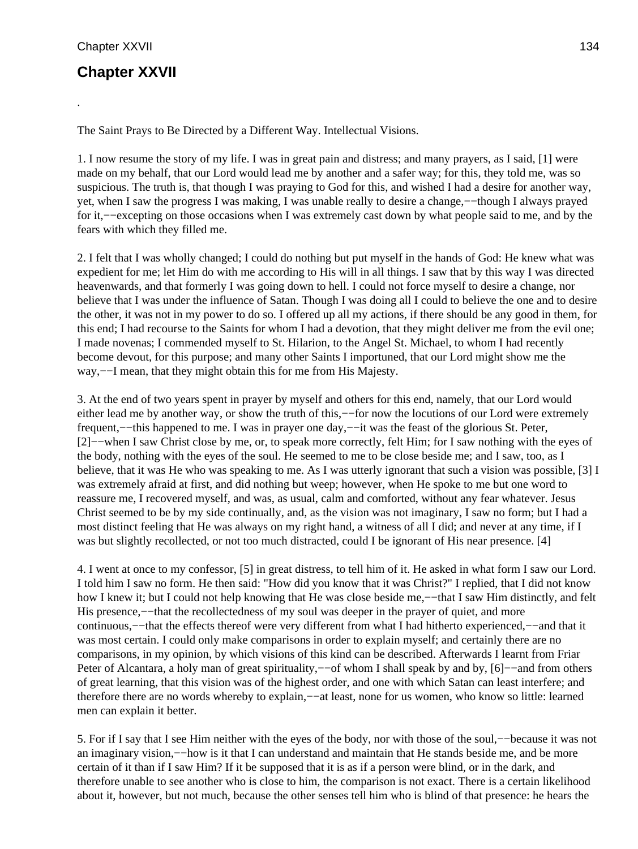.

# **Chapter XXVII**

The Saint Prays to Be Directed by a Different Way. Intellectual Visions.

1. I now resume the story of my life. I was in great pain and distress; and many prayers, as I said, [1] were made on my behalf, that our Lord would lead me by another and a safer way; for this, they told me, was so suspicious. The truth is, that though I was praying to God for this, and wished I had a desire for another way, yet, when I saw the progress I was making, I was unable really to desire a change,−−though I always prayed for it,−−excepting on those occasions when I was extremely cast down by what people said to me, and by the fears with which they filled me.

2. I felt that I was wholly changed; I could do nothing but put myself in the hands of God: He knew what was expedient for me; let Him do with me according to His will in all things. I saw that by this way I was directed heavenwards, and that formerly I was going down to hell. I could not force myself to desire a change, nor believe that I was under the influence of Satan. Though I was doing all I could to believe the one and to desire the other, it was not in my power to do so. I offered up all my actions, if there should be any good in them, for this end; I had recourse to the Saints for whom I had a devotion, that they might deliver me from the evil one; I made novenas; I commended myself to St. Hilarion, to the Angel St. Michael, to whom I had recently become devout, for this purpose; and many other Saints I importuned, that our Lord might show me the way,−−I mean, that they might obtain this for me from His Majesty.

3. At the end of two years spent in prayer by myself and others for this end, namely, that our Lord would either lead me by another way, or show the truth of this,—−for now the locutions of our Lord were extremely frequent,−−this happened to me. I was in prayer one day,−−it was the feast of the glorious St. Peter, [2]−–when I saw Christ close by me, or, to speak more correctly, felt Him; for I saw nothing with the eyes of the body, nothing with the eyes of the soul. He seemed to me to be close beside me; and I saw, too, as I believe, that it was He who was speaking to me. As I was utterly ignorant that such a vision was possible, [3] I was extremely afraid at first, and did nothing but weep; however, when He spoke to me but one word to reassure me, I recovered myself, and was, as usual, calm and comforted, without any fear whatever. Jesus Christ seemed to be by my side continually, and, as the vision was not imaginary, I saw no form; but I had a most distinct feeling that He was always on my right hand, a witness of all I did; and never at any time, if I was but slightly recollected, or not too much distracted, could I be ignorant of His near presence. [4]

4. I went at once to my confessor, [5] in great distress, to tell him of it. He asked in what form I saw our Lord. I told him I saw no form. He then said: "How did you know that it was Christ?" I replied, that I did not know how I knew it; but I could not help knowing that He was close beside me,−−that I saw Him distinctly, and felt His presence,—−that the recollectedness of my soul was deeper in the prayer of quiet, and more continuous,−−that the effects thereof were very different from what I had hitherto experienced,−−and that it was most certain. I could only make comparisons in order to explain myself; and certainly there are no comparisons, in my opinion, by which visions of this kind can be described. Afterwards I learnt from Friar Peter of Alcantara, a holy man of great spirituality,−−of whom I shall speak by and by, [6]−−and from others of great learning, that this vision was of the highest order, and one with which Satan can least interfere; and therefore there are no words whereby to explain,−−at least, none for us women, who know so little: learned men can explain it better.

5. For if I say that I see Him neither with the eyes of the body, nor with those of the soul,−−because it was not an imaginary vision,−−how is it that I can understand and maintain that He stands beside me, and be more certain of it than if I saw Him? If it be supposed that it is as if a person were blind, or in the dark, and therefore unable to see another who is close to him, the comparison is not exact. There is a certain likelihood about it, however, but not much, because the other senses tell him who is blind of that presence: he hears the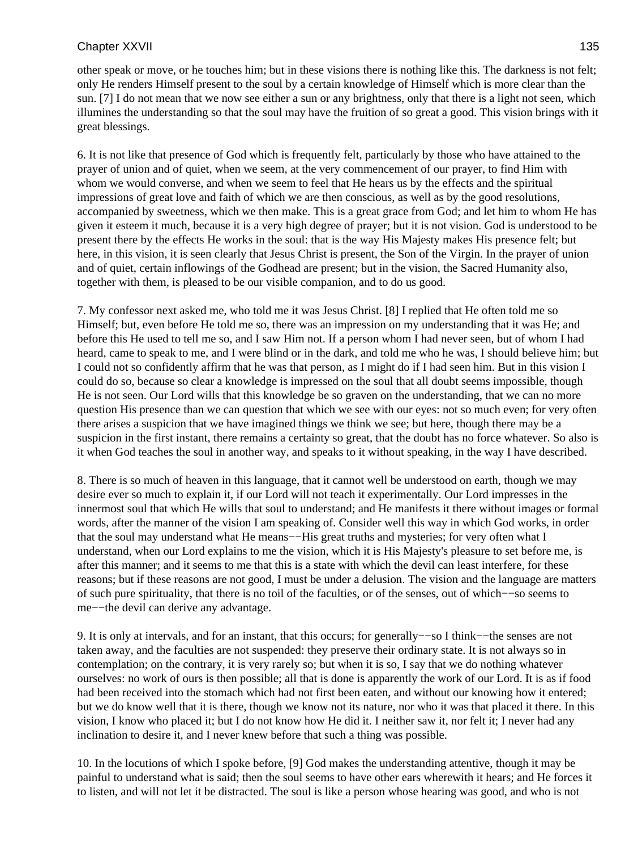other speak or move, or he touches him; but in these visions there is nothing like this. The darkness is not felt; only He renders Himself present to the soul by a certain knowledge of Himself which is more clear than the sun. [7] I do not mean that we now see either a sun or any brightness, only that there is a light not seen, which illumines the understanding so that the soul may have the fruition of so great a good. This vision brings with it great blessings.

6. It is not like that presence of God which is frequently felt, particularly by those who have attained to the prayer of union and of quiet, when we seem, at the very commencement of our prayer, to find Him with whom we would converse, and when we seem to feel that He hears us by the effects and the spiritual impressions of great love and faith of which we are then conscious, as well as by the good resolutions, accompanied by sweetness, which we then make. This is a great grace from God; and let him to whom He has given it esteem it much, because it is a very high degree of prayer; but it is not vision. God is understood to be present there by the effects He works in the soul: that is the way His Majesty makes His presence felt; but here, in this vision, it is seen clearly that Jesus Christ is present, the Son of the Virgin. In the prayer of union and of quiet, certain inflowings of the Godhead are present; but in the vision, the Sacred Humanity also, together with them, is pleased to be our visible companion, and to do us good.

7. My confessor next asked me, who told me it was Jesus Christ. [8] I replied that He often told me so Himself; but, even before He told me so, there was an impression on my understanding that it was He; and before this He used to tell me so, and I saw Him not. If a person whom I had never seen, but of whom I had heard, came to speak to me, and I were blind or in the dark, and told me who he was, I should believe him; but I could not so confidently affirm that he was that person, as I might do if I had seen him. But in this vision I could do so, because so clear a knowledge is impressed on the soul that all doubt seems impossible, though He is not seen. Our Lord wills that this knowledge be so graven on the understanding, that we can no more question His presence than we can question that which we see with our eyes: not so much even; for very often there arises a suspicion that we have imagined things we think we see; but here, though there may be a suspicion in the first instant, there remains a certainty so great, that the doubt has no force whatever. So also is it when God teaches the soul in another way, and speaks to it without speaking, in the way I have described.

8. There is so much of heaven in this language, that it cannot well be understood on earth, though we may desire ever so much to explain it, if our Lord will not teach it experimentally. Our Lord impresses in the innermost soul that which He wills that soul to understand; and He manifests it there without images or formal words, after the manner of the vision I am speaking of. Consider well this way in which God works, in order that the soul may understand what He means−−His great truths and mysteries; for very often what I understand, when our Lord explains to me the vision, which it is His Majesty's pleasure to set before me, is after this manner; and it seems to me that this is a state with which the devil can least interfere, for these reasons; but if these reasons are not good, I must be under a delusion. The vision and the language are matters of such pure spirituality, that there is no toil of the faculties, or of the senses, out of which−−so seems to me−−the devil can derive any advantage.

9. It is only at intervals, and for an instant, that this occurs; for generally––so I think––the senses are not taken away, and the faculties are not suspended: they preserve their ordinary state. It is not always so in contemplation; on the contrary, it is very rarely so; but when it is so, I say that we do nothing whatever ourselves: no work of ours is then possible; all that is done is apparently the work of our Lord. It is as if food had been received into the stomach which had not first been eaten, and without our knowing how it entered; but we do know well that it is there, though we know not its nature, nor who it was that placed it there. In this vision, I know who placed it; but I do not know how He did it. I neither saw it, nor felt it; I never had any inclination to desire it, and I never knew before that such a thing was possible.

10. In the locutions of which I spoke before, [9] God makes the understanding attentive, though it may be painful to understand what is said; then the soul seems to have other ears wherewith it hears; and He forces it to listen, and will not let it be distracted. The soul is like a person whose hearing was good, and who is not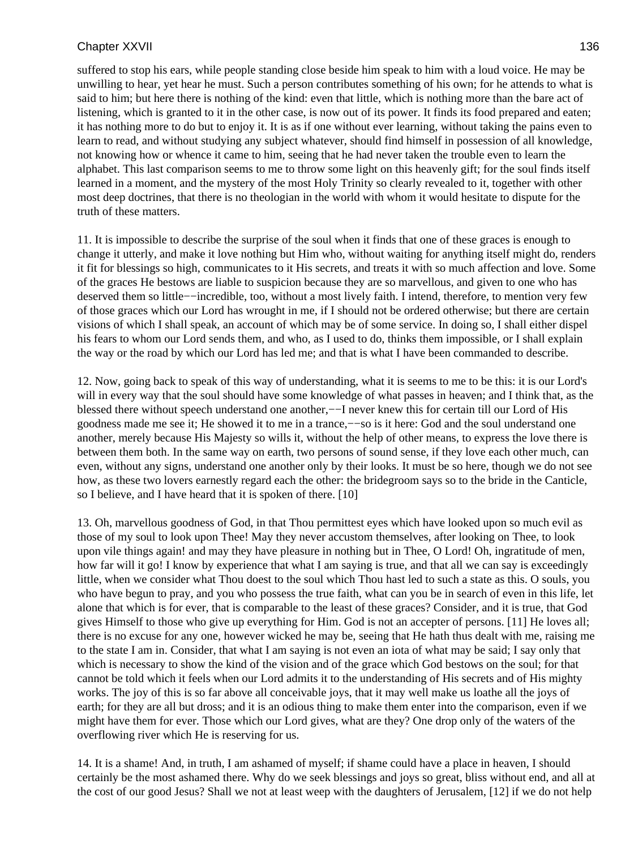suffered to stop his ears, while people standing close beside him speak to him with a loud voice. He may be unwilling to hear, yet hear he must. Such a person contributes something of his own; for he attends to what is said to him; but here there is nothing of the kind: even that little, which is nothing more than the bare act of listening, which is granted to it in the other case, is now out of its power. It finds its food prepared and eaten; it has nothing more to do but to enjoy it. It is as if one without ever learning, without taking the pains even to learn to read, and without studying any subject whatever, should find himself in possession of all knowledge, not knowing how or whence it came to him, seeing that he had never taken the trouble even to learn the alphabet. This last comparison seems to me to throw some light on this heavenly gift; for the soul finds itself learned in a moment, and the mystery of the most Holy Trinity so clearly revealed to it, together with other most deep doctrines, that there is no theologian in the world with whom it would hesitate to dispute for the truth of these matters.

11. It is impossible to describe the surprise of the soul when it finds that one of these graces is enough to change it utterly, and make it love nothing but Him who, without waiting for anything itself might do, renders it fit for blessings so high, communicates to it His secrets, and treats it with so much affection and love. Some of the graces He bestows are liable to suspicion because they are so marvellous, and given to one who has deserved them so little−−incredible, too, without a most lively faith. I intend, therefore, to mention very few of those graces which our Lord has wrought in me, if I should not be ordered otherwise; but there are certain visions of which I shall speak, an account of which may be of some service. In doing so, I shall either dispel his fears to whom our Lord sends them, and who, as I used to do, thinks them impossible, or I shall explain the way or the road by which our Lord has led me; and that is what I have been commanded to describe.

12. Now, going back to speak of this way of understanding, what it is seems to me to be this: it is our Lord's will in every way that the soul should have some knowledge of what passes in heaven; and I think that, as the blessed there without speech understand one another,−−I never knew this for certain till our Lord of His goodness made me see it; He showed it to me in a trance,−−so is it here: God and the soul understand one another, merely because His Majesty so wills it, without the help of other means, to express the love there is between them both. In the same way on earth, two persons of sound sense, if they love each other much, can even, without any signs, understand one another only by their looks. It must be so here, though we do not see how, as these two lovers earnestly regard each the other: the bridegroom says so to the bride in the Canticle, so I believe, and I have heard that it is spoken of there. [10]

13. Oh, marvellous goodness of God, in that Thou permittest eyes which have looked upon so much evil as those of my soul to look upon Thee! May they never accustom themselves, after looking on Thee, to look upon vile things again! and may they have pleasure in nothing but in Thee, O Lord! Oh, ingratitude of men, how far will it go! I know by experience that what I am saying is true, and that all we can say is exceedingly little, when we consider what Thou doest to the soul which Thou hast led to such a state as this. O souls, you who have begun to pray, and you who possess the true faith, what can you be in search of even in this life, let alone that which is for ever, that is comparable to the least of these graces? Consider, and it is true, that God gives Himself to those who give up everything for Him. God is not an accepter of persons. [11] He loves all; there is no excuse for any one, however wicked he may be, seeing that He hath thus dealt with me, raising me to the state I am in. Consider, that what I am saying is not even an iota of what may be said; I say only that which is necessary to show the kind of the vision and of the grace which God bestows on the soul; for that cannot be told which it feels when our Lord admits it to the understanding of His secrets and of His mighty works. The joy of this is so far above all conceivable joys, that it may well make us loathe all the joys of earth; for they are all but dross; and it is an odious thing to make them enter into the comparison, even if we might have them for ever. Those which our Lord gives, what are they? One drop only of the waters of the overflowing river which He is reserving for us.

14. It is a shame! And, in truth, I am ashamed of myself; if shame could have a place in heaven, I should certainly be the most ashamed there. Why do we seek blessings and joys so great, bliss without end, and all at the cost of our good Jesus? Shall we not at least weep with the daughters of Jerusalem, [12] if we do not help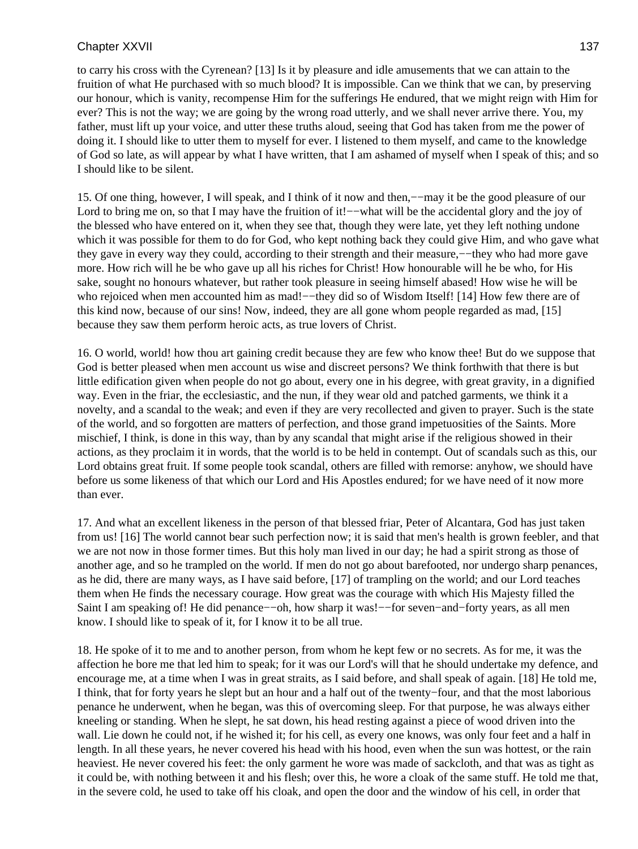to carry his cross with the Cyrenean? [13] Is it by pleasure and idle amusements that we can attain to the fruition of what He purchased with so much blood? It is impossible. Can we think that we can, by preserving our honour, which is vanity, recompense Him for the sufferings He endured, that we might reign with Him for ever? This is not the way; we are going by the wrong road utterly, and we shall never arrive there. You, my father, must lift up your voice, and utter these truths aloud, seeing that God has taken from me the power of doing it. I should like to utter them to myself for ever. I listened to them myself, and came to the knowledge of God so late, as will appear by what I have written, that I am ashamed of myself when I speak of this; and so I should like to be silent.

15. Of one thing, however, I will speak, and I think of it now and then,−−may it be the good pleasure of our Lord to bring me on, so that I may have the fruition of it!—–what will be the accidental glory and the joy of the blessed who have entered on it, when they see that, though they were late, yet they left nothing undone which it was possible for them to do for God, who kept nothing back they could give Him, and who gave what they gave in every way they could, according to their strength and their measure,−−they who had more gave more. How rich will he be who gave up all his riches for Christ! How honourable will he be who, for His sake, sought no honours whatever, but rather took pleasure in seeing himself abased! How wise he will be who rejoiced when men accounted him as mad!—−they did so of Wisdom Itself! [14] How few there are of this kind now, because of our sins! Now, indeed, they are all gone whom people regarded as mad, [15] because they saw them perform heroic acts, as true lovers of Christ.

16. O world, world! how thou art gaining credit because they are few who know thee! But do we suppose that God is better pleased when men account us wise and discreet persons? We think forthwith that there is but little edification given when people do not go about, every one in his degree, with great gravity, in a dignified way. Even in the friar, the ecclesiastic, and the nun, if they wear old and patched garments, we think it a novelty, and a scandal to the weak; and even if they are very recollected and given to prayer. Such is the state of the world, and so forgotten are matters of perfection, and those grand impetuosities of the Saints. More mischief, I think, is done in this way, than by any scandal that might arise if the religious showed in their actions, as they proclaim it in words, that the world is to be held in contempt. Out of scandals such as this, our Lord obtains great fruit. If some people took scandal, others are filled with remorse: anyhow, we should have before us some likeness of that which our Lord and His Apostles endured; for we have need of it now more than ever.

17. And what an excellent likeness in the person of that blessed friar, Peter of Alcantara, God has just taken from us! [16] The world cannot bear such perfection now; it is said that men's health is grown feebler, and that we are not now in those former times. But this holy man lived in our day; he had a spirit strong as those of another age, and so he trampled on the world. If men do not go about barefooted, nor undergo sharp penances, as he did, there are many ways, as I have said before, [17] of trampling on the world; and our Lord teaches them when He finds the necessary courage. How great was the courage with which His Majesty filled the Saint I am speaking of! He did penance–−oh, how sharp it was!–−for seven–and–forty years, as all men know. I should like to speak of it, for I know it to be all true.

18. He spoke of it to me and to another person, from whom he kept few or no secrets. As for me, it was the affection he bore me that led him to speak; for it was our Lord's will that he should undertake my defence, and encourage me, at a time when I was in great straits, as I said before, and shall speak of again. [18] He told me, I think, that for forty years he slept but an hour and a half out of the twenty−four, and that the most laborious penance he underwent, when he began, was this of overcoming sleep. For that purpose, he was always either kneeling or standing. When he slept, he sat down, his head resting against a piece of wood driven into the wall. Lie down he could not, if he wished it; for his cell, as every one knows, was only four feet and a half in length. In all these years, he never covered his head with his hood, even when the sun was hottest, or the rain heaviest. He never covered his feet: the only garment he wore was made of sackcloth, and that was as tight as it could be, with nothing between it and his flesh; over this, he wore a cloak of the same stuff. He told me that, in the severe cold, he used to take off his cloak, and open the door and the window of his cell, in order that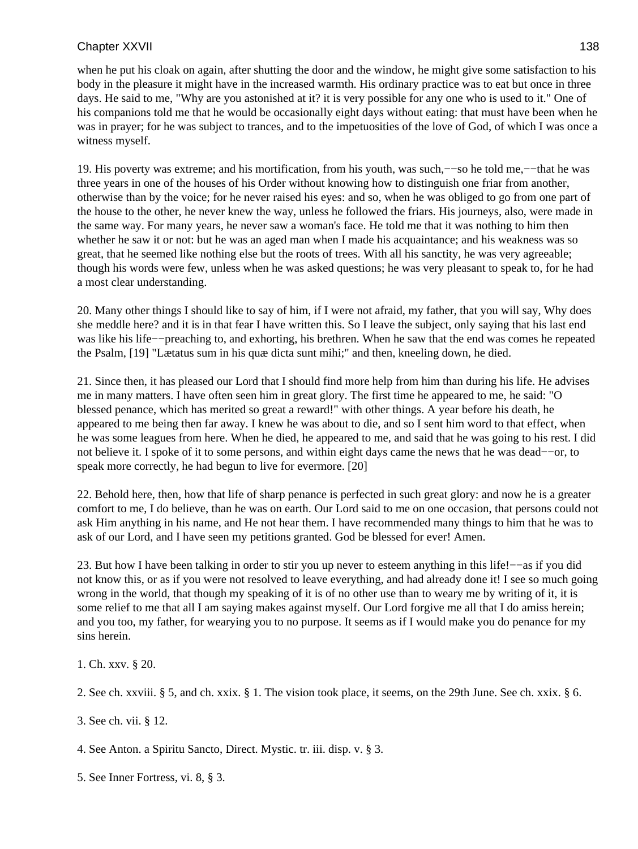when he put his cloak on again, after shutting the door and the window, he might give some satisfaction to his body in the pleasure it might have in the increased warmth. His ordinary practice was to eat but once in three days. He said to me, "Why are you astonished at it? it is very possible for any one who is used to it." One of his companions told me that he would be occasionally eight days without eating: that must have been when he was in prayer; for he was subject to trances, and to the impetuosities of the love of God, of which I was once a witness myself.

19. His poverty was extreme; and his mortification, from his youth, was such,−−so he told me,−−that he was three years in one of the houses of his Order without knowing how to distinguish one friar from another, otherwise than by the voice; for he never raised his eyes: and so, when he was obliged to go from one part of the house to the other, he never knew the way, unless he followed the friars. His journeys, also, were made in the same way. For many years, he never saw a woman's face. He told me that it was nothing to him then whether he saw it or not: but he was an aged man when I made his acquaintance; and his weakness was so great, that he seemed like nothing else but the roots of trees. With all his sanctity, he was very agreeable; though his words were few, unless when he was asked questions; he was very pleasant to speak to, for he had a most clear understanding.

20. Many other things I should like to say of him, if I were not afraid, my father, that you will say, Why does she meddle here? and it is in that fear I have written this. So I leave the subject, only saying that his last end was like his life−−preaching to, and exhorting, his brethren. When he saw that the end was comes he repeated the Psalm, [19] "Lætatus sum in his quæ dicta sunt mihi;" and then, kneeling down, he died.

21. Since then, it has pleased our Lord that I should find more help from him than during his life. He advises me in many matters. I have often seen him in great glory. The first time he appeared to me, he said: "O blessed penance, which has merited so great a reward!" with other things. A year before his death, he appeared to me being then far away. I knew he was about to die, and so I sent him word to that effect, when he was some leagues from here. When he died, he appeared to me, and said that he was going to his rest. I did not believe it. I spoke of it to some persons, and within eight days came the news that he was dead−−or, to speak more correctly, he had begun to live for evermore. [20]

22. Behold here, then, how that life of sharp penance is perfected in such great glory: and now he is a greater comfort to me, I do believe, than he was on earth. Our Lord said to me on one occasion, that persons could not ask Him anything in his name, and He not hear them. I have recommended many things to him that he was to ask of our Lord, and I have seen my petitions granted. God be blessed for ever! Amen.

23. But how I have been talking in order to stir you up never to esteem anything in this life!−−as if you did not know this, or as if you were not resolved to leave everything, and had already done it! I see so much going wrong in the world, that though my speaking of it is of no other use than to weary me by writing of it, it is some relief to me that all I am saying makes against myself. Our Lord forgive me all that I do amiss herein; and you too, my father, for wearying you to no purpose. It seems as if I would make you do penance for my sins herein.

1. Ch. xxv. § 20.

2. See ch. xxviii. § 5, and ch. xxix. § 1. The vision took place, it seems, on the 29th June. See ch. xxix. § 6.

3. See ch. vii. § 12.

4. See Anton. a Spiritu Sancto, Direct. Mystic. tr. iii. disp. v. § 3.

5. See Inner Fortress, vi. 8, § 3.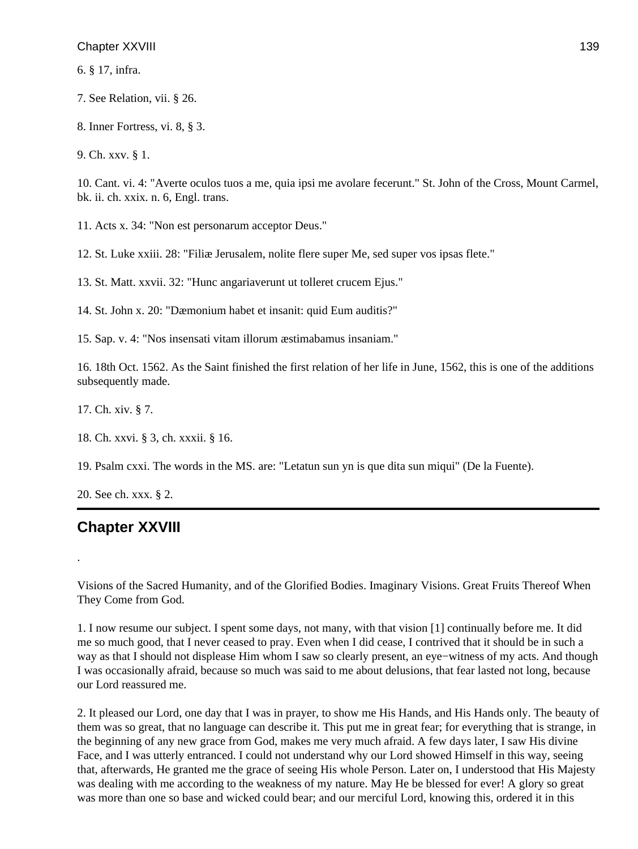6. § 17, infra.

7. See Relation, vii. § 26.

8. Inner Fortress, vi. 8, § 3.

9. Ch. xxv. § 1.

10. Cant. vi. 4: "Averte oculos tuos a me, quia ipsi me avolare fecerunt." St. John of the Cross, Mount Carmel, bk. ii. ch. xxix. n. 6, Engl. trans.

11. Acts x. 34: "Non est personarum acceptor Deus."

12. St. Luke xxiii. 28: "Filiæ Jerusalem, nolite flere super Me, sed super vos ipsas flete."

13. St. Matt. xxvii. 32: "Hunc angariaverunt ut tolleret crucem Ejus."

14. St. John x. 20: "Dæmonium habet et insanit: quid Eum auditis?"

15. Sap. v. 4: "Nos insensati vitam illorum æstimabamus insaniam."

16. 18th Oct. 1562. As the Saint finished the first relation of her life in June, 1562, this is one of the additions subsequently made.

17. Ch. xiv. § 7.

18. Ch. xxvi. § 3, ch. xxxii. § 16.

19. Psalm cxxi. The words in the MS. are: "Letatun sun yn is que dita sun miqui" (De la Fuente).

20. See ch. xxx. § 2.

# **Chapter XXVIII**

.

Visions of the Sacred Humanity, and of the Glorified Bodies. Imaginary Visions. Great Fruits Thereof When They Come from God.

1. I now resume our subject. I spent some days, not many, with that vision [1] continually before me. It did me so much good, that I never ceased to pray. Even when I did cease, I contrived that it should be in such a way as that I should not displease Him whom I saw so clearly present, an eye−witness of my acts. And though I was occasionally afraid, because so much was said to me about delusions, that fear lasted not long, because our Lord reassured me.

2. It pleased our Lord, one day that I was in prayer, to show me His Hands, and His Hands only. The beauty of them was so great, that no language can describe it. This put me in great fear; for everything that is strange, in the beginning of any new grace from God, makes me very much afraid. A few days later, I saw His divine Face, and I was utterly entranced. I could not understand why our Lord showed Himself in this way, seeing that, afterwards, He granted me the grace of seeing His whole Person. Later on, I understood that His Majesty was dealing with me according to the weakness of my nature. May He be blessed for ever! A glory so great was more than one so base and wicked could bear; and our merciful Lord, knowing this, ordered it in this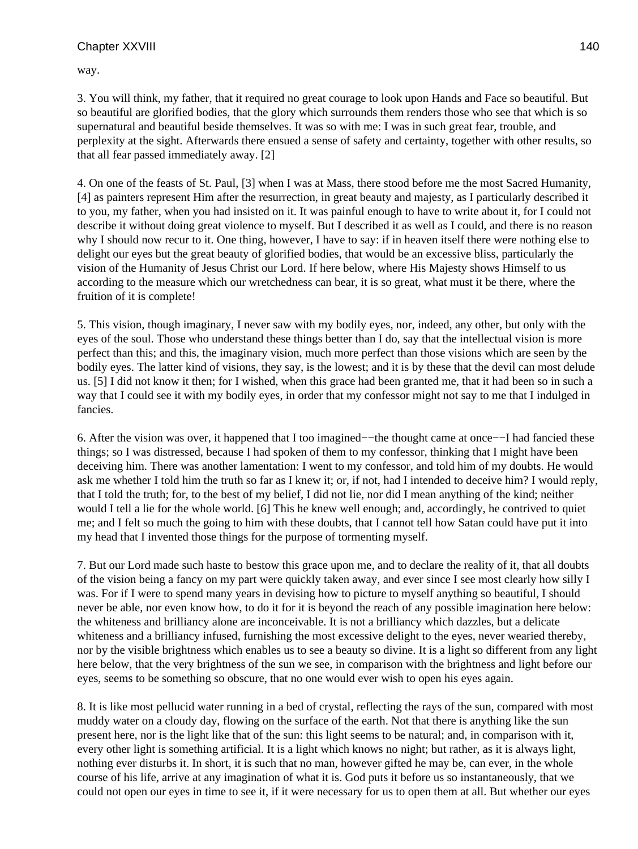way.

3. You will think, my father, that it required no great courage to look upon Hands and Face so beautiful. But so beautiful are glorified bodies, that the glory which surrounds them renders those who see that which is so supernatural and beautiful beside themselves. It was so with me: I was in such great fear, trouble, and perplexity at the sight. Afterwards there ensued a sense of safety and certainty, together with other results, so that all fear passed immediately away. [2]

4. On one of the feasts of St. Paul, [3] when I was at Mass, there stood before me the most Sacred Humanity, [4] as painters represent Him after the resurrection, in great beauty and majesty, as I particularly described it to you, my father, when you had insisted on it. It was painful enough to have to write about it, for I could not describe it without doing great violence to myself. But I described it as well as I could, and there is no reason why I should now recur to it. One thing, however, I have to say: if in heaven itself there were nothing else to delight our eyes but the great beauty of glorified bodies, that would be an excessive bliss, particularly the vision of the Humanity of Jesus Christ our Lord. If here below, where His Majesty shows Himself to us according to the measure which our wretchedness can bear, it is so great, what must it be there, where the fruition of it is complete!

5. This vision, though imaginary, I never saw with my bodily eyes, nor, indeed, any other, but only with the eyes of the soul. Those who understand these things better than I do, say that the intellectual vision is more perfect than this; and this, the imaginary vision, much more perfect than those visions which are seen by the bodily eyes. The latter kind of visions, they say, is the lowest; and it is by these that the devil can most delude us. [5] I did not know it then; for I wished, when this grace had been granted me, that it had been so in such a way that I could see it with my bodily eyes, in order that my confessor might not say to me that I indulged in fancies.

6. After the vision was over, it happened that I too imagined−−the thought came at once−−I had fancied these things; so I was distressed, because I had spoken of them to my confessor, thinking that I might have been deceiving him. There was another lamentation: I went to my confessor, and told him of my doubts. He would ask me whether I told him the truth so far as I knew it; or, if not, had I intended to deceive him? I would reply, that I told the truth; for, to the best of my belief, I did not lie, nor did I mean anything of the kind; neither would I tell a lie for the whole world. [6] This he knew well enough; and, accordingly, he contrived to quiet me; and I felt so much the going to him with these doubts, that I cannot tell how Satan could have put it into my head that I invented those things for the purpose of tormenting myself.

7. But our Lord made such haste to bestow this grace upon me, and to declare the reality of it, that all doubts of the vision being a fancy on my part were quickly taken away, and ever since I see most clearly how silly I was. For if I were to spend many years in devising how to picture to myself anything so beautiful, I should never be able, nor even know how, to do it for it is beyond the reach of any possible imagination here below: the whiteness and brilliancy alone are inconceivable. It is not a brilliancy which dazzles, but a delicate whiteness and a brilliancy infused, furnishing the most excessive delight to the eyes, never wearied thereby, nor by the visible brightness which enables us to see a beauty so divine. It is a light so different from any light here below, that the very brightness of the sun we see, in comparison with the brightness and light before our eyes, seems to be something so obscure, that no one would ever wish to open his eyes again.

8. It is like most pellucid water running in a bed of crystal, reflecting the rays of the sun, compared with most muddy water on a cloudy day, flowing on the surface of the earth. Not that there is anything like the sun present here, nor is the light like that of the sun: this light seems to be natural; and, in comparison with it, every other light is something artificial. It is a light which knows no night; but rather, as it is always light, nothing ever disturbs it. In short, it is such that no man, however gifted he may be, can ever, in the whole course of his life, arrive at any imagination of what it is. God puts it before us so instantaneously, that we could not open our eyes in time to see it, if it were necessary for us to open them at all. But whether our eyes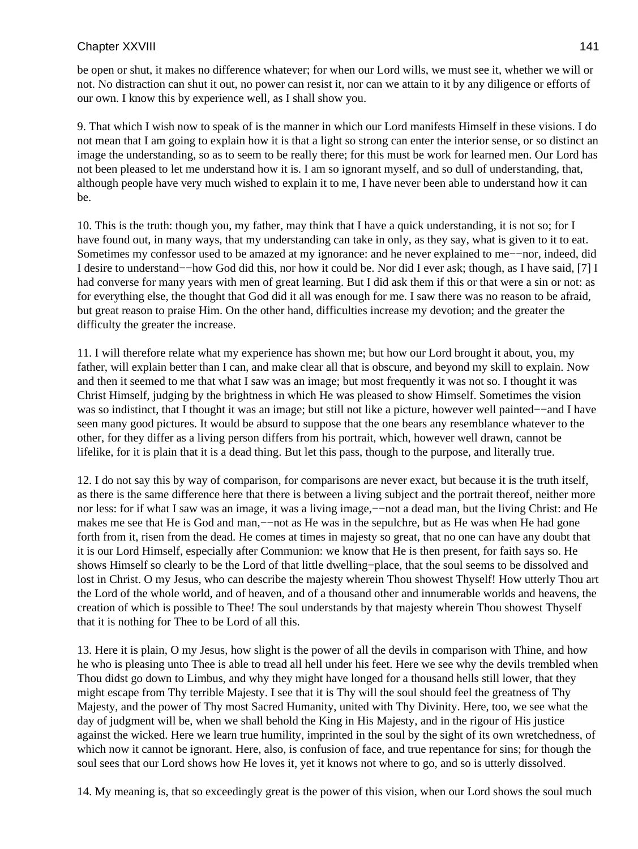be open or shut, it makes no difference whatever; for when our Lord wills, we must see it, whether we will or not. No distraction can shut it out, no power can resist it, nor can we attain to it by any diligence or efforts of our own. I know this by experience well, as I shall show you.

9. That which I wish now to speak of is the manner in which our Lord manifests Himself in these visions. I do not mean that I am going to explain how it is that a light so strong can enter the interior sense, or so distinct an image the understanding, so as to seem to be really there; for this must be work for learned men. Our Lord has not been pleased to let me understand how it is. I am so ignorant myself, and so dull of understanding, that, although people have very much wished to explain it to me, I have never been able to understand how it can be.

10. This is the truth: though you, my father, may think that I have a quick understanding, it is not so; for I have found out, in many ways, that my understanding can take in only, as they say, what is given to it to eat. Sometimes my confessor used to be amazed at my ignorance: and he never explained to me−−nor, indeed, did I desire to understand−−how God did this, nor how it could be. Nor did I ever ask; though, as I have said, [7] I had converse for many years with men of great learning. But I did ask them if this or that were a sin or not: as for everything else, the thought that God did it all was enough for me. I saw there was no reason to be afraid, but great reason to praise Him. On the other hand, difficulties increase my devotion; and the greater the difficulty the greater the increase.

11. I will therefore relate what my experience has shown me; but how our Lord brought it about, you, my father, will explain better than I can, and make clear all that is obscure, and beyond my skill to explain. Now and then it seemed to me that what I saw was an image; but most frequently it was not so. I thought it was Christ Himself, judging by the brightness in which He was pleased to show Himself. Sometimes the vision was so indistinct, that I thought it was an image; but still not like a picture, however well painted−−and I have seen many good pictures. It would be absurd to suppose that the one bears any resemblance whatever to the other, for they differ as a living person differs from his portrait, which, however well drawn, cannot be lifelike, for it is plain that it is a dead thing. But let this pass, though to the purpose, and literally true.

12. I do not say this by way of comparison, for comparisons are never exact, but because it is the truth itself, as there is the same difference here that there is between a living subject and the portrait thereof, neither more nor less: for if what I saw was an image, it was a living image,−−not a dead man, but the living Christ: and He makes me see that He is God and man,—not as He was in the sepulchre, but as He was when He had gone forth from it, risen from the dead. He comes at times in majesty so great, that no one can have any doubt that it is our Lord Himself, especially after Communion: we know that He is then present, for faith says so. He shows Himself so clearly to be the Lord of that little dwelling−place, that the soul seems to be dissolved and lost in Christ. O my Jesus, who can describe the majesty wherein Thou showest Thyself! How utterly Thou art the Lord of the whole world, and of heaven, and of a thousand other and innumerable worlds and heavens, the creation of which is possible to Thee! The soul understands by that majesty wherein Thou showest Thyself that it is nothing for Thee to be Lord of all this.

13. Here it is plain, O my Jesus, how slight is the power of all the devils in comparison with Thine, and how he who is pleasing unto Thee is able to tread all hell under his feet. Here we see why the devils trembled when Thou didst go down to Limbus, and why they might have longed for a thousand hells still lower, that they might escape from Thy terrible Majesty. I see that it is Thy will the soul should feel the greatness of Thy Majesty, and the power of Thy most Sacred Humanity, united with Thy Divinity. Here, too, we see what the day of judgment will be, when we shall behold the King in His Majesty, and in the rigour of His justice against the wicked. Here we learn true humility, imprinted in the soul by the sight of its own wretchedness, of which now it cannot be ignorant. Here, also, is confusion of face, and true repentance for sins; for though the soul sees that our Lord shows how He loves it, yet it knows not where to go, and so is utterly dissolved.

14. My meaning is, that so exceedingly great is the power of this vision, when our Lord shows the soul much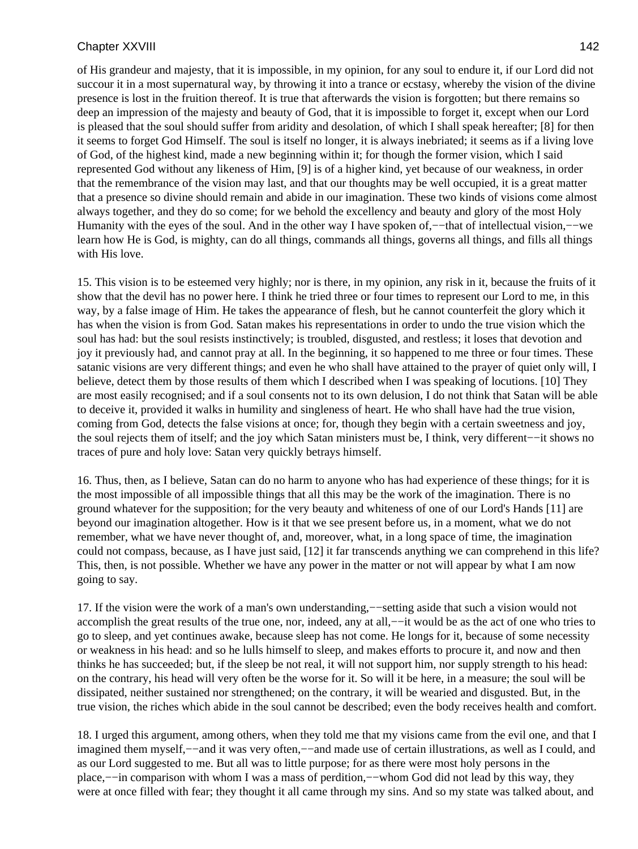of His grandeur and majesty, that it is impossible, in my opinion, for any soul to endure it, if our Lord did not succour it in a most supernatural way, by throwing it into a trance or ecstasy, whereby the vision of the divine presence is lost in the fruition thereof. It is true that afterwards the vision is forgotten; but there remains so deep an impression of the majesty and beauty of God, that it is impossible to forget it, except when our Lord is pleased that the soul should suffer from aridity and desolation, of which I shall speak hereafter; [8] for then it seems to forget God Himself. The soul is itself no longer, it is always inebriated; it seems as if a living love of God, of the highest kind, made a new beginning within it; for though the former vision, which I said represented God without any likeness of Him, [9] is of a higher kind, yet because of our weakness, in order that the remembrance of the vision may last, and that our thoughts may be well occupied, it is a great matter that a presence so divine should remain and abide in our imagination. These two kinds of visions come almost always together, and they do so come; for we behold the excellency and beauty and glory of the most Holy Humanity with the eyes of the soul. And in the other way I have spoken of,−−that of intellectual vision,−−we learn how He is God, is mighty, can do all things, commands all things, governs all things, and fills all things with His love.

15. This vision is to be esteemed very highly; nor is there, in my opinion, any risk in it, because the fruits of it show that the devil has no power here. I think he tried three or four times to represent our Lord to me, in this way, by a false image of Him. He takes the appearance of flesh, but he cannot counterfeit the glory which it has when the vision is from God. Satan makes his representations in order to undo the true vision which the soul has had: but the soul resists instinctively; is troubled, disgusted, and restless; it loses that devotion and joy it previously had, and cannot pray at all. In the beginning, it so happened to me three or four times. These satanic visions are very different things; and even he who shall have attained to the prayer of quiet only will, I believe, detect them by those results of them which I described when I was speaking of locutions. [10] They are most easily recognised; and if a soul consents not to its own delusion, I do not think that Satan will be able to deceive it, provided it walks in humility and singleness of heart. He who shall have had the true vision, coming from God, detects the false visions at once; for, though they begin with a certain sweetness and joy, the soul rejects them of itself; and the joy which Satan ministers must be, I think, very different−−it shows no traces of pure and holy love: Satan very quickly betrays himself.

16. Thus, then, as I believe, Satan can do no harm to anyone who has had experience of these things; for it is the most impossible of all impossible things that all this may be the work of the imagination. There is no ground whatever for the supposition; for the very beauty and whiteness of one of our Lord's Hands [11] are beyond our imagination altogether. How is it that we see present before us, in a moment, what we do not remember, what we have never thought of, and, moreover, what, in a long space of time, the imagination could not compass, because, as I have just said, [12] it far transcends anything we can comprehend in this life? This, then, is not possible. Whether we have any power in the matter or not will appear by what I am now going to say.

17. If the vision were the work of a man's own understanding,−−setting aside that such a vision would not accomplish the great results of the true one, nor, indeed, any at all,−−it would be as the act of one who tries to go to sleep, and yet continues awake, because sleep has not come. He longs for it, because of some necessity or weakness in his head: and so he lulls himself to sleep, and makes efforts to procure it, and now and then thinks he has succeeded; but, if the sleep be not real, it will not support him, nor supply strength to his head: on the contrary, his head will very often be the worse for it. So will it be here, in a measure; the soul will be dissipated, neither sustained nor strengthened; on the contrary, it will be wearied and disgusted. But, in the true vision, the riches which abide in the soul cannot be described; even the body receives health and comfort.

18. I urged this argument, among others, when they told me that my visions came from the evil one, and that I imagined them myself,−−and it was very often,−−and made use of certain illustrations, as well as I could, and as our Lord suggested to me. But all was to little purpose; for as there were most holy persons in the place,--in comparison with whom I was a mass of perdition,--whom God did not lead by this way, they were at once filled with fear; they thought it all came through my sins. And so my state was talked about, and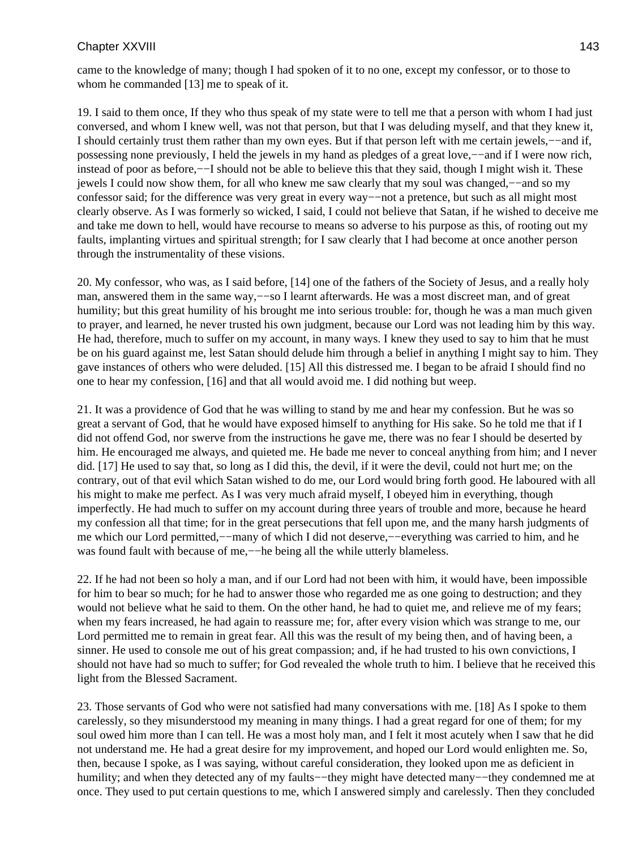came to the knowledge of many; though I had spoken of it to no one, except my confessor, or to those to whom he commanded [13] me to speak of it.

19. I said to them once, If they who thus speak of my state were to tell me that a person with whom I had just conversed, and whom I knew well, was not that person, but that I was deluding myself, and that they knew it, I should certainly trust them rather than my own eyes. But if that person left with me certain jewels,−−and if, possessing none previously, I held the jewels in my hand as pledges of a great love,−−and if I were now rich, instead of poor as before,−−I should not be able to believe this that they said, though I might wish it. These jewels I could now show them, for all who knew me saw clearly that my soul was changed,−−and so my confessor said; for the difference was very great in every way−−not a pretence, but such as all might most clearly observe. As I was formerly so wicked, I said, I could not believe that Satan, if he wished to deceive me and take me down to hell, would have recourse to means so adverse to his purpose as this, of rooting out my faults, implanting virtues and spiritual strength; for I saw clearly that I had become at once another person through the instrumentality of these visions.

20. My confessor, who was, as I said before, [14] one of the fathers of the Society of Jesus, and a really holy man, answered them in the same way,−−so I learnt afterwards. He was a most discreet man, and of great humility; but this great humility of his brought me into serious trouble: for, though he was a man much given to prayer, and learned, he never trusted his own judgment, because our Lord was not leading him by this way. He had, therefore, much to suffer on my account, in many ways. I knew they used to say to him that he must be on his guard against me, lest Satan should delude him through a belief in anything I might say to him. They gave instances of others who were deluded. [15] All this distressed me. I began to be afraid I should find no one to hear my confession, [16] and that all would avoid me. I did nothing but weep.

21. It was a providence of God that he was willing to stand by me and hear my confession. But he was so great a servant of God, that he would have exposed himself to anything for His sake. So he told me that if I did not offend God, nor swerve from the instructions he gave me, there was no fear I should be deserted by him. He encouraged me always, and quieted me. He bade me never to conceal anything from him; and I never did. [17] He used to say that, so long as I did this, the devil, if it were the devil, could not hurt me; on the contrary, out of that evil which Satan wished to do me, our Lord would bring forth good. He laboured with all his might to make me perfect. As I was very much afraid myself, I obeyed him in everything, though imperfectly. He had much to suffer on my account during three years of trouble and more, because he heard my confession all that time; for in the great persecutions that fell upon me, and the many harsh judgments of me which our Lord permitted,−−many of which I did not deserve,−−everything was carried to him, and he was found fault with because of me,—he being all the while utterly blameless.

22. If he had not been so holy a man, and if our Lord had not been with him, it would have, been impossible for him to bear so much; for he had to answer those who regarded me as one going to destruction; and they would not believe what he said to them. On the other hand, he had to quiet me, and relieve me of my fears; when my fears increased, he had again to reassure me; for, after every vision which was strange to me, our Lord permitted me to remain in great fear. All this was the result of my being then, and of having been, a sinner. He used to console me out of his great compassion; and, if he had trusted to his own convictions, I should not have had so much to suffer; for God revealed the whole truth to him. I believe that he received this light from the Blessed Sacrament.

23. Those servants of God who were not satisfied had many conversations with me. [18] As I spoke to them carelessly, so they misunderstood my meaning in many things. I had a great regard for one of them; for my soul owed him more than I can tell. He was a most holy man, and I felt it most acutely when I saw that he did not understand me. He had a great desire for my improvement, and hoped our Lord would enlighten me. So, then, because I spoke, as I was saying, without careful consideration, they looked upon me as deficient in humility; and when they detected any of my faults−−they might have detected many−−they condemned me at once. They used to put certain questions to me, which I answered simply and carelessly. Then they concluded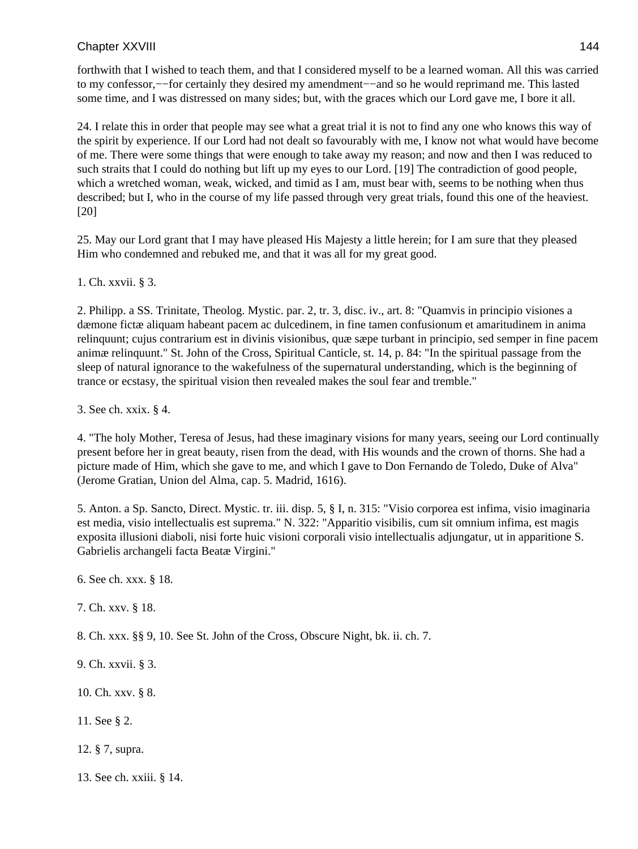forthwith that I wished to teach them, and that I considered myself to be a learned woman. All this was carried to my confessor,−−for certainly they desired my amendment−−and so he would reprimand me. This lasted some time, and I was distressed on many sides; but, with the graces which our Lord gave me, I bore it all.

24. I relate this in order that people may see what a great trial it is not to find any one who knows this way of the spirit by experience. If our Lord had not dealt so favourably with me, I know not what would have become of me. There were some things that were enough to take away my reason; and now and then I was reduced to such straits that I could do nothing but lift up my eyes to our Lord. [19] The contradiction of good people, which a wretched woman, weak, wicked, and timid as I am, must bear with, seems to be nothing when thus described; but I, who in the course of my life passed through very great trials, found this one of the heaviest. [20]

25. May our Lord grant that I may have pleased His Majesty a little herein; for I am sure that they pleased Him who condemned and rebuked me, and that it was all for my great good.

1. Ch. xxvii. § 3.

2. Philipp. a SS. Trinitate, Theolog. Mystic. par. 2, tr. 3, disc. iv., art. 8: "Quamvis in principio visiones a dæmone fictæ aliquam habeant pacem ac dulcedinem, in fine tamen confusionum et amaritudinem in anima relinquunt; cujus contrarium est in divinis visionibus, quæ sæpe turbant in principio, sed semper in fine pacem animæ relinquunt." St. John of the Cross, Spiritual Canticle, st. 14, p. 84: "In the spiritual passage from the sleep of natural ignorance to the wakefulness of the supernatural understanding, which is the beginning of trance or ecstasy, the spiritual vision then revealed makes the soul fear and tremble."

3. See ch. xxix. § 4.

4. "The holy Mother, Teresa of Jesus, had these imaginary visions for many years, seeing our Lord continually present before her in great beauty, risen from the dead, with His wounds and the crown of thorns. She had a picture made of Him, which she gave to me, and which I gave to Don Fernando de Toledo, Duke of Alva" (Jerome Gratian, Union del Alma, cap. 5. Madrid, 1616).

5. Anton. a Sp. Sancto, Direct. Mystic. tr. iii. disp. 5, § I, n. 315: "Visio corporea est infima, visio imaginaria est media, visio intellectualis est suprema." N. 322: "Apparitio visibilis, cum sit omnium infima, est magis exposita illusioni diaboli, nisi forte huic visioni corporali visio intellectualis adjungatur, ut in apparitione S. Gabrielis archangeli facta Beatæ Virgini."

6. See ch. xxx. § 18.

7. Ch. xxv. § 18.

8. Ch. xxx. §§ 9, 10. See St. John of the Cross, Obscure Night, bk. ii. ch. 7.

- 9. Ch. xxvii. § 3.
- 10. Ch. xxv. § 8.
- 11. See § 2.
- 12. § 7, supra.
- 13. See ch. xxiii. § 14.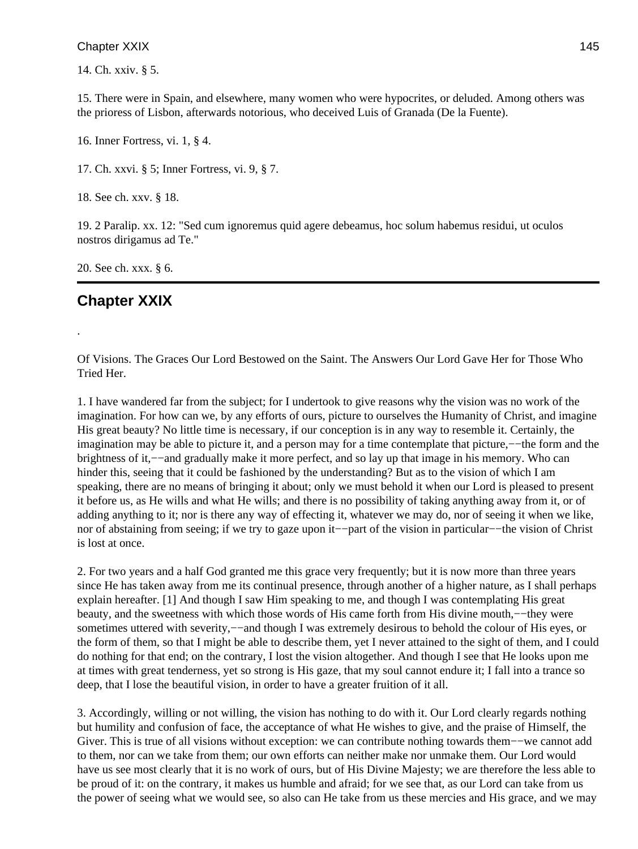14. Ch. xxiv. § 5.

15. There were in Spain, and elsewhere, many women who were hypocrites, or deluded. Among others was the prioress of Lisbon, afterwards notorious, who deceived Luis of Granada (De la Fuente).

16. Inner Fortress, vi. 1, § 4.

17. Ch. xxvi. § 5; Inner Fortress, vi. 9, § 7.

18. See ch. xxv. § 18.

19. 2 Paralip. xx. 12: "Sed cum ignoremus quid agere debeamus, hoc solum habemus residui, ut oculos nostros dirigamus ad Te."

20. See ch. xxx. § 6.

# **Chapter XXIX**

.

Of Visions. The Graces Our Lord Bestowed on the Saint. The Answers Our Lord Gave Her for Those Who Tried Her.

1. I have wandered far from the subject; for I undertook to give reasons why the vision was no work of the imagination. For how can we, by any efforts of ours, picture to ourselves the Humanity of Christ, and imagine His great beauty? No little time is necessary, if our conception is in any way to resemble it. Certainly, the imagination may be able to picture it, and a person may for a time contemplate that picture,−−the form and the brightness of it,−−and gradually make it more perfect, and so lay up that image in his memory. Who can hinder this, seeing that it could be fashioned by the understanding? But as to the vision of which I am speaking, there are no means of bringing it about; only we must behold it when our Lord is pleased to present it before us, as He wills and what He wills; and there is no possibility of taking anything away from it, or of adding anything to it; nor is there any way of effecting it, whatever we may do, nor of seeing it when we like, nor of abstaining from seeing; if we try to gaze upon it−−part of the vision in particular−−the vision of Christ is lost at once.

2. For two years and a half God granted me this grace very frequently; but it is now more than three years since He has taken away from me its continual presence, through another of a higher nature, as I shall perhaps explain hereafter. [1] And though I saw Him speaking to me, and though I was contemplating His great beauty, and the sweetness with which those words of His came forth from His divine mouth,−−they were sometimes uttered with severity,—−and though I was extremely desirous to behold the colour of His eyes, or the form of them, so that I might be able to describe them, yet I never attained to the sight of them, and I could do nothing for that end; on the contrary, I lost the vision altogether. And though I see that He looks upon me at times with great tenderness, yet so strong is His gaze, that my soul cannot endure it; I fall into a trance so deep, that I lose the beautiful vision, in order to have a greater fruition of it all.

3. Accordingly, willing or not willing, the vision has nothing to do with it. Our Lord clearly regards nothing but humility and confusion of face, the acceptance of what He wishes to give, and the praise of Himself, the Giver. This is true of all visions without exception: we can contribute nothing towards them−−we cannot add to them, nor can we take from them; our own efforts can neither make nor unmake them. Our Lord would have us see most clearly that it is no work of ours, but of His Divine Majesty; we are therefore the less able to be proud of it: on the contrary, it makes us humble and afraid; for we see that, as our Lord can take from us the power of seeing what we would see, so also can He take from us these mercies and His grace, and we may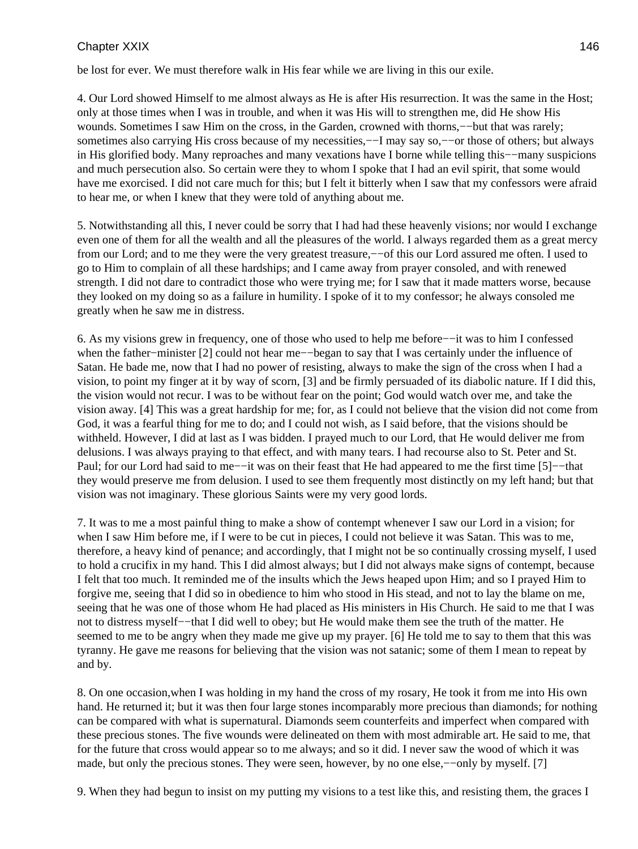be lost for ever. We must therefore walk in His fear while we are living in this our exile.

4. Our Lord showed Himself to me almost always as He is after His resurrection. It was the same in the Host; only at those times when I was in trouble, and when it was His will to strengthen me, did He show His wounds. Sometimes I saw Him on the cross, in the Garden, crowned with thorns,−−but that was rarely; sometimes also carrying His cross because of my necessities,— $\overline{-1}$  may say so,— $\overline{-}$ or those of others; but always in His glorified body. Many reproaches and many vexations have I borne while telling this−−many suspicions and much persecution also. So certain were they to whom I spoke that I had an evil spirit, that some would have me exorcised. I did not care much for this; but I felt it bitterly when I saw that my confessors were afraid to hear me, or when I knew that they were told of anything about me.

5. Notwithstanding all this, I never could be sorry that I had had these heavenly visions; nor would I exchange even one of them for all the wealth and all the pleasures of the world. I always regarded them as a great mercy from our Lord; and to me they were the very greatest treasure,−−of this our Lord assured me often. I used to go to Him to complain of all these hardships; and I came away from prayer consoled, and with renewed strength. I did not dare to contradict those who were trying me; for I saw that it made matters worse, because they looked on my doing so as a failure in humility. I spoke of it to my confessor; he always consoled me greatly when he saw me in distress.

6. As my visions grew in frequency, one of those who used to help me before−−it was to him I confessed when the father−minister [2] could not hear me−−began to say that I was certainly under the influence of Satan. He bade me, now that I had no power of resisting, always to make the sign of the cross when I had a vision, to point my finger at it by way of scorn, [3] and be firmly persuaded of its diabolic nature. If I did this, the vision would not recur. I was to be without fear on the point; God would watch over me, and take the vision away. [4] This was a great hardship for me; for, as I could not believe that the vision did not come from God, it was a fearful thing for me to do; and I could not wish, as I said before, that the visions should be withheld. However, I did at last as I was bidden. I prayed much to our Lord, that He would deliver me from delusions. I was always praying to that effect, and with many tears. I had recourse also to St. Peter and St. Paul; for our Lord had said to me−−it was on their feast that He had appeared to me the first time [5]−−that they would preserve me from delusion. I used to see them frequently most distinctly on my left hand; but that vision was not imaginary. These glorious Saints were my very good lords.

7. It was to me a most painful thing to make a show of contempt whenever I saw our Lord in a vision; for when I saw Him before me, if I were to be cut in pieces, I could not believe it was Satan. This was to me, therefore, a heavy kind of penance; and accordingly, that I might not be so continually crossing myself, I used to hold a crucifix in my hand. This I did almost always; but I did not always make signs of contempt, because I felt that too much. It reminded me of the insults which the Jews heaped upon Him; and so I prayed Him to forgive me, seeing that I did so in obedience to him who stood in His stead, and not to lay the blame on me, seeing that he was one of those whom He had placed as His ministers in His Church. He said to me that I was not to distress myself−−that I did well to obey; but He would make them see the truth of the matter. He seemed to me to be angry when they made me give up my prayer. [6] He told me to say to them that this was tyranny. He gave me reasons for believing that the vision was not satanic; some of them I mean to repeat by and by.

8. On one occasion,when I was holding in my hand the cross of my rosary, He took it from me into His own hand. He returned it; but it was then four large stones incomparably more precious than diamonds; for nothing can be compared with what is supernatural. Diamonds seem counterfeits and imperfect when compared with these precious stones. The five wounds were delineated on them with most admirable art. He said to me, that for the future that cross would appear so to me always; and so it did. I never saw the wood of which it was made, but only the precious stones. They were seen, however, by no one else,−−only by myself. [7]

9. When they had begun to insist on my putting my visions to a test like this, and resisting them, the graces I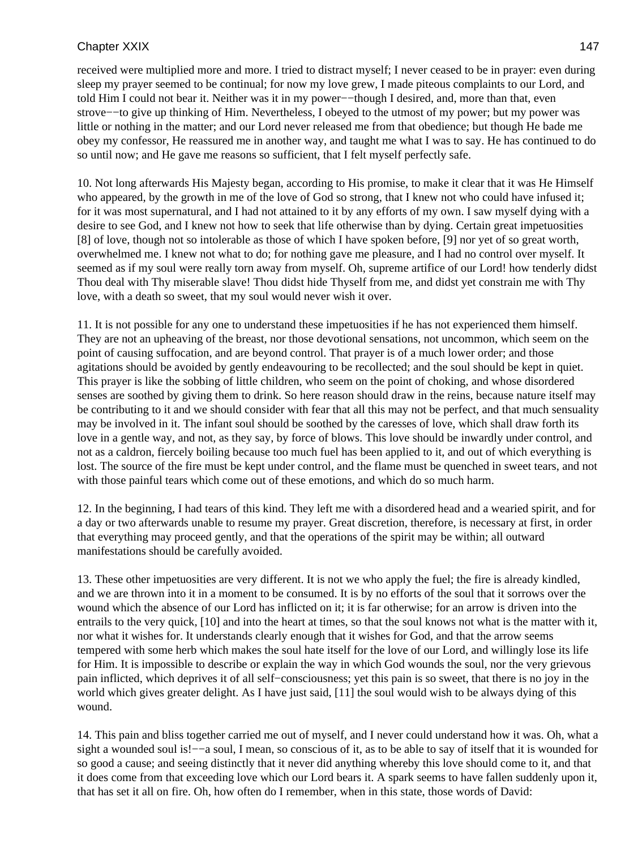received were multiplied more and more. I tried to distract myself; I never ceased to be in prayer: even during sleep my prayer seemed to be continual; for now my love grew, I made piteous complaints to our Lord, and told Him I could not bear it. Neither was it in my power−−though I desired, and, more than that, even strove−−to give up thinking of Him. Nevertheless, I obeyed to the utmost of my power; but my power was little or nothing in the matter; and our Lord never released me from that obedience; but though He bade me obey my confessor, He reassured me in another way, and taught me what I was to say. He has continued to do so until now; and He gave me reasons so sufficient, that I felt myself perfectly safe.

10. Not long afterwards His Majesty began, according to His promise, to make it clear that it was He Himself who appeared, by the growth in me of the love of God so strong, that I knew not who could have infused it; for it was most supernatural, and I had not attained to it by any efforts of my own. I saw myself dying with a desire to see God, and I knew not how to seek that life otherwise than by dying. Certain great impetuosities [8] of love, though not so intolerable as those of which I have spoken before, [9] nor yet of so great worth, overwhelmed me. I knew not what to do; for nothing gave me pleasure, and I had no control over myself. It seemed as if my soul were really torn away from myself. Oh, supreme artifice of our Lord! how tenderly didst Thou deal with Thy miserable slave! Thou didst hide Thyself from me, and didst yet constrain me with Thy love, with a death so sweet, that my soul would never wish it over.

11. It is not possible for any one to understand these impetuosities if he has not experienced them himself. They are not an upheaving of the breast, nor those devotional sensations, not uncommon, which seem on the point of causing suffocation, and are beyond control. That prayer is of a much lower order; and those agitations should be avoided by gently endeavouring to be recollected; and the soul should be kept in quiet. This prayer is like the sobbing of little children, who seem on the point of choking, and whose disordered senses are soothed by giving them to drink. So here reason should draw in the reins, because nature itself may be contributing to it and we should consider with fear that all this may not be perfect, and that much sensuality may be involved in it. The infant soul should be soothed by the caresses of love, which shall draw forth its love in a gentle way, and not, as they say, by force of blows. This love should be inwardly under control, and not as a caldron, fiercely boiling because too much fuel has been applied to it, and out of which everything is lost. The source of the fire must be kept under control, and the flame must be quenched in sweet tears, and not with those painful tears which come out of these emotions, and which do so much harm.

12. In the beginning, I had tears of this kind. They left me with a disordered head and a wearied spirit, and for a day or two afterwards unable to resume my prayer. Great discretion, therefore, is necessary at first, in order that everything may proceed gently, and that the operations of the spirit may be within; all outward manifestations should be carefully avoided.

13. These other impetuosities are very different. It is not we who apply the fuel; the fire is already kindled, and we are thrown into it in a moment to be consumed. It is by no efforts of the soul that it sorrows over the wound which the absence of our Lord has inflicted on it; it is far otherwise; for an arrow is driven into the entrails to the very quick, [10] and into the heart at times, so that the soul knows not what is the matter with it, nor what it wishes for. It understands clearly enough that it wishes for God, and that the arrow seems tempered with some herb which makes the soul hate itself for the love of our Lord, and willingly lose its life for Him. It is impossible to describe or explain the way in which God wounds the soul, nor the very grievous pain inflicted, which deprives it of all self−consciousness; yet this pain is so sweet, that there is no joy in the world which gives greater delight. As I have just said, [11] the soul would wish to be always dying of this wound.

14. This pain and bliss together carried me out of myself, and I never could understand how it was. Oh, what a sight a wounded soul is!−−a soul, I mean, so conscious of it, as to be able to say of itself that it is wounded for so good a cause; and seeing distinctly that it never did anything whereby this love should come to it, and that it does come from that exceeding love which our Lord bears it. A spark seems to have fallen suddenly upon it, that has set it all on fire. Oh, how often do I remember, when in this state, those words of David: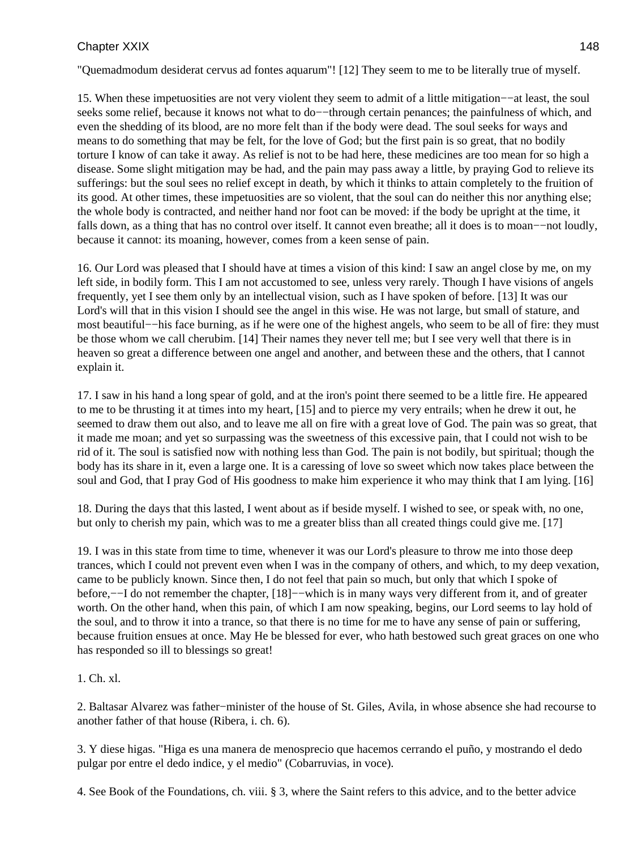"Quemadmodum desiderat cervus ad fontes aquarum"! [12] They seem to me to be literally true of myself.

15. When these impetuosities are not very violent they seem to admit of a little mitigation−−at least, the soul seeks some relief, because it knows not what to do—−through certain penances; the painfulness of which, and even the shedding of its blood, are no more felt than if the body were dead. The soul seeks for ways and means to do something that may be felt, for the love of God; but the first pain is so great, that no bodily torture I know of can take it away. As relief is not to be had here, these medicines are too mean for so high a disease. Some slight mitigation may be had, and the pain may pass away a little, by praying God to relieve its sufferings: but the soul sees no relief except in death, by which it thinks to attain completely to the fruition of its good. At other times, these impetuosities are so violent, that the soul can do neither this nor anything else; the whole body is contracted, and neither hand nor foot can be moved: if the body be upright at the time, it falls down, as a thing that has no control over itself. It cannot even breathe; all it does is to moan−−not loudly, because it cannot: its moaning, however, comes from a keen sense of pain.

16. Our Lord was pleased that I should have at times a vision of this kind: I saw an angel close by me, on my left side, in bodily form. This I am not accustomed to see, unless very rarely. Though I have visions of angels frequently, yet I see them only by an intellectual vision, such as I have spoken of before. [13] It was our Lord's will that in this vision I should see the angel in this wise. He was not large, but small of stature, and most beautiful−−his face burning, as if he were one of the highest angels, who seem to be all of fire: they must be those whom we call cherubim. [14] Their names they never tell me; but I see very well that there is in heaven so great a difference between one angel and another, and between these and the others, that I cannot explain it.

17. I saw in his hand a long spear of gold, and at the iron's point there seemed to be a little fire. He appeared to me to be thrusting it at times into my heart, [15] and to pierce my very entrails; when he drew it out, he seemed to draw them out also, and to leave me all on fire with a great love of God. The pain was so great, that it made me moan; and yet so surpassing was the sweetness of this excessive pain, that I could not wish to be rid of it. The soul is satisfied now with nothing less than God. The pain is not bodily, but spiritual; though the body has its share in it, even a large one. It is a caressing of love so sweet which now takes place between the soul and God, that I pray God of His goodness to make him experience it who may think that I am lying. [16]

18. During the days that this lasted, I went about as if beside myself. I wished to see, or speak with, no one, but only to cherish my pain, which was to me a greater bliss than all created things could give me. [17]

19. I was in this state from time to time, whenever it was our Lord's pleasure to throw me into those deep trances, which I could not prevent even when I was in the company of others, and which, to my deep vexation, came to be publicly known. Since then, I do not feel that pain so much, but only that which I spoke of before,−−I do not remember the chapter, [18]−−which is in many ways very different from it, and of greater worth. On the other hand, when this pain, of which I am now speaking, begins, our Lord seems to lay hold of the soul, and to throw it into a trance, so that there is no time for me to have any sense of pain or suffering, because fruition ensues at once. May He be blessed for ever, who hath bestowed such great graces on one who has responded so ill to blessings so great!

#### 1. Ch. xl.

2. Baltasar Alvarez was father−minister of the house of St. Giles, Avila, in whose absence she had recourse to another father of that house (Ribera, i. ch. 6).

3. Y diese higas. "Higa es una manera de menosprecio que hacemos cerrando el puño, y mostrando el dedo pulgar por entre el dedo indice, y el medio" (Cobarruvias, in voce).

4. See Book of the Foundations, ch. viii. § 3, where the Saint refers to this advice, and to the better advice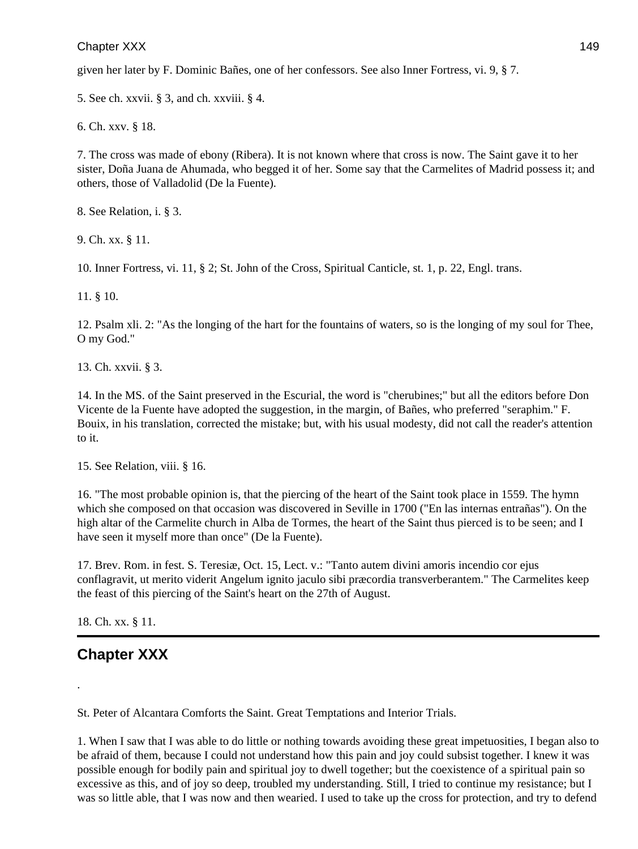given her later by F. Dominic Bañes, one of her confessors. See also Inner Fortress, vi. 9, § 7.

5. See ch. xxvii. § 3, and ch. xxviii. § 4.

6. Ch. xxv. § 18.

7. The cross was made of ebony (Ribera). It is not known where that cross is now. The Saint gave it to her sister, Doña Juana de Ahumada, who begged it of her. Some say that the Carmelites of Madrid possess it; and others, those of Valladolid (De la Fuente).

8. See Relation, i. § 3.

9. Ch. xx. § 11.

10. Inner Fortress, vi. 11, § 2; St. John of the Cross, Spiritual Canticle, st. 1, p. 22, Engl. trans.

11. § 10.

12. Psalm xli. 2: "As the longing of the hart for the fountains of waters, so is the longing of my soul for Thee, O my God."

13. Ch. xxvii. § 3.

14. In the MS. of the Saint preserved in the Escurial, the word is "cherubines;" but all the editors before Don Vicente de la Fuente have adopted the suggestion, in the margin, of Bañes, who preferred "seraphim." F. Bouix, in his translation, corrected the mistake; but, with his usual modesty, did not call the reader's attention to it.

15. See Relation, viii. § 16.

16. "The most probable opinion is, that the piercing of the heart of the Saint took place in 1559. The hymn which she composed on that occasion was discovered in Seville in 1700 ("En las internas entrañas"). On the high altar of the Carmelite church in Alba de Tormes, the heart of the Saint thus pierced is to be seen; and I have seen it myself more than once" (De la Fuente).

17. Brev. Rom. in fest. S. Teresiæ, Oct. 15, Lect. v.: "Tanto autem divini amoris incendio cor ejus conflagravit, ut merito viderit Angelum ignito jaculo sibi præcordia transverberantem." The Carmelites keep the feast of this piercing of the Saint's heart on the 27th of August.

18. Ch. xx. § 11.

.

# **Chapter XXX**

St. Peter of Alcantara Comforts the Saint. Great Temptations and Interior Trials.

1. When I saw that I was able to do little or nothing towards avoiding these great impetuosities, I began also to be afraid of them, because I could not understand how this pain and joy could subsist together. I knew it was possible enough for bodily pain and spiritual joy to dwell together; but the coexistence of a spiritual pain so excessive as this, and of joy so deep, troubled my understanding. Still, I tried to continue my resistance; but I was so little able, that I was now and then wearied. I used to take up the cross for protection, and try to defend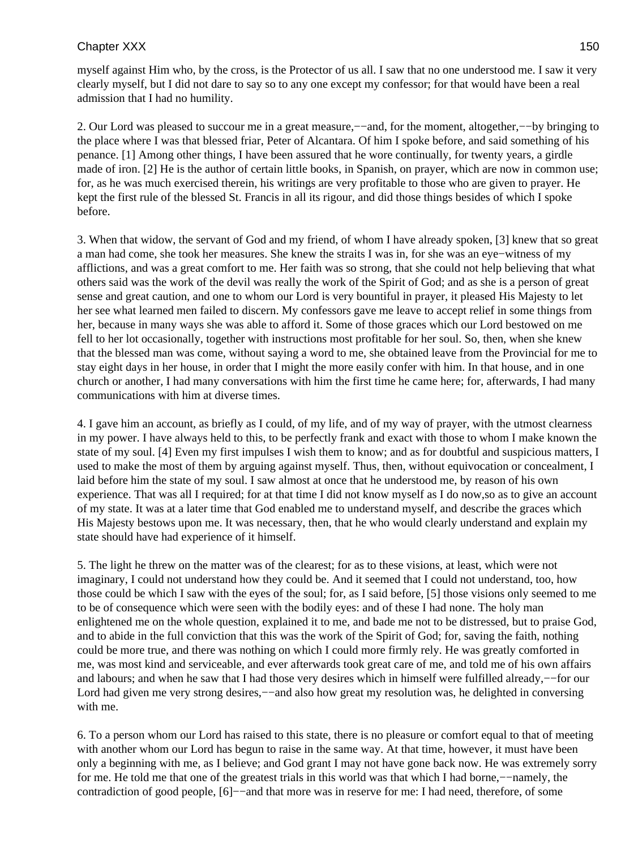myself against Him who, by the cross, is the Protector of us all. I saw that no one understood me. I saw it very clearly myself, but I did not dare to say so to any one except my confessor; for that would have been a real admission that I had no humility.

2. Our Lord was pleased to succour me in a great measure,−−and, for the moment, altogether,−−by bringing to the place where I was that blessed friar, Peter of Alcantara. Of him I spoke before, and said something of his penance. [1] Among other things, I have been assured that he wore continually, for twenty years, a girdle made of iron. [2] He is the author of certain little books, in Spanish, on prayer, which are now in common use; for, as he was much exercised therein, his writings are very profitable to those who are given to prayer. He kept the first rule of the blessed St. Francis in all its rigour, and did those things besides of which I spoke before.

3. When that widow, the servant of God and my friend, of whom I have already spoken, [3] knew that so great a man had come, she took her measures. She knew the straits I was in, for she was an eye−witness of my afflictions, and was a great comfort to me. Her faith was so strong, that she could not help believing that what others said was the work of the devil was really the work of the Spirit of God; and as she is a person of great sense and great caution, and one to whom our Lord is very bountiful in prayer, it pleased His Majesty to let her see what learned men failed to discern. My confessors gave me leave to accept relief in some things from her, because in many ways she was able to afford it. Some of those graces which our Lord bestowed on me fell to her lot occasionally, together with instructions most profitable for her soul. So, then, when she knew that the blessed man was come, without saying a word to me, she obtained leave from the Provincial for me to stay eight days in her house, in order that I might the more easily confer with him. In that house, and in one church or another, I had many conversations with him the first time he came here; for, afterwards, I had many communications with him at diverse times.

4. I gave him an account, as briefly as I could, of my life, and of my way of prayer, with the utmost clearness in my power. I have always held to this, to be perfectly frank and exact with those to whom I make known the state of my soul. [4] Even my first impulses I wish them to know; and as for doubtful and suspicious matters, I used to make the most of them by arguing against myself. Thus, then, without equivocation or concealment, I laid before him the state of my soul. I saw almost at once that he understood me, by reason of his own experience. That was all I required; for at that time I did not know myself as I do now,so as to give an account of my state. It was at a later time that God enabled me to understand myself, and describe the graces which His Majesty bestows upon me. It was necessary, then, that he who would clearly understand and explain my state should have had experience of it himself.

5. The light he threw on the matter was of the clearest; for as to these visions, at least, which were not imaginary, I could not understand how they could be. And it seemed that I could not understand, too, how those could be which I saw with the eyes of the soul; for, as I said before, [5] those visions only seemed to me to be of consequence which were seen with the bodily eyes: and of these I had none. The holy man enlightened me on the whole question, explained it to me, and bade me not to be distressed, but to praise God, and to abide in the full conviction that this was the work of the Spirit of God; for, saving the faith, nothing could be more true, and there was nothing on which I could more firmly rely. He was greatly comforted in me, was most kind and serviceable, and ever afterwards took great care of me, and told me of his own affairs and labours; and when he saw that I had those very desires which in himself were fulfilled already,−−for our Lord had given me very strong desires,—–and also how great my resolution was, he delighted in conversing with me.

6. To a person whom our Lord has raised to this state, there is no pleasure or comfort equal to that of meeting with another whom our Lord has begun to raise in the same way. At that time, however, it must have been only a beginning with me, as I believe; and God grant I may not have gone back now. He was extremely sorry for me. He told me that one of the greatest trials in this world was that which I had borne,−−namely, the contradiction of good people, [6]−−and that more was in reserve for me: I had need, therefore, of some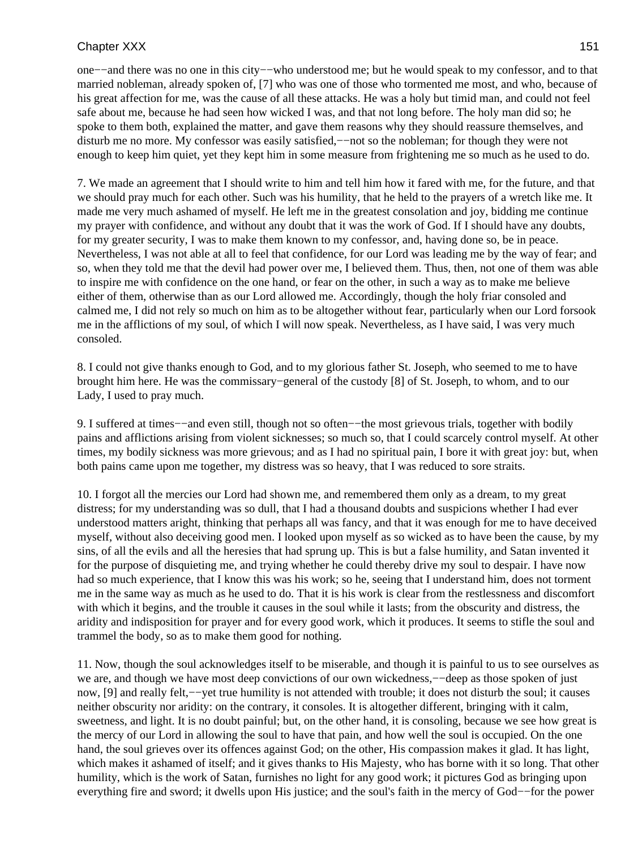one−−and there was no one in this city−−who understood me; but he would speak to my confessor, and to that married nobleman, already spoken of, [7] who was one of those who tormented me most, and who, because of his great affection for me, was the cause of all these attacks. He was a holy but timid man, and could not feel safe about me, because he had seen how wicked I was, and that not long before. The holy man did so; he spoke to them both, explained the matter, and gave them reasons why they should reassure themselves, and disturb me no more. My confessor was easily satisfied,−−not so the nobleman; for though they were not enough to keep him quiet, yet they kept him in some measure from frightening me so much as he used to do.

7. We made an agreement that I should write to him and tell him how it fared with me, for the future, and that we should pray much for each other. Such was his humility, that he held to the prayers of a wretch like me. It made me very much ashamed of myself. He left me in the greatest consolation and joy, bidding me continue my prayer with confidence, and without any doubt that it was the work of God. If I should have any doubts, for my greater security, I was to make them known to my confessor, and, having done so, be in peace. Nevertheless, I was not able at all to feel that confidence, for our Lord was leading me by the way of fear; and so, when they told me that the devil had power over me, I believed them. Thus, then, not one of them was able to inspire me with confidence on the one hand, or fear on the other, in such a way as to make me believe either of them, otherwise than as our Lord allowed me. Accordingly, though the holy friar consoled and calmed me, I did not rely so much on him as to be altogether without fear, particularly when our Lord forsook me in the afflictions of my soul, of which I will now speak. Nevertheless, as I have said, I was very much consoled.

8. I could not give thanks enough to God, and to my glorious father St. Joseph, who seemed to me to have brought him here. He was the commissary−general of the custody [8] of St. Joseph, to whom, and to our Lady, I used to pray much.

9. I suffered at times−−and even still, though not so often−−the most grievous trials, together with bodily pains and afflictions arising from violent sicknesses; so much so, that I could scarcely control myself. At other times, my bodily sickness was more grievous; and as I had no spiritual pain, I bore it with great joy: but, when both pains came upon me together, my distress was so heavy, that I was reduced to sore straits.

10. I forgot all the mercies our Lord had shown me, and remembered them only as a dream, to my great distress; for my understanding was so dull, that I had a thousand doubts and suspicions whether I had ever understood matters aright, thinking that perhaps all was fancy, and that it was enough for me to have deceived myself, without also deceiving good men. I looked upon myself as so wicked as to have been the cause, by my sins, of all the evils and all the heresies that had sprung up. This is but a false humility, and Satan invented it for the purpose of disquieting me, and trying whether he could thereby drive my soul to despair. I have now had so much experience, that I know this was his work; so he, seeing that I understand him, does not torment me in the same way as much as he used to do. That it is his work is clear from the restlessness and discomfort with which it begins, and the trouble it causes in the soul while it lasts; from the obscurity and distress, the aridity and indisposition for prayer and for every good work, which it produces. It seems to stifle the soul and trammel the body, so as to make them good for nothing.

11. Now, though the soul acknowledges itself to be miserable, and though it is painful to us to see ourselves as we are, and though we have most deep convictions of our own wickedness,——deep as those spoken of just now, [9] and really felt,−−yet true humility is not attended with trouble; it does not disturb the soul; it causes neither obscurity nor aridity: on the contrary, it consoles. It is altogether different, bringing with it calm, sweetness, and light. It is no doubt painful; but, on the other hand, it is consoling, because we see how great is the mercy of our Lord in allowing the soul to have that pain, and how well the soul is occupied. On the one hand, the soul grieves over its offences against God; on the other, His compassion makes it glad. It has light, which makes it ashamed of itself; and it gives thanks to His Majesty, who has borne with it so long. That other humility, which is the work of Satan, furnishes no light for any good work; it pictures God as bringing upon everything fire and sword; it dwells upon His justice; and the soul's faith in the mercy of God−−for the power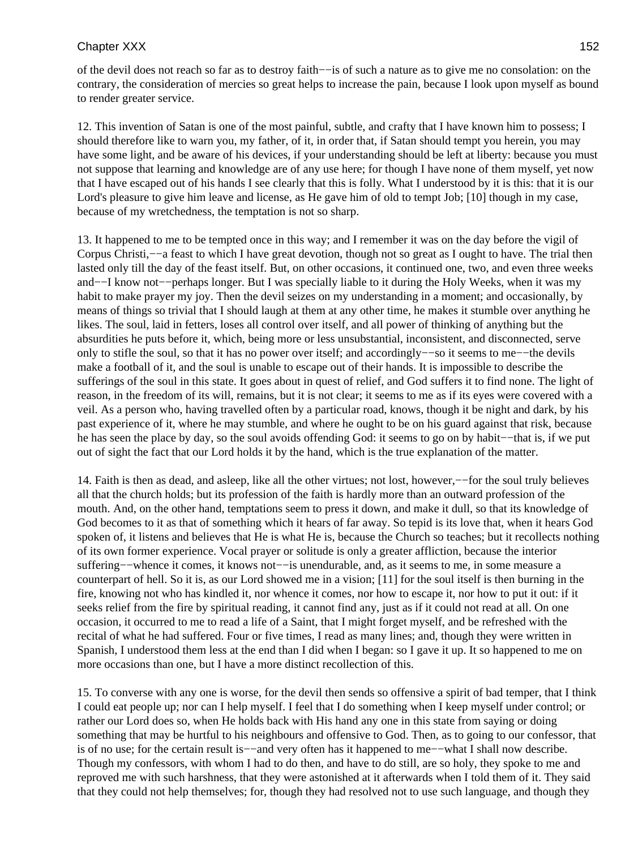of the devil does not reach so far as to destroy faith−−is of such a nature as to give me no consolation: on the contrary, the consideration of mercies so great helps to increase the pain, because I look upon myself as bound to render greater service.

12. This invention of Satan is one of the most painful, subtle, and crafty that I have known him to possess; I should therefore like to warn you, my father, of it, in order that, if Satan should tempt you herein, you may have some light, and be aware of his devices, if your understanding should be left at liberty: because you must not suppose that learning and knowledge are of any use here; for though I have none of them myself, yet now that I have escaped out of his hands I see clearly that this is folly. What I understood by it is this: that it is our Lord's pleasure to give him leave and license, as He gave him of old to tempt Job; [10] though in my case, because of my wretchedness, the temptation is not so sharp.

13. It happened to me to be tempted once in this way; and I remember it was on the day before the vigil of Corpus Christi,−−a feast to which I have great devotion, though not so great as I ought to have. The trial then lasted only till the day of the feast itself. But, on other occasions, it continued one, two, and even three weeks and−−I know not−−perhaps longer. But I was specially liable to it during the Holy Weeks, when it was my habit to make prayer my joy. Then the devil seizes on my understanding in a moment; and occasionally, by means of things so trivial that I should laugh at them at any other time, he makes it stumble over anything he likes. The soul, laid in fetters, loses all control over itself, and all power of thinking of anything but the absurdities he puts before it, which, being more or less unsubstantial, inconsistent, and disconnected, serve only to stifle the soul, so that it has no power over itself; and accordingly−−so it seems to me−−the devils make a football of it, and the soul is unable to escape out of their hands. It is impossible to describe the sufferings of the soul in this state. It goes about in quest of relief, and God suffers it to find none. The light of reason, in the freedom of its will, remains, but it is not clear; it seems to me as if its eyes were covered with a veil. As a person who, having travelled often by a particular road, knows, though it be night and dark, by his past experience of it, where he may stumble, and where he ought to be on his guard against that risk, because he has seen the place by day, so the soul avoids offending God: it seems to go on by habit−−that is, if we put out of sight the fact that our Lord holds it by the hand, which is the true explanation of the matter.

14. Faith is then as dead, and asleep, like all the other virtues; not lost, however,−−for the soul truly believes all that the church holds; but its profession of the faith is hardly more than an outward profession of the mouth. And, on the other hand, temptations seem to press it down, and make it dull, so that its knowledge of God becomes to it as that of something which it hears of far away. So tepid is its love that, when it hears God spoken of, it listens and believes that He is what He is, because the Church so teaches; but it recollects nothing of its own former experience. Vocal prayer or solitude is only a greater affliction, because the interior suffering−−whence it comes, it knows not−−is unendurable, and, as it seems to me, in some measure a counterpart of hell. So it is, as our Lord showed me in a vision; [11] for the soul itself is then burning in the fire, knowing not who has kindled it, nor whence it comes, nor how to escape it, nor how to put it out: if it seeks relief from the fire by spiritual reading, it cannot find any, just as if it could not read at all. On one occasion, it occurred to me to read a life of a Saint, that I might forget myself, and be refreshed with the recital of what he had suffered. Four or five times, I read as many lines; and, though they were written in Spanish, I understood them less at the end than I did when I began: so I gave it up. It so happened to me on more occasions than one, but I have a more distinct recollection of this.

15. To converse with any one is worse, for the devil then sends so offensive a spirit of bad temper, that I think I could eat people up; nor can I help myself. I feel that I do something when I keep myself under control; or rather our Lord does so, when He holds back with His hand any one in this state from saying or doing something that may be hurtful to his neighbours and offensive to God. Then, as to going to our confessor, that is of no use; for the certain result is−−and very often has it happened to me−−what I shall now describe. Though my confessors, with whom I had to do then, and have to do still, are so holy, they spoke to me and reproved me with such harshness, that they were astonished at it afterwards when I told them of it. They said that they could not help themselves; for, though they had resolved not to use such language, and though they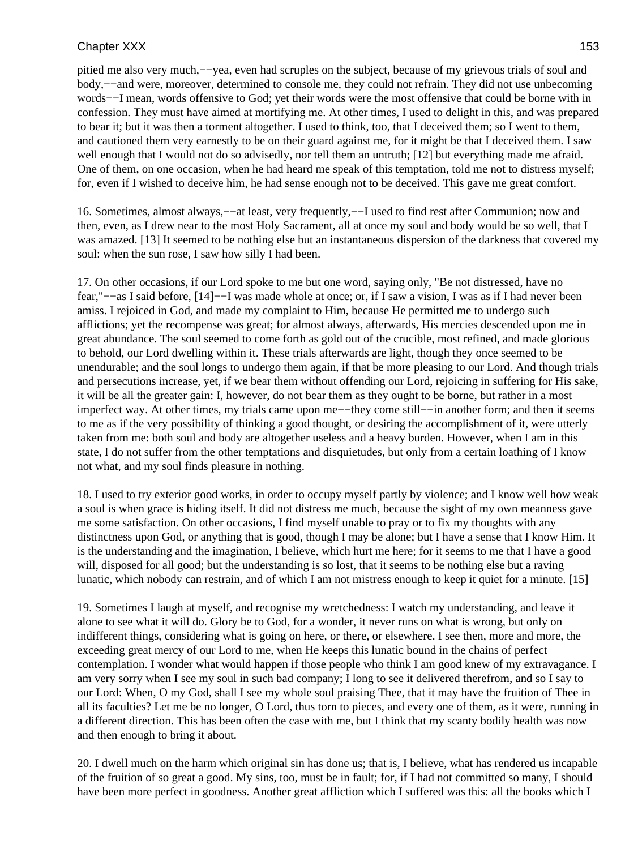pitied me also very much,−−yea, even had scruples on the subject, because of my grievous trials of soul and body,−−and were, moreover, determined to console me, they could not refrain. They did not use unbecoming words−−I mean, words offensive to God; yet their words were the most offensive that could be borne with in confession. They must have aimed at mortifying me. At other times, I used to delight in this, and was prepared to bear it; but it was then a torment altogether. I used to think, too, that I deceived them; so I went to them, and cautioned them very earnestly to be on their guard against me, for it might be that I deceived them. I saw well enough that I would not do so advisedly, nor tell them an untruth; [12] but everything made me afraid. One of them, on one occasion, when he had heard me speak of this temptation, told me not to distress myself; for, even if I wished to deceive him, he had sense enough not to be deceived. This gave me great comfort.

16. Sometimes, almost always,−−at least, very frequently,−−I used to find rest after Communion; now and then, even, as I drew near to the most Holy Sacrament, all at once my soul and body would be so well, that I was amazed. [13] It seemed to be nothing else but an instantaneous dispersion of the darkness that covered my soul: when the sun rose, I saw how silly I had been.

17. On other occasions, if our Lord spoke to me but one word, saying only, "Be not distressed, have no fear,"−−as I said before, [14]−−I was made whole at once; or, if I saw a vision, I was as if I had never been amiss. I rejoiced in God, and made my complaint to Him, because He permitted me to undergo such afflictions; yet the recompense was great; for almost always, afterwards, His mercies descended upon me in great abundance. The soul seemed to come forth as gold out of the crucible, most refined, and made glorious to behold, our Lord dwelling within it. These trials afterwards are light, though they once seemed to be unendurable; and the soul longs to undergo them again, if that be more pleasing to our Lord. And though trials and persecutions increase, yet, if we bear them without offending our Lord, rejoicing in suffering for His sake, it will be all the greater gain: I, however, do not bear them as they ought to be borne, but rather in a most imperfect way. At other times, my trials came upon me−−they come still−−in another form; and then it seems to me as if the very possibility of thinking a good thought, or desiring the accomplishment of it, were utterly taken from me: both soul and body are altogether useless and a heavy burden. However, when I am in this state, I do not suffer from the other temptations and disquietudes, but only from a certain loathing of I know not what, and my soul finds pleasure in nothing.

18. I used to try exterior good works, in order to occupy myself partly by violence; and I know well how weak a soul is when grace is hiding itself. It did not distress me much, because the sight of my own meanness gave me some satisfaction. On other occasions, I find myself unable to pray or to fix my thoughts with any distinctness upon God, or anything that is good, though I may be alone; but I have a sense that I know Him. It is the understanding and the imagination, I believe, which hurt me here; for it seems to me that I have a good will, disposed for all good; but the understanding is so lost, that it seems to be nothing else but a raving lunatic, which nobody can restrain, and of which I am not mistress enough to keep it quiet for a minute. [15]

19. Sometimes I laugh at myself, and recognise my wretchedness: I watch my understanding, and leave it alone to see what it will do. Glory be to God, for a wonder, it never runs on what is wrong, but only on indifferent things, considering what is going on here, or there, or elsewhere. I see then, more and more, the exceeding great mercy of our Lord to me, when He keeps this lunatic bound in the chains of perfect contemplation. I wonder what would happen if those people who think I am good knew of my extravagance. I am very sorry when I see my soul in such bad company; I long to see it delivered therefrom, and so I say to our Lord: When, O my God, shall I see my whole soul praising Thee, that it may have the fruition of Thee in all its faculties? Let me be no longer, O Lord, thus torn to pieces, and every one of them, as it were, running in a different direction. This has been often the case with me, but I think that my scanty bodily health was now and then enough to bring it about.

20. I dwell much on the harm which original sin has done us; that is, I believe, what has rendered us incapable of the fruition of so great a good. My sins, too, must be in fault; for, if I had not committed so many, I should have been more perfect in goodness. Another great affliction which I suffered was this: all the books which I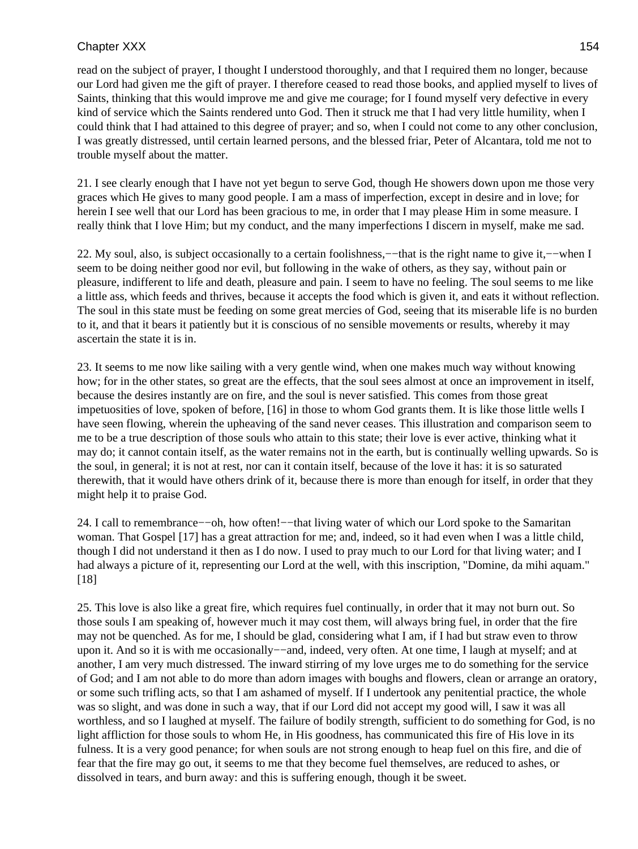read on the subject of prayer, I thought I understood thoroughly, and that I required them no longer, because our Lord had given me the gift of prayer. I therefore ceased to read those books, and applied myself to lives of Saints, thinking that this would improve me and give me courage; for I found myself very defective in every kind of service which the Saints rendered unto God. Then it struck me that I had very little humility, when I could think that I had attained to this degree of prayer; and so, when I could not come to any other conclusion, I was greatly distressed, until certain learned persons, and the blessed friar, Peter of Alcantara, told me not to trouble myself about the matter.

21. I see clearly enough that I have not yet begun to serve God, though He showers down upon me those very graces which He gives to many good people. I am a mass of imperfection, except in desire and in love; for herein I see well that our Lord has been gracious to me, in order that I may please Him in some measure. I really think that I love Him; but my conduct, and the many imperfections I discern in myself, make me sad.

22. My soul, also, is subject occasionally to a certain foolishness,—−that is the right name to give it,—–when I seem to be doing neither good nor evil, but following in the wake of others, as they say, without pain or pleasure, indifferent to life and death, pleasure and pain. I seem to have no feeling. The soul seems to me like a little ass, which feeds and thrives, because it accepts the food which is given it, and eats it without reflection. The soul in this state must be feeding on some great mercies of God, seeing that its miserable life is no burden to it, and that it bears it patiently but it is conscious of no sensible movements or results, whereby it may ascertain the state it is in.

23. It seems to me now like sailing with a very gentle wind, when one makes much way without knowing how; for in the other states, so great are the effects, that the soul sees almost at once an improvement in itself, because the desires instantly are on fire, and the soul is never satisfied. This comes from those great impetuosities of love, spoken of before, [16] in those to whom God grants them. It is like those little wells I have seen flowing, wherein the upheaving of the sand never ceases. This illustration and comparison seem to me to be a true description of those souls who attain to this state; their love is ever active, thinking what it may do; it cannot contain itself, as the water remains not in the earth, but is continually welling upwards. So is the soul, in general; it is not at rest, nor can it contain itself, because of the love it has: it is so saturated therewith, that it would have others drink of it, because there is more than enough for itself, in order that they might help it to praise God.

24. I call to remembrance−−oh, how often!−−that living water of which our Lord spoke to the Samaritan woman. That Gospel [17] has a great attraction for me; and, indeed, so it had even when I was a little child, though I did not understand it then as I do now. I used to pray much to our Lord for that living water; and I had always a picture of it, representing our Lord at the well, with this inscription, "Domine, da mihi aquam." [18]

25. This love is also like a great fire, which requires fuel continually, in order that it may not burn out. So those souls I am speaking of, however much it may cost them, will always bring fuel, in order that the fire may not be quenched. As for me, I should be glad, considering what I am, if I had but straw even to throw upon it. And so it is with me occasionally−−and, indeed, very often. At one time, I laugh at myself; and at another, I am very much distressed. The inward stirring of my love urges me to do something for the service of God; and I am not able to do more than adorn images with boughs and flowers, clean or arrange an oratory, or some such trifling acts, so that I am ashamed of myself. If I undertook any penitential practice, the whole was so slight, and was done in such a way, that if our Lord did not accept my good will, I saw it was all worthless, and so I laughed at myself. The failure of bodily strength, sufficient to do something for God, is no light affliction for those souls to whom He, in His goodness, has communicated this fire of His love in its fulness. It is a very good penance; for when souls are not strong enough to heap fuel on this fire, and die of fear that the fire may go out, it seems to me that they become fuel themselves, are reduced to ashes, or dissolved in tears, and burn away: and this is suffering enough, though it be sweet.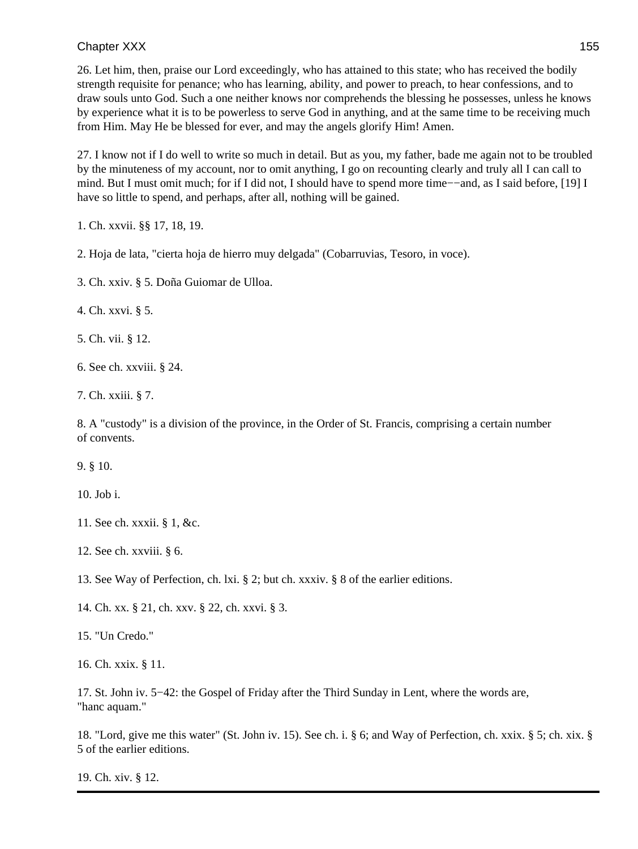26. Let him, then, praise our Lord exceedingly, who has attained to this state; who has received the bodily strength requisite for penance; who has learning, ability, and power to preach, to hear confessions, and to draw souls unto God. Such a one neither knows nor comprehends the blessing he possesses, unless he knows by experience what it is to be powerless to serve God in anything, and at the same time to be receiving much from Him. May He be blessed for ever, and may the angels glorify Him! Amen.

27. I know not if I do well to write so much in detail. But as you, my father, bade me again not to be troubled by the minuteness of my account, nor to omit anything, I go on recounting clearly and truly all I can call to mind. But I must omit much; for if I did not, I should have to spend more time−−and, as I said before, [19] I have so little to spend, and perhaps, after all, nothing will be gained.

1. Ch. xxvii. §§ 17, 18, 19.

2. Hoja de lata, "cierta hoja de hierro muy delgada" (Cobarruvias, Tesoro, in voce).

3. Ch. xxiv. § 5. Doña Guiomar de Ulloa.

4. Ch. xxvi. § 5.

5. Ch. vii. § 12.

6. See ch. xxviii. § 24.

7. Ch. xxiii. § 7.

8. A "custody" is a division of the province, in the Order of St. Francis, comprising a certain number of convents.

9. § 10.

10. Job i.

- 11. See ch. xxxii. § 1, &c.
- 12. See ch. xxviii. § 6.

13. See Way of Perfection, ch. lxi. § 2; but ch. xxxiv. § 8 of the earlier editions.

14. Ch. xx. § 21, ch. xxv. § 22, ch. xxvi. § 3.

15. "Un Credo."

16. Ch. xxix. § 11.

17. St. John iv. 5−42: the Gospel of Friday after the Third Sunday in Lent, where the words are, "hanc aquam."

18. "Lord, give me this water" (St. John iv. 15). See ch. i. § 6; and Way of Perfection, ch. xxix. § 5; ch. xix. § 5 of the earlier editions.

19. Ch. xiv. § 12.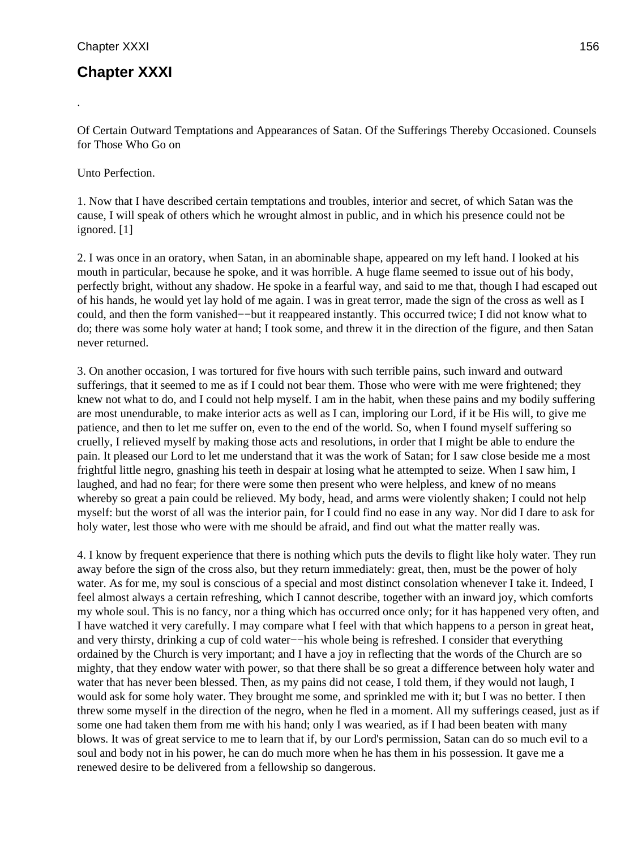.

# **Chapter XXXI**

Of Certain Outward Temptations and Appearances of Satan. Of the Sufferings Thereby Occasioned. Counsels for Those Who Go on

Unto Perfection.

1. Now that I have described certain temptations and troubles, interior and secret, of which Satan was the cause, I will speak of others which he wrought almost in public, and in which his presence could not be ignored. [1]

2. I was once in an oratory, when Satan, in an abominable shape, appeared on my left hand. I looked at his mouth in particular, because he spoke, and it was horrible. A huge flame seemed to issue out of his body, perfectly bright, without any shadow. He spoke in a fearful way, and said to me that, though I had escaped out of his hands, he would yet lay hold of me again. I was in great terror, made the sign of the cross as well as I could, and then the form vanished−−but it reappeared instantly. This occurred twice; I did not know what to do; there was some holy water at hand; I took some, and threw it in the direction of the figure, and then Satan never returned.

3. On another occasion, I was tortured for five hours with such terrible pains, such inward and outward sufferings, that it seemed to me as if I could not bear them. Those who were with me were frightened; they knew not what to do, and I could not help myself. I am in the habit, when these pains and my bodily suffering are most unendurable, to make interior acts as well as I can, imploring our Lord, if it be His will, to give me patience, and then to let me suffer on, even to the end of the world. So, when I found myself suffering so cruelly, I relieved myself by making those acts and resolutions, in order that I might be able to endure the pain. It pleased our Lord to let me understand that it was the work of Satan; for I saw close beside me a most frightful little negro, gnashing his teeth in despair at losing what he attempted to seize. When I saw him, I laughed, and had no fear; for there were some then present who were helpless, and knew of no means whereby so great a pain could be relieved. My body, head, and arms were violently shaken; I could not help myself: but the worst of all was the interior pain, for I could find no ease in any way. Nor did I dare to ask for holy water, lest those who were with me should be afraid, and find out what the matter really was.

4. I know by frequent experience that there is nothing which puts the devils to flight like holy water. They run away before the sign of the cross also, but they return immediately: great, then, must be the power of holy water. As for me, my soul is conscious of a special and most distinct consolation whenever I take it. Indeed, I feel almost always a certain refreshing, which I cannot describe, together with an inward joy, which comforts my whole soul. This is no fancy, nor a thing which has occurred once only; for it has happened very often, and I have watched it very carefully. I may compare what I feel with that which happens to a person in great heat, and very thirsty, drinking a cup of cold water−−his whole being is refreshed. I consider that everything ordained by the Church is very important; and I have a joy in reflecting that the words of the Church are so mighty, that they endow water with power, so that there shall be so great a difference between holy water and water that has never been blessed. Then, as my pains did not cease, I told them, if they would not laugh, I would ask for some holy water. They brought me some, and sprinkled me with it; but I was no better. I then threw some myself in the direction of the negro, when he fled in a moment. All my sufferings ceased, just as if some one had taken them from me with his hand; only I was wearied, as if I had been beaten with many blows. It was of great service to me to learn that if, by our Lord's permission, Satan can do so much evil to a soul and body not in his power, he can do much more when he has them in his possession. It gave me a renewed desire to be delivered from a fellowship so dangerous.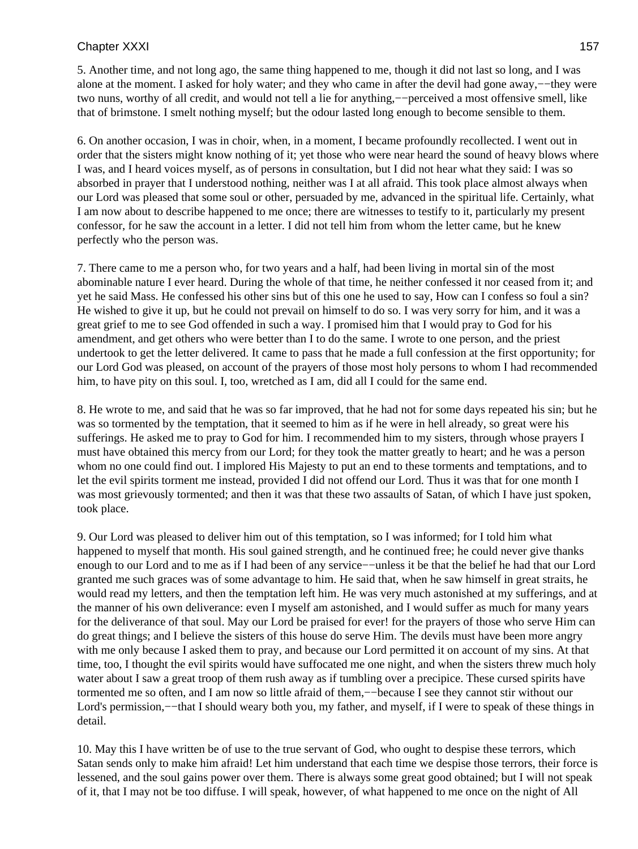5. Another time, and not long ago, the same thing happened to me, though it did not last so long, and I was alone at the moment. I asked for holy water; and they who came in after the devil had gone away,−−they were two nuns, worthy of all credit, and would not tell a lie for anything,−−perceived a most offensive smell, like that of brimstone. I smelt nothing myself; but the odour lasted long enough to become sensible to them.

6. On another occasion, I was in choir, when, in a moment, I became profoundly recollected. I went out in order that the sisters might know nothing of it; yet those who were near heard the sound of heavy blows where I was, and I heard voices myself, as of persons in consultation, but I did not hear what they said: I was so absorbed in prayer that I understood nothing, neither was I at all afraid. This took place almost always when our Lord was pleased that some soul or other, persuaded by me, advanced in the spiritual life. Certainly, what I am now about to describe happened to me once; there are witnesses to testify to it, particularly my present confessor, for he saw the account in a letter. I did not tell him from whom the letter came, but he knew perfectly who the person was.

7. There came to me a person who, for two years and a half, had been living in mortal sin of the most abominable nature I ever heard. During the whole of that time, he neither confessed it nor ceased from it; and yet he said Mass. He confessed his other sins but of this one he used to say, How can I confess so foul a sin? He wished to give it up, but he could not prevail on himself to do so. I was very sorry for him, and it was a great grief to me to see God offended in such a way. I promised him that I would pray to God for his amendment, and get others who were better than I to do the same. I wrote to one person, and the priest undertook to get the letter delivered. It came to pass that he made a full confession at the first opportunity; for our Lord God was pleased, on account of the prayers of those most holy persons to whom I had recommended him, to have pity on this soul. I, too, wretched as I am, did all I could for the same end.

8. He wrote to me, and said that he was so far improved, that he had not for some days repeated his sin; but he was so tormented by the temptation, that it seemed to him as if he were in hell already, so great were his sufferings. He asked me to pray to God for him. I recommended him to my sisters, through whose prayers I must have obtained this mercy from our Lord; for they took the matter greatly to heart; and he was a person whom no one could find out. I implored His Majesty to put an end to these torments and temptations, and to let the evil spirits torment me instead, provided I did not offend our Lord. Thus it was that for one month I was most grievously tormented; and then it was that these two assaults of Satan, of which I have just spoken, took place.

9. Our Lord was pleased to deliver him out of this temptation, so I was informed; for I told him what happened to myself that month. His soul gained strength, and he continued free; he could never give thanks enough to our Lord and to me as if I had been of any service−−unless it be that the belief he had that our Lord granted me such graces was of some advantage to him. He said that, when he saw himself in great straits, he would read my letters, and then the temptation left him. He was very much astonished at my sufferings, and at the manner of his own deliverance: even I myself am astonished, and I would suffer as much for many years for the deliverance of that soul. May our Lord be praised for ever! for the prayers of those who serve Him can do great things; and I believe the sisters of this house do serve Him. The devils must have been more angry with me only because I asked them to pray, and because our Lord permitted it on account of my sins. At that time, too, I thought the evil spirits would have suffocated me one night, and when the sisters threw much holy water about I saw a great troop of them rush away as if tumbling over a precipice. These cursed spirits have tormented me so often, and I am now so little afraid of them,−−because I see they cannot stir without our Lord's permission,−−that I should weary both you, my father, and myself, if I were to speak of these things in detail.

10. May this I have written be of use to the true servant of God, who ought to despise these terrors, which Satan sends only to make him afraid! Let him understand that each time we despise those terrors, their force is lessened, and the soul gains power over them. There is always some great good obtained; but I will not speak of it, that I may not be too diffuse. I will speak, however, of what happened to me once on the night of All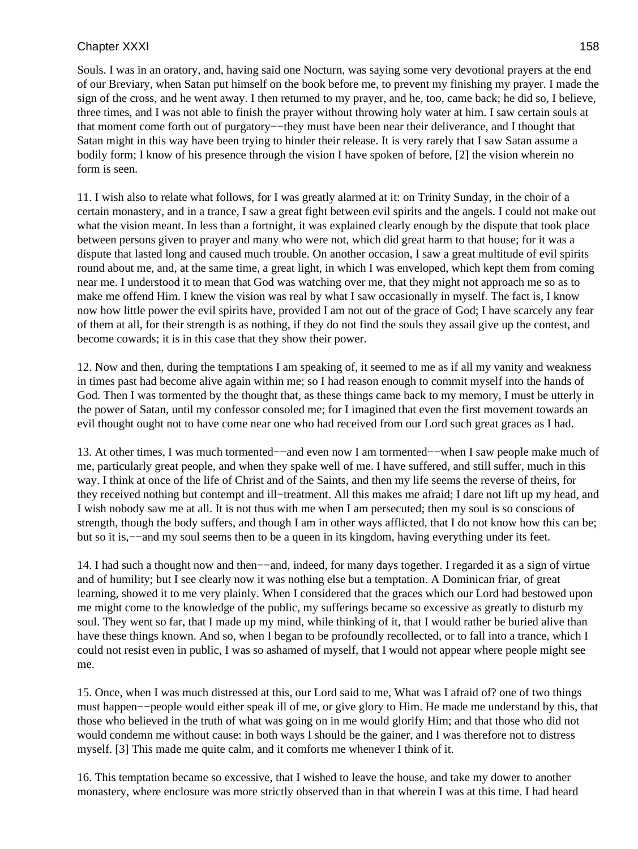Souls. I was in an oratory, and, having said one Nocturn, was saying some very devotional prayers at the end of our Breviary, when Satan put himself on the book before me, to prevent my finishing my prayer. I made the sign of the cross, and he went away. I then returned to my prayer, and he, too, came back; he did so, I believe, three times, and I was not able to finish the prayer without throwing holy water at him. I saw certain souls at that moment come forth out of purgatory−−they must have been near their deliverance, and I thought that Satan might in this way have been trying to hinder their release. It is very rarely that I saw Satan assume a bodily form; I know of his presence through the vision I have spoken of before, [2] the vision wherein no form is seen.

11. I wish also to relate what follows, for I was greatly alarmed at it: on Trinity Sunday, in the choir of a certain monastery, and in a trance, I saw a great fight between evil spirits and the angels. I could not make out what the vision meant. In less than a fortnight, it was explained clearly enough by the dispute that took place between persons given to prayer and many who were not, which did great harm to that house; for it was a dispute that lasted long and caused much trouble. On another occasion, I saw a great multitude of evil spirits round about me, and, at the same time, a great light, in which I was enveloped, which kept them from coming near me. I understood it to mean that God was watching over me, that they might not approach me so as to make me offend Him. I knew the vision was real by what I saw occasionally in myself. The fact is, I know now how little power the evil spirits have, provided I am not out of the grace of God; I have scarcely any fear of them at all, for their strength is as nothing, if they do not find the souls they assail give up the contest, and become cowards; it is in this case that they show their power.

12. Now and then, during the temptations I am speaking of, it seemed to me as if all my vanity and weakness in times past had become alive again within me; so I had reason enough to commit myself into the hands of God. Then I was tormented by the thought that, as these things came back to my memory, I must be utterly in the power of Satan, until my confessor consoled me; for I imagined that even the first movement towards an evil thought ought not to have come near one who had received from our Lord such great graces as I had.

13. At other times, I was much tormented−−and even now I am tormented−−when I saw people make much of me, particularly great people, and when they spake well of me. I have suffered, and still suffer, much in this way. I think at once of the life of Christ and of the Saints, and then my life seems the reverse of theirs, for they received nothing but contempt and ill−treatment. All this makes me afraid; I dare not lift up my head, and I wish nobody saw me at all. It is not thus with me when I am persecuted; then my soul is so conscious of strength, though the body suffers, and though I am in other ways afflicted, that I do not know how this can be; but so it is,−−and my soul seems then to be a queen in its kingdom, having everything under its feet.

14. I had such a thought now and then−−and, indeed, for many days together. I regarded it as a sign of virtue and of humility; but I see clearly now it was nothing else but a temptation. A Dominican friar, of great learning, showed it to me very plainly. When I considered that the graces which our Lord had bestowed upon me might come to the knowledge of the public, my sufferings became so excessive as greatly to disturb my soul. They went so far, that I made up my mind, while thinking of it, that I would rather be buried alive than have these things known. And so, when I began to be profoundly recollected, or to fall into a trance, which I could not resist even in public, I was so ashamed of myself, that I would not appear where people might see me.

15. Once, when I was much distressed at this, our Lord said to me, What was I afraid of? one of two things must happen−−people would either speak ill of me, or give glory to Him. He made me understand by this, that those who believed in the truth of what was going on in me would glorify Him; and that those who did not would condemn me without cause: in both ways I should be the gainer, and I was therefore not to distress myself. [3] This made me quite calm, and it comforts me whenever I think of it.

16. This temptation became so excessive, that I wished to leave the house, and take my dower to another monastery, where enclosure was more strictly observed than in that wherein I was at this time. I had heard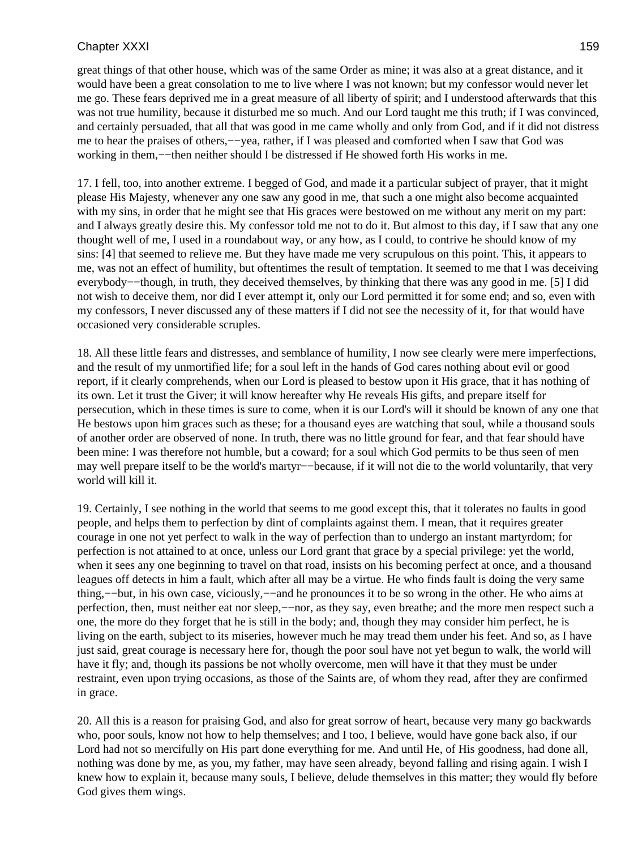great things of that other house, which was of the same Order as mine; it was also at a great distance, and it would have been a great consolation to me to live where I was not known; but my confessor would never let me go. These fears deprived me in a great measure of all liberty of spirit; and I understood afterwards that this was not true humility, because it disturbed me so much. And our Lord taught me this truth; if I was convinced, and certainly persuaded, that all that was good in me came wholly and only from God, and if it did not distress me to hear the praises of others,−−yea, rather, if I was pleased and comforted when I saw that God was working in them,−−then neither should I be distressed if He showed forth His works in me.

17. I fell, too, into another extreme. I begged of God, and made it a particular subject of prayer, that it might please His Majesty, whenever any one saw any good in me, that such a one might also become acquainted with my sins, in order that he might see that His graces were bestowed on me without any merit on my part: and I always greatly desire this. My confessor told me not to do it. But almost to this day, if I saw that any one thought well of me, I used in a roundabout way, or any how, as I could, to contrive he should know of my sins: [4] that seemed to relieve me. But they have made me very scrupulous on this point. This, it appears to me, was not an effect of humility, but oftentimes the result of temptation. It seemed to me that I was deceiving everybody−−though, in truth, they deceived themselves, by thinking that there was any good in me. [5] I did not wish to deceive them, nor did I ever attempt it, only our Lord permitted it for some end; and so, even with my confessors, I never discussed any of these matters if I did not see the necessity of it, for that would have occasioned very considerable scruples.

18. All these little fears and distresses, and semblance of humility, I now see clearly were mere imperfections, and the result of my unmortified life; for a soul left in the hands of God cares nothing about evil or good report, if it clearly comprehends, when our Lord is pleased to bestow upon it His grace, that it has nothing of its own. Let it trust the Giver; it will know hereafter why He reveals His gifts, and prepare itself for persecution, which in these times is sure to come, when it is our Lord's will it should be known of any one that He bestows upon him graces such as these; for a thousand eyes are watching that soul, while a thousand souls of another order are observed of none. In truth, there was no little ground for fear, and that fear should have been mine: I was therefore not humble, but a coward; for a soul which God permits to be thus seen of men may well prepare itself to be the world's martyr−−because, if it will not die to the world voluntarily, that very world will kill it.

19. Certainly, I see nothing in the world that seems to me good except this, that it tolerates no faults in good people, and helps them to perfection by dint of complaints against them. I mean, that it requires greater courage in one not yet perfect to walk in the way of perfection than to undergo an instant martyrdom; for perfection is not attained to at once, unless our Lord grant that grace by a special privilege: yet the world, when it sees any one beginning to travel on that road, insists on his becoming perfect at once, and a thousand leagues off detects in him a fault, which after all may be a virtue. He who finds fault is doing the very same thing,−−but, in his own case, viciously,−−and he pronounces it to be so wrong in the other. He who aims at perfection, then, must neither eat nor sleep,−−nor, as they say, even breathe; and the more men respect such a one, the more do they forget that he is still in the body; and, though they may consider him perfect, he is living on the earth, subject to its miseries, however much he may tread them under his feet. And so, as I have just said, great courage is necessary here for, though the poor soul have not yet begun to walk, the world will have it fly; and, though its passions be not wholly overcome, men will have it that they must be under restraint, even upon trying occasions, as those of the Saints are, of whom they read, after they are confirmed in grace.

20. All this is a reason for praising God, and also for great sorrow of heart, because very many go backwards who, poor souls, know not how to help themselves; and I too, I believe, would have gone back also, if our Lord had not so mercifully on His part done everything for me. And until He, of His goodness, had done all, nothing was done by me, as you, my father, may have seen already, beyond falling and rising again. I wish I knew how to explain it, because many souls, I believe, delude themselves in this matter; they would fly before God gives them wings.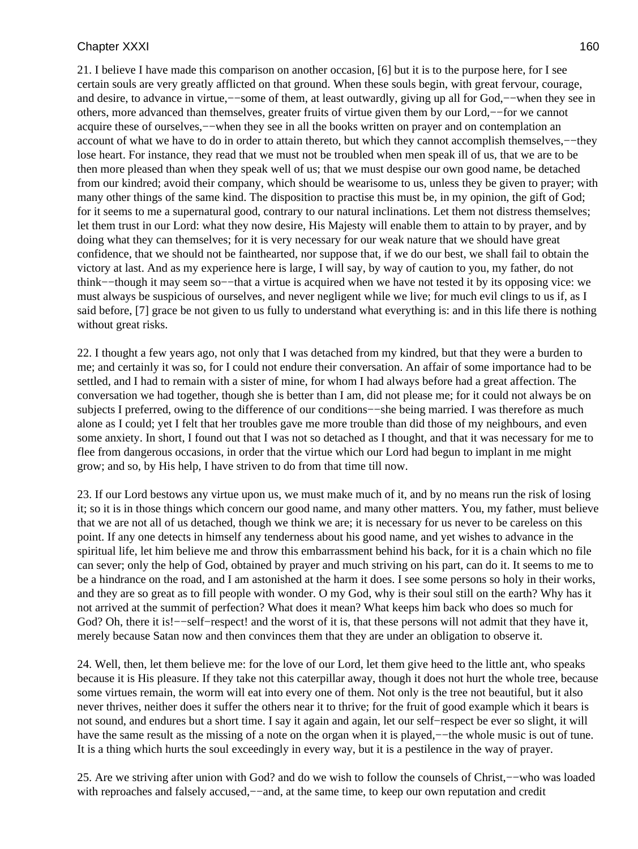21. I believe I have made this comparison on another occasion, [6] but it is to the purpose here, for I see certain souls are very greatly afflicted on that ground. When these souls begin, with great fervour, courage, and desire, to advance in virtue,−−some of them, at least outwardly, giving up all for God,−−when they see in others, more advanced than themselves, greater fruits of virtue given them by our Lord,−−for we cannot acquire these of ourselves,−−when they see in all the books written on prayer and on contemplation an account of what we have to do in order to attain thereto, but which they cannot accomplish themselves,−−they lose heart. For instance, they read that we must not be troubled when men speak ill of us, that we are to be then more pleased than when they speak well of us; that we must despise our own good name, be detached from our kindred; avoid their company, which should be wearisome to us, unless they be given to prayer; with many other things of the same kind. The disposition to practise this must be, in my opinion, the gift of God; for it seems to me a supernatural good, contrary to our natural inclinations. Let them not distress themselves; let them trust in our Lord: what they now desire, His Majesty will enable them to attain to by prayer, and by doing what they can themselves; for it is very necessary for our weak nature that we should have great confidence, that we should not be fainthearted, nor suppose that, if we do our best, we shall fail to obtain the victory at last. And as my experience here is large, I will say, by way of caution to you, my father, do not think−−though it may seem so−−that a virtue is acquired when we have not tested it by its opposing vice: we must always be suspicious of ourselves, and never negligent while we live; for much evil clings to us if, as I said before, [7] grace be not given to us fully to understand what everything is: and in this life there is nothing without great risks.

22. I thought a few years ago, not only that I was detached from my kindred, but that they were a burden to me; and certainly it was so, for I could not endure their conversation. An affair of some importance had to be settled, and I had to remain with a sister of mine, for whom I had always before had a great affection. The conversation we had together, though she is better than I am, did not please me; for it could not always be on subjects I preferred, owing to the difference of our conditions−−she being married. I was therefore as much alone as I could; yet I felt that her troubles gave me more trouble than did those of my neighbours, and even some anxiety. In short, I found out that I was not so detached as I thought, and that it was necessary for me to flee from dangerous occasions, in order that the virtue which our Lord had begun to implant in me might grow; and so, by His help, I have striven to do from that time till now.

23. If our Lord bestows any virtue upon us, we must make much of it, and by no means run the risk of losing it; so it is in those things which concern our good name, and many other matters. You, my father, must believe that we are not all of us detached, though we think we are; it is necessary for us never to be careless on this point. If any one detects in himself any tenderness about his good name, and yet wishes to advance in the spiritual life, let him believe me and throw this embarrassment behind his back, for it is a chain which no file can sever; only the help of God, obtained by prayer and much striving on his part, can do it. It seems to me to be a hindrance on the road, and I am astonished at the harm it does. I see some persons so holy in their works, and they are so great as to fill people with wonder. O my God, why is their soul still on the earth? Why has it not arrived at the summit of perfection? What does it mean? What keeps him back who does so much for God? Oh, there it is!—–self–respect! and the worst of it is, that these persons will not admit that they have it, merely because Satan now and then convinces them that they are under an obligation to observe it.

24. Well, then, let them believe me: for the love of our Lord, let them give heed to the little ant, who speaks because it is His pleasure. If they take not this caterpillar away, though it does not hurt the whole tree, because some virtues remain, the worm will eat into every one of them. Not only is the tree not beautiful, but it also never thrives, neither does it suffer the others near it to thrive; for the fruit of good example which it bears is not sound, and endures but a short time. I say it again and again, let our self−respect be ever so slight, it will have the same result as the missing of a note on the organ when it is played,—−the whole music is out of tune. It is a thing which hurts the soul exceedingly in every way, but it is a pestilence in the way of prayer.

25. Are we striving after union with God? and do we wish to follow the counsels of Christ,−−who was loaded with reproaches and falsely accused,—–and, at the same time, to keep our own reputation and credit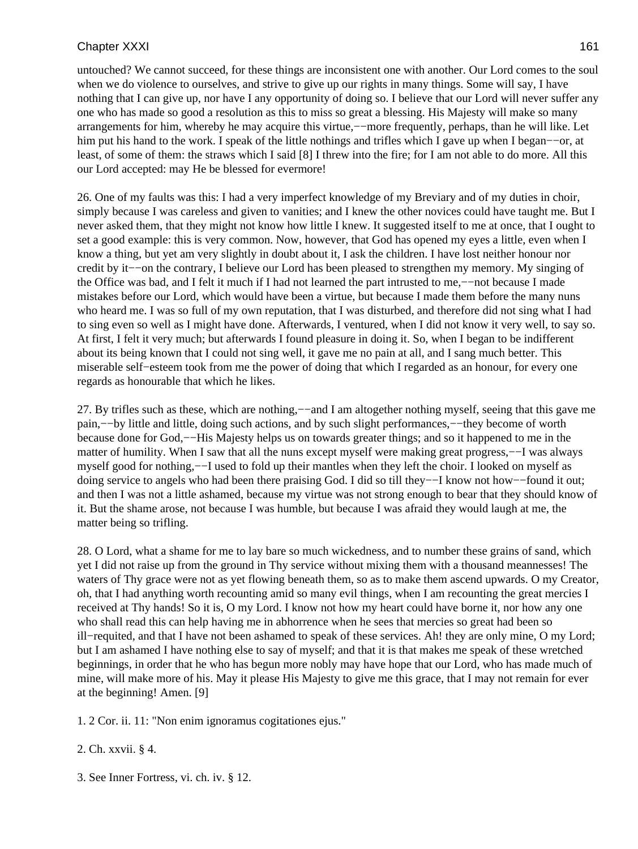untouched? We cannot succeed, for these things are inconsistent one with another. Our Lord comes to the soul when we do violence to ourselves, and strive to give up our rights in many things. Some will say, I have nothing that I can give up, nor have I any opportunity of doing so. I believe that our Lord will never suffer any one who has made so good a resolution as this to miss so great a blessing. His Majesty will make so many arrangements for him, whereby he may acquire this virtue,−−more frequently, perhaps, than he will like. Let him put his hand to the work. I speak of the little nothings and trifles which I gave up when I began−−or, at least, of some of them: the straws which I said [8] I threw into the fire; for I am not able to do more. All this our Lord accepted: may He be blessed for evermore!

26. One of my faults was this: I had a very imperfect knowledge of my Breviary and of my duties in choir, simply because I was careless and given to vanities; and I knew the other novices could have taught me. But I never asked them, that they might not know how little I knew. It suggested itself to me at once, that I ought to set a good example: this is very common. Now, however, that God has opened my eyes a little, even when I know a thing, but yet am very slightly in doubt about it, I ask the children. I have lost neither honour nor credit by it−−on the contrary, I believe our Lord has been pleased to strengthen my memory. My singing of the Office was bad, and I felt it much if I had not learned the part intrusted to me,−−not because I made mistakes before our Lord, which would have been a virtue, but because I made them before the many nuns who heard me. I was so full of my own reputation, that I was disturbed, and therefore did not sing what I had to sing even so well as I might have done. Afterwards, I ventured, when I did not know it very well, to say so. At first, I felt it very much; but afterwards I found pleasure in doing it. So, when I began to be indifferent about its being known that I could not sing well, it gave me no pain at all, and I sang much better. This miserable self−esteem took from me the power of doing that which I regarded as an honour, for every one regards as honourable that which he likes.

27. By trifles such as these, which are nothing,−−and I am altogether nothing myself, seeing that this gave me pain,−−by little and little, doing such actions, and by such slight performances,−−they become of worth because done for God,−−His Majesty helps us on towards greater things; and so it happened to me in the matter of humility. When I saw that all the nuns except myself were making great progress,––I was always myself good for nothing,−−I used to fold up their mantles when they left the choir. I looked on myself as doing service to angels who had been there praising God. I did so till they−−I know not how−−found it out; and then I was not a little ashamed, because my virtue was not strong enough to bear that they should know of it. But the shame arose, not because I was humble, but because I was afraid they would laugh at me, the matter being so trifling.

28. O Lord, what a shame for me to lay bare so much wickedness, and to number these grains of sand, which yet I did not raise up from the ground in Thy service without mixing them with a thousand meannesses! The waters of Thy grace were not as yet flowing beneath them, so as to make them ascend upwards. O my Creator, oh, that I had anything worth recounting amid so many evil things, when I am recounting the great mercies I received at Thy hands! So it is, O my Lord. I know not how my heart could have borne it, nor how any one who shall read this can help having me in abhorrence when he sees that mercies so great had been so ill−requited, and that I have not been ashamed to speak of these services. Ah! they are only mine, O my Lord; but I am ashamed I have nothing else to say of myself; and that it is that makes me speak of these wretched beginnings, in order that he who has begun more nobly may have hope that our Lord, who has made much of mine, will make more of his. May it please His Majesty to give me this grace, that I may not remain for ever at the beginning! Amen. [9]

1. 2 Cor. ii. 11: "Non enim ignoramus cogitationes ejus."

- 2. Ch. xxvii. § 4.
- 3. See Inner Fortress, vi. ch. iv. § 12.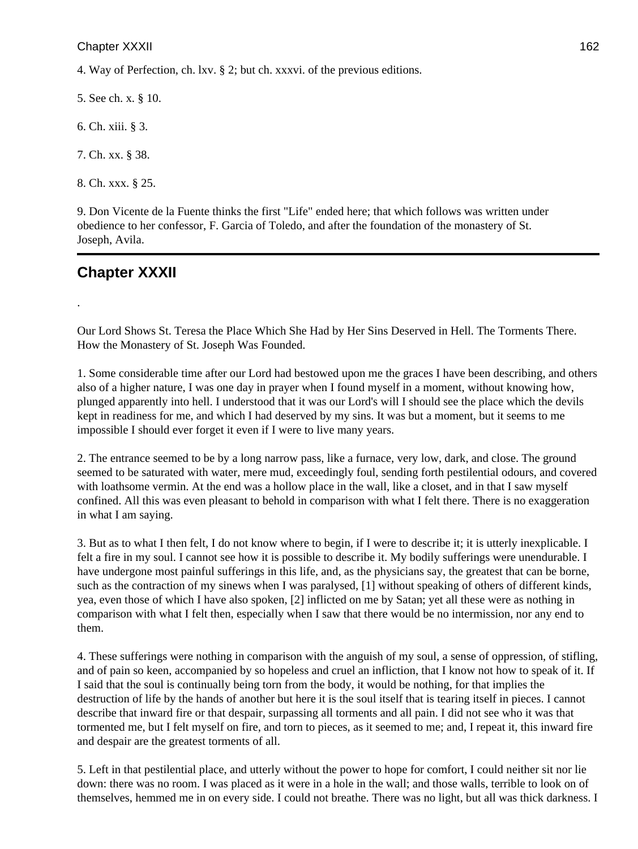4. Way of Perfection, ch. lxv. § 2; but ch. xxxvi. of the previous editions.

5. See ch. x. § 10.

6. Ch. xiii. § 3.

7. Ch. xx. § 38.

8. Ch. xxx. § 25.

9. Don Vicente de la Fuente thinks the first "Life" ended here; that which follows was written under obedience to her confessor, F. Garcia of Toledo, and after the foundation of the monastery of St. Joseph, Avila.

# **Chapter XXXII**

.

Our Lord Shows St. Teresa the Place Which She Had by Her Sins Deserved in Hell. The Torments There. How the Monastery of St. Joseph Was Founded.

1. Some considerable time after our Lord had bestowed upon me the graces I have been describing, and others also of a higher nature, I was one day in prayer when I found myself in a moment, without knowing how, plunged apparently into hell. I understood that it was our Lord's will I should see the place which the devils kept in readiness for me, and which I had deserved by my sins. It was but a moment, but it seems to me impossible I should ever forget it even if I were to live many years.

2. The entrance seemed to be by a long narrow pass, like a furnace, very low, dark, and close. The ground seemed to be saturated with water, mere mud, exceedingly foul, sending forth pestilential odours, and covered with loathsome vermin. At the end was a hollow place in the wall, like a closet, and in that I saw myself confined. All this was even pleasant to behold in comparison with what I felt there. There is no exaggeration in what I am saying.

3. But as to what I then felt, I do not know where to begin, if I were to describe it; it is utterly inexplicable. I felt a fire in my soul. I cannot see how it is possible to describe it. My bodily sufferings were unendurable. I have undergone most painful sufferings in this life, and, as the physicians say, the greatest that can be borne, such as the contraction of my sinews when I was paralysed, [1] without speaking of others of different kinds, yea, even those of which I have also spoken, [2] inflicted on me by Satan; yet all these were as nothing in comparison with what I felt then, especially when I saw that there would be no intermission, nor any end to them.

4. These sufferings were nothing in comparison with the anguish of my soul, a sense of oppression, of stifling, and of pain so keen, accompanied by so hopeless and cruel an infliction, that I know not how to speak of it. If I said that the soul is continually being torn from the body, it would be nothing, for that implies the destruction of life by the hands of another but here it is the soul itself that is tearing itself in pieces. I cannot describe that inward fire or that despair, surpassing all torments and all pain. I did not see who it was that tormented me, but I felt myself on fire, and torn to pieces, as it seemed to me; and, I repeat it, this inward fire and despair are the greatest torments of all.

5. Left in that pestilential place, and utterly without the power to hope for comfort, I could neither sit nor lie down: there was no room. I was placed as it were in a hole in the wall; and those walls, terrible to look on of themselves, hemmed me in on every side. I could not breathe. There was no light, but all was thick darkness. I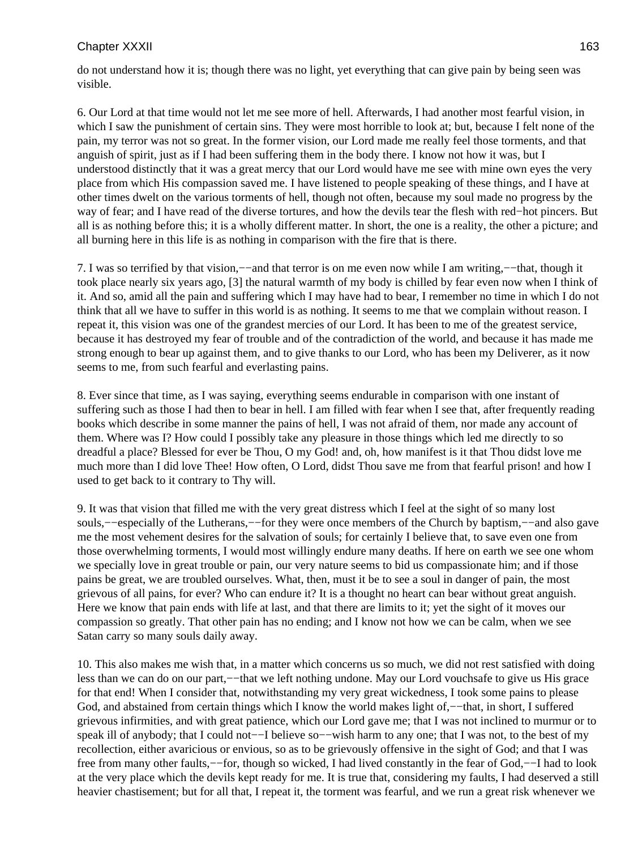do not understand how it is; though there was no light, yet everything that can give pain by being seen was visible.

6. Our Lord at that time would not let me see more of hell. Afterwards, I had another most fearful vision, in which I saw the punishment of certain sins. They were most horrible to look at; but, because I felt none of the pain, my terror was not so great. In the former vision, our Lord made me really feel those torments, and that anguish of spirit, just as if I had been suffering them in the body there. I know not how it was, but I understood distinctly that it was a great mercy that our Lord would have me see with mine own eyes the very place from which His compassion saved me. I have listened to people speaking of these things, and I have at other times dwelt on the various torments of hell, though not often, because my soul made no progress by the way of fear; and I have read of the diverse tortures, and how the devils tear the flesh with red−hot pincers. But all is as nothing before this; it is a wholly different matter. In short, the one is a reality, the other a picture; and all burning here in this life is as nothing in comparison with the fire that is there.

7. I was so terrified by that vision,−−and that terror is on me even now while I am writing,−−that, though it took place nearly six years ago, [3] the natural warmth of my body is chilled by fear even now when I think of it. And so, amid all the pain and suffering which I may have had to bear, I remember no time in which I do not think that all we have to suffer in this world is as nothing. It seems to me that we complain without reason. I repeat it, this vision was one of the grandest mercies of our Lord. It has been to me of the greatest service, because it has destroyed my fear of trouble and of the contradiction of the world, and because it has made me strong enough to bear up against them, and to give thanks to our Lord, who has been my Deliverer, as it now seems to me, from such fearful and everlasting pains.

8. Ever since that time, as I was saying, everything seems endurable in comparison with one instant of suffering such as those I had then to bear in hell. I am filled with fear when I see that, after frequently reading books which describe in some manner the pains of hell, I was not afraid of them, nor made any account of them. Where was I? How could I possibly take any pleasure in those things which led me directly to so dreadful a place? Blessed for ever be Thou, O my God! and, oh, how manifest is it that Thou didst love me much more than I did love Thee! How often, O Lord, didst Thou save me from that fearful prison! and how I used to get back to it contrary to Thy will.

9. It was that vision that filled me with the very great distress which I feel at the sight of so many lost souls,––especially of the Lutherans,—–for they were once members of the Church by baptism,—–and also gave me the most vehement desires for the salvation of souls; for certainly I believe that, to save even one from those overwhelming torments, I would most willingly endure many deaths. If here on earth we see one whom we specially love in great trouble or pain, our very nature seems to bid us compassionate him; and if those pains be great, we are troubled ourselves. What, then, must it be to see a soul in danger of pain, the most grievous of all pains, for ever? Who can endure it? It is a thought no heart can bear without great anguish. Here we know that pain ends with life at last, and that there are limits to it; yet the sight of it moves our compassion so greatly. That other pain has no ending; and I know not how we can be calm, when we see Satan carry so many souls daily away.

10. This also makes me wish that, in a matter which concerns us so much, we did not rest satisfied with doing less than we can do on our part,−−that we left nothing undone. May our Lord vouchsafe to give us His grace for that end! When I consider that, notwithstanding my very great wickedness, I took some pains to please God, and abstained from certain things which I know the world makes light of,—−that, in short, I suffered grievous infirmities, and with great patience, which our Lord gave me; that I was not inclined to murmur or to speak ill of anybody; that I could not-−I believe so-−wish harm to any one; that I was not, to the best of my recollection, either avaricious or envious, so as to be grievously offensive in the sight of God; and that I was free from many other faults,−−for, though so wicked, I had lived constantly in the fear of God,−−I had to look at the very place which the devils kept ready for me. It is true that, considering my faults, I had deserved a still heavier chastisement; but for all that, I repeat it, the torment was fearful, and we run a great risk whenever we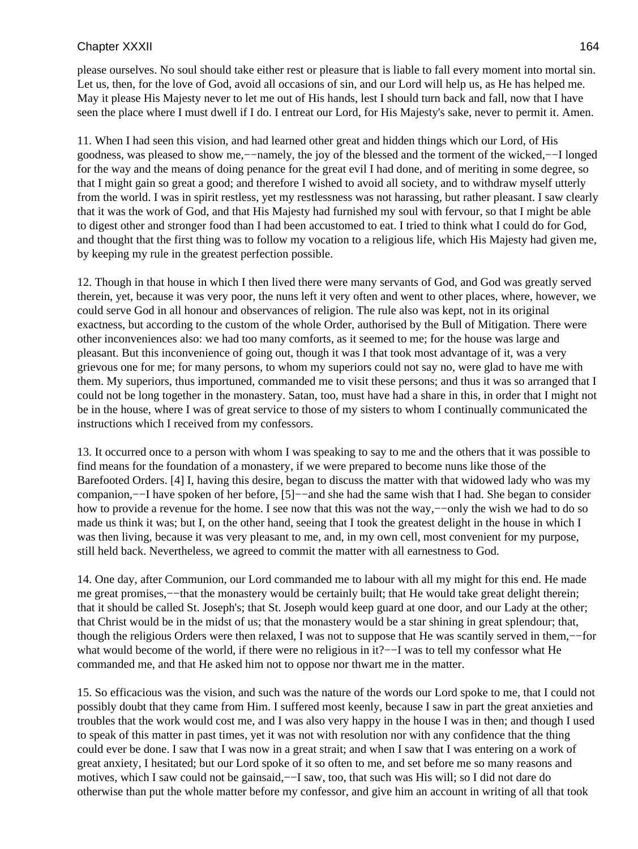please ourselves. No soul should take either rest or pleasure that is liable to fall every moment into mortal sin. Let us, then, for the love of God, avoid all occasions of sin, and our Lord will help us, as He has helped me. May it please His Majesty never to let me out of His hands, lest I should turn back and fall, now that I have seen the place where I must dwell if I do. I entreat our Lord, for His Majesty's sake, never to permit it. Amen.

11. When I had seen this vision, and had learned other great and hidden things which our Lord, of His goodness, was pleased to show me,−−namely, the joy of the blessed and the torment of the wicked,−−I longed for the way and the means of doing penance for the great evil I had done, and of meriting in some degree, so that I might gain so great a good; and therefore I wished to avoid all society, and to withdraw myself utterly from the world. I was in spirit restless, yet my restlessness was not harassing, but rather pleasant. I saw clearly that it was the work of God, and that His Majesty had furnished my soul with fervour, so that I might be able to digest other and stronger food than I had been accustomed to eat. I tried to think what I could do for God, and thought that the first thing was to follow my vocation to a religious life, which His Majesty had given me, by keeping my rule in the greatest perfection possible.

12. Though in that house in which I then lived there were many servants of God, and God was greatly served therein, yet, because it was very poor, the nuns left it very often and went to other places, where, however, we could serve God in all honour and observances of religion. The rule also was kept, not in its original exactness, but according to the custom of the whole Order, authorised by the Bull of Mitigation. There were other inconveniences also: we had too many comforts, as it seemed to me; for the house was large and pleasant. But this inconvenience of going out, though it was I that took most advantage of it, was a very grievous one for me; for many persons, to whom my superiors could not say no, were glad to have me with them. My superiors, thus importuned, commanded me to visit these persons; and thus it was so arranged that I could not be long together in the monastery. Satan, too, must have had a share in this, in order that I might not be in the house, where I was of great service to those of my sisters to whom I continually communicated the instructions which I received from my confessors.

13. It occurred once to a person with whom I was speaking to say to me and the others that it was possible to find means for the foundation of a monastery, if we were prepared to become nuns like those of the Barefooted Orders. [4] I, having this desire, began to discuss the matter with that widowed lady who was my companion,−−I have spoken of her before, [5]−−and she had the same wish that I had. She began to consider how to provide a revenue for the home. I see now that this was not the way,−−only the wish we had to do so made us think it was; but I, on the other hand, seeing that I took the greatest delight in the house in which I was then living, because it was very pleasant to me, and, in my own cell, most convenient for my purpose, still held back. Nevertheless, we agreed to commit the matter with all earnestness to God.

14. One day, after Communion, our Lord commanded me to labour with all my might for this end. He made me great promises,—−that the monastery would be certainly built; that He would take great delight therein; that it should be called St. Joseph's; that St. Joseph would keep guard at one door, and our Lady at the other; that Christ would be in the midst of us; that the monastery would be a star shining in great splendour; that, though the religious Orders were then relaxed, I was not to suppose that He was scantily served in them,−−for what would become of the world, if there were no religious in it?−−I was to tell my confessor what He commanded me, and that He asked him not to oppose nor thwart me in the matter.

15. So efficacious was the vision, and such was the nature of the words our Lord spoke to me, that I could not possibly doubt that they came from Him. I suffered most keenly, because I saw in part the great anxieties and troubles that the work would cost me, and I was also very happy in the house I was in then; and though I used to speak of this matter in past times, yet it was not with resolution nor with any confidence that the thing could ever be done. I saw that I was now in a great strait; and when I saw that I was entering on a work of great anxiety, I hesitated; but our Lord spoke of it so often to me, and set before me so many reasons and motives, which I saw could not be gainsaid,— $-I$  saw, too, that such was His will; so I did not dare do otherwise than put the whole matter before my confessor, and give him an account in writing of all that took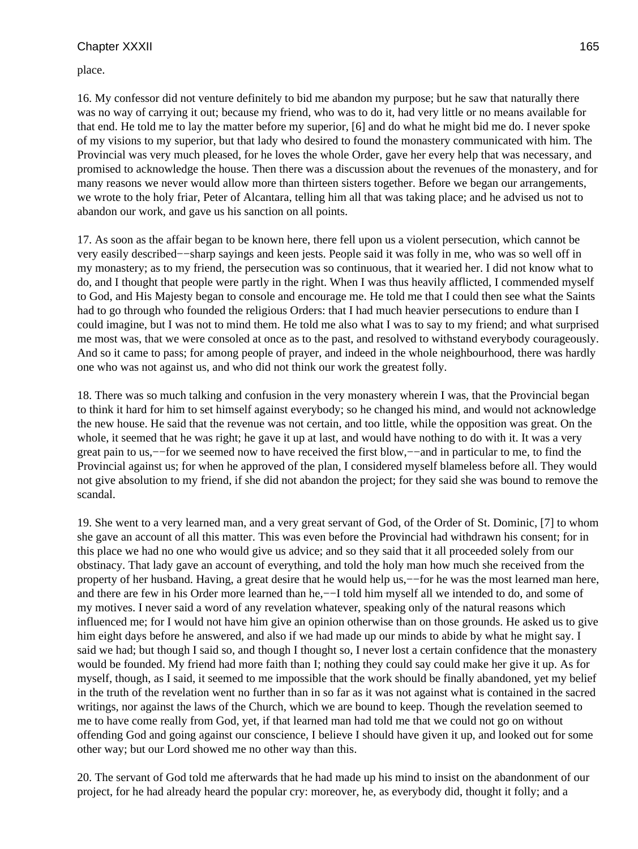place.

16. My confessor did not venture definitely to bid me abandon my purpose; but he saw that naturally there was no way of carrying it out; because my friend, who was to do it, had very little or no means available for that end. He told me to lay the matter before my superior, [6] and do what he might bid me do. I never spoke of my visions to my superior, but that lady who desired to found the monastery communicated with him. The Provincial was very much pleased, for he loves the whole Order, gave her every help that was necessary, and promised to acknowledge the house. Then there was a discussion about the revenues of the monastery, and for many reasons we never would allow more than thirteen sisters together. Before we began our arrangements, we wrote to the holy friar, Peter of Alcantara, telling him all that was taking place; and he advised us not to abandon our work, and gave us his sanction on all points.

17. As soon as the affair began to be known here, there fell upon us a violent persecution, which cannot be very easily described−−sharp sayings and keen jests. People said it was folly in me, who was so well off in my monastery; as to my friend, the persecution was so continuous, that it wearied her. I did not know what to do, and I thought that people were partly in the right. When I was thus heavily afflicted, I commended myself to God, and His Majesty began to console and encourage me. He told me that I could then see what the Saints had to go through who founded the religious Orders: that I had much heavier persecutions to endure than I could imagine, but I was not to mind them. He told me also what I was to say to my friend; and what surprised me most was, that we were consoled at once as to the past, and resolved to withstand everybody courageously. And so it came to pass; for among people of prayer, and indeed in the whole neighbourhood, there was hardly one who was not against us, and who did not think our work the greatest folly.

18. There was so much talking and confusion in the very monastery wherein I was, that the Provincial began to think it hard for him to set himself against everybody; so he changed his mind, and would not acknowledge the new house. He said that the revenue was not certain, and too little, while the opposition was great. On the whole, it seemed that he was right; he gave it up at last, and would have nothing to do with it. It was a very great pain to us,−−for we seemed now to have received the first blow,−−and in particular to me, to find the Provincial against us; for when he approved of the plan, I considered myself blameless before all. They would not give absolution to my friend, if she did not abandon the project; for they said she was bound to remove the scandal.

19. She went to a very learned man, and a very great servant of God, of the Order of St. Dominic, [7] to whom she gave an account of all this matter. This was even before the Provincial had withdrawn his consent; for in this place we had no one who would give us advice; and so they said that it all proceeded solely from our obstinacy. That lady gave an account of everything, and told the holy man how much she received from the property of her husband. Having, a great desire that he would help us,−−for he was the most learned man here, and there are few in his Order more learned than he,−−I told him myself all we intended to do, and some of my motives. I never said a word of any revelation whatever, speaking only of the natural reasons which influenced me; for I would not have him give an opinion otherwise than on those grounds. He asked us to give him eight days before he answered, and also if we had made up our minds to abide by what he might say. I said we had; but though I said so, and though I thought so, I never lost a certain confidence that the monastery would be founded. My friend had more faith than I; nothing they could say could make her give it up. As for myself, though, as I said, it seemed to me impossible that the work should be finally abandoned, yet my belief in the truth of the revelation went no further than in so far as it was not against what is contained in the sacred writings, nor against the laws of the Church, which we are bound to keep. Though the revelation seemed to me to have come really from God, yet, if that learned man had told me that we could not go on without offending God and going against our conscience, I believe I should have given it up, and looked out for some other way; but our Lord showed me no other way than this.

20. The servant of God told me afterwards that he had made up his mind to insist on the abandonment of our project, for he had already heard the popular cry: moreover, he, as everybody did, thought it folly; and a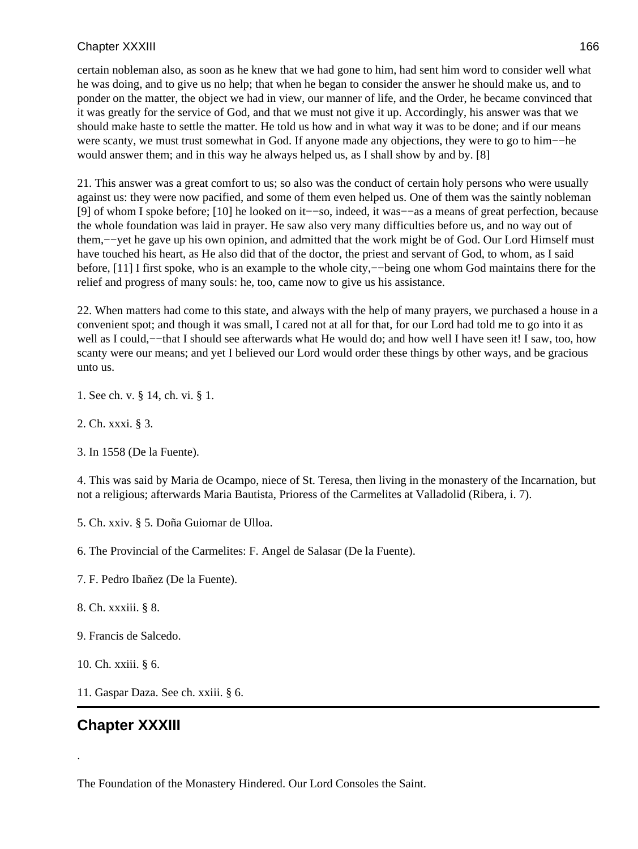certain nobleman also, as soon as he knew that we had gone to him, had sent him word to consider well what he was doing, and to give us no help; that when he began to consider the answer he should make us, and to ponder on the matter, the object we had in view, our manner of life, and the Order, he became convinced that it was greatly for the service of God, and that we must not give it up. Accordingly, his answer was that we should make haste to settle the matter. He told us how and in what way it was to be done; and if our means were scanty, we must trust somewhat in God. If anyone made any objections, they were to go to him−−he would answer them; and in this way he always helped us, as I shall show by and by. [8]

21. This answer was a great comfort to us; so also was the conduct of certain holy persons who were usually against us: they were now pacified, and some of them even helped us. One of them was the saintly nobleman [9] of whom I spoke before; [10] he looked on it−−so, indeed, it was−−as a means of great perfection, because the whole foundation was laid in prayer. He saw also very many difficulties before us, and no way out of them,−−yet he gave up his own opinion, and admitted that the work might be of God. Our Lord Himself must have touched his heart, as He also did that of the doctor, the priest and servant of God, to whom, as I said before, [11] I first spoke, who is an example to the whole city,−−being one whom God maintains there for the relief and progress of many souls: he, too, came now to give us his assistance.

22. When matters had come to this state, and always with the help of many prayers, we purchased a house in a convenient spot; and though it was small, I cared not at all for that, for our Lord had told me to go into it as well as I could,—–that I should see afterwards what He would do; and how well I have seen it! I saw, too, how scanty were our means; and yet I believed our Lord would order these things by other ways, and be gracious unto us.

1. See ch. v. § 14, ch. vi. § 1.

2. Ch. xxxi. § 3.

3. In 1558 (De la Fuente).

4. This was said by Maria de Ocampo, niece of St. Teresa, then living in the monastery of the Incarnation, but not a religious; afterwards Maria Bautista, Prioress of the Carmelites at Valladolid (Ribera, i. 7).

5. Ch. xxiv. § 5. Doña Guiomar de Ulloa.

6. The Provincial of the Carmelites: F. Angel de Salasar (De la Fuente).

7. F. Pedro Ibañez (De la Fuente).

8. Ch. xxxiii. § 8.

9. Francis de Salcedo.

10. Ch. xxiii. § 6.

11. Gaspar Daza. See ch. xxiii. § 6.

# **Chapter XXXIII**

.

The Foundation of the Monastery Hindered. Our Lord Consoles the Saint.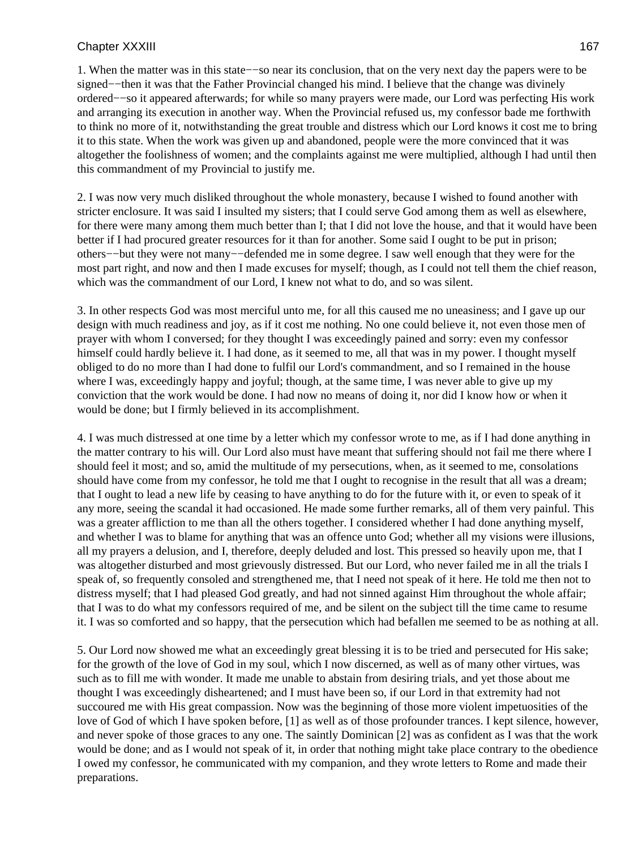1. When the matter was in this state−−so near its conclusion, that on the very next day the papers were to be signed––then it was that the Father Provincial changed his mind. I believe that the change was divinely ordered−−so it appeared afterwards; for while so many prayers were made, our Lord was perfecting His work and arranging its execution in another way. When the Provincial refused us, my confessor bade me forthwith to think no more of it, notwithstanding the great trouble and distress which our Lord knows it cost me to bring it to this state. When the work was given up and abandoned, people were the more convinced that it was altogether the foolishness of women; and the complaints against me were multiplied, although I had until then this commandment of my Provincial to justify me.

2. I was now very much disliked throughout the whole monastery, because I wished to found another with stricter enclosure. It was said I insulted my sisters; that I could serve God among them as well as elsewhere, for there were many among them much better than I; that I did not love the house, and that it would have been better if I had procured greater resources for it than for another. Some said I ought to be put in prison; others−−but they were not many−−defended me in some degree. I saw well enough that they were for the most part right, and now and then I made excuses for myself; though, as I could not tell them the chief reason, which was the commandment of our Lord, I knew not what to do, and so was silent.

3. In other respects God was most merciful unto me, for all this caused me no uneasiness; and I gave up our design with much readiness and joy, as if it cost me nothing. No one could believe it, not even those men of prayer with whom I conversed; for they thought I was exceedingly pained and sorry: even my confessor himself could hardly believe it. I had done, as it seemed to me, all that was in my power. I thought myself obliged to do no more than I had done to fulfil our Lord's commandment, and so I remained in the house where I was, exceedingly happy and joyful; though, at the same time, I was never able to give up my conviction that the work would be done. I had now no means of doing it, nor did I know how or when it would be done; but I firmly believed in its accomplishment.

4. I was much distressed at one time by a letter which my confessor wrote to me, as if I had done anything in the matter contrary to his will. Our Lord also must have meant that suffering should not fail me there where I should feel it most; and so, amid the multitude of my persecutions, when, as it seemed to me, consolations should have come from my confessor, he told me that I ought to recognise in the result that all was a dream; that I ought to lead a new life by ceasing to have anything to do for the future with it, or even to speak of it any more, seeing the scandal it had occasioned. He made some further remarks, all of them very painful. This was a greater affliction to me than all the others together. I considered whether I had done anything myself, and whether I was to blame for anything that was an offence unto God; whether all my visions were illusions, all my prayers a delusion, and I, therefore, deeply deluded and lost. This pressed so heavily upon me, that I was altogether disturbed and most grievously distressed. But our Lord, who never failed me in all the trials I speak of, so frequently consoled and strengthened me, that I need not speak of it here. He told me then not to distress myself; that I had pleased God greatly, and had not sinned against Him throughout the whole affair; that I was to do what my confessors required of me, and be silent on the subject till the time came to resume it. I was so comforted and so happy, that the persecution which had befallen me seemed to be as nothing at all.

5. Our Lord now showed me what an exceedingly great blessing it is to be tried and persecuted for His sake; for the growth of the love of God in my soul, which I now discerned, as well as of many other virtues, was such as to fill me with wonder. It made me unable to abstain from desiring trials, and yet those about me thought I was exceedingly disheartened; and I must have been so, if our Lord in that extremity had not succoured me with His great compassion. Now was the beginning of those more violent impetuosities of the love of God of which I have spoken before, [1] as well as of those profounder trances. I kept silence, however, and never spoke of those graces to any one. The saintly Dominican [2] was as confident as I was that the work would be done; and as I would not speak of it, in order that nothing might take place contrary to the obedience I owed my confessor, he communicated with my companion, and they wrote letters to Rome and made their preparations.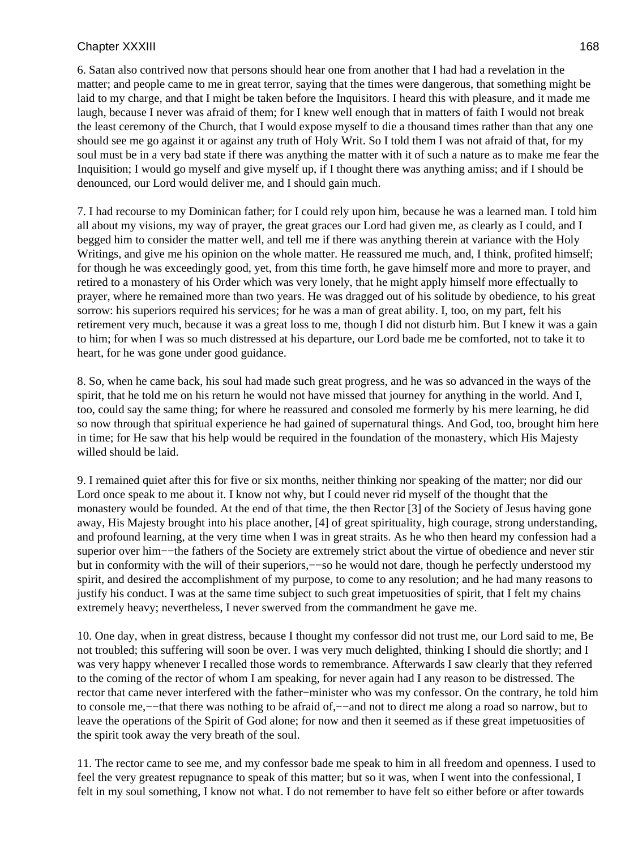6. Satan also contrived now that persons should hear one from another that I had had a revelation in the matter; and people came to me in great terror, saying that the times were dangerous, that something might be laid to my charge, and that I might be taken before the Inquisitors. I heard this with pleasure, and it made me laugh, because I never was afraid of them; for I knew well enough that in matters of faith I would not break the least ceremony of the Church, that I would expose myself to die a thousand times rather than that any one should see me go against it or against any truth of Holy Writ. So I told them I was not afraid of that, for my soul must be in a very bad state if there was anything the matter with it of such a nature as to make me fear the Inquisition; I would go myself and give myself up, if I thought there was anything amiss; and if I should be denounced, our Lord would deliver me, and I should gain much.

7. I had recourse to my Dominican father; for I could rely upon him, because he was a learned man. I told him all about my visions, my way of prayer, the great graces our Lord had given me, as clearly as I could, and I begged him to consider the matter well, and tell me if there was anything therein at variance with the Holy Writings, and give me his opinion on the whole matter. He reassured me much, and, I think, profited himself; for though he was exceedingly good, yet, from this time forth, he gave himself more and more to prayer, and retired to a monastery of his Order which was very lonely, that he might apply himself more effectually to prayer, where he remained more than two years. He was dragged out of his solitude by obedience, to his great sorrow: his superiors required his services; for he was a man of great ability. I, too, on my part, felt his retirement very much, because it was a great loss to me, though I did not disturb him. But I knew it was a gain to him; for when I was so much distressed at his departure, our Lord bade me be comforted, not to take it to heart, for he was gone under good guidance.

8. So, when he came back, his soul had made such great progress, and he was so advanced in the ways of the spirit, that he told me on his return he would not have missed that journey for anything in the world. And I, too, could say the same thing; for where he reassured and consoled me formerly by his mere learning, he did so now through that spiritual experience he had gained of supernatural things. And God, too, brought him here in time; for He saw that his help would be required in the foundation of the monastery, which His Majesty willed should be laid.

9. I remained quiet after this for five or six months, neither thinking nor speaking of the matter; nor did our Lord once speak to me about it. I know not why, but I could never rid myself of the thought that the monastery would be founded. At the end of that time, the then Rector [3] of the Society of Jesus having gone away, His Majesty brought into his place another, [4] of great spirituality, high courage, strong understanding, and profound learning, at the very time when I was in great straits. As he who then heard my confession had a superior over him−−the fathers of the Society are extremely strict about the virtue of obedience and never stir but in conformity with the will of their superiors,−−so he would not dare, though he perfectly understood my spirit, and desired the accomplishment of my purpose, to come to any resolution; and he had many reasons to justify his conduct. I was at the same time subject to such great impetuosities of spirit, that I felt my chains extremely heavy; nevertheless, I never swerved from the commandment he gave me.

10. One day, when in great distress, because I thought my confessor did not trust me, our Lord said to me, Be not troubled; this suffering will soon be over. I was very much delighted, thinking I should die shortly; and I was very happy whenever I recalled those words to remembrance. Afterwards I saw clearly that they referred to the coming of the rector of whom I am speaking, for never again had I any reason to be distressed. The rector that came never interfered with the father−minister who was my confessor. On the contrary, he told him to console me,−−that there was nothing to be afraid of,−−and not to direct me along a road so narrow, but to leave the operations of the Spirit of God alone; for now and then it seemed as if these great impetuosities of the spirit took away the very breath of the soul.

11. The rector came to see me, and my confessor bade me speak to him in all freedom and openness. I used to feel the very greatest repugnance to speak of this matter; but so it was, when I went into the confessional, I felt in my soul something, I know not what. I do not remember to have felt so either before or after towards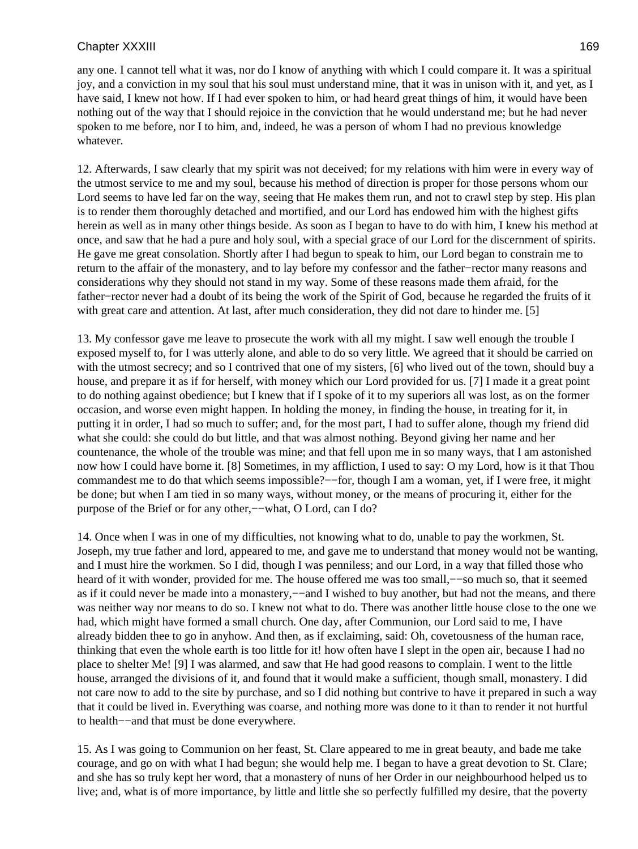any one. I cannot tell what it was, nor do I know of anything with which I could compare it. It was a spiritual joy, and a conviction in my soul that his soul must understand mine, that it was in unison with it, and yet, as I have said, I knew not how. If I had ever spoken to him, or had heard great things of him, it would have been nothing out of the way that I should rejoice in the conviction that he would understand me; but he had never spoken to me before, nor I to him, and, indeed, he was a person of whom I had no previous knowledge whatever.

12. Afterwards, I saw clearly that my spirit was not deceived; for my relations with him were in every way of the utmost service to me and my soul, because his method of direction is proper for those persons whom our Lord seems to have led far on the way, seeing that He makes them run, and not to crawl step by step. His plan is to render them thoroughly detached and mortified, and our Lord has endowed him with the highest gifts herein as well as in many other things beside. As soon as I began to have to do with him, I knew his method at once, and saw that he had a pure and holy soul, with a special grace of our Lord for the discernment of spirits. He gave me great consolation. Shortly after I had begun to speak to him, our Lord began to constrain me to return to the affair of the monastery, and to lay before my confessor and the father−rector many reasons and considerations why they should not stand in my way. Some of these reasons made them afraid, for the father−rector never had a doubt of its being the work of the Spirit of God, because he regarded the fruits of it with great care and attention. At last, after much consideration, they did not dare to hinder me. [5]

13. My confessor gave me leave to prosecute the work with all my might. I saw well enough the trouble I exposed myself to, for I was utterly alone, and able to do so very little. We agreed that it should be carried on with the utmost secrecy; and so I contrived that one of my sisters, [6] who lived out of the town, should buy a house, and prepare it as if for herself, with money which our Lord provided for us. [7] I made it a great point to do nothing against obedience; but I knew that if I spoke of it to my superiors all was lost, as on the former occasion, and worse even might happen. In holding the money, in finding the house, in treating for it, in putting it in order, I had so much to suffer; and, for the most part, I had to suffer alone, though my friend did what she could: she could do but little, and that was almost nothing. Beyond giving her name and her countenance, the whole of the trouble was mine; and that fell upon me in so many ways, that I am astonished now how I could have borne it. [8] Sometimes, in my affliction, I used to say: O my Lord, how is it that Thou commandest me to do that which seems impossible?−−for, though I am a woman, yet, if I were free, it might be done; but when I am tied in so many ways, without money, or the means of procuring it, either for the purpose of the Brief or for any other,−−what, O Lord, can I do?

14. Once when I was in one of my difficulties, not knowing what to do, unable to pay the workmen, St. Joseph, my true father and lord, appeared to me, and gave me to understand that money would not be wanting, and I must hire the workmen. So I did, though I was penniless; and our Lord, in a way that filled those who heard of it with wonder, provided for me. The house offered me was too small,––so much so, that it seemed as if it could never be made into a monastery,—-and I wished to buy another, but had not the means, and there was neither way nor means to do so. I knew not what to do. There was another little house close to the one we had, which might have formed a small church. One day, after Communion, our Lord said to me, I have already bidden thee to go in anyhow. And then, as if exclaiming, said: Oh, covetousness of the human race, thinking that even the whole earth is too little for it! how often have I slept in the open air, because I had no place to shelter Me! [9] I was alarmed, and saw that He had good reasons to complain. I went to the little house, arranged the divisions of it, and found that it would make a sufficient, though small, monastery. I did not care now to add to the site by purchase, and so I did nothing but contrive to have it prepared in such a way that it could be lived in. Everything was coarse, and nothing more was done to it than to render it not hurtful to health−−and that must be done everywhere.

15. As I was going to Communion on her feast, St. Clare appeared to me in great beauty, and bade me take courage, and go on with what I had begun; she would help me. I began to have a great devotion to St. Clare; and she has so truly kept her word, that a monastery of nuns of her Order in our neighbourhood helped us to live; and, what is of more importance, by little and little she so perfectly fulfilled my desire, that the poverty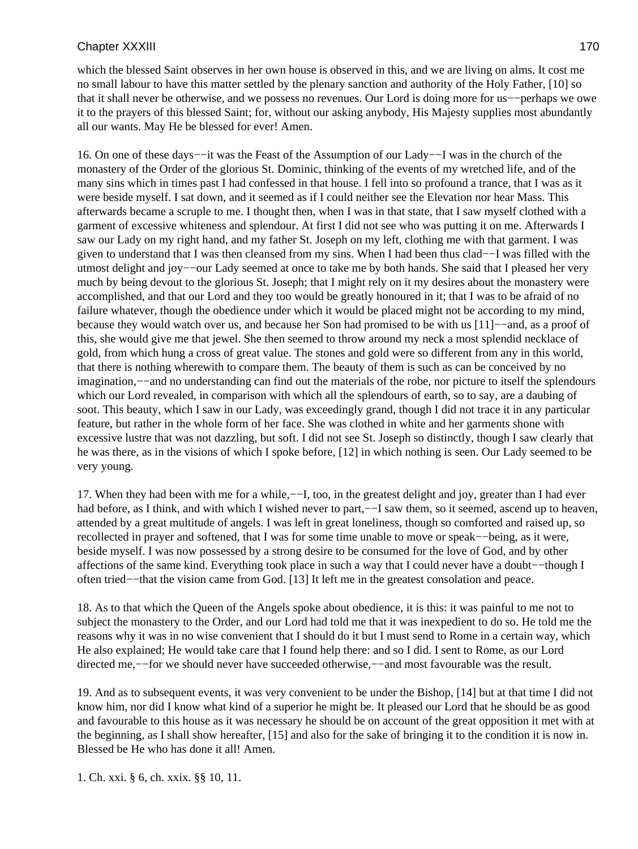which the blessed Saint observes in her own house is observed in this, and we are living on alms. It cost me no small labour to have this matter settled by the plenary sanction and authority of the Holy Father, [10] so that it shall never be otherwise, and we possess no revenues. Our Lord is doing more for us−−perhaps we owe it to the prayers of this blessed Saint; for, without our asking anybody, His Majesty supplies most abundantly all our wants. May He be blessed for ever! Amen.

16. On one of these days−−it was the Feast of the Assumption of our Lady−−I was in the church of the monastery of the Order of the glorious St. Dominic, thinking of the events of my wretched life, and of the many sins which in times past I had confessed in that house. I fell into so profound a trance, that I was as it were beside myself. I sat down, and it seemed as if I could neither see the Elevation nor hear Mass. This afterwards became a scruple to me. I thought then, when I was in that state, that I saw myself clothed with a garment of excessive whiteness and splendour. At first I did not see who was putting it on me. Afterwards I saw our Lady on my right hand, and my father St. Joseph on my left, clothing me with that garment. I was given to understand that I was then cleansed from my sins. When I had been thus clad−−I was filled with the utmost delight and joy−−our Lady seemed at once to take me by both hands. She said that I pleased her very much by being devout to the glorious St. Joseph; that I might rely on it my desires about the monastery were accomplished, and that our Lord and they too would be greatly honoured in it; that I was to be afraid of no failure whatever, though the obedience under which it would be placed might not be according to my mind, because they would watch over us, and because her Son had promised to be with us [11]−−and, as a proof of this, she would give me that jewel. She then seemed to throw around my neck a most splendid necklace of gold, from which hung a cross of great value. The stones and gold were so different from any in this world, that there is nothing wherewith to compare them. The beauty of them is such as can be conceived by no imagination,−−and no understanding can find out the materials of the robe, nor picture to itself the splendours which our Lord revealed, in comparison with which all the splendours of earth, so to say, are a daubing of soot. This beauty, which I saw in our Lady, was exceedingly grand, though I did not trace it in any particular feature, but rather in the whole form of her face. She was clothed in white and her garments shone with excessive lustre that was not dazzling, but soft. I did not see St. Joseph so distinctly, though I saw clearly that he was there, as in the visions of which I spoke before, [12] in which nothing is seen. Our Lady seemed to be very young.

17. When they had been with me for a while,−−I, too, in the greatest delight and joy, greater than I had ever had before, as I think, and with which I wished never to part,––I saw them, so it seemed, ascend up to heaven, attended by a great multitude of angels. I was left in great loneliness, though so comforted and raised up, so recollected in prayer and softened, that I was for some time unable to move or speak−−being, as it were, beside myself. I was now possessed by a strong desire to be consumed for the love of God, and by other affections of the same kind. Everything took place in such a way that I could never have a doubt−−though I often tried−−that the vision came from God. [13] It left me in the greatest consolation and peace.

18. As to that which the Queen of the Angels spoke about obedience, it is this: it was painful to me not to subject the monastery to the Order, and our Lord had told me that it was inexpedient to do so. He told me the reasons why it was in no wise convenient that I should do it but I must send to Rome in a certain way, which He also explained; He would take care that I found help there: and so I did. I sent to Rome, as our Lord directed me,−−for we should never have succeeded otherwise,−−and most favourable was the result.

19. And as to subsequent events, it was very convenient to be under the Bishop, [14] but at that time I did not know him, nor did I know what kind of a superior he might be. It pleased our Lord that he should be as good and favourable to this house as it was necessary he should be on account of the great opposition it met with at the beginning, as I shall show hereafter, [15] and also for the sake of bringing it to the condition it is now in. Blessed be He who has done it all! Amen.

1. Ch. xxi. § 6, ch. xxix. §§ 10, 11.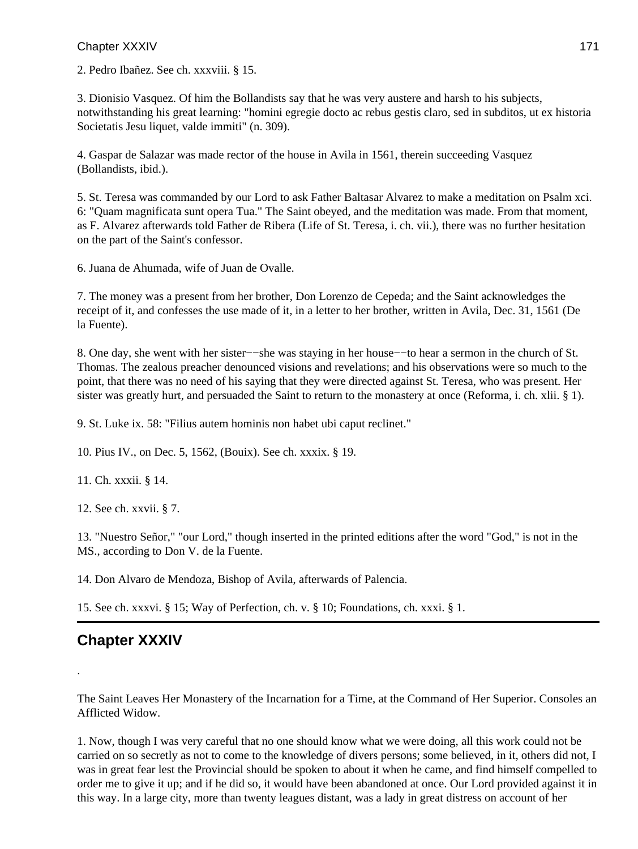2. Pedro Ibañez. See ch. xxxviii. § 15.

3. Dionisio Vasquez. Of him the Bollandists say that he was very austere and harsh to his subjects, notwithstanding his great learning: "homini egregie docto ac rebus gestis claro, sed in subditos, ut ex historia Societatis Jesu liquet, valde immiti" (n. 309).

4. Gaspar de Salazar was made rector of the house in Avila in 1561, therein succeeding Vasquez (Bollandists, ibid.).

5. St. Teresa was commanded by our Lord to ask Father Baltasar Alvarez to make a meditation on Psalm xci. 6: "Quam magnificata sunt opera Tua." The Saint obeyed, and the meditation was made. From that moment, as F. Alvarez afterwards told Father de Ribera (Life of St. Teresa, i. ch. vii.), there was no further hesitation on the part of the Saint's confessor.

6. Juana de Ahumada, wife of Juan de Ovalle.

7. The money was a present from her brother, Don Lorenzo de Cepeda; and the Saint acknowledges the receipt of it, and confesses the use made of it, in a letter to her brother, written in Avila, Dec. 31, 1561 (De la Fuente).

8. One day, she went with her sister−−she was staying in her house−−to hear a sermon in the church of St. Thomas. The zealous preacher denounced visions and revelations; and his observations were so much to the point, that there was no need of his saying that they were directed against St. Teresa, who was present. Her sister was greatly hurt, and persuaded the Saint to return to the monastery at once (Reforma, i. ch. xlii. § 1).

9. St. Luke ix. 58: "Filius autem hominis non habet ubi caput reclinet."

10. Pius IV., on Dec. 5, 1562, (Bouix). See ch. xxxix. § 19.

11. Ch. xxxii. § 14.

12. See ch. xxvii. § 7.

13. "Nuestro Señor," "our Lord," though inserted in the printed editions after the word "God," is not in the MS., according to Don V. de la Fuente.

14. Don Alvaro de Mendoza, Bishop of Avila, afterwards of Palencia.

15. See ch. xxxvi. § 15; Way of Perfection, ch. v. § 10; Foundations, ch. xxxi. § 1.

# **Chapter XXXIV**

.

The Saint Leaves Her Monastery of the Incarnation for a Time, at the Command of Her Superior. Consoles an Afflicted Widow.

1. Now, though I was very careful that no one should know what we were doing, all this work could not be carried on so secretly as not to come to the knowledge of divers persons; some believed, in it, others did not, I was in great fear lest the Provincial should be spoken to about it when he came, and find himself compelled to order me to give it up; and if he did so, it would have been abandoned at once. Our Lord provided against it in this way. In a large city, more than twenty leagues distant, was a lady in great distress on account of her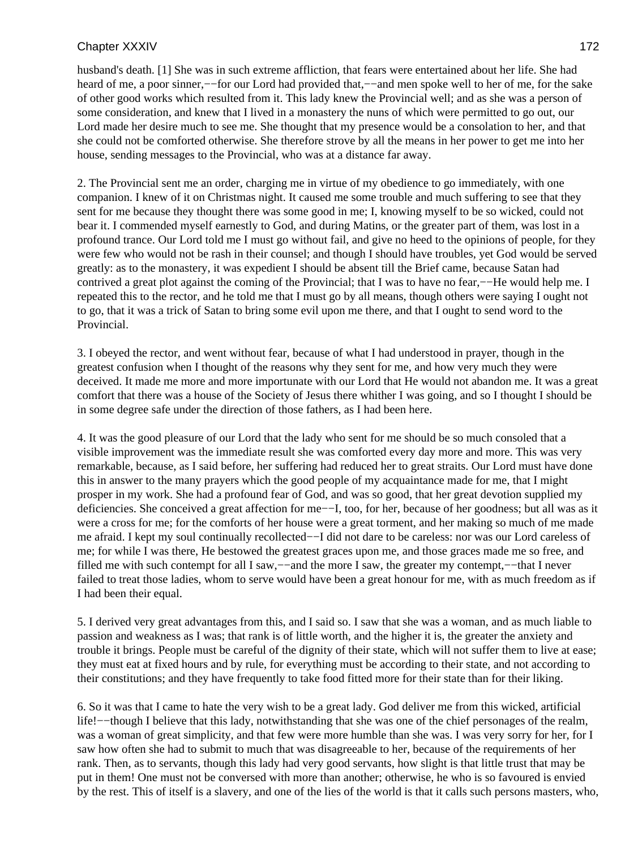husband's death. [1] She was in such extreme affliction, that fears were entertained about her life. She had heard of me, a poor sinner,--for our Lord had provided that,--and men spoke well to her of me, for the sake of other good works which resulted from it. This lady knew the Provincial well; and as she was a person of some consideration, and knew that I lived in a monastery the nuns of which were permitted to go out, our Lord made her desire much to see me. She thought that my presence would be a consolation to her, and that she could not be comforted otherwise. She therefore strove by all the means in her power to get me into her house, sending messages to the Provincial, who was at a distance far away.

2. The Provincial sent me an order, charging me in virtue of my obedience to go immediately, with one companion. I knew of it on Christmas night. It caused me some trouble and much suffering to see that they sent for me because they thought there was some good in me; I, knowing myself to be so wicked, could not bear it. I commended myself earnestly to God, and during Matins, or the greater part of them, was lost in a profound trance. Our Lord told me I must go without fail, and give no heed to the opinions of people, for they were few who would not be rash in their counsel; and though I should have troubles, yet God would be served greatly: as to the monastery, it was expedient I should be absent till the Brief came, because Satan had contrived a great plot against the coming of the Provincial; that I was to have no fear,−−He would help me. I repeated this to the rector, and he told me that I must go by all means, though others were saying I ought not to go, that it was a trick of Satan to bring some evil upon me there, and that I ought to send word to the Provincial.

3. I obeyed the rector, and went without fear, because of what I had understood in prayer, though in the greatest confusion when I thought of the reasons why they sent for me, and how very much they were deceived. It made me more and more importunate with our Lord that He would not abandon me. It was a great comfort that there was a house of the Society of Jesus there whither I was going, and so I thought I should be in some degree safe under the direction of those fathers, as I had been here.

4. It was the good pleasure of our Lord that the lady who sent for me should be so much consoled that a visible improvement was the immediate result she was comforted every day more and more. This was very remarkable, because, as I said before, her suffering had reduced her to great straits. Our Lord must have done this in answer to the many prayers which the good people of my acquaintance made for me, that I might prosper in my work. She had a profound fear of God, and was so good, that her great devotion supplied my deficiencies. She conceived a great affection for me−−I, too, for her, because of her goodness; but all was as it were a cross for me; for the comforts of her house were a great torment, and her making so much of me made me afraid. I kept my soul continually recollected−−I did not dare to be careless: nor was our Lord careless of me; for while I was there, He bestowed the greatest graces upon me, and those graces made me so free, and filled me with such contempt for all I saw,−−and the more I saw, the greater my contempt,−−that I never failed to treat those ladies, whom to serve would have been a great honour for me, with as much freedom as if I had been their equal.

5. I derived very great advantages from this, and I said so. I saw that she was a woman, and as much liable to passion and weakness as I was; that rank is of little worth, and the higher it is, the greater the anxiety and trouble it brings. People must be careful of the dignity of their state, which will not suffer them to live at ease; they must eat at fixed hours and by rule, for everything must be according to their state, and not according to their constitutions; and they have frequently to take food fitted more for their state than for their liking.

6. So it was that I came to hate the very wish to be a great lady. God deliver me from this wicked, artificial life!−−though I believe that this lady, notwithstanding that she was one of the chief personages of the realm, was a woman of great simplicity, and that few were more humble than she was. I was very sorry for her, for I saw how often she had to submit to much that was disagreeable to her, because of the requirements of her rank. Then, as to servants, though this lady had very good servants, how slight is that little trust that may be put in them! One must not be conversed with more than another; otherwise, he who is so favoured is envied by the rest. This of itself is a slavery, and one of the lies of the world is that it calls such persons masters, who,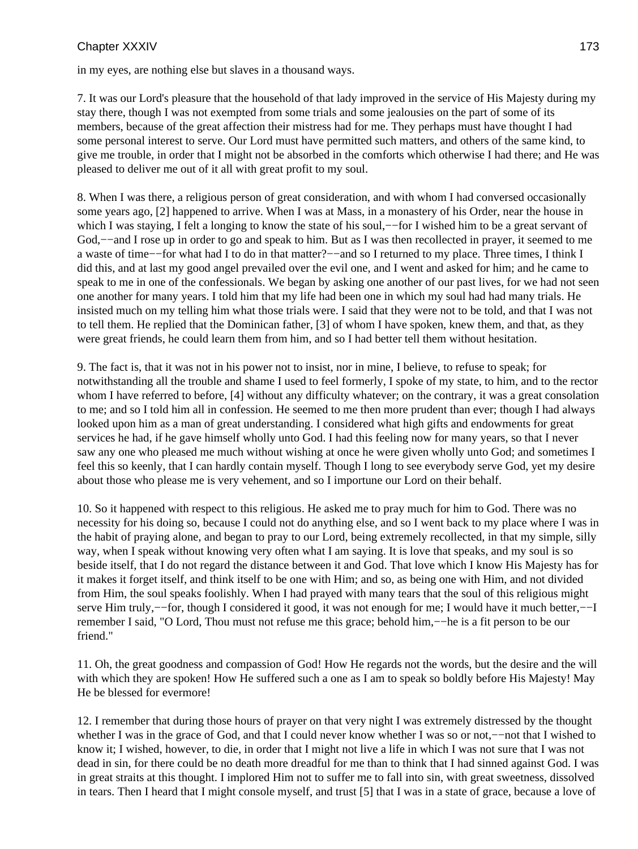in my eyes, are nothing else but slaves in a thousand ways.

7. It was our Lord's pleasure that the household of that lady improved in the service of His Majesty during my stay there, though I was not exempted from some trials and some jealousies on the part of some of its members, because of the great affection their mistress had for me. They perhaps must have thought I had some personal interest to serve. Our Lord must have permitted such matters, and others of the same kind, to give me trouble, in order that I might not be absorbed in the comforts which otherwise I had there; and He was pleased to deliver me out of it all with great profit to my soul.

8. When I was there, a religious person of great consideration, and with whom I had conversed occasionally some years ago, [2] happened to arrive. When I was at Mass, in a monastery of his Order, near the house in which I was staying, I felt a longing to know the state of his soul,—for I wished him to be a great servant of God,−−and I rose up in order to go and speak to him. But as I was then recollected in prayer, it seemed to me a waste of time−−for what had I to do in that matter?−−and so I returned to my place. Three times, I think I did this, and at last my good angel prevailed over the evil one, and I went and asked for him; and he came to speak to me in one of the confessionals. We began by asking one another of our past lives, for we had not seen one another for many years. I told him that my life had been one in which my soul had had many trials. He insisted much on my telling him what those trials were. I said that they were not to be told, and that I was not to tell them. He replied that the Dominican father, [3] of whom I have spoken, knew them, and that, as they were great friends, he could learn them from him, and so I had better tell them without hesitation.

9. The fact is, that it was not in his power not to insist, nor in mine, I believe, to refuse to speak; for notwithstanding all the trouble and shame I used to feel formerly, I spoke of my state, to him, and to the rector whom I have referred to before, [4] without any difficulty whatever; on the contrary, it was a great consolation to me; and so I told him all in confession. He seemed to me then more prudent than ever; though I had always looked upon him as a man of great understanding. I considered what high gifts and endowments for great services he had, if he gave himself wholly unto God. I had this feeling now for many years, so that I never saw any one who pleased me much without wishing at once he were given wholly unto God; and sometimes I feel this so keenly, that I can hardly contain myself. Though I long to see everybody serve God, yet my desire about those who please me is very vehement, and so I importune our Lord on their behalf.

10. So it happened with respect to this religious. He asked me to pray much for him to God. There was no necessity for his doing so, because I could not do anything else, and so I went back to my place where I was in the habit of praying alone, and began to pray to our Lord, being extremely recollected, in that my simple, silly way, when I speak without knowing very often what I am saying. It is love that speaks, and my soul is so beside itself, that I do not regard the distance between it and God. That love which I know His Majesty has for it makes it forget itself, and think itself to be one with Him; and so, as being one with Him, and not divided from Him, the soul speaks foolishly. When I had prayed with many tears that the soul of this religious might serve Him truly,—for, though I considered it good, it was not enough for me; I would have it much better,—–I remember I said, "O Lord, Thou must not refuse me this grace; behold him,−−he is a fit person to be our friend."

11. Oh, the great goodness and compassion of God! How He regards not the words, but the desire and the will with which they are spoken! How He suffered such a one as I am to speak so boldly before His Majesty! May He be blessed for evermore!

12. I remember that during those hours of prayer on that very night I was extremely distressed by the thought whether I was in the grace of God, and that I could never know whether I was so or not,−−not that I wished to know it; I wished, however, to die, in order that I might not live a life in which I was not sure that I was not dead in sin, for there could be no death more dreadful for me than to think that I had sinned against God. I was in great straits at this thought. I implored Him not to suffer me to fall into sin, with great sweetness, dissolved in tears. Then I heard that I might console myself, and trust [5] that I was in a state of grace, because a love of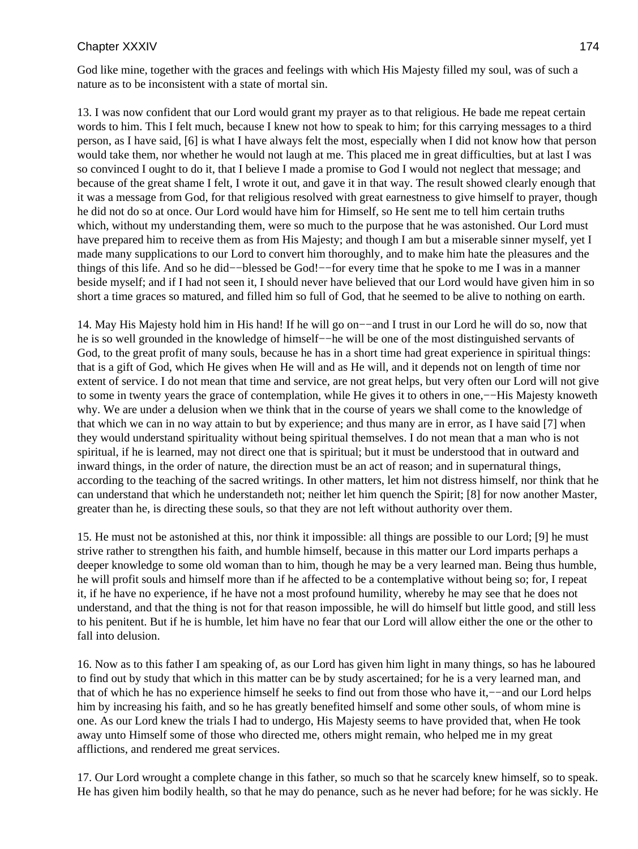God like mine, together with the graces and feelings with which His Majesty filled my soul, was of such a nature as to be inconsistent with a state of mortal sin.

13. I was now confident that our Lord would grant my prayer as to that religious. He bade me repeat certain words to him. This I felt much, because I knew not how to speak to him; for this carrying messages to a third person, as I have said, [6] is what I have always felt the most, especially when I did not know how that person would take them, nor whether he would not laugh at me. This placed me in great difficulties, but at last I was so convinced I ought to do it, that I believe I made a promise to God I would not neglect that message; and because of the great shame I felt, I wrote it out, and gave it in that way. The result showed clearly enough that it was a message from God, for that religious resolved with great earnestness to give himself to prayer, though he did not do so at once. Our Lord would have him for Himself, so He sent me to tell him certain truths which, without my understanding them, were so much to the purpose that he was astonished. Our Lord must have prepared him to receive them as from His Majesty; and though I am but a miserable sinner myself, yet I made many supplications to our Lord to convert him thoroughly, and to make him hate the pleasures and the things of this life. And so he did−−blessed be God!−−for every time that he spoke to me I was in a manner beside myself; and if I had not seen it, I should never have believed that our Lord would have given him in so short a time graces so matured, and filled him so full of God, that he seemed to be alive to nothing on earth.

14. May His Majesty hold him in His hand! If he will go on−−and I trust in our Lord he will do so, now that he is so well grounded in the knowledge of himself−−he will be one of the most distinguished servants of God, to the great profit of many souls, because he has in a short time had great experience in spiritual things: that is a gift of God, which He gives when He will and as He will, and it depends not on length of time nor extent of service. I do not mean that time and service, are not great helps, but very often our Lord will not give to some in twenty years the grace of contemplation, while He gives it to others in one,−−His Majesty knoweth why. We are under a delusion when we think that in the course of years we shall come to the knowledge of that which we can in no way attain to but by experience; and thus many are in error, as I have said [7] when they would understand spirituality without being spiritual themselves. I do not mean that a man who is not spiritual, if he is learned, may not direct one that is spiritual; but it must be understood that in outward and inward things, in the order of nature, the direction must be an act of reason; and in supernatural things, according to the teaching of the sacred writings. In other matters, let him not distress himself, nor think that he can understand that which he understandeth not; neither let him quench the Spirit; [8] for now another Master, greater than he, is directing these souls, so that they are not left without authority over them.

15. He must not be astonished at this, nor think it impossible: all things are possible to our Lord; [9] he must strive rather to strengthen his faith, and humble himself, because in this matter our Lord imparts perhaps a deeper knowledge to some old woman than to him, though he may be a very learned man. Being thus humble, he will profit souls and himself more than if he affected to be a contemplative without being so; for, I repeat it, if he have no experience, if he have not a most profound humility, whereby he may see that he does not understand, and that the thing is not for that reason impossible, he will do himself but little good, and still less to his penitent. But if he is humble, let him have no fear that our Lord will allow either the one or the other to fall into delusion.

16. Now as to this father I am speaking of, as our Lord has given him light in many things, so has he laboured to find out by study that which in this matter can be by study ascertained; for he is a very learned man, and that of which he has no experience himself he seeks to find out from those who have it,−−and our Lord helps him by increasing his faith, and so he has greatly benefited himself and some other souls, of whom mine is one. As our Lord knew the trials I had to undergo, His Majesty seems to have provided that, when He took away unto Himself some of those who directed me, others might remain, who helped me in my great afflictions, and rendered me great services.

17. Our Lord wrought a complete change in this father, so much so that he scarcely knew himself, so to speak. He has given him bodily health, so that he may do penance, such as he never had before; for he was sickly. He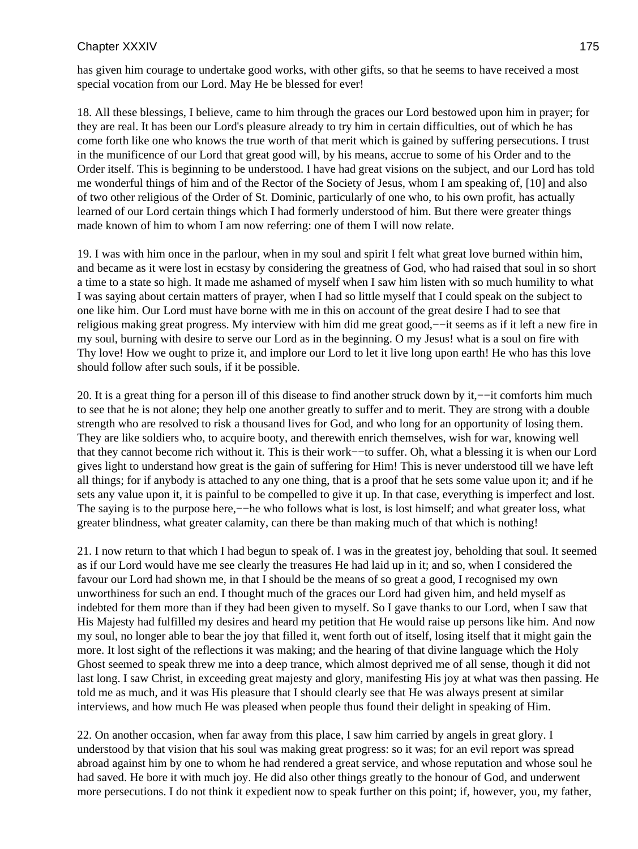has given him courage to undertake good works, with other gifts, so that he seems to have received a most special vocation from our Lord. May He be blessed for ever!

18. All these blessings, I believe, came to him through the graces our Lord bestowed upon him in prayer; for they are real. It has been our Lord's pleasure already to try him in certain difficulties, out of which he has come forth like one who knows the true worth of that merit which is gained by suffering persecutions. I trust in the munificence of our Lord that great good will, by his means, accrue to some of his Order and to the Order itself. This is beginning to be understood. I have had great visions on the subject, and our Lord has told me wonderful things of him and of the Rector of the Society of Jesus, whom I am speaking of, [10] and also of two other religious of the Order of St. Dominic, particularly of one who, to his own profit, has actually learned of our Lord certain things which I had formerly understood of him. But there were greater things made known of him to whom I am now referring: one of them I will now relate.

19. I was with him once in the parlour, when in my soul and spirit I felt what great love burned within him, and became as it were lost in ecstasy by considering the greatness of God, who had raised that soul in so short a time to a state so high. It made me ashamed of myself when I saw him listen with so much humility to what I was saying about certain matters of prayer, when I had so little myself that I could speak on the subject to one like him. Our Lord must have borne with me in this on account of the great desire I had to see that religious making great progress. My interview with him did me great good,−−it seems as if it left a new fire in my soul, burning with desire to serve our Lord as in the beginning. O my Jesus! what is a soul on fire with Thy love! How we ought to prize it, and implore our Lord to let it live long upon earth! He who has this love should follow after such souls, if it be possible.

20. It is a great thing for a person ill of this disease to find another struck down by it,−−it comforts him much to see that he is not alone; they help one another greatly to suffer and to merit. They are strong with a double strength who are resolved to risk a thousand lives for God, and who long for an opportunity of losing them. They are like soldiers who, to acquire booty, and therewith enrich themselves, wish for war, knowing well that they cannot become rich without it. This is their work−−to suffer. Oh, what a blessing it is when our Lord gives light to understand how great is the gain of suffering for Him! This is never understood till we have left all things; for if anybody is attached to any one thing, that is a proof that he sets some value upon it; and if he sets any value upon it, it is painful to be compelled to give it up. In that case, everything is imperfect and lost. The saying is to the purpose here,—−he who follows what is lost, is lost himself; and what greater loss, what greater blindness, what greater calamity, can there be than making much of that which is nothing!

21. I now return to that which I had begun to speak of. I was in the greatest joy, beholding that soul. It seemed as if our Lord would have me see clearly the treasures He had laid up in it; and so, when I considered the favour our Lord had shown me, in that I should be the means of so great a good, I recognised my own unworthiness for such an end. I thought much of the graces our Lord had given him, and held myself as indebted for them more than if they had been given to myself. So I gave thanks to our Lord, when I saw that His Majesty had fulfilled my desires and heard my petition that He would raise up persons like him. And now my soul, no longer able to bear the joy that filled it, went forth out of itself, losing itself that it might gain the more. It lost sight of the reflections it was making; and the hearing of that divine language which the Holy Ghost seemed to speak threw me into a deep trance, which almost deprived me of all sense, though it did not last long. I saw Christ, in exceeding great majesty and glory, manifesting His joy at what was then passing. He told me as much, and it was His pleasure that I should clearly see that He was always present at similar interviews, and how much He was pleased when people thus found their delight in speaking of Him.

22. On another occasion, when far away from this place, I saw him carried by angels in great glory. I understood by that vision that his soul was making great progress: so it was; for an evil report was spread abroad against him by one to whom he had rendered a great service, and whose reputation and whose soul he had saved. He bore it with much joy. He did also other things greatly to the honour of God, and underwent more persecutions. I do not think it expedient now to speak further on this point; if, however, you, my father,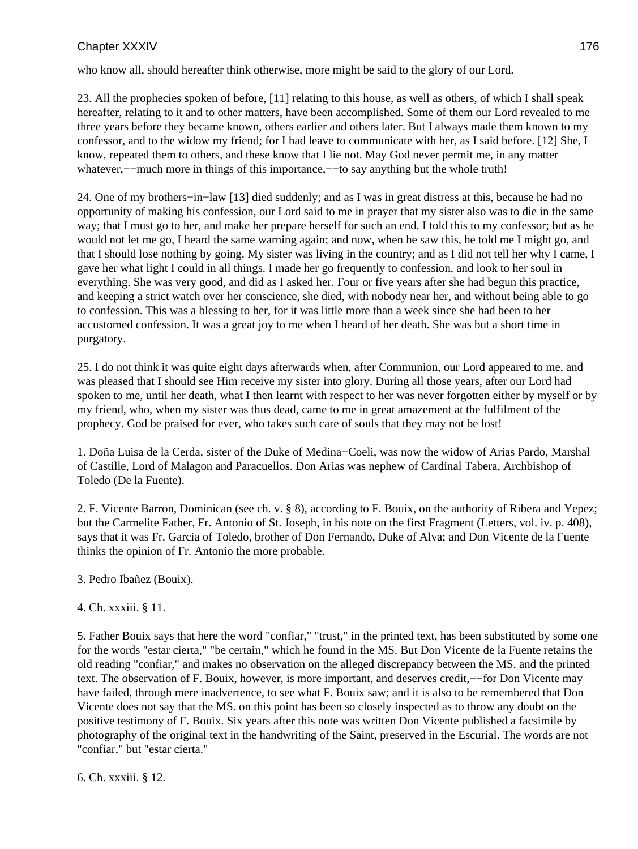who know all, should hereafter think otherwise, more might be said to the glory of our Lord.

23. All the prophecies spoken of before, [11] relating to this house, as well as others, of which I shall speak hereafter, relating to it and to other matters, have been accomplished. Some of them our Lord revealed to me three years before they became known, others earlier and others later. But I always made them known to my confessor, and to the widow my friend; for I had leave to communicate with her, as I said before. [12] She, I know, repeated them to others, and these know that I lie not. May God never permit me, in any matter whatever,−−much more in things of this importance,−−to say anything but the whole truth!

24. One of my brothers−in−law [13] died suddenly; and as I was in great distress at this, because he had no opportunity of making his confession, our Lord said to me in prayer that my sister also was to die in the same way; that I must go to her, and make her prepare herself for such an end. I told this to my confessor; but as he would not let me go, I heard the same warning again; and now, when he saw this, he told me I might go, and that I should lose nothing by going. My sister was living in the country; and as I did not tell her why I came, I gave her what light I could in all things. I made her go frequently to confession, and look to her soul in everything. She was very good, and did as I asked her. Four or five years after she had begun this practice, and keeping a strict watch over her conscience, she died, with nobody near her, and without being able to go to confession. This was a blessing to her, for it was little more than a week since she had been to her accustomed confession. It was a great joy to me when I heard of her death. She was but a short time in purgatory.

25. I do not think it was quite eight days afterwards when, after Communion, our Lord appeared to me, and was pleased that I should see Him receive my sister into glory. During all those years, after our Lord had spoken to me, until her death, what I then learnt with respect to her was never forgotten either by myself or by my friend, who, when my sister was thus dead, came to me in great amazement at the fulfilment of the prophecy. God be praised for ever, who takes such care of souls that they may not be lost!

1. Doña Luisa de la Cerda, sister of the Duke of Medina−Coeli, was now the widow of Arias Pardo, Marshal of Castille, Lord of Malagon and Paracuellos. Don Arias was nephew of Cardinal Tabera, Archbishop of Toledo (De la Fuente).

2. F. Vicente Barron, Dominican (see ch. v. § 8), according to F. Bouix, on the authority of Ribera and Yepez; but the Carmelite Father, Fr. Antonio of St. Joseph, in his note on the first Fragment (Letters, vol. iv. p. 408), says that it was Fr. Garcia of Toledo, brother of Don Fernando, Duke of Alva; and Don Vicente de la Fuente thinks the opinion of Fr. Antonio the more probable.

3. Pedro Ibañez (Bouix).

### 4. Ch. xxxiii. § 11.

5. Father Bouix says that here the word "confiar," "trust," in the printed text, has been substituted by some one for the words "estar cierta," "be certain," which he found in the MS. But Don Vicente de la Fuente retains the old reading "confiar," and makes no observation on the alleged discrepancy between the MS. and the printed text. The observation of F. Bouix, however, is more important, and deserves credit,−−for Don Vicente may have failed, through mere inadvertence, to see what F. Bouix saw; and it is also to be remembered that Don Vicente does not say that the MS. on this point has been so closely inspected as to throw any doubt on the positive testimony of F. Bouix. Six years after this note was written Don Vicente published a facsimile by photography of the original text in the handwriting of the Saint, preserved in the Escurial. The words are not "confiar," but "estar cierta."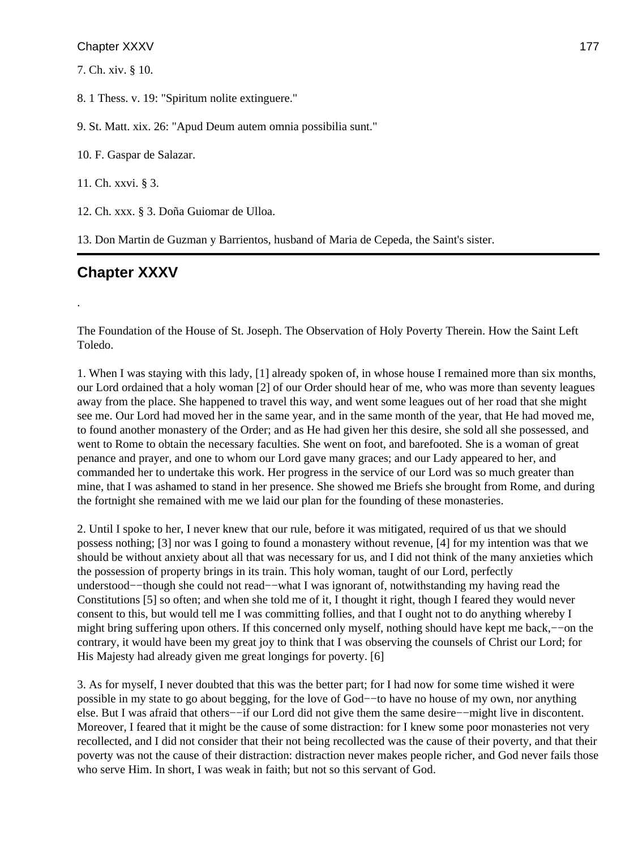7. Ch. xiv. § 10.

8. 1 Thess. v. 19: "Spiritum nolite extinguere."

9. St. Matt. xix. 26: "Apud Deum autem omnia possibilia sunt."

10. F. Gaspar de Salazar.

11. Ch. xxvi. § 3.

12. Ch. xxx. § 3. Doña Guiomar de Ulloa.

13. Don Martin de Guzman y Barrientos, husband of Maria de Cepeda, the Saint's sister.

# **Chapter XXXV**

.

The Foundation of the House of St. Joseph. The Observation of Holy Poverty Therein. How the Saint Left Toledo.

1. When I was staying with this lady, [1] already spoken of, in whose house I remained more than six months, our Lord ordained that a holy woman [2] of our Order should hear of me, who was more than seventy leagues away from the place. She happened to travel this way, and went some leagues out of her road that she might see me. Our Lord had moved her in the same year, and in the same month of the year, that He had moved me, to found another monastery of the Order; and as He had given her this desire, she sold all she possessed, and went to Rome to obtain the necessary faculties. She went on foot, and barefooted. She is a woman of great penance and prayer, and one to whom our Lord gave many graces; and our Lady appeared to her, and commanded her to undertake this work. Her progress in the service of our Lord was so much greater than mine, that I was ashamed to stand in her presence. She showed me Briefs she brought from Rome, and during the fortnight she remained with me we laid our plan for the founding of these monasteries.

2. Until I spoke to her, I never knew that our rule, before it was mitigated, required of us that we should possess nothing; [3] nor was I going to found a monastery without revenue, [4] for my intention was that we should be without anxiety about all that was necessary for us, and I did not think of the many anxieties which the possession of property brings in its train. This holy woman, taught of our Lord, perfectly understood−−though she could not read−−what I was ignorant of, notwithstanding my having read the Constitutions [5] so often; and when she told me of it, I thought it right, though I feared they would never consent to this, but would tell me I was committing follies, and that I ought not to do anything whereby I might bring suffering upon others. If this concerned only myself, nothing should have kept me back,−−on the contrary, it would have been my great joy to think that I was observing the counsels of Christ our Lord; for His Majesty had already given me great longings for poverty. [6]

3. As for myself, I never doubted that this was the better part; for I had now for some time wished it were possible in my state to go about begging, for the love of God−−to have no house of my own, nor anything else. But I was afraid that others−−if our Lord did not give them the same desire−−might live in discontent. Moreover, I feared that it might be the cause of some distraction: for I knew some poor monasteries not very recollected, and I did not consider that their not being recollected was the cause of their poverty, and that their poverty was not the cause of their distraction: distraction never makes people richer, and God never fails those who serve Him. In short, I was weak in faith; but not so this servant of God.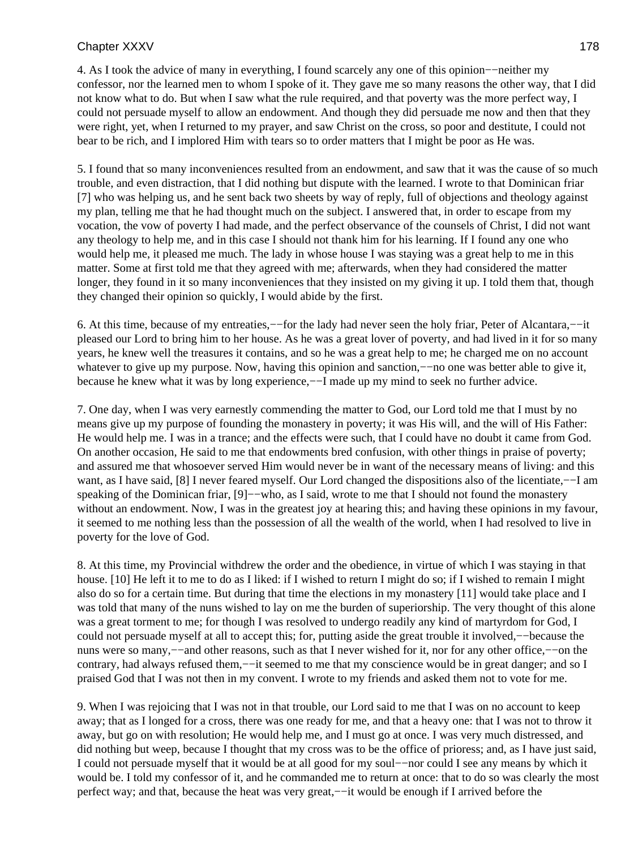4. As I took the advice of many in everything, I found scarcely any one of this opinion−−neither my confessor, nor the learned men to whom I spoke of it. They gave me so many reasons the other way, that I did not know what to do. But when I saw what the rule required, and that poverty was the more perfect way, I could not persuade myself to allow an endowment. And though they did persuade me now and then that they were right, yet, when I returned to my prayer, and saw Christ on the cross, so poor and destitute, I could not bear to be rich, and I implored Him with tears so to order matters that I might be poor as He was.

5. I found that so many inconveniences resulted from an endowment, and saw that it was the cause of so much trouble, and even distraction, that I did nothing but dispute with the learned. I wrote to that Dominican friar [7] who was helping us, and he sent back two sheets by way of reply, full of objections and theology against my plan, telling me that he had thought much on the subject. I answered that, in order to escape from my vocation, the vow of poverty I had made, and the perfect observance of the counsels of Christ, I did not want any theology to help me, and in this case I should not thank him for his learning. If I found any one who would help me, it pleased me much. The lady in whose house I was staying was a great help to me in this matter. Some at first told me that they agreed with me; afterwards, when they had considered the matter longer, they found in it so many inconveniences that they insisted on my giving it up. I told them that, though they changed their opinion so quickly, I would abide by the first.

6. At this time, because of my entreaties,−−for the lady had never seen the holy friar, Peter of Alcantara,−−it pleased our Lord to bring him to her house. As he was a great lover of poverty, and had lived in it for so many years, he knew well the treasures it contains, and so he was a great help to me; he charged me on no account whatever to give up my purpose. Now, having this opinion and sanction,—no one was better able to give it, because he knew what it was by long experience,−−I made up my mind to seek no further advice.

7. One day, when I was very earnestly commending the matter to God, our Lord told me that I must by no means give up my purpose of founding the monastery in poverty; it was His will, and the will of His Father: He would help me. I was in a trance; and the effects were such, that I could have no doubt it came from God. On another occasion, He said to me that endowments bred confusion, with other things in praise of poverty; and assured me that whosoever served Him would never be in want of the necessary means of living: and this want, as I have said, [8] I never feared myself. Our Lord changed the dispositions also of the licentiate,−−I am speaking of the Dominican friar, [9]−–who, as I said, wrote to me that I should not found the monastery without an endowment. Now, I was in the greatest joy at hearing this; and having these opinions in my favour, it seemed to me nothing less than the possession of all the wealth of the world, when I had resolved to live in poverty for the love of God.

8. At this time, my Provincial withdrew the order and the obedience, in virtue of which I was staying in that house. [10] He left it to me to do as I liked: if I wished to return I might do so; if I wished to remain I might also do so for a certain time. But during that time the elections in my monastery [11] would take place and I was told that many of the nuns wished to lay on me the burden of superiorship. The very thought of this alone was a great torment to me; for though I was resolved to undergo readily any kind of martyrdom for God, I could not persuade myself at all to accept this; for, putting aside the great trouble it involved,−−because the nuns were so many,−−and other reasons, such as that I never wished for it, nor for any other office,−−on the contrary, had always refused them,−−it seemed to me that my conscience would be in great danger; and so I praised God that I was not then in my convent. I wrote to my friends and asked them not to vote for me.

9. When I was rejoicing that I was not in that trouble, our Lord said to me that I was on no account to keep away; that as I longed for a cross, there was one ready for me, and that a heavy one: that I was not to throw it away, but go on with resolution; He would help me, and I must go at once. I was very much distressed, and did nothing but weep, because I thought that my cross was to be the office of prioress; and, as I have just said, I could not persuade myself that it would be at all good for my soul−−nor could I see any means by which it would be. I told my confessor of it, and he commanded me to return at once: that to do so was clearly the most perfect way; and that, because the heat was very great,−−it would be enough if I arrived before the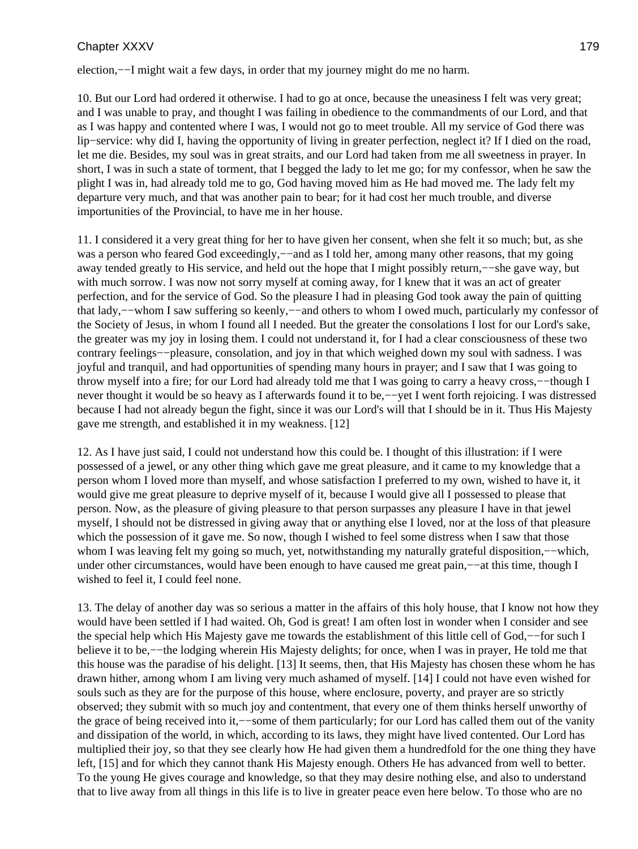election,−−I might wait a few days, in order that my journey might do me no harm.

10. But our Lord had ordered it otherwise. I had to go at once, because the uneasiness I felt was very great; and I was unable to pray, and thought I was failing in obedience to the commandments of our Lord, and that as I was happy and contented where I was, I would not go to meet trouble. All my service of God there was lip−service: why did I, having the opportunity of living in greater perfection, neglect it? If I died on the road, let me die. Besides, my soul was in great straits, and our Lord had taken from me all sweetness in prayer. In short, I was in such a state of torment, that I begged the lady to let me go; for my confessor, when he saw the plight I was in, had already told me to go, God having moved him as He had moved me. The lady felt my departure very much, and that was another pain to bear; for it had cost her much trouble, and diverse importunities of the Provincial, to have me in her house.

11. I considered it a very great thing for her to have given her consent, when she felt it so much; but, as she was a person who feared God exceedingly,––and as I told her, among many other reasons, that my going away tended greatly to His service, and held out the hope that I might possibly return,−−she gave way, but with much sorrow. I was now not sorry myself at coming away, for I knew that it was an act of greater perfection, and for the service of God. So the pleasure I had in pleasing God took away the pain of quitting that lady,−−whom I saw suffering so keenly,−−and others to whom I owed much, particularly my confessor of the Society of Jesus, in whom I found all I needed. But the greater the consolations I lost for our Lord's sake, the greater was my joy in losing them. I could not understand it, for I had a clear consciousness of these two contrary feelings−−pleasure, consolation, and joy in that which weighed down my soul with sadness. I was joyful and tranquil, and had opportunities of spending many hours in prayer; and I saw that I was going to throw myself into a fire; for our Lord had already told me that I was going to carry a heavy cross,−−though I never thought it would be so heavy as I afterwards found it to be,—–yet I went forth rejoicing. I was distressed because I had not already begun the fight, since it was our Lord's will that I should be in it. Thus His Majesty gave me strength, and established it in my weakness. [12]

12. As I have just said, I could not understand how this could be. I thought of this illustration: if I were possessed of a jewel, or any other thing which gave me great pleasure, and it came to my knowledge that a person whom I loved more than myself, and whose satisfaction I preferred to my own, wished to have it, it would give me great pleasure to deprive myself of it, because I would give all I possessed to please that person. Now, as the pleasure of giving pleasure to that person surpasses any pleasure I have in that jewel myself, I should not be distressed in giving away that or anything else I loved, nor at the loss of that pleasure which the possession of it gave me. So now, though I wished to feel some distress when I saw that those whom I was leaving felt my going so much, yet, notwithstanding my naturally grateful disposition,—–which, under other circumstances, would have been enough to have caused me great pain,—–at this time, though I wished to feel it, I could feel none.

13. The delay of another day was so serious a matter in the affairs of this holy house, that I know not how they would have been settled if I had waited. Oh, God is great! I am often lost in wonder when I consider and see the special help which His Majesty gave me towards the establishment of this little cell of God,−−for such I believe it to be,−−the lodging wherein His Majesty delights; for once, when I was in prayer, He told me that this house was the paradise of his delight. [13] It seems, then, that His Majesty has chosen these whom he has drawn hither, among whom I am living very much ashamed of myself. [14] I could not have even wished for souls such as they are for the purpose of this house, where enclosure, poverty, and prayer are so strictly observed; they submit with so much joy and contentment, that every one of them thinks herself unworthy of the grace of being received into it,−−some of them particularly; for our Lord has called them out of the vanity and dissipation of the world, in which, according to its laws, they might have lived contented. Our Lord has multiplied their joy, so that they see clearly how He had given them a hundredfold for the one thing they have left, [15] and for which they cannot thank His Majesty enough. Others He has advanced from well to better. To the young He gives courage and knowledge, so that they may desire nothing else, and also to understand that to live away from all things in this life is to live in greater peace even here below. To those who are no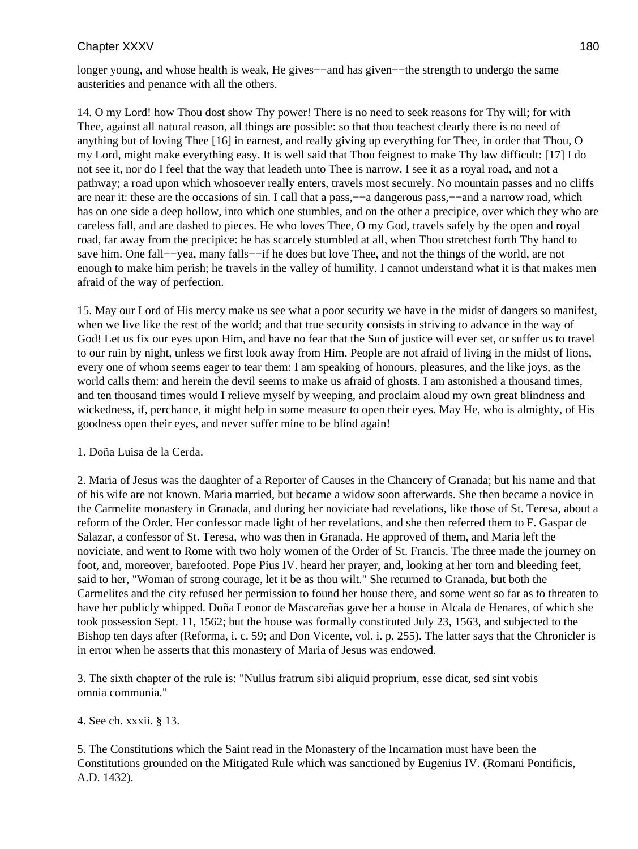longer young, and whose health is weak, He gives−−and has given−−the strength to undergo the same austerities and penance with all the others.

14. O my Lord! how Thou dost show Thy power! There is no need to seek reasons for Thy will; for with Thee, against all natural reason, all things are possible: so that thou teachest clearly there is no need of anything but of loving Thee [16] in earnest, and really giving up everything for Thee, in order that Thou, O my Lord, might make everything easy. It is well said that Thou feignest to make Thy law difficult: [17] I do not see it, nor do I feel that the way that leadeth unto Thee is narrow. I see it as a royal road, and not a pathway; a road upon which whosoever really enters, travels most securely. No mountain passes and no cliffs are near it: these are the occasions of sin. I call that a pass,−−a dangerous pass,−−and a narrow road, which has on one side a deep hollow, into which one stumbles, and on the other a precipice, over which they who are careless fall, and are dashed to pieces. He who loves Thee, O my God, travels safely by the open and royal road, far away from the precipice: he has scarcely stumbled at all, when Thou stretchest forth Thy hand to save him. One fall––yea, many falls––if he does but love Thee, and not the things of the world, are not enough to make him perish; he travels in the valley of humility. I cannot understand what it is that makes men afraid of the way of perfection.

15. May our Lord of His mercy make us see what a poor security we have in the midst of dangers so manifest, when we live like the rest of the world; and that true security consists in striving to advance in the way of God! Let us fix our eyes upon Him, and have no fear that the Sun of justice will ever set, or suffer us to travel to our ruin by night, unless we first look away from Him. People are not afraid of living in the midst of lions, every one of whom seems eager to tear them: I am speaking of honours, pleasures, and the like joys, as the world calls them: and herein the devil seems to make us afraid of ghosts. I am astonished a thousand times, and ten thousand times would I relieve myself by weeping, and proclaim aloud my own great blindness and wickedness, if, perchance, it might help in some measure to open their eyes. May He, who is almighty, of His goodness open their eyes, and never suffer mine to be blind again!

### 1. Doña Luisa de la Cerda.

2. Maria of Jesus was the daughter of a Reporter of Causes in the Chancery of Granada; but his name and that of his wife are not known. Maria married, but became a widow soon afterwards. She then became a novice in the Carmelite monastery in Granada, and during her noviciate had revelations, like those of St. Teresa, about a reform of the Order. Her confessor made light of her revelations, and she then referred them to F. Gaspar de Salazar, a confessor of St. Teresa, who was then in Granada. He approved of them, and Maria left the noviciate, and went to Rome with two holy women of the Order of St. Francis. The three made the journey on foot, and, moreover, barefooted. Pope Pius IV. heard her prayer, and, looking at her torn and bleeding feet, said to her, "Woman of strong courage, let it be as thou wilt." She returned to Granada, but both the Carmelites and the city refused her permission to found her house there, and some went so far as to threaten to have her publicly whipped. Doña Leonor de Mascareñas gave her a house in Alcala de Henares, of which she took possession Sept. 11, 1562; but the house was formally constituted July 23, 1563, and subjected to the Bishop ten days after (Reforma, i. c. 59; and Don Vicente, vol. i. p. 255). The latter says that the Chronicler is in error when he asserts that this monastery of Maria of Jesus was endowed.

3. The sixth chapter of the rule is: "Nullus fratrum sibi aliquid proprium, esse dicat, sed sint vobis omnia communia."

4. See ch. xxxii. § 13.

5. The Constitutions which the Saint read in the Monastery of the Incarnation must have been the Constitutions grounded on the Mitigated Rule which was sanctioned by Eugenius IV. (Romani Pontificis, A.D. 1432).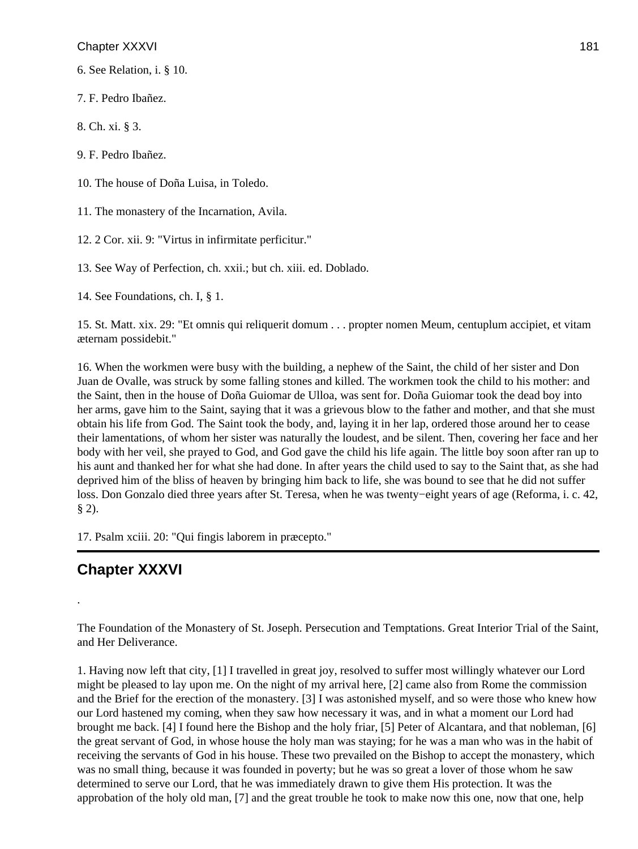6. See Relation, i. § 10.

7. F. Pedro Ibañez.

8. Ch. xi. § 3.

9. F. Pedro Ibañez.

10. The house of Doña Luisa, in Toledo.

11. The monastery of the Incarnation, Avila.

12. 2 Cor. xii. 9: "Virtus in infirmitate perficitur."

13. See Way of Perfection, ch. xxii.; but ch. xiii. ed. Doblado.

14. See Foundations, ch. I, § 1.

15. St. Matt. xix. 29: "Et omnis qui reliquerit domum . . . propter nomen Meum, centuplum accipiet, et vitam æternam possidebit."

16. When the workmen were busy with the building, a nephew of the Saint, the child of her sister and Don Juan de Ovalle, was struck by some falling stones and killed. The workmen took the child to his mother: and the Saint, then in the house of Doña Guiomar de Ulloa, was sent for. Doña Guiomar took the dead boy into her arms, gave him to the Saint, saying that it was a grievous blow to the father and mother, and that she must obtain his life from God. The Saint took the body, and, laying it in her lap, ordered those around her to cease their lamentations, of whom her sister was naturally the loudest, and be silent. Then, covering her face and her body with her veil, she prayed to God, and God gave the child his life again. The little boy soon after ran up to his aunt and thanked her for what she had done. In after years the child used to say to the Saint that, as she had deprived him of the bliss of heaven by bringing him back to life, she was bound to see that he did not suffer loss. Don Gonzalo died three years after St. Teresa, when he was twenty−eight years of age (Reforma, i. c. 42,  $§ 2).$ 

17. Psalm xciii. 20: "Qui fingis laborem in præcepto."

# **Chapter XXXVI**

.

The Foundation of the Monastery of St. Joseph. Persecution and Temptations. Great Interior Trial of the Saint, and Her Deliverance.

1. Having now left that city, [1] I travelled in great joy, resolved to suffer most willingly whatever our Lord might be pleased to lay upon me. On the night of my arrival here, [2] came also from Rome the commission and the Brief for the erection of the monastery. [3] I was astonished myself, and so were those who knew how our Lord hastened my coming, when they saw how necessary it was, and in what a moment our Lord had brought me back. [4] I found here the Bishop and the holy friar, [5] Peter of Alcantara, and that nobleman, [6] the great servant of God, in whose house the holy man was staying; for he was a man who was in the habit of receiving the servants of God in his house. These two prevailed on the Bishop to accept the monastery, which was no small thing, because it was founded in poverty; but he was so great a lover of those whom he saw determined to serve our Lord, that he was immediately drawn to give them His protection. It was the approbation of the holy old man, [7] and the great trouble he took to make now this one, now that one, help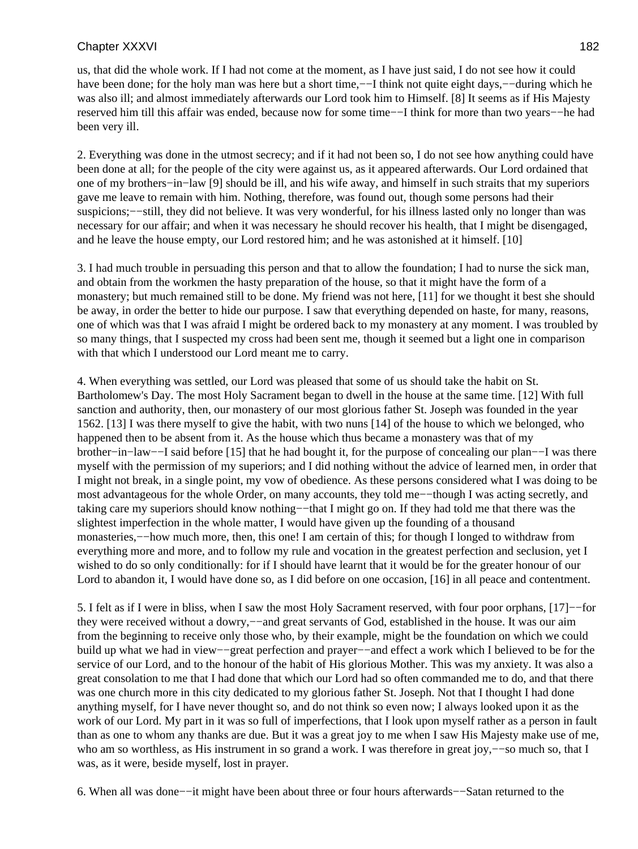us, that did the whole work. If I had not come at the moment, as I have just said, I do not see how it could have been done; for the holy man was here but a short time,−−I think not quite eight days,−−during which he was also ill; and almost immediately afterwards our Lord took him to Himself. [8] It seems as if His Majesty reserved him till this affair was ended, because now for some time−−I think for more than two years−−he had been very ill.

2. Everything was done in the utmost secrecy; and if it had not been so, I do not see how anything could have been done at all; for the people of the city were against us, as it appeared afterwards. Our Lord ordained that one of my brothers−in−law [9] should be ill, and his wife away, and himself in such straits that my superiors gave me leave to remain with him. Nothing, therefore, was found out, though some persons had their suspicions;—–still, they did not believe. It was very wonderful, for his illness lasted only no longer than was necessary for our affair; and when it was necessary he should recover his health, that I might be disengaged, and he leave the house empty, our Lord restored him; and he was astonished at it himself. [10]

3. I had much trouble in persuading this person and that to allow the foundation; I had to nurse the sick man, and obtain from the workmen the hasty preparation of the house, so that it might have the form of a monastery; but much remained still to be done. My friend was not here, [11] for we thought it best she should be away, in order the better to hide our purpose. I saw that everything depended on haste, for many, reasons, one of which was that I was afraid I might be ordered back to my monastery at any moment. I was troubled by so many things, that I suspected my cross had been sent me, though it seemed but a light one in comparison with that which I understood our Lord meant me to carry.

4. When everything was settled, our Lord was pleased that some of us should take the habit on St. Bartholomew's Day. The most Holy Sacrament began to dwell in the house at the same time. [12] With full sanction and authority, then, our monastery of our most glorious father St. Joseph was founded in the year 1562. [13] I was there myself to give the habit, with two nuns [14] of the house to which we belonged, who happened then to be absent from it. As the house which thus became a monastery was that of my brother−in−law−−I said before [15] that he had bought it, for the purpose of concealing our plan−−I was there myself with the permission of my superiors; and I did nothing without the advice of learned men, in order that I might not break, in a single point, my vow of obedience. As these persons considered what I was doing to be most advantageous for the whole Order, on many accounts, they told me−−though I was acting secretly, and taking care my superiors should know nothing−−that I might go on. If they had told me that there was the slightest imperfection in the whole matter, I would have given up the founding of a thousand monasteries,−−how much more, then, this one! I am certain of this; for though I longed to withdraw from everything more and more, and to follow my rule and vocation in the greatest perfection and seclusion, yet I wished to do so only conditionally: for if I should have learnt that it would be for the greater honour of our Lord to abandon it, I would have done so, as I did before on one occasion, [16] in all peace and contentment.

5. I felt as if I were in bliss, when I saw the most Holy Sacrament reserved, with four poor orphans, [17]−−for they were received without a dowry,−−and great servants of God, established in the house. It was our aim from the beginning to receive only those who, by their example, might be the foundation on which we could build up what we had in view−−great perfection and prayer−−and effect a work which I believed to be for the service of our Lord, and to the honour of the habit of His glorious Mother. This was my anxiety. It was also a great consolation to me that I had done that which our Lord had so often commanded me to do, and that there was one church more in this city dedicated to my glorious father St. Joseph. Not that I thought I had done anything myself, for I have never thought so, and do not think so even now; I always looked upon it as the work of our Lord. My part in it was so full of imperfections, that I look upon myself rather as a person in fault than as one to whom any thanks are due. But it was a great joy to me when I saw His Majesty make use of me, who am so worthless, as His instrument in so grand a work. I was therefore in great joy,––so much so, that I was, as it were, beside myself, lost in prayer.

6. When all was done−−it might have been about three or four hours afterwards−−Satan returned to the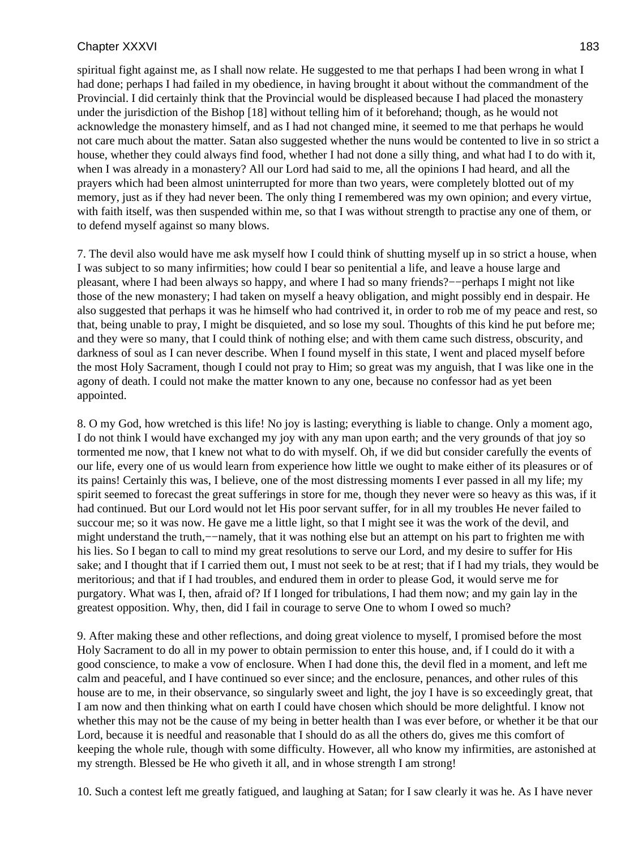spiritual fight against me, as I shall now relate. He suggested to me that perhaps I had been wrong in what I had done; perhaps I had failed in my obedience, in having brought it about without the commandment of the Provincial. I did certainly think that the Provincial would be displeased because I had placed the monastery under the jurisdiction of the Bishop [18] without telling him of it beforehand; though, as he would not acknowledge the monastery himself, and as I had not changed mine, it seemed to me that perhaps he would not care much about the matter. Satan also suggested whether the nuns would be contented to live in so strict a house, whether they could always find food, whether I had not done a silly thing, and what had I to do with it, when I was already in a monastery? All our Lord had said to me, all the opinions I had heard, and all the prayers which had been almost uninterrupted for more than two years, were completely blotted out of my memory, just as if they had never been. The only thing I remembered was my own opinion; and every virtue, with faith itself, was then suspended within me, so that I was without strength to practise any one of them, or to defend myself against so many blows.

7. The devil also would have me ask myself how I could think of shutting myself up in so strict a house, when I was subject to so many infirmities; how could I bear so penitential a life, and leave a house large and pleasant, where I had been always so happy, and where I had so many friends?−−perhaps I might not like those of the new monastery; I had taken on myself a heavy obligation, and might possibly end in despair. He also suggested that perhaps it was he himself who had contrived it, in order to rob me of my peace and rest, so that, being unable to pray, I might be disquieted, and so lose my soul. Thoughts of this kind he put before me; and they were so many, that I could think of nothing else; and with them came such distress, obscurity, and darkness of soul as I can never describe. When I found myself in this state, I went and placed myself before the most Holy Sacrament, though I could not pray to Him; so great was my anguish, that I was like one in the agony of death. I could not make the matter known to any one, because no confessor had as yet been appointed.

8. O my God, how wretched is this life! No joy is lasting; everything is liable to change. Only a moment ago, I do not think I would have exchanged my joy with any man upon earth; and the very grounds of that joy so tormented me now, that I knew not what to do with myself. Oh, if we did but consider carefully the events of our life, every one of us would learn from experience how little we ought to make either of its pleasures or of its pains! Certainly this was, I believe, one of the most distressing moments I ever passed in all my life; my spirit seemed to forecast the great sufferings in store for me, though they never were so heavy as this was, if it had continued. But our Lord would not let His poor servant suffer, for in all my troubles He never failed to succour me; so it was now. He gave me a little light, so that I might see it was the work of the devil, and might understand the truth,−−namely, that it was nothing else but an attempt on his part to frighten me with his lies. So I began to call to mind my great resolutions to serve our Lord, and my desire to suffer for His sake; and I thought that if I carried them out, I must not seek to be at rest; that if I had my trials, they would be meritorious; and that if I had troubles, and endured them in order to please God, it would serve me for purgatory. What was I, then, afraid of? If I longed for tribulations, I had them now; and my gain lay in the greatest opposition. Why, then, did I fail in courage to serve One to whom I owed so much?

9. After making these and other reflections, and doing great violence to myself, I promised before the most Holy Sacrament to do all in my power to obtain permission to enter this house, and, if I could do it with a good conscience, to make a vow of enclosure. When I had done this, the devil fled in a moment, and left me calm and peaceful, and I have continued so ever since; and the enclosure, penances, and other rules of this house are to me, in their observance, so singularly sweet and light, the joy I have is so exceedingly great, that I am now and then thinking what on earth I could have chosen which should be more delightful. I know not whether this may not be the cause of my being in better health than I was ever before, or whether it be that our Lord, because it is needful and reasonable that I should do as all the others do, gives me this comfort of keeping the whole rule, though with some difficulty. However, all who know my infirmities, are astonished at my strength. Blessed be He who giveth it all, and in whose strength I am strong!

10. Such a contest left me greatly fatigued, and laughing at Satan; for I saw clearly it was he. As I have never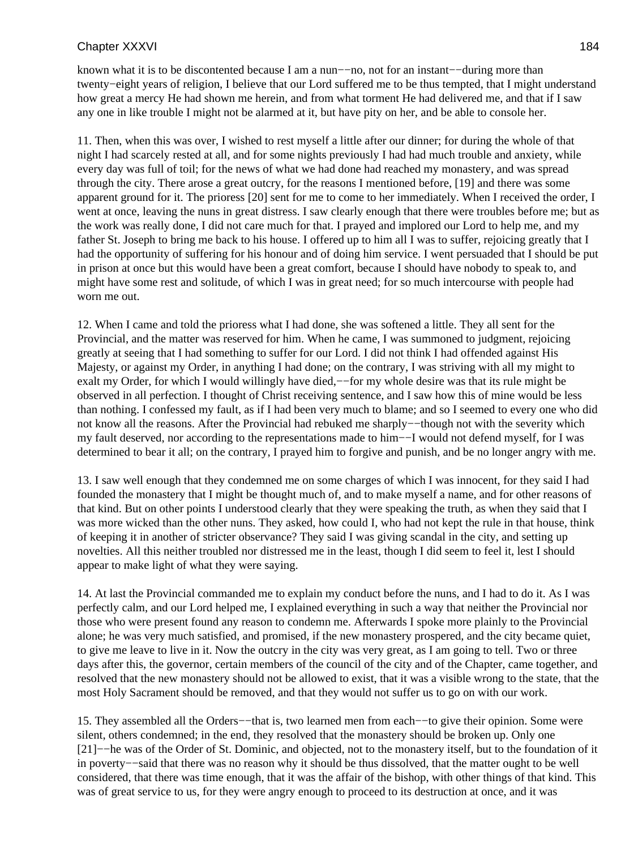known what it is to be discontented because I am a nun−−no, not for an instant−−during more than twenty−eight years of religion, I believe that our Lord suffered me to be thus tempted, that I might understand how great a mercy He had shown me herein, and from what torment He had delivered me, and that if I saw any one in like trouble I might not be alarmed at it, but have pity on her, and be able to console her.

11. Then, when this was over, I wished to rest myself a little after our dinner; for during the whole of that night I had scarcely rested at all, and for some nights previously I had had much trouble and anxiety, while every day was full of toil; for the news of what we had done had reached my monastery, and was spread through the city. There arose a great outcry, for the reasons I mentioned before, [19] and there was some apparent ground for it. The prioress [20] sent for me to come to her immediately. When I received the order, I went at once, leaving the nuns in great distress. I saw clearly enough that there were troubles before me; but as the work was really done, I did not care much for that. I prayed and implored our Lord to help me, and my father St. Joseph to bring me back to his house. I offered up to him all I was to suffer, rejoicing greatly that I had the opportunity of suffering for his honour and of doing him service. I went persuaded that I should be put in prison at once but this would have been a great comfort, because I should have nobody to speak to, and might have some rest and solitude, of which I was in great need; for so much intercourse with people had worn me out.

12. When I came and told the prioress what I had done, she was softened a little. They all sent for the Provincial, and the matter was reserved for him. When he came, I was summoned to judgment, rejoicing greatly at seeing that I had something to suffer for our Lord. I did not think I had offended against His Majesty, or against my Order, in anything I had done; on the contrary, I was striving with all my might to exalt my Order, for which I would willingly have died,—−for my whole desire was that its rule might be observed in all perfection. I thought of Christ receiving sentence, and I saw how this of mine would be less than nothing. I confessed my fault, as if I had been very much to blame; and so I seemed to every one who did not know all the reasons. After the Provincial had rebuked me sharply−−though not with the severity which my fault deserved, nor according to the representations made to him−−I would not defend myself, for I was determined to bear it all; on the contrary, I prayed him to forgive and punish, and be no longer angry with me.

13. I saw well enough that they condemned me on some charges of which I was innocent, for they said I had founded the monastery that I might be thought much of, and to make myself a name, and for other reasons of that kind. But on other points I understood clearly that they were speaking the truth, as when they said that I was more wicked than the other nuns. They asked, how could I, who had not kept the rule in that house, think of keeping it in another of stricter observance? They said I was giving scandal in the city, and setting up novelties. All this neither troubled nor distressed me in the least, though I did seem to feel it, lest I should appear to make light of what they were saying.

14. At last the Provincial commanded me to explain my conduct before the nuns, and I had to do it. As I was perfectly calm, and our Lord helped me, I explained everything in such a way that neither the Provincial nor those who were present found any reason to condemn me. Afterwards I spoke more plainly to the Provincial alone; he was very much satisfied, and promised, if the new monastery prospered, and the city became quiet, to give me leave to live in it. Now the outcry in the city was very great, as I am going to tell. Two or three days after this, the governor, certain members of the council of the city and of the Chapter, came together, and resolved that the new monastery should not be allowed to exist, that it was a visible wrong to the state, that the most Holy Sacrament should be removed, and that they would not suffer us to go on with our work.

15. They assembled all the Orders−−that is, two learned men from each−−to give their opinion. Some were silent, others condemned; in the end, they resolved that the monastery should be broken up. Only one [21]−−he was of the Order of St. Dominic, and objected, not to the monastery itself, but to the foundation of it in poverty−−said that there was no reason why it should be thus dissolved, that the matter ought to be well considered, that there was time enough, that it was the affair of the bishop, with other things of that kind. This was of great service to us, for they were angry enough to proceed to its destruction at once, and it was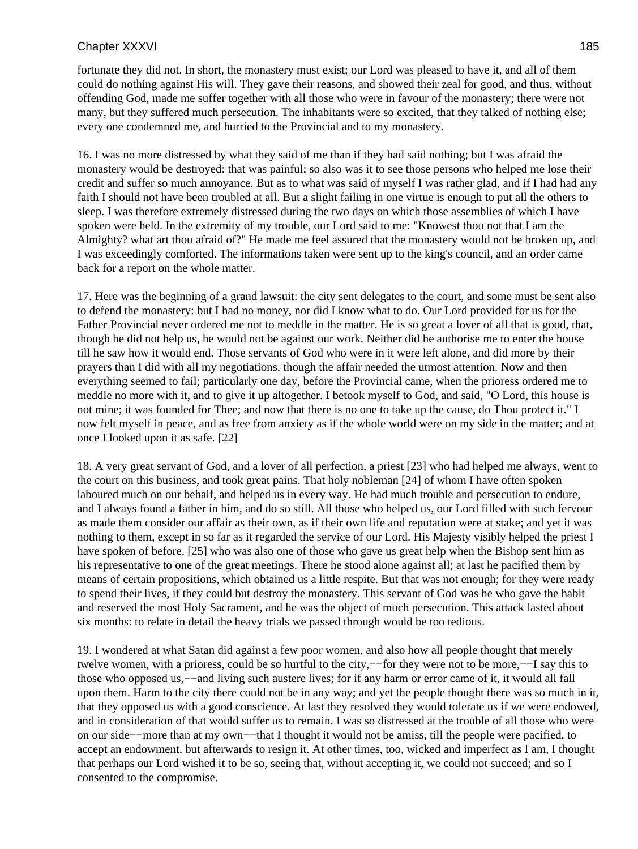fortunate they did not. In short, the monastery must exist; our Lord was pleased to have it, and all of them could do nothing against His will. They gave their reasons, and showed their zeal for good, and thus, without offending God, made me suffer together with all those who were in favour of the monastery; there were not many, but they suffered much persecution. The inhabitants were so excited, that they talked of nothing else; every one condemned me, and hurried to the Provincial and to my monastery.

16. I was no more distressed by what they said of me than if they had said nothing; but I was afraid the monastery would be destroyed: that was painful; so also was it to see those persons who helped me lose their credit and suffer so much annoyance. But as to what was said of myself I was rather glad, and if I had had any faith I should not have been troubled at all. But a slight failing in one virtue is enough to put all the others to sleep. I was therefore extremely distressed during the two days on which those assemblies of which I have spoken were held. In the extremity of my trouble, our Lord said to me: "Knowest thou not that I am the Almighty? what art thou afraid of?" He made me feel assured that the monastery would not be broken up, and I was exceedingly comforted. The informations taken were sent up to the king's council, and an order came back for a report on the whole matter.

17. Here was the beginning of a grand lawsuit: the city sent delegates to the court, and some must be sent also to defend the monastery: but I had no money, nor did I know what to do. Our Lord provided for us for the Father Provincial never ordered me not to meddle in the matter. He is so great a lover of all that is good, that, though he did not help us, he would not be against our work. Neither did he authorise me to enter the house till he saw how it would end. Those servants of God who were in it were left alone, and did more by their prayers than I did with all my negotiations, though the affair needed the utmost attention. Now and then everything seemed to fail; particularly one day, before the Provincial came, when the prioress ordered me to meddle no more with it, and to give it up altogether. I betook myself to God, and said, "O Lord, this house is not mine; it was founded for Thee; and now that there is no one to take up the cause, do Thou protect it." I now felt myself in peace, and as free from anxiety as if the whole world were on my side in the matter; and at once I looked upon it as safe. [22]

18. A very great servant of God, and a lover of all perfection, a priest [23] who had helped me always, went to the court on this business, and took great pains. That holy nobleman [24] of whom I have often spoken laboured much on our behalf, and helped us in every way. He had much trouble and persecution to endure, and I always found a father in him, and do so still. All those who helped us, our Lord filled with such fervour as made them consider our affair as their own, as if their own life and reputation were at stake; and yet it was nothing to them, except in so far as it regarded the service of our Lord. His Majesty visibly helped the priest I have spoken of before, [25] who was also one of those who gave us great help when the Bishop sent him as his representative to one of the great meetings. There he stood alone against all; at last he pacified them by means of certain propositions, which obtained us a little respite. But that was not enough; for they were ready to spend their lives, if they could but destroy the monastery. This servant of God was he who gave the habit and reserved the most Holy Sacrament, and he was the object of much persecution. This attack lasted about six months: to relate in detail the heavy trials we passed through would be too tedious.

19. I wondered at what Satan did against a few poor women, and also how all people thought that merely twelve women, with a prioress, could be so hurtful to the city,−−for they were not to be more,−−I say this to those who opposed us,−−and living such austere lives; for if any harm or error came of it, it would all fall upon them. Harm to the city there could not be in any way; and yet the people thought there was so much in it, that they opposed us with a good conscience. At last they resolved they would tolerate us if we were endowed, and in consideration of that would suffer us to remain. I was so distressed at the trouble of all those who were on our side−−more than at my own−−that I thought it would not be amiss, till the people were pacified, to accept an endowment, but afterwards to resign it. At other times, too, wicked and imperfect as I am, I thought that perhaps our Lord wished it to be so, seeing that, without accepting it, we could not succeed; and so I consented to the compromise.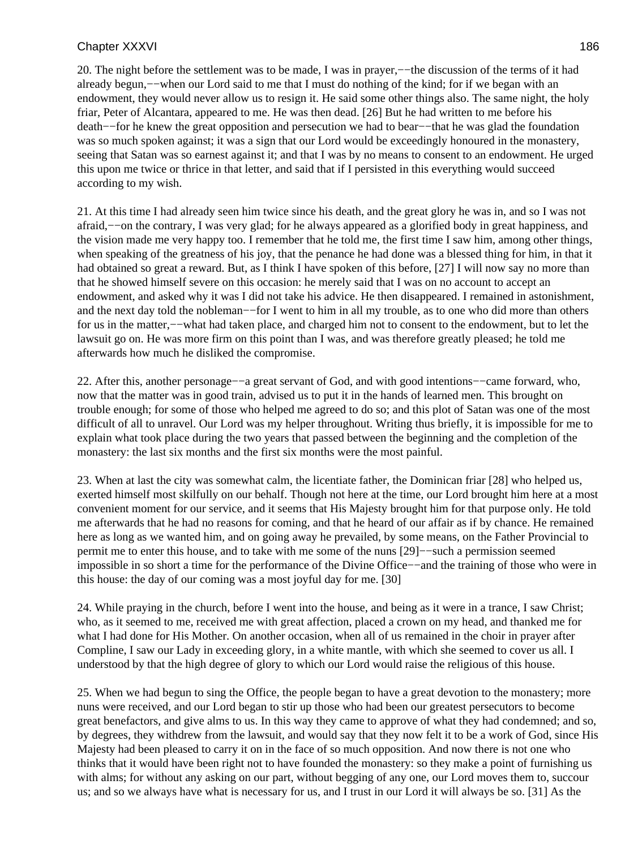20. The night before the settlement was to be made, I was in prayer,−−the discussion of the terms of it had already begun,−−when our Lord said to me that I must do nothing of the kind; for if we began with an endowment, they would never allow us to resign it. He said some other things also. The same night, the holy friar, Peter of Alcantara, appeared to me. He was then dead. [26] But he had written to me before his death−−for he knew the great opposition and persecution we had to bear−−that he was glad the foundation was so much spoken against; it was a sign that our Lord would be exceedingly honoured in the monastery, seeing that Satan was so earnest against it; and that I was by no means to consent to an endowment. He urged this upon me twice or thrice in that letter, and said that if I persisted in this everything would succeed according to my wish.

21. At this time I had already seen him twice since his death, and the great glory he was in, and so I was not afraid,−−on the contrary, I was very glad; for he always appeared as a glorified body in great happiness, and the vision made me very happy too. I remember that he told me, the first time I saw him, among other things, when speaking of the greatness of his joy, that the penance he had done was a blessed thing for him, in that it had obtained so great a reward. But, as I think I have spoken of this before, [27] I will now say no more than that he showed himself severe on this occasion: he merely said that I was on no account to accept an endowment, and asked why it was I did not take his advice. He then disappeared. I remained in astonishment, and the next day told the nobleman−−for I went to him in all my trouble, as to one who did more than others for us in the matter,−−what had taken place, and charged him not to consent to the endowment, but to let the lawsuit go on. He was more firm on this point than I was, and was therefore greatly pleased; he told me afterwards how much he disliked the compromise.

22. After this, another personage−−a great servant of God, and with good intentions−−came forward, who, now that the matter was in good train, advised us to put it in the hands of learned men. This brought on trouble enough; for some of those who helped me agreed to do so; and this plot of Satan was one of the most difficult of all to unravel. Our Lord was my helper throughout. Writing thus briefly, it is impossible for me to explain what took place during the two years that passed between the beginning and the completion of the monastery: the last six months and the first six months were the most painful.

23. When at last the city was somewhat calm, the licentiate father, the Dominican friar [28] who helped us, exerted himself most skilfully on our behalf. Though not here at the time, our Lord brought him here at a most convenient moment for our service, and it seems that His Majesty brought him for that purpose only. He told me afterwards that he had no reasons for coming, and that he heard of our affair as if by chance. He remained here as long as we wanted him, and on going away he prevailed, by some means, on the Father Provincial to permit me to enter this house, and to take with me some of the nuns [29]−−such a permission seemed impossible in so short a time for the performance of the Divine Office−−and the training of those who were in this house: the day of our coming was a most joyful day for me. [30]

24. While praying in the church, before I went into the house, and being as it were in a trance, I saw Christ; who, as it seemed to me, received me with great affection, placed a crown on my head, and thanked me for what I had done for His Mother. On another occasion, when all of us remained in the choir in prayer after Compline, I saw our Lady in exceeding glory, in a white mantle, with which she seemed to cover us all. I understood by that the high degree of glory to which our Lord would raise the religious of this house.

25. When we had begun to sing the Office, the people began to have a great devotion to the monastery; more nuns were received, and our Lord began to stir up those who had been our greatest persecutors to become great benefactors, and give alms to us. In this way they came to approve of what they had condemned; and so, by degrees, they withdrew from the lawsuit, and would say that they now felt it to be a work of God, since His Majesty had been pleased to carry it on in the face of so much opposition. And now there is not one who thinks that it would have been right not to have founded the monastery: so they make a point of furnishing us with alms; for without any asking on our part, without begging of any one, our Lord moves them to, succour us; and so we always have what is necessary for us, and I trust in our Lord it will always be so. [31] As the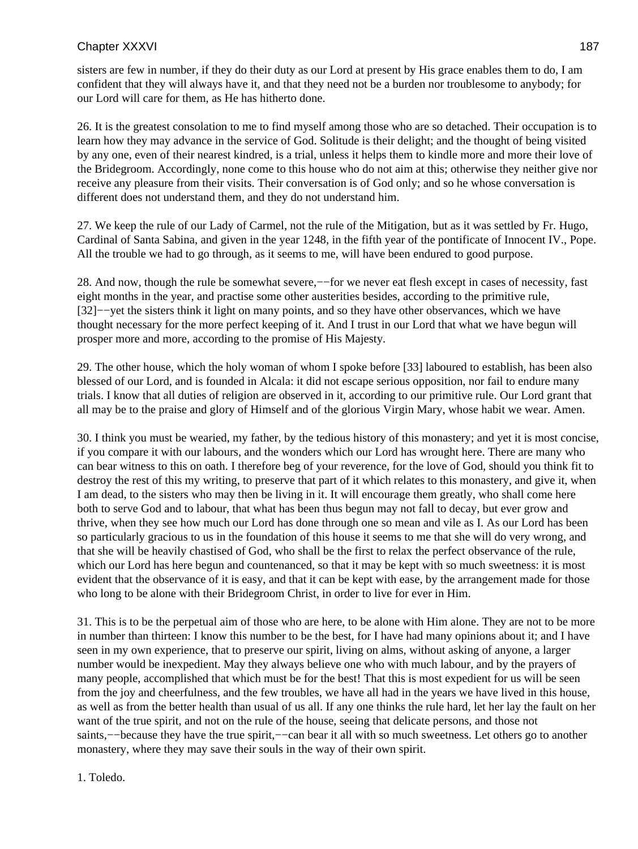sisters are few in number, if they do their duty as our Lord at present by His grace enables them to do, I am confident that they will always have it, and that they need not be a burden nor troublesome to anybody; for our Lord will care for them, as He has hitherto done.

26. It is the greatest consolation to me to find myself among those who are so detached. Their occupation is to learn how they may advance in the service of God. Solitude is their delight; and the thought of being visited by any one, even of their nearest kindred, is a trial, unless it helps them to kindle more and more their love of the Bridegroom. Accordingly, none come to this house who do not aim at this; otherwise they neither give nor receive any pleasure from their visits. Their conversation is of God only; and so he whose conversation is different does not understand them, and they do not understand him.

27. We keep the rule of our Lady of Carmel, not the rule of the Mitigation, but as it was settled by Fr. Hugo, Cardinal of Santa Sabina, and given in the year 1248, in the fifth year of the pontificate of Innocent IV., Pope. All the trouble we had to go through, as it seems to me, will have been endured to good purpose.

28. And now, though the rule be somewhat severe,−−for we never eat flesh except in cases of necessity, fast eight months in the year, and practise some other austerities besides, according to the primitive rule, [32]−−yet the sisters think it light on many points, and so they have other observances, which we have thought necessary for the more perfect keeping of it. And I trust in our Lord that what we have begun will prosper more and more, according to the promise of His Majesty.

29. The other house, which the holy woman of whom I spoke before [33] laboured to establish, has been also blessed of our Lord, and is founded in Alcala: it did not escape serious opposition, nor fail to endure many trials. I know that all duties of religion are observed in it, according to our primitive rule. Our Lord grant that all may be to the praise and glory of Himself and of the glorious Virgin Mary, whose habit we wear. Amen.

30. I think you must be wearied, my father, by the tedious history of this monastery; and yet it is most concise, if you compare it with our labours, and the wonders which our Lord has wrought here. There are many who can bear witness to this on oath. I therefore beg of your reverence, for the love of God, should you think fit to destroy the rest of this my writing, to preserve that part of it which relates to this monastery, and give it, when I am dead, to the sisters who may then be living in it. It will encourage them greatly, who shall come here both to serve God and to labour, that what has been thus begun may not fall to decay, but ever grow and thrive, when they see how much our Lord has done through one so mean and vile as I. As our Lord has been so particularly gracious to us in the foundation of this house it seems to me that she will do very wrong, and that she will be heavily chastised of God, who shall be the first to relax the perfect observance of the rule, which our Lord has here begun and countenanced, so that it may be kept with so much sweetness: it is most evident that the observance of it is easy, and that it can be kept with ease, by the arrangement made for those who long to be alone with their Bridegroom Christ, in order to live for ever in Him.

31. This is to be the perpetual aim of those who are here, to be alone with Him alone. They are not to be more in number than thirteen: I know this number to be the best, for I have had many opinions about it; and I have seen in my own experience, that to preserve our spirit, living on alms, without asking of anyone, a larger number would be inexpedient. May they always believe one who with much labour, and by the prayers of many people, accomplished that which must be for the best! That this is most expedient for us will be seen from the joy and cheerfulness, and the few troubles, we have all had in the years we have lived in this house, as well as from the better health than usual of us all. If any one thinks the rule hard, let her lay the fault on her want of the true spirit, and not on the rule of the house, seeing that delicate persons, and those not saints,--because they have the true spirit,--can bear it all with so much sweetness. Let others go to another monastery, where they may save their souls in the way of their own spirit.

1. Toledo.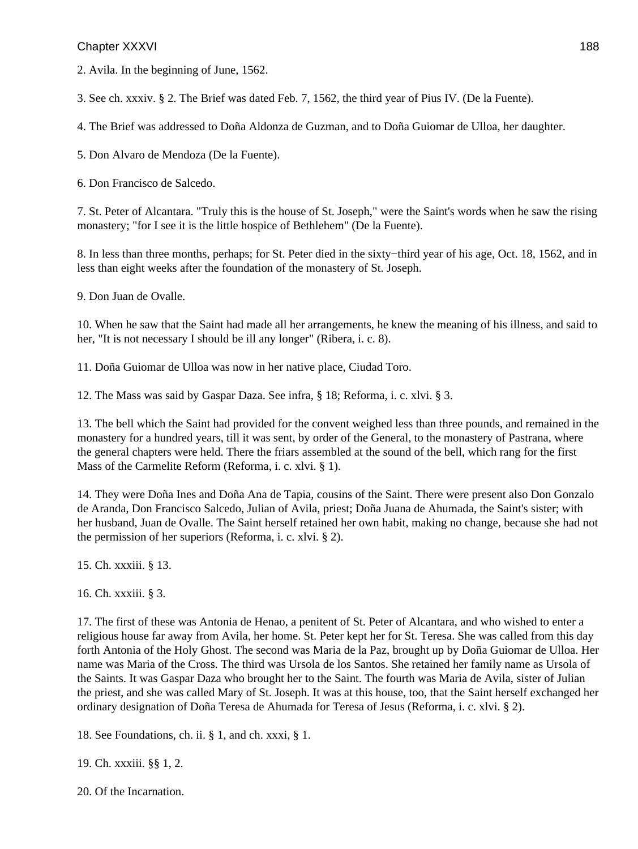2. Avila. In the beginning of June, 1562.

3. See ch. xxxiv. § 2. The Brief was dated Feb. 7, 1562, the third year of Pius IV. (De la Fuente).

4. The Brief was addressed to Doña Aldonza de Guzman, and to Doña Guiomar de Ulloa, her daughter.

5. Don Alvaro de Mendoza (De la Fuente).

6. Don Francisco de Salcedo.

7. St. Peter of Alcantara. "Truly this is the house of St. Joseph," were the Saint's words when he saw the rising monastery; "for I see it is the little hospice of Bethlehem" (De la Fuente).

8. In less than three months, perhaps; for St. Peter died in the sixty−third year of his age, Oct. 18, 1562, and in less than eight weeks after the foundation of the monastery of St. Joseph.

9. Don Juan de Ovalle.

10. When he saw that the Saint had made all her arrangements, he knew the meaning of his illness, and said to her, "It is not necessary I should be ill any longer" (Ribera, i. c. 8).

11. Doña Guiomar de Ulloa was now in her native place, Ciudad Toro.

12. The Mass was said by Gaspar Daza. See infra, § 18; Reforma, i. c. xlvi. § 3.

13. The bell which the Saint had provided for the convent weighed less than three pounds, and remained in the monastery for a hundred years, till it was sent, by order of the General, to the monastery of Pastrana, where the general chapters were held. There the friars assembled at the sound of the bell, which rang for the first Mass of the Carmelite Reform (Reforma, i. c. xlvi. § 1).

14. They were Doña Ines and Doña Ana de Tapia, cousins of the Saint. There were present also Don Gonzalo de Aranda, Don Francisco Salcedo, Julian of Avila, priest; Doña Juana de Ahumada, the Saint's sister; with her husband, Juan de Ovalle. The Saint herself retained her own habit, making no change, because she had not the permission of her superiors (Reforma, i. c. xlvi. § 2).

15. Ch. xxxiii. § 13.

16. Ch. xxxiii. § 3.

17. The first of these was Antonia de Henao, a penitent of St. Peter of Alcantara, and who wished to enter a religious house far away from Avila, her home. St. Peter kept her for St. Teresa. She was called from this day forth Antonia of the Holy Ghost. The second was Maria de la Paz, brought up by Doña Guiomar de Ulloa. Her name was Maria of the Cross. The third was Ursola de los Santos. She retained her family name as Ursola of the Saints. It was Gaspar Daza who brought her to the Saint. The fourth was Maria de Avila, sister of Julian the priest, and she was called Mary of St. Joseph. It was at this house, too, that the Saint herself exchanged her ordinary designation of Doña Teresa de Ahumada for Teresa of Jesus (Reforma, i. c. xlvi. § 2).

18. See Foundations, ch. ii. § 1, and ch. xxxi, § 1.

19. Ch. xxxiii. §§ 1, 2.

20. Of the Incarnation.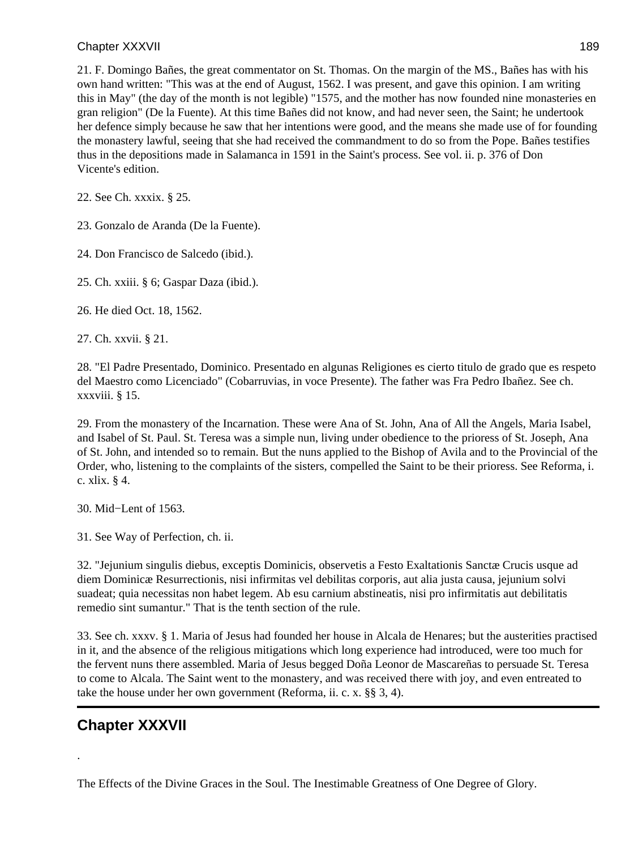21. F. Domingo Bañes, the great commentator on St. Thomas. On the margin of the MS., Bañes has with his own hand written: "This was at the end of August, 1562. I was present, and gave this opinion. I am writing this in May" (the day of the month is not legible) "1575, and the mother has now founded nine monasteries en gran religion" (De la Fuente). At this time Bañes did not know, and had never seen, the Saint; he undertook her defence simply because he saw that her intentions were good, and the means she made use of for founding the monastery lawful, seeing that she had received the commandment to do so from the Pope. Bañes testifies thus in the depositions made in Salamanca in 1591 in the Saint's process. See vol. ii. p. 376 of Don Vicente's edition.

22. See Ch. xxxix. § 25.

23. Gonzalo de Aranda (De la Fuente).

24. Don Francisco de Salcedo (ibid.).

25. Ch. xxiii. § 6; Gaspar Daza (ibid.).

26. He died Oct. 18, 1562.

27. Ch. xxvii. § 21.

28. "El Padre Presentado, Dominico. Presentado en algunas Religiones es cierto titulo de grado que es respeto del Maestro como Licenciado" (Cobarruvias, in voce Presente). The father was Fra Pedro Ibañez. See ch. xxxviii. § 15.

29. From the monastery of the Incarnation. These were Ana of St. John, Ana of All the Angels, Maria Isabel, and Isabel of St. Paul. St. Teresa was a simple nun, living under obedience to the prioress of St. Joseph, Ana of St. John, and intended so to remain. But the nuns applied to the Bishop of Avila and to the Provincial of the Order, who, listening to the complaints of the sisters, compelled the Saint to be their prioress. See Reforma, i. c. xlix. § 4.

30. Mid−Lent of 1563.

31. See Way of Perfection, ch. ii.

32. "Jejunium singulis diebus, exceptis Dominicis, observetis a Festo Exaltationis Sanctæ Crucis usque ad diem Dominicæ Resurrectionis, nisi infirmitas vel debilitas corporis, aut alia justa causa, jejunium solvi suadeat; quia necessitas non habet legem. Ab esu carnium abstineatis, nisi pro infirmitatis aut debilitatis remedio sint sumantur." That is the tenth section of the rule.

33. See ch. xxxv. § 1. Maria of Jesus had founded her house in Alcala de Henares; but the austerities practised in it, and the absence of the religious mitigations which long experience had introduced, were too much for the fervent nuns there assembled. Maria of Jesus begged Doña Leonor de Mascareñas to persuade St. Teresa to come to Alcala. The Saint went to the monastery, and was received there with joy, and even entreated to take the house under her own government (Reforma, ii. c. x. §§ 3, 4).

# **Chapter XXXVII**

.

The Effects of the Divine Graces in the Soul. The Inestimable Greatness of One Degree of Glory.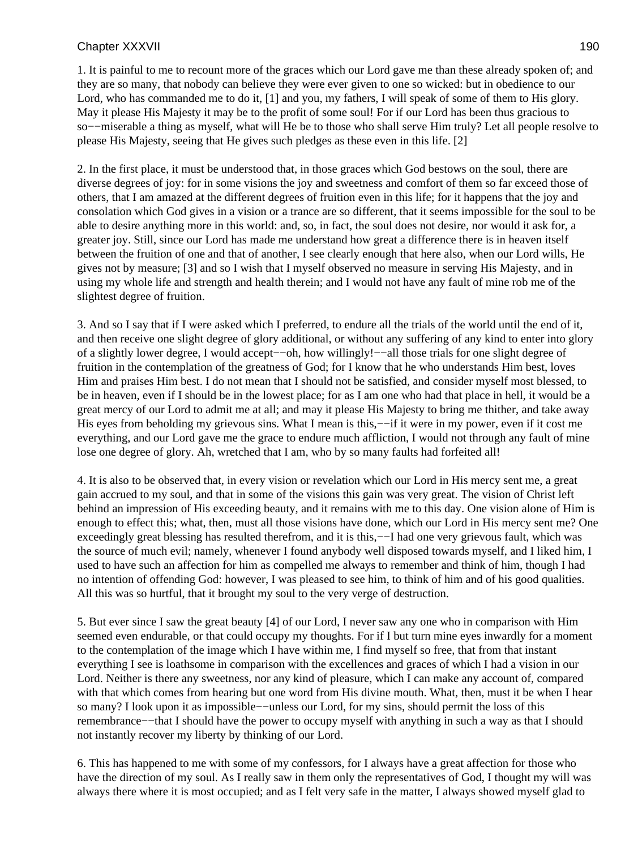1. It is painful to me to recount more of the graces which our Lord gave me than these already spoken of; and they are so many, that nobody can believe they were ever given to one so wicked: but in obedience to our Lord, who has commanded me to do it, [1] and you, my fathers, I will speak of some of them to His glory. May it please His Majesty it may be to the profit of some soul! For if our Lord has been thus gracious to so––miserable a thing as myself, what will He be to those who shall serve Him truly? Let all people resolve to please His Majesty, seeing that He gives such pledges as these even in this life. [2]

2. In the first place, it must be understood that, in those graces which God bestows on the soul, there are diverse degrees of joy: for in some visions the joy and sweetness and comfort of them so far exceed those of others, that I am amazed at the different degrees of fruition even in this life; for it happens that the joy and consolation which God gives in a vision or a trance are so different, that it seems impossible for the soul to be able to desire anything more in this world: and, so, in fact, the soul does not desire, nor would it ask for, a greater joy. Still, since our Lord has made me understand how great a difference there is in heaven itself between the fruition of one and that of another, I see clearly enough that here also, when our Lord wills, He gives not by measure; [3] and so I wish that I myself observed no measure in serving His Majesty, and in using my whole life and strength and health therein; and I would not have any fault of mine rob me of the slightest degree of fruition.

3. And so I say that if I were asked which I preferred, to endure all the trials of the world until the end of it, and then receive one slight degree of glory additional, or without any suffering of any kind to enter into glory of a slightly lower degree, I would accept−−oh, how willingly!−−all those trials for one slight degree of fruition in the contemplation of the greatness of God; for I know that he who understands Him best, loves Him and praises Him best. I do not mean that I should not be satisfied, and consider myself most blessed, to be in heaven, even if I should be in the lowest place; for as I am one who had that place in hell, it would be a great mercy of our Lord to admit me at all; and may it please His Majesty to bring me thither, and take away His eyes from beholding my grievous sins. What I mean is this,—−if it were in my power, even if it cost me everything, and our Lord gave me the grace to endure much affliction, I would not through any fault of mine lose one degree of glory. Ah, wretched that I am, who by so many faults had forfeited all!

4. It is also to be observed that, in every vision or revelation which our Lord in His mercy sent me, a great gain accrued to my soul, and that in some of the visions this gain was very great. The vision of Christ left behind an impression of His exceeding beauty, and it remains with me to this day. One vision alone of Him is enough to effect this; what, then, must all those visions have done, which our Lord in His mercy sent me? One exceedingly great blessing has resulted therefrom, and it is this,—−I had one very grievous fault, which was the source of much evil; namely, whenever I found anybody well disposed towards myself, and I liked him, I used to have such an affection for him as compelled me always to remember and think of him, though I had no intention of offending God: however, I was pleased to see him, to think of him and of his good qualities. All this was so hurtful, that it brought my soul to the very verge of destruction.

5. But ever since I saw the great beauty [4] of our Lord, I never saw any one who in comparison with Him seemed even endurable, or that could occupy my thoughts. For if I but turn mine eyes inwardly for a moment to the contemplation of the image which I have within me, I find myself so free, that from that instant everything I see is loathsome in comparison with the excellences and graces of which I had a vision in our Lord. Neither is there any sweetness, nor any kind of pleasure, which I can make any account of, compared with that which comes from hearing but one word from His divine mouth. What, then, must it be when I hear so many? I look upon it as impossible−−unless our Lord, for my sins, should permit the loss of this remembrance−−that I should have the power to occupy myself with anything in such a way as that I should not instantly recover my liberty by thinking of our Lord.

6. This has happened to me with some of my confessors, for I always have a great affection for those who have the direction of my soul. As I really saw in them only the representatives of God, I thought my will was always there where it is most occupied; and as I felt very safe in the matter, I always showed myself glad to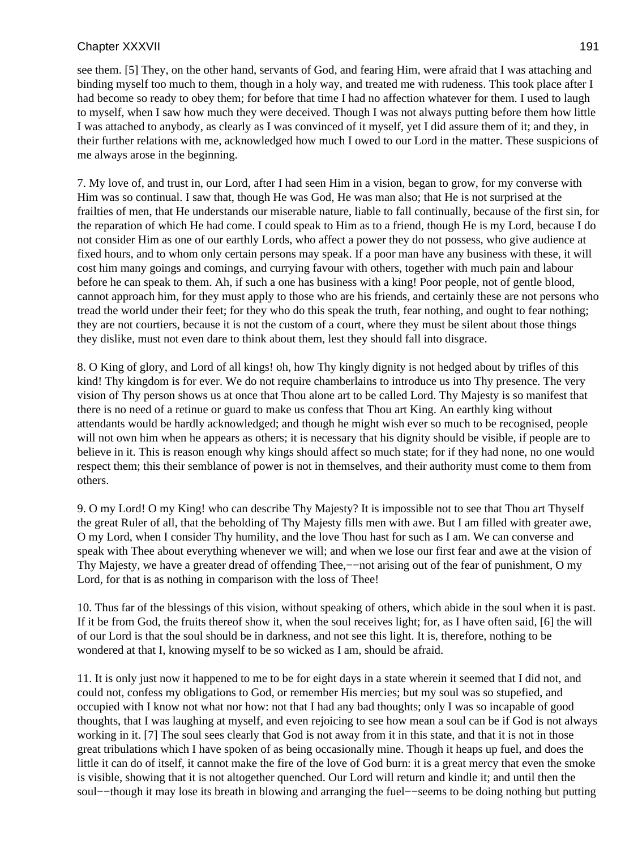see them. [5] They, on the other hand, servants of God, and fearing Him, were afraid that I was attaching and binding myself too much to them, though in a holy way, and treated me with rudeness. This took place after I had become so ready to obey them; for before that time I had no affection whatever for them. I used to laugh to myself, when I saw how much they were deceived. Though I was not always putting before them how little I was attached to anybody, as clearly as I was convinced of it myself, yet I did assure them of it; and they, in their further relations with me, acknowledged how much I owed to our Lord in the matter. These suspicions of me always arose in the beginning.

7. My love of, and trust in, our Lord, after I had seen Him in a vision, began to grow, for my converse with Him was so continual. I saw that, though He was God, He was man also; that He is not surprised at the frailties of men, that He understands our miserable nature, liable to fall continually, because of the first sin, for the reparation of which He had come. I could speak to Him as to a friend, though He is my Lord, because I do not consider Him as one of our earthly Lords, who affect a power they do not possess, who give audience at fixed hours, and to whom only certain persons may speak. If a poor man have any business with these, it will cost him many goings and comings, and currying favour with others, together with much pain and labour before he can speak to them. Ah, if such a one has business with a king! Poor people, not of gentle blood, cannot approach him, for they must apply to those who are his friends, and certainly these are not persons who tread the world under their feet; for they who do this speak the truth, fear nothing, and ought to fear nothing; they are not courtiers, because it is not the custom of a court, where they must be silent about those things they dislike, must not even dare to think about them, lest they should fall into disgrace.

8. O King of glory, and Lord of all kings! oh, how Thy kingly dignity is not hedged about by trifles of this kind! Thy kingdom is for ever. We do not require chamberlains to introduce us into Thy presence. The very vision of Thy person shows us at once that Thou alone art to be called Lord. Thy Majesty is so manifest that there is no need of a retinue or guard to make us confess that Thou art King. An earthly king without attendants would be hardly acknowledged; and though he might wish ever so much to be recognised, people will not own him when he appears as others; it is necessary that his dignity should be visible, if people are to believe in it. This is reason enough why kings should affect so much state; for if they had none, no one would respect them; this their semblance of power is not in themselves, and their authority must come to them from others.

9. O my Lord! O my King! who can describe Thy Majesty? It is impossible not to see that Thou art Thyself the great Ruler of all, that the beholding of Thy Majesty fills men with awe. But I am filled with greater awe, O my Lord, when I consider Thy humility, and the love Thou hast for such as I am. We can converse and speak with Thee about everything whenever we will; and when we lose our first fear and awe at the vision of Thy Majesty, we have a greater dread of offending Thee,—−not arising out of the fear of punishment, O my Lord, for that is as nothing in comparison with the loss of Thee!

10. Thus far of the blessings of this vision, without speaking of others, which abide in the soul when it is past. If it be from God, the fruits thereof show it, when the soul receives light; for, as I have often said, [6] the will of our Lord is that the soul should be in darkness, and not see this light. It is, therefore, nothing to be wondered at that I, knowing myself to be so wicked as I am, should be afraid.

11. It is only just now it happened to me to be for eight days in a state wherein it seemed that I did not, and could not, confess my obligations to God, or remember His mercies; but my soul was so stupefied, and occupied with I know not what nor how: not that I had any bad thoughts; only I was so incapable of good thoughts, that I was laughing at myself, and even rejoicing to see how mean a soul can be if God is not always working in it. [7] The soul sees clearly that God is not away from it in this state, and that it is not in those great tribulations which I have spoken of as being occasionally mine. Though it heaps up fuel, and does the little it can do of itself, it cannot make the fire of the love of God burn: it is a great mercy that even the smoke is visible, showing that it is not altogether quenched. Our Lord will return and kindle it; and until then the soul−−though it may lose its breath in blowing and arranging the fuel−−seems to be doing nothing but putting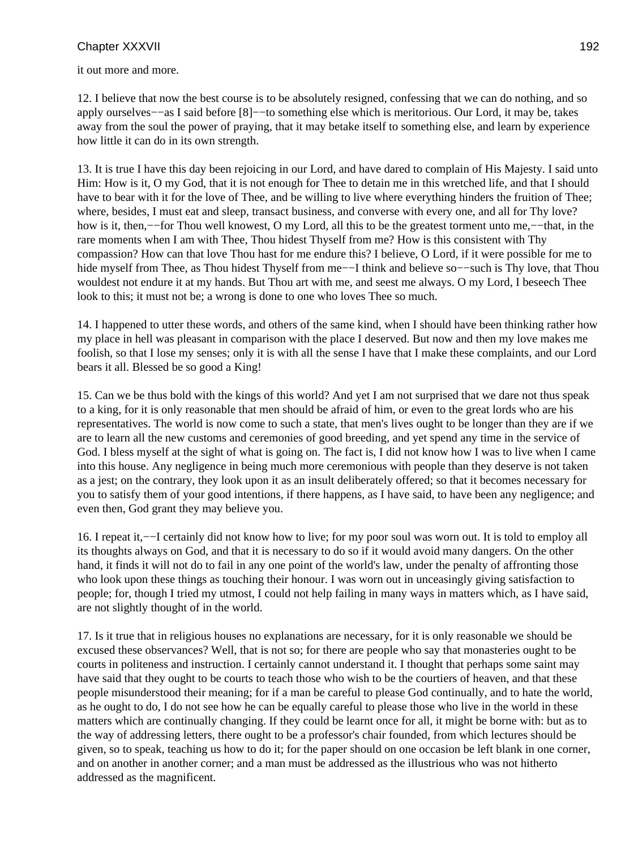it out more and more.

12. I believe that now the best course is to be absolutely resigned, confessing that we can do nothing, and so apply ourselves−−as I said before [8]−−to something else which is meritorious. Our Lord, it may be, takes away from the soul the power of praying, that it may betake itself to something else, and learn by experience how little it can do in its own strength.

13. It is true I have this day been rejoicing in our Lord, and have dared to complain of His Majesty. I said unto Him: How is it, O my God, that it is not enough for Thee to detain me in this wretched life, and that I should have to bear with it for the love of Thee, and be willing to live where everything hinders the fruition of Thee; where, besides, I must eat and sleep, transact business, and converse with every one, and all for Thy love? how is it, then,−−for Thou well knowest, O my Lord, all this to be the greatest torment unto me,−−that, in the rare moments when I am with Thee, Thou hidest Thyself from me? How is this consistent with Thy compassion? How can that love Thou hast for me endure this? I believe, O Lord, if it were possible for me to hide myself from Thee, as Thou hidest Thyself from me—I think and believe so—–such is Thy love, that Thou wouldest not endure it at my hands. But Thou art with me, and seest me always. O my Lord, I beseech Thee look to this; it must not be; a wrong is done to one who loves Thee so much.

14. I happened to utter these words, and others of the same kind, when I should have been thinking rather how my place in hell was pleasant in comparison with the place I deserved. But now and then my love makes me foolish, so that I lose my senses; only it is with all the sense I have that I make these complaints, and our Lord bears it all. Blessed be so good a King!

15. Can we be thus bold with the kings of this world? And yet I am not surprised that we dare not thus speak to a king, for it is only reasonable that men should be afraid of him, or even to the great lords who are his representatives. The world is now come to such a state, that men's lives ought to be longer than they are if we are to learn all the new customs and ceremonies of good breeding, and yet spend any time in the service of God. I bless myself at the sight of what is going on. The fact is, I did not know how I was to live when I came into this house. Any negligence in being much more ceremonious with people than they deserve is not taken as a jest; on the contrary, they look upon it as an insult deliberately offered; so that it becomes necessary for you to satisfy them of your good intentions, if there happens, as I have said, to have been any negligence; and even then, God grant they may believe you.

16. I repeat it,−−I certainly did not know how to live; for my poor soul was worn out. It is told to employ all its thoughts always on God, and that it is necessary to do so if it would avoid many dangers. On the other hand, it finds it will not do to fail in any one point of the world's law, under the penalty of affronting those who look upon these things as touching their honour. I was worn out in unceasingly giving satisfaction to people; for, though I tried my utmost, I could not help failing in many ways in matters which, as I have said, are not slightly thought of in the world.

17. Is it true that in religious houses no explanations are necessary, for it is only reasonable we should be excused these observances? Well, that is not so; for there are people who say that monasteries ought to be courts in politeness and instruction. I certainly cannot understand it. I thought that perhaps some saint may have said that they ought to be courts to teach those who wish to be the courtiers of heaven, and that these people misunderstood their meaning; for if a man be careful to please God continually, and to hate the world, as he ought to do, I do not see how he can be equally careful to please those who live in the world in these matters which are continually changing. If they could be learnt once for all, it might be borne with: but as to the way of addressing letters, there ought to be a professor's chair founded, from which lectures should be given, so to speak, teaching us how to do it; for the paper should on one occasion be left blank in one corner, and on another in another corner; and a man must be addressed as the illustrious who was not hitherto addressed as the magnificent.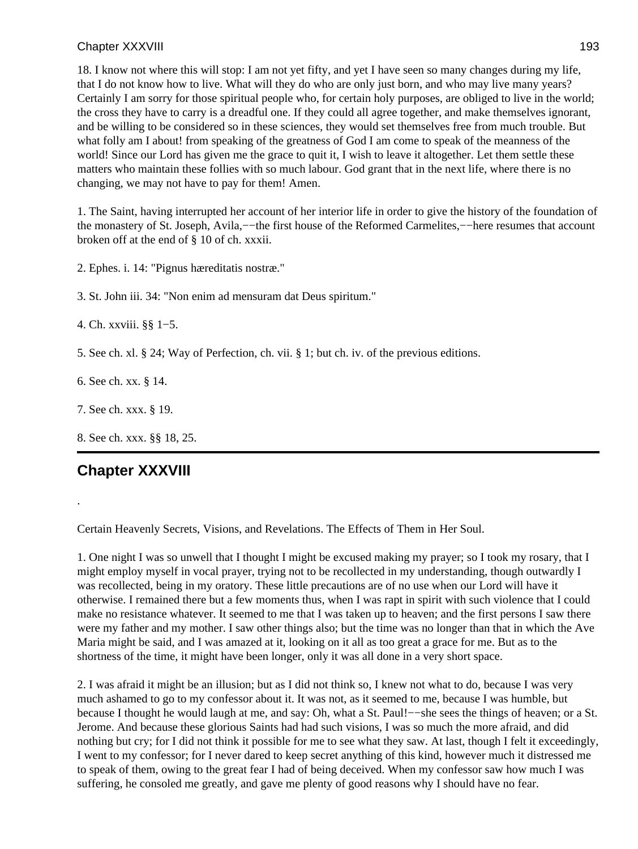18. I know not where this will stop: I am not yet fifty, and yet I have seen so many changes during my life, that I do not know how to live. What will they do who are only just born, and who may live many years? Certainly I am sorry for those spiritual people who, for certain holy purposes, are obliged to live in the world; the cross they have to carry is a dreadful one. If they could all agree together, and make themselves ignorant, and be willing to be considered so in these sciences, they would set themselves free from much trouble. But what folly am I about! from speaking of the greatness of God I am come to speak of the meanness of the world! Since our Lord has given me the grace to quit it, I wish to leave it altogether. Let them settle these matters who maintain these follies with so much labour. God grant that in the next life, where there is no changing, we may not have to pay for them! Amen.

1. The Saint, having interrupted her account of her interior life in order to give the history of the foundation of the monastery of St. Joseph, Avila,−−the first house of the Reformed Carmelites,−−here resumes that account broken off at the end of § 10 of ch. xxxii.

2. Ephes. i. 14: "Pignus hæreditatis nostræ."

3. St. John iii. 34: "Non enim ad mensuram dat Deus spiritum."

4. Ch. xxviii. §§ 1−5.

5. See ch. xl. § 24; Way of Perfection, ch. vii. § 1; but ch. iv. of the previous editions.

6. See ch. xx. § 14.

7. See ch. xxx. § 19.

8. See ch. xxx. §§ 18, 25.

# **Chapter XXXVIII**

.

Certain Heavenly Secrets, Visions, and Revelations. The Effects of Them in Her Soul.

1. One night I was so unwell that I thought I might be excused making my prayer; so I took my rosary, that I might employ myself in vocal prayer, trying not to be recollected in my understanding, though outwardly I was recollected, being in my oratory. These little precautions are of no use when our Lord will have it otherwise. I remained there but a few moments thus, when I was rapt in spirit with such violence that I could make no resistance whatever. It seemed to me that I was taken up to heaven; and the first persons I saw there were my father and my mother. I saw other things also; but the time was no longer than that in which the Ave Maria might be said, and I was amazed at it, looking on it all as too great a grace for me. But as to the shortness of the time, it might have been longer, only it was all done in a very short space.

2. I was afraid it might be an illusion; but as I did not think so, I knew not what to do, because I was very much ashamed to go to my confessor about it. It was not, as it seemed to me, because I was humble, but because I thought he would laugh at me, and say: Oh, what a St. Paul!-−she sees the things of heaven; or a St. Jerome. And because these glorious Saints had had such visions, I was so much the more afraid, and did nothing but cry; for I did not think it possible for me to see what they saw. At last, though I felt it exceedingly, I went to my confessor; for I never dared to keep secret anything of this kind, however much it distressed me to speak of them, owing to the great fear I had of being deceived. When my confessor saw how much I was suffering, he consoled me greatly, and gave me plenty of good reasons why I should have no fear.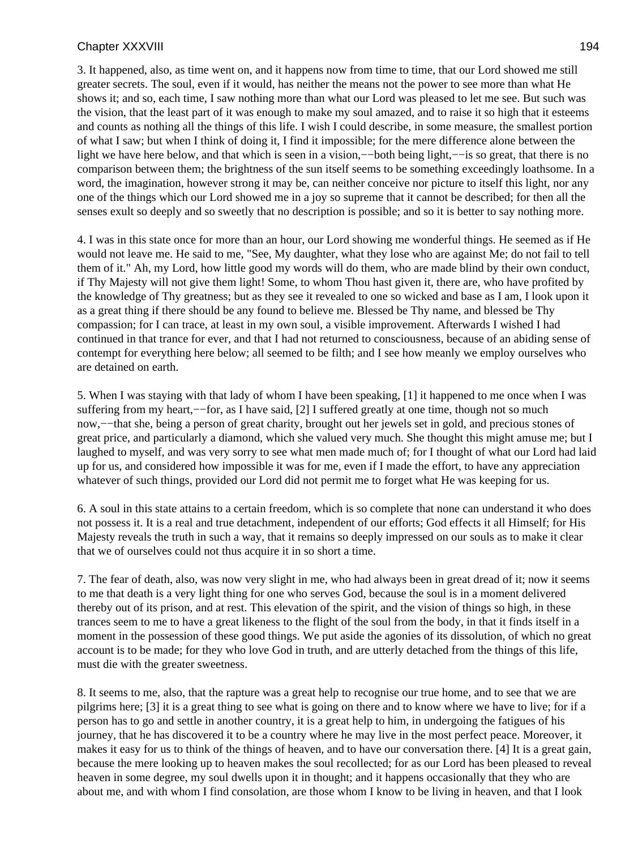3. It happened, also, as time went on, and it happens now from time to time, that our Lord showed me still greater secrets. The soul, even if it would, has neither the means not the power to see more than what He shows it; and so, each time, I saw nothing more than what our Lord was pleased to let me see. But such was the vision, that the least part of it was enough to make my soul amazed, and to raise it so high that it esteems and counts as nothing all the things of this life. I wish I could describe, in some measure, the smallest portion of what I saw; but when I think of doing it, I find it impossible; for the mere difference alone between the light we have here below, and that which is seen in a vision,−−both being light,−−is so great, that there is no comparison between them; the brightness of the sun itself seems to be something exceedingly loathsome. In a word, the imagination, however strong it may be, can neither conceive nor picture to itself this light, nor any one of the things which our Lord showed me in a joy so supreme that it cannot be described; for then all the senses exult so deeply and so sweetly that no description is possible; and so it is better to say nothing more.

4. I was in this state once for more than an hour, our Lord showing me wonderful things. He seemed as if He would not leave me. He said to me, "See, My daughter, what they lose who are against Me; do not fail to tell them of it." Ah, my Lord, how little good my words will do them, who are made blind by their own conduct, if Thy Majesty will not give them light! Some, to whom Thou hast given it, there are, who have profited by the knowledge of Thy greatness; but as they see it revealed to one so wicked and base as I am, I look upon it as a great thing if there should be any found to believe me. Blessed be Thy name, and blessed be Thy compassion; for I can trace, at least in my own soul, a visible improvement. Afterwards I wished I had continued in that trance for ever, and that I had not returned to consciousness, because of an abiding sense of contempt for everything here below; all seemed to be filth; and I see how meanly we employ ourselves who are detained on earth.

5. When I was staying with that lady of whom I have been speaking, [1] it happened to me once when I was suffering from my heart,−−for, as I have said, [2] I suffered greatly at one time, though not so much now,−−that she, being a person of great charity, brought out her jewels set in gold, and precious stones of great price, and particularly a diamond, which she valued very much. She thought this might amuse me; but I laughed to myself, and was very sorry to see what men made much of; for I thought of what our Lord had laid up for us, and considered how impossible it was for me, even if I made the effort, to have any appreciation whatever of such things, provided our Lord did not permit me to forget what He was keeping for us.

6. A soul in this state attains to a certain freedom, which is so complete that none can understand it who does not possess it. It is a real and true detachment, independent of our efforts; God effects it all Himself; for His Majesty reveals the truth in such a way, that it remains so deeply impressed on our souls as to make it clear that we of ourselves could not thus acquire it in so short a time.

7. The fear of death, also, was now very slight in me, who had always been in great dread of it; now it seems to me that death is a very light thing for one who serves God, because the soul is in a moment delivered thereby out of its prison, and at rest. This elevation of the spirit, and the vision of things so high, in these trances seem to me to have a great likeness to the flight of the soul from the body, in that it finds itself in a moment in the possession of these good things. We put aside the agonies of its dissolution, of which no great account is to be made; for they who love God in truth, and are utterly detached from the things of this life, must die with the greater sweetness.

8. It seems to me, also, that the rapture was a great help to recognise our true home, and to see that we are pilgrims here; [3] it is a great thing to see what is going on there and to know where we have to live; for if a person has to go and settle in another country, it is a great help to him, in undergoing the fatigues of his journey, that he has discovered it to be a country where he may live in the most perfect peace. Moreover, it makes it easy for us to think of the things of heaven, and to have our conversation there. [4] It is a great gain, because the mere looking up to heaven makes the soul recollected; for as our Lord has been pleased to reveal heaven in some degree, my soul dwells upon it in thought; and it happens occasionally that they who are about me, and with whom I find consolation, are those whom I know to be living in heaven, and that I look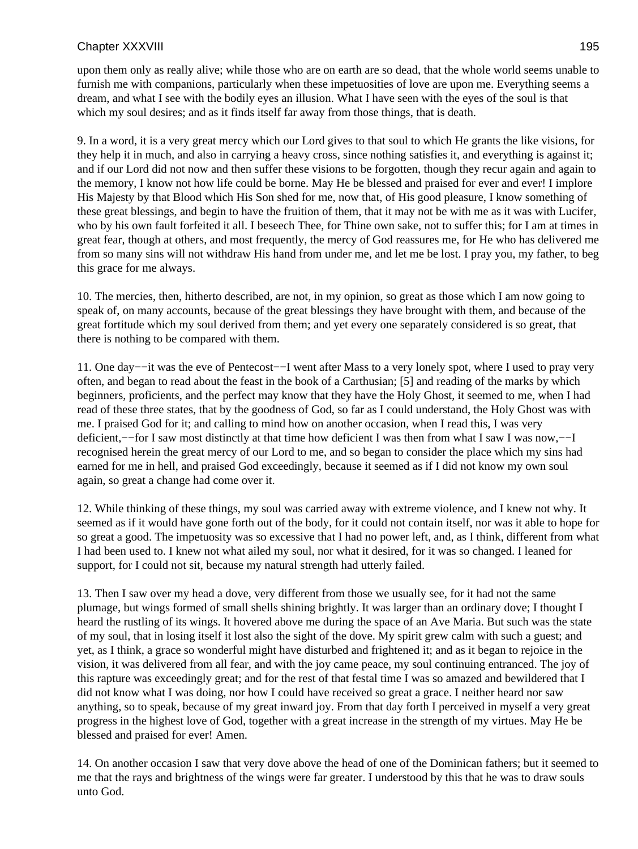upon them only as really alive; while those who are on earth are so dead, that the whole world seems unable to furnish me with companions, particularly when these impetuosities of love are upon me. Everything seems a dream, and what I see with the bodily eyes an illusion. What I have seen with the eyes of the soul is that which my soul desires; and as it finds itself far away from those things, that is death.

9. In a word, it is a very great mercy which our Lord gives to that soul to which He grants the like visions, for they help it in much, and also in carrying a heavy cross, since nothing satisfies it, and everything is against it; and if our Lord did not now and then suffer these visions to be forgotten, though they recur again and again to the memory, I know not how life could be borne. May He be blessed and praised for ever and ever! I implore His Majesty by that Blood which His Son shed for me, now that, of His good pleasure, I know something of these great blessings, and begin to have the fruition of them, that it may not be with me as it was with Lucifer, who by his own fault forfeited it all. I beseech Thee, for Thine own sake, not to suffer this; for I am at times in great fear, though at others, and most frequently, the mercy of God reassures me, for He who has delivered me from so many sins will not withdraw His hand from under me, and let me be lost. I pray you, my father, to beg this grace for me always.

10. The mercies, then, hitherto described, are not, in my opinion, so great as those which I am now going to speak of, on many accounts, because of the great blessings they have brought with them, and because of the great fortitude which my soul derived from them; and yet every one separately considered is so great, that there is nothing to be compared with them.

11. One day−−it was the eve of Pentecost−−I went after Mass to a very lonely spot, where I used to pray very often, and began to read about the feast in the book of a Carthusian; [5] and reading of the marks by which beginners, proficients, and the perfect may know that they have the Holy Ghost, it seemed to me, when I had read of these three states, that by the goodness of God, so far as I could understand, the Holy Ghost was with me. I praised God for it; and calling to mind how on another occasion, when I read this, I was very deficient,−−for I saw most distinctly at that time how deficient I was then from what I saw I was now,−−I recognised herein the great mercy of our Lord to me, and so began to consider the place which my sins had earned for me in hell, and praised God exceedingly, because it seemed as if I did not know my own soul again, so great a change had come over it.

12. While thinking of these things, my soul was carried away with extreme violence, and I knew not why. It seemed as if it would have gone forth out of the body, for it could not contain itself, nor was it able to hope for so great a good. The impetuosity was so excessive that I had no power left, and, as I think, different from what I had been used to. I knew not what ailed my soul, nor what it desired, for it was so changed. I leaned for support, for I could not sit, because my natural strength had utterly failed.

13. Then I saw over my head a dove, very different from those we usually see, for it had not the same plumage, but wings formed of small shells shining brightly. It was larger than an ordinary dove; I thought I heard the rustling of its wings. It hovered above me during the space of an Ave Maria. But such was the state of my soul, that in losing itself it lost also the sight of the dove. My spirit grew calm with such a guest; and yet, as I think, a grace so wonderful might have disturbed and frightened it; and as it began to rejoice in the vision, it was delivered from all fear, and with the joy came peace, my soul continuing entranced. The joy of this rapture was exceedingly great; and for the rest of that festal time I was so amazed and bewildered that I did not know what I was doing, nor how I could have received so great a grace. I neither heard nor saw anything, so to speak, because of my great inward joy. From that day forth I perceived in myself a very great progress in the highest love of God, together with a great increase in the strength of my virtues. May He be blessed and praised for ever! Amen.

14. On another occasion I saw that very dove above the head of one of the Dominican fathers; but it seemed to me that the rays and brightness of the wings were far greater. I understood by this that he was to draw souls unto God.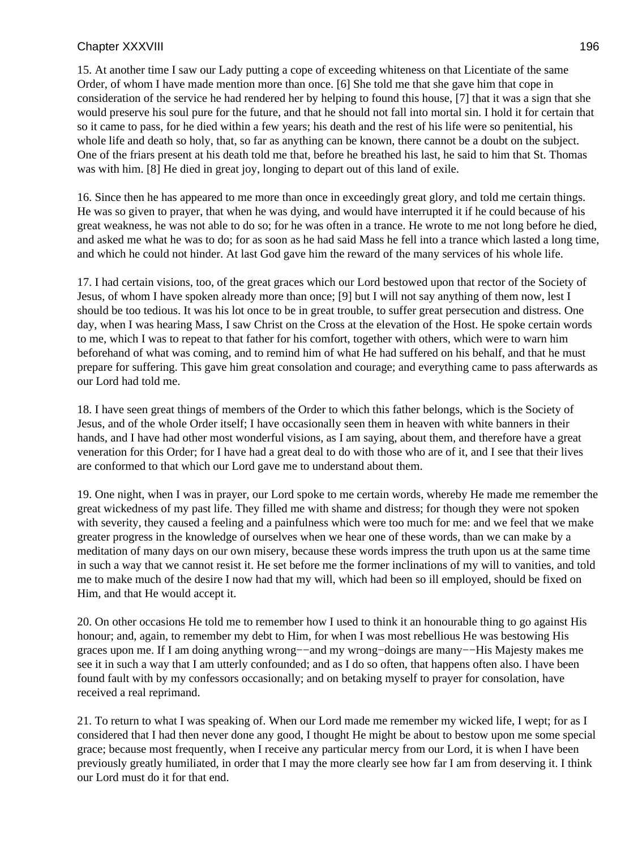15. At another time I saw our Lady putting a cope of exceeding whiteness on that Licentiate of the same Order, of whom I have made mention more than once. [6] She told me that she gave him that cope in consideration of the service he had rendered her by helping to found this house, [7] that it was a sign that she would preserve his soul pure for the future, and that he should not fall into mortal sin. I hold it for certain that so it came to pass, for he died within a few years; his death and the rest of his life were so penitential, his whole life and death so holy, that, so far as anything can be known, there cannot be a doubt on the subject. One of the friars present at his death told me that, before he breathed his last, he said to him that St. Thomas was with him. [8] He died in great joy, longing to depart out of this land of exile.

16. Since then he has appeared to me more than once in exceedingly great glory, and told me certain things. He was so given to prayer, that when he was dying, and would have interrupted it if he could because of his great weakness, he was not able to do so; for he was often in a trance. He wrote to me not long before he died, and asked me what he was to do; for as soon as he had said Mass he fell into a trance which lasted a long time, and which he could not hinder. At last God gave him the reward of the many services of his whole life.

17. I had certain visions, too, of the great graces which our Lord bestowed upon that rector of the Society of Jesus, of whom I have spoken already more than once; [9] but I will not say anything of them now, lest I should be too tedious. It was his lot once to be in great trouble, to suffer great persecution and distress. One day, when I was hearing Mass, I saw Christ on the Cross at the elevation of the Host. He spoke certain words to me, which I was to repeat to that father for his comfort, together with others, which were to warn him beforehand of what was coming, and to remind him of what He had suffered on his behalf, and that he must prepare for suffering. This gave him great consolation and courage; and everything came to pass afterwards as our Lord had told me.

18. I have seen great things of members of the Order to which this father belongs, which is the Society of Jesus, and of the whole Order itself; I have occasionally seen them in heaven with white banners in their hands, and I have had other most wonderful visions, as I am saying, about them, and therefore have a great veneration for this Order; for I have had a great deal to do with those who are of it, and I see that their lives are conformed to that which our Lord gave me to understand about them.

19. One night, when I was in prayer, our Lord spoke to me certain words, whereby He made me remember the great wickedness of my past life. They filled me with shame and distress; for though they were not spoken with severity, they caused a feeling and a painfulness which were too much for me: and we feel that we make greater progress in the knowledge of ourselves when we hear one of these words, than we can make by a meditation of many days on our own misery, because these words impress the truth upon us at the same time in such a way that we cannot resist it. He set before me the former inclinations of my will to vanities, and told me to make much of the desire I now had that my will, which had been so ill employed, should be fixed on Him, and that He would accept it.

20. On other occasions He told me to remember how I used to think it an honourable thing to go against His honour; and, again, to remember my debt to Him, for when I was most rebellious He was bestowing His graces upon me. If I am doing anything wrong−−and my wrong−doings are many−−His Majesty makes me see it in such a way that I am utterly confounded; and as I do so often, that happens often also. I have been found fault with by my confessors occasionally; and on betaking myself to prayer for consolation, have received a real reprimand.

21. To return to what I was speaking of. When our Lord made me remember my wicked life, I wept; for as I considered that I had then never done any good, I thought He might be about to bestow upon me some special grace; because most frequently, when I receive any particular mercy from our Lord, it is when I have been previously greatly humiliated, in order that I may the more clearly see how far I am from deserving it. I think our Lord must do it for that end.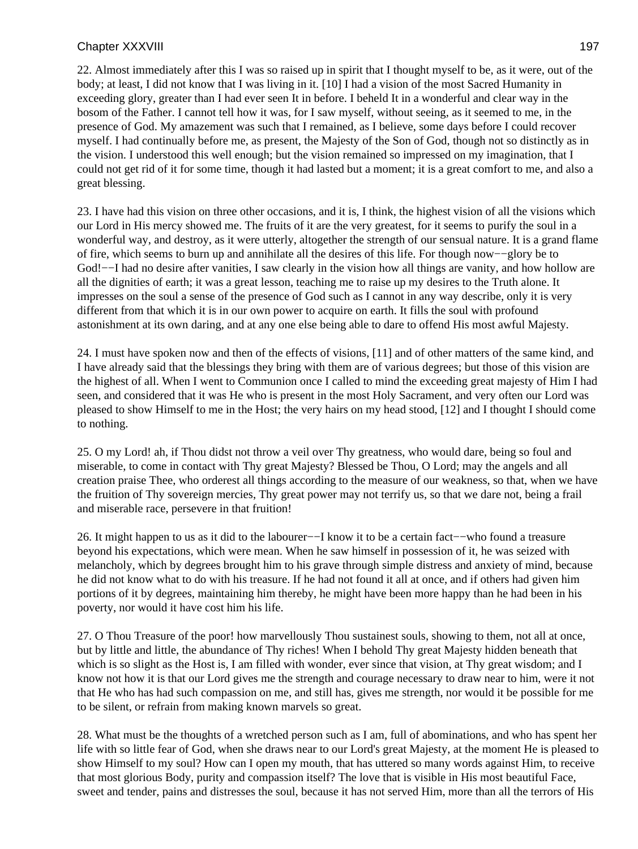22. Almost immediately after this I was so raised up in spirit that I thought myself to be, as it were, out of the body; at least, I did not know that I was living in it. [10] I had a vision of the most Sacred Humanity in exceeding glory, greater than I had ever seen It in before. I beheld It in a wonderful and clear way in the bosom of the Father. I cannot tell how it was, for I saw myself, without seeing, as it seemed to me, in the presence of God. My amazement was such that I remained, as I believe, some days before I could recover myself. I had continually before me, as present, the Majesty of the Son of God, though not so distinctly as in the vision. I understood this well enough; but the vision remained so impressed on my imagination, that I could not get rid of it for some time, though it had lasted but a moment; it is a great comfort to me, and also a great blessing.

23. I have had this vision on three other occasions, and it is, I think, the highest vision of all the visions which our Lord in His mercy showed me. The fruits of it are the very greatest, for it seems to purify the soul in a wonderful way, and destroy, as it were utterly, altogether the strength of our sensual nature. It is a grand flame of fire, which seems to burn up and annihilate all the desires of this life. For though now−−glory be to God!—I had no desire after vanities, I saw clearly in the vision how all things are vanity, and how hollow are all the dignities of earth; it was a great lesson, teaching me to raise up my desires to the Truth alone. It impresses on the soul a sense of the presence of God such as I cannot in any way describe, only it is very different from that which it is in our own power to acquire on earth. It fills the soul with profound astonishment at its own daring, and at any one else being able to dare to offend His most awful Majesty.

24. I must have spoken now and then of the effects of visions, [11] and of other matters of the same kind, and I have already said that the blessings they bring with them are of various degrees; but those of this vision are the highest of all. When I went to Communion once I called to mind the exceeding great majesty of Him I had seen, and considered that it was He who is present in the most Holy Sacrament, and very often our Lord was pleased to show Himself to me in the Host; the very hairs on my head stood, [12] and I thought I should come to nothing.

25. O my Lord! ah, if Thou didst not throw a veil over Thy greatness, who would dare, being so foul and miserable, to come in contact with Thy great Majesty? Blessed be Thou, O Lord; may the angels and all creation praise Thee, who orderest all things according to the measure of our weakness, so that, when we have the fruition of Thy sovereign mercies, Thy great power may not terrify us, so that we dare not, being a frail and miserable race, persevere in that fruition!

26. It might happen to us as it did to the labourer−−I know it to be a certain fact−−who found a treasure beyond his expectations, which were mean. When he saw himself in possession of it, he was seized with melancholy, which by degrees brought him to his grave through simple distress and anxiety of mind, because he did not know what to do with his treasure. If he had not found it all at once, and if others had given him portions of it by degrees, maintaining him thereby, he might have been more happy than he had been in his poverty, nor would it have cost him his life.

27. O Thou Treasure of the poor! how marvellously Thou sustainest souls, showing to them, not all at once, but by little and little, the abundance of Thy riches! When I behold Thy great Majesty hidden beneath that which is so slight as the Host is, I am filled with wonder, ever since that vision, at Thy great wisdom; and I know not how it is that our Lord gives me the strength and courage necessary to draw near to him, were it not that He who has had such compassion on me, and still has, gives me strength, nor would it be possible for me to be silent, or refrain from making known marvels so great.

28. What must be the thoughts of a wretched person such as I am, full of abominations, and who has spent her life with so little fear of God, when she draws near to our Lord's great Majesty, at the moment He is pleased to show Himself to my soul? How can I open my mouth, that has uttered so many words against Him, to receive that most glorious Body, purity and compassion itself? The love that is visible in His most beautiful Face, sweet and tender, pains and distresses the soul, because it has not served Him, more than all the terrors of His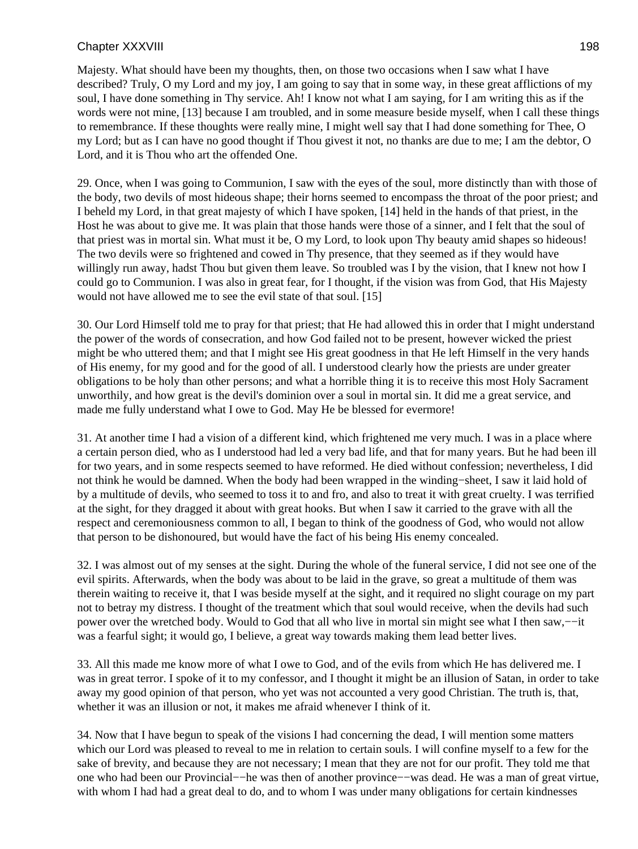Majesty. What should have been my thoughts, then, on those two occasions when I saw what I have described? Truly, O my Lord and my joy, I am going to say that in some way, in these great afflictions of my soul, I have done something in Thy service. Ah! I know not what I am saying, for I am writing this as if the words were not mine, [13] because I am troubled, and in some measure beside myself, when I call these things to remembrance. If these thoughts were really mine, I might well say that I had done something for Thee, O my Lord; but as I can have no good thought if Thou givest it not, no thanks are due to me; I am the debtor, O Lord, and it is Thou who art the offended One.

29. Once, when I was going to Communion, I saw with the eyes of the soul, more distinctly than with those of the body, two devils of most hideous shape; their horns seemed to encompass the throat of the poor priest; and I beheld my Lord, in that great majesty of which I have spoken, [14] held in the hands of that priest, in the Host he was about to give me. It was plain that those hands were those of a sinner, and I felt that the soul of that priest was in mortal sin. What must it be, O my Lord, to look upon Thy beauty amid shapes so hideous! The two devils were so frightened and cowed in Thy presence, that they seemed as if they would have willingly run away, hadst Thou but given them leave. So troubled was I by the vision, that I knew not how I could go to Communion. I was also in great fear, for I thought, if the vision was from God, that His Majesty would not have allowed me to see the evil state of that soul. [15]

30. Our Lord Himself told me to pray for that priest; that He had allowed this in order that I might understand the power of the words of consecration, and how God failed not to be present, however wicked the priest might be who uttered them; and that I might see His great goodness in that He left Himself in the very hands of His enemy, for my good and for the good of all. I understood clearly how the priests are under greater obligations to be holy than other persons; and what a horrible thing it is to receive this most Holy Sacrament unworthily, and how great is the devil's dominion over a soul in mortal sin. It did me a great service, and made me fully understand what I owe to God. May He be blessed for evermore!

31. At another time I had a vision of a different kind, which frightened me very much. I was in a place where a certain person died, who as I understood had led a very bad life, and that for many years. But he had been ill for two years, and in some respects seemed to have reformed. He died without confession; nevertheless, I did not think he would be damned. When the body had been wrapped in the winding−sheet, I saw it laid hold of by a multitude of devils, who seemed to toss it to and fro, and also to treat it with great cruelty. I was terrified at the sight, for they dragged it about with great hooks. But when I saw it carried to the grave with all the respect and ceremoniousness common to all, I began to think of the goodness of God, who would not allow that person to be dishonoured, but would have the fact of his being His enemy concealed.

32. I was almost out of my senses at the sight. During the whole of the funeral service, I did not see one of the evil spirits. Afterwards, when the body was about to be laid in the grave, so great a multitude of them was therein waiting to receive it, that I was beside myself at the sight, and it required no slight courage on my part not to betray my distress. I thought of the treatment which that soul would receive, when the devils had such power over the wretched body. Would to God that all who live in mortal sin might see what I then saw,−−it was a fearful sight; it would go, I believe, a great way towards making them lead better lives.

33. All this made me know more of what I owe to God, and of the evils from which He has delivered me. I was in great terror. I spoke of it to my confessor, and I thought it might be an illusion of Satan, in order to take away my good opinion of that person, who yet was not accounted a very good Christian. The truth is, that, whether it was an illusion or not, it makes me afraid whenever I think of it.

34. Now that I have begun to speak of the visions I had concerning the dead, I will mention some matters which our Lord was pleased to reveal to me in relation to certain souls. I will confine myself to a few for the sake of brevity, and because they are not necessary; I mean that they are not for our profit. They told me that one who had been our Provincial−−he was then of another province−−was dead. He was a man of great virtue, with whom I had had a great deal to do, and to whom I was under many obligations for certain kindnesses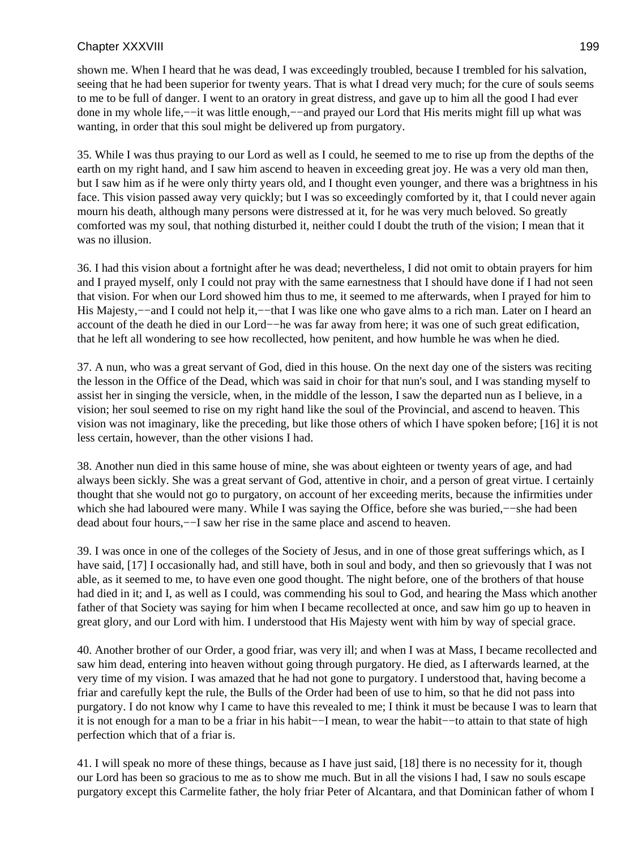shown me. When I heard that he was dead, I was exceedingly troubled, because I trembled for his salvation, seeing that he had been superior for twenty years. That is what I dread very much; for the cure of souls seems to me to be full of danger. I went to an oratory in great distress, and gave up to him all the good I had ever done in my whole life,−−it was little enough,−−and prayed our Lord that His merits might fill up what was wanting, in order that this soul might be delivered up from purgatory.

35. While I was thus praying to our Lord as well as I could, he seemed to me to rise up from the depths of the earth on my right hand, and I saw him ascend to heaven in exceeding great joy. He was a very old man then, but I saw him as if he were only thirty years old, and I thought even younger, and there was a brightness in his face. This vision passed away very quickly; but I was so exceedingly comforted by it, that I could never again mourn his death, although many persons were distressed at it, for he was very much beloved. So greatly comforted was my soul, that nothing disturbed it, neither could I doubt the truth of the vision; I mean that it was no illusion.

36. I had this vision about a fortnight after he was dead; nevertheless, I did not omit to obtain prayers for him and I prayed myself, only I could not pray with the same earnestness that I should have done if I had not seen that vision. For when our Lord showed him thus to me, it seemed to me afterwards, when I prayed for him to His Majesty,−−and I could not help it,−−that I was like one who gave alms to a rich man. Later on I heard an account of the death he died in our Lord−−he was far away from here; it was one of such great edification, that he left all wondering to see how recollected, how penitent, and how humble he was when he died.

37. A nun, who was a great servant of God, died in this house. On the next day one of the sisters was reciting the lesson in the Office of the Dead, which was said in choir for that nun's soul, and I was standing myself to assist her in singing the versicle, when, in the middle of the lesson, I saw the departed nun as I believe, in a vision; her soul seemed to rise on my right hand like the soul of the Provincial, and ascend to heaven. This vision was not imaginary, like the preceding, but like those others of which I have spoken before; [16] it is not less certain, however, than the other visions I had.

38. Another nun died in this same house of mine, she was about eighteen or twenty years of age, and had always been sickly. She was a great servant of God, attentive in choir, and a person of great virtue. I certainly thought that she would not go to purgatory, on account of her exceeding merits, because the infirmities under which she had laboured were many. While I was saying the Office, before she was buried,—–she had been dead about four hours,−−I saw her rise in the same place and ascend to heaven.

39. I was once in one of the colleges of the Society of Jesus, and in one of those great sufferings which, as I have said, [17] I occasionally had, and still have, both in soul and body, and then so grievously that I was not able, as it seemed to me, to have even one good thought. The night before, one of the brothers of that house had died in it; and I, as well as I could, was commending his soul to God, and hearing the Mass which another father of that Society was saying for him when I became recollected at once, and saw him go up to heaven in great glory, and our Lord with him. I understood that His Majesty went with him by way of special grace.

40. Another brother of our Order, a good friar, was very ill; and when I was at Mass, I became recollected and saw him dead, entering into heaven without going through purgatory. He died, as I afterwards learned, at the very time of my vision. I was amazed that he had not gone to purgatory. I understood that, having become a friar and carefully kept the rule, the Bulls of the Order had been of use to him, so that he did not pass into purgatory. I do not know why I came to have this revealed to me; I think it must be because I was to learn that it is not enough for a man to be a friar in his habit−−I mean, to wear the habit−−to attain to that state of high perfection which that of a friar is.

41. I will speak no more of these things, because as I have just said, [18] there is no necessity for it, though our Lord has been so gracious to me as to show me much. But in all the visions I had, I saw no souls escape purgatory except this Carmelite father, the holy friar Peter of Alcantara, and that Dominican father of whom I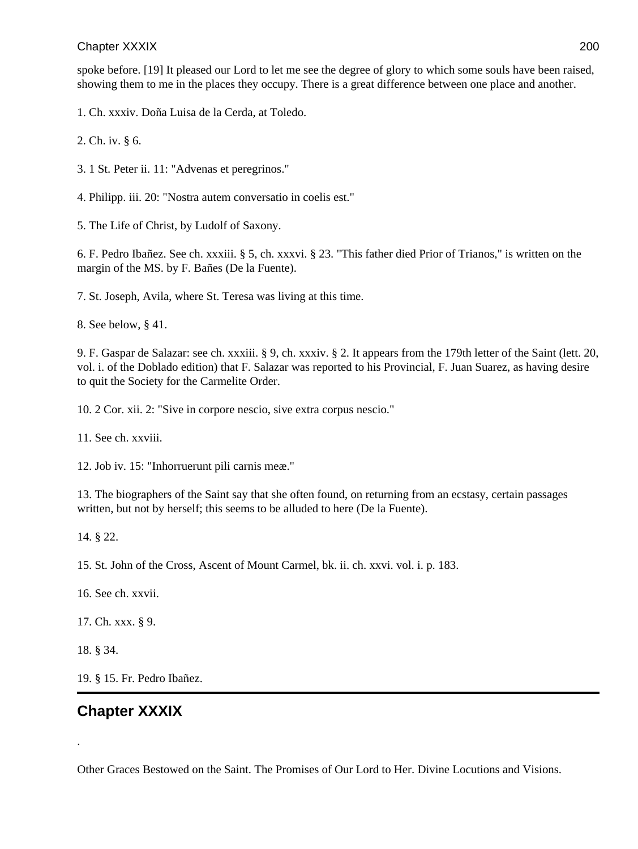spoke before. [19] It pleased our Lord to let me see the degree of glory to which some souls have been raised, showing them to me in the places they occupy. There is a great difference between one place and another.

1. Ch. xxxiv. Doña Luisa de la Cerda, at Toledo.

2. Ch. iv. § 6.

- 3. 1 St. Peter ii. 11: "Advenas et peregrinos."
- 4. Philipp. iii. 20: "Nostra autem conversatio in coelis est."

5. The Life of Christ, by Ludolf of Saxony.

6. F. Pedro Ibañez. See ch. xxxiii. § 5, ch. xxxvi. § 23. "This father died Prior of Trianos," is written on the margin of the MS. by F. Bañes (De la Fuente).

7. St. Joseph, Avila, where St. Teresa was living at this time.

8. See below, § 41.

9. F. Gaspar de Salazar: see ch. xxxiii. § 9, ch. xxxiv. § 2. It appears from the 179th letter of the Saint (lett. 20, vol. i. of the Doblado edition) that F. Salazar was reported to his Provincial, F. Juan Suarez, as having desire to quit the Society for the Carmelite Order.

10. 2 Cor. xii. 2: "Sive in corpore nescio, sive extra corpus nescio."

11. See ch. xxviii.

12. Job iv. 15: "Inhorruerunt pili carnis meæ."

13. The biographers of the Saint say that she often found, on returning from an ecstasy, certain passages written, but not by herself; this seems to be alluded to here (De la Fuente).

14. § 22.

15. St. John of the Cross, Ascent of Mount Carmel, bk. ii. ch. xxvi. vol. i. p. 183.

16. See ch. xxvii.

17. Ch. xxx. § 9.

18. § 34.

.

19. § 15. Fr. Pedro Ibañez.

# **Chapter XXXIX**

Other Graces Bestowed on the Saint. The Promises of Our Lord to Her. Divine Locutions and Visions.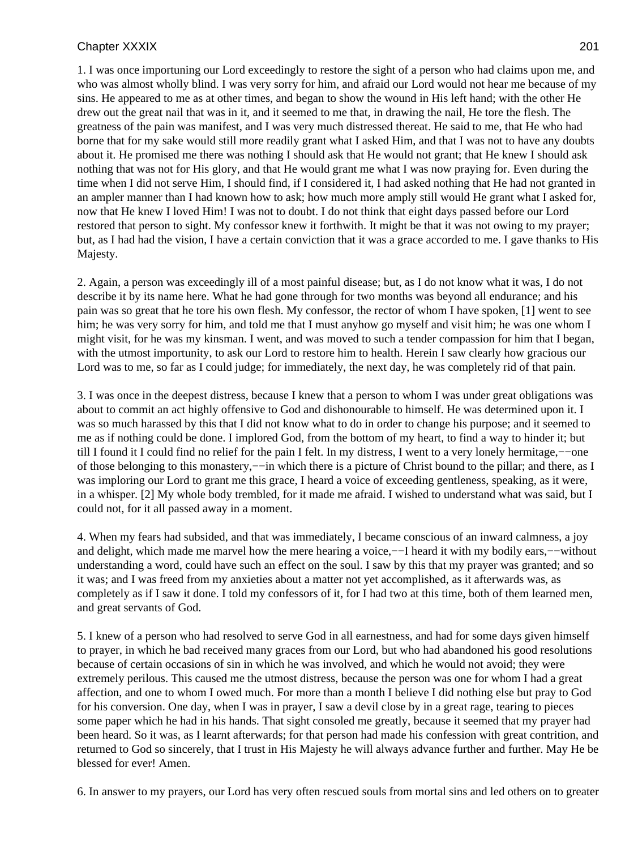1. I was once importuning our Lord exceedingly to restore the sight of a person who had claims upon me, and who was almost wholly blind. I was very sorry for him, and afraid our Lord would not hear me because of my sins. He appeared to me as at other times, and began to show the wound in His left hand; with the other He drew out the great nail that was in it, and it seemed to me that, in drawing the nail, He tore the flesh. The greatness of the pain was manifest, and I was very much distressed thereat. He said to me, that He who had borne that for my sake would still more readily grant what I asked Him, and that I was not to have any doubts about it. He promised me there was nothing I should ask that He would not grant; that He knew I should ask nothing that was not for His glory, and that He would grant me what I was now praying for. Even during the time when I did not serve Him, I should find, if I considered it, I had asked nothing that He had not granted in an ampler manner than I had known how to ask; how much more amply still would He grant what I asked for, now that He knew I loved Him! I was not to doubt. I do not think that eight days passed before our Lord restored that person to sight. My confessor knew it forthwith. It might be that it was not owing to my prayer; but, as I had had the vision, I have a certain conviction that it was a grace accorded to me. I gave thanks to His Majesty.

2. Again, a person was exceedingly ill of a most painful disease; but, as I do not know what it was, I do not describe it by its name here. What he had gone through for two months was beyond all endurance; and his pain was so great that he tore his own flesh. My confessor, the rector of whom I have spoken, [1] went to see him; he was very sorry for him, and told me that I must anyhow go myself and visit him; he was one whom I might visit, for he was my kinsman. I went, and was moved to such a tender compassion for him that I began, with the utmost importunity, to ask our Lord to restore him to health. Herein I saw clearly how gracious our Lord was to me, so far as I could judge; for immediately, the next day, he was completely rid of that pain.

3. I was once in the deepest distress, because I knew that a person to whom I was under great obligations was about to commit an act highly offensive to God and dishonourable to himself. He was determined upon it. I was so much harassed by this that I did not know what to do in order to change his purpose; and it seemed to me as if nothing could be done. I implored God, from the bottom of my heart, to find a way to hinder it; but till I found it I could find no relief for the pain I felt. In my distress, I went to a very lonely hermitage,−−one of those belonging to this monastery,−−in which there is a picture of Christ bound to the pillar; and there, as I was imploring our Lord to grant me this grace, I heard a voice of exceeding gentleness, speaking, as it were, in a whisper. [2] My whole body trembled, for it made me afraid. I wished to understand what was said, but I could not, for it all passed away in a moment.

4. When my fears had subsided, and that was immediately, I became conscious of an inward calmness, a joy and delight, which made me marvel how the mere hearing a voice,−−I heard it with my bodily ears,−−without understanding a word, could have such an effect on the soul. I saw by this that my prayer was granted; and so it was; and I was freed from my anxieties about a matter not yet accomplished, as it afterwards was, as completely as if I saw it done. I told my confessors of it, for I had two at this time, both of them learned men, and great servants of God.

5. I knew of a person who had resolved to serve God in all earnestness, and had for some days given himself to prayer, in which he bad received many graces from our Lord, but who had abandoned his good resolutions because of certain occasions of sin in which he was involved, and which he would not avoid; they were extremely perilous. This caused me the utmost distress, because the person was one for whom I had a great affection, and one to whom I owed much. For more than a month I believe I did nothing else but pray to God for his conversion. One day, when I was in prayer, I saw a devil close by in a great rage, tearing to pieces some paper which he had in his hands. That sight consoled me greatly, because it seemed that my prayer had been heard. So it was, as I learnt afterwards; for that person had made his confession with great contrition, and returned to God so sincerely, that I trust in His Majesty he will always advance further and further. May He be blessed for ever! Amen.

6. In answer to my prayers, our Lord has very often rescued souls from mortal sins and led others on to greater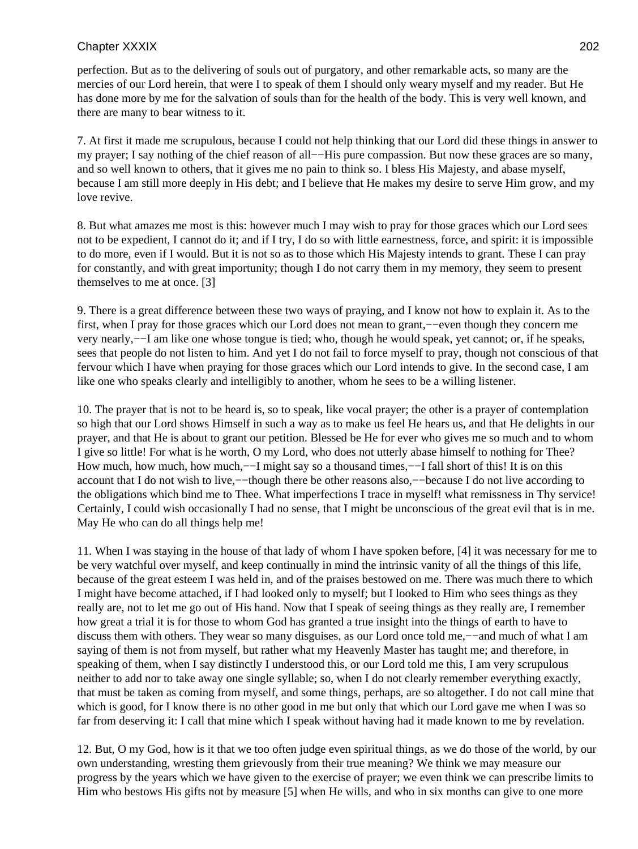perfection. But as to the delivering of souls out of purgatory, and other remarkable acts, so many are the mercies of our Lord herein, that were I to speak of them I should only weary myself and my reader. But He has done more by me for the salvation of souls than for the health of the body. This is very well known, and there are many to bear witness to it.

7. At first it made me scrupulous, because I could not help thinking that our Lord did these things in answer to my prayer; I say nothing of the chief reason of all−−His pure compassion. But now these graces are so many, and so well known to others, that it gives me no pain to think so. I bless His Majesty, and abase myself, because I am still more deeply in His debt; and I believe that He makes my desire to serve Him grow, and my love revive.

8. But what amazes me most is this: however much I may wish to pray for those graces which our Lord sees not to be expedient, I cannot do it; and if I try, I do so with little earnestness, force, and spirit: it is impossible to do more, even if I would. But it is not so as to those which His Majesty intends to grant. These I can pray for constantly, and with great importunity; though I do not carry them in my memory, they seem to present themselves to me at once. [3]

9. There is a great difference between these two ways of praying, and I know not how to explain it. As to the first, when I pray for those graces which our Lord does not mean to grant,−−even though they concern me very nearly,−−I am like one whose tongue is tied; who, though he would speak, yet cannot; or, if he speaks, sees that people do not listen to him. And yet I do not fail to force myself to pray, though not conscious of that fervour which I have when praying for those graces which our Lord intends to give. In the second case, I am like one who speaks clearly and intelligibly to another, whom he sees to be a willing listener.

10. The prayer that is not to be heard is, so to speak, like vocal prayer; the other is a prayer of contemplation so high that our Lord shows Himself in such a way as to make us feel He hears us, and that He delights in our prayer, and that He is about to grant our petition. Blessed be He for ever who gives me so much and to whom I give so little! For what is he worth, O my Lord, who does not utterly abase himself to nothing for Thee? How much, how much, how much,—–I might say so a thousand times,——I fall short of this! It is on this account that I do not wish to live,−−though there be other reasons also,−−because I do not live according to the obligations which bind me to Thee. What imperfections I trace in myself! what remissness in Thy service! Certainly, I could wish occasionally I had no sense, that I might be unconscious of the great evil that is in me. May He who can do all things help me!

11. When I was staying in the house of that lady of whom I have spoken before, [4] it was necessary for me to be very watchful over myself, and keep continually in mind the intrinsic vanity of all the things of this life, because of the great esteem I was held in, and of the praises bestowed on me. There was much there to which I might have become attached, if I had looked only to myself; but I looked to Him who sees things as they really are, not to let me go out of His hand. Now that I speak of seeing things as they really are, I remember how great a trial it is for those to whom God has granted a true insight into the things of earth to have to discuss them with others. They wear so many disguises, as our Lord once told me,−−and much of what I am saying of them is not from myself, but rather what my Heavenly Master has taught me; and therefore, in speaking of them, when I say distinctly I understood this, or our Lord told me this, I am very scrupulous neither to add nor to take away one single syllable; so, when I do not clearly remember everything exactly, that must be taken as coming from myself, and some things, perhaps, are so altogether. I do not call mine that which is good, for I know there is no other good in me but only that which our Lord gave me when I was so far from deserving it: I call that mine which I speak without having had it made known to me by revelation.

12. But, O my God, how is it that we too often judge even spiritual things, as we do those of the world, by our own understanding, wresting them grievously from their true meaning? We think we may measure our progress by the years which we have given to the exercise of prayer; we even think we can prescribe limits to Him who bestows His gifts not by measure [5] when He wills, and who in six months can give to one more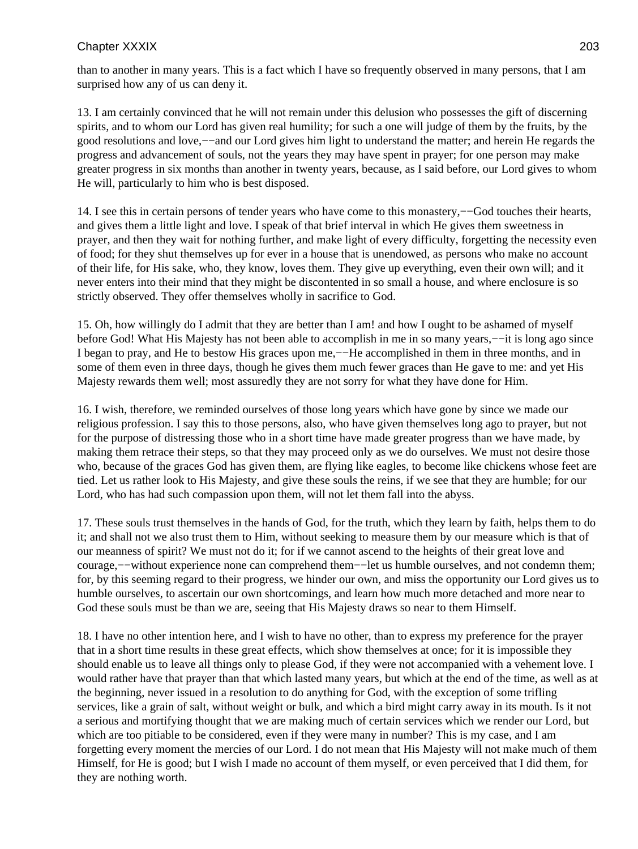than to another in many years. This is a fact which I have so frequently observed in many persons, that I am surprised how any of us can deny it.

13. I am certainly convinced that he will not remain under this delusion who possesses the gift of discerning spirits, and to whom our Lord has given real humility; for such a one will judge of them by the fruits, by the good resolutions and love,−−and our Lord gives him light to understand the matter; and herein He regards the progress and advancement of souls, not the years they may have spent in prayer; for one person may make greater progress in six months than another in twenty years, because, as I said before, our Lord gives to whom He will, particularly to him who is best disposed.

14. I see this in certain persons of tender years who have come to this monastery,−−God touches their hearts, and gives them a little light and love. I speak of that brief interval in which He gives them sweetness in prayer, and then they wait for nothing further, and make light of every difficulty, forgetting the necessity even of food; for they shut themselves up for ever in a house that is unendowed, as persons who make no account of their life, for His sake, who, they know, loves them. They give up everything, even their own will; and it never enters into their mind that they might be discontented in so small a house, and where enclosure is so strictly observed. They offer themselves wholly in sacrifice to God.

15. Oh, how willingly do I admit that they are better than I am! and how I ought to be ashamed of myself before God! What His Majesty has not been able to accomplish in me in so many years,−−it is long ago since I began to pray, and He to bestow His graces upon me,−−He accomplished in them in three months, and in some of them even in three days, though he gives them much fewer graces than He gave to me: and yet His Majesty rewards them well; most assuredly they are not sorry for what they have done for Him.

16. I wish, therefore, we reminded ourselves of those long years which have gone by since we made our religious profession. I say this to those persons, also, who have given themselves long ago to prayer, but not for the purpose of distressing those who in a short time have made greater progress than we have made, by making them retrace their steps, so that they may proceed only as we do ourselves. We must not desire those who, because of the graces God has given them, are flying like eagles, to become like chickens whose feet are tied. Let us rather look to His Majesty, and give these souls the reins, if we see that they are humble; for our Lord, who has had such compassion upon them, will not let them fall into the abyss.

17. These souls trust themselves in the hands of God, for the truth, which they learn by faith, helps them to do it; and shall not we also trust them to Him, without seeking to measure them by our measure which is that of our meanness of spirit? We must not do it; for if we cannot ascend to the heights of their great love and courage,−−without experience none can comprehend them−−let us humble ourselves, and not condemn them; for, by this seeming regard to their progress, we hinder our own, and miss the opportunity our Lord gives us to humble ourselves, to ascertain our own shortcomings, and learn how much more detached and more near to God these souls must be than we are, seeing that His Majesty draws so near to them Himself.

18. I have no other intention here, and I wish to have no other, than to express my preference for the prayer that in a short time results in these great effects, which show themselves at once; for it is impossible they should enable us to leave all things only to please God, if they were not accompanied with a vehement love. I would rather have that prayer than that which lasted many years, but which at the end of the time, as well as at the beginning, never issued in a resolution to do anything for God, with the exception of some trifling services, like a grain of salt, without weight or bulk, and which a bird might carry away in its mouth. Is it not a serious and mortifying thought that we are making much of certain services which we render our Lord, but which are too pitiable to be considered, even if they were many in number? This is my case, and I am forgetting every moment the mercies of our Lord. I do not mean that His Majesty will not make much of them Himself, for He is good; but I wish I made no account of them myself, or even perceived that I did them, for they are nothing worth.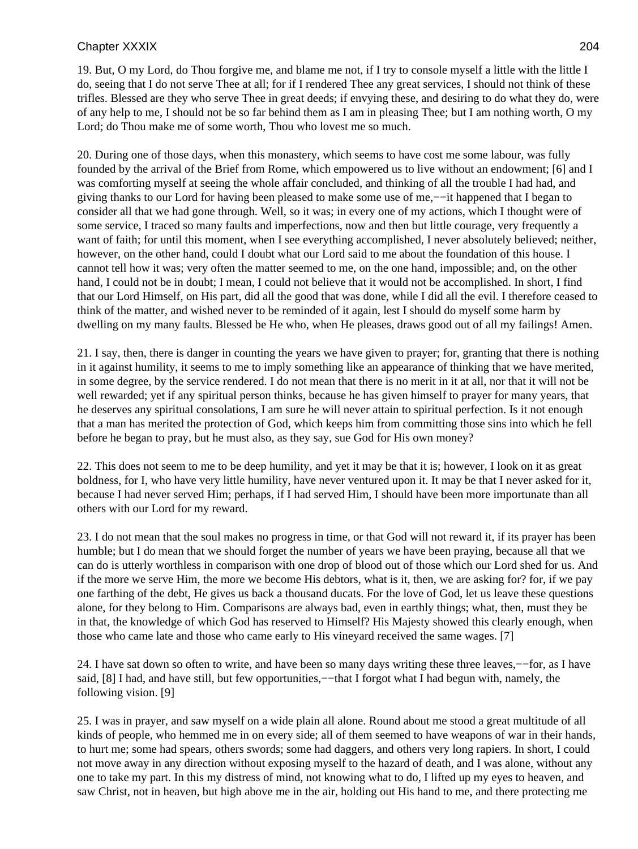19. But, O my Lord, do Thou forgive me, and blame me not, if I try to console myself a little with the little I do, seeing that I do not serve Thee at all; for if I rendered Thee any great services, I should not think of these trifles. Blessed are they who serve Thee in great deeds; if envying these, and desiring to do what they do, were of any help to me, I should not be so far behind them as I am in pleasing Thee; but I am nothing worth, O my Lord; do Thou make me of some worth, Thou who lovest me so much.

20. During one of those days, when this monastery, which seems to have cost me some labour, was fully founded by the arrival of the Brief from Rome, which empowered us to live without an endowment; [6] and I was comforting myself at seeing the whole affair concluded, and thinking of all the trouble I had had, and giving thanks to our Lord for having been pleased to make some use of me,−−it happened that I began to consider all that we had gone through. Well, so it was; in every one of my actions, which I thought were of some service, I traced so many faults and imperfections, now and then but little courage, very frequently a want of faith; for until this moment, when I see everything accomplished, I never absolutely believed; neither, however, on the other hand, could I doubt what our Lord said to me about the foundation of this house. I cannot tell how it was; very often the matter seemed to me, on the one hand, impossible; and, on the other hand, I could not be in doubt; I mean, I could not believe that it would not be accomplished. In short, I find that our Lord Himself, on His part, did all the good that was done, while I did all the evil. I therefore ceased to think of the matter, and wished never to be reminded of it again, lest I should do myself some harm by dwelling on my many faults. Blessed be He who, when He pleases, draws good out of all my failings! Amen.

21. I say, then, there is danger in counting the years we have given to prayer; for, granting that there is nothing in it against humility, it seems to me to imply something like an appearance of thinking that we have merited, in some degree, by the service rendered. I do not mean that there is no merit in it at all, nor that it will not be well rewarded; yet if any spiritual person thinks, because he has given himself to prayer for many years, that he deserves any spiritual consolations, I am sure he will never attain to spiritual perfection. Is it not enough that a man has merited the protection of God, which keeps him from committing those sins into which he fell before he began to pray, but he must also, as they say, sue God for His own money?

22. This does not seem to me to be deep humility, and yet it may be that it is; however, I look on it as great boldness, for I, who have very little humility, have never ventured upon it. It may be that I never asked for it, because I had never served Him; perhaps, if I had served Him, I should have been more importunate than all others with our Lord for my reward.

23. I do not mean that the soul makes no progress in time, or that God will not reward it, if its prayer has been humble; but I do mean that we should forget the number of years we have been praying, because all that we can do is utterly worthless in comparison with one drop of blood out of those which our Lord shed for us. And if the more we serve Him, the more we become His debtors, what is it, then, we are asking for? for, if we pay one farthing of the debt, He gives us back a thousand ducats. For the love of God, let us leave these questions alone, for they belong to Him. Comparisons are always bad, even in earthly things; what, then, must they be in that, the knowledge of which God has reserved to Himself? His Majesty showed this clearly enough, when those who came late and those who came early to His vineyard received the same wages. [7]

24. I have sat down so often to write, and have been so many days writing these three leaves,−−for, as I have said, [8] I had, and have still, but few opportunities,—−that I forgot what I had begun with, namely, the following vision. [9]

25. I was in prayer, and saw myself on a wide plain all alone. Round about me stood a great multitude of all kinds of people, who hemmed me in on every side; all of them seemed to have weapons of war in their hands, to hurt me; some had spears, others swords; some had daggers, and others very long rapiers. In short, I could not move away in any direction without exposing myself to the hazard of death, and I was alone, without any one to take my part. In this my distress of mind, not knowing what to do, I lifted up my eyes to heaven, and saw Christ, not in heaven, but high above me in the air, holding out His hand to me, and there protecting me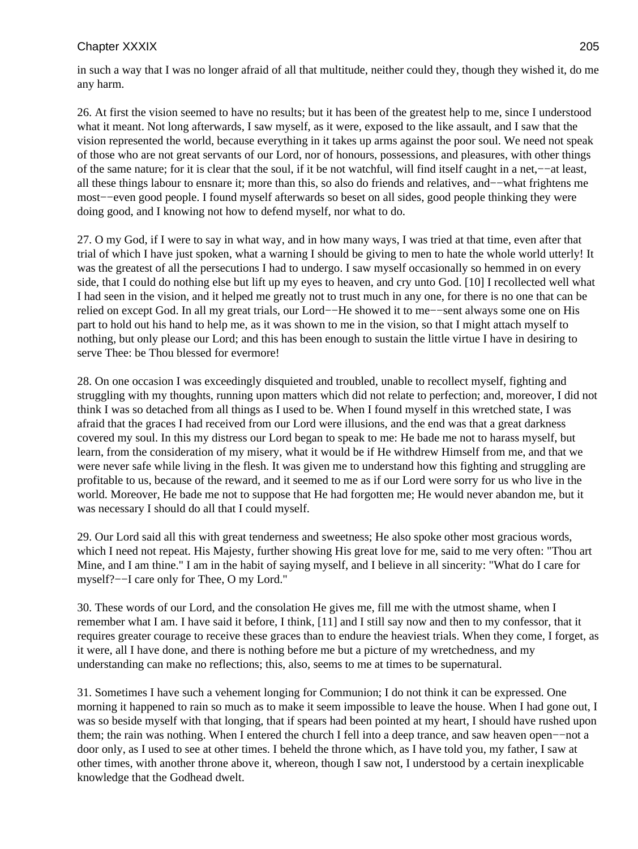in such a way that I was no longer afraid of all that multitude, neither could they, though they wished it, do me any harm.

26. At first the vision seemed to have no results; but it has been of the greatest help to me, since I understood what it meant. Not long afterwards, I saw myself, as it were, exposed to the like assault, and I saw that the vision represented the world, because everything in it takes up arms against the poor soul. We need not speak of those who are not great servants of our Lord, nor of honours, possessions, and pleasures, with other things of the same nature; for it is clear that the soul, if it be not watchful, will find itself caught in a net,−−at least, all these things labour to ensnare it; more than this, so also do friends and relatives, and−−what frightens me most−−even good people. I found myself afterwards so beset on all sides, good people thinking they were doing good, and I knowing not how to defend myself, nor what to do.

27. O my God, if I were to say in what way, and in how many ways, I was tried at that time, even after that trial of which I have just spoken, what a warning I should be giving to men to hate the whole world utterly! It was the greatest of all the persecutions I had to undergo. I saw myself occasionally so hemmed in on every side, that I could do nothing else but lift up my eyes to heaven, and cry unto God. [10] I recollected well what I had seen in the vision, and it helped me greatly not to trust much in any one, for there is no one that can be relied on except God. In all my great trials, our Lord−−He showed it to me−−sent always some one on His part to hold out his hand to help me, as it was shown to me in the vision, so that I might attach myself to nothing, but only please our Lord; and this has been enough to sustain the little virtue I have in desiring to serve Thee: be Thou blessed for evermore!

28. On one occasion I was exceedingly disquieted and troubled, unable to recollect myself, fighting and struggling with my thoughts, running upon matters which did not relate to perfection; and, moreover, I did not think I was so detached from all things as I used to be. When I found myself in this wretched state, I was afraid that the graces I had received from our Lord were illusions, and the end was that a great darkness covered my soul. In this my distress our Lord began to speak to me: He bade me not to harass myself, but learn, from the consideration of my misery, what it would be if He withdrew Himself from me, and that we were never safe while living in the flesh. It was given me to understand how this fighting and struggling are profitable to us, because of the reward, and it seemed to me as if our Lord were sorry for us who live in the world. Moreover, He bade me not to suppose that He had forgotten me; He would never abandon me, but it was necessary I should do all that I could myself.

29. Our Lord said all this with great tenderness and sweetness; He also spoke other most gracious words, which I need not repeat. His Majesty, further showing His great love for me, said to me very often: "Thou art Mine, and I am thine." I am in the habit of saying myself, and I believe in all sincerity: "What do I care for myself?−−I care only for Thee, O my Lord."

30. These words of our Lord, and the consolation He gives me, fill me with the utmost shame, when I remember what I am. I have said it before, I think, [11] and I still say now and then to my confessor, that it requires greater courage to receive these graces than to endure the heaviest trials. When they come, I forget, as it were, all I have done, and there is nothing before me but a picture of my wretchedness, and my understanding can make no reflections; this, also, seems to me at times to be supernatural.

31. Sometimes I have such a vehement longing for Communion; I do not think it can be expressed. One morning it happened to rain so much as to make it seem impossible to leave the house. When I had gone out, I was so beside myself with that longing, that if spears had been pointed at my heart, I should have rushed upon them; the rain was nothing. When I entered the church I fell into a deep trance, and saw heaven open−−not a door only, as I used to see at other times. I beheld the throne which, as I have told you, my father, I saw at other times, with another throne above it, whereon, though I saw not, I understood by a certain inexplicable knowledge that the Godhead dwelt.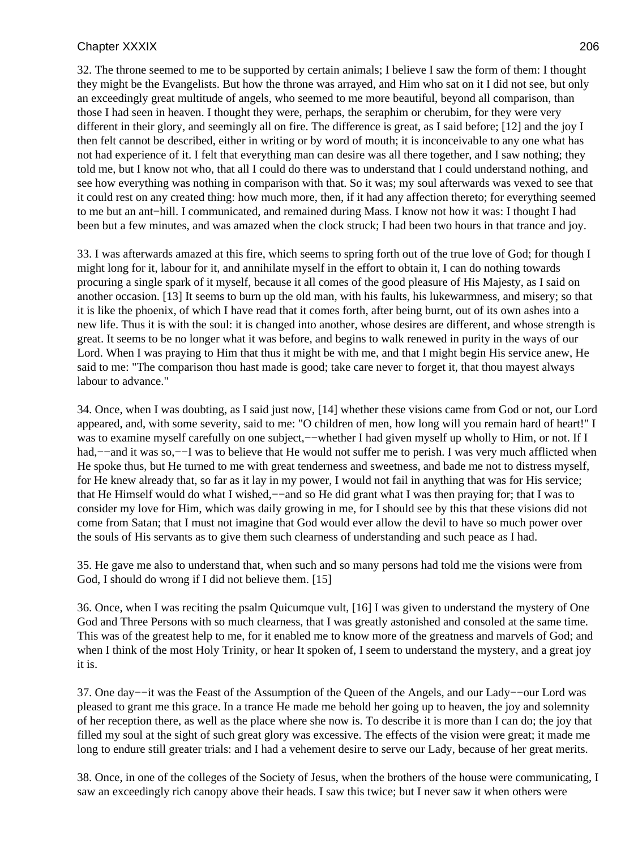32. The throne seemed to me to be supported by certain animals; I believe I saw the form of them: I thought they might be the Evangelists. But how the throne was arrayed, and Him who sat on it I did not see, but only an exceedingly great multitude of angels, who seemed to me more beautiful, beyond all comparison, than those I had seen in heaven. I thought they were, perhaps, the seraphim or cherubim, for they were very different in their glory, and seemingly all on fire. The difference is great, as I said before; [12] and the joy I then felt cannot be described, either in writing or by word of mouth; it is inconceivable to any one what has not had experience of it. I felt that everything man can desire was all there together, and I saw nothing; they told me, but I know not who, that all I could do there was to understand that I could understand nothing, and see how everything was nothing in comparison with that. So it was; my soul afterwards was vexed to see that it could rest on any created thing: how much more, then, if it had any affection thereto; for everything seemed to me but an ant−hill. I communicated, and remained during Mass. I know not how it was: I thought I had been but a few minutes, and was amazed when the clock struck; I had been two hours in that trance and joy.

33. I was afterwards amazed at this fire, which seems to spring forth out of the true love of God; for though I might long for it, labour for it, and annihilate myself in the effort to obtain it, I can do nothing towards procuring a single spark of it myself, because it all comes of the good pleasure of His Majesty, as I said on another occasion. [13] It seems to burn up the old man, with his faults, his lukewarmness, and misery; so that it is like the phoenix, of which I have read that it comes forth, after being burnt, out of its own ashes into a new life. Thus it is with the soul: it is changed into another, whose desires are different, and whose strength is great. It seems to be no longer what it was before, and begins to walk renewed in purity in the ways of our Lord. When I was praying to Him that thus it might be with me, and that I might begin His service anew, He said to me: "The comparison thou hast made is good; take care never to forget it, that thou mayest always labour to advance."

34. Once, when I was doubting, as I said just now, [14] whether these visions came from God or not, our Lord appeared, and, with some severity, said to me: "O children of men, how long will you remain hard of heart!" I was to examine myself carefully on one subject,—–whether I had given myself up wholly to Him, or not. If I had,−−and it was so,−−I was to believe that He would not suffer me to perish. I was very much afflicted when He spoke thus, but He turned to me with great tenderness and sweetness, and bade me not to distress myself, for He knew already that, so far as it lay in my power, I would not fail in anything that was for His service; that He Himself would do what I wished,−−and so He did grant what I was then praying for; that I was to consider my love for Him, which was daily growing in me, for I should see by this that these visions did not come from Satan; that I must not imagine that God would ever allow the devil to have so much power over the souls of His servants as to give them such clearness of understanding and such peace as I had.

35. He gave me also to understand that, when such and so many persons had told me the visions were from God, I should do wrong if I did not believe them. [15]

36. Once, when I was reciting the psalm Quicumque vult, [16] I was given to understand the mystery of One God and Three Persons with so much clearness, that I was greatly astonished and consoled at the same time. This was of the greatest help to me, for it enabled me to know more of the greatness and marvels of God; and when I think of the most Holy Trinity, or hear It spoken of, I seem to understand the mystery, and a great joy it is.

37. One day−−it was the Feast of the Assumption of the Queen of the Angels, and our Lady−−our Lord was pleased to grant me this grace. In a trance He made me behold her going up to heaven, the joy and solemnity of her reception there, as well as the place where she now is. To describe it is more than I can do; the joy that filled my soul at the sight of such great glory was excessive. The effects of the vision were great; it made me long to endure still greater trials: and I had a vehement desire to serve our Lady, because of her great merits.

38. Once, in one of the colleges of the Society of Jesus, when the brothers of the house were communicating, I saw an exceedingly rich canopy above their heads. I saw this twice; but I never saw it when others were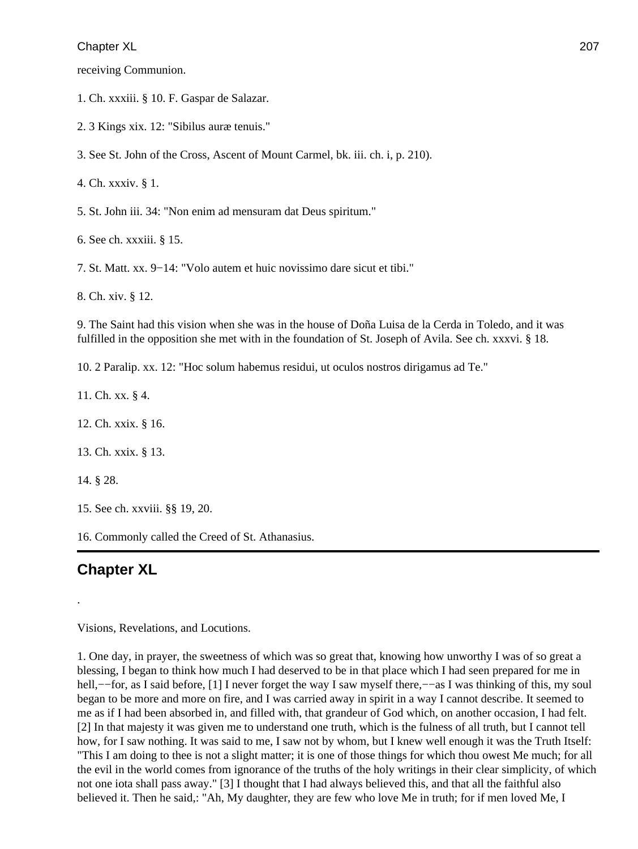receiving Communion.

1. Ch. xxxiii. § 10. F. Gaspar de Salazar.

2. 3 Kings xix. 12: "Sibilus auræ tenuis."

3. See St. John of the Cross, Ascent of Mount Carmel, bk. iii. ch. i, p. 210).

4. Ch. xxxiv. § 1.

5. St. John iii. 34: "Non enim ad mensuram dat Deus spiritum."

6. See ch. xxxiii. § 15.

7. St. Matt. xx. 9−14: "Volo autem et huic novissimo dare sicut et tibi."

8. Ch. xiv. § 12.

9. The Saint had this vision when she was in the house of Doña Luisa de la Cerda in Toledo, and it was fulfilled in the opposition she met with in the foundation of St. Joseph of Avila. See ch. xxxvi. § 18.

10. 2 Paralip. xx. 12: "Hoc solum habemus residui, ut oculos nostros dirigamus ad Te."

11. Ch. xx. § 4.

12. Ch. xxix. § 16.

13. Ch. xxix. § 13.

14. § 28.

.

15. See ch. xxviii. §§ 19, 20.

16. Commonly called the Creed of St. Athanasius.

## **Chapter XL**

Visions, Revelations, and Locutions.

1. One day, in prayer, the sweetness of which was so great that, knowing how unworthy I was of so great a blessing, I began to think how much I had deserved to be in that place which I had seen prepared for me in hell,––for, as I said before, [1] I never forget the way I saw myself there,––as I was thinking of this, my soul began to be more and more on fire, and I was carried away in spirit in a way I cannot describe. It seemed to me as if I had been absorbed in, and filled with, that grandeur of God which, on another occasion, I had felt. [2] In that majesty it was given me to understand one truth, which is the fulness of all truth, but I cannot tell how, for I saw nothing. It was said to me, I saw not by whom, but I knew well enough it was the Truth Itself: "This I am doing to thee is not a slight matter; it is one of those things for which thou owest Me much; for all the evil in the world comes from ignorance of the truths of the holy writings in their clear simplicity, of which not one iota shall pass away." [3] I thought that I had always believed this, and that all the faithful also believed it. Then he said,: "Ah, My daughter, they are few who love Me in truth; for if men loved Me, I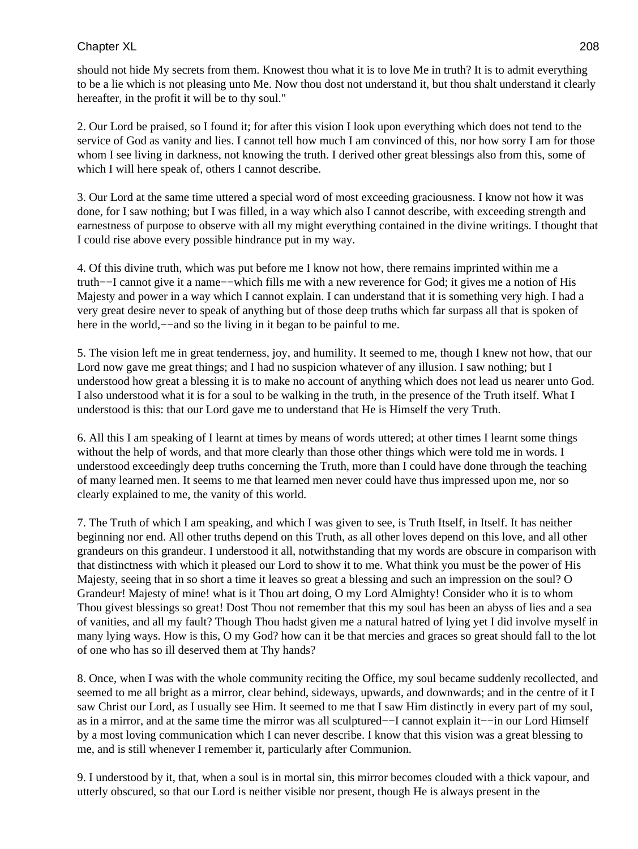should not hide My secrets from them. Knowest thou what it is to love Me in truth? It is to admit everything to be a lie which is not pleasing unto Me. Now thou dost not understand it, but thou shalt understand it clearly hereafter, in the profit it will be to thy soul."

2. Our Lord be praised, so I found it; for after this vision I look upon everything which does not tend to the service of God as vanity and lies. I cannot tell how much I am convinced of this, nor how sorry I am for those whom I see living in darkness, not knowing the truth. I derived other great blessings also from this, some of which I will here speak of, others I cannot describe.

3. Our Lord at the same time uttered a special word of most exceeding graciousness. I know not how it was done, for I saw nothing; but I was filled, in a way which also I cannot describe, with exceeding strength and earnestness of purpose to observe with all my might everything contained in the divine writings. I thought that I could rise above every possible hindrance put in my way.

4. Of this divine truth, which was put before me I know not how, there remains imprinted within me a truth−−I cannot give it a name−−which fills me with a new reverence for God; it gives me a notion of His Majesty and power in a way which I cannot explain. I can understand that it is something very high. I had a very great desire never to speak of anything but of those deep truths which far surpass all that is spoken of here in the world,—–and so the living in it began to be painful to me.

5. The vision left me in great tenderness, joy, and humility. It seemed to me, though I knew not how, that our Lord now gave me great things; and I had no suspicion whatever of any illusion. I saw nothing; but I understood how great a blessing it is to make no account of anything which does not lead us nearer unto God. I also understood what it is for a soul to be walking in the truth, in the presence of the Truth itself. What I understood is this: that our Lord gave me to understand that He is Himself the very Truth.

6. All this I am speaking of I learnt at times by means of words uttered; at other times I learnt some things without the help of words, and that more clearly than those other things which were told me in words. I understood exceedingly deep truths concerning the Truth, more than I could have done through the teaching of many learned men. It seems to me that learned men never could have thus impressed upon me, nor so clearly explained to me, the vanity of this world.

7. The Truth of which I am speaking, and which I was given to see, is Truth Itself, in Itself. It has neither beginning nor end. All other truths depend on this Truth, as all other loves depend on this love, and all other grandeurs on this grandeur. I understood it all, notwithstanding that my words are obscure in comparison with that distinctness with which it pleased our Lord to show it to me. What think you must be the power of His Majesty, seeing that in so short a time it leaves so great a blessing and such an impression on the soul? O Grandeur! Majesty of mine! what is it Thou art doing, O my Lord Almighty! Consider who it is to whom Thou givest blessings so great! Dost Thou not remember that this my soul has been an abyss of lies and a sea of vanities, and all my fault? Though Thou hadst given me a natural hatred of lying yet I did involve myself in many lying ways. How is this, O my God? how can it be that mercies and graces so great should fall to the lot of one who has so ill deserved them at Thy hands?

8. Once, when I was with the whole community reciting the Office, my soul became suddenly recollected, and seemed to me all bright as a mirror, clear behind, sideways, upwards, and downwards; and in the centre of it I saw Christ our Lord, as I usually see Him. It seemed to me that I saw Him distinctly in every part of my soul, as in a mirror, and at the same time the mirror was all sculptured−−I cannot explain it−−in our Lord Himself by a most loving communication which I can never describe. I know that this vision was a great blessing to me, and is still whenever I remember it, particularly after Communion.

9. I understood by it, that, when a soul is in mortal sin, this mirror becomes clouded with a thick vapour, and utterly obscured, so that our Lord is neither visible nor present, though He is always present in the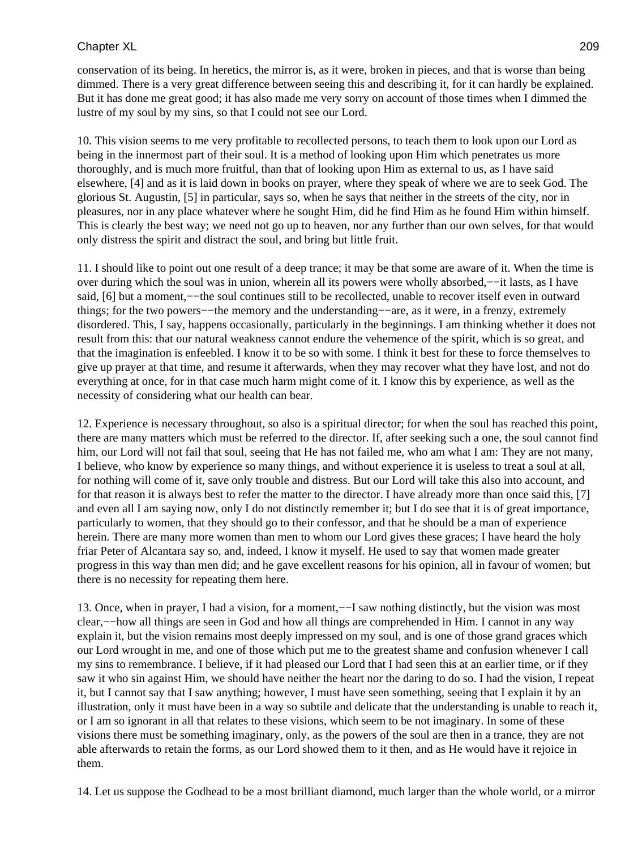conservation of its being. In heretics, the mirror is, as it were, broken in pieces, and that is worse than being dimmed. There is a very great difference between seeing this and describing it, for it can hardly be explained. But it has done me great good; it has also made me very sorry on account of those times when I dimmed the lustre of my soul by my sins, so that I could not see our Lord.

10. This vision seems to me very profitable to recollected persons, to teach them to look upon our Lord as being in the innermost part of their soul. It is a method of looking upon Him which penetrates us more thoroughly, and is much more fruitful, than that of looking upon Him as external to us, as I have said elsewhere, [4] and as it is laid down in books on prayer, where they speak of where we are to seek God. The glorious St. Augustin, [5] in particular, says so, when he says that neither in the streets of the city, nor in pleasures, nor in any place whatever where he sought Him, did he find Him as he found Him within himself. This is clearly the best way; we need not go up to heaven, nor any further than our own selves, for that would only distress the spirit and distract the soul, and bring but little fruit.

11. I should like to point out one result of a deep trance; it may be that some are aware of it. When the time is over during which the soul was in union, wherein all its powers were wholly absorbed,−−it lasts, as I have said, [6] but a moment,—−the soul continues still to be recollected, unable to recover itself even in outward things; for the two powers−−the memory and the understanding−−are, as it were, in a frenzy, extremely disordered. This, I say, happens occasionally, particularly in the beginnings. I am thinking whether it does not result from this: that our natural weakness cannot endure the vehemence of the spirit, which is so great, and that the imagination is enfeebled. I know it to be so with some. I think it best for these to force themselves to give up prayer at that time, and resume it afterwards, when they may recover what they have lost, and not do everything at once, for in that case much harm might come of it. I know this by experience, as well as the necessity of considering what our health can bear.

12. Experience is necessary throughout, so also is a spiritual director; for when the soul has reached this point, there are many matters which must be referred to the director. If, after seeking such a one, the soul cannot find him, our Lord will not fail that soul, seeing that He has not failed me, who am what I am: They are not many, I believe, who know by experience so many things, and without experience it is useless to treat a soul at all, for nothing will come of it, save only trouble and distress. But our Lord will take this also into account, and for that reason it is always best to refer the matter to the director. I have already more than once said this, [7] and even all I am saying now, only I do not distinctly remember it; but I do see that it is of great importance, particularly to women, that they should go to their confessor, and that he should be a man of experience herein. There are many more women than men to whom our Lord gives these graces; I have heard the holy friar Peter of Alcantara say so, and, indeed, I know it myself. He used to say that women made greater progress in this way than men did; and he gave excellent reasons for his opinion, all in favour of women; but there is no necessity for repeating them here.

13. Once, when in prayer, I had a vision, for a moment,−−I saw nothing distinctly, but the vision was most clear,−−how all things are seen in God and how all things are comprehended in Him. I cannot in any way explain it, but the vision remains most deeply impressed on my soul, and is one of those grand graces which our Lord wrought in me, and one of those which put me to the greatest shame and confusion whenever I call my sins to remembrance. I believe, if it had pleased our Lord that I had seen this at an earlier time, or if they saw it who sin against Him, we should have neither the heart nor the daring to do so. I had the vision, I repeat it, but I cannot say that I saw anything; however, I must have seen something, seeing that I explain it by an illustration, only it must have been in a way so subtile and delicate that the understanding is unable to reach it, or I am so ignorant in all that relates to these visions, which seem to be not imaginary. In some of these visions there must be something imaginary, only, as the powers of the soul are then in a trance, they are not able afterwards to retain the forms, as our Lord showed them to it then, and as He would have it rejoice in them.

14. Let us suppose the Godhead to be a most brilliant diamond, much larger than the whole world, or a mirror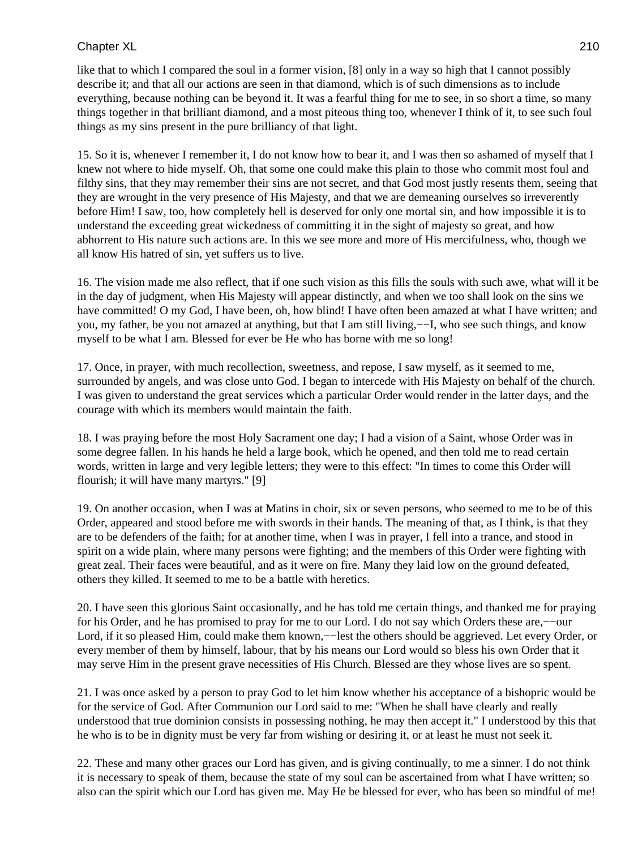like that to which I compared the soul in a former vision, [8] only in a way so high that I cannot possibly describe it; and that all our actions are seen in that diamond, which is of such dimensions as to include everything, because nothing can be beyond it. It was a fearful thing for me to see, in so short a time, so many things together in that brilliant diamond, and a most piteous thing too, whenever I think of it, to see such foul things as my sins present in the pure brilliancy of that light.

15. So it is, whenever I remember it, I do not know how to bear it, and I was then so ashamed of myself that I knew not where to hide myself. Oh, that some one could make this plain to those who commit most foul and filthy sins, that they may remember their sins are not secret, and that God most justly resents them, seeing that they are wrought in the very presence of His Majesty, and that we are demeaning ourselves so irreverently before Him! I saw, too, how completely hell is deserved for only one mortal sin, and how impossible it is to understand the exceeding great wickedness of committing it in the sight of majesty so great, and how abhorrent to His nature such actions are. In this we see more and more of His mercifulness, who, though we all know His hatred of sin, yet suffers us to live.

16. The vision made me also reflect, that if one such vision as this fills the souls with such awe, what will it be in the day of judgment, when His Majesty will appear distinctly, and when we too shall look on the sins we have committed! O my God, I have been, oh, how blind! I have often been amazed at what I have written; and you, my father, be you not amazed at anything, but that I am still living,−−I, who see such things, and know myself to be what I am. Blessed for ever be He who has borne with me so long!

17. Once, in prayer, with much recollection, sweetness, and repose, I saw myself, as it seemed to me, surrounded by angels, and was close unto God. I began to intercede with His Majesty on behalf of the church. I was given to understand the great services which a particular Order would render in the latter days, and the courage with which its members would maintain the faith.

18. I was praying before the most Holy Sacrament one day; I had a vision of a Saint, whose Order was in some degree fallen. In his hands he held a large book, which he opened, and then told me to read certain words, written in large and very legible letters; they were to this effect: "In times to come this Order will flourish; it will have many martyrs." [9]

19. On another occasion, when I was at Matins in choir, six or seven persons, who seemed to me to be of this Order, appeared and stood before me with swords in their hands. The meaning of that, as I think, is that they are to be defenders of the faith; for at another time, when I was in prayer, I fell into a trance, and stood in spirit on a wide plain, where many persons were fighting; and the members of this Order were fighting with great zeal. Their faces were beautiful, and as it were on fire. Many they laid low on the ground defeated, others they killed. It seemed to me to be a battle with heretics.

20. I have seen this glorious Saint occasionally, and he has told me certain things, and thanked me for praying for his Order, and he has promised to pray for me to our Lord. I do not say which Orders these are,−−our Lord, if it so pleased Him, could make them known,−−lest the others should be aggrieved. Let every Order, or every member of them by himself, labour, that by his means our Lord would so bless his own Order that it may serve Him in the present grave necessities of His Church. Blessed are they whose lives are so spent.

21. I was once asked by a person to pray God to let him know whether his acceptance of a bishopric would be for the service of God. After Communion our Lord said to me: "When he shall have clearly and really understood that true dominion consists in possessing nothing, he may then accept it." I understood by this that he who is to be in dignity must be very far from wishing or desiring it, or at least he must not seek it.

22. These and many other graces our Lord has given, and is giving continually, to me a sinner. I do not think it is necessary to speak of them, because the state of my soul can be ascertained from what I have written; so also can the spirit which our Lord has given me. May He be blessed for ever, who has been so mindful of me!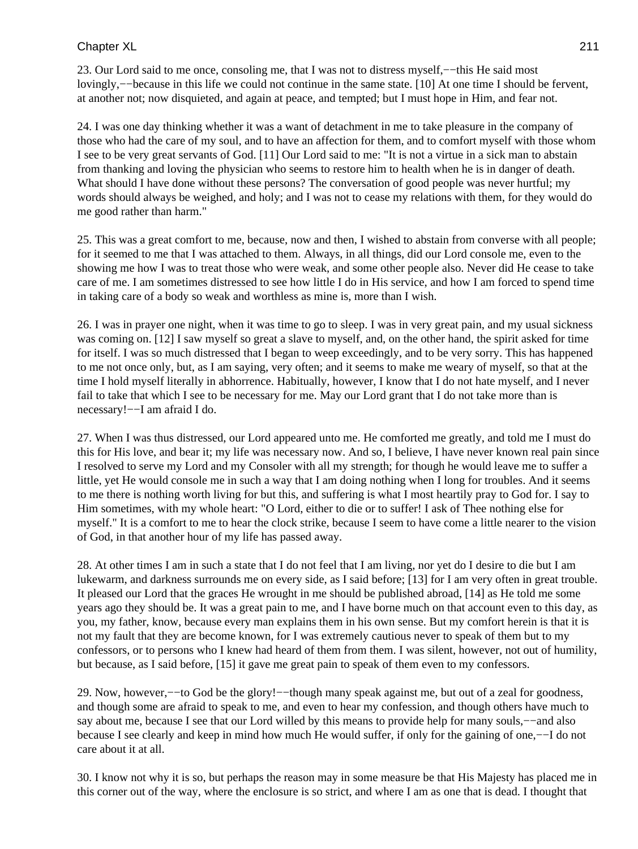23. Our Lord said to me once, consoling me, that I was not to distress myself,−−this He said most lovingly,−−because in this life we could not continue in the same state. [10] At one time I should be fervent, at another not; now disquieted, and again at peace, and tempted; but I must hope in Him, and fear not.

24. I was one day thinking whether it was a want of detachment in me to take pleasure in the company of those who had the care of my soul, and to have an affection for them, and to comfort myself with those whom I see to be very great servants of God. [11] Our Lord said to me: "It is not a virtue in a sick man to abstain from thanking and loving the physician who seems to restore him to health when he is in danger of death. What should I have done without these persons? The conversation of good people was never hurtful; my words should always be weighed, and holy; and I was not to cease my relations with them, for they would do me good rather than harm."

25. This was a great comfort to me, because, now and then, I wished to abstain from converse with all people; for it seemed to me that I was attached to them. Always, in all things, did our Lord console me, even to the showing me how I was to treat those who were weak, and some other people also. Never did He cease to take care of me. I am sometimes distressed to see how little I do in His service, and how I am forced to spend time in taking care of a body so weak and worthless as mine is, more than I wish.

26. I was in prayer one night, when it was time to go to sleep. I was in very great pain, and my usual sickness was coming on. [12] I saw myself so great a slave to myself, and, on the other hand, the spirit asked for time for itself. I was so much distressed that I began to weep exceedingly, and to be very sorry. This has happened to me not once only, but, as I am saying, very often; and it seems to make me weary of myself, so that at the time I hold myself literally in abhorrence. Habitually, however, I know that I do not hate myself, and I never fail to take that which I see to be necessary for me. May our Lord grant that I do not take more than is necessary!−−I am afraid I do.

27. When I was thus distressed, our Lord appeared unto me. He comforted me greatly, and told me I must do this for His love, and bear it; my life was necessary now. And so, I believe, I have never known real pain since I resolved to serve my Lord and my Consoler with all my strength; for though he would leave me to suffer a little, yet He would console me in such a way that I am doing nothing when I long for troubles. And it seems to me there is nothing worth living for but this, and suffering is what I most heartily pray to God for. I say to Him sometimes, with my whole heart: "O Lord, either to die or to suffer! I ask of Thee nothing else for myself." It is a comfort to me to hear the clock strike, because I seem to have come a little nearer to the vision of God, in that another hour of my life has passed away.

28. At other times I am in such a state that I do not feel that I am living, nor yet do I desire to die but I am lukewarm, and darkness surrounds me on every side, as I said before; [13] for I am very often in great trouble. It pleased our Lord that the graces He wrought in me should be published abroad, [14] as He told me some years ago they should be. It was a great pain to me, and I have borne much on that account even to this day, as you, my father, know, because every man explains them in his own sense. But my comfort herein is that it is not my fault that they are become known, for I was extremely cautious never to speak of them but to my confessors, or to persons who I knew had heard of them from them. I was silent, however, not out of humility, but because, as I said before, [15] it gave me great pain to speak of them even to my confessors.

29. Now, however,−−to God be the glory!−−though many speak against me, but out of a zeal for goodness, and though some are afraid to speak to me, and even to hear my confession, and though others have much to say about me, because I see that our Lord willed by this means to provide help for many souls,−−and also because I see clearly and keep in mind how much He would suffer, if only for the gaining of one,−−I do not care about it at all.

30. I know not why it is so, but perhaps the reason may in some measure be that His Majesty has placed me in this corner out of the way, where the enclosure is so strict, and where I am as one that is dead. I thought that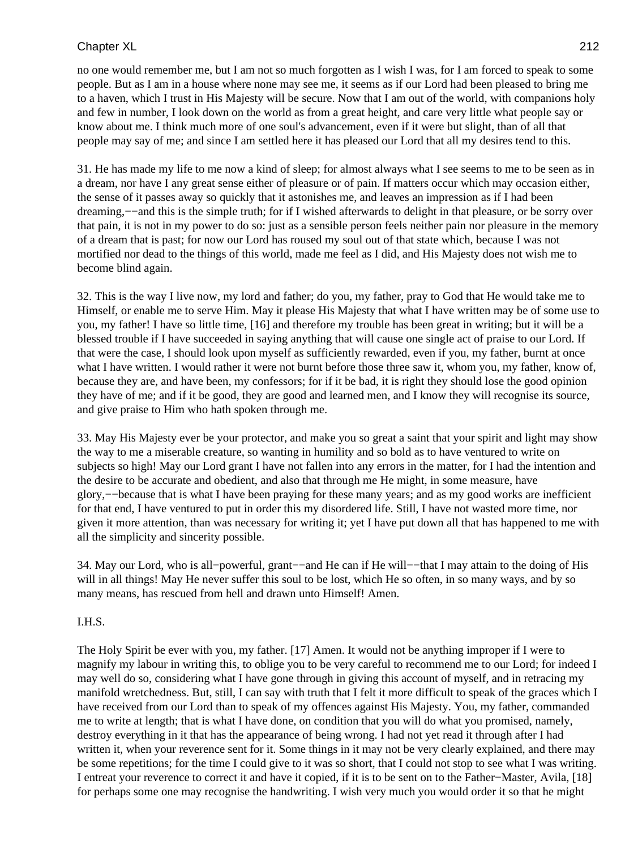no one would remember me, but I am not so much forgotten as I wish I was, for I am forced to speak to some people. But as I am in a house where none may see me, it seems as if our Lord had been pleased to bring me to a haven, which I trust in His Majesty will be secure. Now that I am out of the world, with companions holy and few in number, I look down on the world as from a great height, and care very little what people say or know about me. I think much more of one soul's advancement, even if it were but slight, than of all that people may say of me; and since I am settled here it has pleased our Lord that all my desires tend to this.

31. He has made my life to me now a kind of sleep; for almost always what I see seems to me to be seen as in a dream, nor have I any great sense either of pleasure or of pain. If matters occur which may occasion either, the sense of it passes away so quickly that it astonishes me, and leaves an impression as if I had been dreaming,−−and this is the simple truth; for if I wished afterwards to delight in that pleasure, or be sorry over that pain, it is not in my power to do so: just as a sensible person feels neither pain nor pleasure in the memory of a dream that is past; for now our Lord has roused my soul out of that state which, because I was not mortified nor dead to the things of this world, made me feel as I did, and His Majesty does not wish me to become blind again.

32. This is the way I live now, my lord and father; do you, my father, pray to God that He would take me to Himself, or enable me to serve Him. May it please His Majesty that what I have written may be of some use to you, my father! I have so little time, [16] and therefore my trouble has been great in writing; but it will be a blessed trouble if I have succeeded in saying anything that will cause one single act of praise to our Lord. If that were the case, I should look upon myself as sufficiently rewarded, even if you, my father, burnt at once what I have written. I would rather it were not burnt before those three saw it, whom you, my father, know of, because they are, and have been, my confessors; for if it be bad, it is right they should lose the good opinion they have of me; and if it be good, they are good and learned men, and I know they will recognise its source, and give praise to Him who hath spoken through me.

33. May His Majesty ever be your protector, and make you so great a saint that your spirit and light may show the way to me a miserable creature, so wanting in humility and so bold as to have ventured to write on subjects so high! May our Lord grant I have not fallen into any errors in the matter, for I had the intention and the desire to be accurate and obedient, and also that through me He might, in some measure, have glory,−−because that is what I have been praying for these many years; and as my good works are inefficient for that end, I have ventured to put in order this my disordered life. Still, I have not wasted more time, nor given it more attention, than was necessary for writing it; yet I have put down all that has happened to me with all the simplicity and sincerity possible.

34. May our Lord, who is all−powerful, grant−−and He can if He will−−that I may attain to the doing of His will in all things! May He never suffer this soul to be lost, which He so often, in so many ways, and by so many means, has rescued from hell and drawn unto Himself! Amen.

#### I.H.S.

The Holy Spirit be ever with you, my father. [17] Amen. It would not be anything improper if I were to magnify my labour in writing this, to oblige you to be very careful to recommend me to our Lord; for indeed I may well do so, considering what I have gone through in giving this account of myself, and in retracing my manifold wretchedness. But, still, I can say with truth that I felt it more difficult to speak of the graces which I have received from our Lord than to speak of my offences against His Majesty. You, my father, commanded me to write at length; that is what I have done, on condition that you will do what you promised, namely, destroy everything in it that has the appearance of being wrong. I had not yet read it through after I had written it, when your reverence sent for it. Some things in it may not be very clearly explained, and there may be some repetitions; for the time I could give to it was so short, that I could not stop to see what I was writing. I entreat your reverence to correct it and have it copied, if it is to be sent on to the Father−Master, Avila, [18] for perhaps some one may recognise the handwriting. I wish very much you would order it so that he might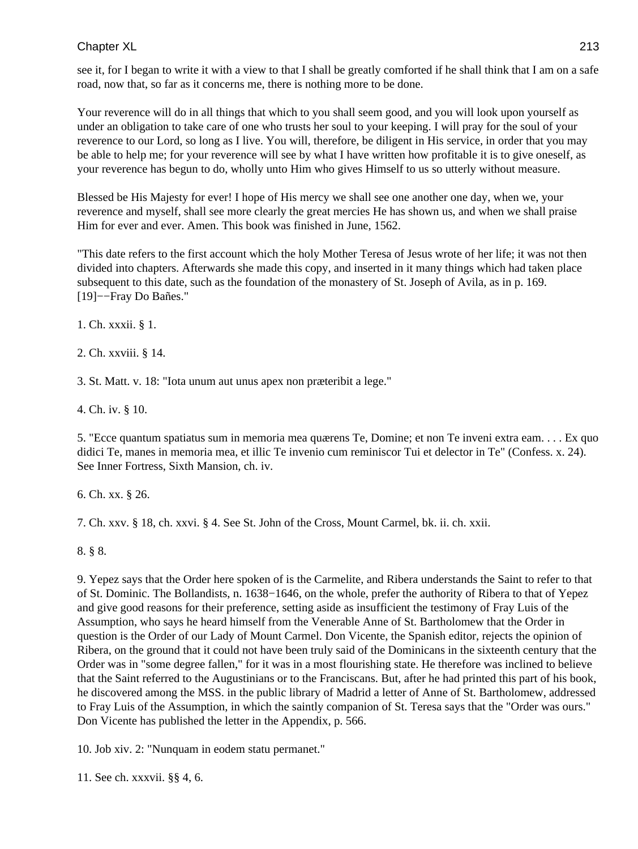see it, for I began to write it with a view to that I shall be greatly comforted if he shall think that I am on a safe road, now that, so far as it concerns me, there is nothing more to be done.

Your reverence will do in all things that which to you shall seem good, and you will look upon yourself as under an obligation to take care of one who trusts her soul to your keeping. I will pray for the soul of your reverence to our Lord, so long as I live. You will, therefore, be diligent in His service, in order that you may be able to help me; for your reverence will see by what I have written how profitable it is to give oneself, as your reverence has begun to do, wholly unto Him who gives Himself to us so utterly without measure.

Blessed be His Majesty for ever! I hope of His mercy we shall see one another one day, when we, your reverence and myself, shall see more clearly the great mercies He has shown us, and when we shall praise Him for ever and ever. Amen. This book was finished in June, 1562.

"This date refers to the first account which the holy Mother Teresa of Jesus wrote of her life; it was not then divided into chapters. Afterwards she made this copy, and inserted in it many things which had taken place subsequent to this date, such as the foundation of the monastery of St. Joseph of Avila, as in p. 169. [19]−−Fray Do Bañes."

1. Ch. xxxii. § 1.

2. Ch. xxviii. § 14.

3. St. Matt. v. 18: "Iota unum aut unus apex non præteribit a lege."

4. Ch. iv. § 10.

5. "Ecce quantum spatiatus sum in memoria mea quærens Te, Domine; et non Te inveni extra eam. . . . Ex quo didici Te, manes in memoria mea, et illic Te invenio cum reminiscor Tui et delector in Te" (Confess. x. 24). See Inner Fortress, Sixth Mansion, ch. iv.

6. Ch. xx. § 26.

7. Ch. xxv. § 18, ch. xxvi. § 4. See St. John of the Cross, Mount Carmel, bk. ii. ch. xxii.

8. § 8.

9. Yepez says that the Order here spoken of is the Carmelite, and Ribera understands the Saint to refer to that of St. Dominic. The Bollandists, n. 1638−1646, on the whole, prefer the authority of Ribera to that of Yepez and give good reasons for their preference, setting aside as insufficient the testimony of Fray Luis of the Assumption, who says he heard himself from the Venerable Anne of St. Bartholomew that the Order in question is the Order of our Lady of Mount Carmel. Don Vicente, the Spanish editor, rejects the opinion of Ribera, on the ground that it could not have been truly said of the Dominicans in the sixteenth century that the Order was in "some degree fallen," for it was in a most flourishing state. He therefore was inclined to believe that the Saint referred to the Augustinians or to the Franciscans. But, after he had printed this part of his book, he discovered among the MSS. in the public library of Madrid a letter of Anne of St. Bartholomew, addressed to Fray Luis of the Assumption, in which the saintly companion of St. Teresa says that the "Order was ours." Don Vicente has published the letter in the Appendix, p. 566.

10. Job xiv. 2: "Nunquam in eodem statu permanet."

11. See ch. xxxvii. §§ 4, 6.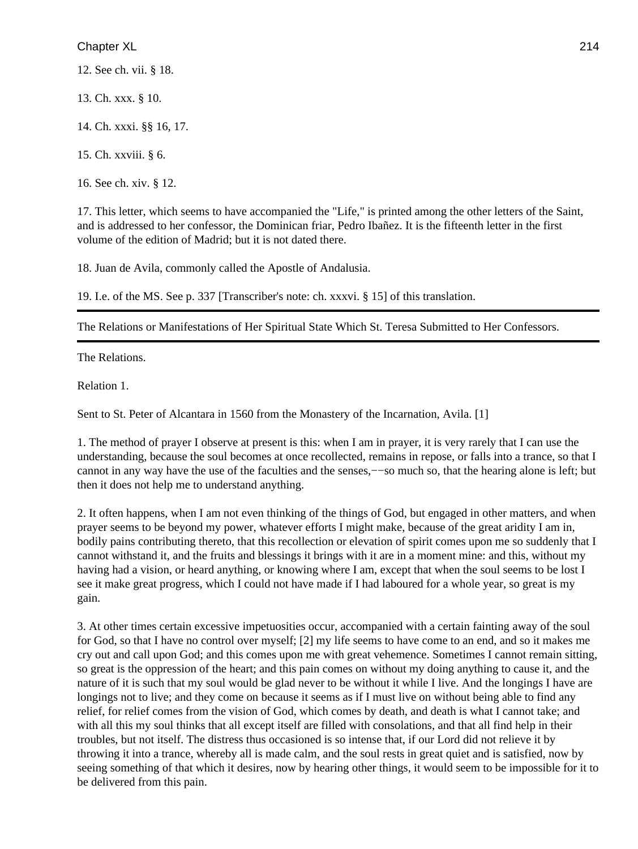12. See ch. vii. § 18.

13. Ch. xxx. § 10.

14. Ch. xxxi. §§ 16, 17.

15. Ch. xxviii. § 6.

16. See ch. xiv. § 12.

17. This letter, which seems to have accompanied the "Life," is printed among the other letters of the Saint, and is addressed to her confessor, the Dominican friar, Pedro Ibañez. It is the fifteenth letter in the first volume of the edition of Madrid; but it is not dated there.

18. Juan de Avila, commonly called the Apostle of Andalusia.

19. I.e. of the MS. See p. 337 [Transcriber's note: ch. xxxvi. § 15] of this translation.

The Relations or Manifestations of Her Spiritual State Which St. Teresa Submitted to Her Confessors.

The Relations.

Relation 1.

Sent to St. Peter of Alcantara in 1560 from the Monastery of the Incarnation, Avila. [1]

1. The method of prayer I observe at present is this: when I am in prayer, it is very rarely that I can use the understanding, because the soul becomes at once recollected, remains in repose, or falls into a trance, so that I cannot in any way have the use of the faculties and the senses,−−so much so, that the hearing alone is left; but then it does not help me to understand anything.

2. It often happens, when I am not even thinking of the things of God, but engaged in other matters, and when prayer seems to be beyond my power, whatever efforts I might make, because of the great aridity I am in, bodily pains contributing thereto, that this recollection or elevation of spirit comes upon me so suddenly that I cannot withstand it, and the fruits and blessings it brings with it are in a moment mine: and this, without my having had a vision, or heard anything, or knowing where I am, except that when the soul seems to be lost I see it make great progress, which I could not have made if I had laboured for a whole year, so great is my gain.

3. At other times certain excessive impetuosities occur, accompanied with a certain fainting away of the soul for God, so that I have no control over myself; [2] my life seems to have come to an end, and so it makes me cry out and call upon God; and this comes upon me with great vehemence. Sometimes I cannot remain sitting, so great is the oppression of the heart; and this pain comes on without my doing anything to cause it, and the nature of it is such that my soul would be glad never to be without it while I live. And the longings I have are longings not to live; and they come on because it seems as if I must live on without being able to find any relief, for relief comes from the vision of God, which comes by death, and death is what I cannot take; and with all this my soul thinks that all except itself are filled with consolations, and that all find help in their troubles, but not itself. The distress thus occasioned is so intense that, if our Lord did not relieve it by throwing it into a trance, whereby all is made calm, and the soul rests in great quiet and is satisfied, now by seeing something of that which it desires, now by hearing other things, it would seem to be impossible for it to be delivered from this pain.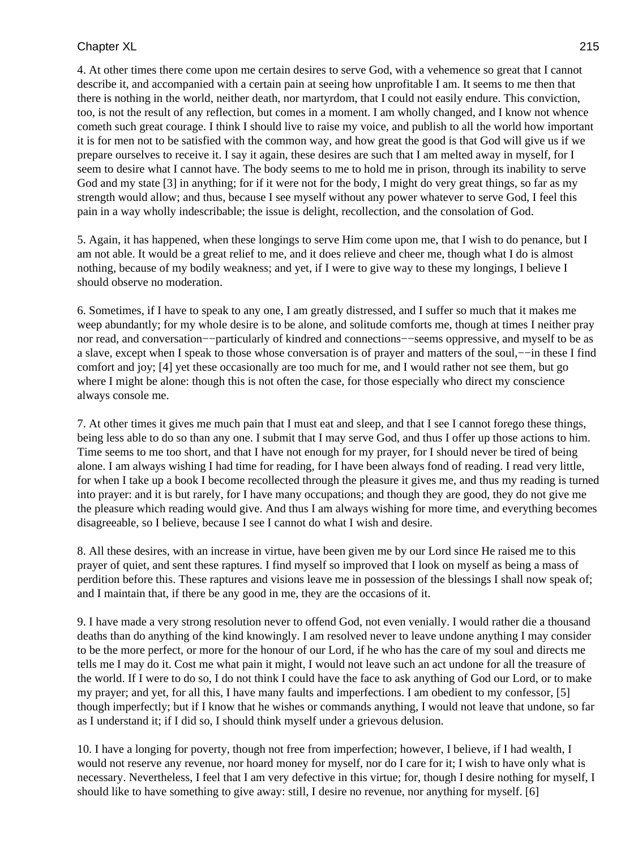4. At other times there come upon me certain desires to serve God, with a vehemence so great that I cannot describe it, and accompanied with a certain pain at seeing how unprofitable I am. It seems to me then that there is nothing in the world, neither death, nor martyrdom, that I could not easily endure. This conviction, too, is not the result of any reflection, but comes in a moment. I am wholly changed, and I know not whence cometh such great courage. I think I should live to raise my voice, and publish to all the world how important it is for men not to be satisfied with the common way, and how great the good is that God will give us if we prepare ourselves to receive it. I say it again, these desires are such that I am melted away in myself, for I seem to desire what I cannot have. The body seems to me to hold me in prison, through its inability to serve God and my state [3] in anything; for if it were not for the body, I might do very great things, so far as my strength would allow; and thus, because I see myself without any power whatever to serve God, I feel this pain in a way wholly indescribable; the issue is delight, recollection, and the consolation of God.

5. Again, it has happened, when these longings to serve Him come upon me, that I wish to do penance, but I am not able. It would be a great relief to me, and it does relieve and cheer me, though what I do is almost nothing, because of my bodily weakness; and yet, if I were to give way to these my longings, I believe I should observe no moderation.

6. Sometimes, if I have to speak to any one, I am greatly distressed, and I suffer so much that it makes me weep abundantly; for my whole desire is to be alone, and solitude comforts me, though at times I neither pray nor read, and conversation−−particularly of kindred and connections−−seems oppressive, and myself to be as a slave, except when I speak to those whose conversation is of prayer and matters of the soul,−−in these I find comfort and joy; [4] yet these occasionally are too much for me, and I would rather not see them, but go where I might be alone: though this is not often the case, for those especially who direct my conscience always console me.

7. At other times it gives me much pain that I must eat and sleep, and that I see I cannot forego these things, being less able to do so than any one. I submit that I may serve God, and thus I offer up those actions to him. Time seems to me too short, and that I have not enough for my prayer, for I should never be tired of being alone. I am always wishing I had time for reading, for I have been always fond of reading. I read very little, for when I take up a book I become recollected through the pleasure it gives me, and thus my reading is turned into prayer: and it is but rarely, for I have many occupations; and though they are good, they do not give me the pleasure which reading would give. And thus I am always wishing for more time, and everything becomes disagreeable, so I believe, because I see I cannot do what I wish and desire.

8. All these desires, with an increase in virtue, have been given me by our Lord since He raised me to this prayer of quiet, and sent these raptures. I find myself so improved that I look on myself as being a mass of perdition before this. These raptures and visions leave me in possession of the blessings I shall now speak of; and I maintain that, if there be any good in me, they are the occasions of it.

9. I have made a very strong resolution never to offend God, not even venially. I would rather die a thousand deaths than do anything of the kind knowingly. I am resolved never to leave undone anything I may consider to be the more perfect, or more for the honour of our Lord, if he who has the care of my soul and directs me tells me I may do it. Cost me what pain it might, I would not leave such an act undone for all the treasure of the world. If I were to do so, I do not think I could have the face to ask anything of God our Lord, or to make my prayer; and yet, for all this, I have many faults and imperfections. I am obedient to my confessor, [5] though imperfectly; but if I know that he wishes or commands anything, I would not leave that undone, so far as I understand it; if I did so, I should think myself under a grievous delusion.

10. I have a longing for poverty, though not free from imperfection; however, I believe, if I had wealth, I would not reserve any revenue, nor hoard money for myself, nor do I care for it; I wish to have only what is necessary. Nevertheless, I feel that I am very defective in this virtue; for, though I desire nothing for myself, I should like to have something to give away: still, I desire no revenue, nor anything for myself. [6]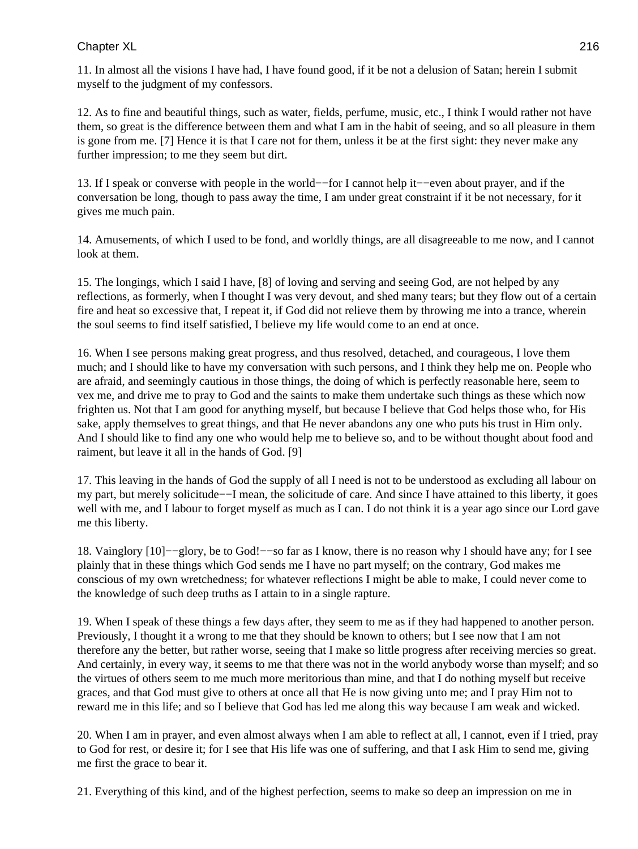11. In almost all the visions I have had, I have found good, if it be not a delusion of Satan; herein I submit myself to the judgment of my confessors.

12. As to fine and beautiful things, such as water, fields, perfume, music, etc., I think I would rather not have them, so great is the difference between them and what I am in the habit of seeing, and so all pleasure in them is gone from me. [7] Hence it is that I care not for them, unless it be at the first sight: they never make any further impression; to me they seem but dirt.

13. If I speak or converse with people in the world−−for I cannot help it−−even about prayer, and if the conversation be long, though to pass away the time, I am under great constraint if it be not necessary, for it gives me much pain.

14. Amusements, of which I used to be fond, and worldly things, are all disagreeable to me now, and I cannot look at them.

15. The longings, which I said I have, [8] of loving and serving and seeing God, are not helped by any reflections, as formerly, when I thought I was very devout, and shed many tears; but they flow out of a certain fire and heat so excessive that, I repeat it, if God did not relieve them by throwing me into a trance, wherein the soul seems to find itself satisfied, I believe my life would come to an end at once.

16. When I see persons making great progress, and thus resolved, detached, and courageous, I love them much; and I should like to have my conversation with such persons, and I think they help me on. People who are afraid, and seemingly cautious in those things, the doing of which is perfectly reasonable here, seem to vex me, and drive me to pray to God and the saints to make them undertake such things as these which now frighten us. Not that I am good for anything myself, but because I believe that God helps those who, for His sake, apply themselves to great things, and that He never abandons any one who puts his trust in Him only. And I should like to find any one who would help me to believe so, and to be without thought about food and raiment, but leave it all in the hands of God. [9]

17. This leaving in the hands of God the supply of all I need is not to be understood as excluding all labour on my part, but merely solicitude−−I mean, the solicitude of care. And since I have attained to this liberty, it goes well with me, and I labour to forget myself as much as I can. I do not think it is a year ago since our Lord gave me this liberty.

18. Vainglory [10]−−glory, be to God!−−so far as I know, there is no reason why I should have any; for I see plainly that in these things which God sends me I have no part myself; on the contrary, God makes me conscious of my own wretchedness; for whatever reflections I might be able to make, I could never come to the knowledge of such deep truths as I attain to in a single rapture.

19. When I speak of these things a few days after, they seem to me as if they had happened to another person. Previously, I thought it a wrong to me that they should be known to others; but I see now that I am not therefore any the better, but rather worse, seeing that I make so little progress after receiving mercies so great. And certainly, in every way, it seems to me that there was not in the world anybody worse than myself; and so the virtues of others seem to me much more meritorious than mine, and that I do nothing myself but receive graces, and that God must give to others at once all that He is now giving unto me; and I pray Him not to reward me in this life; and so I believe that God has led me along this way because I am weak and wicked.

20. When I am in prayer, and even almost always when I am able to reflect at all, I cannot, even if I tried, pray to God for rest, or desire it; for I see that His life was one of suffering, and that I ask Him to send me, giving me first the grace to bear it.

21. Everything of this kind, and of the highest perfection, seems to make so deep an impression on me in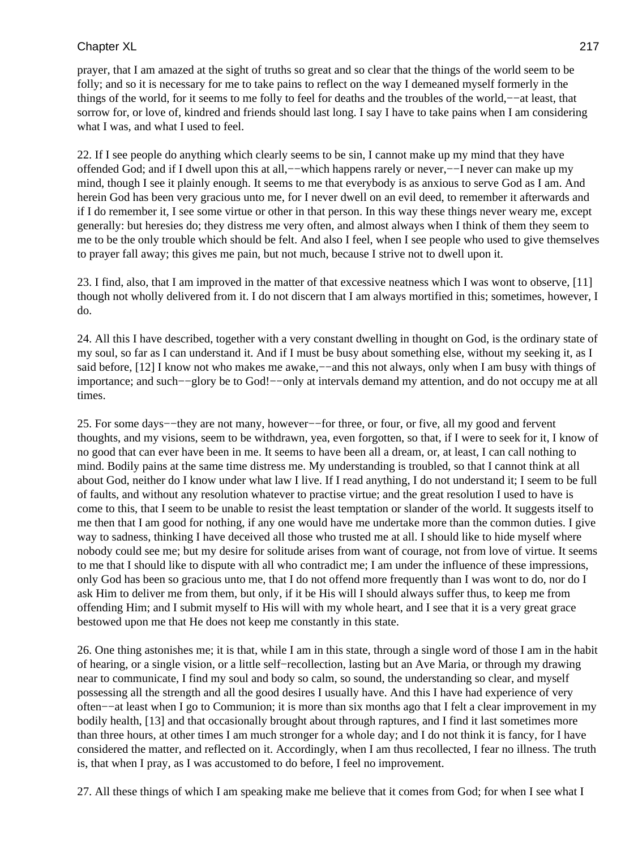prayer, that I am amazed at the sight of truths so great and so clear that the things of the world seem to be folly; and so it is necessary for me to take pains to reflect on the way I demeaned myself formerly in the things of the world, for it seems to me folly to feel for deaths and the troubles of the world,−−at least, that sorrow for, or love of, kindred and friends should last long. I say I have to take pains when I am considering what I was, and what I used to feel.

22. If I see people do anything which clearly seems to be sin, I cannot make up my mind that they have offended God; and if I dwell upon this at all,−−which happens rarely or never,−−I never can make up my mind, though I see it plainly enough. It seems to me that everybody is as anxious to serve God as I am. And herein God has been very gracious unto me, for I never dwell on an evil deed, to remember it afterwards and if I do remember it, I see some virtue or other in that person. In this way these things never weary me, except generally: but heresies do; they distress me very often, and almost always when I think of them they seem to me to be the only trouble which should be felt. And also I feel, when I see people who used to give themselves to prayer fall away; this gives me pain, but not much, because I strive not to dwell upon it.

23. I find, also, that I am improved in the matter of that excessive neatness which I was wont to observe, [11] though not wholly delivered from it. I do not discern that I am always mortified in this; sometimes, however, I do.

24. All this I have described, together with a very constant dwelling in thought on God, is the ordinary state of my soul, so far as I can understand it. And if I must be busy about something else, without my seeking it, as I said before, [12] I know not who makes me awake,—−and this not always, only when I am busy with things of importance; and such−−glory be to God!−−only at intervals demand my attention, and do not occupy me at all times.

25. For some days−−they are not many, however−−for three, or four, or five, all my good and fervent thoughts, and my visions, seem to be withdrawn, yea, even forgotten, so that, if I were to seek for it, I know of no good that can ever have been in me. It seems to have been all a dream, or, at least, I can call nothing to mind. Bodily pains at the same time distress me. My understanding is troubled, so that I cannot think at all about God, neither do I know under what law I live. If I read anything, I do not understand it; I seem to be full of faults, and without any resolution whatever to practise virtue; and the great resolution I used to have is come to this, that I seem to be unable to resist the least temptation or slander of the world. It suggests itself to me then that I am good for nothing, if any one would have me undertake more than the common duties. I give way to sadness, thinking I have deceived all those who trusted me at all. I should like to hide myself where nobody could see me; but my desire for solitude arises from want of courage, not from love of virtue. It seems to me that I should like to dispute with all who contradict me; I am under the influence of these impressions, only God has been so gracious unto me, that I do not offend more frequently than I was wont to do, nor do I ask Him to deliver me from them, but only, if it be His will I should always suffer thus, to keep me from offending Him; and I submit myself to His will with my whole heart, and I see that it is a very great grace bestowed upon me that He does not keep me constantly in this state.

26. One thing astonishes me; it is that, while I am in this state, through a single word of those I am in the habit of hearing, or a single vision, or a little self−recollection, lasting but an Ave Maria, or through my drawing near to communicate, I find my soul and body so calm, so sound, the understanding so clear, and myself possessing all the strength and all the good desires I usually have. And this I have had experience of very often−−at least when I go to Communion; it is more than six months ago that I felt a clear improvement in my bodily health, [13] and that occasionally brought about through raptures, and I find it last sometimes more than three hours, at other times I am much stronger for a whole day; and I do not think it is fancy, for I have considered the matter, and reflected on it. Accordingly, when I am thus recollected, I fear no illness. The truth is, that when I pray, as I was accustomed to do before, I feel no improvement.

27. All these things of which I am speaking make me believe that it comes from God; for when I see what I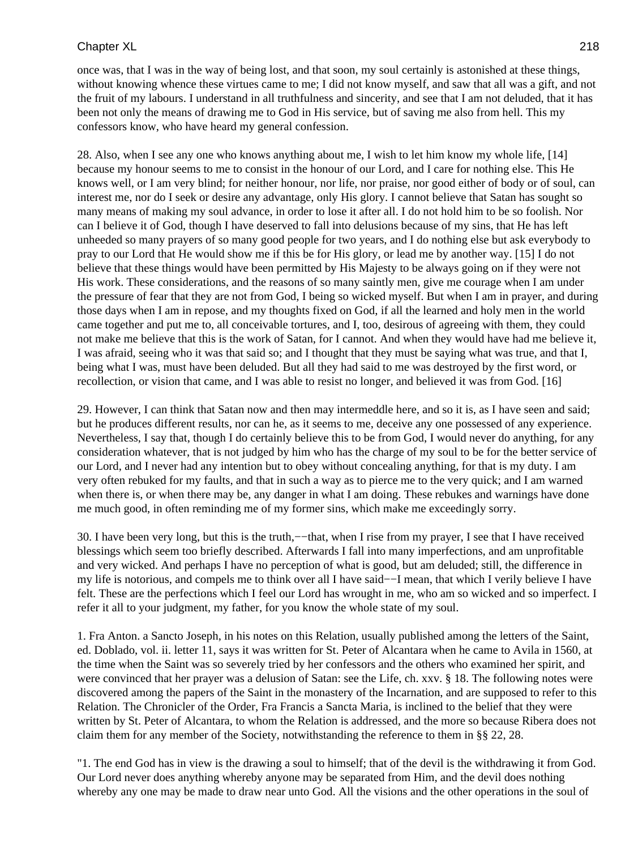once was, that I was in the way of being lost, and that soon, my soul certainly is astonished at these things, without knowing whence these virtues came to me; I did not know myself, and saw that all was a gift, and not the fruit of my labours. I understand in all truthfulness and sincerity, and see that I am not deluded, that it has been not only the means of drawing me to God in His service, but of saving me also from hell. This my confessors know, who have heard my general confession.

28. Also, when I see any one who knows anything about me, I wish to let him know my whole life, [14] because my honour seems to me to consist in the honour of our Lord, and I care for nothing else. This He knows well, or I am very blind; for neither honour, nor life, nor praise, nor good either of body or of soul, can interest me, nor do I seek or desire any advantage, only His glory. I cannot believe that Satan has sought so many means of making my soul advance, in order to lose it after all. I do not hold him to be so foolish. Nor can I believe it of God, though I have deserved to fall into delusions because of my sins, that He has left unheeded so many prayers of so many good people for two years, and I do nothing else but ask everybody to pray to our Lord that He would show me if this be for His glory, or lead me by another way. [15] I do not believe that these things would have been permitted by His Majesty to be always going on if they were not His work. These considerations, and the reasons of so many saintly men, give me courage when I am under the pressure of fear that they are not from God, I being so wicked myself. But when I am in prayer, and during those days when I am in repose, and my thoughts fixed on God, if all the learned and holy men in the world came together and put me to, all conceivable tortures, and I, too, desirous of agreeing with them, they could not make me believe that this is the work of Satan, for I cannot. And when they would have had me believe it, I was afraid, seeing who it was that said so; and I thought that they must be saying what was true, and that I, being what I was, must have been deluded. But all they had said to me was destroyed by the first word, or recollection, or vision that came, and I was able to resist no longer, and believed it was from God. [16]

29. However, I can think that Satan now and then may intermeddle here, and so it is, as I have seen and said; but he produces different results, nor can he, as it seems to me, deceive any one possessed of any experience. Nevertheless, I say that, though I do certainly believe this to be from God, I would never do anything, for any consideration whatever, that is not judged by him who has the charge of my soul to be for the better service of our Lord, and I never had any intention but to obey without concealing anything, for that is my duty. I am very often rebuked for my faults, and that in such a way as to pierce me to the very quick; and I am warned when there is, or when there may be, any danger in what I am doing. These rebukes and warnings have done me much good, in often reminding me of my former sins, which make me exceedingly sorry.

30. I have been very long, but this is the truth,—−that, when I rise from my prayer, I see that I have received blessings which seem too briefly described. Afterwards I fall into many imperfections, and am unprofitable and very wicked. And perhaps I have no perception of what is good, but am deluded; still, the difference in my life is notorious, and compels me to think over all I have said−−I mean, that which I verily believe I have felt. These are the perfections which I feel our Lord has wrought in me, who am so wicked and so imperfect. I refer it all to your judgment, my father, for you know the whole state of my soul.

1. Fra Anton. a Sancto Joseph, in his notes on this Relation, usually published among the letters of the Saint, ed. Doblado, vol. ii. letter 11, says it was written for St. Peter of Alcantara when he came to Avila in 1560, at the time when the Saint was so severely tried by her confessors and the others who examined her spirit, and were convinced that her prayer was a delusion of Satan: see the Life, ch. xxv. § 18. The following notes were discovered among the papers of the Saint in the monastery of the Incarnation, and are supposed to refer to this Relation. The Chronicler of the Order, Fra Francis a Sancta Maria, is inclined to the belief that they were written by St. Peter of Alcantara, to whom the Relation is addressed, and the more so because Ribera does not claim them for any member of the Society, notwithstanding the reference to them in §§ 22, 28.

"1. The end God has in view is the drawing a soul to himself; that of the devil is the withdrawing it from God. Our Lord never does anything whereby anyone may be separated from Him, and the devil does nothing whereby any one may be made to draw near unto God. All the visions and the other operations in the soul of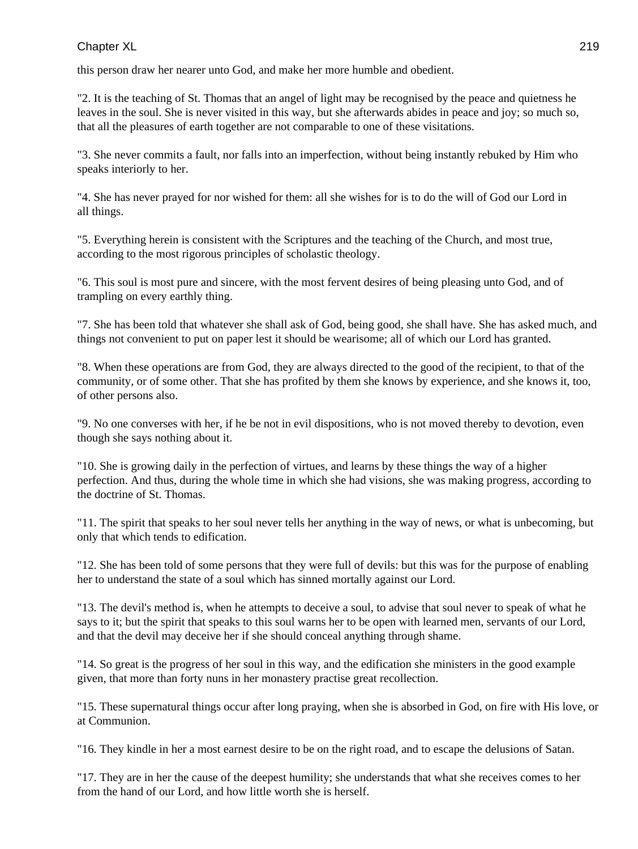this person draw her nearer unto God, and make her more humble and obedient.

"2. It is the teaching of St. Thomas that an angel of light may be recognised by the peace and quietness he leaves in the soul. She is never visited in this way, but she afterwards abides in peace and joy; so much so, that all the pleasures of earth together are not comparable to one of these visitations.

"3. She never commits a fault, nor falls into an imperfection, without being instantly rebuked by Him who speaks interiorly to her.

"4. She has never prayed for nor wished for them: all she wishes for is to do the will of God our Lord in all things.

"5. Everything herein is consistent with the Scriptures and the teaching of the Church, and most true, according to the most rigorous principles of scholastic theology.

"6. This soul is most pure and sincere, with the most fervent desires of being pleasing unto God, and of trampling on every earthly thing.

"7. She has been told that whatever she shall ask of God, being good, she shall have. She has asked much, and things not convenient to put on paper lest it should be wearisome; all of which our Lord has granted.

"8. When these operations are from God, they are always directed to the good of the recipient, to that of the community, or of some other. That she has profited by them she knows by experience, and she knows it, too, of other persons also.

"9. No one converses with her, if he be not in evil dispositions, who is not moved thereby to devotion, even though she says nothing about it.

"10. She is growing daily in the perfection of virtues, and learns by these things the way of a higher perfection. And thus, during the whole time in which she had visions, she was making progress, according to the doctrine of St. Thomas.

"11. The spirit that speaks to her soul never tells her anything in the way of news, or what is unbecoming, but only that which tends to edification.

"12. She has been told of some persons that they were full of devils: but this was for the purpose of enabling her to understand the state of a soul which has sinned mortally against our Lord.

"13. The devil's method is, when he attempts to deceive a soul, to advise that soul never to speak of what he says to it; but the spirit that speaks to this soul warns her to be open with learned men, servants of our Lord, and that the devil may deceive her if she should conceal anything through shame.

"14. So great is the progress of her soul in this way, and the edification she ministers in the good example given, that more than forty nuns in her monastery practise great recollection.

"15. These supernatural things occur after long praying, when she is absorbed in God, on fire with His love, or at Communion.

"16. They kindle in her a most earnest desire to be on the right road, and to escape the delusions of Satan.

"17. They are in her the cause of the deepest humility; she understands that what she receives comes to her from the hand of our Lord, and how little worth she is herself.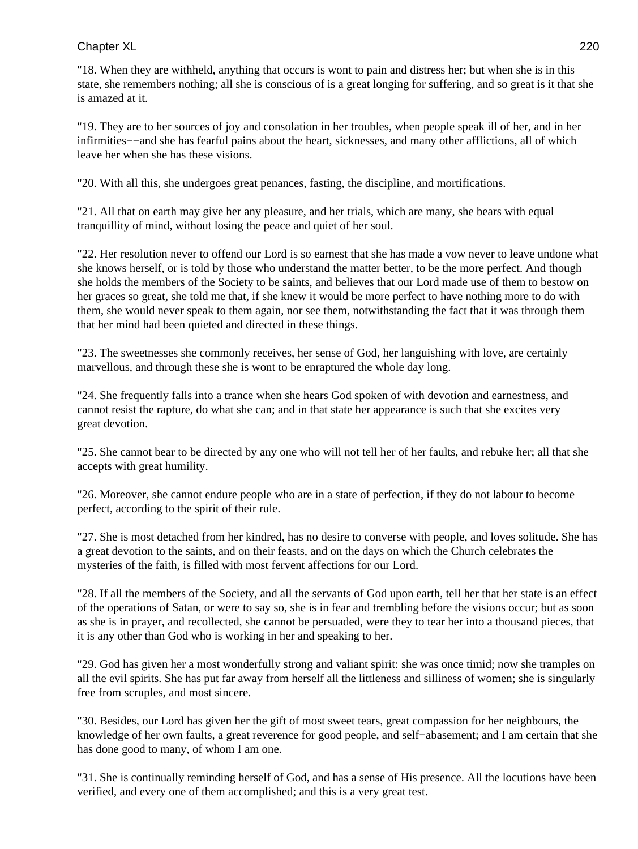"18. When they are withheld, anything that occurs is wont to pain and distress her; but when she is in this state, she remembers nothing; all she is conscious of is a great longing for suffering, and so great is it that she is amazed at it.

"19. They are to her sources of joy and consolation in her troubles, when people speak ill of her, and in her infirmities−−and she has fearful pains about the heart, sicknesses, and many other afflictions, all of which leave her when she has these visions.

"20. With all this, she undergoes great penances, fasting, the discipline, and mortifications.

"21. All that on earth may give her any pleasure, and her trials, which are many, she bears with equal tranquillity of mind, without losing the peace and quiet of her soul.

"22. Her resolution never to offend our Lord is so earnest that she has made a vow never to leave undone what she knows herself, or is told by those who understand the matter better, to be the more perfect. And though she holds the members of the Society to be saints, and believes that our Lord made use of them to bestow on her graces so great, she told me that, if she knew it would be more perfect to have nothing more to do with them, she would never speak to them again, nor see them, notwithstanding the fact that it was through them that her mind had been quieted and directed in these things.

"23. The sweetnesses she commonly receives, her sense of God, her languishing with love, are certainly marvellous, and through these she is wont to be enraptured the whole day long.

"24. She frequently falls into a trance when she hears God spoken of with devotion and earnestness, and cannot resist the rapture, do what she can; and in that state her appearance is such that she excites very great devotion.

"25. She cannot bear to be directed by any one who will not tell her of her faults, and rebuke her; all that she accepts with great humility.

"26. Moreover, she cannot endure people who are in a state of perfection, if they do not labour to become perfect, according to the spirit of their rule.

"27. She is most detached from her kindred, has no desire to converse with people, and loves solitude. She has a great devotion to the saints, and on their feasts, and on the days on which the Church celebrates the mysteries of the faith, is filled with most fervent affections for our Lord.

"28. If all the members of the Society, and all the servants of God upon earth, tell her that her state is an effect of the operations of Satan, or were to say so, she is in fear and trembling before the visions occur; but as soon as she is in prayer, and recollected, she cannot be persuaded, were they to tear her into a thousand pieces, that it is any other than God who is working in her and speaking to her.

"29. God has given her a most wonderfully strong and valiant spirit: she was once timid; now she tramples on all the evil spirits. She has put far away from herself all the littleness and silliness of women; she is singularly free from scruples, and most sincere.

"30. Besides, our Lord has given her the gift of most sweet tears, great compassion for her neighbours, the knowledge of her own faults, a great reverence for good people, and self−abasement; and I am certain that she has done good to many, of whom I am one.

"31. She is continually reminding herself of God, and has a sense of His presence. All the locutions have been verified, and every one of them accomplished; and this is a very great test.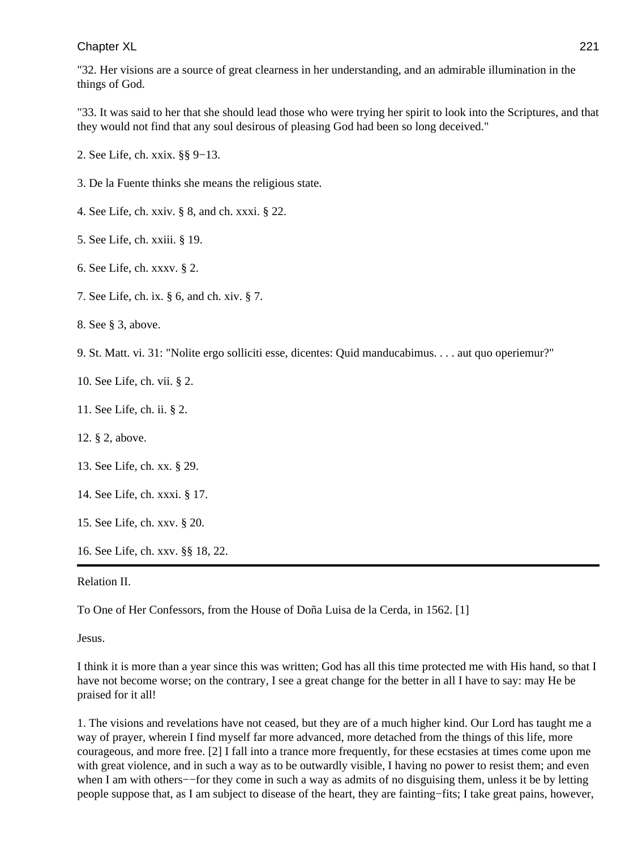"32. Her visions are a source of great clearness in her understanding, and an admirable illumination in the things of God.

"33. It was said to her that she should lead those who were trying her spirit to look into the Scriptures, and that they would not find that any soul desirous of pleasing God had been so long deceived."

2. See Life, ch. xxix. §§ 9−13.

3. De la Fuente thinks she means the religious state.

4. See Life, ch. xxiv. § 8, and ch. xxxi. § 22.

5. See Life, ch. xxiii. § 19.

6. See Life, ch. xxxv. § 2.

7. See Life, ch. ix. § 6, and ch. xiv. § 7.

8. See § 3, above.

9. St. Matt. vi. 31: "Nolite ergo solliciti esse, dicentes: Quid manducabimus. . . . aut quo operiemur?"

10. See Life, ch. vii. § 2.

11. See Life, ch. ii. § 2.

12. § 2, above.

13. See Life, ch. xx. § 29.

14. See Life, ch. xxxi. § 17.

15. See Life, ch. xxv. § 20.

16. See Life, ch. xxv. §§ 18, 22.

#### Relation II.

To One of Her Confessors, from the House of Doña Luisa de la Cerda, in 1562. [1]

Jesus.

I think it is more than a year since this was written; God has all this time protected me with His hand, so that I have not become worse; on the contrary, I see a great change for the better in all I have to say: may He be praised for it all!

1. The visions and revelations have not ceased, but they are of a much higher kind. Our Lord has taught me a way of prayer, wherein I find myself far more advanced, more detached from the things of this life, more courageous, and more free. [2] I fall into a trance more frequently, for these ecstasies at times come upon me with great violence, and in such a way as to be outwardly visible, I having no power to resist them; and even when I am with others–−for they come in such a way as admits of no disguising them, unless it be by letting people suppose that, as I am subject to disease of the heart, they are fainting−fits; I take great pains, however,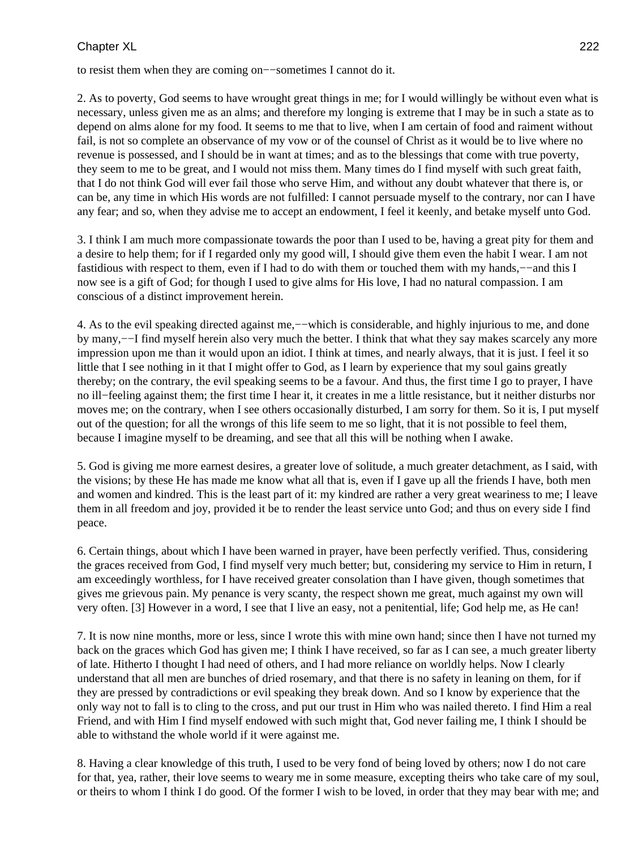to resist them when they are coming on−−sometimes I cannot do it.

2. As to poverty, God seems to have wrought great things in me; for I would willingly be without even what is necessary, unless given me as an alms; and therefore my longing is extreme that I may be in such a state as to depend on alms alone for my food. It seems to me that to live, when I am certain of food and raiment without fail, is not so complete an observance of my vow or of the counsel of Christ as it would be to live where no revenue is possessed, and I should be in want at times; and as to the blessings that come with true poverty, they seem to me to be great, and I would not miss them. Many times do I find myself with such great faith, that I do not think God will ever fail those who serve Him, and without any doubt whatever that there is, or can be, any time in which His words are not fulfilled: I cannot persuade myself to the contrary, nor can I have any fear; and so, when they advise me to accept an endowment, I feel it keenly, and betake myself unto God.

3. I think I am much more compassionate towards the poor than I used to be, having a great pity for them and a desire to help them; for if I regarded only my good will, I should give them even the habit I wear. I am not fastidious with respect to them, even if I had to do with them or touched them with my hands,−−and this I now see is a gift of God; for though I used to give alms for His love, I had no natural compassion. I am conscious of a distinct improvement herein.

4. As to the evil speaking directed against me,−−which is considerable, and highly injurious to me, and done by many,−−I find myself herein also very much the better. I think that what they say makes scarcely any more impression upon me than it would upon an idiot. I think at times, and nearly always, that it is just. I feel it so little that I see nothing in it that I might offer to God, as I learn by experience that my soul gains greatly thereby; on the contrary, the evil speaking seems to be a favour. And thus, the first time I go to prayer, I have no ill−feeling against them; the first time I hear it, it creates in me a little resistance, but it neither disturbs nor moves me; on the contrary, when I see others occasionally disturbed, I am sorry for them. So it is, I put myself out of the question; for all the wrongs of this life seem to me so light, that it is not possible to feel them, because I imagine myself to be dreaming, and see that all this will be nothing when I awake.

5. God is giving me more earnest desires, a greater love of solitude, a much greater detachment, as I said, with the visions; by these He has made me know what all that is, even if I gave up all the friends I have, both men and women and kindred. This is the least part of it: my kindred are rather a very great weariness to me; I leave them in all freedom and joy, provided it be to render the least service unto God; and thus on every side I find peace.

6. Certain things, about which I have been warned in prayer, have been perfectly verified. Thus, considering the graces received from God, I find myself very much better; but, considering my service to Him in return, I am exceedingly worthless, for I have received greater consolation than I have given, though sometimes that gives me grievous pain. My penance is very scanty, the respect shown me great, much against my own will very often. [3] However in a word, I see that I live an easy, not a penitential, life; God help me, as He can!

7. It is now nine months, more or less, since I wrote this with mine own hand; since then I have not turned my back on the graces which God has given me; I think I have received, so far as I can see, a much greater liberty of late. Hitherto I thought I had need of others, and I had more reliance on worldly helps. Now I clearly understand that all men are bunches of dried rosemary, and that there is no safety in leaning on them, for if they are pressed by contradictions or evil speaking they break down. And so I know by experience that the only way not to fall is to cling to the cross, and put our trust in Him who was nailed thereto. I find Him a real Friend, and with Him I find myself endowed with such might that, God never failing me, I think I should be able to withstand the whole world if it were against me.

8. Having a clear knowledge of this truth, I used to be very fond of being loved by others; now I do not care for that, yea, rather, their love seems to weary me in some measure, excepting theirs who take care of my soul, or theirs to whom I think I do good. Of the former I wish to be loved, in order that they may bear with me; and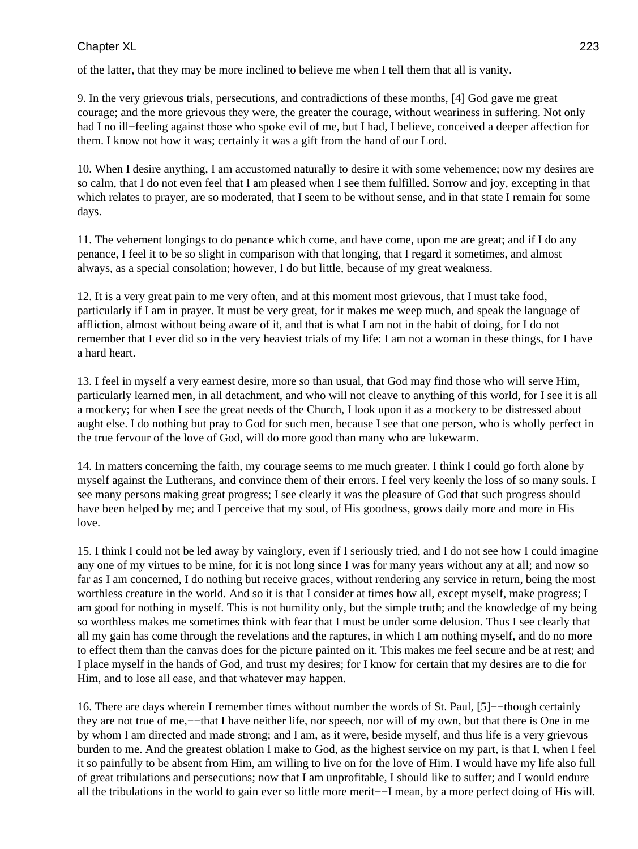of the latter, that they may be more inclined to believe me when I tell them that all is vanity.

9. In the very grievous trials, persecutions, and contradictions of these months, [4] God gave me great courage; and the more grievous they were, the greater the courage, without weariness in suffering. Not only had I no ill−feeling against those who spoke evil of me, but I had, I believe, conceived a deeper affection for them. I know not how it was; certainly it was a gift from the hand of our Lord.

10. When I desire anything, I am accustomed naturally to desire it with some vehemence; now my desires are so calm, that I do not even feel that I am pleased when I see them fulfilled. Sorrow and joy, excepting in that which relates to prayer, are so moderated, that I seem to be without sense, and in that state I remain for some days.

11. The vehement longings to do penance which come, and have come, upon me are great; and if I do any penance, I feel it to be so slight in comparison with that longing, that I regard it sometimes, and almost always, as a special consolation; however, I do but little, because of my great weakness.

12. It is a very great pain to me very often, and at this moment most grievous, that I must take food, particularly if I am in prayer. It must be very great, for it makes me weep much, and speak the language of affliction, almost without being aware of it, and that is what I am not in the habit of doing, for I do not remember that I ever did so in the very heaviest trials of my life: I am not a woman in these things, for I have a hard heart.

13. I feel in myself a very earnest desire, more so than usual, that God may find those who will serve Him, particularly learned men, in all detachment, and who will not cleave to anything of this world, for I see it is all a mockery; for when I see the great needs of the Church, I look upon it as a mockery to be distressed about aught else. I do nothing but pray to God for such men, because I see that one person, who is wholly perfect in the true fervour of the love of God, will do more good than many who are lukewarm.

14. In matters concerning the faith, my courage seems to me much greater. I think I could go forth alone by myself against the Lutherans, and convince them of their errors. I feel very keenly the loss of so many souls. I see many persons making great progress; I see clearly it was the pleasure of God that such progress should have been helped by me; and I perceive that my soul, of His goodness, grows daily more and more in His love.

15. I think I could not be led away by vainglory, even if I seriously tried, and I do not see how I could imagine any one of my virtues to be mine, for it is not long since I was for many years without any at all; and now so far as I am concerned, I do nothing but receive graces, without rendering any service in return, being the most worthless creature in the world. And so it is that I consider at times how all, except myself, make progress; I am good for nothing in myself. This is not humility only, but the simple truth; and the knowledge of my being so worthless makes me sometimes think with fear that I must be under some delusion. Thus I see clearly that all my gain has come through the revelations and the raptures, in which I am nothing myself, and do no more to effect them than the canvas does for the picture painted on it. This makes me feel secure and be at rest; and I place myself in the hands of God, and trust my desires; for I know for certain that my desires are to die for Him, and to lose all ease, and that whatever may happen.

16. There are days wherein I remember times without number the words of St. Paul, [5]−−though certainly they are not true of me,−−that I have neither life, nor speech, nor will of my own, but that there is One in me by whom I am directed and made strong; and I am, as it were, beside myself, and thus life is a very grievous burden to me. And the greatest oblation I make to God, as the highest service on my part, is that I, when I feel it so painfully to be absent from Him, am willing to live on for the love of Him. I would have my life also full of great tribulations and persecutions; now that I am unprofitable, I should like to suffer; and I would endure all the tribulations in the world to gain ever so little more merit−−I mean, by a more perfect doing of His will.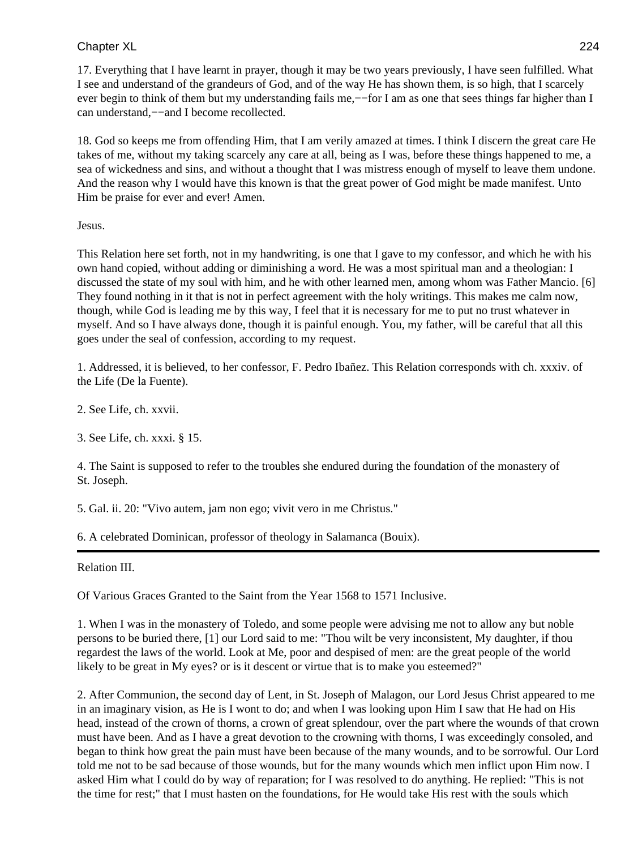17. Everything that I have learnt in prayer, though it may be two years previously, I have seen fulfilled. What I see and understand of the grandeurs of God, and of the way He has shown them, is so high, that I scarcely ever begin to think of them but my understanding fails me,—–for I am as one that sees things far higher than I can understand,−−and I become recollected.

18. God so keeps me from offending Him, that I am verily amazed at times. I think I discern the great care He takes of me, without my taking scarcely any care at all, being as I was, before these things happened to me, a sea of wickedness and sins, and without a thought that I was mistress enough of myself to leave them undone. And the reason why I would have this known is that the great power of God might be made manifest. Unto Him be praise for ever and ever! Amen.

### Jesus.

This Relation here set forth, not in my handwriting, is one that I gave to my confessor, and which he with his own hand copied, without adding or diminishing a word. He was a most spiritual man and a theologian: I discussed the state of my soul with him, and he with other learned men, among whom was Father Mancio. [6] They found nothing in it that is not in perfect agreement with the holy writings. This makes me calm now, though, while God is leading me by this way, I feel that it is necessary for me to put no trust whatever in myself. And so I have always done, though it is painful enough. You, my father, will be careful that all this goes under the seal of confession, according to my request.

1. Addressed, it is believed, to her confessor, F. Pedro Ibañez. This Relation corresponds with ch. xxxiv. of the Life (De la Fuente).

2. See Life, ch. xxvii.

3. See Life, ch. xxxi. § 15.

4. The Saint is supposed to refer to the troubles she endured during the foundation of the monastery of St. Joseph.

5. Gal. ii. 20: "Vivo autem, jam non ego; vivit vero in me Christus."

6. A celebrated Dominican, professor of theology in Salamanca (Bouix).

Relation III.

Of Various Graces Granted to the Saint from the Year 1568 to 1571 Inclusive.

1. When I was in the monastery of Toledo, and some people were advising me not to allow any but noble persons to be buried there, [1] our Lord said to me: "Thou wilt be very inconsistent, My daughter, if thou regardest the laws of the world. Look at Me, poor and despised of men: are the great people of the world likely to be great in My eyes? or is it descent or virtue that is to make you esteemed?"

2. After Communion, the second day of Lent, in St. Joseph of Malagon, our Lord Jesus Christ appeared to me in an imaginary vision, as He is I wont to do; and when I was looking upon Him I saw that He had on His head, instead of the crown of thorns, a crown of great splendour, over the part where the wounds of that crown must have been. And as I have a great devotion to the crowning with thorns, I was exceedingly consoled, and began to think how great the pain must have been because of the many wounds, and to be sorrowful. Our Lord told me not to be sad because of those wounds, but for the many wounds which men inflict upon Him now. I asked Him what I could do by way of reparation; for I was resolved to do anything. He replied: "This is not the time for rest;" that I must hasten on the foundations, for He would take His rest with the souls which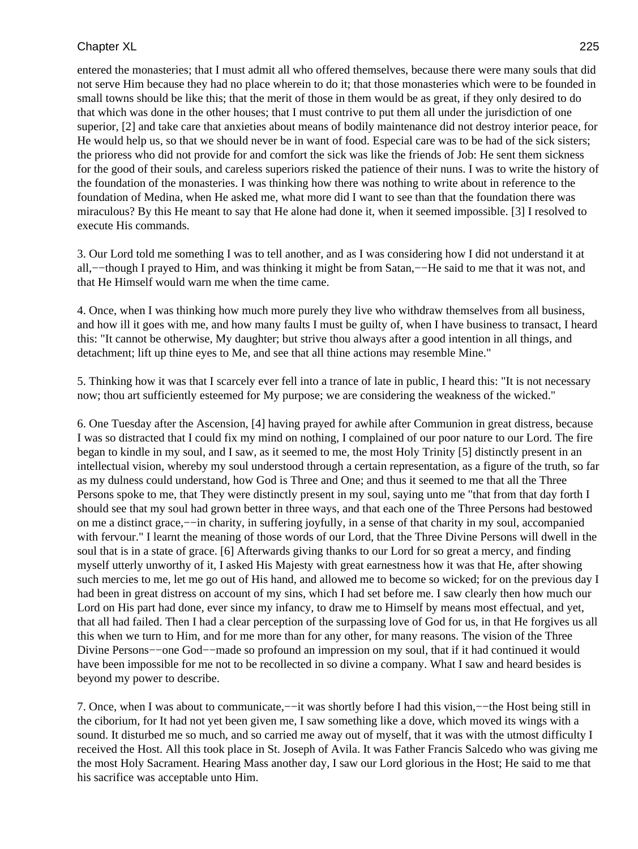entered the monasteries; that I must admit all who offered themselves, because there were many souls that did not serve Him because they had no place wherein to do it; that those monasteries which were to be founded in small towns should be like this; that the merit of those in them would be as great, if they only desired to do that which was done in the other houses; that I must contrive to put them all under the jurisdiction of one superior, [2] and take care that anxieties about means of bodily maintenance did not destroy interior peace, for He would help us, so that we should never be in want of food. Especial care was to be had of the sick sisters; the prioress who did not provide for and comfort the sick was like the friends of Job: He sent them sickness for the good of their souls, and careless superiors risked the patience of their nuns. I was to write the history of the foundation of the monasteries. I was thinking how there was nothing to write about in reference to the foundation of Medina, when He asked me, what more did I want to see than that the foundation there was miraculous? By this He meant to say that He alone had done it, when it seemed impossible. [3] I resolved to execute His commands.

3. Our Lord told me something I was to tell another, and as I was considering how I did not understand it at all,−−though I prayed to Him, and was thinking it might be from Satan,−−He said to me that it was not, and that He Himself would warn me when the time came.

4. Once, when I was thinking how much more purely they live who withdraw themselves from all business, and how ill it goes with me, and how many faults I must be guilty of, when I have business to transact, I heard this: "It cannot be otherwise, My daughter; but strive thou always after a good intention in all things, and detachment; lift up thine eyes to Me, and see that all thine actions may resemble Mine."

5. Thinking how it was that I scarcely ever fell into a trance of late in public, I heard this: "It is not necessary now; thou art sufficiently esteemed for My purpose; we are considering the weakness of the wicked."

6. One Tuesday after the Ascension, [4] having prayed for awhile after Communion in great distress, because I was so distracted that I could fix my mind on nothing, I complained of our poor nature to our Lord. The fire began to kindle in my soul, and I saw, as it seemed to me, the most Holy Trinity [5] distinctly present in an intellectual vision, whereby my soul understood through a certain representation, as a figure of the truth, so far as my dulness could understand, how God is Three and One; and thus it seemed to me that all the Three Persons spoke to me, that They were distinctly present in my soul, saying unto me "that from that day forth I should see that my soul had grown better in three ways, and that each one of the Three Persons had bestowed on me a distinct grace,−−in charity, in suffering joyfully, in a sense of that charity in my soul, accompanied with fervour." I learnt the meaning of those words of our Lord, that the Three Divine Persons will dwell in the soul that is in a state of grace. [6] Afterwards giving thanks to our Lord for so great a mercy, and finding myself utterly unworthy of it, I asked His Majesty with great earnestness how it was that He, after showing such mercies to me, let me go out of His hand, and allowed me to become so wicked; for on the previous day I had been in great distress on account of my sins, which I had set before me. I saw clearly then how much our Lord on His part had done, ever since my infancy, to draw me to Himself by means most effectual, and yet, that all had failed. Then I had a clear perception of the surpassing love of God for us, in that He forgives us all this when we turn to Him, and for me more than for any other, for many reasons. The vision of the Three Divine Persons−−one God−−made so profound an impression on my soul, that if it had continued it would have been impossible for me not to be recollected in so divine a company. What I saw and heard besides is beyond my power to describe.

7. Once, when I was about to communicate,−−it was shortly before I had this vision,−−the Host being still in the ciborium, for It had not yet been given me, I saw something like a dove, which moved its wings with a sound. It disturbed me so much, and so carried me away out of myself, that it was with the utmost difficulty I received the Host. All this took place in St. Joseph of Avila. It was Father Francis Salcedo who was giving me the most Holy Sacrament. Hearing Mass another day, I saw our Lord glorious in the Host; He said to me that his sacrifice was acceptable unto Him.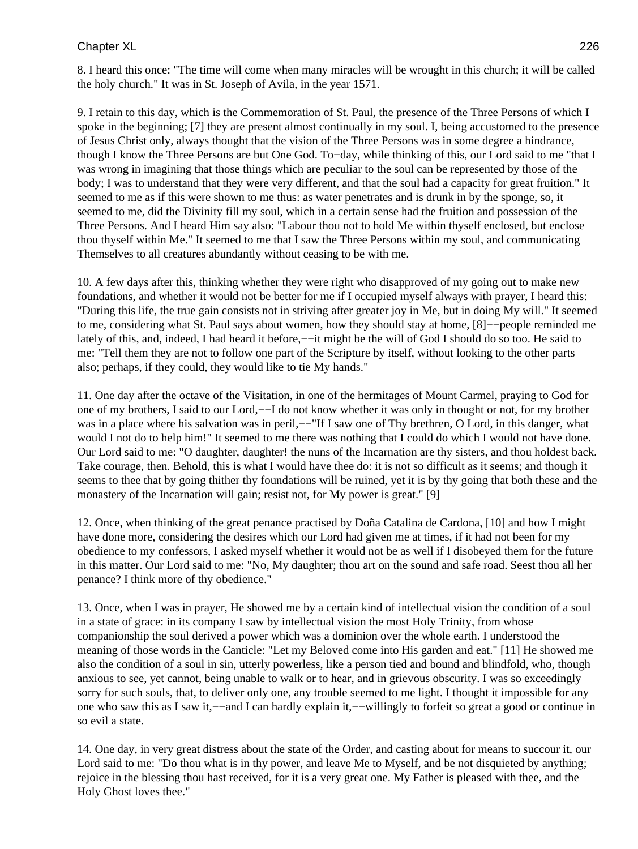8. I heard this once: "The time will come when many miracles will be wrought in this church; it will be called the holy church." It was in St. Joseph of Avila, in the year 1571.

9. I retain to this day, which is the Commemoration of St. Paul, the presence of the Three Persons of which I spoke in the beginning; [7] they are present almost continually in my soul. I, being accustomed to the presence of Jesus Christ only, always thought that the vision of the Three Persons was in some degree a hindrance, though I know the Three Persons are but One God. To−day, while thinking of this, our Lord said to me "that I was wrong in imagining that those things which are peculiar to the soul can be represented by those of the body; I was to understand that they were very different, and that the soul had a capacity for great fruition." It seemed to me as if this were shown to me thus: as water penetrates and is drunk in by the sponge, so, it seemed to me, did the Divinity fill my soul, which in a certain sense had the fruition and possession of the Three Persons. And I heard Him say also: "Labour thou not to hold Me within thyself enclosed, but enclose thou thyself within Me." It seemed to me that I saw the Three Persons within my soul, and communicating Themselves to all creatures abundantly without ceasing to be with me.

10. A few days after this, thinking whether they were right who disapproved of my going out to make new foundations, and whether it would not be better for me if I occupied myself always with prayer, I heard this: "During this life, the true gain consists not in striving after greater joy in Me, but in doing My will." It seemed to me, considering what St. Paul says about women, how they should stay at home, [8]−−people reminded me lately of this, and, indeed, I had heard it before,−−it might be the will of God I should do so too. He said to me: "Tell them they are not to follow one part of the Scripture by itself, without looking to the other parts also; perhaps, if they could, they would like to tie My hands."

11. One day after the octave of the Visitation, in one of the hermitages of Mount Carmel, praying to God for one of my brothers, I said to our Lord,−−I do not know whether it was only in thought or not, for my brother was in a place where his salvation was in peril,—−"If I saw one of Thy brethren, O Lord, in this danger, what would I not do to help him!" It seemed to me there was nothing that I could do which I would not have done. Our Lord said to me: "O daughter, daughter! the nuns of the Incarnation are thy sisters, and thou holdest back. Take courage, then. Behold, this is what I would have thee do: it is not so difficult as it seems; and though it seems to thee that by going thither thy foundations will be ruined, yet it is by thy going that both these and the monastery of the Incarnation will gain; resist not, for My power is great." [9]

12. Once, when thinking of the great penance practised by Doña Catalina de Cardona, [10] and how I might have done more, considering the desires which our Lord had given me at times, if it had not been for my obedience to my confessors, I asked myself whether it would not be as well if I disobeyed them for the future in this matter. Our Lord said to me: "No, My daughter; thou art on the sound and safe road. Seest thou all her penance? I think more of thy obedience."

13. Once, when I was in prayer, He showed me by a certain kind of intellectual vision the condition of a soul in a state of grace: in its company I saw by intellectual vision the most Holy Trinity, from whose companionship the soul derived a power which was a dominion over the whole earth. I understood the meaning of those words in the Canticle: "Let my Beloved come into His garden and eat." [11] He showed me also the condition of a soul in sin, utterly powerless, like a person tied and bound and blindfold, who, though anxious to see, yet cannot, being unable to walk or to hear, and in grievous obscurity. I was so exceedingly sorry for such souls, that, to deliver only one, any trouble seemed to me light. I thought it impossible for any one who saw this as I saw it,−−and I can hardly explain it,−−willingly to forfeit so great a good or continue in so evil a state.

14. One day, in very great distress about the state of the Order, and casting about for means to succour it, our Lord said to me: "Do thou what is in thy power, and leave Me to Myself, and be not disquieted by anything; rejoice in the blessing thou hast received, for it is a very great one. My Father is pleased with thee, and the Holy Ghost loves thee."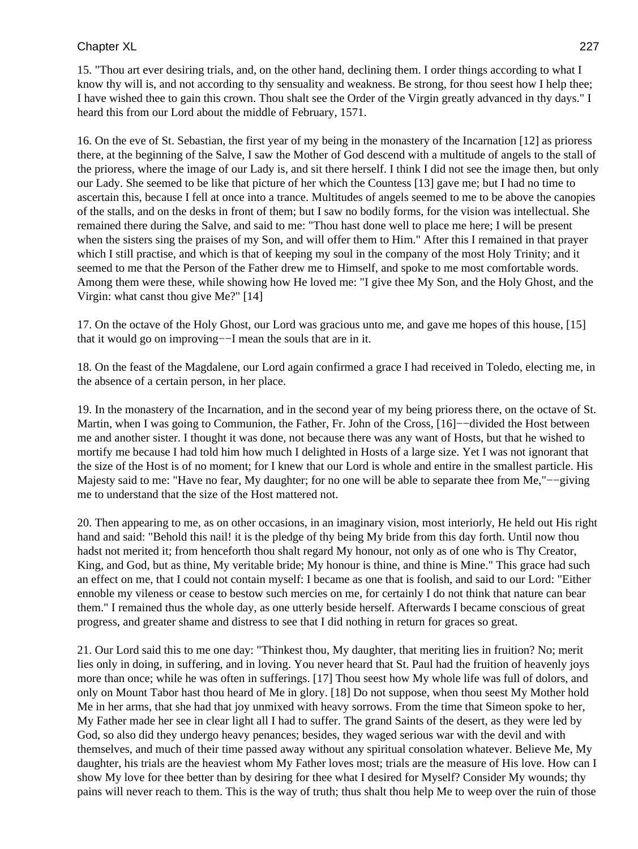15. "Thou art ever desiring trials, and, on the other hand, declining them. I order things according to what I know thy will is, and not according to thy sensuality and weakness. Be strong, for thou seest how I help thee; I have wished thee to gain this crown. Thou shalt see the Order of the Virgin greatly advanced in thy days." I heard this from our Lord about the middle of February, 1571.

16. On the eve of St. Sebastian, the first year of my being in the monastery of the Incarnation [12] as prioress there, at the beginning of the Salve, I saw the Mother of God descend with a multitude of angels to the stall of the prioress, where the image of our Lady is, and sit there herself. I think I did not see the image then, but only our Lady. She seemed to be like that picture of her which the Countess [13] gave me; but I had no time to ascertain this, because I fell at once into a trance. Multitudes of angels seemed to me to be above the canopies of the stalls, and on the desks in front of them; but I saw no bodily forms, for the vision was intellectual. She remained there during the Salve, and said to me: "Thou hast done well to place me here; I will be present when the sisters sing the praises of my Son, and will offer them to Him." After this I remained in that prayer which I still practise, and which is that of keeping my soul in the company of the most Holy Trinity; and it seemed to me that the Person of the Father drew me to Himself, and spoke to me most comfortable words. Among them were these, while showing how He loved me: "I give thee My Son, and the Holy Ghost, and the Virgin: what canst thou give Me?" [14]

17. On the octave of the Holy Ghost, our Lord was gracious unto me, and gave me hopes of this house, [15] that it would go on improving−−I mean the souls that are in it.

18. On the feast of the Magdalene, our Lord again confirmed a grace I had received in Toledo, electing me, in the absence of a certain person, in her place.

19. In the monastery of the Incarnation, and in the second year of my being prioress there, on the octave of St. Martin, when I was going to Communion, the Father, Fr. John of the Cross, [16]−−divided the Host between me and another sister. I thought it was done, not because there was any want of Hosts, but that he wished to mortify me because I had told him how much I delighted in Hosts of a large size. Yet I was not ignorant that the size of the Host is of no moment; for I knew that our Lord is whole and entire in the smallest particle. His Majesty said to me: "Have no fear, My daughter; for no one will be able to separate thee from Me,"−−giving me to understand that the size of the Host mattered not.

20. Then appearing to me, as on other occasions, in an imaginary vision, most interiorly, He held out His right hand and said: "Behold this nail! it is the pledge of thy being My bride from this day forth. Until now thou hadst not merited it; from henceforth thou shalt regard My honour, not only as of one who is Thy Creator, King, and God, but as thine, My veritable bride; My honour is thine, and thine is Mine." This grace had such an effect on me, that I could not contain myself: I became as one that is foolish, and said to our Lord: "Either ennoble my vileness or cease to bestow such mercies on me, for certainly I do not think that nature can bear them." I remained thus the whole day, as one utterly beside herself. Afterwards I became conscious of great progress, and greater shame and distress to see that I did nothing in return for graces so great.

21. Our Lord said this to me one day: "Thinkest thou, My daughter, that meriting lies in fruition? No; merit lies only in doing, in suffering, and in loving. You never heard that St. Paul had the fruition of heavenly joys more than once; while he was often in sufferings. [17] Thou seest how My whole life was full of dolors, and only on Mount Tabor hast thou heard of Me in glory. [18] Do not suppose, when thou seest My Mother hold Me in her arms, that she had that joy unmixed with heavy sorrows. From the time that Simeon spoke to her, My Father made her see in clear light all I had to suffer. The grand Saints of the desert, as they were led by God, so also did they undergo heavy penances; besides, they waged serious war with the devil and with themselves, and much of their time passed away without any spiritual consolation whatever. Believe Me, My daughter, his trials are the heaviest whom My Father loves most; trials are the measure of His love. How can I show My love for thee better than by desiring for thee what I desired for Myself? Consider My wounds; thy pains will never reach to them. This is the way of truth; thus shalt thou help Me to weep over the ruin of those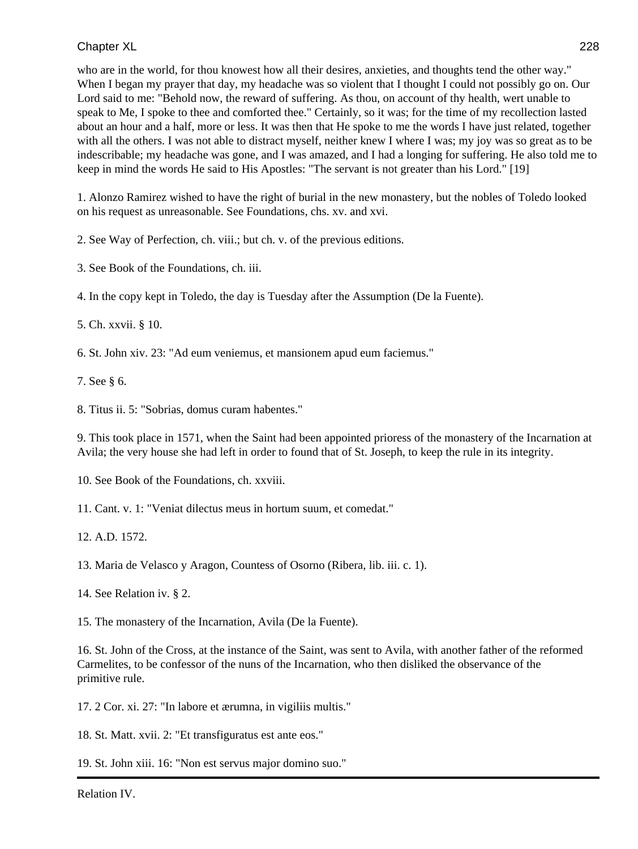who are in the world, for thou knowest how all their desires, anxieties, and thoughts tend the other way." When I began my prayer that day, my headache was so violent that I thought I could not possibly go on. Our Lord said to me: "Behold now, the reward of suffering. As thou, on account of thy health, wert unable to speak to Me, I spoke to thee and comforted thee." Certainly, so it was; for the time of my recollection lasted about an hour and a half, more or less. It was then that He spoke to me the words I have just related, together with all the others. I was not able to distract myself, neither knew I where I was; my joy was so great as to be indescribable; my headache was gone, and I was amazed, and I had a longing for suffering. He also told me to keep in mind the words He said to His Apostles: "The servant is not greater than his Lord." [19]

1. Alonzo Ramirez wished to have the right of burial in the new monastery, but the nobles of Toledo looked on his request as unreasonable. See Foundations, chs. xv. and xvi.

2. See Way of Perfection, ch. viii.; but ch. v. of the previous editions.

3. See Book of the Foundations, ch. iii.

4. In the copy kept in Toledo, the day is Tuesday after the Assumption (De la Fuente).

5. Ch. xxvii. § 10.

6. St. John xiv. 23: "Ad eum veniemus, et mansionem apud eum faciemus."

7. See § 6.

8. Titus ii. 5: "Sobrias, domus curam habentes."

9. This took place in 1571, when the Saint had been appointed prioress of the monastery of the Incarnation at Avila; the very house she had left in order to found that of St. Joseph, to keep the rule in its integrity.

10. See Book of the Foundations, ch. xxviii.

11. Cant. v. 1: "Veniat dilectus meus in hortum suum, et comedat."

12. A.D. 1572.

13. Maria de Velasco y Aragon, Countess of Osorno (Ribera, lib. iii. c. 1).

14. See Relation iv. § 2.

15. The monastery of the Incarnation, Avila (De la Fuente).

16. St. John of the Cross, at the instance of the Saint, was sent to Avila, with another father of the reformed Carmelites, to be confessor of the nuns of the Incarnation, who then disliked the observance of the primitive rule.

17. 2 Cor. xi. 27: "In labore et ærumna, in vigiliis multis."

18. St. Matt. xvii. 2: "Et transfiguratus est ante eos."

19. St. John xiii. 16: "Non est servus major domino suo."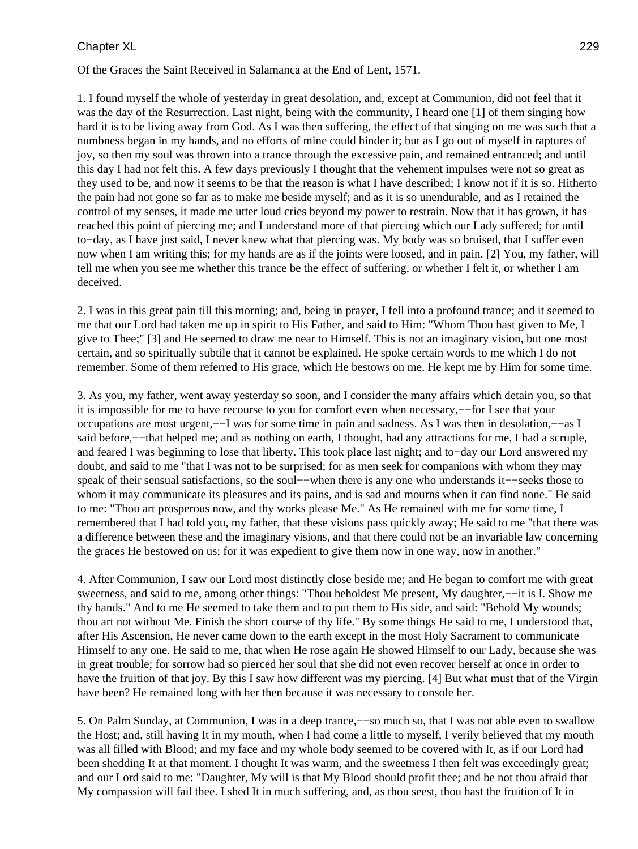Of the Graces the Saint Received in Salamanca at the End of Lent, 1571.

1. I found myself the whole of yesterday in great desolation, and, except at Communion, did not feel that it was the day of the Resurrection. Last night, being with the community, I heard one [1] of them singing how hard it is to be living away from God. As I was then suffering, the effect of that singing on me was such that a numbness began in my hands, and no efforts of mine could hinder it; but as I go out of myself in raptures of joy, so then my soul was thrown into a trance through the excessive pain, and remained entranced; and until this day I had not felt this. A few days previously I thought that the vehement impulses were not so great as they used to be, and now it seems to be that the reason is what I have described; I know not if it is so. Hitherto the pain had not gone so far as to make me beside myself; and as it is so unendurable, and as I retained the control of my senses, it made me utter loud cries beyond my power to restrain. Now that it has grown, it has reached this point of piercing me; and I understand more of that piercing which our Lady suffered; for until to−day, as I have just said, I never knew what that piercing was. My body was so bruised, that I suffer even now when I am writing this; for my hands are as if the joints were loosed, and in pain. [2] You, my father, will tell me when you see me whether this trance be the effect of suffering, or whether I felt it, or whether I am deceived.

2. I was in this great pain till this morning; and, being in prayer, I fell into a profound trance; and it seemed to me that our Lord had taken me up in spirit to His Father, and said to Him: "Whom Thou hast given to Me, I give to Thee;" [3] and He seemed to draw me near to Himself. This is not an imaginary vision, but one most certain, and so spiritually subtile that it cannot be explained. He spoke certain words to me which I do not remember. Some of them referred to His grace, which He bestows on me. He kept me by Him for some time.

3. As you, my father, went away yesterday so soon, and I consider the many affairs which detain you, so that it is impossible for me to have recourse to you for comfort even when necessary,−−for I see that your occupations are most urgent,−−I was for some time in pain and sadness. As I was then in desolation,−−as I said before,—−that helped me; and as nothing on earth, I thought, had any attractions for me, I had a scruple, and feared I was beginning to lose that liberty. This took place last night; and to−day our Lord answered my doubt, and said to me "that I was not to be surprised; for as men seek for companions with whom they may speak of their sensual satisfactions, so the soul−−when there is any one who understands it–−seeks those to whom it may communicate its pleasures and its pains, and is sad and mourns when it can find none." He said to me: "Thou art prosperous now, and thy works please Me." As He remained with me for some time, I remembered that I had told you, my father, that these visions pass quickly away; He said to me "that there was a difference between these and the imaginary visions, and that there could not be an invariable law concerning the graces He bestowed on us; for it was expedient to give them now in one way, now in another."

4. After Communion, I saw our Lord most distinctly close beside me; and He began to comfort me with great sweetness, and said to me, among other things: "Thou beholdest Me present, My daughter,--it is I. Show me thy hands." And to me He seemed to take them and to put them to His side, and said: "Behold My wounds; thou art not without Me. Finish the short course of thy life." By some things He said to me, I understood that, after His Ascension, He never came down to the earth except in the most Holy Sacrament to communicate Himself to any one. He said to me, that when He rose again He showed Himself to our Lady, because she was in great trouble; for sorrow had so pierced her soul that she did not even recover herself at once in order to have the fruition of that joy. By this I saw how different was my piercing. [4] But what must that of the Virgin have been? He remained long with her then because it was necessary to console her.

5. On Palm Sunday, at Communion, I was in a deep trance,−−so much so, that I was not able even to swallow the Host; and, still having It in my mouth, when I had come a little to myself, I verily believed that my mouth was all filled with Blood; and my face and my whole body seemed to be covered with It, as if our Lord had been shedding It at that moment. I thought It was warm, and the sweetness I then felt was exceedingly great; and our Lord said to me: "Daughter, My will is that My Blood should profit thee; and be not thou afraid that My compassion will fail thee. I shed It in much suffering, and, as thou seest, thou hast the fruition of It in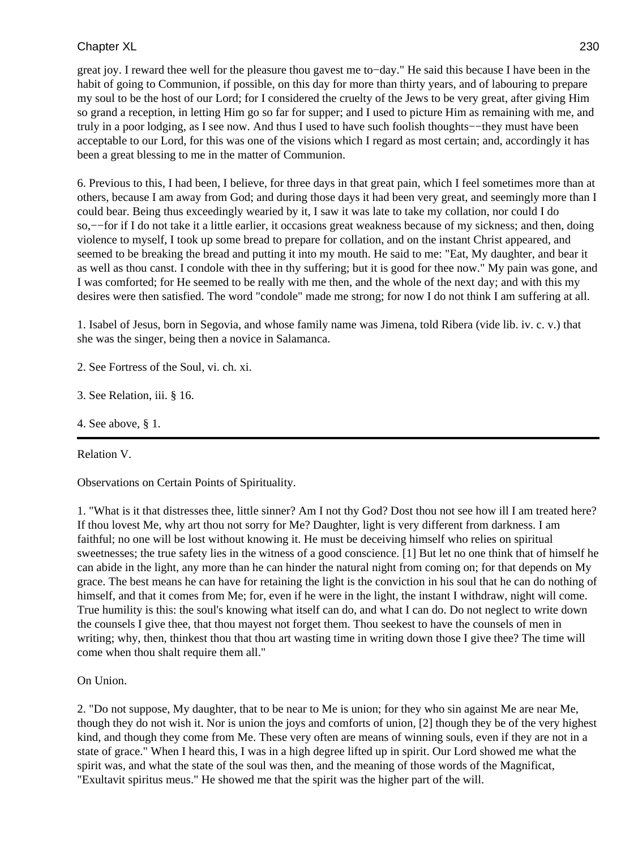great joy. I reward thee well for the pleasure thou gavest me to−day." He said this because I have been in the habit of going to Communion, if possible, on this day for more than thirty years, and of labouring to prepare my soul to be the host of our Lord; for I considered the cruelty of the Jews to be very great, after giving Him so grand a reception, in letting Him go so far for supper; and I used to picture Him as remaining with me, and truly in a poor lodging, as I see now. And thus I used to have such foolish thoughts−−they must have been acceptable to our Lord, for this was one of the visions which I regard as most certain; and, accordingly it has been a great blessing to me in the matter of Communion.

6. Previous to this, I had been, I believe, for three days in that great pain, which I feel sometimes more than at others, because I am away from God; and during those days it had been very great, and seemingly more than I could bear. Being thus exceedingly wearied by it, I saw it was late to take my collation, nor could I do so,−−for if I do not take it a little earlier, it occasions great weakness because of my sickness; and then, doing violence to myself, I took up some bread to prepare for collation, and on the instant Christ appeared, and seemed to be breaking the bread and putting it into my mouth. He said to me: "Eat, My daughter, and bear it as well as thou canst. I condole with thee in thy suffering; but it is good for thee now." My pain was gone, and I was comforted; for He seemed to be really with me then, and the whole of the next day; and with this my desires were then satisfied. The word "condole" made me strong; for now I do not think I am suffering at all.

1. Isabel of Jesus, born in Segovia, and whose family name was Jimena, told Ribera (vide lib. iv. c. v.) that she was the singer, being then a novice in Salamanca.

2. See Fortress of the Soul, vi. ch. xi.

3. See Relation, iii. § 16.

4. See above, § 1.

Relation V.

Observations on Certain Points of Spirituality.

1. "What is it that distresses thee, little sinner? Am I not thy God? Dost thou not see how ill I am treated here? If thou lovest Me, why art thou not sorry for Me? Daughter, light is very different from darkness. I am faithful; no one will be lost without knowing it. He must be deceiving himself who relies on spiritual sweetnesses; the true safety lies in the witness of a good conscience. [1] But let no one think that of himself he can abide in the light, any more than he can hinder the natural night from coming on; for that depends on My grace. The best means he can have for retaining the light is the conviction in his soul that he can do nothing of himself, and that it comes from Me; for, even if he were in the light, the instant I withdraw, night will come. True humility is this: the soul's knowing what itself can do, and what I can do. Do not neglect to write down the counsels I give thee, that thou mayest not forget them. Thou seekest to have the counsels of men in writing; why, then, thinkest thou that thou art wasting time in writing down those I give thee? The time will come when thou shalt require them all."

On Union.

2. "Do not suppose, My daughter, that to be near to Me is union; for they who sin against Me are near Me, though they do not wish it. Nor is union the joys and comforts of union, [2] though they be of the very highest kind, and though they come from Me. These very often are means of winning souls, even if they are not in a state of grace." When I heard this, I was in a high degree lifted up in spirit. Our Lord showed me what the spirit was, and what the state of the soul was then, and the meaning of those words of the Magnificat, "Exultavit spiritus meus." He showed me that the spirit was the higher part of the will.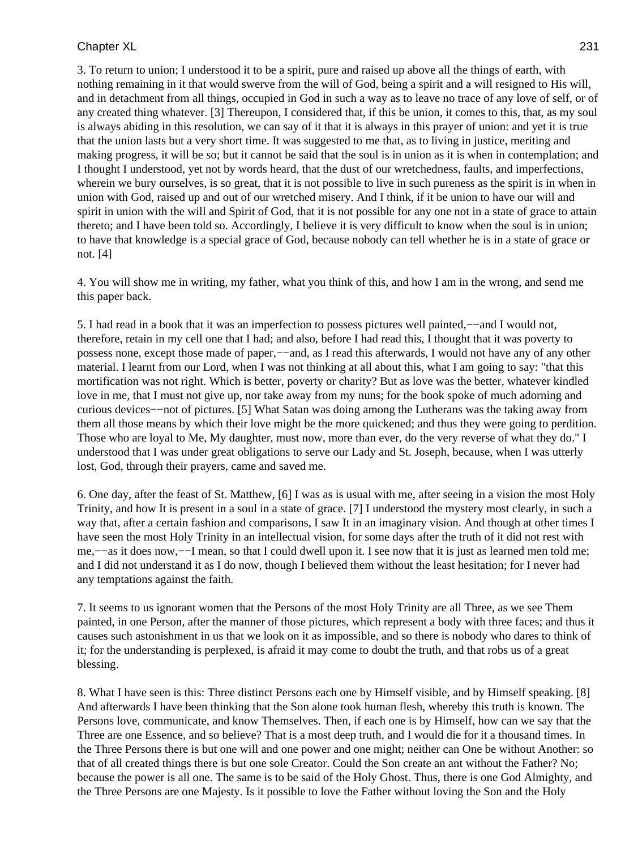3. To return to union; I understood it to be a spirit, pure and raised up above all the things of earth, with nothing remaining in it that would swerve from the will of God, being a spirit and a will resigned to His will, and in detachment from all things, occupied in God in such a way as to leave no trace of any love of self, or of any created thing whatever. [3] Thereupon, I considered that, if this be union, it comes to this, that, as my soul is always abiding in this resolution, we can say of it that it is always in this prayer of union: and yet it is true that the union lasts but a very short time. It was suggested to me that, as to living in justice, meriting and making progress, it will be so; but it cannot be said that the soul is in union as it is when in contemplation; and I thought I understood, yet not by words heard, that the dust of our wretchedness, faults, and imperfections, wherein we bury ourselves, is so great, that it is not possible to live in such pureness as the spirit is in when in union with God, raised up and out of our wretched misery. And I think, if it be union to have our will and spirit in union with the will and Spirit of God, that it is not possible for any one not in a state of grace to attain thereto; and I have been told so. Accordingly, I believe it is very difficult to know when the soul is in union; to have that knowledge is a special grace of God, because nobody can tell whether he is in a state of grace or not. [4]

4. You will show me in writing, my father, what you think of this, and how I am in the wrong, and send me this paper back.

5. I had read in a book that it was an imperfection to possess pictures well painted,−−and I would not, therefore, retain in my cell one that I had; and also, before I had read this, I thought that it was poverty to possess none, except those made of paper,—–and, as I read this afterwards, I would not have any of any other material. I learnt from our Lord, when I was not thinking at all about this, what I am going to say: "that this mortification was not right. Which is better, poverty or charity? But as love was the better, whatever kindled love in me, that I must not give up, nor take away from my nuns; for the book spoke of much adorning and curious devices−−not of pictures. [5] What Satan was doing among the Lutherans was the taking away from them all those means by which their love might be the more quickened; and thus they were going to perdition. Those who are loyal to Me, My daughter, must now, more than ever, do the very reverse of what they do." I understood that I was under great obligations to serve our Lady and St. Joseph, because, when I was utterly lost, God, through their prayers, came and saved me.

6. One day, after the feast of St. Matthew, [6] I was as is usual with me, after seeing in a vision the most Holy Trinity, and how It is present in a soul in a state of grace. [7] I understood the mystery most clearly, in such a way that, after a certain fashion and comparisons, I saw It in an imaginary vision. And though at other times I have seen the most Holy Trinity in an intellectual vision, for some days after the truth of it did not rest with me,--as it does now,--I mean, so that I could dwell upon it. I see now that it is just as learned men told me; and I did not understand it as I do now, though I believed them without the least hesitation; for I never had any temptations against the faith.

7. It seems to us ignorant women that the Persons of the most Holy Trinity are all Three, as we see Them painted, in one Person, after the manner of those pictures, which represent a body with three faces; and thus it causes such astonishment in us that we look on it as impossible, and so there is nobody who dares to think of it; for the understanding is perplexed, is afraid it may come to doubt the truth, and that robs us of a great blessing.

8. What I have seen is this: Three distinct Persons each one by Himself visible, and by Himself speaking. [8] And afterwards I have been thinking that the Son alone took human flesh, whereby this truth is known. The Persons love, communicate, and know Themselves. Then, if each one is by Himself, how can we say that the Three are one Essence, and so believe? That is a most deep truth, and I would die for it a thousand times. In the Three Persons there is but one will and one power and one might; neither can One be without Another: so that of all created things there is but one sole Creator. Could the Son create an ant without the Father? No; because the power is all one. The same is to be said of the Holy Ghost. Thus, there is one God Almighty, and the Three Persons are one Majesty. Is it possible to love the Father without loving the Son and the Holy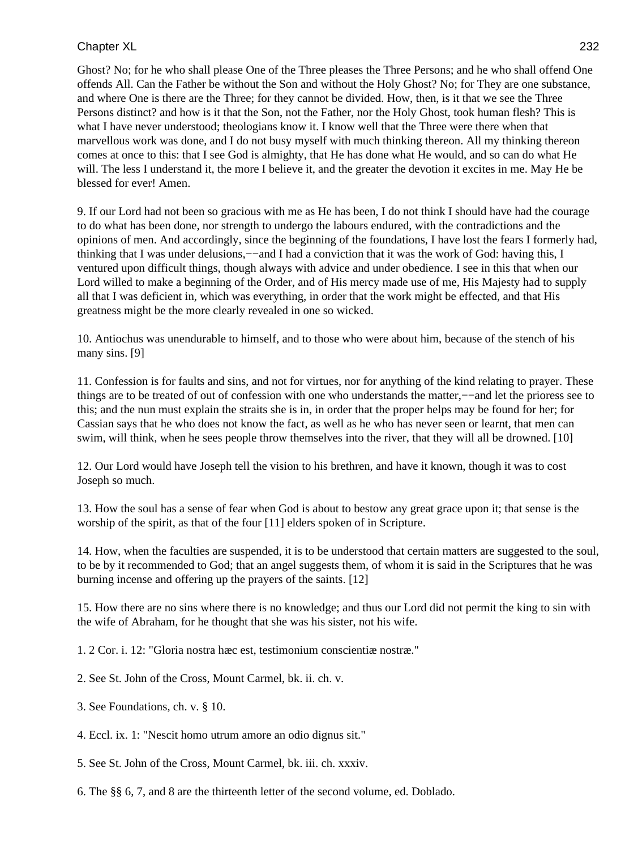Ghost? No; for he who shall please One of the Three pleases the Three Persons; and he who shall offend One offends All. Can the Father be without the Son and without the Holy Ghost? No; for They are one substance, and where One is there are the Three; for they cannot be divided. How, then, is it that we see the Three Persons distinct? and how is it that the Son, not the Father, nor the Holy Ghost, took human flesh? This is what I have never understood; theologians know it. I know well that the Three were there when that marvellous work was done, and I do not busy myself with much thinking thereon. All my thinking thereon comes at once to this: that I see God is almighty, that He has done what He would, and so can do what He will. The less I understand it, the more I believe it, and the greater the devotion it excites in me. May He be blessed for ever! Amen.

9. If our Lord had not been so gracious with me as He has been, I do not think I should have had the courage to do what has been done, nor strength to undergo the labours endured, with the contradictions and the opinions of men. And accordingly, since the beginning of the foundations, I have lost the fears I formerly had, thinking that I was under delusions,−−and I had a conviction that it was the work of God: having this, I ventured upon difficult things, though always with advice and under obedience. I see in this that when our Lord willed to make a beginning of the Order, and of His mercy made use of me, His Majesty had to supply all that I was deficient in, which was everything, in order that the work might be effected, and that His greatness might be the more clearly revealed in one so wicked.

10. Antiochus was unendurable to himself, and to those who were about him, because of the stench of his many sins. [9]

11. Confession is for faults and sins, and not for virtues, nor for anything of the kind relating to prayer. These things are to be treated of out of confession with one who understands the matter,−−and let the prioress see to this; and the nun must explain the straits she is in, in order that the proper helps may be found for her; for Cassian says that he who does not know the fact, as well as he who has never seen or learnt, that men can swim, will think, when he sees people throw themselves into the river, that they will all be drowned. [10]

12. Our Lord would have Joseph tell the vision to his brethren, and have it known, though it was to cost Joseph so much.

13. How the soul has a sense of fear when God is about to bestow any great grace upon it; that sense is the worship of the spirit, as that of the four [11] elders spoken of in Scripture.

14. How, when the faculties are suspended, it is to be understood that certain matters are suggested to the soul, to be by it recommended to God; that an angel suggests them, of whom it is said in the Scriptures that he was burning incense and offering up the prayers of the saints. [12]

15. How there are no sins where there is no knowledge; and thus our Lord did not permit the king to sin with the wife of Abraham, for he thought that she was his sister, not his wife.

1. 2 Cor. i. 12: "Gloria nostra hæc est, testimonium conscientiæ nostræ."

- 2. See St. John of the Cross, Mount Carmel, bk. ii. ch. v.
- 3. See Foundations, ch. v. § 10.
- 4. Eccl. ix. 1: "Nescit homo utrum amore an odio dignus sit."
- 5. See St. John of the Cross, Mount Carmel, bk. iii. ch. xxxiv.
- 6. The §§ 6, 7, and 8 are the thirteenth letter of the second volume, ed. Doblado.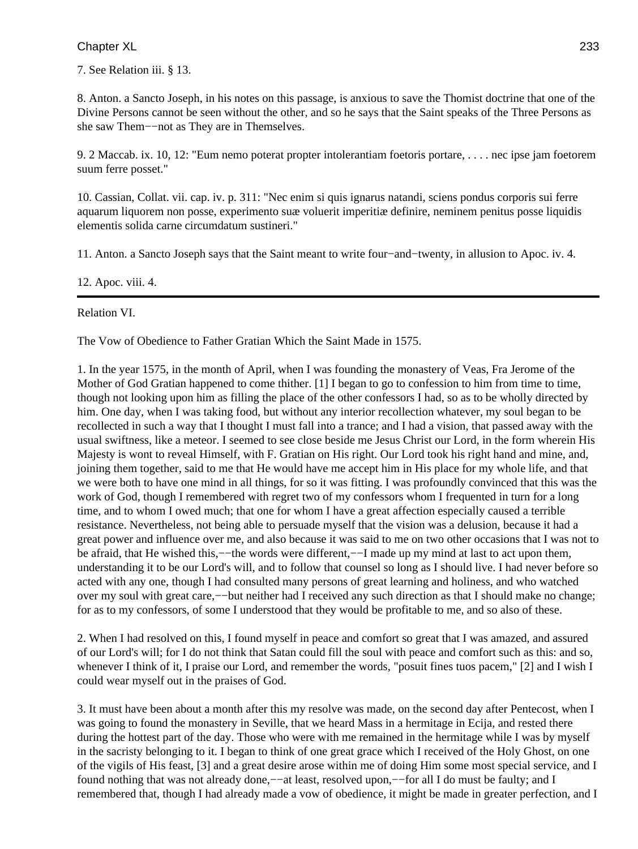7. See Relation iii. § 13.

8. Anton. a Sancto Joseph, in his notes on this passage, is anxious to save the Thomist doctrine that one of the Divine Persons cannot be seen without the other, and so he says that the Saint speaks of the Three Persons as she saw Them−−not as They are in Themselves.

9. 2 Maccab. ix. 10, 12: "Eum nemo poterat propter intolerantiam foetoris portare, . . . . nec ipse jam foetorem suum ferre posset."

10. Cassian, Collat. vii. cap. iv. p. 311: "Nec enim si quis ignarus natandi, sciens pondus corporis sui ferre aquarum liquorem non posse, experimento suæ voluerit imperitiæ definire, neminem penitus posse liquidis elementis solida carne circumdatum sustineri."

11. Anton. a Sancto Joseph says that the Saint meant to write four−and−twenty, in allusion to Apoc. iv. 4.

12. Apoc. viii. 4.

Relation VI.

The Vow of Obedience to Father Gratian Which the Saint Made in 1575.

1. In the year 1575, in the month of April, when I was founding the monastery of Veas, Fra Jerome of the Mother of God Gratian happened to come thither. [1] I began to go to confession to him from time to time, though not looking upon him as filling the place of the other confessors I had, so as to be wholly directed by him. One day, when I was taking food, but without any interior recollection whatever, my soul began to be recollected in such a way that I thought I must fall into a trance; and I had a vision, that passed away with the usual swiftness, like a meteor. I seemed to see close beside me Jesus Christ our Lord, in the form wherein His Majesty is wont to reveal Himself, with F. Gratian on His right. Our Lord took his right hand and mine, and, joining them together, said to me that He would have me accept him in His place for my whole life, and that we were both to have one mind in all things, for so it was fitting. I was profoundly convinced that this was the work of God, though I remembered with regret two of my confessors whom I frequented in turn for a long time, and to whom I owed much; that one for whom I have a great affection especially caused a terrible resistance. Nevertheless, not being able to persuade myself that the vision was a delusion, because it had a great power and influence over me, and also because it was said to me on two other occasions that I was not to be afraid, that He wished this,−−the words were different,−−I made up my mind at last to act upon them, understanding it to be our Lord's will, and to follow that counsel so long as I should live. I had never before so acted with any one, though I had consulted many persons of great learning and holiness, and who watched over my soul with great care,−−but neither had I received any such direction as that I should make no change; for as to my confessors, of some I understood that they would be profitable to me, and so also of these.

2. When I had resolved on this, I found myself in peace and comfort so great that I was amazed, and assured of our Lord's will; for I do not think that Satan could fill the soul with peace and comfort such as this: and so, whenever I think of it, I praise our Lord, and remember the words, "posuit fines tuos pacem," [2] and I wish I could wear myself out in the praises of God.

3. It must have been about a month after this my resolve was made, on the second day after Pentecost, when I was going to found the monastery in Seville, that we heard Mass in a hermitage in Ecija, and rested there during the hottest part of the day. Those who were with me remained in the hermitage while I was by myself in the sacristy belonging to it. I began to think of one great grace which I received of the Holy Ghost, on one of the vigils of His feast, [3] and a great desire arose within me of doing Him some most special service, and I found nothing that was not already done,−−at least, resolved upon,−−for all I do must be faulty; and I remembered that, though I had already made a vow of obedience, it might be made in greater perfection, and I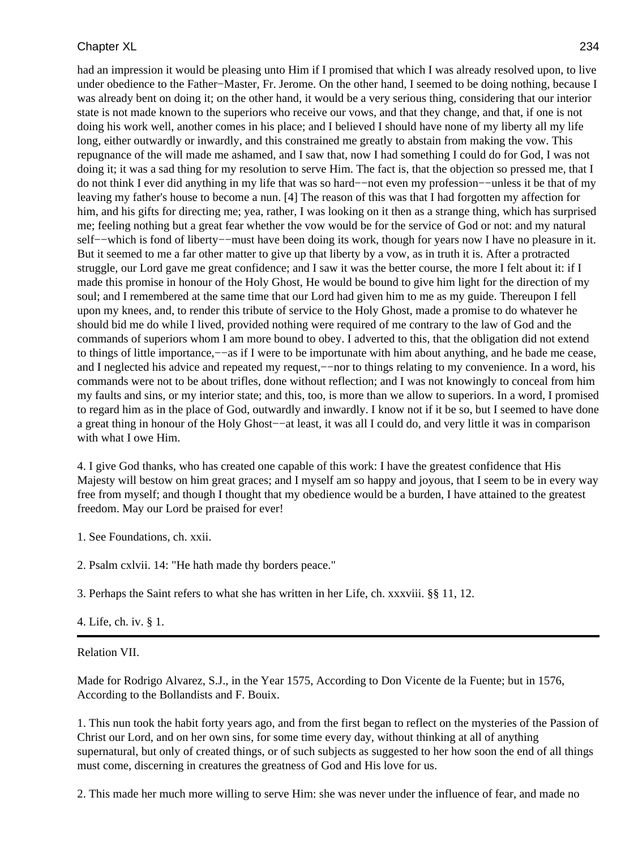had an impression it would be pleasing unto Him if I promised that which I was already resolved upon, to live under obedience to the Father−Master, Fr. Jerome. On the other hand, I seemed to be doing nothing, because I was already bent on doing it; on the other hand, it would be a very serious thing, considering that our interior state is not made known to the superiors who receive our vows, and that they change, and that, if one is not doing his work well, another comes in his place; and I believed I should have none of my liberty all my life long, either outwardly or inwardly, and this constrained me greatly to abstain from making the vow. This repugnance of the will made me ashamed, and I saw that, now I had something I could do for God, I was not doing it; it was a sad thing for my resolution to serve Him. The fact is, that the objection so pressed me, that I do not think I ever did anything in my life that was so hard−−not even my profession−−unless it be that of my leaving my father's house to become a nun. [4] The reason of this was that I had forgotten my affection for him, and his gifts for directing me; yea, rather, I was looking on it then as a strange thing, which has surprised me; feeling nothing but a great fear whether the vow would be for the service of God or not: and my natural self-−which is fond of liberty-−must have been doing its work, though for years now I have no pleasure in it. But it seemed to me a far other matter to give up that liberty by a vow, as in truth it is. After a protracted struggle, our Lord gave me great confidence; and I saw it was the better course, the more I felt about it: if I made this promise in honour of the Holy Ghost, He would be bound to give him light for the direction of my soul; and I remembered at the same time that our Lord had given him to me as my guide. Thereupon I fell upon my knees, and, to render this tribute of service to the Holy Ghost, made a promise to do whatever he should bid me do while I lived, provided nothing were required of me contrary to the law of God and the commands of superiors whom I am more bound to obey. I adverted to this, that the obligation did not extend to things of little importance,−−as if I were to be importunate with him about anything, and he bade me cease, and I neglected his advice and repeated my request,−−nor to things relating to my convenience. In a word, his commands were not to be about trifles, done without reflection; and I was not knowingly to conceal from him my faults and sins, or my interior state; and this, too, is more than we allow to superiors. In a word, I promised to regard him as in the place of God, outwardly and inwardly. I know not if it be so, but I seemed to have done a great thing in honour of the Holy Ghost−−at least, it was all I could do, and very little it was in comparison with what I owe Him.

4. I give God thanks, who has created one capable of this work: I have the greatest confidence that His Majesty will bestow on him great graces; and I myself am so happy and joyous, that I seem to be in every way free from myself; and though I thought that my obedience would be a burden, I have attained to the greatest freedom. May our Lord be praised for ever!

1. See Foundations, ch. xxii.

2. Psalm cxlvii. 14: "He hath made thy borders peace."

3. Perhaps the Saint refers to what she has written in her Life, ch. xxxviii. §§ 11, 12.

4. Life, ch. iv. § 1.

Relation VII.

Made for Rodrigo Alvarez, S.J., in the Year 1575, According to Don Vicente de la Fuente; but in 1576, According to the Bollandists and F. Bouix.

1. This nun took the habit forty years ago, and from the first began to reflect on the mysteries of the Passion of Christ our Lord, and on her own sins, for some time every day, without thinking at all of anything supernatural, but only of created things, or of such subjects as suggested to her how soon the end of all things must come, discerning in creatures the greatness of God and His love for us.

2. This made her much more willing to serve Him: she was never under the influence of fear, and made no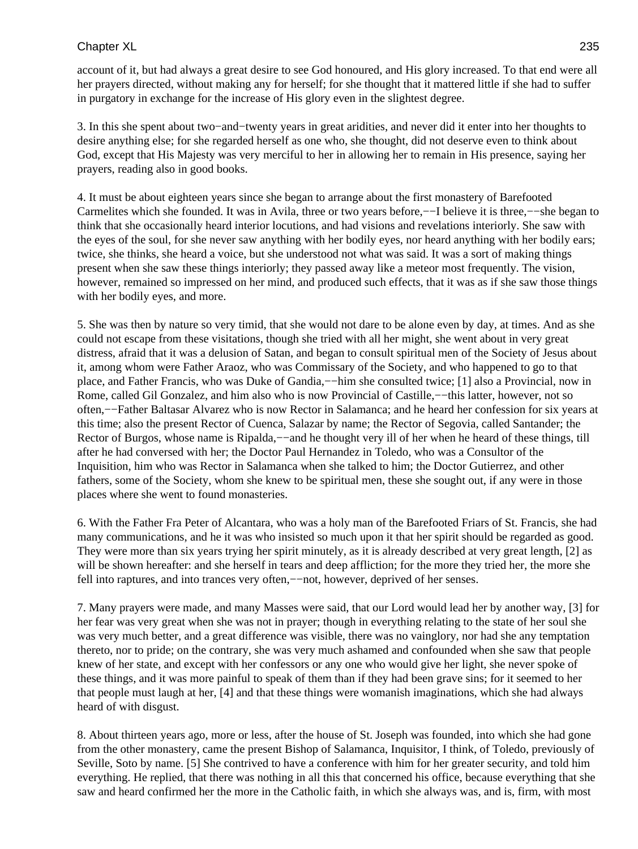account of it, but had always a great desire to see God honoured, and His glory increased. To that end were all her prayers directed, without making any for herself; for she thought that it mattered little if she had to suffer in purgatory in exchange for the increase of His glory even in the slightest degree.

3. In this she spent about two−and−twenty years in great aridities, and never did it enter into her thoughts to desire anything else; for she regarded herself as one who, she thought, did not deserve even to think about God, except that His Majesty was very merciful to her in allowing her to remain in His presence, saying her prayers, reading also in good books.

4. It must be about eighteen years since she began to arrange about the first monastery of Barefooted Carmelites which she founded. It was in Avila, three or two years before,−−I believe it is three,−−she began to think that she occasionally heard interior locutions, and had visions and revelations interiorly. She saw with the eyes of the soul, for she never saw anything with her bodily eyes, nor heard anything with her bodily ears; twice, she thinks, she heard a voice, but she understood not what was said. It was a sort of making things present when she saw these things interiorly; they passed away like a meteor most frequently. The vision, however, remained so impressed on her mind, and produced such effects, that it was as if she saw those things with her bodily eyes, and more.

5. She was then by nature so very timid, that she would not dare to be alone even by day, at times. And as she could not escape from these visitations, though she tried with all her might, she went about in very great distress, afraid that it was a delusion of Satan, and began to consult spiritual men of the Society of Jesus about it, among whom were Father Araoz, who was Commissary of the Society, and who happened to go to that place, and Father Francis, who was Duke of Gandia,--him she consulted twice; [1] also a Provincial, now in Rome, called Gil Gonzalez, and him also who is now Provincial of Castille,−−this latter, however, not so often,−−Father Baltasar Alvarez who is now Rector in Salamanca; and he heard her confession for six years at this time; also the present Rector of Cuenca, Salazar by name; the Rector of Segovia, called Santander; the Rector of Burgos, whose name is Ripalda,—−and he thought very ill of her when he heard of these things, till after he had conversed with her; the Doctor Paul Hernandez in Toledo, who was a Consultor of the Inquisition, him who was Rector in Salamanca when she talked to him; the Doctor Gutierrez, and other fathers, some of the Society, whom she knew to be spiritual men, these she sought out, if any were in those places where she went to found monasteries.

6. With the Father Fra Peter of Alcantara, who was a holy man of the Barefooted Friars of St. Francis, she had many communications, and he it was who insisted so much upon it that her spirit should be regarded as good. They were more than six years trying her spirit minutely, as it is already described at very great length, [2] as will be shown hereafter: and she herself in tears and deep affliction; for the more they tried her, the more she fell into raptures, and into trances very often,−−not, however, deprived of her senses.

7. Many prayers were made, and many Masses were said, that our Lord would lead her by another way, [3] for her fear was very great when she was not in prayer; though in everything relating to the state of her soul she was very much better, and a great difference was visible, there was no vainglory, nor had she any temptation thereto, nor to pride; on the contrary, she was very much ashamed and confounded when she saw that people knew of her state, and except with her confessors or any one who would give her light, she never spoke of these things, and it was more painful to speak of them than if they had been grave sins; for it seemed to her that people must laugh at her, [4] and that these things were womanish imaginations, which she had always heard of with disgust.

8. About thirteen years ago, more or less, after the house of St. Joseph was founded, into which she had gone from the other monastery, came the present Bishop of Salamanca, Inquisitor, I think, of Toledo, previously of Seville, Soto by name. [5] She contrived to have a conference with him for her greater security, and told him everything. He replied, that there was nothing in all this that concerned his office, because everything that she saw and heard confirmed her the more in the Catholic faith, in which she always was, and is, firm, with most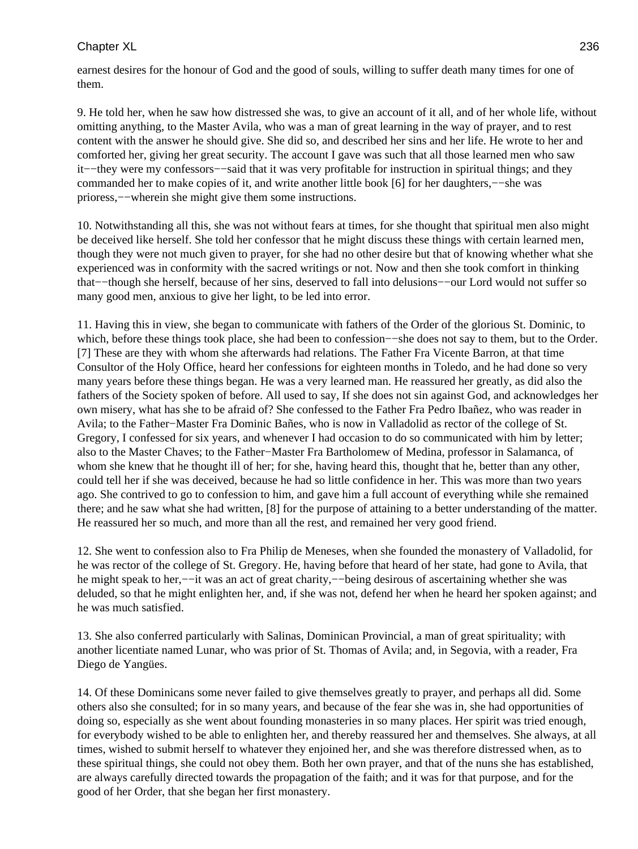earnest desires for the honour of God and the good of souls, willing to suffer death many times for one of them.

9. He told her, when he saw how distressed she was, to give an account of it all, and of her whole life, without omitting anything, to the Master Avila, who was a man of great learning in the way of prayer, and to rest content with the answer he should give. She did so, and described her sins and her life. He wrote to her and comforted her, giving her great security. The account I gave was such that all those learned men who saw it−−they were my confessors−−said that it was very profitable for instruction in spiritual things; and they commanded her to make copies of it, and write another little book [6] for her daughters,−−she was prioress,−−wherein she might give them some instructions.

10. Notwithstanding all this, she was not without fears at times, for she thought that spiritual men also might be deceived like herself. She told her confessor that he might discuss these things with certain learned men, though they were not much given to prayer, for she had no other desire but that of knowing whether what she experienced was in conformity with the sacred writings or not. Now and then she took comfort in thinking that−−though she herself, because of her sins, deserved to fall into delusions−−our Lord would not suffer so many good men, anxious to give her light, to be led into error.

11. Having this in view, she began to communicate with fathers of the Order of the glorious St. Dominic, to which, before these things took place, she had been to confession––she does not say to them, but to the Order. [7] These are they with whom she afterwards had relations. The Father Fra Vicente Barron, at that time Consultor of the Holy Office, heard her confessions for eighteen months in Toledo, and he had done so very many years before these things began. He was a very learned man. He reassured her greatly, as did also the fathers of the Society spoken of before. All used to say, If she does not sin against God, and acknowledges her own misery, what has she to be afraid of? She confessed to the Father Fra Pedro Ibañez, who was reader in Avila; to the Father−Master Fra Dominic Bañes, who is now in Valladolid as rector of the college of St. Gregory, I confessed for six years, and whenever I had occasion to do so communicated with him by letter; also to the Master Chaves; to the Father−Master Fra Bartholomew of Medina, professor in Salamanca, of whom she knew that he thought ill of her; for she, having heard this, thought that he, better than any other, could tell her if she was deceived, because he had so little confidence in her. This was more than two years ago. She contrived to go to confession to him, and gave him a full account of everything while she remained there; and he saw what she had written, [8] for the purpose of attaining to a better understanding of the matter. He reassured her so much, and more than all the rest, and remained her very good friend.

12. She went to confession also to Fra Philip de Meneses, when she founded the monastery of Valladolid, for he was rector of the college of St. Gregory. He, having before that heard of her state, had gone to Avila, that he might speak to her,−−it was an act of great charity,−−being desirous of ascertaining whether she was deluded, so that he might enlighten her, and, if she was not, defend her when he heard her spoken against; and he was much satisfied.

13. She also conferred particularly with Salinas, Dominican Provincial, a man of great spirituality; with another licentiate named Lunar, who was prior of St. Thomas of Avila; and, in Segovia, with a reader, Fra Diego de Yangües.

14. Of these Dominicans some never failed to give themselves greatly to prayer, and perhaps all did. Some others also she consulted; for in so many years, and because of the fear she was in, she had opportunities of doing so, especially as she went about founding monasteries in so many places. Her spirit was tried enough, for everybody wished to be able to enlighten her, and thereby reassured her and themselves. She always, at all times, wished to submit herself to whatever they enjoined her, and she was therefore distressed when, as to these spiritual things, she could not obey them. Both her own prayer, and that of the nuns she has established, are always carefully directed towards the propagation of the faith; and it was for that purpose, and for the good of her Order, that she began her first monastery.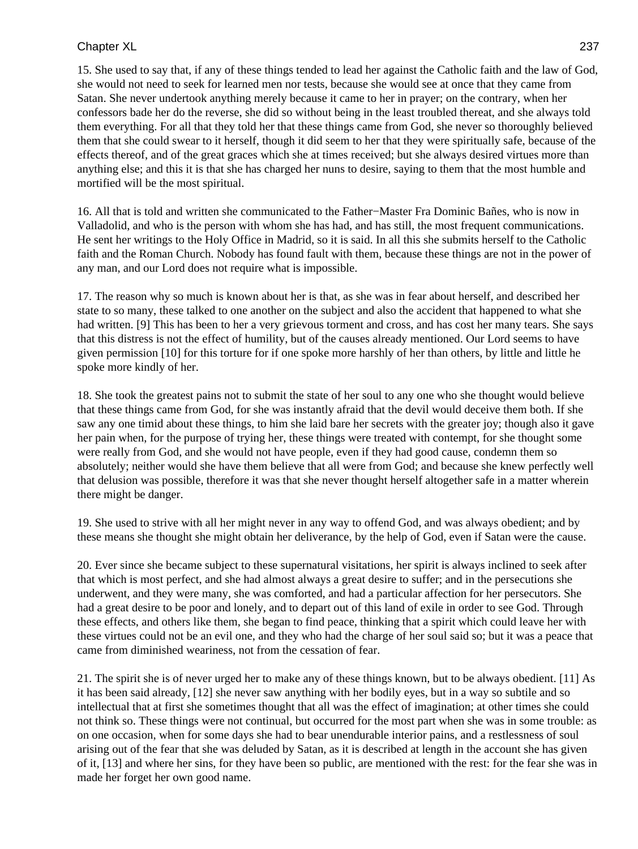15. She used to say that, if any of these things tended to lead her against the Catholic faith and the law of God, she would not need to seek for learned men nor tests, because she would see at once that they came from Satan. She never undertook anything merely because it came to her in prayer; on the contrary, when her confessors bade her do the reverse, she did so without being in the least troubled thereat, and she always told them everything. For all that they told her that these things came from God, she never so thoroughly believed them that she could swear to it herself, though it did seem to her that they were spiritually safe, because of the effects thereof, and of the great graces which she at times received; but she always desired virtues more than anything else; and this it is that she has charged her nuns to desire, saying to them that the most humble and mortified will be the most spiritual.

16. All that is told and written she communicated to the Father−Master Fra Dominic Bañes, who is now in Valladolid, and who is the person with whom she has had, and has still, the most frequent communications. He sent her writings to the Holy Office in Madrid, so it is said. In all this she submits herself to the Catholic faith and the Roman Church. Nobody has found fault with them, because these things are not in the power of any man, and our Lord does not require what is impossible.

17. The reason why so much is known about her is that, as she was in fear about herself, and described her state to so many, these talked to one another on the subject and also the accident that happened to what she had written. [9] This has been to her a very grievous torment and cross, and has cost her many tears. She says that this distress is not the effect of humility, but of the causes already mentioned. Our Lord seems to have given permission [10] for this torture for if one spoke more harshly of her than others, by little and little he spoke more kindly of her.

18. She took the greatest pains not to submit the state of her soul to any one who she thought would believe that these things came from God, for she was instantly afraid that the devil would deceive them both. If she saw any one timid about these things, to him she laid bare her secrets with the greater joy; though also it gave her pain when, for the purpose of trying her, these things were treated with contempt, for she thought some were really from God, and she would not have people, even if they had good cause, condemn them so absolutely; neither would she have them believe that all were from God; and because she knew perfectly well that delusion was possible, therefore it was that she never thought herself altogether safe in a matter wherein there might be danger.

19. She used to strive with all her might never in any way to offend God, and was always obedient; and by these means she thought she might obtain her deliverance, by the help of God, even if Satan were the cause.

20. Ever since she became subject to these supernatural visitations, her spirit is always inclined to seek after that which is most perfect, and she had almost always a great desire to suffer; and in the persecutions she underwent, and they were many, she was comforted, and had a particular affection for her persecutors. She had a great desire to be poor and lonely, and to depart out of this land of exile in order to see God. Through these effects, and others like them, she began to find peace, thinking that a spirit which could leave her with these virtues could not be an evil one, and they who had the charge of her soul said so; but it was a peace that came from diminished weariness, not from the cessation of fear.

21. The spirit she is of never urged her to make any of these things known, but to be always obedient. [11] As it has been said already, [12] she never saw anything with her bodily eyes, but in a way so subtile and so intellectual that at first she sometimes thought that all was the effect of imagination; at other times she could not think so. These things were not continual, but occurred for the most part when she was in some trouble: as on one occasion, when for some days she had to bear unendurable interior pains, and a restlessness of soul arising out of the fear that she was deluded by Satan, as it is described at length in the account she has given of it, [13] and where her sins, for they have been so public, are mentioned with the rest: for the fear she was in made her forget her own good name.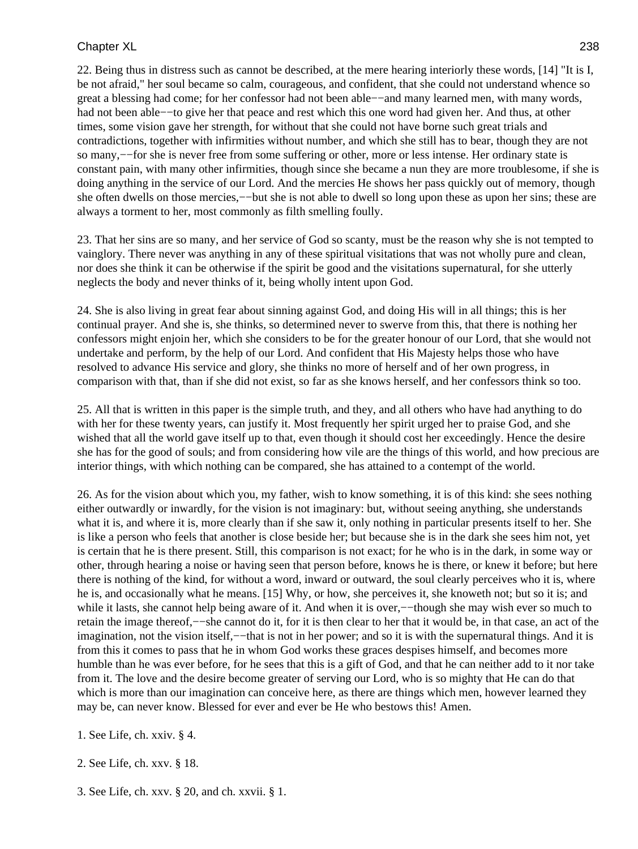22. Being thus in distress such as cannot be described, at the mere hearing interiorly these words, [14] "It is I, be not afraid," her soul became so calm, courageous, and confident, that she could not understand whence so great a blessing had come; for her confessor had not been able−−and many learned men, with many words, had not been able−−to give her that peace and rest which this one word had given her. And thus, at other times, some vision gave her strength, for without that she could not have borne such great trials and contradictions, together with infirmities without number, and which she still has to bear, though they are not so many,−−for she is never free from some suffering or other, more or less intense. Her ordinary state is constant pain, with many other infirmities, though since she became a nun they are more troublesome, if she is doing anything in the service of our Lord. And the mercies He shows her pass quickly out of memory, though she often dwells on those mercies,−−but she is not able to dwell so long upon these as upon her sins; these are always a torment to her, most commonly as filth smelling foully.

23. That her sins are so many, and her service of God so scanty, must be the reason why she is not tempted to vainglory. There never was anything in any of these spiritual visitations that was not wholly pure and clean, nor does she think it can be otherwise if the spirit be good and the visitations supernatural, for she utterly neglects the body and never thinks of it, being wholly intent upon God.

24. She is also living in great fear about sinning against God, and doing His will in all things; this is her continual prayer. And she is, she thinks, so determined never to swerve from this, that there is nothing her confessors might enjoin her, which she considers to be for the greater honour of our Lord, that she would not undertake and perform, by the help of our Lord. And confident that His Majesty helps those who have resolved to advance His service and glory, she thinks no more of herself and of her own progress, in comparison with that, than if she did not exist, so far as she knows herself, and her confessors think so too.

25. All that is written in this paper is the simple truth, and they, and all others who have had anything to do with her for these twenty years, can justify it. Most frequently her spirit urged her to praise God, and she wished that all the world gave itself up to that, even though it should cost her exceedingly. Hence the desire she has for the good of souls; and from considering how vile are the things of this world, and how precious are interior things, with which nothing can be compared, she has attained to a contempt of the world.

26. As for the vision about which you, my father, wish to know something, it is of this kind: she sees nothing either outwardly or inwardly, for the vision is not imaginary: but, without seeing anything, she understands what it is, and where it is, more clearly than if she saw it, only nothing in particular presents itself to her. She is like a person who feels that another is close beside her; but because she is in the dark she sees him not, yet is certain that he is there present. Still, this comparison is not exact; for he who is in the dark, in some way or other, through hearing a noise or having seen that person before, knows he is there, or knew it before; but here there is nothing of the kind, for without a word, inward or outward, the soul clearly perceives who it is, where he is, and occasionally what he means. [15] Why, or how, she perceives it, she knoweth not; but so it is; and while it lasts, she cannot help being aware of it. And when it is over,−−though she may wish ever so much to retain the image thereof,−−she cannot do it, for it is then clear to her that it would be, in that case, an act of the imagination, not the vision itself,−−that is not in her power; and so it is with the supernatural things. And it is from this it comes to pass that he in whom God works these graces despises himself, and becomes more humble than he was ever before, for he sees that this is a gift of God, and that he can neither add to it nor take from it. The love and the desire become greater of serving our Lord, who is so mighty that He can do that which is more than our imagination can conceive here, as there are things which men, however learned they may be, can never know. Blessed for ever and ever be He who bestows this! Amen.

1. See Life, ch. xxiv. § 4.

2. See Life, ch. xxv. § 18.

3. See Life, ch. xxv. § 20, and ch. xxvii. § 1.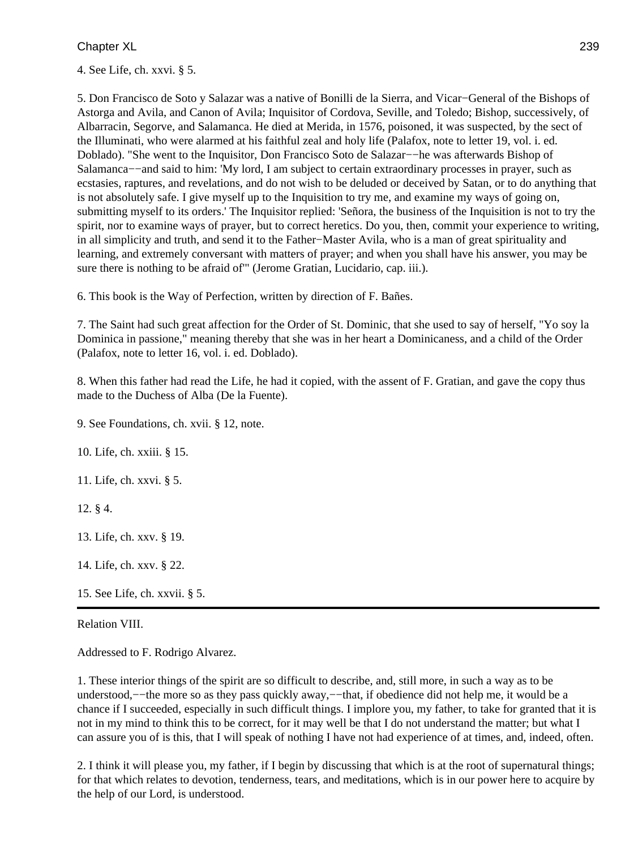4. See Life, ch. xxvi. § 5.

5. Don Francisco de Soto y Salazar was a native of Bonilli de la Sierra, and Vicar−General of the Bishops of Astorga and Avila, and Canon of Avila; Inquisitor of Cordova, Seville, and Toledo; Bishop, successively, of Albarracin, Segorve, and Salamanca. He died at Merida, in 1576, poisoned, it was suspected, by the sect of the Illuminati, who were alarmed at his faithful zeal and holy life (Palafox, note to letter 19, vol. i. ed. Doblado). "She went to the Inquisitor, Don Francisco Soto de Salazar−−he was afterwards Bishop of Salamanca−−and said to him: 'My lord, I am subject to certain extraordinary processes in prayer, such as ecstasies, raptures, and revelations, and do not wish to be deluded or deceived by Satan, or to do anything that is not absolutely safe. I give myself up to the Inquisition to try me, and examine my ways of going on, submitting myself to its orders.' The Inquisitor replied: 'Señora, the business of the Inquisition is not to try the spirit, nor to examine ways of prayer, but to correct heretics. Do you, then, commit your experience to writing, in all simplicity and truth, and send it to the Father−Master Avila, who is a man of great spirituality and learning, and extremely conversant with matters of prayer; and when you shall have his answer, you may be sure there is nothing to be afraid of'" (Jerome Gratian, Lucidario, cap. iii.).

6. This book is the Way of Perfection, written by direction of F. Bañes.

7. The Saint had such great affection for the Order of St. Dominic, that she used to say of herself, "Yo soy la Dominica in passione," meaning thereby that she was in her heart a Dominicaness, and a child of the Order (Palafox, note to letter 16, vol. i. ed. Doblado).

8. When this father had read the Life, he had it copied, with the assent of F. Gratian, and gave the copy thus made to the Duchess of Alba (De la Fuente).

9. See Foundations, ch. xvii. § 12, note.

10. Life, ch. xxiii. § 15.

11. Life, ch. xxvi. § 5.

12. § 4.

13. Life, ch. xxv. § 19.

14. Life, ch. xxv. § 22.

15. See Life, ch. xxvii. § 5.

Relation VIII.

Addressed to F. Rodrigo Alvarez.

1. These interior things of the spirit are so difficult to describe, and, still more, in such a way as to be understood,−−the more so as they pass quickly away,−−that, if obedience did not help me, it would be a chance if I succeeded, especially in such difficult things. I implore you, my father, to take for granted that it is not in my mind to think this to be correct, for it may well be that I do not understand the matter; but what I can assure you of is this, that I will speak of nothing I have not had experience of at times, and, indeed, often.

2. I think it will please you, my father, if I begin by discussing that which is at the root of supernatural things; for that which relates to devotion, tenderness, tears, and meditations, which is in our power here to acquire by the help of our Lord, is understood.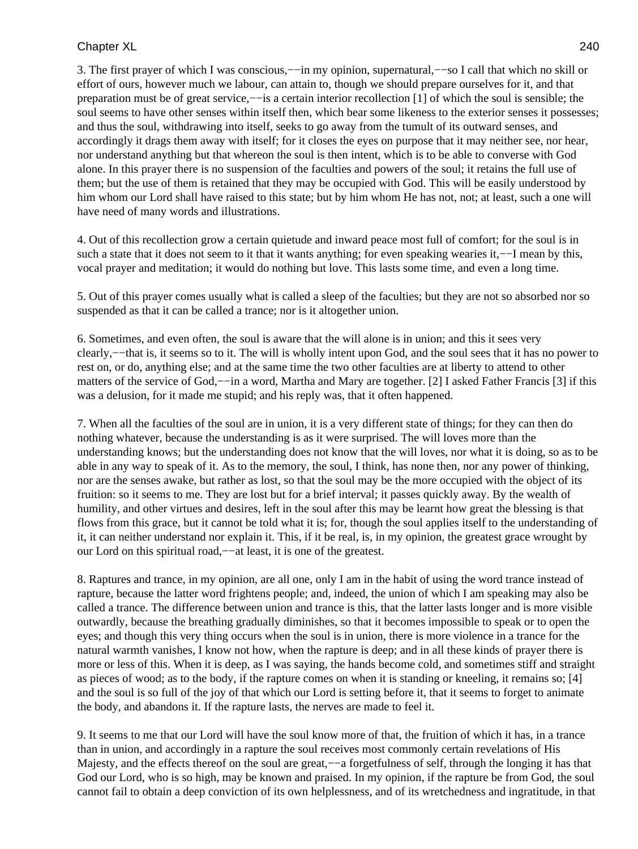3. The first prayer of which I was conscious,−−in my opinion, supernatural,−−so I call that which no skill or effort of ours, however much we labour, can attain to, though we should prepare ourselves for it, and that preparation must be of great service,−−is a certain interior recollection [1] of which the soul is sensible; the soul seems to have other senses within itself then, which bear some likeness to the exterior senses it possesses; and thus the soul, withdrawing into itself, seeks to go away from the tumult of its outward senses, and accordingly it drags them away with itself; for it closes the eyes on purpose that it may neither see, nor hear, nor understand anything but that whereon the soul is then intent, which is to be able to converse with God alone. In this prayer there is no suspension of the faculties and powers of the soul; it retains the full use of them; but the use of them is retained that they may be occupied with God. This will be easily understood by him whom our Lord shall have raised to this state; but by him whom He has not, not; at least, such a one will have need of many words and illustrations.

4. Out of this recollection grow a certain quietude and inward peace most full of comfort; for the soul is in such a state that it does not seem to it that it wants anything; for even speaking wearies it,—−I mean by this, vocal prayer and meditation; it would do nothing but love. This lasts some time, and even a long time.

5. Out of this prayer comes usually what is called a sleep of the faculties; but they are not so absorbed nor so suspended as that it can be called a trance; nor is it altogether union.

6. Sometimes, and even often, the soul is aware that the will alone is in union; and this it sees very clearly,−−that is, it seems so to it. The will is wholly intent upon God, and the soul sees that it has no power to rest on, or do, anything else; and at the same time the two other faculties are at liberty to attend to other matters of the service of God,−−in a word, Martha and Mary are together. [2] I asked Father Francis [3] if this was a delusion, for it made me stupid; and his reply was, that it often happened.

7. When all the faculties of the soul are in union, it is a very different state of things; for they can then do nothing whatever, because the understanding is as it were surprised. The will loves more than the understanding knows; but the understanding does not know that the will loves, nor what it is doing, so as to be able in any way to speak of it. As to the memory, the soul, I think, has none then, nor any power of thinking, nor are the senses awake, but rather as lost, so that the soul may be the more occupied with the object of its fruition: so it seems to me. They are lost but for a brief interval; it passes quickly away. By the wealth of humility, and other virtues and desires, left in the soul after this may be learnt how great the blessing is that flows from this grace, but it cannot be told what it is; for, though the soul applies itself to the understanding of it, it can neither understand nor explain it. This, if it be real, is, in my opinion, the greatest grace wrought by our Lord on this spiritual road,−−at least, it is one of the greatest.

8. Raptures and trance, in my opinion, are all one, only I am in the habit of using the word trance instead of rapture, because the latter word frightens people; and, indeed, the union of which I am speaking may also be called a trance. The difference between union and trance is this, that the latter lasts longer and is more visible outwardly, because the breathing gradually diminishes, so that it becomes impossible to speak or to open the eyes; and though this very thing occurs when the soul is in union, there is more violence in a trance for the natural warmth vanishes, I know not how, when the rapture is deep; and in all these kinds of prayer there is more or less of this. When it is deep, as I was saying, the hands become cold, and sometimes stiff and straight as pieces of wood; as to the body, if the rapture comes on when it is standing or kneeling, it remains so; [4] and the soul is so full of the joy of that which our Lord is setting before it, that it seems to forget to animate the body, and abandons it. If the rapture lasts, the nerves are made to feel it.

9. It seems to me that our Lord will have the soul know more of that, the fruition of which it has, in a trance than in union, and accordingly in a rapture the soul receives most commonly certain revelations of His Majesty, and the effects thereof on the soul are great,–−a forgetfulness of self, through the longing it has that God our Lord, who is so high, may be known and praised. In my opinion, if the rapture be from God, the soul cannot fail to obtain a deep conviction of its own helplessness, and of its wretchedness and ingratitude, in that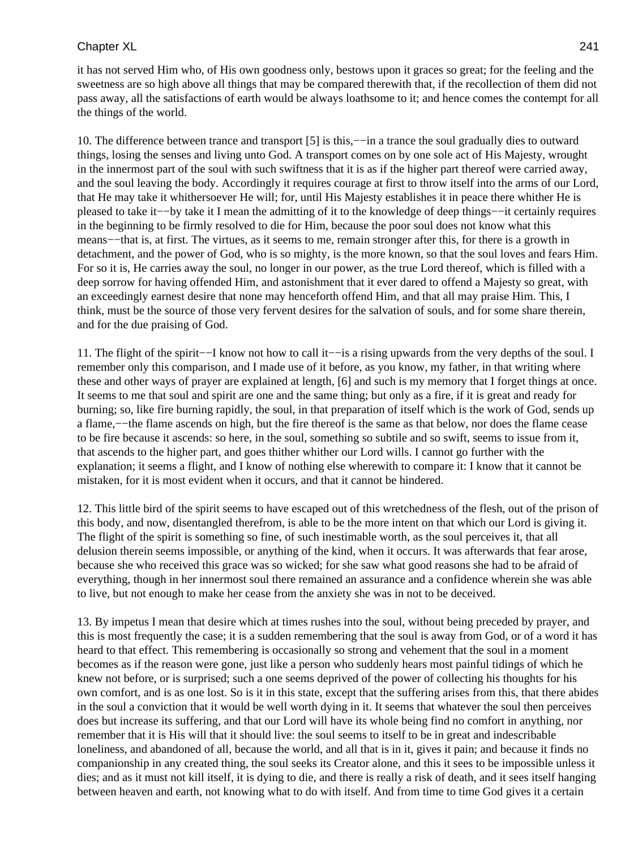it has not served Him who, of His own goodness only, bestows upon it graces so great; for the feeling and the sweetness are so high above all things that may be compared therewith that, if the recollection of them did not pass away, all the satisfactions of earth would be always loathsome to it; and hence comes the contempt for all the things of the world.

10. The difference between trance and transport [5] is this,−−in a trance the soul gradually dies to outward things, losing the senses and living unto God. A transport comes on by one sole act of His Majesty, wrought in the innermost part of the soul with such swiftness that it is as if the higher part thereof were carried away, and the soul leaving the body. Accordingly it requires courage at first to throw itself into the arms of our Lord, that He may take it whithersoever He will; for, until His Majesty establishes it in peace there whither He is pleased to take it−−by take it I mean the admitting of it to the knowledge of deep things−−it certainly requires in the beginning to be firmly resolved to die for Him, because the poor soul does not know what this means––that is, at first. The virtues, as it seems to me, remain stronger after this, for there is a growth in detachment, and the power of God, who is so mighty, is the more known, so that the soul loves and fears Him. For so it is, He carries away the soul, no longer in our power, as the true Lord thereof, which is filled with a deep sorrow for having offended Him, and astonishment that it ever dared to offend a Majesty so great, with an exceedingly earnest desire that none may henceforth offend Him, and that all may praise Him. This, I think, must be the source of those very fervent desires for the salvation of souls, and for some share therein, and for the due praising of God.

11. The flight of the spirit−−I know not how to call it−−is a rising upwards from the very depths of the soul. I remember only this comparison, and I made use of it before, as you know, my father, in that writing where these and other ways of prayer are explained at length, [6] and such is my memory that I forget things at once. It seems to me that soul and spirit are one and the same thing; but only as a fire, if it is great and ready for burning; so, like fire burning rapidly, the soul, in that preparation of itself which is the work of God, sends up a flame,−−the flame ascends on high, but the fire thereof is the same as that below, nor does the flame cease to be fire because it ascends: so here, in the soul, something so subtile and so swift, seems to issue from it, that ascends to the higher part, and goes thither whither our Lord wills. I cannot go further with the explanation; it seems a flight, and I know of nothing else wherewith to compare it: I know that it cannot be mistaken, for it is most evident when it occurs, and that it cannot be hindered.

12. This little bird of the spirit seems to have escaped out of this wretchedness of the flesh, out of the prison of this body, and now, disentangled therefrom, is able to be the more intent on that which our Lord is giving it. The flight of the spirit is something so fine, of such inestimable worth, as the soul perceives it, that all delusion therein seems impossible, or anything of the kind, when it occurs. It was afterwards that fear arose, because she who received this grace was so wicked; for she saw what good reasons she had to be afraid of everything, though in her innermost soul there remained an assurance and a confidence wherein she was able to live, but not enough to make her cease from the anxiety she was in not to be deceived.

13. By impetus I mean that desire which at times rushes into the soul, without being preceded by prayer, and this is most frequently the case; it is a sudden remembering that the soul is away from God, or of a word it has heard to that effect. This remembering is occasionally so strong and vehement that the soul in a moment becomes as if the reason were gone, just like a person who suddenly hears most painful tidings of which he knew not before, or is surprised; such a one seems deprived of the power of collecting his thoughts for his own comfort, and is as one lost. So is it in this state, except that the suffering arises from this, that there abides in the soul a conviction that it would be well worth dying in it. It seems that whatever the soul then perceives does but increase its suffering, and that our Lord will have its whole being find no comfort in anything, nor remember that it is His will that it should live: the soul seems to itself to be in great and indescribable loneliness, and abandoned of all, because the world, and all that is in it, gives it pain; and because it finds no companionship in any created thing, the soul seeks its Creator alone, and this it sees to be impossible unless it dies; and as it must not kill itself, it is dying to die, and there is really a risk of death, and it sees itself hanging between heaven and earth, not knowing what to do with itself. And from time to time God gives it a certain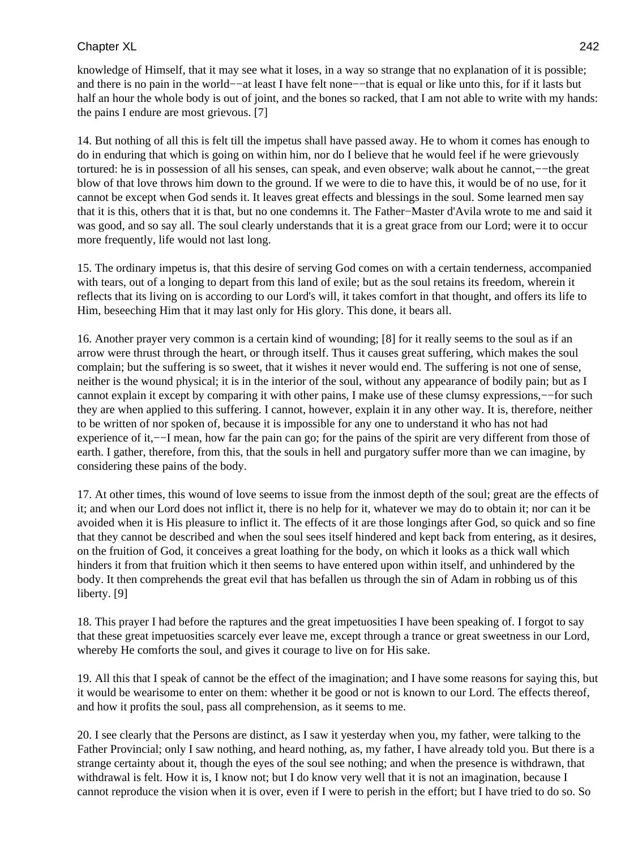knowledge of Himself, that it may see what it loses, in a way so strange that no explanation of it is possible; and there is no pain in the world−−at least I have felt none−−that is equal or like unto this, for if it lasts but half an hour the whole body is out of joint, and the bones so racked, that I am not able to write with my hands: the pains I endure are most grievous. [7]

14. But nothing of all this is felt till the impetus shall have passed away. He to whom it comes has enough to do in enduring that which is going on within him, nor do I believe that he would feel if he were grievously tortured: he is in possession of all his senses, can speak, and even observe; walk about he cannot,−−the great blow of that love throws him down to the ground. If we were to die to have this, it would be of no use, for it cannot be except when God sends it. It leaves great effects and blessings in the soul. Some learned men say that it is this, others that it is that, but no one condemns it. The Father−Master d'Avila wrote to me and said it was good, and so say all. The soul clearly understands that it is a great grace from our Lord; were it to occur more frequently, life would not last long.

15. The ordinary impetus is, that this desire of serving God comes on with a certain tenderness, accompanied with tears, out of a longing to depart from this land of exile; but as the soul retains its freedom, wherein it reflects that its living on is according to our Lord's will, it takes comfort in that thought, and offers its life to Him, beseeching Him that it may last only for His glory. This done, it bears all.

16. Another prayer very common is a certain kind of wounding; [8] for it really seems to the soul as if an arrow were thrust through the heart, or through itself. Thus it causes great suffering, which makes the soul complain; but the suffering is so sweet, that it wishes it never would end. The suffering is not one of sense, neither is the wound physical; it is in the interior of the soul, without any appearance of bodily pain; but as I cannot explain it except by comparing it with other pains, I make use of these clumsy expressions,−−for such they are when applied to this suffering. I cannot, however, explain it in any other way. It is, therefore, neither to be written of nor spoken of, because it is impossible for any one to understand it who has not had experience of it,—I mean, how far the pain can go; for the pains of the spirit are very different from those of earth. I gather, therefore, from this, that the souls in hell and purgatory suffer more than we can imagine, by considering these pains of the body.

17. At other times, this wound of love seems to issue from the inmost depth of the soul; great are the effects of it; and when our Lord does not inflict it, there is no help for it, whatever we may do to obtain it; nor can it be avoided when it is His pleasure to inflict it. The effects of it are those longings after God, so quick and so fine that they cannot be described and when the soul sees itself hindered and kept back from entering, as it desires, on the fruition of God, it conceives a great loathing for the body, on which it looks as a thick wall which hinders it from that fruition which it then seems to have entered upon within itself, and unhindered by the body. It then comprehends the great evil that has befallen us through the sin of Adam in robbing us of this liberty. [9]

18. This prayer I had before the raptures and the great impetuosities I have been speaking of. I forgot to say that these great impetuosities scarcely ever leave me, except through a trance or great sweetness in our Lord, whereby He comforts the soul, and gives it courage to live on for His sake.

19. All this that I speak of cannot be the effect of the imagination; and I have some reasons for saying this, but it would be wearisome to enter on them: whether it be good or not is known to our Lord. The effects thereof, and how it profits the soul, pass all comprehension, as it seems to me.

20. I see clearly that the Persons are distinct, as I saw it yesterday when you, my father, were talking to the Father Provincial; only I saw nothing, and heard nothing, as, my father, I have already told you. But there is a strange certainty about it, though the eyes of the soul see nothing; and when the presence is withdrawn, that withdrawal is felt. How it is, I know not; but I do know very well that it is not an imagination, because I cannot reproduce the vision when it is over, even if I were to perish in the effort; but I have tried to do so. So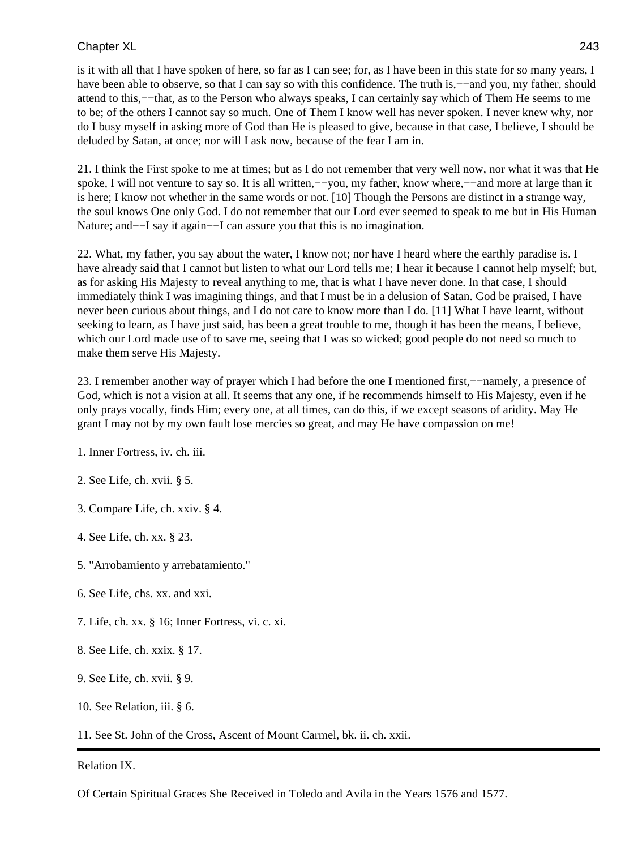is it with all that I have spoken of here, so far as I can see; for, as I have been in this state for so many years, I have been able to observe, so that I can say so with this confidence. The truth is,−−and you, my father, should attend to this,−−that, as to the Person who always speaks, I can certainly say which of Them He seems to me to be; of the others I cannot say so much. One of Them I know well has never spoken. I never knew why, nor do I busy myself in asking more of God than He is pleased to give, because in that case, I believe, I should be deluded by Satan, at once; nor will I ask now, because of the fear I am in.

21. I think the First spoke to me at times; but as I do not remember that very well now, nor what it was that He spoke, I will not venture to say so. It is all written,—you, my father, know where,—–and more at large than it is here; I know not whether in the same words or not. [10] Though the Persons are distinct in a strange way, the soul knows One only God. I do not remember that our Lord ever seemed to speak to me but in His Human Nature; and−−I say it again−−I can assure you that this is no imagination.

22. What, my father, you say about the water, I know not; nor have I heard where the earthly paradise is. I have already said that I cannot but listen to what our Lord tells me; I hear it because I cannot help myself; but, as for asking His Majesty to reveal anything to me, that is what I have never done. In that case, I should immediately think I was imagining things, and that I must be in a delusion of Satan. God be praised, I have never been curious about things, and I do not care to know more than I do. [11] What I have learnt, without seeking to learn, as I have just said, has been a great trouble to me, though it has been the means, I believe, which our Lord made use of to save me, seeing that I was so wicked; good people do not need so much to make them serve His Majesty.

23. I remember another way of prayer which I had before the one I mentioned first,−−namely, a presence of God, which is not a vision at all. It seems that any one, if he recommends himself to His Majesty, even if he only prays vocally, finds Him; every one, at all times, can do this, if we except seasons of aridity. May He grant I may not by my own fault lose mercies so great, and may He have compassion on me!

- 1. Inner Fortress, iv. ch. iii.
- 2. See Life, ch. xvii. § 5.
- 3. Compare Life, ch. xxiv. § 4.
- 4. See Life, ch. xx. § 23.
- 5. "Arrobamiento y arrebatamiento."
- 6. See Life, chs. xx. and xxi.
- 7. Life, ch. xx. § 16; Inner Fortress, vi. c. xi.
- 8. See Life, ch. xxix. § 17.
- 9. See Life, ch. xvii. § 9.
- 10. See Relation, iii. § 6.

11. See St. John of the Cross, Ascent of Mount Carmel, bk. ii. ch. xxii.

### Relation IX.

Of Certain Spiritual Graces She Received in Toledo and Avila in the Years 1576 and 1577.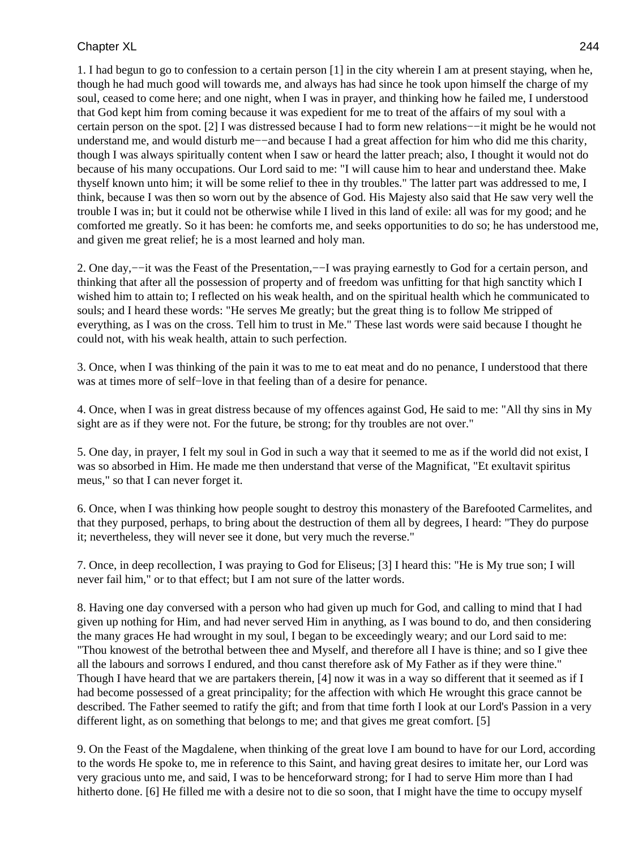1. I had begun to go to confession to a certain person [1] in the city wherein I am at present staying, when he, though he had much good will towards me, and always has had since he took upon himself the charge of my soul, ceased to come here; and one night, when I was in prayer, and thinking how he failed me, I understood that God kept him from coming because it was expedient for me to treat of the affairs of my soul with a certain person on the spot. [2] I was distressed because I had to form new relations−−it might be he would not understand me, and would disturb me−−and because I had a great affection for him who did me this charity, though I was always spiritually content when I saw or heard the latter preach; also, I thought it would not do because of his many occupations. Our Lord said to me: "I will cause him to hear and understand thee. Make thyself known unto him; it will be some relief to thee in thy troubles." The latter part was addressed to me, I think, because I was then so worn out by the absence of God. His Majesty also said that He saw very well the trouble I was in; but it could not be otherwise while I lived in this land of exile: all was for my good; and he comforted me greatly. So it has been: he comforts me, and seeks opportunities to do so; he has understood me, and given me great relief; he is a most learned and holy man.

2. One day,−−it was the Feast of the Presentation,−−I was praying earnestly to God for a certain person, and thinking that after all the possession of property and of freedom was unfitting for that high sanctity which I wished him to attain to; I reflected on his weak health, and on the spiritual health which he communicated to souls; and I heard these words: "He serves Me greatly; but the great thing is to follow Me stripped of everything, as I was on the cross. Tell him to trust in Me." These last words were said because I thought he could not, with his weak health, attain to such perfection.

3. Once, when I was thinking of the pain it was to me to eat meat and do no penance, I understood that there was at times more of self−love in that feeling than of a desire for penance.

4. Once, when I was in great distress because of my offences against God, He said to me: "All thy sins in My sight are as if they were not. For the future, be strong; for thy troubles are not over."

5. One day, in prayer, I felt my soul in God in such a way that it seemed to me as if the world did not exist, I was so absorbed in Him. He made me then understand that verse of the Magnificat, "Et exultavit spiritus meus," so that I can never forget it.

6. Once, when I was thinking how people sought to destroy this monastery of the Barefooted Carmelites, and that they purposed, perhaps, to bring about the destruction of them all by degrees, I heard: "They do purpose it; nevertheless, they will never see it done, but very much the reverse."

7. Once, in deep recollection, I was praying to God for Eliseus; [3] I heard this: "He is My true son; I will never fail him," or to that effect; but I am not sure of the latter words.

8. Having one day conversed with a person who had given up much for God, and calling to mind that I had given up nothing for Him, and had never served Him in anything, as I was bound to do, and then considering the many graces He had wrought in my soul, I began to be exceedingly weary; and our Lord said to me: "Thou knowest of the betrothal between thee and Myself, and therefore all I have is thine; and so I give thee all the labours and sorrows I endured, and thou canst therefore ask of My Father as if they were thine." Though I have heard that we are partakers therein, [4] now it was in a way so different that it seemed as if I had become possessed of a great principality; for the affection with which He wrought this grace cannot be described. The Father seemed to ratify the gift; and from that time forth I look at our Lord's Passion in a very different light, as on something that belongs to me; and that gives me great comfort. [5]

9. On the Feast of the Magdalene, when thinking of the great love I am bound to have for our Lord, according to the words He spoke to, me in reference to this Saint, and having great desires to imitate her, our Lord was very gracious unto me, and said, I was to be henceforward strong; for I had to serve Him more than I had hitherto done. [6] He filled me with a desire not to die so soon, that I might have the time to occupy myself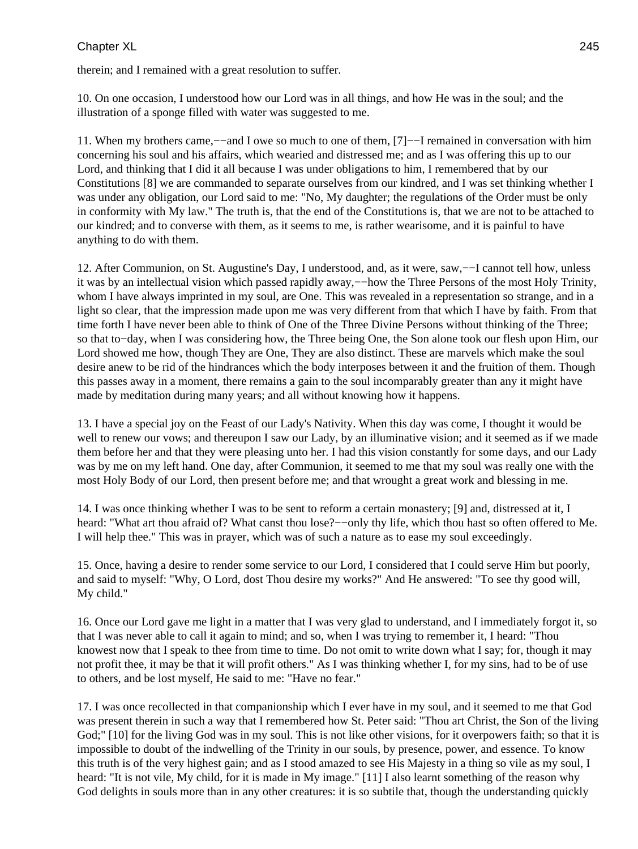therein; and I remained with a great resolution to suffer.

10. On one occasion, I understood how our Lord was in all things, and how He was in the soul; and the illustration of a sponge filled with water was suggested to me.

11. When my brothers came,−−and I owe so much to one of them, [7]−−I remained in conversation with him concerning his soul and his affairs, which wearied and distressed me; and as I was offering this up to our Lord, and thinking that I did it all because I was under obligations to him, I remembered that by our Constitutions [8] we are commanded to separate ourselves from our kindred, and I was set thinking whether I was under any obligation, our Lord said to me: "No, My daughter; the regulations of the Order must be only in conformity with My law." The truth is, that the end of the Constitutions is, that we are not to be attached to our kindred; and to converse with them, as it seems to me, is rather wearisome, and it is painful to have anything to do with them.

12. After Communion, on St. Augustine's Day, I understood, and, as it were, saw,−−I cannot tell how, unless it was by an intellectual vision which passed rapidly away,−−how the Three Persons of the most Holy Trinity, whom I have always imprinted in my soul, are One. This was revealed in a representation so strange, and in a light so clear, that the impression made upon me was very different from that which I have by faith. From that time forth I have never been able to think of One of the Three Divine Persons without thinking of the Three; so that to−day, when I was considering how, the Three being One, the Son alone took our flesh upon Him, our Lord showed me how, though They are One, They are also distinct. These are marvels which make the soul desire anew to be rid of the hindrances which the body interposes between it and the fruition of them. Though this passes away in a moment, there remains a gain to the soul incomparably greater than any it might have made by meditation during many years; and all without knowing how it happens.

13. I have a special joy on the Feast of our Lady's Nativity. When this day was come, I thought it would be well to renew our vows; and thereupon I saw our Lady, by an illuminative vision; and it seemed as if we made them before her and that they were pleasing unto her. I had this vision constantly for some days, and our Lady was by me on my left hand. One day, after Communion, it seemed to me that my soul was really one with the most Holy Body of our Lord, then present before me; and that wrought a great work and blessing in me.

14. I was once thinking whether I was to be sent to reform a certain monastery; [9] and, distressed at it, I heard: "What art thou afraid of? What canst thou lose?-−only thy life, which thou hast so often offered to Me. I will help thee." This was in prayer, which was of such a nature as to ease my soul exceedingly.

15. Once, having a desire to render some service to our Lord, I considered that I could serve Him but poorly, and said to myself: "Why, O Lord, dost Thou desire my works?" And He answered: "To see thy good will, My child."

16. Once our Lord gave me light in a matter that I was very glad to understand, and I immediately forgot it, so that I was never able to call it again to mind; and so, when I was trying to remember it, I heard: "Thou knowest now that I speak to thee from time to time. Do not omit to write down what I say; for, though it may not profit thee, it may be that it will profit others." As I was thinking whether I, for my sins, had to be of use to others, and be lost myself, He said to me: "Have no fear."

17. I was once recollected in that companionship which I ever have in my soul, and it seemed to me that God was present therein in such a way that I remembered how St. Peter said: "Thou art Christ, the Son of the living God;" [10] for the living God was in my soul. This is not like other visions, for it overpowers faith; so that it is impossible to doubt of the indwelling of the Trinity in our souls, by presence, power, and essence. To know this truth is of the very highest gain; and as I stood amazed to see His Majesty in a thing so vile as my soul, I heard: "It is not vile, My child, for it is made in My image." [11] I also learnt something of the reason why God delights in souls more than in any other creatures: it is so subtile that, though the understanding quickly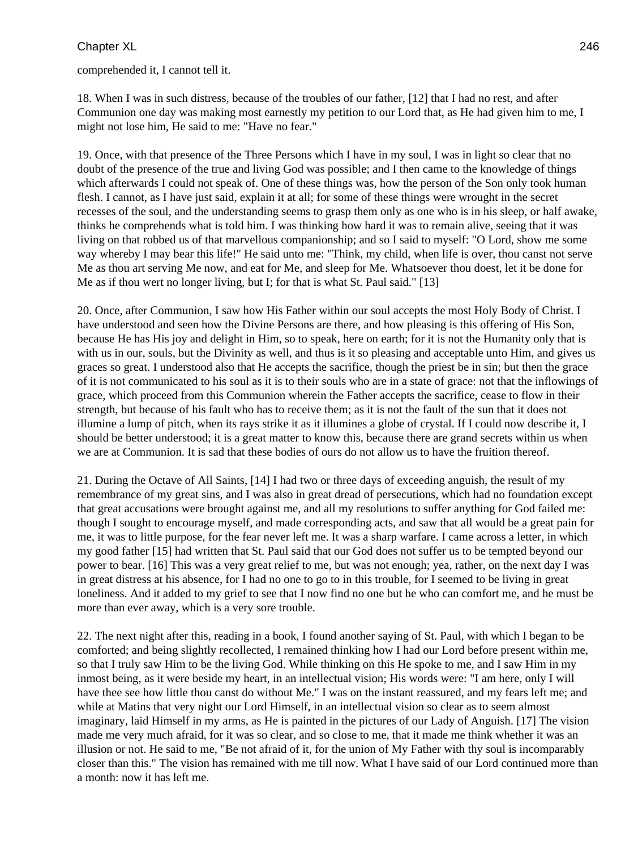comprehended it, I cannot tell it.

18. When I was in such distress, because of the troubles of our father, [12] that I had no rest, and after Communion one day was making most earnestly my petition to our Lord that, as He had given him to me, I might not lose him, He said to me: "Have no fear."

19. Once, with that presence of the Three Persons which I have in my soul, I was in light so clear that no doubt of the presence of the true and living God was possible; and I then came to the knowledge of things which afterwards I could not speak of. One of these things was, how the person of the Son only took human flesh. I cannot, as I have just said, explain it at all; for some of these things were wrought in the secret recesses of the soul, and the understanding seems to grasp them only as one who is in his sleep, or half awake, thinks he comprehends what is told him. I was thinking how hard it was to remain alive, seeing that it was living on that robbed us of that marvellous companionship; and so I said to myself: "O Lord, show me some way whereby I may bear this life!" He said unto me: "Think, my child, when life is over, thou canst not serve Me as thou art serving Me now, and eat for Me, and sleep for Me. Whatsoever thou doest, let it be done for Me as if thou wert no longer living, but I; for that is what St. Paul said." [13]

20. Once, after Communion, I saw how His Father within our soul accepts the most Holy Body of Christ. I have understood and seen how the Divine Persons are there, and how pleasing is this offering of His Son, because He has His joy and delight in Him, so to speak, here on earth; for it is not the Humanity only that is with us in our, souls, but the Divinity as well, and thus is it so pleasing and acceptable unto Him, and gives us graces so great. I understood also that He accepts the sacrifice, though the priest be in sin; but then the grace of it is not communicated to his soul as it is to their souls who are in a state of grace: not that the inflowings of grace, which proceed from this Communion wherein the Father accepts the sacrifice, cease to flow in their strength, but because of his fault who has to receive them; as it is not the fault of the sun that it does not illumine a lump of pitch, when its rays strike it as it illumines a globe of crystal. If I could now describe it, I should be better understood; it is a great matter to know this, because there are grand secrets within us when we are at Communion. It is sad that these bodies of ours do not allow us to have the fruition thereof.

21. During the Octave of All Saints, [14] I had two or three days of exceeding anguish, the result of my remembrance of my great sins, and I was also in great dread of persecutions, which had no foundation except that great accusations were brought against me, and all my resolutions to suffer anything for God failed me: though I sought to encourage myself, and made corresponding acts, and saw that all would be a great pain for me, it was to little purpose, for the fear never left me. It was a sharp warfare. I came across a letter, in which my good father [15] had written that St. Paul said that our God does not suffer us to be tempted beyond our power to bear. [16] This was a very great relief to me, but was not enough; yea, rather, on the next day I was in great distress at his absence, for I had no one to go to in this trouble, for I seemed to be living in great loneliness. And it added to my grief to see that I now find no one but he who can comfort me, and he must be more than ever away, which is a very sore trouble.

22. The next night after this, reading in a book, I found another saying of St. Paul, with which I began to be comforted; and being slightly recollected, I remained thinking how I had our Lord before present within me, so that I truly saw Him to be the living God. While thinking on this He spoke to me, and I saw Him in my inmost being, as it were beside my heart, in an intellectual vision; His words were: "I am here, only I will have thee see how little thou canst do without Me." I was on the instant reassured, and my fears left me; and while at Matins that very night our Lord Himself, in an intellectual vision so clear as to seem almost imaginary, laid Himself in my arms, as He is painted in the pictures of our Lady of Anguish. [17] The vision made me very much afraid, for it was so clear, and so close to me, that it made me think whether it was an illusion or not. He said to me, "Be not afraid of it, for the union of My Father with thy soul is incomparably closer than this." The vision has remained with me till now. What I have said of our Lord continued more than a month: now it has left me.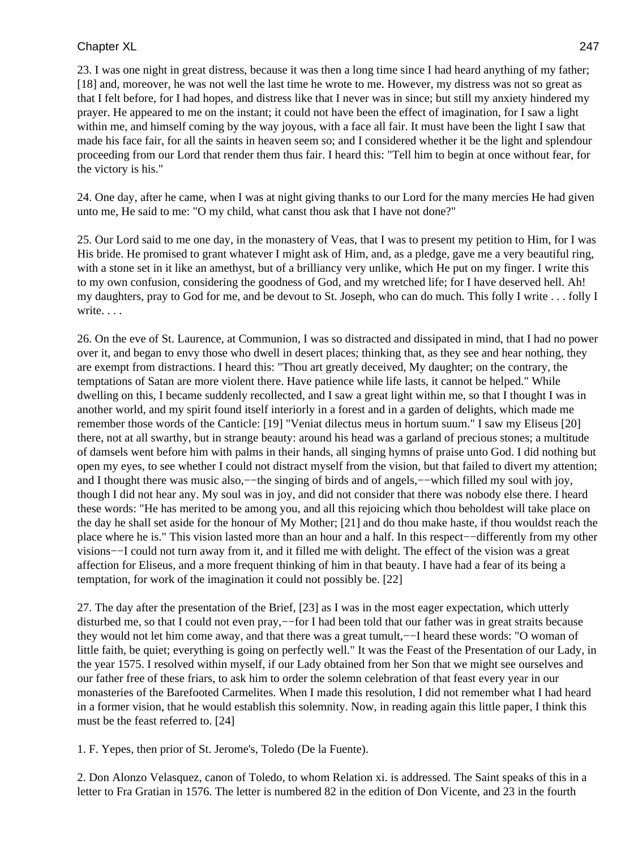23. I was one night in great distress, because it was then a long time since I had heard anything of my father; [18] and, moreover, he was not well the last time he wrote to me. However, my distress was not so great as that I felt before, for I had hopes, and distress like that I never was in since; but still my anxiety hindered my prayer. He appeared to me on the instant; it could not have been the effect of imagination, for I saw a light within me, and himself coming by the way joyous, with a face all fair. It must have been the light I saw that made his face fair, for all the saints in heaven seem so; and I considered whether it be the light and splendour proceeding from our Lord that render them thus fair. I heard this: "Tell him to begin at once without fear, for the victory is his."

24. One day, after he came, when I was at night giving thanks to our Lord for the many mercies He had given unto me, He said to me: "O my child, what canst thou ask that I have not done?"

25. Our Lord said to me one day, in the monastery of Veas, that I was to present my petition to Him, for I was His bride. He promised to grant whatever I might ask of Him, and, as a pledge, gave me a very beautiful ring, with a stone set in it like an amethyst, but of a brilliancy very unlike, which He put on my finger. I write this to my own confusion, considering the goodness of God, and my wretched life; for I have deserved hell. Ah! my daughters, pray to God for me, and be devout to St. Joseph, who can do much. This folly I write . . . folly I write. . . .

26. On the eve of St. Laurence, at Communion, I was so distracted and dissipated in mind, that I had no power over it, and began to envy those who dwell in desert places; thinking that, as they see and hear nothing, they are exempt from distractions. I heard this: "Thou art greatly deceived, My daughter; on the contrary, the temptations of Satan are more violent there. Have patience while life lasts, it cannot be helped." While dwelling on this, I became suddenly recollected, and I saw a great light within me, so that I thought I was in another world, and my spirit found itself interiorly in a forest and in a garden of delights, which made me remember those words of the Canticle: [19] "Veniat dilectus meus in hortum suum." I saw my Eliseus [20] there, not at all swarthy, but in strange beauty: around his head was a garland of precious stones; a multitude of damsels went before him with palms in their hands, all singing hymns of praise unto God. I did nothing but open my eyes, to see whether I could not distract myself from the vision, but that failed to divert my attention; and I thought there was music also,−−the singing of birds and of angels,−−which filled my soul with joy, though I did not hear any. My soul was in joy, and did not consider that there was nobody else there. I heard these words: "He has merited to be among you, and all this rejoicing which thou beholdest will take place on the day he shall set aside for the honour of My Mother; [21] and do thou make haste, if thou wouldst reach the place where he is." This vision lasted more than an hour and a half. In this respect−−differently from my other visions−−I could not turn away from it, and it filled me with delight. The effect of the vision was a great affection for Eliseus, and a more frequent thinking of him in that beauty. I have had a fear of its being a temptation, for work of the imagination it could not possibly be. [22]

27. The day after the presentation of the Brief, [23] as I was in the most eager expectation, which utterly disturbed me, so that I could not even pray,−−for I had been told that our father was in great straits because they would not let him come away, and that there was a great tumult,−−I heard these words: "O woman of little faith, be quiet; everything is going on perfectly well." It was the Feast of the Presentation of our Lady, in the year 1575. I resolved within myself, if our Lady obtained from her Son that we might see ourselves and our father free of these friars, to ask him to order the solemn celebration of that feast every year in our monasteries of the Barefooted Carmelites. When I made this resolution, I did not remember what I had heard in a former vision, that he would establish this solemnity. Now, in reading again this little paper, I think this must be the feast referred to. [24]

1. F. Yepes, then prior of St. Jerome's, Toledo (De la Fuente).

2. Don Alonzo Velasquez, canon of Toledo, to whom Relation xi. is addressed. The Saint speaks of this in a letter to Fra Gratian in 1576. The letter is numbered 82 in the edition of Don Vicente, and 23 in the fourth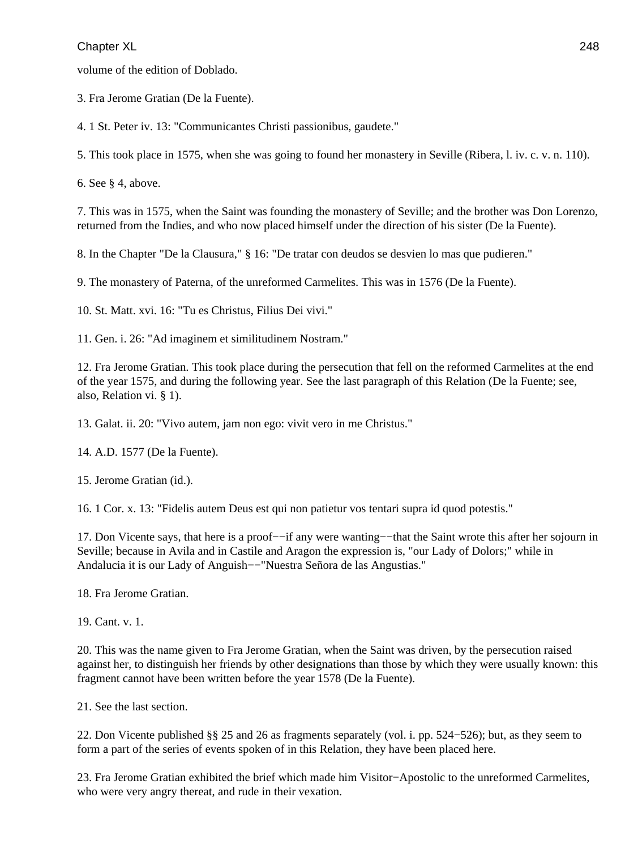volume of the edition of Doblado.

3. Fra Jerome Gratian (De la Fuente).

4. 1 St. Peter iv. 13: "Communicantes Christi passionibus, gaudete."

5. This took place in 1575, when she was going to found her monastery in Seville (Ribera, l. iv. c. v. n. 110).

6. See § 4, above.

7. This was in 1575, when the Saint was founding the monastery of Seville; and the brother was Don Lorenzo, returned from the Indies, and who now placed himself under the direction of his sister (De la Fuente).

8. In the Chapter "De la Clausura," § 16: "De tratar con deudos se desvien lo mas que pudieren."

9. The monastery of Paterna, of the unreformed Carmelites. This was in 1576 (De la Fuente).

10. St. Matt. xvi. 16: "Tu es Christus, Filius Dei vivi."

11. Gen. i. 26: "Ad imaginem et similitudinem Nostram."

12. Fra Jerome Gratian. This took place during the persecution that fell on the reformed Carmelites at the end of the year 1575, and during the following year. See the last paragraph of this Relation (De la Fuente; see, also, Relation vi. § 1).

13. Galat. ii. 20: "Vivo autem, jam non ego: vivit vero in me Christus."

14. A.D. 1577 (De la Fuente).

15. Jerome Gratian (id.).

16. 1 Cor. x. 13: "Fidelis autem Deus est qui non patietur vos tentari supra id quod potestis."

17. Don Vicente says, that here is a proof−−if any were wanting−−that the Saint wrote this after her sojourn in Seville; because in Avila and in Castile and Aragon the expression is, "our Lady of Dolors;" while in Andalucia it is our Lady of Anguish−−"Nuestra Señora de las Angustias."

18. Fra Jerome Gratian.

19. Cant. v. 1.

20. This was the name given to Fra Jerome Gratian, when the Saint was driven, by the persecution raised against her, to distinguish her friends by other designations than those by which they were usually known: this fragment cannot have been written before the year 1578 (De la Fuente).

21. See the last section.

22. Don Vicente published §§ 25 and 26 as fragments separately (vol. i. pp. 524−526); but, as they seem to form a part of the series of events spoken of in this Relation, they have been placed here.

23. Fra Jerome Gratian exhibited the brief which made him Visitor−Apostolic to the unreformed Carmelites, who were very angry thereat, and rude in their vexation.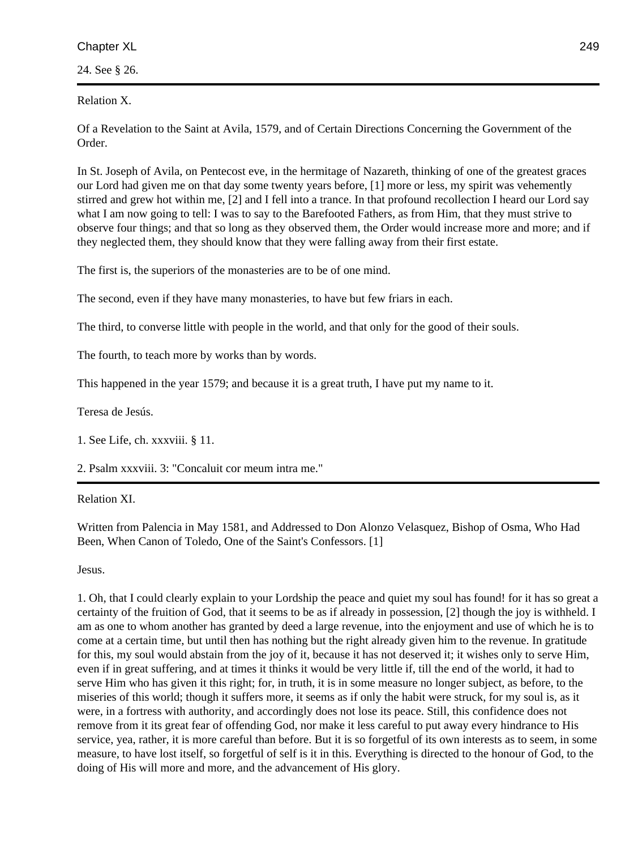24. See § 26.

Relation X.

Of a Revelation to the Saint at Avila, 1579, and of Certain Directions Concerning the Government of the Order.

In St. Joseph of Avila, on Pentecost eve, in the hermitage of Nazareth, thinking of one of the greatest graces our Lord had given me on that day some twenty years before, [1] more or less, my spirit was vehemently stirred and grew hot within me, [2] and I fell into a trance. In that profound recollection I heard our Lord say what I am now going to tell: I was to say to the Barefooted Fathers, as from Him, that they must strive to observe four things; and that so long as they observed them, the Order would increase more and more; and if they neglected them, they should know that they were falling away from their first estate.

The first is, the superiors of the monasteries are to be of one mind.

The second, even if they have many monasteries, to have but few friars in each.

The third, to converse little with people in the world, and that only for the good of their souls.

The fourth, to teach more by works than by words.

This happened in the year 1579; and because it is a great truth, I have put my name to it.

Teresa de Jesús.

1. See Life, ch. xxxviii. § 11.

2. Psalm xxxviii. 3: "Concaluit cor meum intra me."

Relation XI.

Written from Palencia in May 1581, and Addressed to Don Alonzo Velasquez, Bishop of Osma, Who Had Been, When Canon of Toledo, One of the Saint's Confessors. [1]

Jesus.

1. Oh, that I could clearly explain to your Lordship the peace and quiet my soul has found! for it has so great a certainty of the fruition of God, that it seems to be as if already in possession, [2] though the joy is withheld. I am as one to whom another has granted by deed a large revenue, into the enjoyment and use of which he is to come at a certain time, but until then has nothing but the right already given him to the revenue. In gratitude for this, my soul would abstain from the joy of it, because it has not deserved it; it wishes only to serve Him, even if in great suffering, and at times it thinks it would be very little if, till the end of the world, it had to serve Him who has given it this right; for, in truth, it is in some measure no longer subject, as before, to the miseries of this world; though it suffers more, it seems as if only the habit were struck, for my soul is, as it were, in a fortress with authority, and accordingly does not lose its peace. Still, this confidence does not remove from it its great fear of offending God, nor make it less careful to put away every hindrance to His service, yea, rather, it is more careful than before. But it is so forgetful of its own interests as to seem, in some measure, to have lost itself, so forgetful of self is it in this. Everything is directed to the honour of God, to the doing of His will more and more, and the advancement of His glory.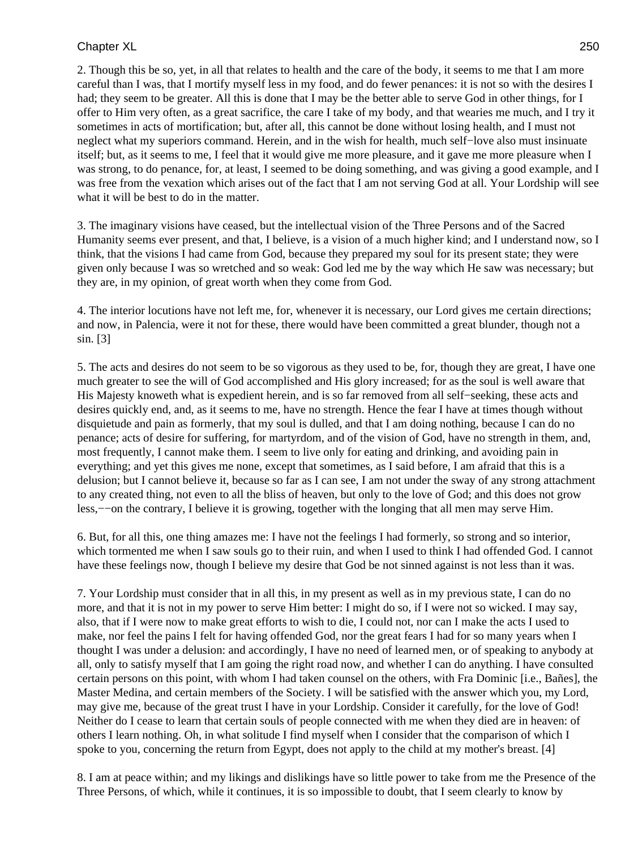2. Though this be so, yet, in all that relates to health and the care of the body, it seems to me that I am more careful than I was, that I mortify myself less in my food, and do fewer penances: it is not so with the desires I had; they seem to be greater. All this is done that I may be the better able to serve God in other things, for I offer to Him very often, as a great sacrifice, the care I take of my body, and that wearies me much, and I try it sometimes in acts of mortification; but, after all, this cannot be done without losing health, and I must not neglect what my superiors command. Herein, and in the wish for health, much self−love also must insinuate itself; but, as it seems to me, I feel that it would give me more pleasure, and it gave me more pleasure when I was strong, to do penance, for, at least, I seemed to be doing something, and was giving a good example, and I was free from the vexation which arises out of the fact that I am not serving God at all. Your Lordship will see what it will be best to do in the matter.

3. The imaginary visions have ceased, but the intellectual vision of the Three Persons and of the Sacred Humanity seems ever present, and that, I believe, is a vision of a much higher kind; and I understand now, so I think, that the visions I had came from God, because they prepared my soul for its present state; they were given only because I was so wretched and so weak: God led me by the way which He saw was necessary; but they are, in my opinion, of great worth when they come from God.

4. The interior locutions have not left me, for, whenever it is necessary, our Lord gives me certain directions; and now, in Palencia, were it not for these, there would have been committed a great blunder, though not a sin. [3]

5. The acts and desires do not seem to be so vigorous as they used to be, for, though they are great, I have one much greater to see the will of God accomplished and His glory increased; for as the soul is well aware that His Majesty knoweth what is expedient herein, and is so far removed from all self−seeking, these acts and desires quickly end, and, as it seems to me, have no strength. Hence the fear I have at times though without disquietude and pain as formerly, that my soul is dulled, and that I am doing nothing, because I can do no penance; acts of desire for suffering, for martyrdom, and of the vision of God, have no strength in them, and, most frequently, I cannot make them. I seem to live only for eating and drinking, and avoiding pain in everything; and yet this gives me none, except that sometimes, as I said before, I am afraid that this is a delusion; but I cannot believe it, because so far as I can see, I am not under the sway of any strong attachment to any created thing, not even to all the bliss of heaven, but only to the love of God; and this does not grow less,−−on the contrary, I believe it is growing, together with the longing that all men may serve Him.

6. But, for all this, one thing amazes me: I have not the feelings I had formerly, so strong and so interior, which tormented me when I saw souls go to their ruin, and when I used to think I had offended God. I cannot have these feelings now, though I believe my desire that God be not sinned against is not less than it was.

7. Your Lordship must consider that in all this, in my present as well as in my previous state, I can do no more, and that it is not in my power to serve Him better: I might do so, if I were not so wicked. I may say, also, that if I were now to make great efforts to wish to die, I could not, nor can I make the acts I used to make, nor feel the pains I felt for having offended God, nor the great fears I had for so many years when I thought I was under a delusion: and accordingly, I have no need of learned men, or of speaking to anybody at all, only to satisfy myself that I am going the right road now, and whether I can do anything. I have consulted certain persons on this point, with whom I had taken counsel on the others, with Fra Dominic [i.e., Bañes], the Master Medina, and certain members of the Society. I will be satisfied with the answer which you, my Lord, may give me, because of the great trust I have in your Lordship. Consider it carefully, for the love of God! Neither do I cease to learn that certain souls of people connected with me when they died are in heaven: of others I learn nothing. Oh, in what solitude I find myself when I consider that the comparison of which I spoke to you, concerning the return from Egypt, does not apply to the child at my mother's breast. [4]

8. I am at peace within; and my likings and dislikings have so little power to take from me the Presence of the Three Persons, of which, while it continues, it is so impossible to doubt, that I seem clearly to know by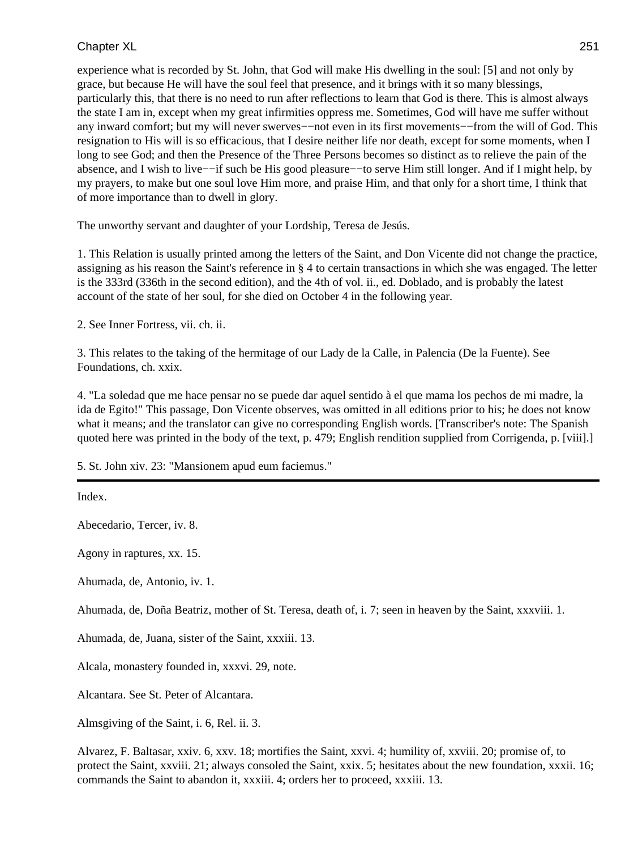experience what is recorded by St. John, that God will make His dwelling in the soul: [5] and not only by grace, but because He will have the soul feel that presence, and it brings with it so many blessings, particularly this, that there is no need to run after reflections to learn that God is there. This is almost always the state I am in, except when my great infirmities oppress me. Sometimes, God will have me suffer without any inward comfort; but my will never swerves−−not even in its first movements−−from the will of God. This resignation to His will is so efficacious, that I desire neither life nor death, except for some moments, when I long to see God; and then the Presence of the Three Persons becomes so distinct as to relieve the pain of the absence, and I wish to live−−if such be His good pleasure−−to serve Him still longer. And if I might help, by my prayers, to make but one soul love Him more, and praise Him, and that only for a short time, I think that of more importance than to dwell in glory.

The unworthy servant and daughter of your Lordship, Teresa de Jesús.

1. This Relation is usually printed among the letters of the Saint, and Don Vicente did not change the practice, assigning as his reason the Saint's reference in § 4 to certain transactions in which she was engaged. The letter is the 333rd (336th in the second edition), and the 4th of vol. ii., ed. Doblado, and is probably the latest account of the state of her soul, for she died on October 4 in the following year.

2. See Inner Fortress, vii. ch. ii.

3. This relates to the taking of the hermitage of our Lady de la Calle, in Palencia (De la Fuente). See Foundations, ch. xxix.

4. "La soledad que me hace pensar no se puede dar aquel sentido à el que mama los pechos de mi madre, la ida de Egito!" This passage, Don Vicente observes, was omitted in all editions prior to his; he does not know what it means; and the translator can give no corresponding English words. [Transcriber's note: The Spanish quoted here was printed in the body of the text, p. 479; English rendition supplied from Corrigenda, p. [viii].]

5. St. John xiv. 23: "Mansionem apud eum faciemus."

Index.

Abecedario, Tercer, iv. 8.

Agony in raptures, xx. 15.

Ahumada, de, Antonio, iv. 1.

Ahumada, de, Doña Beatriz, mother of St. Teresa, death of, i. 7; seen in heaven by the Saint, xxxviii. 1.

Ahumada, de, Juana, sister of the Saint, xxxiii. 13.

Alcala, monastery founded in, xxxvi. 29, note.

Alcantara. See St. Peter of Alcantara.

Almsgiving of the Saint, i. 6, Rel. ii. 3.

Alvarez, F. Baltasar, xxiv. 6, xxv. 18; mortifies the Saint, xxvi. 4; humility of, xxviii. 20; promise of, to protect the Saint, xxviii. 21; always consoled the Saint, xxix. 5; hesitates about the new foundation, xxxii. 16; commands the Saint to abandon it, xxxiii. 4; orders her to proceed, xxxiii. 13.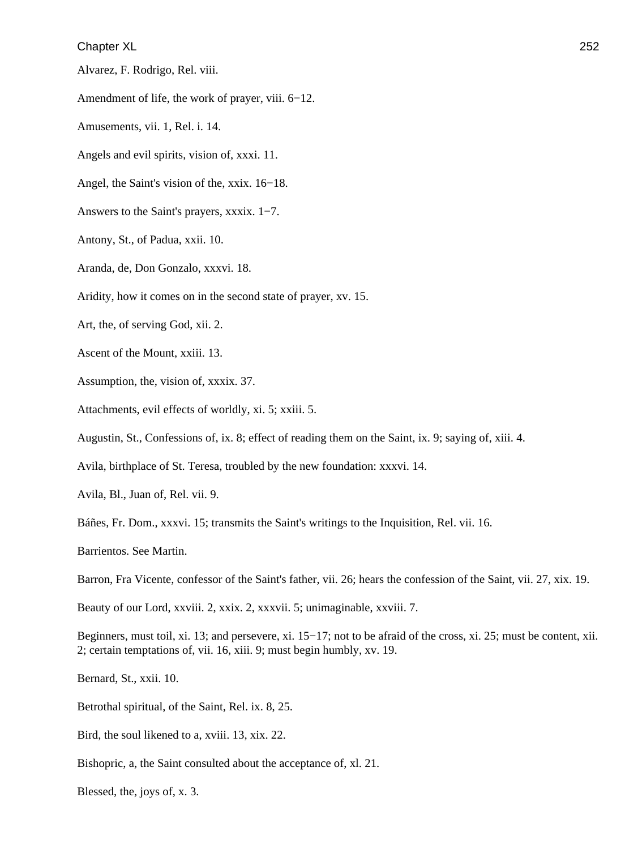Alvarez, F. Rodrigo, Rel. viii.

Amendment of life, the work of prayer, viii. 6−12.

Amusements, vii. 1, Rel. i. 14.

Angels and evil spirits, vision of, xxxi. 11.

Angel, the Saint's vision of the, xxix. 16−18.

Answers to the Saint's prayers, xxxix. 1−7.

Antony, St., of Padua, xxii. 10.

Aranda, de, Don Gonzalo, xxxvi. 18.

Aridity, how it comes on in the second state of prayer, xv. 15.

Art, the, of serving God, xii. 2.

Ascent of the Mount, xxiii. 13.

Assumption, the, vision of, xxxix. 37.

Attachments, evil effects of worldly, xi. 5; xxiii. 5.

Augustin, St., Confessions of, ix. 8; effect of reading them on the Saint, ix. 9; saying of, xiii. 4.

Avila, birthplace of St. Teresa, troubled by the new foundation: xxxvi. 14.

Avila, Bl., Juan of, Rel. vii. 9.

Báñes, Fr. Dom., xxxvi. 15; transmits the Saint's writings to the Inquisition, Rel. vii. 16.

Barrientos. See Martin.

Barron, Fra Vicente, confessor of the Saint's father, vii. 26; hears the confession of the Saint, vii. 27, xix. 19.

Beauty of our Lord, xxviii. 2, xxix. 2, xxxvii. 5; unimaginable, xxviii. 7.

Beginners, must toil, xi. 13; and persevere, xi. 15−17; not to be afraid of the cross, xi. 25; must be content, xii. 2; certain temptations of, vii. 16, xiii. 9; must begin humbly, xv. 19.

Bernard, St., xxii. 10.

Betrothal spiritual, of the Saint, Rel. ix. 8, 25.

Bird, the soul likened to a, xviii. 13, xix. 22.

Bishopric, a, the Saint consulted about the acceptance of, xl. 21.

Blessed, the, joys of, x. 3.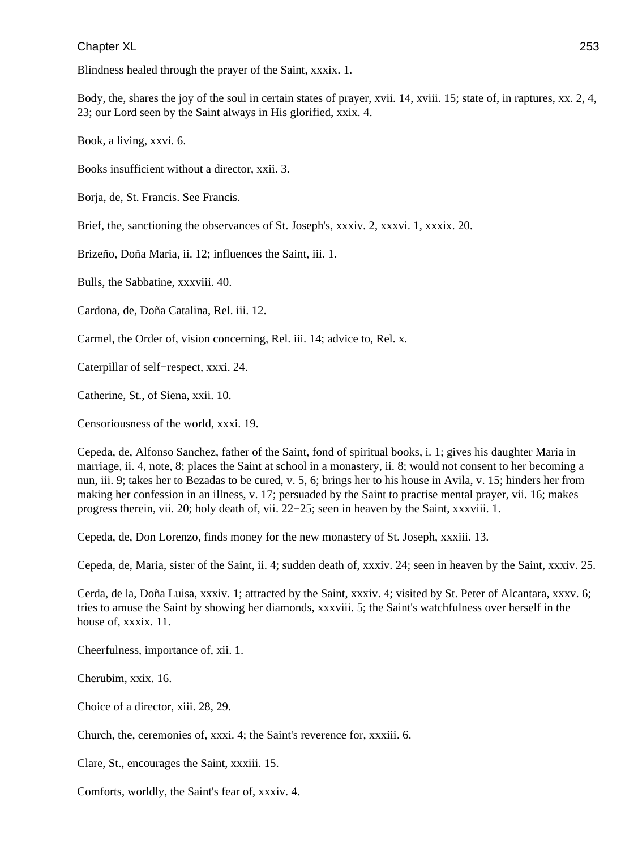Blindness healed through the prayer of the Saint, xxxix. 1.

Body, the, shares the joy of the soul in certain states of prayer, xvii. 14, xviii. 15; state of, in raptures, xx. 2, 4, 23; our Lord seen by the Saint always in His glorified, xxix. 4.

Book, a living, xxvi. 6.

Books insufficient without a director, xxii. 3.

Borja, de, St. Francis. See Francis.

Brief, the, sanctioning the observances of St. Joseph's, xxxiv. 2, xxxvi. 1, xxxix. 20.

Brizeño, Doña Maria, ii. 12; influences the Saint, iii. 1.

Bulls, the Sabbatine, xxxviii. 40.

Cardona, de, Doña Catalina, Rel. iii. 12.

Carmel, the Order of, vision concerning, Rel. iii. 14; advice to, Rel. x.

Caterpillar of self−respect, xxxi. 24.

Catherine, St., of Siena, xxii. 10.

Censoriousness of the world, xxxi. 19.

Cepeda, de, Alfonso Sanchez, father of the Saint, fond of spiritual books, i. 1; gives his daughter Maria in marriage, ii. 4, note, 8; places the Saint at school in a monastery, ii. 8; would not consent to her becoming a nun, iii. 9; takes her to Bezadas to be cured, v. 5, 6; brings her to his house in Avila, v. 15; hinders her from making her confession in an illness, v. 17; persuaded by the Saint to practise mental prayer, vii. 16; makes progress therein, vii. 20; holy death of, vii. 22−25; seen in heaven by the Saint, xxxviii. 1.

Cepeda, de, Don Lorenzo, finds money for the new monastery of St. Joseph, xxxiii. 13.

Cepeda, de, Maria, sister of the Saint, ii. 4; sudden death of, xxxiv. 24; seen in heaven by the Saint, xxxiv. 25.

Cerda, de la, Doña Luisa, xxxiv. 1; attracted by the Saint, xxxiv. 4; visited by St. Peter of Alcantara, xxxv. 6; tries to amuse the Saint by showing her diamonds, xxxviii. 5; the Saint's watchfulness over herself in the house of, xxxix. 11.

Cheerfulness, importance of, xii. 1.

Cherubim, xxix. 16.

Choice of a director, xiii. 28, 29.

Church, the, ceremonies of, xxxi. 4; the Saint's reverence for, xxxiii. 6.

Clare, St., encourages the Saint, xxxiii. 15.

Comforts, worldly, the Saint's fear of, xxxiv. 4.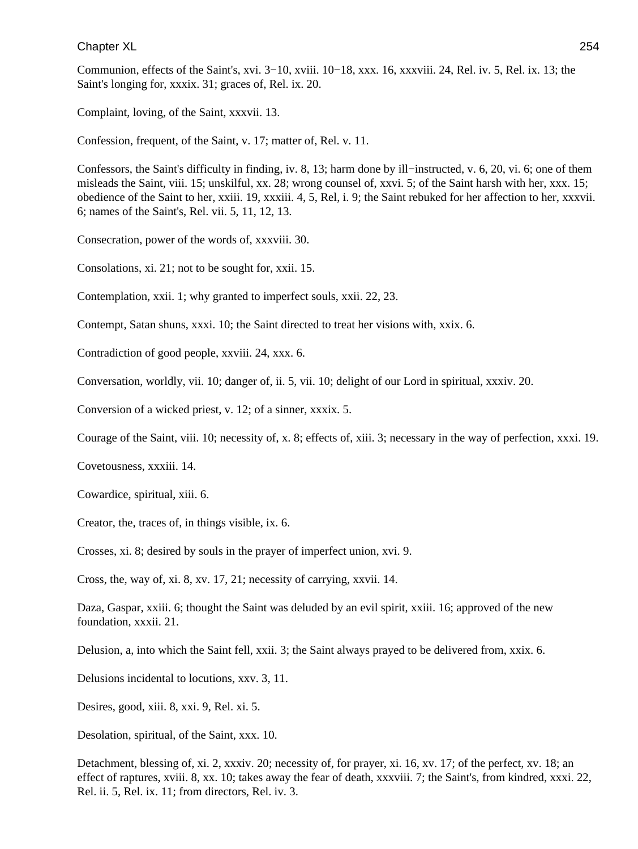Communion, effects of the Saint's, xvi. 3−10, xviii. 10−18, xxx. 16, xxxviii. 24, Rel. iv. 5, Rel. ix. 13; the Saint's longing for, xxxix. 31; graces of, Rel. ix. 20.

Complaint, loving, of the Saint, xxxvii. 13.

Confession, frequent, of the Saint, v. 17; matter of, Rel. v. 11.

Confessors, the Saint's difficulty in finding, iv. 8, 13; harm done by ill−instructed, v. 6, 20, vi. 6; one of them misleads the Saint, viii. 15; unskilful, xx. 28; wrong counsel of, xxvi. 5; of the Saint harsh with her, xxx. 15; obedience of the Saint to her, xxiii. 19, xxxiii. 4, 5, Rel, i. 9; the Saint rebuked for her affection to her, xxxvii. 6; names of the Saint's, Rel. vii. 5, 11, 12, 13.

Consecration, power of the words of, xxxviii. 30.

Consolations, xi. 21; not to be sought for, xxii. 15.

Contemplation, xxii. 1; why granted to imperfect souls, xxii. 22, 23.

Contempt, Satan shuns, xxxi. 10; the Saint directed to treat her visions with, xxix. 6.

Contradiction of good people, xxviii. 24, xxx. 6.

Conversation, worldly, vii. 10; danger of, ii. 5, vii. 10; delight of our Lord in spiritual, xxxiv. 20.

Conversion of a wicked priest, v. 12; of a sinner, xxxix. 5.

Courage of the Saint, viii. 10; necessity of, x. 8; effects of, xiii. 3; necessary in the way of perfection, xxxi. 19.

Covetousness, xxxiii. 14.

Cowardice, spiritual, xiii. 6.

Creator, the, traces of, in things visible, ix. 6.

Crosses, xi. 8; desired by souls in the prayer of imperfect union, xvi. 9.

Cross, the, way of, xi. 8, xv. 17, 21; necessity of carrying, xxvii. 14.

Daza, Gaspar, xxiii. 6; thought the Saint was deluded by an evil spirit, xxiii. 16; approved of the new foundation, xxxii. 21.

Delusion, a, into which the Saint fell, xxii. 3; the Saint always prayed to be delivered from, xxix. 6.

Delusions incidental to locutions, xxv. 3, 11.

Desires, good, xiii. 8, xxi. 9, Rel. xi. 5.

Desolation, spiritual, of the Saint, xxx. 10.

Detachment, blessing of, xi. 2, xxxiv. 20; necessity of, for prayer, xi. 16, xv. 17; of the perfect, xv. 18; an effect of raptures, xviii. 8, xx. 10; takes away the fear of death, xxxviii. 7; the Saint's, from kindred, xxxi. 22, Rel. ii. 5, Rel. ix. 11; from directors, Rel. iv. 3.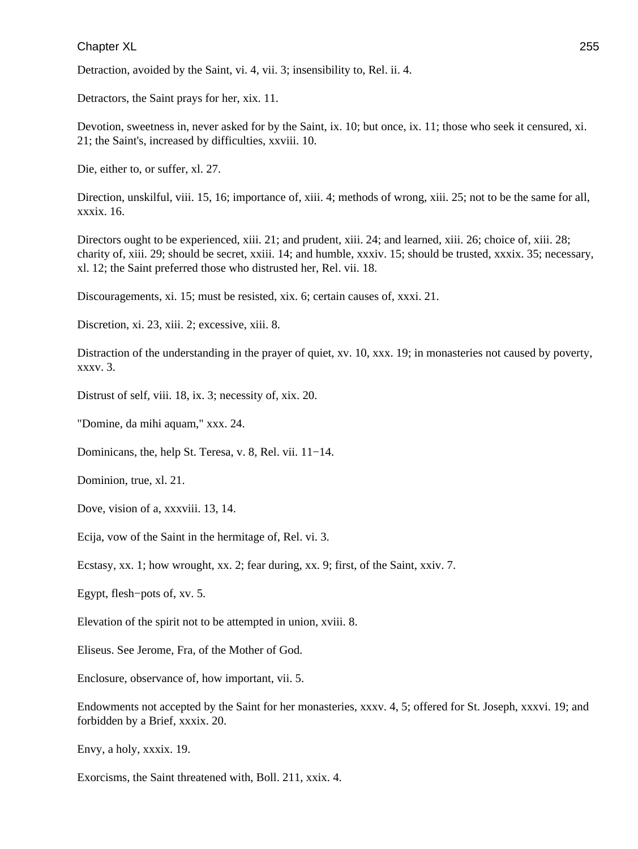Detraction, avoided by the Saint, vi. 4, vii. 3; insensibility to, Rel. ii. 4.

Detractors, the Saint prays for her, xix. 11.

Devotion, sweetness in, never asked for by the Saint, ix. 10; but once, ix. 11; those who seek it censured, xi. 21; the Saint's, increased by difficulties, xxviii. 10.

Die, either to, or suffer, xl. 27.

Direction, unskilful, viii. 15, 16; importance of, xiii. 4; methods of wrong, xiii. 25; not to be the same for all, xxxix. 16.

Directors ought to be experienced, xiii. 21; and prudent, xiii. 24; and learned, xiii. 26; choice of, xiii. 28; charity of, xiii. 29; should be secret, xxiii. 14; and humble, xxxiv. 15; should be trusted, xxxix. 35; necessary, xl. 12; the Saint preferred those who distrusted her, Rel. vii. 18.

Discouragements, xi. 15; must be resisted, xix. 6; certain causes of, xxxi. 21.

Discretion, xi. 23, xiii. 2; excessive, xiii. 8.

Distraction of the understanding in the prayer of quiet, xv. 10, xxx. 19; in monasteries not caused by poverty, xxxv. 3.

Distrust of self, viii. 18, ix. 3; necessity of, xix. 20.

"Domine, da mihi aquam," xxx. 24.

Dominicans, the, help St. Teresa, v. 8, Rel. vii. 11−14.

Dominion, true, xl. 21.

Dove, vision of a, xxxviii. 13, 14.

Ecija, vow of the Saint in the hermitage of, Rel. vi. 3.

Ecstasy, xx. 1; how wrought, xx. 2; fear during, xx. 9; first, of the Saint, xxiv. 7.

Egypt, flesh−pots of, xv. 5.

Elevation of the spirit not to be attempted in union, xviii. 8.

Eliseus. See Jerome, Fra, of the Mother of God.

Enclosure, observance of, how important, vii. 5.

Endowments not accepted by the Saint for her monasteries, xxxv. 4, 5; offered for St. Joseph, xxxvi. 19; and forbidden by a Brief, xxxix. 20.

Envy, a holy, xxxix. 19.

Exorcisms, the Saint threatened with, Boll. 211, xxix. 4.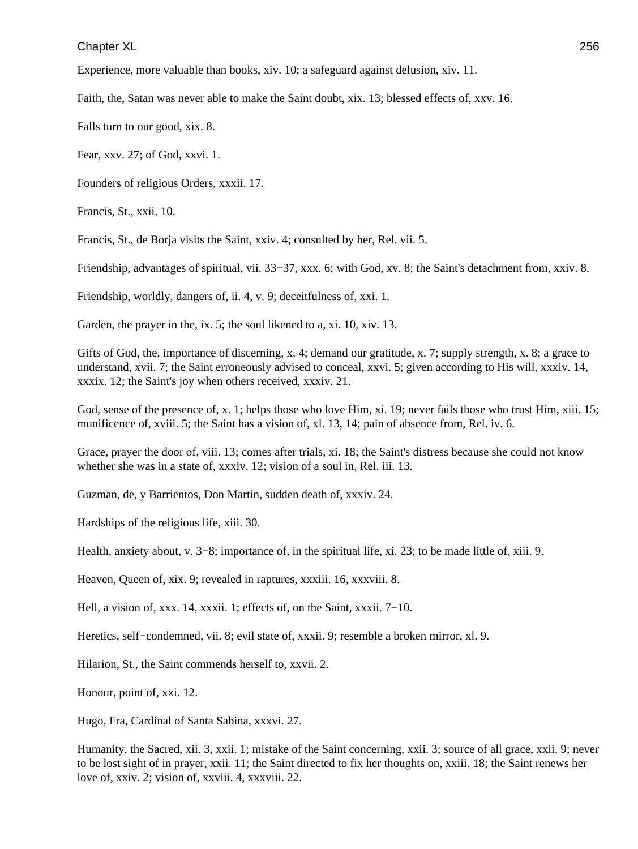Experience, more valuable than books, xiv. 10; a safeguard against delusion, xiv. 11.

Faith, the, Satan was never able to make the Saint doubt, xix. 13; blessed effects of, xxv. 16.

Falls turn to our good, xix. 8.

Fear, xxv. 27; of God, xxvi. 1.

Founders of religious Orders, xxxii. 17.

Francis, St., xxii. 10.

Francis, St., de Borja visits the Saint, xxiv. 4; consulted by her, Rel. vii. 5.

Friendship, advantages of spiritual, vii. 33−37, xxx. 6; with God, xv. 8; the Saint's detachment from, xxiv. 8.

Friendship, worldly, dangers of, ii. 4, v. 9; deceitfulness of, xxi. 1.

Garden, the prayer in the, ix. 5; the soul likened to a, xi. 10, xiv. 13.

Gifts of God, the, importance of discerning, x. 4; demand our gratitude, x. 7; supply strength, x. 8; a grace to understand, xvii. 7; the Saint erroneously advised to conceal, xxvi. 5; given according to His will, xxxiv. 14, xxxix. 12; the Saint's joy when others received, xxxiv. 21.

God, sense of the presence of, x. 1; helps those who love Him, xi. 19; never fails those who trust Him, xiii. 15; munificence of, xviii. 5; the Saint has a vision of, xl. 13, 14; pain of absence from, Rel. iv. 6.

Grace, prayer the door of, viii. 13; comes after trials, xi. 18; the Saint's distress because she could not know whether she was in a state of, xxxiv. 12; vision of a soul in, Rel. iii. 13.

Guzman, de, y Barrientos, Don Martin, sudden death of, xxxiv. 24.

Hardships of the religious life, xiii. 30.

Health, anxiety about, v. 3−8; importance of, in the spiritual life, xi. 23; to be made little of, xiii. 9.

Heaven, Queen of, xix. 9; revealed in raptures, xxxiii. 16, xxxviii. 8.

Hell, a vision of, xxx. 14, xxxii. 1; effects of, on the Saint, xxxii. 7−10.

Heretics, self−condemned, vii. 8; evil state of, xxxii. 9; resemble a broken mirror, xl. 9.

Hilarion, St., the Saint commends herself to, xxvii. 2.

Honour, point of, xxi. 12.

Hugo, Fra, Cardinal of Santa Sabina, xxxvi. 27.

Humanity, the Sacred, xii. 3, xxii. 1; mistake of the Saint concerning, xxii. 3; source of all grace, xxii. 9; never to be lost sight of in prayer, xxii. 11; the Saint directed to fix her thoughts on, xxiii. 18; the Saint renews her love of, xxiv. 2; vision of, xxviii. 4, xxxviii. 22.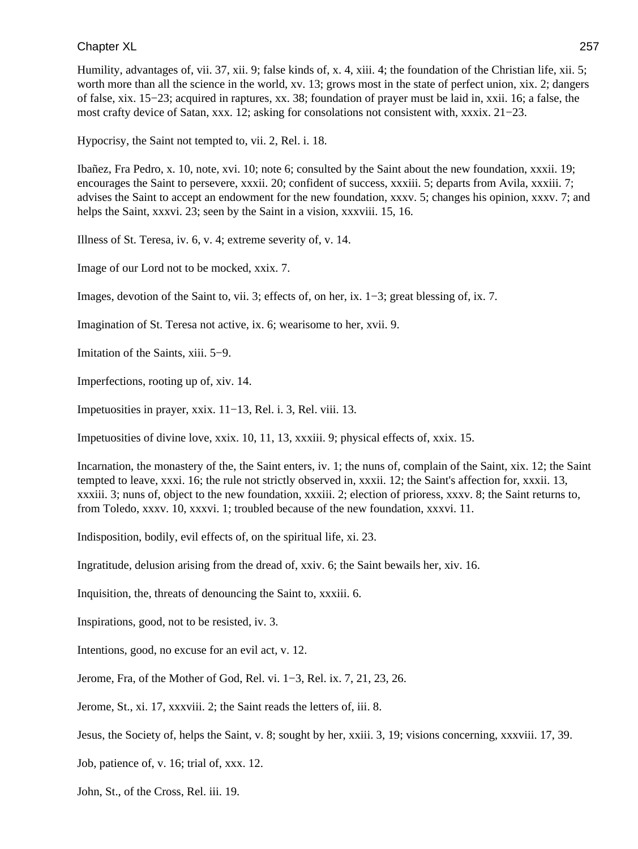Humility, advantages of, vii. 37, xii. 9; false kinds of, x. 4, xiii. 4; the foundation of the Christian life, xii. 5; worth more than all the science in the world, xv. 13; grows most in the state of perfect union, xix. 2; dangers of false, xix. 15−23; acquired in raptures, xx. 38; foundation of prayer must be laid in, xxii. 16; a false, the most crafty device of Satan, xxx. 12; asking for consolations not consistent with, xxxix. 21−23.

Hypocrisy, the Saint not tempted to, vii. 2, Rel. i. 18.

Ibañez, Fra Pedro, x. 10, note, xvi. 10; note 6; consulted by the Saint about the new foundation, xxxii. 19; encourages the Saint to persevere, xxxii. 20; confident of success, xxxiii. 5; departs from Avila, xxxiii. 7; advises the Saint to accept an endowment for the new foundation, xxxv. 5; changes his opinion, xxxv. 7; and helps the Saint, xxxvi. 23; seen by the Saint in a vision, xxxviii. 15, 16.

Illness of St. Teresa, iv. 6, v. 4; extreme severity of, v. 14.

Image of our Lord not to be mocked, xxix. 7.

Images, devotion of the Saint to, vii. 3; effects of, on her, ix. 1−3; great blessing of, ix. 7.

Imagination of St. Teresa not active, ix. 6; wearisome to her, xvii. 9.

Imitation of the Saints, xiii. 5−9.

Imperfections, rooting up of, xiv. 14.

Impetuosities in prayer, xxix. 11−13, Rel. i. 3, Rel. viii. 13.

Impetuosities of divine love, xxix. 10, 11, 13, xxxiii. 9; physical effects of, xxix. 15.

Incarnation, the monastery of the, the Saint enters, iv. 1; the nuns of, complain of the Saint, xix. 12; the Saint tempted to leave, xxxi. 16; the rule not strictly observed in, xxxii. 12; the Saint's affection for, xxxii. 13, xxxiii. 3; nuns of, object to the new foundation, xxxiii. 2; election of prioress, xxxv. 8; the Saint returns to, from Toledo, xxxv. 10, xxxvi. 1; troubled because of the new foundation, xxxvi. 11.

Indisposition, bodily, evil effects of, on the spiritual life, xi. 23.

Ingratitude, delusion arising from the dread of, xxiv. 6; the Saint bewails her, xiv. 16.

Inquisition, the, threats of denouncing the Saint to, xxxiii. 6.

Inspirations, good, not to be resisted, iv. 3.

Intentions, good, no excuse for an evil act, v. 12.

Jerome, Fra, of the Mother of God, Rel. vi. 1−3, Rel. ix. 7, 21, 23, 26.

Jerome, St., xi. 17, xxxviii. 2; the Saint reads the letters of, iii. 8.

Jesus, the Society of, helps the Saint, v. 8; sought by her, xxiii. 3, 19; visions concerning, xxxviii. 17, 39.

Job, patience of, v. 16; trial of, xxx. 12.

John, St., of the Cross, Rel. iii. 19.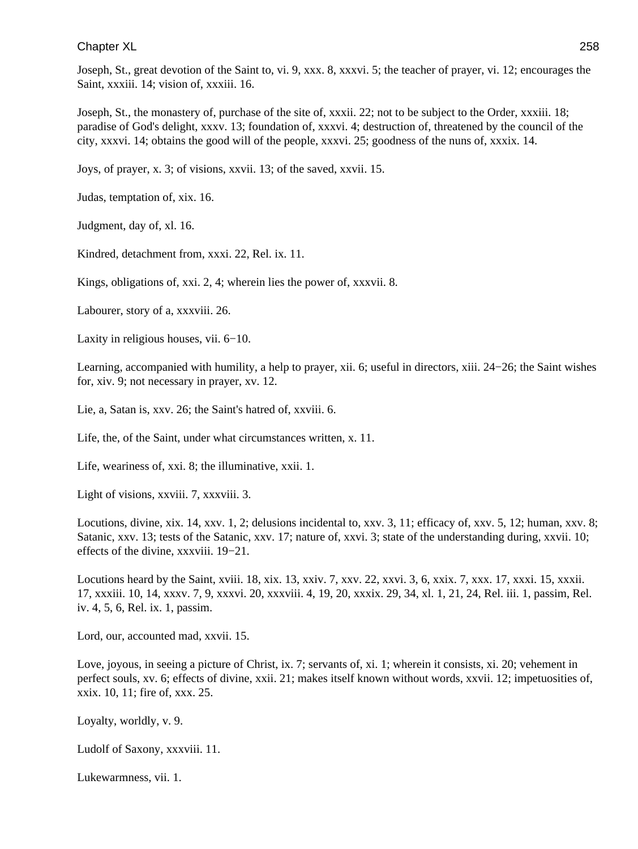Joseph, St., great devotion of the Saint to, vi. 9, xxx. 8, xxxvi. 5; the teacher of prayer, vi. 12; encourages the Saint, xxxiii. 14; vision of, xxxiii. 16.

Joseph, St., the monastery of, purchase of the site of, xxxii. 22; not to be subject to the Order, xxxiii. 18; paradise of God's delight, xxxv. 13; foundation of, xxxvi. 4; destruction of, threatened by the council of the city, xxxvi. 14; obtains the good will of the people, xxxvi. 25; goodness of the nuns of, xxxix. 14.

Joys, of prayer, x. 3; of visions, xxvii. 13; of the saved, xxvii. 15.

Judas, temptation of, xix. 16.

Judgment, day of, xl. 16.

Kindred, detachment from, xxxi. 22, Rel. ix. 11.

Kings, obligations of, xxi. 2, 4; wherein lies the power of, xxxvii. 8.

Labourer, story of a, xxxviii. 26.

Laxity in religious houses, vii. 6−10.

Learning, accompanied with humility, a help to prayer, xii. 6; useful in directors, xiii. 24−26; the Saint wishes for, xiv. 9; not necessary in prayer, xv. 12.

Lie, a, Satan is, xxv. 26; the Saint's hatred of, xxviii. 6.

Life, the, of the Saint, under what circumstances written, x. 11.

Life, weariness of, xxi. 8; the illuminative, xxii. 1.

Light of visions, xxviii. 7, xxxviii. 3.

Locutions, divine, xix. 14, xxv. 1, 2; delusions incidental to, xxv. 3, 11; efficacy of, xxv. 5, 12; human, xxv. 8; Satanic, xxv. 13; tests of the Satanic, xxv. 17; nature of, xxvi. 3; state of the understanding during, xxvii. 10; effects of the divine, xxxviii. 19−21.

Locutions heard by the Saint, xviii. 18, xix. 13, xxiv. 7, xxv. 22, xxvi. 3, 6, xxix. 7, xxx. 17, xxxi. 15, xxxii. 17, xxxiii. 10, 14, xxxv. 7, 9, xxxvi. 20, xxxviii. 4, 19, 20, xxxix. 29, 34, xl. 1, 21, 24, Rel. iii. 1, passim, Rel. iv. 4, 5, 6, Rel. ix. 1, passim.

Lord, our, accounted mad, xxvii. 15.

Love, joyous, in seeing a picture of Christ, ix. 7; servants of, xi. 1; wherein it consists, xi. 20; vehement in perfect souls, xv. 6; effects of divine, xxii. 21; makes itself known without words, xxvii. 12; impetuosities of, xxix. 10, 11; fire of, xxx. 25.

Loyalty, worldly, v. 9.

Ludolf of Saxony, xxxviii. 11.

Lukewarmness, vii. 1.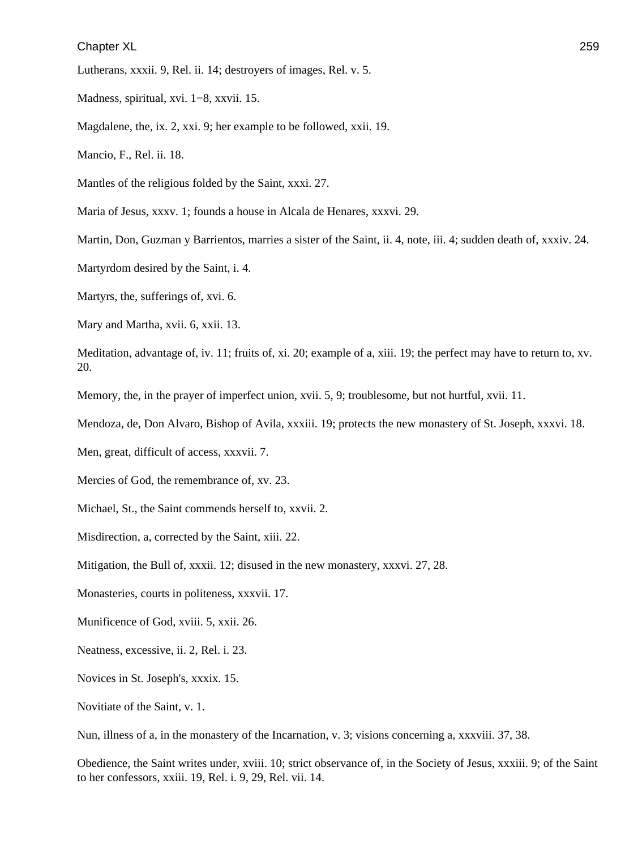Lutherans, xxxii. 9, Rel. ii. 14; destroyers of images, Rel. v. 5.

Madness, spiritual, xvi. 1−8, xxvii. 15.

Magdalene, the, ix. 2, xxi. 9; her example to be followed, xxii. 19.

Mancio, F., Rel. ii. 18.

Mantles of the religious folded by the Saint, xxxi. 27.

Maria of Jesus, xxxv. 1; founds a house in Alcala de Henares, xxxvi. 29.

Martin, Don, Guzman y Barrientos, marries a sister of the Saint, ii. 4, note, iii. 4; sudden death of, xxxiv. 24.

Martyrdom desired by the Saint, i. 4.

Martyrs, the, sufferings of, xvi. 6.

Mary and Martha, xvii. 6, xxii. 13.

Meditation, advantage of, iv. 11; fruits of, xi. 20; example of a, xiii. 19; the perfect may have to return to, xv. 20.

Memory, the, in the prayer of imperfect union, xvii. 5, 9; troublesome, but not hurtful, xvii. 11.

Mendoza, de, Don Alvaro, Bishop of Avila, xxxiii. 19; protects the new monastery of St. Joseph, xxxvi. 18.

Men, great, difficult of access, xxxvii. 7.

Mercies of God, the remembrance of, xv. 23.

Michael, St., the Saint commends herself to, xxvii. 2.

Misdirection, a, corrected by the Saint, xiii. 22.

Mitigation, the Bull of, xxxii. 12; disused in the new monastery, xxxvi. 27, 28.

Monasteries, courts in politeness, xxxvii. 17.

Munificence of God, xviii. 5, xxii. 26.

Neatness, excessive, ii. 2, Rel. i. 23.

Novices in St. Joseph's, xxxix. 15.

Novitiate of the Saint, v. 1.

Nun, illness of a, in the monastery of the Incarnation, v. 3; visions concerning a, xxxviii. 37, 38.

Obedience, the Saint writes under, xviii. 10; strict observance of, in the Society of Jesus, xxxiii. 9; of the Saint to her confessors, xxiii. 19, Rel. i. 9, 29, Rel. vii. 14.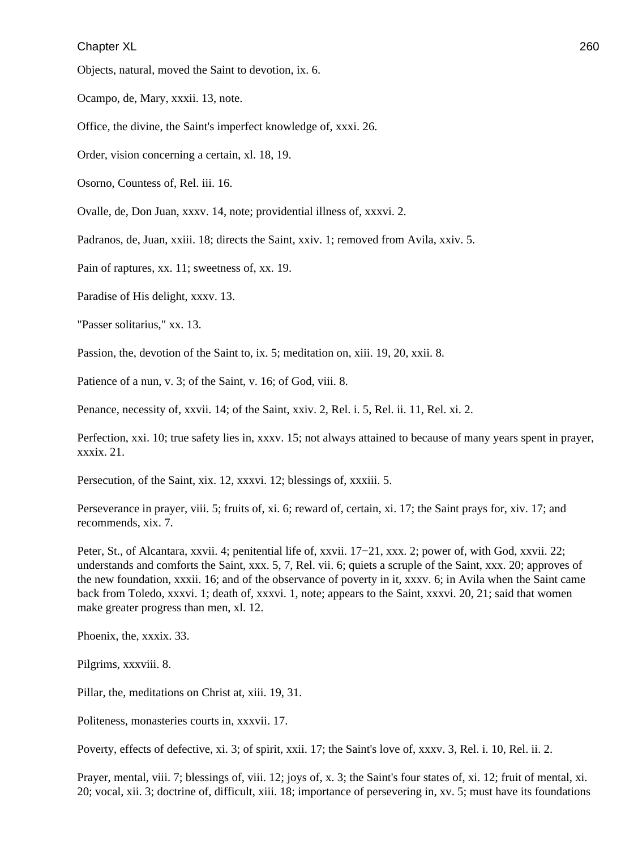Objects, natural, moved the Saint to devotion, ix. 6.

Ocampo, de, Mary, xxxii. 13, note.

Office, the divine, the Saint's imperfect knowledge of, xxxi. 26.

Order, vision concerning a certain, xl. 18, 19.

Osorno, Countess of, Rel. iii. 16.

Ovalle, de, Don Juan, xxxv. 14, note; providential illness of, xxxvi. 2.

Padranos, de, Juan, xxiii. 18; directs the Saint, xxiv. 1; removed from Avila, xxiv. 5.

Pain of raptures, xx. 11; sweetness of, xx. 19.

Paradise of His delight, xxxv. 13.

"Passer solitarius," xx. 13.

Passion, the, devotion of the Saint to, ix. 5; meditation on, xiii. 19, 20, xxii. 8.

Patience of a nun, v. 3; of the Saint, v. 16; of God, viii. 8.

Penance, necessity of, xxvii. 14; of the Saint, xxiv. 2, Rel. i. 5, Rel. ii. 11, Rel. xi. 2.

Perfection, xxi. 10; true safety lies in, xxxv. 15; not always attained to because of many years spent in prayer, xxxix. 21.

Persecution, of the Saint, xix. 12, xxxvi. 12; blessings of, xxxiii. 5.

Perseverance in prayer, viii. 5; fruits of, xi. 6; reward of, certain, xi. 17; the Saint prays for, xiv. 17; and recommends, xix. 7.

Peter, St., of Alcantara, xxvii. 4; penitential life of, xxvii. 17−21, xxx. 2; power of, with God, xxvii. 22; understands and comforts the Saint, xxx. 5, 7, Rel. vii. 6; quiets a scruple of the Saint, xxx. 20; approves of the new foundation, xxxii. 16; and of the observance of poverty in it, xxxv. 6; in Avila when the Saint came back from Toledo, xxxvi. 1; death of, xxxvi. 1, note; appears to the Saint, xxxvi. 20, 21; said that women make greater progress than men, xl. 12.

Phoenix, the, xxxix. 33.

Pilgrims, xxxviii. 8.

Pillar, the, meditations on Christ at, xiii. 19, 31.

Politeness, monasteries courts in, xxxvii. 17.

Poverty, effects of defective, xi. 3; of spirit, xxii. 17; the Saint's love of, xxxv. 3, Rel. i. 10, Rel. ii. 2.

Prayer, mental, viii. 7; blessings of, viii. 12; joys of, x. 3; the Saint's four states of, xi. 12; fruit of mental, xi. 20; vocal, xii. 3; doctrine of, difficult, xiii. 18; importance of persevering in, xv. 5; must have its foundations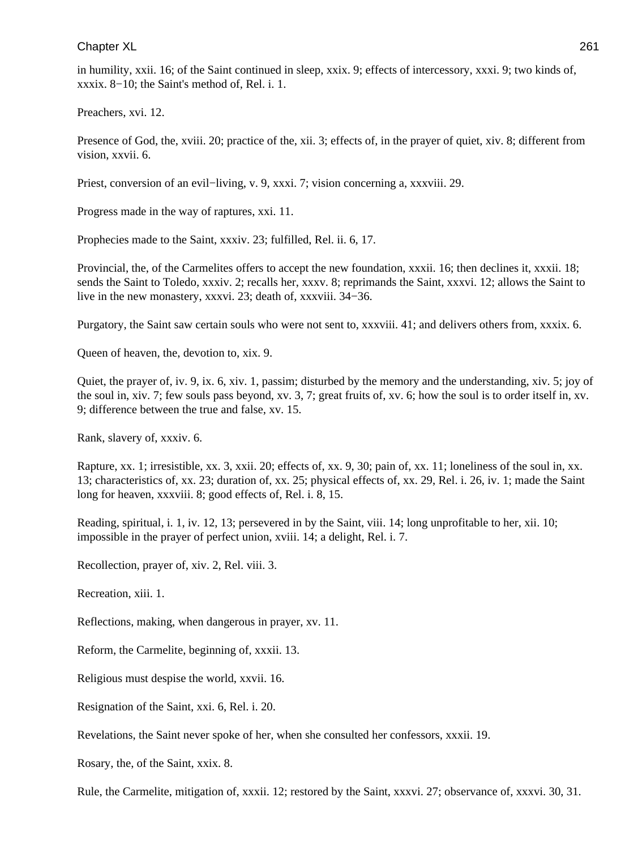in humility, xxii. 16; of the Saint continued in sleep, xxix. 9; effects of intercessory, xxxi. 9; two kinds of, xxxix. 8−10; the Saint's method of, Rel. i. 1.

Preachers, xvi. 12.

Presence of God, the, xviii. 20; practice of the, xii. 3; effects of, in the prayer of quiet, xiv. 8; different from vision, xxvii. 6.

Priest, conversion of an evil−living, v. 9, xxxi. 7; vision concerning a, xxxviii. 29.

Progress made in the way of raptures, xxi. 11.

Prophecies made to the Saint, xxxiv. 23; fulfilled, Rel. ii. 6, 17.

Provincial, the, of the Carmelites offers to accept the new foundation, xxxii. 16; then declines it, xxxii. 18; sends the Saint to Toledo, xxxiv. 2; recalls her, xxxv. 8; reprimands the Saint, xxxvi. 12; allows the Saint to live in the new monastery, xxxvi. 23; death of, xxxviii. 34−36.

Purgatory, the Saint saw certain souls who were not sent to, xxxviii. 41; and delivers others from, xxxix. 6.

Queen of heaven, the, devotion to, xix. 9.

Quiet, the prayer of, iv. 9, ix. 6, xiv. 1, passim; disturbed by the memory and the understanding, xiv. 5; joy of the soul in, xiv. 7; few souls pass beyond, xv. 3, 7; great fruits of, xv. 6; how the soul is to order itself in, xv. 9; difference between the true and false, xv. 15.

Rank, slavery of, xxxiv. 6.

Rapture, xx. 1; irresistible, xx. 3, xxii. 20; effects of, xx. 9, 30; pain of, xx. 11; loneliness of the soul in, xx. 13; characteristics of, xx. 23; duration of, xx. 25; physical effects of, xx. 29, Rel. i. 26, iv. 1; made the Saint long for heaven, xxxviii. 8; good effects of, Rel. i. 8, 15.

Reading, spiritual, i. 1, iv. 12, 13; persevered in by the Saint, viii. 14; long unprofitable to her, xii. 10; impossible in the prayer of perfect union, xviii. 14; a delight, Rel. i. 7.

Recollection, prayer of, xiv. 2, Rel. viii. 3.

Recreation, xiii. 1.

Reflections, making, when dangerous in prayer, xv. 11.

Reform, the Carmelite, beginning of, xxxii. 13.

Religious must despise the world, xxvii. 16.

Resignation of the Saint, xxi. 6, Rel. i. 20.

Revelations, the Saint never spoke of her, when she consulted her confessors, xxxii. 19.

Rosary, the, of the Saint, xxix. 8.

Rule, the Carmelite, mitigation of, xxxii. 12; restored by the Saint, xxxvi. 27; observance of, xxxvi. 30, 31.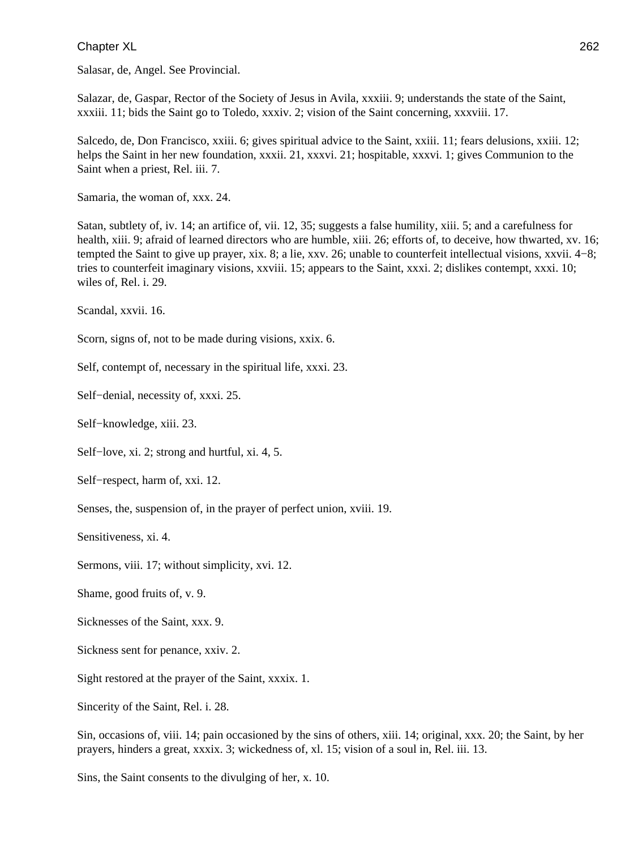Salasar, de, Angel. See Provincial.

Salazar, de, Gaspar, Rector of the Society of Jesus in Avila, xxxiii. 9; understands the state of the Saint, xxxiii. 11; bids the Saint go to Toledo, xxxiv. 2; vision of the Saint concerning, xxxviii. 17.

Salcedo, de, Don Francisco, xxiii. 6; gives spiritual advice to the Saint, xxiii. 11; fears delusions, xxiii. 12; helps the Saint in her new foundation, xxxii. 21, xxxvi. 21; hospitable, xxxvi. 1; gives Communion to the Saint when a priest, Rel. iii. 7.

Samaria, the woman of, xxx. 24.

Satan, subtlety of, iv. 14; an artifice of, vii. 12, 35; suggests a false humility, xiii. 5; and a carefulness for health, xiii. 9; afraid of learned directors who are humble, xiii. 26; efforts of, to deceive, how thwarted, xv. 16; tempted the Saint to give up prayer, xix. 8; a lie, xxv. 26; unable to counterfeit intellectual visions, xxvii. 4−8; tries to counterfeit imaginary visions, xxviii. 15; appears to the Saint, xxxi. 2; dislikes contempt, xxxi. 10; wiles of, Rel. i. 29.

Scandal, xxvii. 16.

Scorn, signs of, not to be made during visions, xxix. 6.

Self, contempt of, necessary in the spiritual life, xxxi. 23.

Self−denial, necessity of, xxxi. 25.

Self−knowledge, xiii. 23.

Self−love, xi. 2; strong and hurtful, xi. 4, 5.

Self−respect, harm of, xxi. 12.

Senses, the, suspension of, in the prayer of perfect union, xviii. 19.

Sensitiveness, xi. 4.

Sermons, viii. 17; without simplicity, xvi. 12.

Shame, good fruits of, v. 9.

Sicknesses of the Saint, xxx. 9.

Sickness sent for penance, xxiv. 2.

Sight restored at the prayer of the Saint, xxxix. 1.

Sincerity of the Saint, Rel. i. 28.

Sin, occasions of, viii. 14; pain occasioned by the sins of others, xiii. 14; original, xxx. 20; the Saint, by her prayers, hinders a great, xxxix. 3; wickedness of, xl. 15; vision of a soul in, Rel. iii. 13.

Sins, the Saint consents to the divulging of her, x. 10.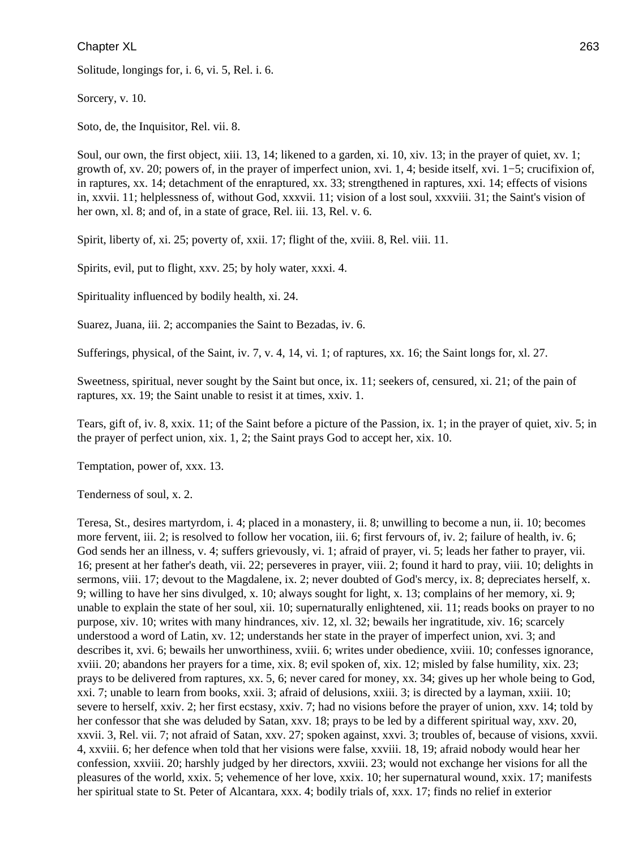Solitude, longings for, i. 6, vi. 5, Rel. i. 6.

Sorcery, v. 10.

Soto, de, the Inquisitor, Rel. vii. 8.

Soul, our own, the first object, xiii. 13, 14; likened to a garden, xi. 10, xiv. 13; in the prayer of quiet, xv. 1; growth of, xv. 20; powers of, in the prayer of imperfect union, xvi. 1, 4; beside itself, xvi. 1−5; crucifixion of, in raptures, xx. 14; detachment of the enraptured, xx. 33; strengthened in raptures, xxi. 14; effects of visions in, xxvii. 11; helplessness of, without God, xxxvii. 11; vision of a lost soul, xxxviii. 31; the Saint's vision of her own, xl. 8; and of, in a state of grace, Rel. iii. 13, Rel. v. 6.

Spirit, liberty of, xi. 25; poverty of, xxii. 17; flight of the, xviii. 8, Rel. viii. 11.

Spirits, evil, put to flight, xxv. 25; by holy water, xxxi. 4.

Spirituality influenced by bodily health, xi. 24.

Suarez, Juana, iii. 2; accompanies the Saint to Bezadas, iv. 6.

Sufferings, physical, of the Saint, iv. 7, v. 4, 14, vi. 1; of raptures, xx. 16; the Saint longs for, xl. 27.

Sweetness, spiritual, never sought by the Saint but once, ix. 11; seekers of, censured, xi. 21; of the pain of raptures, xx. 19; the Saint unable to resist it at times, xxiv. 1.

Tears, gift of, iv. 8, xxix. 11; of the Saint before a picture of the Passion, ix. 1; in the prayer of quiet, xiv. 5; in the prayer of perfect union, xix. 1, 2; the Saint prays God to accept her, xix. 10.

Temptation, power of, xxx. 13.

Tenderness of soul, x. 2.

Teresa, St., desires martyrdom, i. 4; placed in a monastery, ii. 8; unwilling to become a nun, ii. 10; becomes more fervent, iii. 2; is resolved to follow her vocation, iii. 6; first fervours of, iv. 2; failure of health, iv. 6; God sends her an illness, v. 4; suffers grievously, vi. 1; afraid of prayer, vi. 5; leads her father to prayer, vii. 16; present at her father's death, vii. 22; perseveres in prayer, viii. 2; found it hard to pray, viii. 10; delights in sermons, viii. 17; devout to the Magdalene, ix. 2; never doubted of God's mercy, ix. 8; depreciates herself, x. 9; willing to have her sins divulged, x. 10; always sought for light, x. 13; complains of her memory, xi. 9; unable to explain the state of her soul, xii. 10; supernaturally enlightened, xii. 11; reads books on prayer to no purpose, xiv. 10; writes with many hindrances, xiv. 12, xl. 32; bewails her ingratitude, xiv. 16; scarcely understood a word of Latin, xv. 12; understands her state in the prayer of imperfect union, xvi. 3; and describes it, xvi. 6; bewails her unworthiness, xviii. 6; writes under obedience, xviii. 10; confesses ignorance, xviii. 20; abandons her prayers for a time, xix. 8; evil spoken of, xix. 12; misled by false humility, xix. 23; prays to be delivered from raptures, xx. 5, 6; never cared for money, xx. 34; gives up her whole being to God, xxi. 7; unable to learn from books, xxii. 3; afraid of delusions, xxiii. 3; is directed by a layman, xxiii. 10; severe to herself, xxiv. 2; her first ecstasy, xxiv. 7; had no visions before the prayer of union, xxv. 14; told by her confessor that she was deluded by Satan, xxv. 18; prays to be led by a different spiritual way, xxv. 20, xxvii. 3, Rel. vii. 7; not afraid of Satan, xxv. 27; spoken against, xxvi. 3; troubles of, because of visions, xxvii. 4, xxviii. 6; her defence when told that her visions were false, xxviii. 18, 19; afraid nobody would hear her confession, xxviii. 20; harshly judged by her directors, xxviii. 23; would not exchange her visions for all the pleasures of the world, xxix. 5; vehemence of her love, xxix. 10; her supernatural wound, xxix. 17; manifests her spiritual state to St. Peter of Alcantara, xxx. 4; bodily trials of, xxx. 17; finds no relief in exterior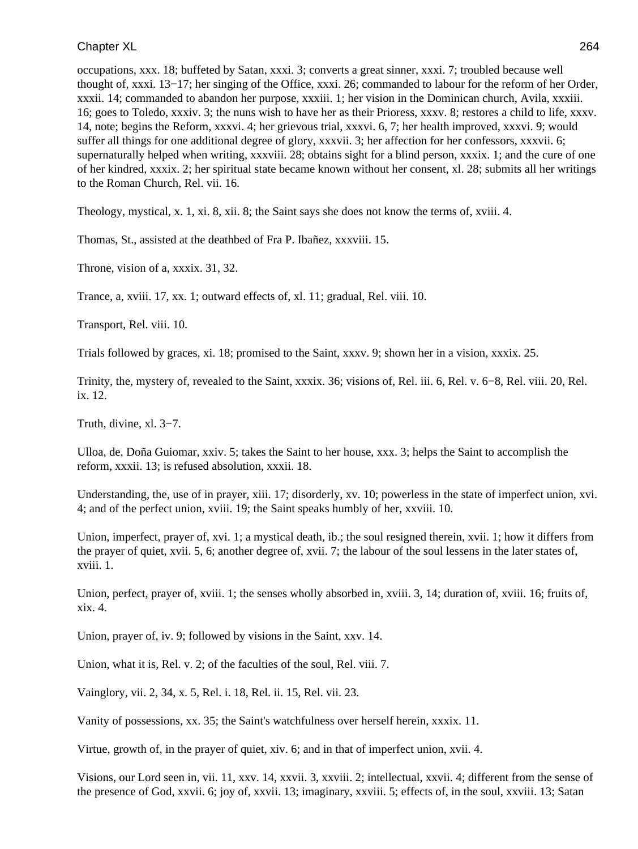occupations, xxx. 18; buffeted by Satan, xxxi. 3; converts a great sinner, xxxi. 7; troubled because well thought of, xxxi. 13−17; her singing of the Office, xxxi. 26; commanded to labour for the reform of her Order, xxxii. 14; commanded to abandon her purpose, xxxiii. 1; her vision in the Dominican church, Avila, xxxiii. 16; goes to Toledo, xxxiv. 3; the nuns wish to have her as their Prioress, xxxv. 8; restores a child to life, xxxv. 14, note; begins the Reform, xxxvi. 4; her grievous trial, xxxvi. 6, 7; her health improved, xxxvi. 9; would suffer all things for one additional degree of glory, xxxvii. 3; her affection for her confessors, xxxvii. 6; supernaturally helped when writing, xxxviii. 28; obtains sight for a blind person, xxxix. 1; and the cure of one of her kindred, xxxix. 2; her spiritual state became known without her consent, xl. 28; submits all her writings to the Roman Church, Rel. vii. 16.

Theology, mystical, x. 1, xi. 8, xii. 8; the Saint says she does not know the terms of, xviii. 4.

Thomas, St., assisted at the deathbed of Fra P. Ibañez, xxxviii. 15.

Throne, vision of a, xxxix. 31, 32.

Trance, a, xviii. 17, xx. 1; outward effects of, xl. 11; gradual, Rel. viii. 10.

Transport, Rel. viii. 10.

Trials followed by graces, xi. 18; promised to the Saint, xxxv. 9; shown her in a vision, xxxix. 25.

Trinity, the, mystery of, revealed to the Saint, xxxix. 36; visions of, Rel. iii. 6, Rel. v. 6−8, Rel. viii. 20, Rel. ix. 12.

Truth, divine, xl. 3−7.

Ulloa, de, Doña Guiomar, xxiv. 5; takes the Saint to her house, xxx. 3; helps the Saint to accomplish the reform, xxxii. 13; is refused absolution, xxxii. 18.

Understanding, the, use of in prayer, xiii. 17; disorderly, xv. 10; powerless in the state of imperfect union, xvi. 4; and of the perfect union, xviii. 19; the Saint speaks humbly of her, xxviii. 10.

Union, imperfect, prayer of, xvi. 1; a mystical death, ib.; the soul resigned therein, xvii. 1; how it differs from the prayer of quiet, xvii. 5, 6; another degree of, xvii. 7; the labour of the soul lessens in the later states of, xviii. 1.

Union, perfect, prayer of, xviii. 1; the senses wholly absorbed in, xviii. 3, 14; duration of, xviii. 16; fruits of, xix. 4.

Union, prayer of, iv. 9; followed by visions in the Saint, xxv. 14.

Union, what it is, Rel. v. 2; of the faculties of the soul, Rel. viii. 7.

Vainglory, vii. 2, 34, x. 5, Rel. i. 18, Rel. ii. 15, Rel. vii. 23.

Vanity of possessions, xx. 35; the Saint's watchfulness over herself herein, xxxix. 11.

Virtue, growth of, in the prayer of quiet, xiv. 6; and in that of imperfect union, xvii. 4.

Visions, our Lord seen in, vii. 11, xxv. 14, xxvii. 3, xxviii. 2; intellectual, xxvii. 4; different from the sense of the presence of God, xxvii. 6; joy of, xxvii. 13; imaginary, xxviii. 5; effects of, in the soul, xxviii. 13; Satan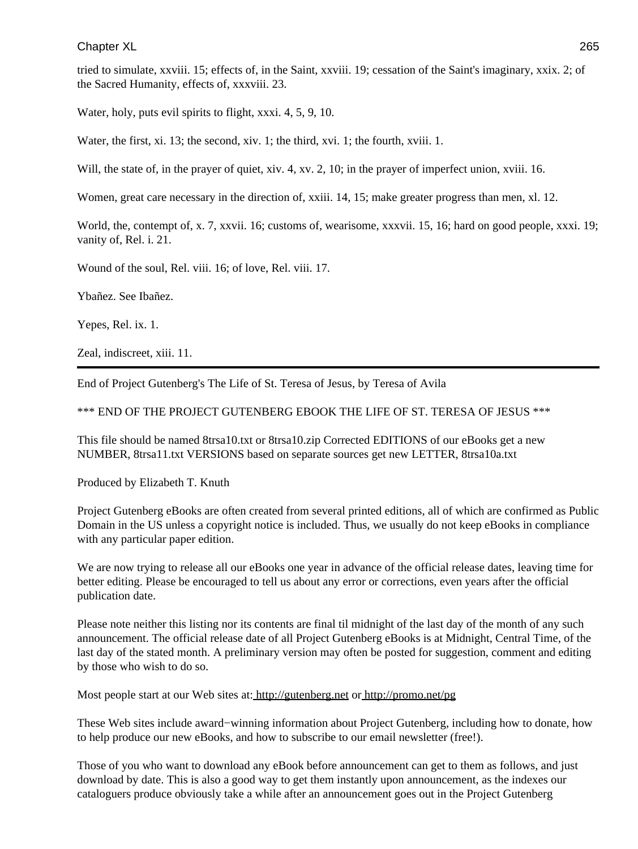tried to simulate, xxviii. 15; effects of, in the Saint, xxviii. 19; cessation of the Saint's imaginary, xxix. 2; of the Sacred Humanity, effects of, xxxviii. 23.

Water, holy, puts evil spirits to flight, xxxi. 4, 5, 9, 10.

Water, the first, xi. 13; the second, xiv. 1; the third, xvi. 1; the fourth, xviii. 1.

Will, the state of, in the prayer of quiet, xiv. 4, xv. 2, 10; in the prayer of imperfect union, xviii. 16.

Women, great care necessary in the direction of, xxiii. 14, 15; make greater progress than men, xl. 12.

World, the, contempt of, x. 7, xxvii. 16; customs of, wearisome, xxxvii. 15, 16; hard on good people, xxxi. 19; vanity of, Rel. i. 21.

Wound of the soul, Rel. viii. 16; of love, Rel. viii. 17.

Ybañez. See Ibañez.

Yepes, Rel. ix. 1.

Zeal, indiscreet, xiii. 11.

End of Project Gutenberg's The Life of St. Teresa of Jesus, by Teresa of Avila

\*\*\* END OF THE PROJECT GUTENBERG EBOOK THE LIFE OF ST. TERESA OF JESUS \*\*\*

This file should be named 8trsa10.txt or 8trsa10.zip Corrected EDITIONS of our eBooks get a new NUMBER, 8trsa11.txt VERSIONS based on separate sources get new LETTER, 8trsa10a.txt

Produced by Elizabeth T. Knuth

Project Gutenberg eBooks are often created from several printed editions, all of which are confirmed as Public Domain in the US unless a copyright notice is included. Thus, we usually do not keep eBooks in compliance with any particular paper edition.

We are now trying to release all our eBooks one year in advance of the official release dates, leaving time for better editing. Please be encouraged to tell us about any error or corrections, even years after the official publication date.

Please note neither this listing nor its contents are final til midnight of the last day of the month of any such announcement. The official release date of all Project Gutenberg eBooks is at Midnight, Central Time, of the last day of the stated month. A preliminary version may often be posted for suggestion, comment and editing by those who wish to do so.

Most people start at our Web sites at[: http://gutenberg.net](http://gutenberg.net) o[r http://promo.net/pg](http://promo.net/pg)

These Web sites include award−winning information about Project Gutenberg, including how to donate, how to help produce our new eBooks, and how to subscribe to our email newsletter (free!).

Those of you who want to download any eBook before announcement can get to them as follows, and just download by date. This is also a good way to get them instantly upon announcement, as the indexes our cataloguers produce obviously take a while after an announcement goes out in the Project Gutenberg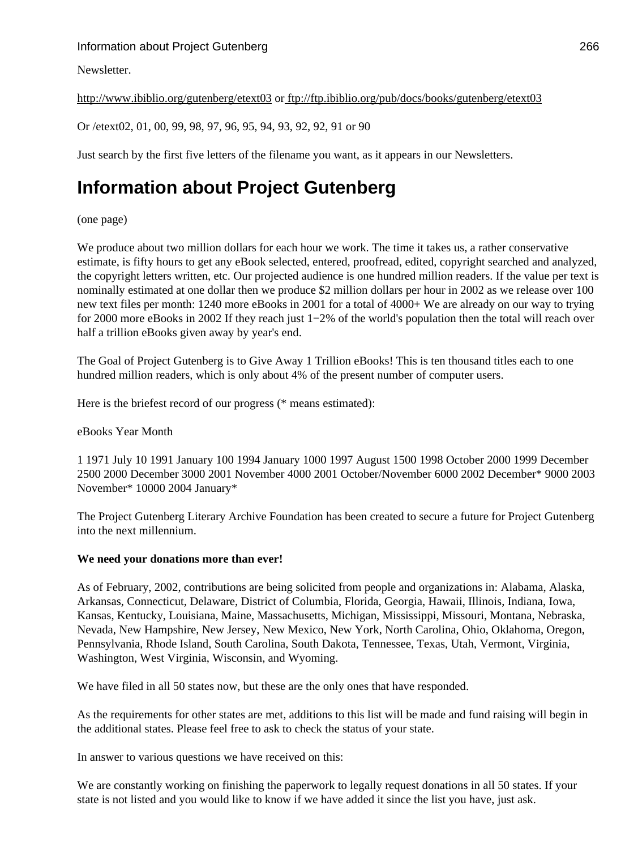# Information about Project Gutenberg 266

# Newsletter.

<http://www.ibiblio.org/gutenberg/etext03>o[r ftp://ftp.ibiblio.org/pub/docs/books/gutenberg/etext03](ftp://ftp.ibiblio.org/pub/docs/books/gutenberg/etext03)

Or /etext02, 01, 00, 99, 98, 97, 96, 95, 94, 93, 92, 92, 91 or 90

Just search by the first five letters of the filename you want, as it appears in our Newsletters.

# **Information about Project Gutenberg**

#### (one page)

We produce about two million dollars for each hour we work. The time it takes us, a rather conservative estimate, is fifty hours to get any eBook selected, entered, proofread, edited, copyright searched and analyzed, the copyright letters written, etc. Our projected audience is one hundred million readers. If the value per text is nominally estimated at one dollar then we produce \$2 million dollars per hour in 2002 as we release over 100 new text files per month: 1240 more eBooks in 2001 for a total of 4000+ We are already on our way to trying for 2000 more eBooks in 2002 If they reach just 1−2% of the world's population then the total will reach over half a trillion eBooks given away by year's end.

The Goal of Project Gutenberg is to Give Away 1 Trillion eBooks! This is ten thousand titles each to one hundred million readers, which is only about 4% of the present number of computer users.

Here is the briefest record of our progress (\* means estimated):

#### eBooks Year Month

1 1971 July 10 1991 January 100 1994 January 1000 1997 August 1500 1998 October 2000 1999 December 2500 2000 December 3000 2001 November 4000 2001 October/November 6000 2002 December\* 9000 2003 November\* 10000 2004 January\*

The Project Gutenberg Literary Archive Foundation has been created to secure a future for Project Gutenberg into the next millennium.

#### **We need your donations more than ever!**

As of February, 2002, contributions are being solicited from people and organizations in: Alabama, Alaska, Arkansas, Connecticut, Delaware, District of Columbia, Florida, Georgia, Hawaii, Illinois, Indiana, Iowa, Kansas, Kentucky, Louisiana, Maine, Massachusetts, Michigan, Mississippi, Missouri, Montana, Nebraska, Nevada, New Hampshire, New Jersey, New Mexico, New York, North Carolina, Ohio, Oklahoma, Oregon, Pennsylvania, Rhode Island, South Carolina, South Dakota, Tennessee, Texas, Utah, Vermont, Virginia, Washington, West Virginia, Wisconsin, and Wyoming.

We have filed in all 50 states now, but these are the only ones that have responded.

As the requirements for other states are met, additions to this list will be made and fund raising will begin in the additional states. Please feel free to ask to check the status of your state.

In answer to various questions we have received on this:

We are constantly working on finishing the paperwork to legally request donations in all 50 states. If your state is not listed and you would like to know if we have added it since the list you have, just ask.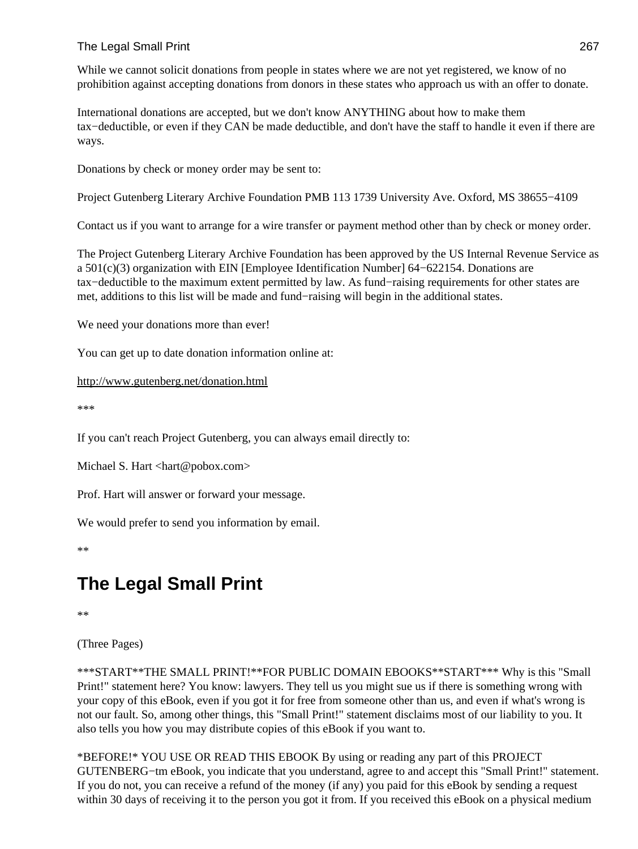# The Legal Small Print 267

While we cannot solicit donations from people in states where we are not yet registered, we know of no prohibition against accepting donations from donors in these states who approach us with an offer to donate.

International donations are accepted, but we don't know ANYTHING about how to make them tax−deductible, or even if they CAN be made deductible, and don't have the staff to handle it even if there are ways.

Donations by check or money order may be sent to:

Project Gutenberg Literary Archive Foundation PMB 113 1739 University Ave. Oxford, MS 38655−4109

Contact us if you want to arrange for a wire transfer or payment method other than by check or money order.

The Project Gutenberg Literary Archive Foundation has been approved by the US Internal Revenue Service as a 501(c)(3) organization with EIN [Employee Identification Number] 64−622154. Donations are tax−deductible to the maximum extent permitted by law. As fund−raising requirements for other states are met, additions to this list will be made and fund−raising will begin in the additional states.

We need your donations more than ever!

You can get up to date donation information online at:

```
http://www.gutenberg.net/donation.html
```
\*\*\*

If you can't reach Project Gutenberg, you can always email directly to:

Michael S. Hart <hart@pobox.com>

Prof. Hart will answer or forward your message.

We would prefer to send you information by email.

\*\*

# **The Legal Small Print**

\*\*

(Three Pages)

\*\*\*START\*\*THE SMALL PRINT!\*\*FOR PUBLIC DOMAIN EBOOKS\*\*START\*\*\* Why is this "Small Print!" statement here? You know: lawyers. They tell us you might sue us if there is something wrong with your copy of this eBook, even if you got it for free from someone other than us, and even if what's wrong is not our fault. So, among other things, this "Small Print!" statement disclaims most of our liability to you. It also tells you how you may distribute copies of this eBook if you want to.

\*BEFORE!\* YOU USE OR READ THIS EBOOK By using or reading any part of this PROJECT GUTENBERG−tm eBook, you indicate that you understand, agree to and accept this "Small Print!" statement. If you do not, you can receive a refund of the money (if any) you paid for this eBook by sending a request within 30 days of receiving it to the person you got it from. If you received this eBook on a physical medium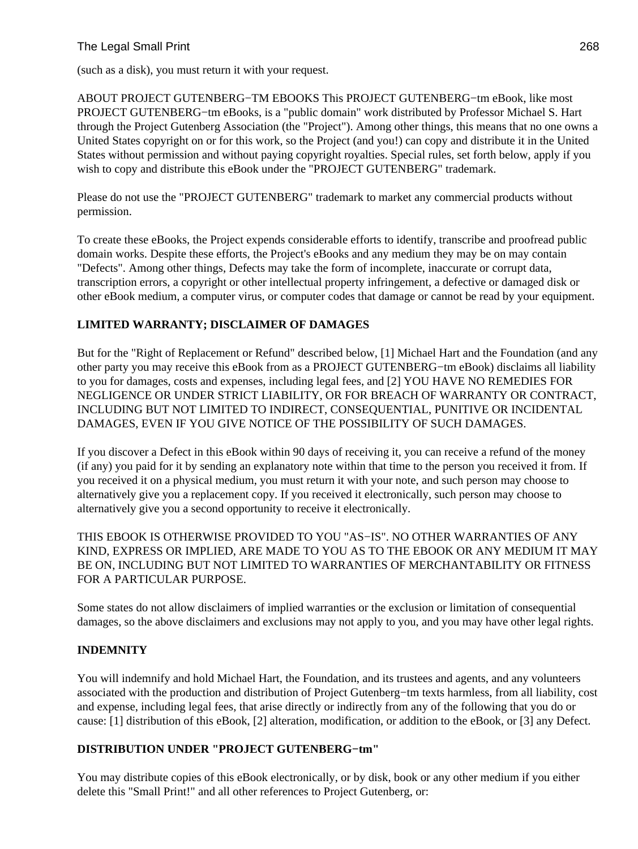# The Legal Small Print 268

(such as a disk), you must return it with your request.

ABOUT PROJECT GUTENBERG−TM EBOOKS This PROJECT GUTENBERG−tm eBook, like most PROJECT GUTENBERG−tm eBooks, is a "public domain" work distributed by Professor Michael S. Hart through the Project Gutenberg Association (the "Project"). Among other things, this means that no one owns a United States copyright on or for this work, so the Project (and you!) can copy and distribute it in the United States without permission and without paying copyright royalties. Special rules, set forth below, apply if you wish to copy and distribute this eBook under the "PROJECT GUTENBERG" trademark.

Please do not use the "PROJECT GUTENBERG" trademark to market any commercial products without permission.

To create these eBooks, the Project expends considerable efforts to identify, transcribe and proofread public domain works. Despite these efforts, the Project's eBooks and any medium they may be on may contain "Defects". Among other things, Defects may take the form of incomplete, inaccurate or corrupt data, transcription errors, a copyright or other intellectual property infringement, a defective or damaged disk or other eBook medium, a computer virus, or computer codes that damage or cannot be read by your equipment.

# **LIMITED WARRANTY; DISCLAIMER OF DAMAGES**

But for the "Right of Replacement or Refund" described below, [1] Michael Hart and the Foundation (and any other party you may receive this eBook from as a PROJECT GUTENBERG−tm eBook) disclaims all liability to you for damages, costs and expenses, including legal fees, and [2] YOU HAVE NO REMEDIES FOR NEGLIGENCE OR UNDER STRICT LIABILITY, OR FOR BREACH OF WARRANTY OR CONTRACT, INCLUDING BUT NOT LIMITED TO INDIRECT, CONSEQUENTIAL, PUNITIVE OR INCIDENTAL DAMAGES, EVEN IF YOU GIVE NOTICE OF THE POSSIBILITY OF SUCH DAMAGES.

If you discover a Defect in this eBook within 90 days of receiving it, you can receive a refund of the money (if any) you paid for it by sending an explanatory note within that time to the person you received it from. If you received it on a physical medium, you must return it with your note, and such person may choose to alternatively give you a replacement copy. If you received it electronically, such person may choose to alternatively give you a second opportunity to receive it electronically.

THIS EBOOK IS OTHERWISE PROVIDED TO YOU "AS−IS". NO OTHER WARRANTIES OF ANY KIND, EXPRESS OR IMPLIED, ARE MADE TO YOU AS TO THE EBOOK OR ANY MEDIUM IT MAY BE ON, INCLUDING BUT NOT LIMITED TO WARRANTIES OF MERCHANTABILITY OR FITNESS FOR A PARTICULAR PURPOSE.

Some states do not allow disclaimers of implied warranties or the exclusion or limitation of consequential damages, so the above disclaimers and exclusions may not apply to you, and you may have other legal rights.

## **INDEMNITY**

You will indemnify and hold Michael Hart, the Foundation, and its trustees and agents, and any volunteers associated with the production and distribution of Project Gutenberg−tm texts harmless, from all liability, cost and expense, including legal fees, that arise directly or indirectly from any of the following that you do or cause: [1] distribution of this eBook, [2] alteration, modification, or addition to the eBook, or [3] any Defect.

## **DISTRIBUTION UNDER "PROJECT GUTENBERG−tm"**

You may distribute copies of this eBook electronically, or by disk, book or any other medium if you either delete this "Small Print!" and all other references to Project Gutenberg, or: